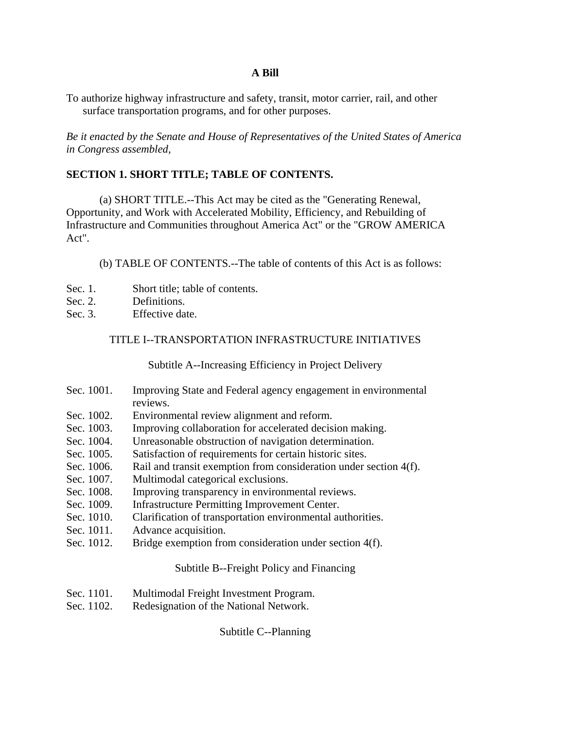# **A Bill**

To authorize highway infrastructure and safety, transit, motor carrier, rail, and other surface transportation programs, and for other purposes.

*Be it enacted by the Senate and House of Representatives of the United States of America in Congress assembled,*

# **SECTION 1. SHORT TITLE; TABLE OF CONTENTS.**

 (a) SHORT TITLE.--This Act may be cited as the "Generating Renewal, Opportunity, and Work with Accelerated Mobility, Efficiency, and Rebuilding of Infrastructure and Communities throughout America Act" or the "GROW AMERICA Act".

(b) TABLE OF CONTENTS.--The table of contents of this Act is as follows:

- Sec. 1. Short title; table of contents.
- Sec. 2. Definitions.
- Sec. 3. Effective date.

### TITLE I--TRANSPORTATION INFRASTRUCTURE INITIATIVES

Subtitle A--Increasing Efficiency in Project Delivery

- Sec. 1001. Improving State and Federal agency engagement in environmental reviews.
- Sec. 1002. Environmental review alignment and reform.
- Sec. 1003. Improving collaboration for accelerated decision making.
- Sec. 1004. Unreasonable obstruction of navigation determination.
- Sec. 1005. Satisfaction of requirements for certain historic sites.
- Sec. 1006. Rail and transit exemption from consideration under section 4(f).
- Sec. 1007. Multimodal categorical exclusions.
- Sec. 1008. Improving transparency in environmental reviews.
- Sec. 1009. Infrastructure Permitting Improvement Center.
- Sec. 1010. Clarification of transportation environmental authorities.
- Sec. 1011. Advance acquisition.
- Sec. 1012. Bridge exemption from consideration under section 4(f).

#### Subtitle B--Freight Policy and Financing

- Sec. 1101. Multimodal Freight Investment Program.
- Sec. 1102. Redesignation of the National Network.

Subtitle C--Planning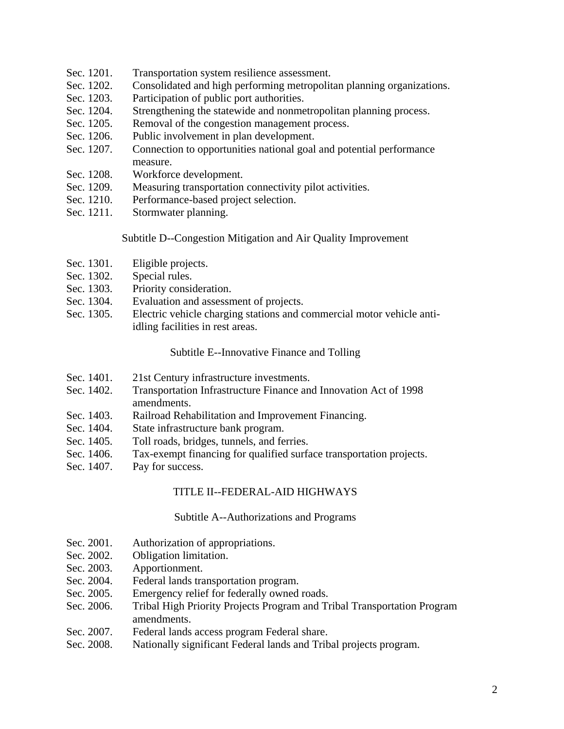- Sec. 1201. Transportation system resilience assessment.
- Sec. 1202. Consolidated and high performing metropolitan planning organizations.
- Sec. 1203. Participation of public port authorities.
- Sec. 1204. Strengthening the statewide and nonmetropolitan planning process.
- Sec. 1205. Removal of the congestion management process.
- Sec. 1206. Public involvement in plan development.
- Sec. 1207. Connection to opportunities national goal and potential performance measure.
- Sec. 1208. Workforce development.
- Sec. 1209. Measuring transportation connectivity pilot activities.
- Sec. 1210. Performance-based project selection.
- Sec. 1211. Stormwater planning.

# Subtitle D--Congestion Mitigation and Air Quality Improvement

- Sec. 1301. Eligible projects.
- Sec. 1302. Special rules.
- Sec. 1303. Priority consideration.
- Sec. 1304. Evaluation and assessment of projects.
- Sec. 1305. Electric vehicle charging stations and commercial motor vehicle antiidling facilities in rest areas.

Subtitle E--Innovative Finance and Tolling

- Sec. 1401. 21st Century infrastructure investments.
- Sec. 1402. Transportation Infrastructure Finance and Innovation Act of 1998 amendments.
- Sec. 1403. Railroad Rehabilitation and Improvement Financing.
- Sec. 1404. State infrastructure bank program.
- Sec. 1405. Toll roads, bridges, tunnels, and ferries.
- Sec. 1406. Tax-exempt financing for qualified surface transportation projects.
- Sec. 1407. Pay for success.

# TITLE II--FEDERAL-AID HIGHWAYS

#### Subtitle A--Authorizations and Programs

- Sec. 2001. Authorization of appropriations.
- Sec. 2002. Obligation limitation.
- Sec. 2003. Apportionment.
- Sec. 2004. Federal lands transportation program.
- Sec. 2005. Emergency relief for federally owned roads.
- Sec. 2006. Tribal High Priority Projects Program and Tribal Transportation Program amendments.
- Sec. 2007. Federal lands access program Federal share.
- Sec. 2008. Nationally significant Federal lands and Tribal projects program.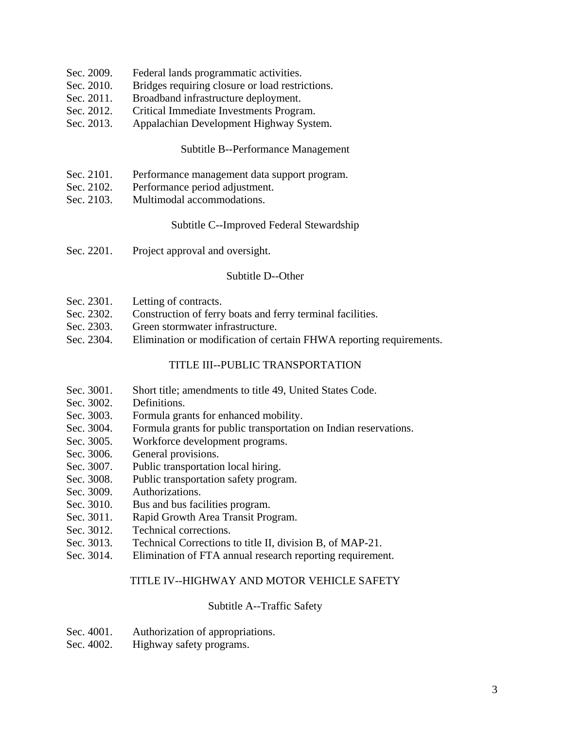- Sec. 2009. Federal lands programmatic activities.
- Sec. 2010. Bridges requiring closure or load restrictions.
- Sec. 2011. Broadband infrastructure deployment.
- Sec. 2012. Critical Immediate Investments Program.
- Sec. 2013. Appalachian Development Highway System.

#### Subtitle B--Performance Management

- Sec. 2101. Performance management data support program.
- Sec. 2102. Performance period adjustment.
- Sec. 2103. Multimodal accommodations.

## Subtitle C--Improved Federal Stewardship

Sec. 2201. Project approval and oversight.

## Subtitle D--Other

- Sec. 2301. Letting of contracts.
- Sec. 2302. Construction of ferry boats and ferry terminal facilities.
- Sec. 2303. Green stormwater infrastructure.
- Sec. 2304. Elimination or modification of certain FHWA reporting requirements.

# TITLE III--PUBLIC TRANSPORTATION

- Sec. 3001. Short title; amendments to title 49, United States Code.
- Sec. 3002. Definitions.
- Sec. 3003. Formula grants for enhanced mobility.
- Sec. 3004. Formula grants for public transportation on Indian reservations.
- Sec. 3005. Workforce development programs.
- Sec. 3006. General provisions.
- Sec. 3007. Public transportation local hiring.
- Sec. 3008. Public transportation safety program.
- Sec. 3009. Authorizations.
- Sec. 3010. Bus and bus facilities program.
- Sec. 3011. Rapid Growth Area Transit Program.
- Sec. 3012. Technical corrections.
- Sec. 3013. Technical Corrections to title II, division B, of MAP-21.
- Sec. 3014. Elimination of FTA annual research reporting requirement.

#### TITLE IV--HIGHWAY AND MOTOR VEHICLE SAFETY

# Subtitle A--Traffic Safety

- Sec. 4001. Authorization of appropriations.
- Sec. 4002. Highway safety programs.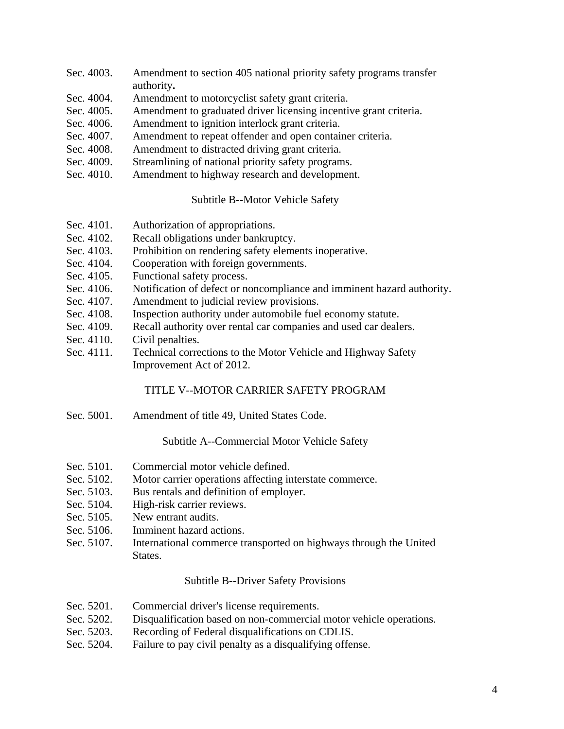- Sec. 4003. Amendment to section 405 national priority safety programs transfer authority**.**
- Sec. 4004. Amendment to motorcyclist safety grant criteria.
- Sec. 4005. Amendment to graduated driver licensing incentive grant criteria.
- Sec. 4006. Amendment to ignition interlock grant criteria.
- Sec. 4007. Amendment to repeat offender and open container criteria.
- Sec. 4008. Amendment to distracted driving grant criteria.
- Sec. 4009. Streamlining of national priority safety programs.
- Sec. 4010. Amendment to highway research and development.

Subtitle B--Motor Vehicle Safety

- Sec. 4101. Authorization of appropriations.
- Sec. 4102. Recall obligations under bankruptcy.
- Sec. 4103. Prohibition on rendering safety elements inoperative.
- Sec. 4104. Cooperation with foreign governments.
- Sec. 4105. Functional safety process.
- Sec. 4106. Notification of defect or noncompliance and imminent hazard authority.
- Sec. 4107. Amendment to judicial review provisions.
- Sec. 4108. Inspection authority under automobile fuel economy statute.
- Sec. 4109. Recall authority over rental car companies and used car dealers.
- Sec. 4110. Civil penalties.
- Sec. 4111. Technical corrections to the Motor Vehicle and Highway Safety Improvement Act of 2012.

# TITLE V--MOTOR CARRIER SAFETY PROGRAM

Sec. 5001. Amendment of title 49, United States Code.

Subtitle A--Commercial Motor Vehicle Safety

- Sec. 5101. Commercial motor vehicle defined.
- Sec. 5102. Motor carrier operations affecting interstate commerce.
- Sec. 5103. Bus rentals and definition of employer.
- Sec. 5104. High-risk carrier reviews.
- Sec. 5105. New entrant audits.
- Sec. 5106. Imminent hazard actions.
- Sec. 5107. International commerce transported on highways through the United States.

# Subtitle B--Driver Safety Provisions

- Sec. 5201. Commercial driver's license requirements.
- Sec. 5202. Disqualification based on non-commercial motor vehicle operations.
- Sec. 5203. Recording of Federal disqualifications on CDLIS.
- Sec. 5204. Failure to pay civil penalty as a disqualifying offense.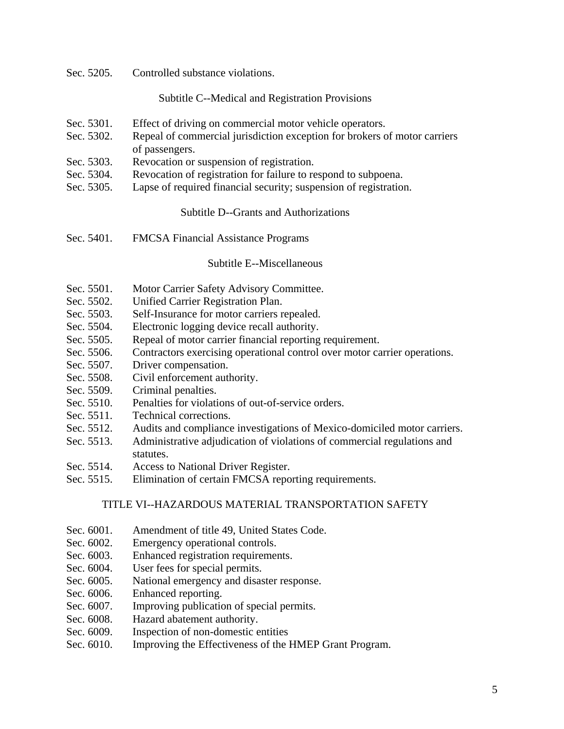Sec. 5205. Controlled substance violations.

Subtitle C--Medical and Registration Provisions

- Sec. 5301. Effect of driving on commercial motor vehicle operators.
- Sec. 5302. Repeal of commercial jurisdiction exception for brokers of motor carriers of passengers.
- Sec. 5303. Revocation or suspension of registration.
- Sec. 5304. Revocation of registration for failure to respond to subpoena.
- Sec. 5305. Lapse of required financial security; suspension of registration.

# Subtitle D--Grants and Authorizations

Sec. 5401. FMCSA Financial Assistance Programs

## Subtitle E--Miscellaneous

- Sec. 5501. Motor Carrier Safety Advisory Committee.
- Sec. 5502. Unified Carrier Registration Plan.
- Sec. 5503. Self-Insurance for motor carriers repealed.
- Sec. 5504. Electronic logging device recall authority.
- Sec. 5505. Repeal of motor carrier financial reporting requirement.
- Sec. 5506. Contractors exercising operational control over motor carrier operations.
- Sec. 5507. Driver compensation.
- Sec. 5508. Civil enforcement authority.
- Sec. 5509. Criminal penalties.
- Sec. 5510. Penalties for violations of out-of-service orders.
- Sec. 5511. Technical corrections.
- Sec. 5512. Audits and compliance investigations of Mexico-domiciled motor carriers.
- Sec. 5513. Administrative adjudication of violations of commercial regulations and statutes.
- Sec. 5514. Access to National Driver Register.
- Sec. 5515. Elimination of certain FMCSA reporting requirements.

# TITLE VI--HAZARDOUS MATERIAL TRANSPORTATION SAFETY

- Sec. 6001. Amendment of title 49, United States Code.
- Sec. 6002. Emergency operational controls.
- Sec. 6003. Enhanced registration requirements.
- Sec. 6004. User fees for special permits.
- Sec. 6005. National emergency and disaster response.
- Sec. 6006. Enhanced reporting.
- Sec. 6007. Improving publication of special permits.
- Sec. 6008. Hazard abatement authority.
- Sec. 6009. Inspection of non-domestic entities
- Sec. 6010. Improving the Effectiveness of the HMEP Grant Program.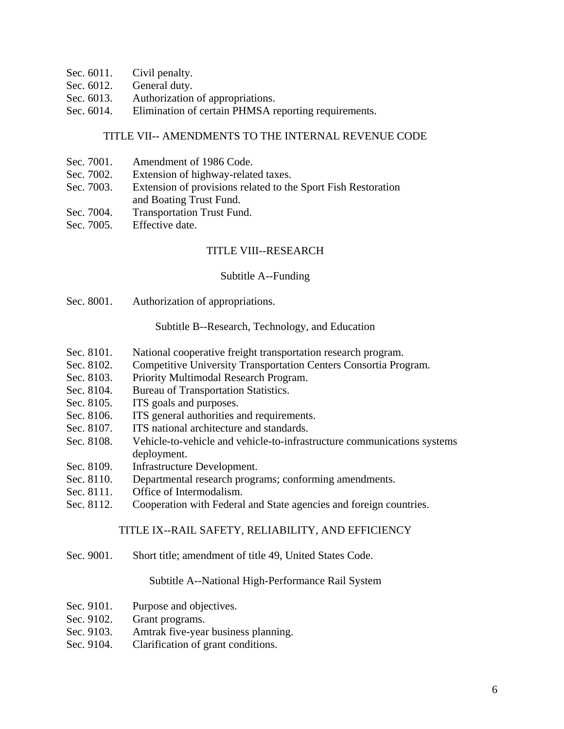- Sec. 6011. Civil penalty.
- Sec. 6012. General duty.
- Sec. 6013. Authorization of appropriations.
- Sec. 6014. Elimination of certain PHMSA reporting requirements.

# TITLE VII-- AMENDMENTS TO THE INTERNAL REVENUE CODE

- Sec. 7001. Amendment of 1986 Code.
- Sec. 7002. Extension of highway-related taxes.
- Sec. 7003. Extension of provisions related to the Sport Fish Restoration and Boating Trust Fund.
- Sec. 7004. Transportation Trust Fund.
- Sec. 7005. Effective date.

# TITLE VIII--RESEARCH

## Subtitle A--Funding

Sec. 8001. Authorization of appropriations.

## Subtitle B--Research, Technology, and Education

- Sec. 8101. National cooperative freight transportation research program.
- Sec. 8102. Competitive University Transportation Centers Consortia Program.
- Sec. 8103. Priority Multimodal Research Program.
- Sec. 8104. Bureau of Transportation Statistics.
- Sec. 8105. ITS goals and purposes.
- Sec. 8106. ITS general authorities and requirements.
- Sec. 8107. ITS national architecture and standards.
- Sec. 8108. Vehicle-to-vehicle and vehicle-to-infrastructure communications systems deployment.
- Sec. 8109. Infrastructure Development.
- Sec. 8110. Departmental research programs; conforming amendments.
- Sec. 8111. Office of Intermodalism.
- Sec. 8112. Cooperation with Federal and State agencies and foreign countries.

# TITLE IX--RAIL SAFETY, RELIABILITY, AND EFFICIENCY

Sec. 9001. Short title; amendment of title 49, United States Code.

#### Subtitle A--National High-Performance Rail System

- Sec. 9101. Purpose and objectives.
- Sec. 9102. Grant programs.
- Sec. 9103. Amtrak five-year business planning.
- Sec. 9104. Clarification of grant conditions.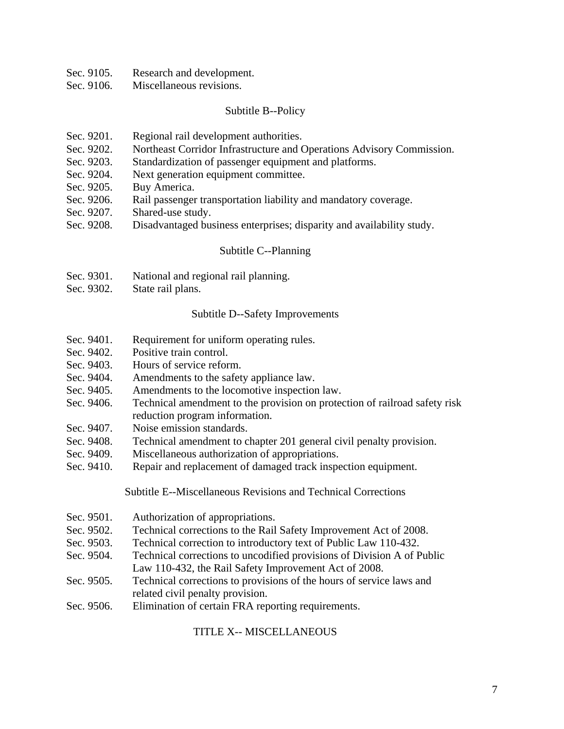- Sec. 9105. Research and development.
- Sec. 9106. Miscellaneous revisions.

#### Subtitle B--Policy

- Sec. 9201. Regional rail development authorities.
- Sec. 9202. Northeast Corridor Infrastructure and Operations Advisory Commission.
- Sec. 9203. Standardization of passenger equipment and platforms.
- Sec. 9204. Next generation equipment committee.
- Sec. 9205. Buy America.
- Sec. 9206. Rail passenger transportation liability and mandatory coverage.
- Sec. 9207. Shared-use study.
- Sec. 9208. Disadvantaged business enterprises; disparity and availability study.

#### Subtitle C--Planning

- Sec. 9301. National and regional rail planning.
- Sec. 9302. State rail plans.

#### Subtitle D--Safety Improvements

- Sec. 9401. Requirement for uniform operating rules.
- Sec. 9402. Positive train control.
- Sec. 9403. Hours of service reform.
- Sec. 9404. Amendments to the safety appliance law.
- Sec. 9405. Amendments to the locomotive inspection law.
- Sec. 9406. Technical amendment to the provision on protection of railroad safety risk reduction program information.
- Sec. 9407. Noise emission standards.
- Sec. 9408. Technical amendment to chapter 201 general civil penalty provision.
- Sec. 9409. Miscellaneous authorization of appropriations.
- Sec. 9410. Repair and replacement of damaged track inspection equipment.

Subtitle E--Miscellaneous Revisions and Technical Corrections

- Sec. 9501. Authorization of appropriations.
- Sec. 9502. Technical corrections to the Rail Safety Improvement Act of 2008.
- Sec. 9503. Technical correction to introductory text of Public Law 110-432.
- Sec. 9504. Technical corrections to uncodified provisions of Division A of Public Law 110-432, the Rail Safety Improvement Act of 2008.
- Sec. 9505. Technical corrections to provisions of the hours of service laws and related civil penalty provision.
- Sec. 9506. Elimination of certain FRA reporting requirements.

#### TITLE X-- MISCELLANEOUS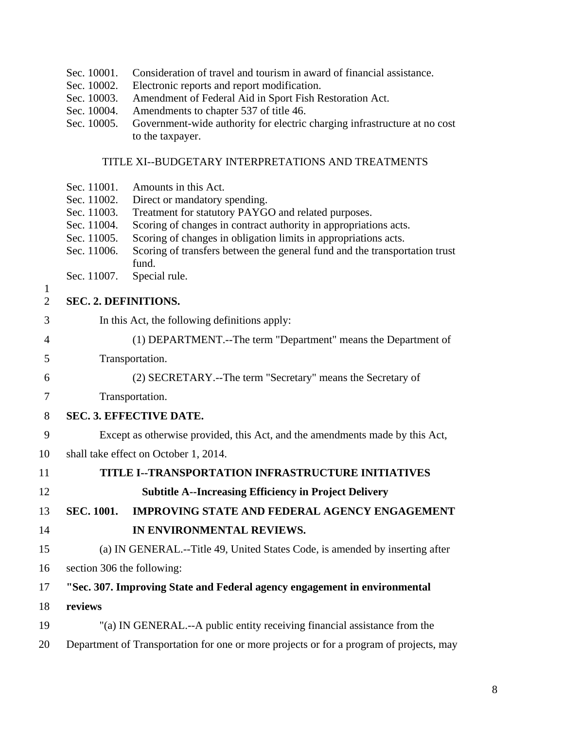|  | Sec. 10001. Consideration of travel and tourism in award of financial assistance. |  |  |
|--|-----------------------------------------------------------------------------------|--|--|
|--|-----------------------------------------------------------------------------------|--|--|

- Sec. 10002. Electronic reports and report modification.
- Sec. 10003. Amendment of Federal Aid in Sport Fish Restoration Act.
- Sec. 10004. Amendments to chapter 537 of title 46.
- Sec. 10005. Government-wide authority for electric charging infrastructure at no cost to the taxpayer.

# TITLE XI--BUDGETARY INTERPRETATIONS AND TREATMENTS

- Sec. 11001. Amounts in this Act.
- Sec. 11002. Direct or mandatory spending.
- Sec. 11003. Treatment for statutory PAYGO and related purposes.
- Sec. 11004. Scoring of changes in contract authority in appropriations acts.
- Sec. 11005. Scoring of changes in obligation limits in appropriations acts.
- Sec. 11006. Scoring of transfers between the general fund and the transportation trust fund.
- Sec. 11007. Special rule.
- 1

# 2 **SEC. 2. DEFINITIONS.**

- 3 In this Act, the following definitions apply:
- 4 (1) DEPARTMENT.--The term "Department" means the Department of
- 5 Transportation.
- 6 (2) SECRETARY.--The term "Secretary" means the Secretary of
- 7 Transportation.
- 8 **SEC. 3. EFFECTIVE DATE.**
- 9 Except as otherwise provided, this Act, and the amendments made by this Act,
- 10 shall take effect on October 1, 2014.

| 11 | TITLE I--TRANSPORTATION INFRASTRUCTURE INITIATIVES                           |
|----|------------------------------------------------------------------------------|
| 12 | <b>Subtitle A--Increasing Efficiency in Project Delivery</b>                 |
| 13 | <b>IMPROVING STATE AND FEDERAL AGENCY ENGAGEMENT</b><br><b>SEC.</b> 1001.    |
| 14 | IN ENVIRONMENTAL REVIEWS.                                                    |
| 15 | (a) IN GENERAL.--Title 49, United States Code, is amended by inserting after |
| 16 | section 306 the following:                                                   |
| 17 | "Sec. 307. Improving State and Federal agency engagement in environmental    |
| 18 | reviews                                                                      |
| 19 | "(a) IN GENERAL.--A public entity receiving financial assistance from the    |

20 Department of Transportation for one or more projects or for a program of projects, may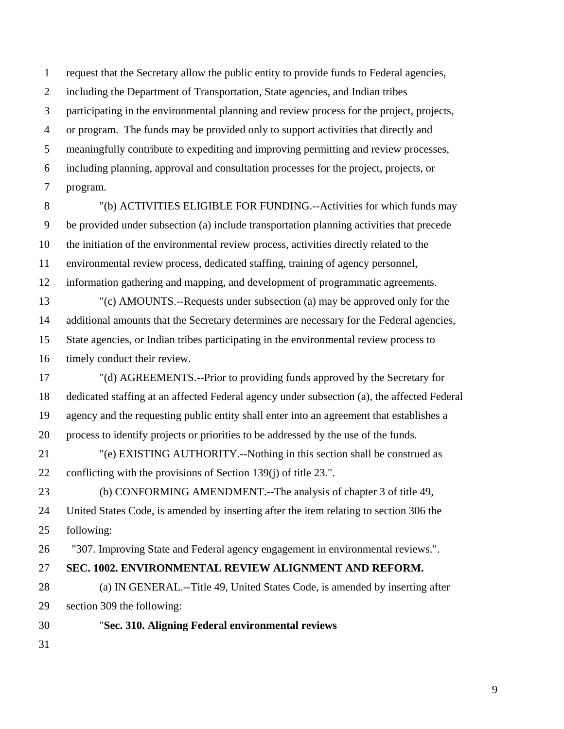1 request that the Secretary allow the public entity to provide funds to Federal agencies, 2 including the Department of Transportation, State agencies, and Indian tribes 3 participating in the environmental planning and review process for the project, projects, 4 or program. The funds may be provided only to support activities that directly and 5 meaningfully contribute to expediting and improving permitting and review processes, 6 including planning, approval and consultation processes for the project, projects, or 7 program.

8 "(b) ACTIVITIES ELIGIBLE FOR FUNDING.--Activities for which funds may 9 be provided under subsection (a) include transportation planning activities that precede 10 the initiation of the environmental review process, activities directly related to the 11 environmental review process, dedicated staffing, training of agency personnel, 12 information gathering and mapping, and development of programmatic agreements. 13 "(c) AMOUNTS.--Requests under subsection (a) may be approved only for the 14 additional amounts that the Secretary determines are necessary for the Federal agencies, 15 State agencies, or Indian tribes participating in the environmental review process to 16 timely conduct their review.

17 "(d) AGREEMENTS.--Prior to providing funds approved by the Secretary for 18 dedicated staffing at an affected Federal agency under subsection (a), the affected Federal 19 agency and the requesting public entity shall enter into an agreement that establishes a 20 process to identify projects or priorities to be addressed by the use of the funds.

21 "(e) EXISTING AUTHORITY.--Nothing in this section shall be construed as 22 conflicting with the provisions of Section 139(j) of title 23.".

23 (b) CONFORMING AMENDMENT.--The analysis of chapter 3 of title 49, 24 United States Code, is amended by inserting after the item relating to section 306 the 25 following:

26 "307. Improving State and Federal agency engagement in environmental reviews.".

# 27 **SEC. 1002. ENVIRONMENTAL REVIEW ALIGNMENT AND REFORM.**

28 (a) IN GENERAL.--Title 49, United States Code, is amended by inserting after 29 section 309 the following:

30 "**Sec. 310. Aligning Federal environmental reviews**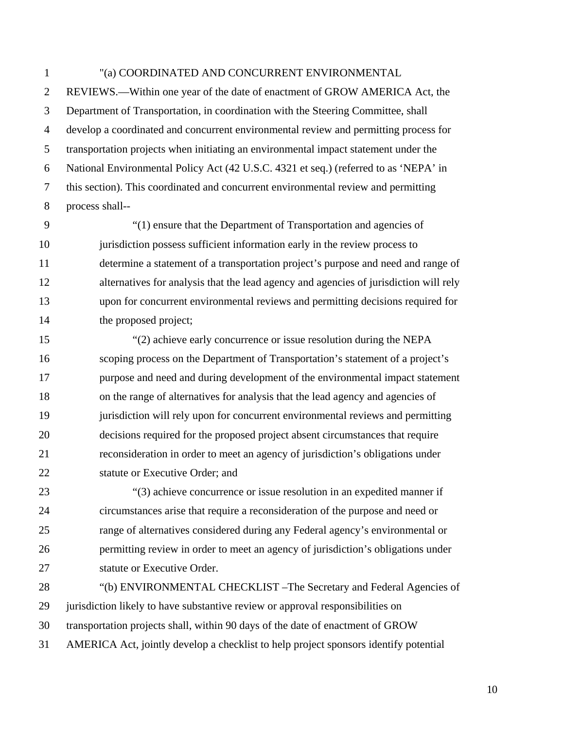## 1 "(a) COORDINATED AND CONCURRENT ENVIRONMENTAL

2 REVIEWS.—Within one year of the date of enactment of GROW AMERICA Act, the 3 Department of Transportation, in coordination with the Steering Committee, shall 4 develop a coordinated and concurrent environmental review and permitting process for 5 transportation projects when initiating an environmental impact statement under the 6 National Environmental Policy Act (42 U.S.C. 4321 et seq.) (referred to as 'NEPA' in 7 this section). This coordinated and concurrent environmental review and permitting 8 process shall--

9 "(1) ensure that the Department of Transportation and agencies of 10 jurisdiction possess sufficient information early in the review process to 11 determine a statement of a transportation project's purpose and need and range of 12 alternatives for analysis that the lead agency and agencies of jurisdiction will rely 13 upon for concurrent environmental reviews and permitting decisions required for 14 the proposed project;

15 "(2) achieve early concurrence or issue resolution during the NEPA 16 scoping process on the Department of Transportation's statement of a project's 17 purpose and need and during development of the environmental impact statement 18 on the range of alternatives for analysis that the lead agency and agencies of 19 jurisdiction will rely upon for concurrent environmental reviews and permitting 20 decisions required for the proposed project absent circumstances that require 21 reconsideration in order to meet an agency of jurisdiction's obligations under 22 statute or Executive Order; and

23 "(3) achieve concurrence or issue resolution in an expedited manner if 24 circumstances arise that require a reconsideration of the purpose and need or 25 range of alternatives considered during any Federal agency's environmental or 26 permitting review in order to meet an agency of jurisdiction's obligations under 27 statute or Executive Order.

28 "(b) ENVIRONMENTAL CHECKLIST –The Secretary and Federal Agencies of 29 jurisdiction likely to have substantive review or approval responsibilities on 30 transportation projects shall, within 90 days of the date of enactment of GROW 31 AMERICA Act, jointly develop a checklist to help project sponsors identify potential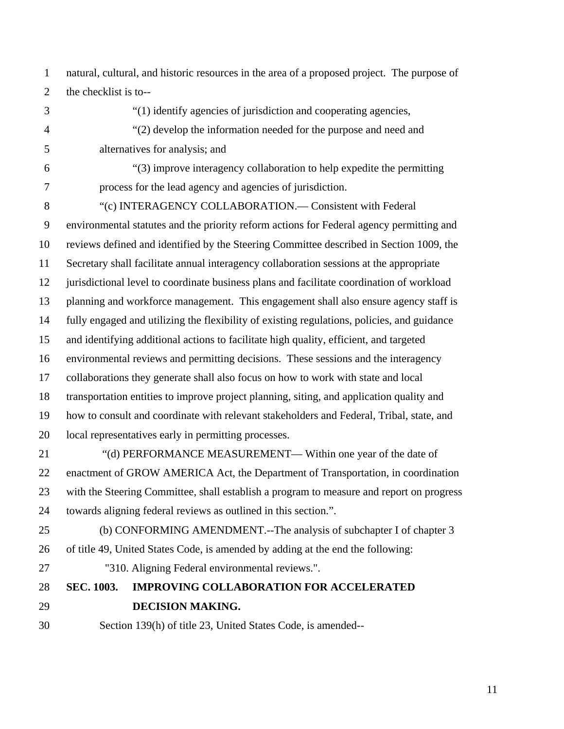1 natural, cultural, and historic resources in the area of a proposed project. The purpose of 2 the checklist is to--

3 "(1) identify agencies of jurisdiction and cooperating agencies, 4 "(2) develop the information needed for the purpose and need and 5 alternatives for analysis; and 6 "(3) improve interagency collaboration to help expedite the permitting

7 process for the lead agency and agencies of jurisdiction.

8 "(c) INTERAGENCY COLLABORATION.— Consistent with Federal 9 environmental statutes and the priority reform actions for Federal agency permitting and 10 reviews defined and identified by the Steering Committee described in Section 1009, the 11 Secretary shall facilitate annual interagency collaboration sessions at the appropriate 12 jurisdictional level to coordinate business plans and facilitate coordination of workload 13 planning and workforce management. This engagement shall also ensure agency staff is 14 fully engaged and utilizing the flexibility of existing regulations, policies, and guidance 15 and identifying additional actions to facilitate high quality, efficient, and targeted 16 environmental reviews and permitting decisions. These sessions and the interagency 17 collaborations they generate shall also focus on how to work with state and local 18 transportation entities to improve project planning, siting, and application quality and 19 how to consult and coordinate with relevant stakeholders and Federal, Tribal, state, and 20 local representatives early in permitting processes.

- 21 "(d) PERFORMANCE MEASUREMENT— Within one year of the date of 22 enactment of GROW AMERICA Act, the Department of Transportation, in coordination 23 with the Steering Committee, shall establish a program to measure and report on progress 24 towards aligning federal reviews as outlined in this section.".
- 25 (b) CONFORMING AMENDMENT.--The analysis of subchapter I of chapter 3 26 of title 49, United States Code, is amended by adding at the end the following:
- 27 "310. Aligning Federal environmental reviews.".

# 28 **SEC. 1003. IMPROVING COLLABORATION FOR ACCELERATED**  29 **DECISION MAKING.**

30 Section 139(h) of title 23, United States Code, is amended--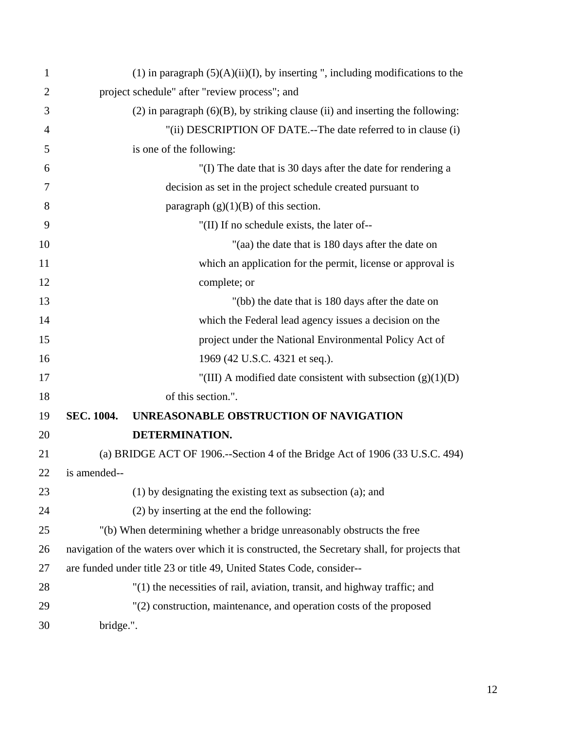| 1              |                   | $(1)$ in paragraph $(5)(A)(ii)(I)$ , by inserting ", including modifications to the           |
|----------------|-------------------|-----------------------------------------------------------------------------------------------|
| $\overline{2}$ |                   | project schedule" after "review process"; and                                                 |
| 3              |                   | $(2)$ in paragraph $(6)(B)$ , by striking clause (ii) and inserting the following:            |
| 4              |                   | "(ii) DESCRIPTION OF DATE.--The date referred to in clause (i)                                |
| 5              |                   | is one of the following:                                                                      |
| 6              |                   | "(I) The date that is 30 days after the date for rendering a                                  |
| 7              |                   | decision as set in the project schedule created pursuant to                                   |
| 8              |                   | paragraph $(g)(1)(B)$ of this section.                                                        |
| 9              |                   | "(II) If no schedule exists, the later of--                                                   |
| 10             |                   | "(aa) the date that is 180 days after the date on                                             |
| 11             |                   | which an application for the permit, license or approval is                                   |
| 12             |                   | complete; or                                                                                  |
| 13             |                   | "(bb) the date that is 180 days after the date on                                             |
| 14             |                   | which the Federal lead agency issues a decision on the                                        |
| 15             |                   | project under the National Environmental Policy Act of                                        |
| 16             |                   | 1969 (42 U.S.C. 4321 et seq.).                                                                |
| 17             |                   | "(III) A modified date consistent with subsection $(g)(1)(D)$                                 |
| 18             |                   | of this section.".                                                                            |
| 19             | <b>SEC. 1004.</b> | UNREASONABLE OBSTRUCTION OF NAVIGATION                                                        |
| 20             |                   | DETERMINATION.                                                                                |
| 21             |                   | (a) BRIDGE ACT OF 1906.--Section 4 of the Bridge Act of 1906 (33 U.S.C. 494)                  |
| 22             | is amended--      |                                                                                               |
| 23             |                   | (1) by designating the existing text as subsection (a); and                                   |
| 24             |                   | (2) by inserting at the end the following:                                                    |
| 25             |                   | "(b) When determining whether a bridge unreasonably obstructs the free                        |
| 26             |                   | navigation of the waters over which it is constructed, the Secretary shall, for projects that |
| 27             |                   | are funded under title 23 or title 49, United States Code, consider--                         |
| 28             |                   | "(1) the necessities of rail, aviation, transit, and highway traffic; and                     |
| 29             |                   | "(2) construction, maintenance, and operation costs of the proposed                           |
| 30             | bridge.".         |                                                                                               |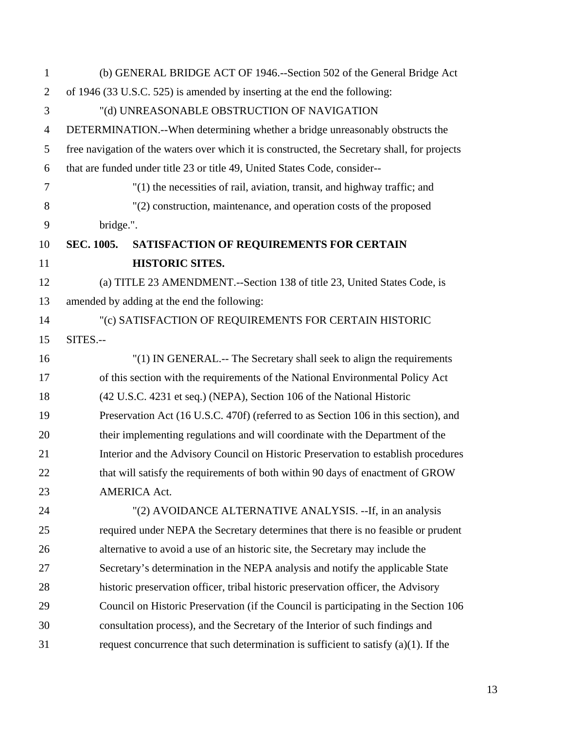| $\mathbf{1}$   |            | (b) GENERAL BRIDGE ACT OF 1946.--Section 502 of the General Bridge Act                        |
|----------------|------------|-----------------------------------------------------------------------------------------------|
| $\overline{2}$ |            | of 1946 (33 U.S.C. 525) is amended by inserting at the end the following:                     |
| 3              |            | "(d) UNREASONABLE OBSTRUCTION OF NAVIGATION                                                   |
| $\overline{4}$ |            | DETERMINATION.--When determining whether a bridge unreasonably obstructs the                  |
| 5              |            | free navigation of the waters over which it is constructed, the Secretary shall, for projects |
| 6              |            | that are funded under title 23 or title 49, United States Code, consider--                    |
| 7              |            | "(1) the necessities of rail, aviation, transit, and highway traffic; and                     |
| 8              |            | "(2) construction, maintenance, and operation costs of the proposed                           |
| 9              | bridge.".  |                                                                                               |
| 10             | SEC. 1005. | SATISFACTION OF REQUIREMENTS FOR CERTAIN                                                      |
| 11             |            | <b>HISTORIC SITES.</b>                                                                        |
| 12             |            | (a) TITLE 23 AMENDMENT.--Section 138 of title 23, United States Code, is                      |
| 13             |            | amended by adding at the end the following:                                                   |
| 14             |            | "(c) SATISFACTION OF REQUIREMENTS FOR CERTAIN HISTORIC                                        |
| 15             | SITES.--   |                                                                                               |
| 16             |            | "(1) IN GENERAL.-- The Secretary shall seek to align the requirements                         |
| 17             |            | of this section with the requirements of the National Environmental Policy Act                |
| 18             |            | (42 U.S.C. 4231 et seq.) (NEPA), Section 106 of the National Historic                         |
| 19             |            | Preservation Act (16 U.S.C. 470f) (referred to as Section 106 in this section), and           |
| 20             |            | their implementing regulations and will coordinate with the Department of the                 |
| 21             |            | Interior and the Advisory Council on Historic Preservation to establish procedures            |
| 22             |            | that will satisfy the requirements of both within 90 days of enactment of GROW                |
| 23             |            | <b>AMERICA Act.</b>                                                                           |
| 24             |            | "(2) AVOIDANCE ALTERNATIVE ANALYSIS. --If, in an analysis                                     |
| 25             |            | required under NEPA the Secretary determines that there is no feasible or prudent             |
| 26             |            | alternative to avoid a use of an historic site, the Secretary may include the                 |
| 27             |            | Secretary's determination in the NEPA analysis and notify the applicable State                |
| 28             |            | historic preservation officer, tribal historic preservation officer, the Advisory             |
| 29             |            | Council on Historic Preservation (if the Council is participating in the Section 106          |
| 30             |            | consultation process), and the Secretary of the Interior of such findings and                 |
| 31             |            | request concurrence that such determination is sufficient to satisfy $(a)(1)$ . If the        |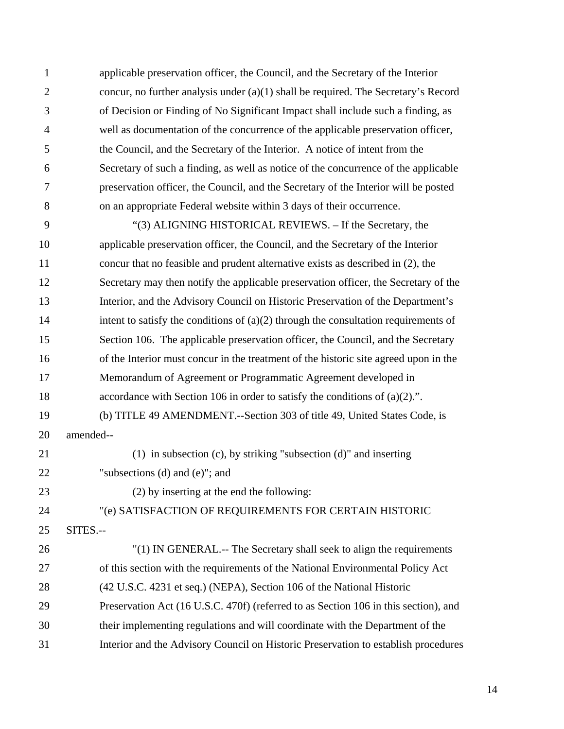1 applicable preservation officer, the Council, and the Secretary of the Interior 2 concur, no further analysis under (a)(1) shall be required. The Secretary's Record 3 of Decision or Finding of No Significant Impact shall include such a finding, as 4 well as documentation of the concurrence of the applicable preservation officer, 5 the Council, and the Secretary of the Interior. A notice of intent from the 6 Secretary of such a finding, as well as notice of the concurrence of the applicable 7 preservation officer, the Council, and the Secretary of the Interior will be posted 8 on an appropriate Federal website within 3 days of their occurrence.

9 "(3) ALIGNING HISTORICAL REVIEWS. – If the Secretary, the 10 applicable preservation officer, the Council, and the Secretary of the Interior 11 concur that no feasible and prudent alternative exists as described in (2), the 12 Secretary may then notify the applicable preservation officer, the Secretary of the 13 Interior, and the Advisory Council on Historic Preservation of the Department's 14 intent to satisfy the conditions of (a)(2) through the consultation requirements of 15 Section 106. The applicable preservation officer, the Council, and the Secretary 16 of the Interior must concur in the treatment of the historic site agreed upon in the 17 Memorandum of Agreement or Programmatic Agreement developed in 18 accordance with Section 106 in order to satisfy the conditions of (a)(2).". 19 (b) TITLE 49 AMENDMENT.--Section 303 of title 49, United States Code, is 20 amended-- 21 (1) in subsection (c), by striking "subsection (d)" and inserting 22 "subsections (d) and (e)"; and 23 (2) by inserting at the end the following: 24 "(e) SATISFACTION OF REQUIREMENTS FOR CERTAIN HISTORIC 25 SITES.-- 26 "(1) IN GENERAL.-- The Secretary shall seek to align the requirements 27 of this section with the requirements of the National Environmental Policy Act 28 (42 U.S.C. 4231 et seq.) (NEPA), Section 106 of the National Historic 29 Preservation Act (16 U.S.C. 470f) (referred to as Section 106 in this section), and 30 their implementing regulations and will coordinate with the Department of the

31 Interior and the Advisory Council on Historic Preservation to establish procedures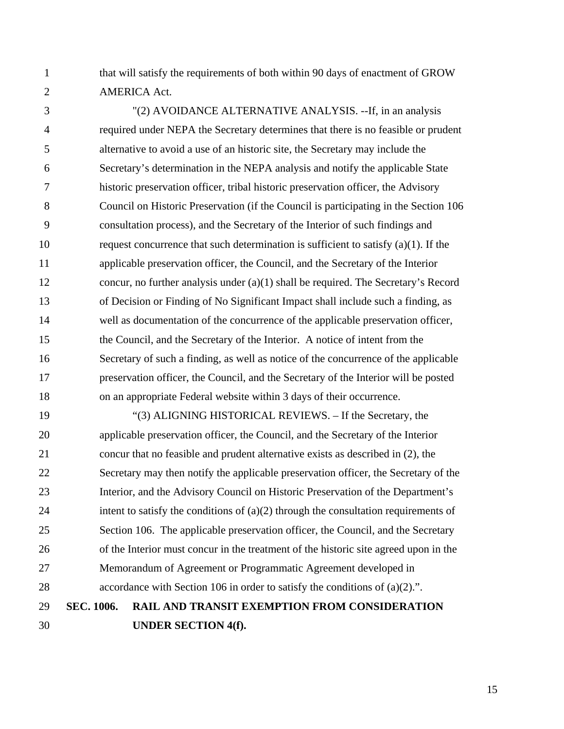1 that will satisfy the requirements of both within 90 days of enactment of GROW 2 AMERICA Act.

3 "(2) AVOIDANCE ALTERNATIVE ANALYSIS. --If, in an analysis 4 required under NEPA the Secretary determines that there is no feasible or prudent 5 alternative to avoid a use of an historic site, the Secretary may include the 6 Secretary's determination in the NEPA analysis and notify the applicable State 7 historic preservation officer, tribal historic preservation officer, the Advisory 8 Council on Historic Preservation (if the Council is participating in the Section 106 9 consultation process), and the Secretary of the Interior of such findings and 10 request concurrence that such determination is sufficient to satisfy (a)(1). If the 11 applicable preservation officer, the Council, and the Secretary of the Interior 12 concur, no further analysis under (a)(1) shall be required. The Secretary's Record 13 of Decision or Finding of No Significant Impact shall include such a finding, as 14 well as documentation of the concurrence of the applicable preservation officer, 15 the Council, and the Secretary of the Interior. A notice of intent from the 16 Secretary of such a finding, as well as notice of the concurrence of the applicable 17 preservation officer, the Council, and the Secretary of the Interior will be posted 18 on an appropriate Federal website within 3 days of their occurrence.

19 "(3) ALIGNING HISTORICAL REVIEWS. – If the Secretary, the 20 applicable preservation officer, the Council, and the Secretary of the Interior 21 concur that no feasible and prudent alternative exists as described in (2), the 22 Secretary may then notify the applicable preservation officer, the Secretary of the 23 Interior, and the Advisory Council on Historic Preservation of the Department's 24 intent to satisfy the conditions of  $(a)(2)$  through the consultation requirements of 25 Section 106. The applicable preservation officer, the Council, and the Secretary 26 of the Interior must concur in the treatment of the historic site agreed upon in the 27 Memorandum of Agreement or Programmatic Agreement developed in 28 accordance with Section 106 in order to satisfy the conditions of (a)(2).". 29 **SEC. 1006. RAIL AND TRANSIT EXEMPTION FROM CONSIDERATION** 

30 **UNDER SECTION 4(f).**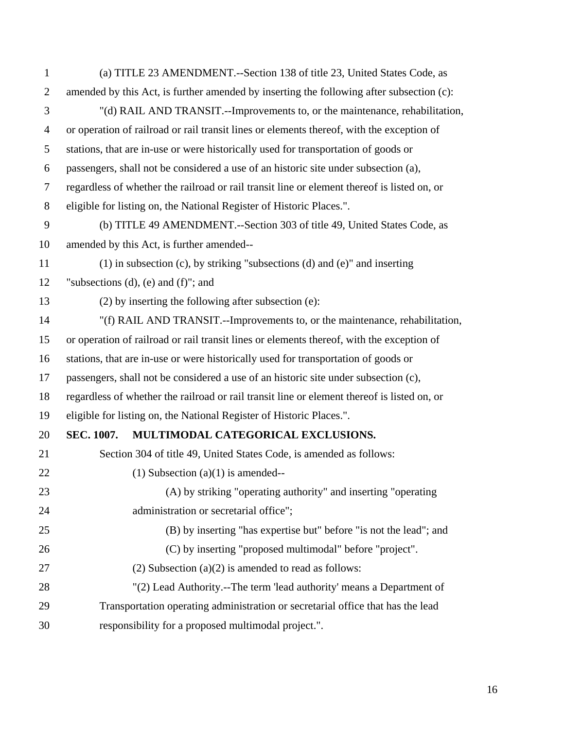| $\mathbf{1}$     | (a) TITLE 23 AMENDMENT.--Section 138 of title 23, United States Code, as                  |                                                                                             |  |
|------------------|-------------------------------------------------------------------------------------------|---------------------------------------------------------------------------------------------|--|
| $\overline{2}$   | amended by this Act, is further amended by inserting the following after subsection (c):  |                                                                                             |  |
| 3                | "(d) RAIL AND TRANSIT.--Improvements to, or the maintenance, rehabilitation,              |                                                                                             |  |
| $\overline{4}$   | or operation of railroad or rail transit lines or elements thereof, with the exception of |                                                                                             |  |
| 5                |                                                                                           | stations, that are in-use or were historically used for transportation of goods or          |  |
| 6                |                                                                                           | passengers, shall not be considered a use of an historic site under subsection (a),         |  |
| $\tau$           |                                                                                           | regardless of whether the railroad or rail transit line or element thereof is listed on, or |  |
| 8                |                                                                                           | eligible for listing on, the National Register of Historic Places.".                        |  |
| $\boldsymbol{9}$ |                                                                                           | (b) TITLE 49 AMENDMENT.--Section 303 of title 49, United States Code, as                    |  |
| 10               |                                                                                           | amended by this Act, is further amended--                                                   |  |
| 11               |                                                                                           | $(1)$ in subsection (c), by striking "subsections (d) and (e)" and inserting                |  |
| 12               |                                                                                           | "subsections $(d)$ , $(e)$ and $(f)$ "; and                                                 |  |
| 13               |                                                                                           | (2) by inserting the following after subsection (e):                                        |  |
| 14               |                                                                                           | "(f) RAIL AND TRANSIT.--Improvements to, or the maintenance, rehabilitation,                |  |
| 15               |                                                                                           | or operation of railroad or rail transit lines or elements thereof, with the exception of   |  |
| 16               |                                                                                           | stations, that are in-use or were historically used for transportation of goods or          |  |
| 17               |                                                                                           | passengers, shall not be considered a use of an historic site under subsection (c),         |  |
| 18               |                                                                                           | regardless of whether the railroad or rail transit line or element thereof is listed on, or |  |
| 19               |                                                                                           | eligible for listing on, the National Register of Historic Places.".                        |  |
| 20               | <b>SEC. 1007.</b>                                                                         | MULTIMODAL CATEGORICAL EXCLUSIONS.                                                          |  |
| 21               |                                                                                           | Section 304 of title 49, United States Code, is amended as follows:                         |  |
| 22               |                                                                                           | $(1)$ Subsection $(a)(1)$ is amended--                                                      |  |
| 23               |                                                                                           | (A) by striking "operating authority" and inserting "operating                              |  |
| 24               |                                                                                           | administration or secretarial office";                                                      |  |
| 25               |                                                                                           | (B) by inserting "has expertise but" before "is not the lead"; and                          |  |
| 26               |                                                                                           | (C) by inserting "proposed multimodal" before "project".                                    |  |
| 27               |                                                                                           | $(2)$ Subsection $(a)(2)$ is amended to read as follows:                                    |  |
| 28               |                                                                                           | "(2) Lead Authority.--The term 'lead authority' means a Department of                       |  |
| 29               |                                                                                           | Transportation operating administration or secretarial office that has the lead             |  |
| 30               |                                                                                           | responsibility for a proposed multimodal project.".                                         |  |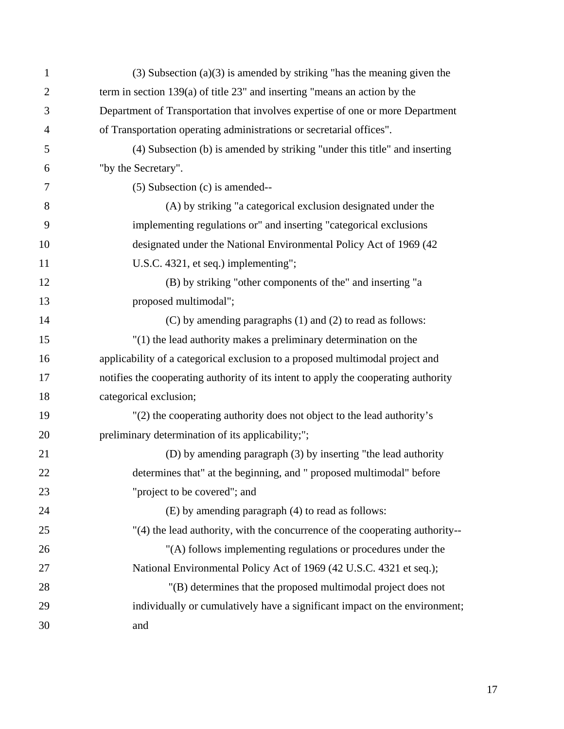| $\mathbf{1}$   | $(3)$ Subsection $(a)(3)$ is amended by striking "has the meaning given the         |
|----------------|-------------------------------------------------------------------------------------|
| $\overline{2}$ | term in section $139(a)$ of title 23" and inserting "means an action by the         |
| 3              | Department of Transportation that involves expertise of one or more Department      |
| $\overline{4}$ | of Transportation operating administrations or secretarial offices".                |
| 5              | (4) Subsection (b) is amended by striking "under this title" and inserting          |
| 6              | "by the Secretary".                                                                 |
| 7              | $(5)$ Subsection $(c)$ is amended--                                                 |
| 8              | (A) by striking "a categorical exclusion designated under the                       |
| 9              | implementing regulations or" and inserting "categorical exclusions                  |
| 10             | designated under the National Environmental Policy Act of 1969 (42                  |
| 11             | U.S.C. 4321, et seq.) implementing";                                                |
| 12             | (B) by striking "other components of the" and inserting "a                          |
| 13             | proposed multimodal";                                                               |
| 14             | (C) by amending paragraphs (1) and (2) to read as follows:                          |
| 15             | $''(1)$ the lead authority makes a preliminary determination on the                 |
| 16             | applicability of a categorical exclusion to a proposed multimodal project and       |
| 17             | notifies the cooperating authority of its intent to apply the cooperating authority |
| 18             | categorical exclusion;                                                              |
| 19             | "(2) the cooperating authority does not object to the lead authority's              |
| 20             | preliminary determination of its applicability;";                                   |
| 21             | (D) by amending paragraph (3) by inserting "the lead authority                      |
| 22             | determines that" at the beginning, and " proposed multimodal" before                |
| 23             | "project to be covered"; and                                                        |
| 24             | (E) by amending paragraph (4) to read as follows:                                   |
| 25             | "(4) the lead authority, with the concurrence of the cooperating authority--        |
| 26             | "(A) follows implementing regulations or procedures under the                       |
| 27             | National Environmental Policy Act of 1969 (42 U.S.C. 4321 et seq.);                 |
| 28             | "(B) determines that the proposed multimodal project does not                       |
| 29             | individually or cumulatively have a significant impact on the environment;          |
| 30             | and                                                                                 |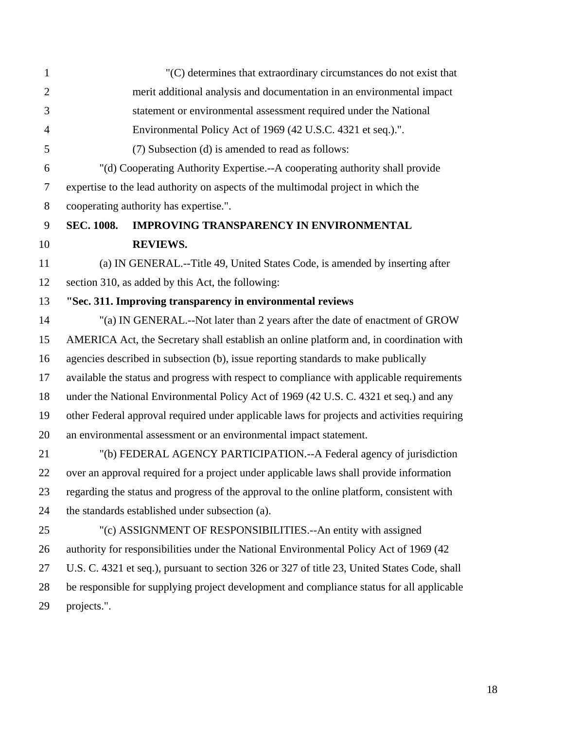| $\mathbf{1}$   |                   | "(C) determines that extraordinary circumstances do not exist that                           |
|----------------|-------------------|----------------------------------------------------------------------------------------------|
| $\overline{2}$ |                   | merit additional analysis and documentation in an environmental impact                       |
| 3              |                   | statement or environmental assessment required under the National                            |
| $\overline{4}$ |                   | Environmental Policy Act of 1969 (42 U.S.C. 4321 et seq.).".                                 |
| 5              |                   | (7) Subsection (d) is amended to read as follows:                                            |
| 6              |                   | "(d) Cooperating Authority Expertise.--A cooperating authority shall provide                 |
| $\overline{7}$ |                   | expertise to the lead authority on aspects of the multimodal project in which the            |
| 8              |                   | cooperating authority has expertise.".                                                       |
| 9              | <b>SEC. 1008.</b> | <b>IMPROVING TRANSPARENCY IN ENVIRONMENTAL</b>                                               |
| 10             |                   | <b>REVIEWS.</b>                                                                              |
| 11             |                   | (a) IN GENERAL.--Title 49, United States Code, is amended by inserting after                 |
| 12             |                   | section 310, as added by this Act, the following:                                            |
| 13             |                   | "Sec. 311. Improving transparency in environmental reviews                                   |
| 14             |                   | "(a) IN GENERAL.--Not later than 2 years after the date of enactment of GROW                 |
| 15             |                   | AMERICA Act, the Secretary shall establish an online platform and, in coordination with      |
| 16             |                   | agencies described in subsection (b), issue reporting standards to make publically           |
| 17             |                   | available the status and progress with respect to compliance with applicable requirements    |
| 18             |                   | under the National Environmental Policy Act of 1969 (42 U.S. C. 4321 et seq.) and any        |
| 19             |                   | other Federal approval required under applicable laws for projects and activities requiring  |
| 20             |                   | an environmental assessment or an environmental impact statement.                            |
| 21             |                   | "(b) FEDERAL AGENCY PARTICIPATION.--A Federal agency of jurisdiction                         |
| 22             |                   | over an approval required for a project under applicable laws shall provide information      |
| 23             |                   | regarding the status and progress of the approval to the online platform, consistent with    |
| 24             |                   | the standards established under subsection (a).                                              |
| 25             |                   | "(c) ASSIGNMENT OF RESPONSIBILITIES.--An entity with assigned                                |
| 26             |                   | authority for responsibilities under the National Environmental Policy Act of 1969 (42       |
| 27             |                   | U.S. C. 4321 et seq.), pursuant to section 326 or 327 of title 23, United States Code, shall |
| 28             |                   | be responsible for supplying project development and compliance status for all applicable    |
| 29             | projects.".       |                                                                                              |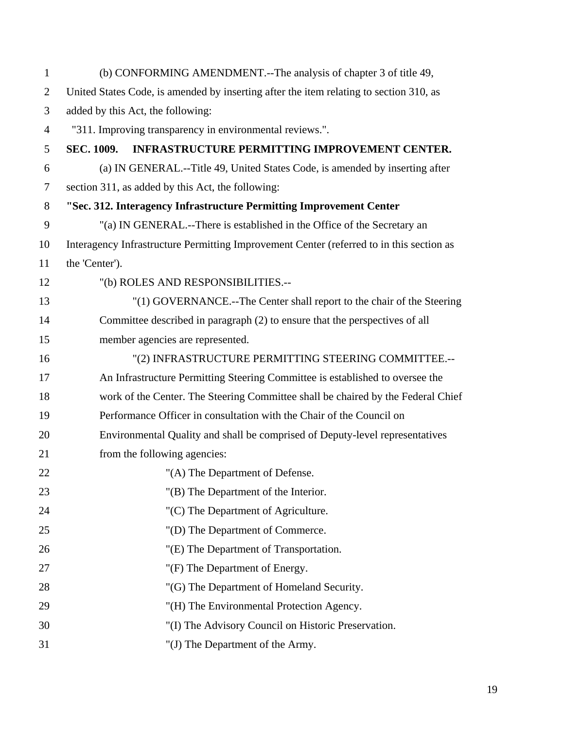| $\mathbf{1}$   | (b) CONFORMING AMENDMENT.--The analysis of chapter 3 of title 49,                        |
|----------------|------------------------------------------------------------------------------------------|
| $\overline{2}$ | United States Code, is amended by inserting after the item relating to section 310, as   |
| 3              | added by this Act, the following:                                                        |
| $\overline{4}$ | "311. Improving transparency in environmental reviews.".                                 |
| 5              | INFRASTRUCTURE PERMITTING IMPROVEMENT CENTER.<br><b>SEC. 1009.</b>                       |
| 6              | (a) IN GENERAL.--Title 49, United States Code, is amended by inserting after             |
| 7              | section 311, as added by this Act, the following:                                        |
| 8              | "Sec. 312. Interagency Infrastructure Permitting Improvement Center                      |
| 9              | "(a) IN GENERAL.--There is established in the Office of the Secretary an                 |
| 10             | Interagency Infrastructure Permitting Improvement Center (referred to in this section as |
| 11             | the 'Center').                                                                           |
| 12             | "(b) ROLES AND RESPONSIBILITIES.--                                                       |
| 13             | "(1) GOVERNANCE.--The Center shall report to the chair of the Steering                   |
| 14             | Committee described in paragraph (2) to ensure that the perspectives of all              |
| 15             | member agencies are represented.                                                         |
| 16             | "(2) INFRASTRUCTURE PERMITTING STEERING COMMITTEE.--                                     |
| 17             | An Infrastructure Permitting Steering Committee is established to oversee the            |
| 18             | work of the Center. The Steering Committee shall be chaired by the Federal Chief         |
| 19             | Performance Officer in consultation with the Chair of the Council on                     |
| 20             | Environmental Quality and shall be comprised of Deputy-level representatives             |
| 21             | from the following agencies:                                                             |
| 22             | "(A) The Department of Defense.                                                          |
| 23             | "(B) The Department of the Interior.                                                     |
| 24             | "(C) The Department of Agriculture.                                                      |
| 25             | "(D) The Department of Commerce.                                                         |
| 26             | "(E) The Department of Transportation.                                                   |
| 27             | "(F) The Department of Energy.                                                           |
| 28             | "(G) The Department of Homeland Security.                                                |
| 29             | "(H) The Environmental Protection Agency.                                                |
| 30             | "(I) The Advisory Council on Historic Preservation.                                      |
| 31             | "(J) The Department of the Army.                                                         |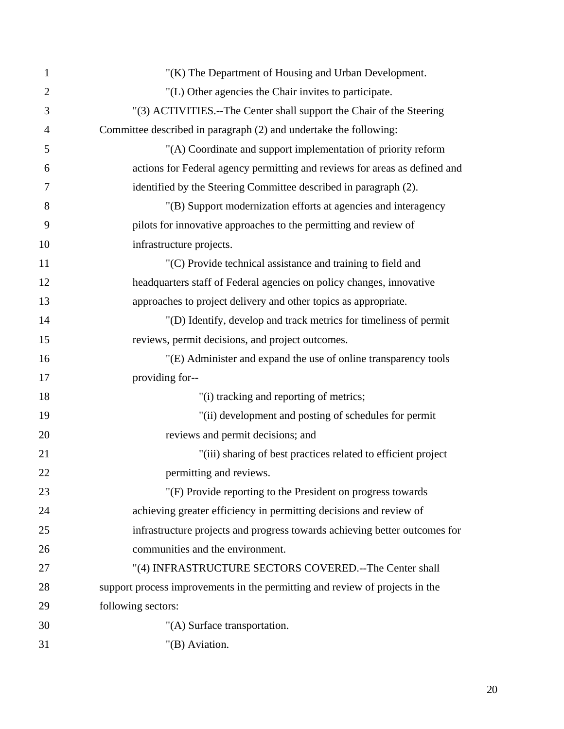| 1              | "(K) The Department of Housing and Urban Development.                        |
|----------------|------------------------------------------------------------------------------|
| $\overline{2}$ | "(L) Other agencies the Chair invites to participate.                        |
| 3              | "(3) ACTIVITIES.--The Center shall support the Chair of the Steering         |
| 4              | Committee described in paragraph (2) and undertake the following:            |
| 5              | "(A) Coordinate and support implementation of priority reform                |
| 6              | actions for Federal agency permitting and reviews for areas as defined and   |
| 7              | identified by the Steering Committee described in paragraph (2).             |
| 8              | "(B) Support modernization efforts at agencies and interagency               |
| 9              | pilots for innovative approaches to the permitting and review of             |
| 10             | infrastructure projects.                                                     |
| 11             | "(C) Provide technical assistance and training to field and                  |
| 12             | headquarters staff of Federal agencies on policy changes, innovative         |
| 13             | approaches to project delivery and other topics as appropriate.              |
| 14             | "(D) Identify, develop and track metrics for timeliness of permit            |
| 15             | reviews, permit decisions, and project outcomes.                             |
| 16             | "(E) Administer and expand the use of online transparency tools              |
| 17             | providing for--                                                              |
| 18             | "(i) tracking and reporting of metrics;                                      |
| 19             | "(ii) development and posting of schedules for permit                        |
| 20             | reviews and permit decisions; and                                            |
| 21             | "(iii) sharing of best practices related to efficient project                |
| 22             | permitting and reviews.                                                      |
| 23             | "(F) Provide reporting to the President on progress towards                  |
| 24             | achieving greater efficiency in permitting decisions and review of           |
| 25             | infrastructure projects and progress towards achieving better outcomes for   |
| 26             | communities and the environment.                                             |
| 27             | "(4) INFRASTRUCTURE SECTORS COVERED.--The Center shall                       |
| 28             | support process improvements in the permitting and review of projects in the |
| 29             | following sectors:                                                           |
| 30             | "(A) Surface transportation.                                                 |
| 31             | "(B) Aviation.                                                               |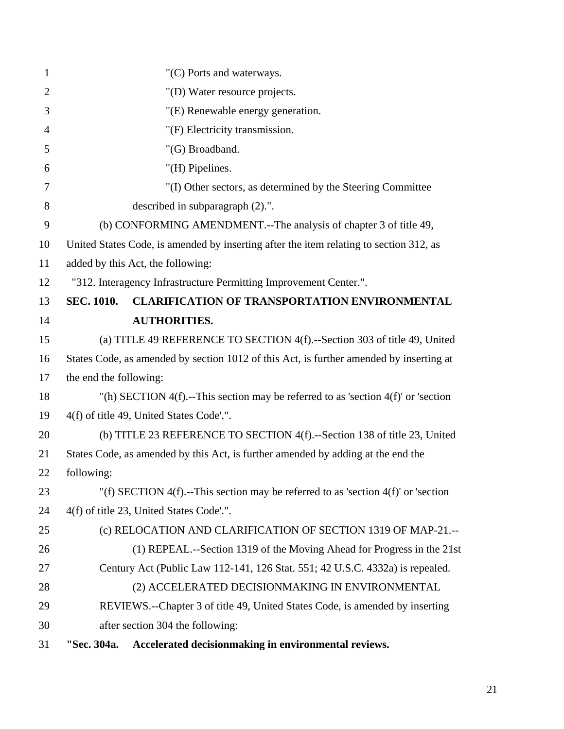| $\mathbf{1}$   | "(C) Ports and waterways.                                                               |  |
|----------------|-----------------------------------------------------------------------------------------|--|
| $\overline{2}$ | "(D) Water resource projects.                                                           |  |
| 3              | "(E) Renewable energy generation.                                                       |  |
| $\overline{4}$ | "(F) Electricity transmission.                                                          |  |
| 5              | "(G) Broadband.                                                                         |  |
| 6              | "(H) Pipelines.                                                                         |  |
| 7              | "(I) Other sectors, as determined by the Steering Committee                             |  |
| 8              | described in subparagraph (2).".                                                        |  |
| 9              | (b) CONFORMING AMENDMENT.--The analysis of chapter 3 of title 49,                       |  |
| 10             | United States Code, is amended by inserting after the item relating to section 312, as  |  |
| 11             | added by this Act, the following:                                                       |  |
| 12             | "312. Interagency Infrastructure Permitting Improvement Center.".                       |  |
| 13             | <b>SEC. 1010.</b><br><b>CLARIFICATION OF TRANSPORTATION ENVIRONMENTAL</b>               |  |
| 14             | <b>AUTHORITIES.</b>                                                                     |  |
| 15             | (a) TITLE 49 REFERENCE TO SECTION 4(f).--Section 303 of title 49, United                |  |
| 16             | States Code, as amended by section 1012 of this Act, is further amended by inserting at |  |
| 17             | the end the following:                                                                  |  |
| 18             | "(h) SECTION 4(f).--This section may be referred to as 'section 4(f)' or 'section       |  |
| 19             | 4(f) of title 49, United States Code'.".                                                |  |
| 20             | (b) TITLE 23 REFERENCE TO SECTION 4(f).--Section 138 of title 23, United                |  |
| 21             | States Code, as amended by this Act, is further amended by adding at the end the        |  |
| 22             | following:                                                                              |  |
| 23             | "(f) SECTION 4(f).--This section may be referred to as 'section 4(f)' or 'section       |  |
| 24             | 4(f) of title 23, United States Code'.".                                                |  |
| 25             | (c) RELOCATION AND CLARIFICATION OF SECTION 1319 OF MAP-21 .--                          |  |
| 26             | (1) REPEAL.--Section 1319 of the Moving Ahead for Progress in the 21st                  |  |
| 27             | Century Act (Public Law 112-141, 126 Stat. 551; 42 U.S.C. 4332a) is repealed.           |  |
| 28             | (2) ACCELERATED DECISIONMAKING IN ENVIRONMENTAL                                         |  |
| 29             | REVIEWS.--Chapter 3 of title 49, United States Code, is amended by inserting            |  |
| 30             | after section 304 the following:                                                        |  |
| 31             | Accelerated decisionmaking in environmental reviews.<br>"Sec. 304a.                     |  |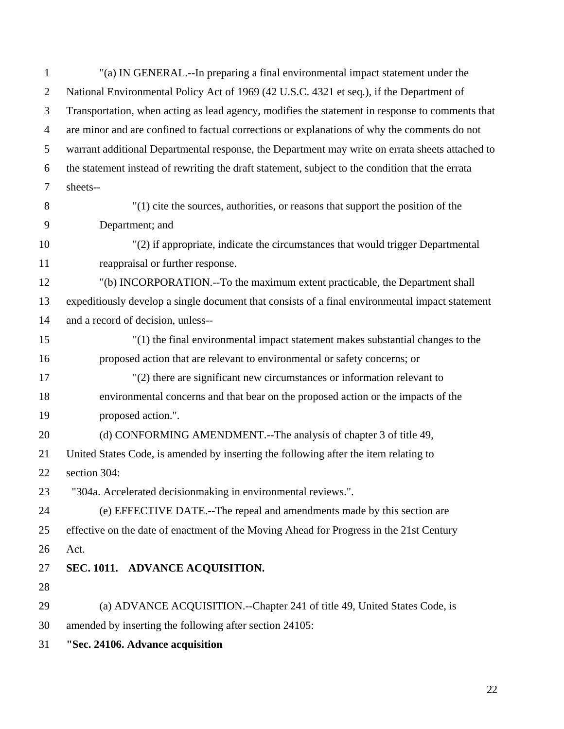1 "(a) IN GENERAL.--In preparing a final environmental impact statement under the 2 National Environmental Policy Act of 1969 (42 U.S.C. 4321 et seq.), if the Department of 3 Transportation, when acting as lead agency, modifies the statement in response to comments that 4 are minor and are confined to factual corrections or explanations of why the comments do not 5 warrant additional Departmental response, the Department may write on errata sheets attached to 6 the statement instead of rewriting the draft statement, subject to the condition that the errata 7 sheets-- 8 "(1) cite the sources, authorities, or reasons that support the position of the 9 Department; and 10 "(2) if appropriate, indicate the circumstances that would trigger Departmental 11 reappraisal or further response. 12 "(b) INCORPORATION.--To the maximum extent practicable, the Department shall 13 expeditiously develop a single document that consists of a final environmental impact statement 14 and a record of decision, unless-- 15 "(1) the final environmental impact statement makes substantial changes to the 16 proposed action that are relevant to environmental or safety concerns; or 17 "(2) there are significant new circumstances or information relevant to 18 environmental concerns and that bear on the proposed action or the impacts of the 19 proposed action.". 20 (d) CONFORMING AMENDMENT.--The analysis of chapter 3 of title 49, 21 United States Code, is amended by inserting the following after the item relating to 22 section 304: 23 "304a. Accelerated decisionmaking in environmental reviews.". 24 (e) EFFECTIVE DATE.--The repeal and amendments made by this section are 25 effective on the date of enactment of the Moving Ahead for Progress in the 21st Century 26 Act. 27 **SEC. 1011. ADVANCE ACQUISITION.**  28 29 (a) ADVANCE ACQUISITION.--Chapter 241 of title 49, United States Code, is 30 amended by inserting the following after section 24105: 31 **"Sec. 24106. Advance acquisition**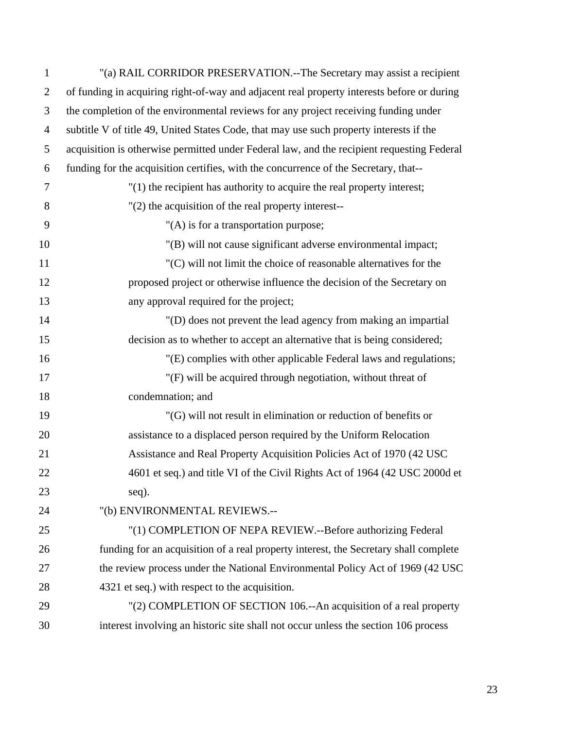| $\mathbf{1}$   | "(a) RAIL CORRIDOR PRESERVATION.--The Secretary may assist a recipient                     |
|----------------|--------------------------------------------------------------------------------------------|
| $\overline{2}$ | of funding in acquiring right-of-way and adjacent real property interests before or during |
| 3              | the completion of the environmental reviews for any project receiving funding under        |
| $\overline{4}$ | subtitle V of title 49, United States Code, that may use such property interests if the    |
| 5              | acquisition is otherwise permitted under Federal law, and the recipient requesting Federal |
| 6              | funding for the acquisition certifies, with the concurrence of the Secretary, that--       |
| 7              | $''(1)$ the recipient has authority to acquire the real property interest;                 |
| 8              | $"(2)$ the acquisition of the real property interest--                                     |
| 9              | "(A) is for a transportation purpose;                                                      |
| 10             | "(B) will not cause significant adverse environmental impact;                              |
| 11             | "(C) will not limit the choice of reasonable alternatives for the                          |
| 12             | proposed project or otherwise influence the decision of the Secretary on                   |
| 13             | any approval required for the project;                                                     |
| 14             | "(D) does not prevent the lead agency from making an impartial                             |
| 15             | decision as to whether to accept an alternative that is being considered;                  |
| 16             | "(E) complies with other applicable Federal laws and regulations;                          |
| 17             | "(F) will be acquired through negotiation, without threat of                               |
| 18             | condemnation; and                                                                          |
| 19             | "(G) will not result in elimination or reduction of benefits or                            |
| 20             | assistance to a displaced person required by the Uniform Relocation                        |
| 21             | Assistance and Real Property Acquisition Policies Act of 1970 (42 USC)                     |
| 22             | 4601 et seq.) and title VI of the Civil Rights Act of 1964 (42 USC 2000d et                |
| 23             | seq).                                                                                      |
| 24             | "(b) ENVIRONMENTAL REVIEWS.--                                                              |
| 25             | "(1) COMPLETION OF NEPA REVIEW.--Before authorizing Federal                                |
| 26             | funding for an acquisition of a real property interest, the Secretary shall complete       |
| 27             | the review process under the National Environmental Policy Act of 1969 (42 USC)            |
| 28             | 4321 et seq.) with respect to the acquisition.                                             |
| 29             | "(2) COMPLETION OF SECTION 106.--An acquisition of a real property                         |
| 30             | interest involving an historic site shall not occur unless the section 106 process         |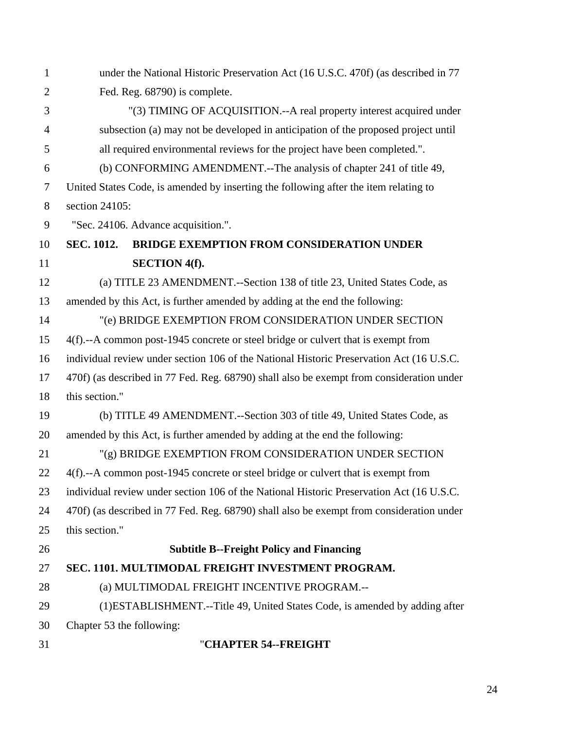| $\mathbf{1}$   | under the National Historic Preservation Act (16 U.S.C. 470f) (as described in 77        |
|----------------|------------------------------------------------------------------------------------------|
| $\overline{2}$ | Fed. Reg. 68790) is complete.                                                            |
| 3              | "(3) TIMING OF ACQUISITION.--A real property interest acquired under                     |
| $\overline{4}$ | subsection (a) may not be developed in anticipation of the proposed project until        |
| 5              | all required environmental reviews for the project have been completed.".                |
| 6              | (b) CONFORMING AMENDMENT.--The analysis of chapter 241 of title 49,                      |
| $\overline{7}$ | United States Code, is amended by inserting the following after the item relating to     |
| $8\,$          | section 24105:                                                                           |
| 9              | "Sec. 24106. Advance acquisition.".                                                      |
| 10             | <b>BRIDGE EXEMPTION FROM CONSIDERATION UNDER</b><br><b>SEC. 1012.</b>                    |
| 11             | <b>SECTION 4(f).</b>                                                                     |
| 12             | (a) TITLE 23 AMENDMENT.--Section 138 of title 23, United States Code, as                 |
| 13             | amended by this Act, is further amended by adding at the end the following:              |
| 14             | "(e) BRIDGE EXEMPTION FROM CONSIDERATION UNDER SECTION                                   |
| 15             | 4(f).--A common post-1945 concrete or steel bridge or culvert that is exempt from        |
| 16             | individual review under section 106 of the National Historic Preservation Act (16 U.S.C. |
| 17             | 470f) (as described in 77 Fed. Reg. 68790) shall also be exempt from consideration under |
| 18             | this section."                                                                           |
| 19             | (b) TITLE 49 AMENDMENT.--Section 303 of title 49, United States Code, as                 |
| 20             | amended by this Act, is further amended by adding at the end the following:              |
| 21             | "(g) BRIDGE EXEMPTION FROM CONSIDERATION UNDER SECTION                                   |
| 22             | 4(f).--A common post-1945 concrete or steel bridge or culvert that is exempt from        |
| 23             | individual review under section 106 of the National Historic Preservation Act (16 U.S.C. |
| 24             | 470f) (as described in 77 Fed. Reg. 68790) shall also be exempt from consideration under |
| 25             | this section."                                                                           |
| 26             | <b>Subtitle B--Freight Policy and Financing</b>                                          |
| 27             | SEC. 1101. MULTIMODAL FREIGHT INVESTMENT PROGRAM.                                        |
| 28             | (a) MULTIMODAL FREIGHT INCENTIVE PROGRAM.--                                              |
| 29             | (1) ESTABLISHMENT.--Title 49, United States Code, is amended by adding after             |
| 30             | Chapter 53 the following:                                                                |
| 31             | "CHAPTER 54--FREIGHT                                                                     |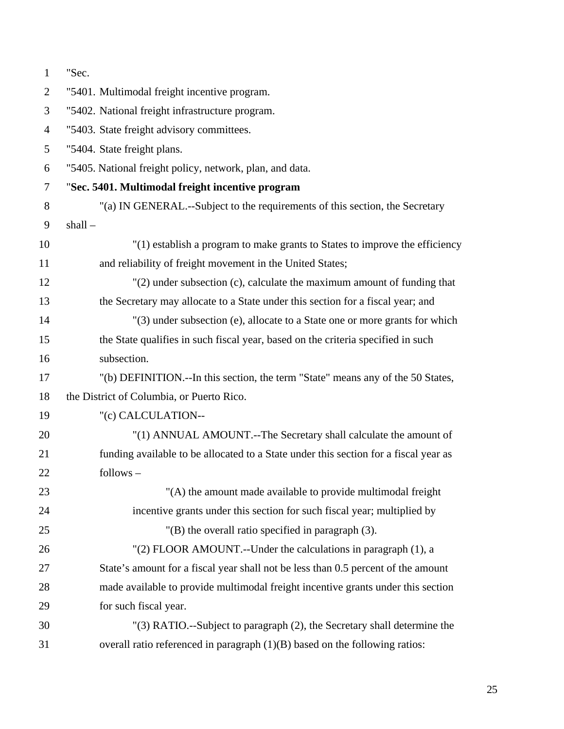| $\mathbf{1}$   | "Sec.                                                                                |
|----------------|--------------------------------------------------------------------------------------|
| $\overline{2}$ | "5401. Multimodal freight incentive program.                                         |
| 3              | "5402. National freight infrastructure program.                                      |
| $\overline{4}$ | "5403. State freight advisory committees.                                            |
| 5              | "5404. State freight plans.                                                          |
| 6              | "5405. National freight policy, network, plan, and data.                             |
| $\tau$         | "Sec. 5401. Multimodal freight incentive program                                     |
| 8              | "(a) IN GENERAL.--Subject to the requirements of this section, the Secretary         |
| 9              | $shall -$                                                                            |
| 10             | "(1) establish a program to make grants to States to improve the efficiency          |
| 11             | and reliability of freight movement in the United States;                            |
| 12             | "(2) under subsection (c), calculate the maximum amount of funding that              |
| 13             | the Secretary may allocate to a State under this section for a fiscal year; and      |
| 14             | "(3) under subsection (e), allocate to a State one or more grants for which          |
| 15             | the State qualifies in such fiscal year, based on the criteria specified in such     |
| 16             | subsection.                                                                          |
| 17             | "(b) DEFINITION.--In this section, the term "State" means any of the 50 States,      |
| 18             | the District of Columbia, or Puerto Rico.                                            |
| 19             | "(c) CALCULATION--                                                                   |
| 20             | "(1) ANNUAL AMOUNT.--The Secretary shall calculate the amount of                     |
| 21             | funding available to be allocated to a State under this section for a fiscal year as |
| 22             | follows –                                                                            |
| 23             | "(A) the amount made available to provide multimodal freight                         |
| 24             | incentive grants under this section for such fiscal year; multiplied by              |
| 25             | $"$ (B) the overall ratio specified in paragraph $(3)$ .                             |
| 26             | "(2) FLOOR AMOUNT.--Under the calculations in paragraph (1), a                       |
| 27             | State's amount for a fiscal year shall not be less than 0.5 percent of the amount    |
| 28             | made available to provide multimodal freight incentive grants under this section     |
| 29             | for such fiscal year.                                                                |
| 30             | "(3) RATIO.--Subject to paragraph (2), the Secretary shall determine the             |
| 31             | overall ratio referenced in paragraph $(1)(B)$ based on the following ratios:        |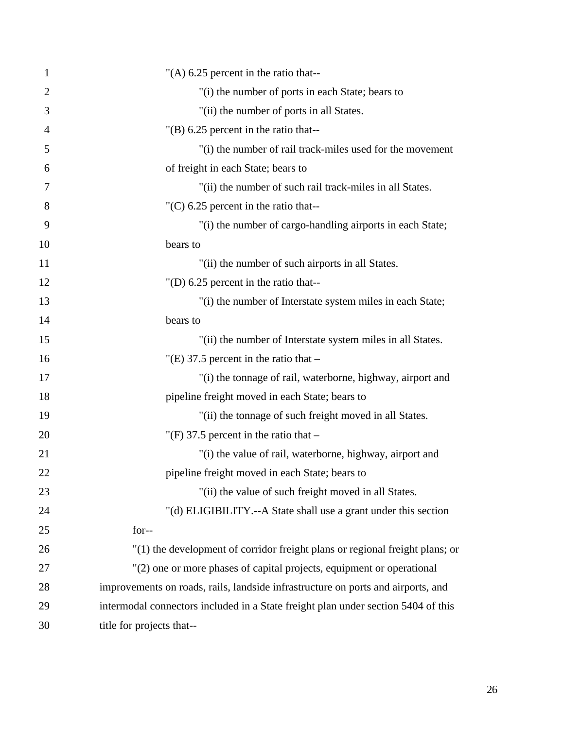| $\mathbf{1}$   | "(A) $6.25$ percent in the ratio that--                                           |
|----------------|-----------------------------------------------------------------------------------|
| $\overline{2}$ | "(i) the number of ports in each State; bears to                                  |
| 3              | "(ii) the number of ports in all States.                                          |
| 4              | $^{\prime\prime}$ (B) 6.25 percent in the ratio that--                            |
| 5              | "(i) the number of rail track-miles used for the movement                         |
| 6              | of freight in each State; bears to                                                |
| 7              | "(ii) the number of such rail track-miles in all States.                          |
| 8              | $(C)$ 6.25 percent in the ratio that--                                            |
| 9              | "(i) the number of cargo-handling airports in each State;                         |
| 10             | bears to                                                                          |
| 11             | "(ii) the number of such airports in all States.                                  |
| 12             | "(D) $6.25$ percent in the ratio that--                                           |
| 13             | "(i) the number of Interstate system miles in each State;                         |
| 14             | bears to                                                                          |
| 15             | "(ii) the number of Interstate system miles in all States.                        |
| 16             | "(E) 37.5 percent in the ratio that $-$                                           |
| 17             | "(i) the tonnage of rail, waterborne, highway, airport and                        |
| 18             | pipeline freight moved in each State; bears to                                    |
| 19             | "(ii) the tonnage of such freight moved in all States.                            |
| 20             | "(F) 37.5 percent in the ratio that $-$                                           |
| 21             | "(i) the value of rail, waterborne, highway, airport and                          |
| 22             | pipeline freight moved in each State; bears to                                    |
| 23             | "(ii) the value of such freight moved in all States.                              |
| 24             | "(d) ELIGIBILITY.--A State shall use a grant under this section                   |
| 25             | for--                                                                             |
| 26             | "(1) the development of corridor freight plans or regional freight plans; or      |
| 27             | "(2) one or more phases of capital projects, equipment or operational             |
| 28             | improvements on roads, rails, landside infrastructure on ports and airports, and  |
| 29             | intermodal connectors included in a State freight plan under section 5404 of this |
| 30             | title for projects that--                                                         |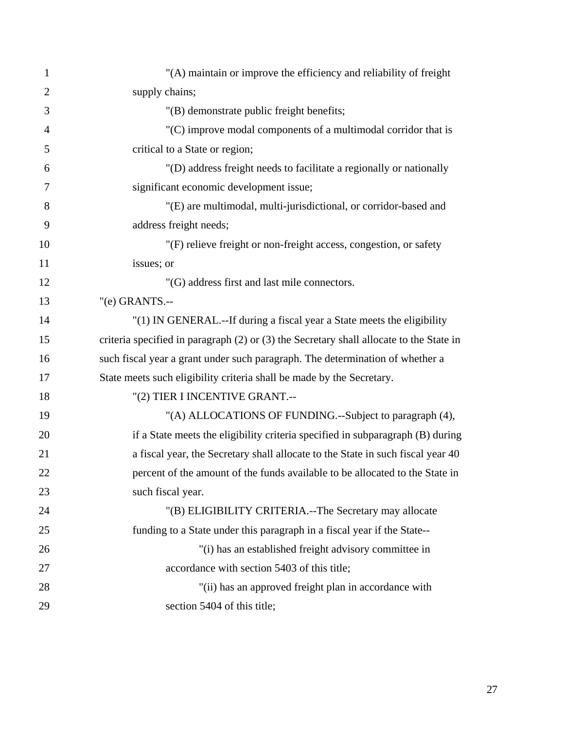| $\mathbf{1}$   | "(A) maintain or improve the efficiency and reliability of freight                      |
|----------------|-----------------------------------------------------------------------------------------|
| $\overline{2}$ | supply chains;                                                                          |
| 3              | "(B) demonstrate public freight benefits;                                               |
| $\overline{4}$ | $(C)$ improve modal components of a multimodal corridor that is                         |
| 5              | critical to a State or region;                                                          |
| 6              | "(D) address freight needs to facilitate a regionally or nationally                     |
| 7              | significant economic development issue;                                                 |
| 8              | "(E) are multimodal, multi-jurisdictional, or corridor-based and                        |
| 9              | address freight needs;                                                                  |
| 10             | "(F) relieve freight or non-freight access, congestion, or safety                       |
| 11             | issues; or                                                                              |
| 12             | "(G) address first and last mile connectors.                                            |
| 13             | $"$ (e) GRANTS.--                                                                       |
| 14             | "(1) IN GENERAL.--If during a fiscal year a State meets the eligibility                 |
| 15             | criteria specified in paragraph (2) or (3) the Secretary shall allocate to the State in |
| 16             | such fiscal year a grant under such paragraph. The determination of whether a           |
| 17             | State meets such eligibility criteria shall be made by the Secretary.                   |
| 18             | "(2) TIER I INCENTIVE GRANT.--                                                          |
| 19             | "(A) ALLOCATIONS OF FUNDING.--Subject to paragraph (4),                                 |
| 20             | if a State meets the eligibility criteria specified in subparagraph (B) during          |
| 21             | a fiscal year, the Secretary shall allocate to the State in such fiscal year 40         |
| 22             | percent of the amount of the funds available to be allocated to the State in            |
| 23             | such fiscal year.                                                                       |
| 24             | "(B) ELIGIBILITY CRITERIA.--The Secretary may allocate                                  |
| 25             | funding to a State under this paragraph in a fiscal year if the State--                 |
| 26             | "(i) has an established freight advisory committee in                                   |
| 27             | accordance with section 5403 of this title;                                             |
| 28             | "(ii) has an approved freight plan in accordance with                                   |
| 29             | section 5404 of this title;                                                             |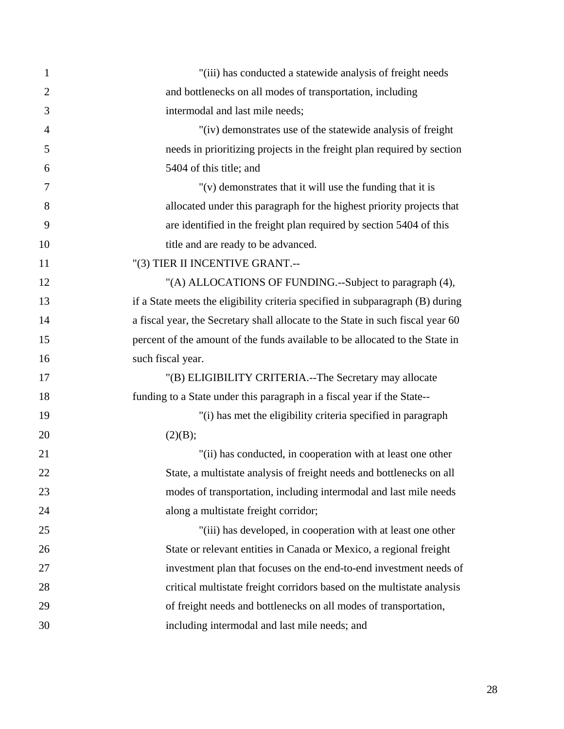| $\mathbf{1}$   | "(iii) has conducted a statewide analysis of freight needs                      |
|----------------|---------------------------------------------------------------------------------|
| $\overline{2}$ | and bottlenecks on all modes of transportation, including                       |
| 3              | intermodal and last mile needs;                                                 |
| $\overline{4}$ | "(iv) demonstrates use of the statewide analysis of freight                     |
| 5              | needs in prioritizing projects in the freight plan required by section          |
| 6              | 5404 of this title; and                                                         |
| 7              | $''(v)$ demonstrates that it will use the funding that it is                    |
| 8              | allocated under this paragraph for the highest priority projects that           |
| 9              | are identified in the freight plan required by section 5404 of this             |
| 10             | title and are ready to be advanced.                                             |
| 11             | "(3) TIER II INCENTIVE GRANT.--                                                 |
| 12             | "(A) ALLOCATIONS OF FUNDING.--Subject to paragraph (4),                         |
| 13             | if a State meets the eligibility criteria specified in subparagraph (B) during  |
| 14             | a fiscal year, the Secretary shall allocate to the State in such fiscal year 60 |
| 15             | percent of the amount of the funds available to be allocated to the State in    |
| 16             | such fiscal year.                                                               |
| 17             | "(B) ELIGIBILITY CRITERIA.--The Secretary may allocate                          |
| 18             | funding to a State under this paragraph in a fiscal year if the State--         |
| 19             | "(i) has met the eligibility criteria specified in paragraph                    |
| 20             | (2)(B);                                                                         |
| 21             | "(ii) has conducted, in cooperation with at least one other                     |
| 22             | State, a multistate analysis of freight needs and bottlenecks on all            |
| 23             | modes of transportation, including intermodal and last mile needs               |
| 24             | along a multistate freight corridor;                                            |
| 25             | "(iii) has developed, in cooperation with at least one other                    |
| 26             | State or relevant entities in Canada or Mexico, a regional freight              |
| 27             | investment plan that focuses on the end-to-end investment needs of              |
| 28             | critical multistate freight corridors based on the multistate analysis          |
| 29             | of freight needs and bottlenecks on all modes of transportation,                |
| 30             | including intermodal and last mile needs; and                                   |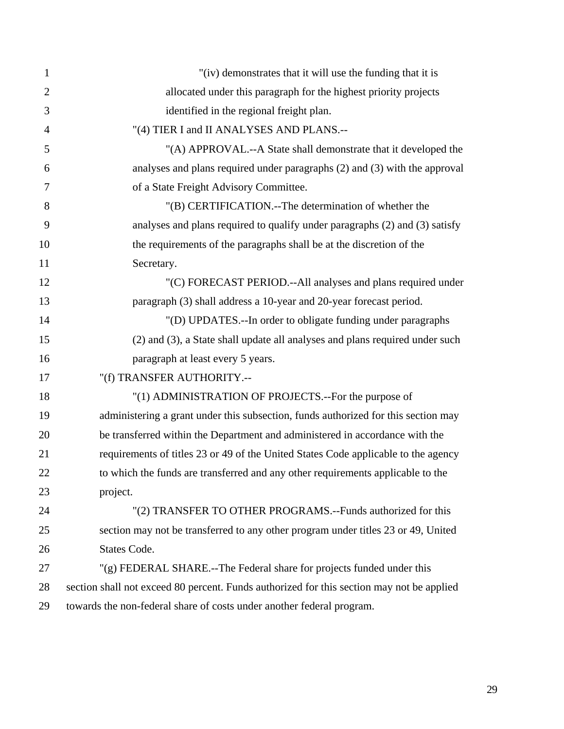| $\mathbf{1}$   | "(iv) demonstrates that it will use the funding that it is                                |
|----------------|-------------------------------------------------------------------------------------------|
| $\overline{2}$ | allocated under this paragraph for the highest priority projects                          |
| 3              | identified in the regional freight plan.                                                  |
| 4              | "(4) TIER I and II ANALYSES AND PLANS .--                                                 |
| 5              | "(A) APPROVAL.--A State shall demonstrate that it developed the                           |
| 6              | analyses and plans required under paragraphs (2) and (3) with the approval                |
| 7              | of a State Freight Advisory Committee.                                                    |
| 8              | "(B) CERTIFICATION.--The determination of whether the                                     |
| 9              | analyses and plans required to qualify under paragraphs (2) and (3) satisfy               |
| 10             | the requirements of the paragraphs shall be at the discretion of the                      |
| 11             | Secretary.                                                                                |
| 12             | "(C) FORECAST PERIOD.--All analyses and plans required under                              |
| 13             | paragraph (3) shall address a 10-year and 20-year forecast period.                        |
| 14             | "(D) UPDATES.--In order to obligate funding under paragraphs                              |
| 15             | (2) and (3), a State shall update all analyses and plans required under such              |
| 16             | paragraph at least every 5 years.                                                         |
| 17             | "(f) TRANSFER AUTHORITY.--                                                                |
| 18             | "(1) ADMINISTRATION OF PROJECTS.--For the purpose of                                      |
| 19             | administering a grant under this subsection, funds authorized for this section may        |
| 20             | be transferred within the Department and administered in accordance with the              |
| 21             | requirements of titles 23 or 49 of the United States Code applicable to the agency        |
| 22             | to which the funds are transferred and any other requirements applicable to the           |
| 23             | project.                                                                                  |
| 24             | "(2) TRANSFER TO OTHER PROGRAMS.--Funds authorized for this                               |
| 25             | section may not be transferred to any other program under titles 23 or 49, United         |
| 26             | States Code.                                                                              |
| 27             | "(g) FEDERAL SHARE.--The Federal share for projects funded under this                     |
| 28             | section shall not exceed 80 percent. Funds authorized for this section may not be applied |
| 29             | towards the non-federal share of costs under another federal program.                     |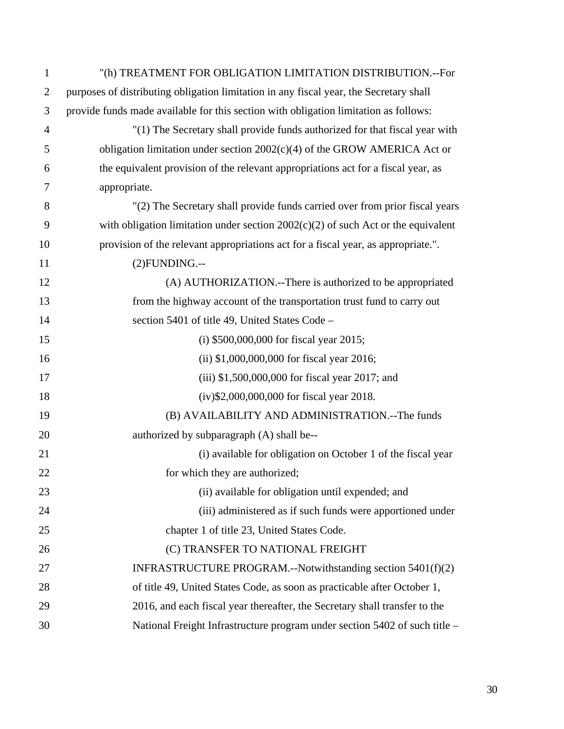| $\mathbf{1}$   | "(h) TREATMENT FOR OBLIGATION LIMITATION DISTRIBUTION.--For                            |
|----------------|----------------------------------------------------------------------------------------|
| $\overline{2}$ | purposes of distributing obligation limitation in any fiscal year, the Secretary shall |
| 3              | provide funds made available for this section with obligation limitation as follows:   |
| 4              | "(1) The Secretary shall provide funds authorized for that fiscal year with            |
| 5              | obligation limitation under section $2002(c)(4)$ of the GROW AMERICA Act or            |
| 6              | the equivalent provision of the relevant appropriations act for a fiscal year, as      |
| 7              | appropriate.                                                                           |
| 8              | "(2) The Secretary shall provide funds carried over from prior fiscal years            |
| 9              | with obligation limitation under section $2002(c)(2)$ of such Act or the equivalent    |
| 10             | provision of the relevant appropriations act for a fiscal year, as appropriate.".      |
| 11             | $(2)$ FUNDING.--                                                                       |
| 12             | (A) AUTHORIZATION.--There is authorized to be appropriated                             |
| 13             | from the highway account of the transportation trust fund to carry out                 |
| 14             | section 5401 of title 49, United States Code -                                         |
| 15             | (i) $$500,000,000$ for fiscal year 2015;                                               |
| 16             | (ii) $$1,000,000,000$ for fiscal year 2016;                                            |
| 17             | (iii) $$1,500,000,000$ for fiscal year 2017; and                                       |
| 18             | $(iv)$ \$2,000,000,000 for fiscal year 2018.                                           |
| 19             | (B) AVAILABILITY AND ADMINISTRATION.--The funds                                        |
| 20             | authorized by subparagraph (A) shall be--                                              |
| 21             | (i) available for obligation on October 1 of the fiscal year                           |
| 22             | for which they are authorized;                                                         |
| 23             | (ii) available for obligation until expended; and                                      |
| 24             | (iii) administered as if such funds were apportioned under                             |
| 25             | chapter 1 of title 23, United States Code.                                             |
| 26             | (C) TRANSFER TO NATIONAL FREIGHT                                                       |
| 27             | INFRASTRUCTURE PROGRAM.--Notwithstanding section 5401(f)(2)                            |
| 28             | of title 49, United States Code, as soon as practicable after October 1,               |
| 29             | 2016, and each fiscal year thereafter, the Secretary shall transfer to the             |
| 30             | National Freight Infrastructure program under section 5402 of such title -             |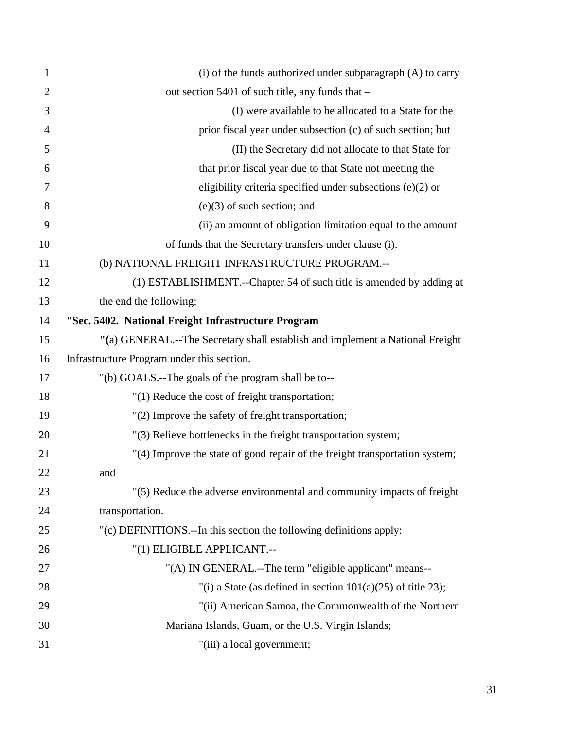| 1              | $(i)$ of the funds authorized under subparagraph $(A)$ to carry               |
|----------------|-------------------------------------------------------------------------------|
| $\overline{2}$ | out section 5401 of such title, any funds that -                              |
| 3              | (I) were available to be allocated to a State for the                         |
| $\overline{4}$ | prior fiscal year under subsection (c) of such section; but                   |
| 5              | (II) the Secretary did not allocate to that State for                         |
| 6              | that prior fiscal year due to that State not meeting the                      |
| 7              | eligibility criteria specified under subsections $(e)(2)$ or                  |
| 8              | $(e)(3)$ of such section; and                                                 |
| 9              | (ii) an amount of obligation limitation equal to the amount                   |
| 10             | of funds that the Secretary transfers under clause (i).                       |
| 11             | (b) NATIONAL FREIGHT INFRASTRUCTURE PROGRAM.--                                |
| 12             | (1) ESTABLISHMENT.--Chapter 54 of such title is amended by adding at          |
| 13             | the end the following:                                                        |
| 14             | "Sec. 5402. National Freight Infrastructure Program                           |
| 15             | "(a) GENERAL.--The Secretary shall establish and implement a National Freight |
| 16             | Infrastructure Program under this section.                                    |
| 17             | "(b) GOALS.--The goals of the program shall be to--                           |
| 18             | "(1) Reduce the cost of freight transportation;                               |
| 19             | "(2) Improve the safety of freight transportation;                            |
| 20             | "(3) Relieve bottlenecks in the freight transportation system;                |
| 21             | "(4) Improve the state of good repair of the freight transportation system;   |
| 22             | and                                                                           |
| 23             | "(5) Reduce the adverse environmental and community impacts of freight        |
| 24             | transportation.                                                               |
| 25             | "(c) DEFINITIONS.--In this section the following definitions apply:           |
| 26             | "(1) ELIGIBLE APPLICANT.--                                                    |
| 27             | "(A) IN GENERAL.--The term "eligible applicant" means--                       |
| 28             | "(i) a State (as defined in section $101(a)(25)$ of title 23);                |
| 29             | "(ii) American Samoa, the Commonwealth of the Northern                        |
| 30             | Mariana Islands, Guam, or the U.S. Virgin Islands;                            |
| 31             | "(iii) a local government;                                                    |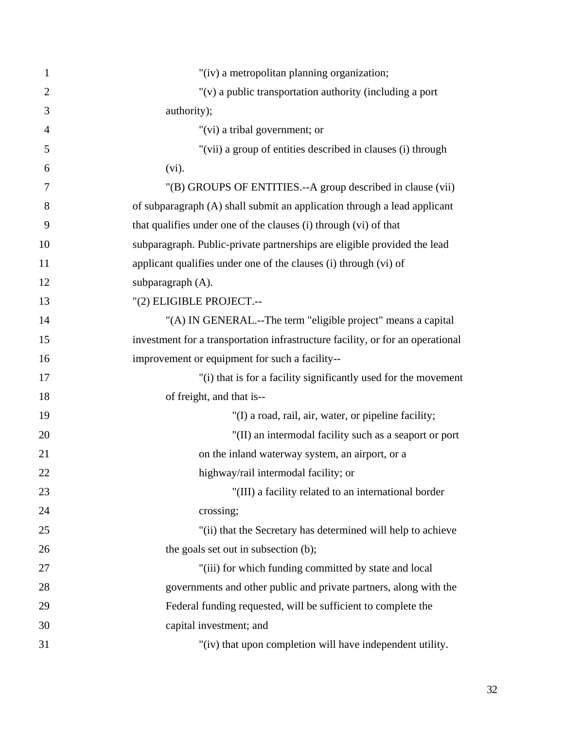| $\mathbf{1}$   | "(iv) a metropolitan planning organization;                                    |
|----------------|--------------------------------------------------------------------------------|
| $\overline{2}$ | "(v) a public transportation authority (including a port                       |
| 3              | authority);                                                                    |
| $\overline{4}$ | "(vi) a tribal government; or                                                  |
| 5              | "(vii) a group of entities described in clauses (i) through                    |
| 6              | $(vi)$ .                                                                       |
| 7              | "(B) GROUPS OF ENTITIES.--A group described in clause (vii)                    |
| 8              | of subparagraph (A) shall submit an application through a lead applicant       |
| 9              | that qualifies under one of the clauses (i) through (vi) of that               |
| 10             | subparagraph. Public-private partnerships are eligible provided the lead       |
| 11             | applicant qualifies under one of the clauses (i) through (vi) of               |
| 12             | subparagraph (A).                                                              |
| 13             | "(2) ELIGIBLE PROJECT.--                                                       |
| 14             | "(A) IN GENERAL.--The term "eligible project" means a capital                  |
| 15             | investment for a transportation infrastructure facility, or for an operational |
| 16             | improvement or equipment for such a facility--                                 |
| 17             | "(i) that is for a facility significantly used for the movement                |
| 18             | of freight, and that is--                                                      |
| 19             | "(I) a road, rail, air, water, or pipeline facility;                           |
| 20             | "(II) an intermodal facility such as a seaport or port                         |
| 21             | on the inland waterway system, an airport, or a                                |
| 22             | highway/rail intermodal facility; or                                           |
| 23             | "(III) a facility related to an international border                           |
| 24             | crossing;                                                                      |
| 25             | "(ii) that the Secretary has determined will help to achieve                   |
| 26             | the goals set out in subsection (b);                                           |
| 27             | "(iii) for which funding committed by state and local                          |
| 28             | governments and other public and private partners, along with the              |
| 29             | Federal funding requested, will be sufficient to complete the                  |
| 30             | capital investment; and                                                        |
| 31             | "(iv) that upon completion will have independent utility.                      |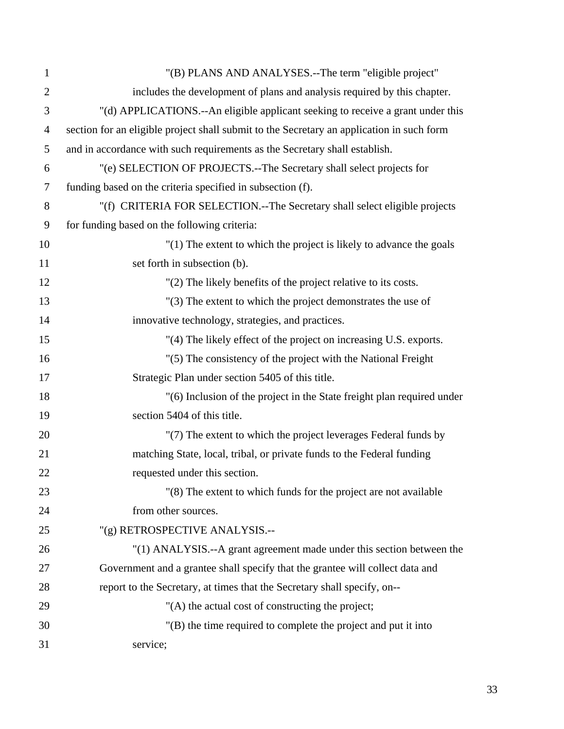| $\mathbf{1}$   | "(B) PLANS AND ANALYSES.--The term "eligible project"                                     |
|----------------|-------------------------------------------------------------------------------------------|
| $\overline{2}$ | includes the development of plans and analysis required by this chapter.                  |
| 3              | "(d) APPLICATIONS.--An eligible applicant seeking to receive a grant under this           |
| $\overline{4}$ | section for an eligible project shall submit to the Secretary an application in such form |
| 5              | and in accordance with such requirements as the Secretary shall establish.                |
| 6              | "(e) SELECTION OF PROJECTS.--The Secretary shall select projects for                      |
| $\tau$         | funding based on the criteria specified in subsection (f).                                |
| 8              | "(f) CRITERIA FOR SELECTION.--The Secretary shall select eligible projects                |
| 9              | for funding based on the following criteria:                                              |
| 10             | "(1) The extent to which the project is likely to advance the goals                       |
| 11             | set forth in subsection (b).                                                              |
| 12             | "(2) The likely benefits of the project relative to its costs.                            |
| 13             | "(3) The extent to which the project demonstrates the use of                              |
| 14             | innovative technology, strategies, and practices.                                         |
| 15             | "(4) The likely effect of the project on increasing U.S. exports.                         |
| 16             | "(5) The consistency of the project with the National Freight                             |
| 17             | Strategic Plan under section 5405 of this title.                                          |
| 18             | "(6) Inclusion of the project in the State freight plan required under                    |
| 19             | section 5404 of this title.                                                               |
| 20             | "(7) The extent to which the project leverages Federal funds by                           |
| 21             | matching State, local, tribal, or private funds to the Federal funding                    |
| 22             | requested under this section.                                                             |
| 23             | "(8) The extent to which funds for the project are not available                          |
| 24             | from other sources.                                                                       |
| 25             | "(g) RETROSPECTIVE ANALYSIS.--                                                            |
| 26             | "(1) ANALYSIS.--A grant agreement made under this section between the                     |
| 27             | Government and a grantee shall specify that the grantee will collect data and             |
| 28             | report to the Secretary, at times that the Secretary shall specify, on--                  |
| 29             | "(A) the actual cost of constructing the project;                                         |
| 30             | $'(B)$ the time required to complete the project and put it into                          |
| 31             | service;                                                                                  |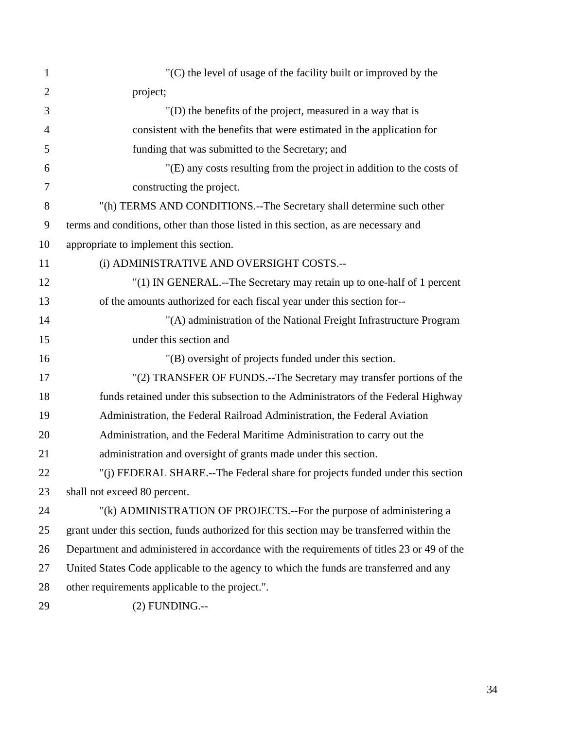| $\mathbf{1}$   | "(C) the level of usage of the facility built or improved by the                          |
|----------------|-------------------------------------------------------------------------------------------|
| $\overline{2}$ | project;                                                                                  |
| 3              | "(D) the benefits of the project, measured in a way that is                               |
| $\overline{4}$ | consistent with the benefits that were estimated in the application for                   |
| 5              | funding that was submitted to the Secretary; and                                          |
| 6              | "(E) any costs resulting from the project in addition to the costs of                     |
| 7              | constructing the project.                                                                 |
| 8              | "(h) TERMS AND CONDITIONS.--The Secretary shall determine such other                      |
| 9              | terms and conditions, other than those listed in this section, as are necessary and       |
| 10             | appropriate to implement this section.                                                    |
| 11             | (i) ADMINISTRATIVE AND OVERSIGHT COSTS.--                                                 |
| 12             | "(1) IN GENERAL.--The Secretary may retain up to one-half of 1 percent                    |
| 13             | of the amounts authorized for each fiscal year under this section for--                   |
| 14             | "(A) administration of the National Freight Infrastructure Program                        |
| 15             | under this section and                                                                    |
| 16             | "(B) oversight of projects funded under this section.                                     |
| 17             | "(2) TRANSFER OF FUNDS.--The Secretary may transfer portions of the                       |
| 18             | funds retained under this subsection to the Administrators of the Federal Highway         |
| 19             | Administration, the Federal Railroad Administration, the Federal Aviation                 |
| 20             | Administration, and the Federal Maritime Administration to carry out the                  |
| 21             | administration and oversight of grants made under this section.                           |
| 22             | "(i) FEDERAL SHARE.--The Federal share for projects funded under this section             |
| 23             | shall not exceed 80 percent.                                                              |
| 24             | "(k) ADMINISTRATION OF PROJECTS.--For the purpose of administering a                      |
| 25             | grant under this section, funds authorized for this section may be transferred within the |
| 26             | Department and administered in accordance with the requirements of titles 23 or 49 of the |
| 27             | United States Code applicable to the agency to which the funds are transferred and any    |
| 28             | other requirements applicable to the project.".                                           |
| 29             | $(2)$ FUNDING.--                                                                          |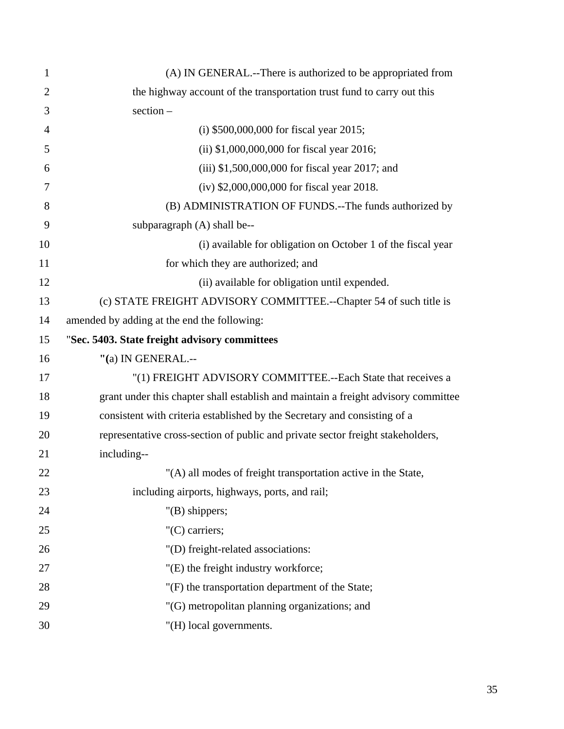| $\mathbf{1}$   | (A) IN GENERAL.--There is authorized to be appropriated from                       |
|----------------|------------------------------------------------------------------------------------|
| $\overline{2}$ | the highway account of the transportation trust fund to carry out this             |
| 3              | $section -$                                                                        |
| $\overline{4}$ | (i) $$500,000,000$ for fiscal year 2015;                                           |
| 5              | (ii) $$1,000,000,000$ for fiscal year 2016;                                        |
| 6              | (iii) \$1,500,000,000 for fiscal year 2017; and                                    |
| $\overline{7}$ | (iv) \$2,000,000,000 for fiscal year 2018.                                         |
| 8              | (B) ADMINISTRATION OF FUNDS.--The funds authorized by                              |
| 9              | subparagraph (A) shall be--                                                        |
| 10             | (i) available for obligation on October 1 of the fiscal year                       |
| 11             | for which they are authorized; and                                                 |
| 12             | (ii) available for obligation until expended.                                      |
| 13             | (c) STATE FREIGHT ADVISORY COMMITTEE.--Chapter 54 of such title is                 |
| 14             | amended by adding at the end the following:                                        |
| 15             | "Sec. 5403. State freight advisory committees                                      |
| 16             | "(a) IN GENERAL .--                                                                |
| 17             | "(1) FREIGHT ADVISORY COMMITTEE.--Each State that receives a                       |
| 18             | grant under this chapter shall establish and maintain a freight advisory committee |
| 19             | consistent with criteria established by the Secretary and consisting of a          |
| 20             | representative cross-section of public and private sector freight stakeholders,    |
| 21             | including--                                                                        |
| 22             |                                                                                    |
|                | "(A) all modes of freight transportation active in the State,                      |
| 23             | including airports, highways, ports, and rail;                                     |
| 24             | $"$ (B) shippers;                                                                  |
| 25             | "(C) carriers;                                                                     |
| 26             | "(D) freight-related associations:                                                 |
| 27             | "(E) the freight industry workforce;                                               |
| 28             | "(F) the transportation department of the State;                                   |
| 29             | "(G) metropolitan planning organizations; and                                      |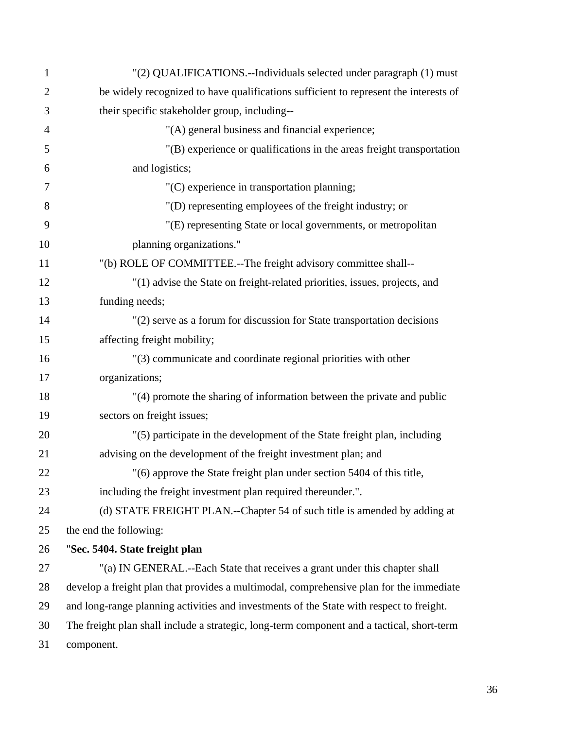| $\mathbf{1}$   | "(2) QUALIFICATIONS.--Individuals selected under paragraph (1) must                        |
|----------------|--------------------------------------------------------------------------------------------|
| $\overline{2}$ | be widely recognized to have qualifications sufficient to represent the interests of       |
| 3              | their specific stakeholder group, including--                                              |
| $\overline{4}$ | "(A) general business and financial experience;                                            |
| 5              | "(B) experience or qualifications in the areas freight transportation                      |
| 6              | and logistics;                                                                             |
| $\overline{7}$ | "(C) experience in transportation planning;                                                |
| 8              | "(D) representing employees of the freight industry; or                                    |
| 9              | "(E) representing State or local governments, or metropolitan                              |
| 10             | planning organizations."                                                                   |
| 11             | "(b) ROLE OF COMMITTEE.--The freight advisory committee shall--                            |
| 12             | "(1) advise the State on freight-related priorities, issues, projects, and                 |
| 13             | funding needs;                                                                             |
| 14             | "(2) serve as a forum for discussion for State transportation decisions                    |
| 15             | affecting freight mobility;                                                                |
| 16             | "(3) communicate and coordinate regional priorities with other                             |
| 17             | organizations;                                                                             |
| 18             | "(4) promote the sharing of information between the private and public                     |
| 19             | sectors on freight issues;                                                                 |
| 20             | "(5) participate in the development of the State freight plan, including                   |
| 21             | advising on the development of the freight investment plan; and                            |
| 22             | "(6) approve the State freight plan under section 5404 of this title,                      |
| 23             | including the freight investment plan required thereunder.".                               |
| 24             | (d) STATE FREIGHT PLAN.--Chapter 54 of such title is amended by adding at                  |
| 25             | the end the following:                                                                     |
| 26             | "Sec. 5404. State freight plan                                                             |
| 27             | "(a) IN GENERAL.--Each State that receives a grant under this chapter shall                |
| 28             | develop a freight plan that provides a multimodal, comprehensive plan for the immediate    |
| 29             | and long-range planning activities and investments of the State with respect to freight.   |
| 30             | The freight plan shall include a strategic, long-term component and a tactical, short-term |
| 31             | component.                                                                                 |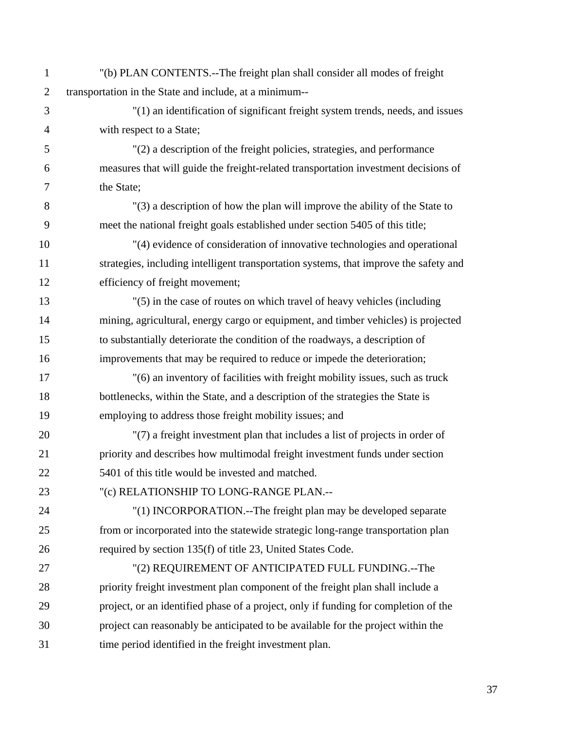1 "(b) PLAN CONTENTS.--The freight plan shall consider all modes of freight 2 transportation in the State and include, at a minimum-- 3 "(1) an identification of significant freight system trends, needs, and issues 4 with respect to a State; 5 "(2) a description of the freight policies, strategies, and performance 6 measures that will guide the freight-related transportation investment decisions of 7 the State; 8 "(3) a description of how the plan will improve the ability of the State to 9 meet the national freight goals established under section 5405 of this title; 10 "(4) evidence of consideration of innovative technologies and operational 11 strategies, including intelligent transportation systems, that improve the safety and 12 efficiency of freight movement; 13 "(5) in the case of routes on which travel of heavy vehicles (including 14 mining, agricultural, energy cargo or equipment, and timber vehicles) is projected 15 to substantially deteriorate the condition of the roadways, a description of 16 improvements that may be required to reduce or impede the deterioration; 17 "(6) an inventory of facilities with freight mobility issues, such as truck 18 bottlenecks, within the State, and a description of the strategies the State is 19 employing to address those freight mobility issues; and 20 "(7) a freight investment plan that includes a list of projects in order of 21 priority and describes how multimodal freight investment funds under section 22 5401 of this title would be invested and matched. 23 "(c) RELATIONSHIP TO LONG-RANGE PLAN.-- 24 "(1) INCORPORATION.--The freight plan may be developed separate 25 from or incorporated into the statewide strategic long-range transportation plan 26 required by section 135(f) of title 23, United States Code. 27 "(2) REQUIREMENT OF ANTICIPATED FULL FUNDING.--The 28 priority freight investment plan component of the freight plan shall include a 29 project, or an identified phase of a project, only if funding for completion of the 30 project can reasonably be anticipated to be available for the project within the 31 time period identified in the freight investment plan.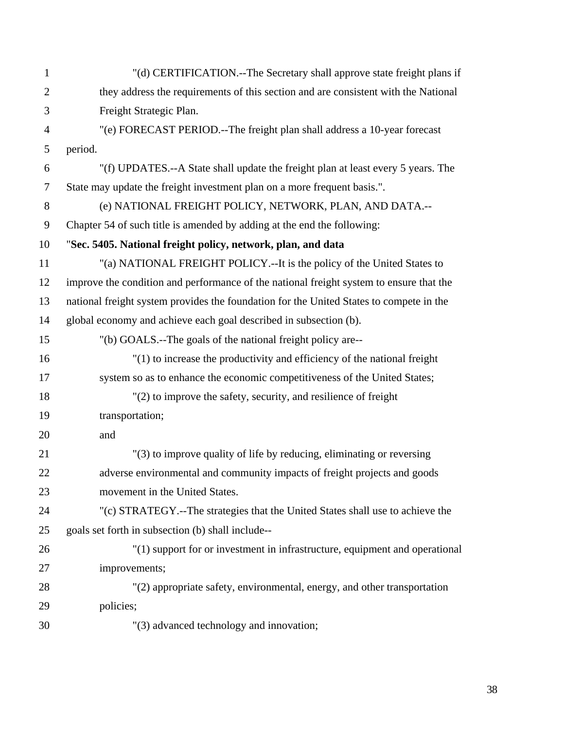| $\mathbf{1}$   | "(d) CERTIFICATION.--The Secretary shall approve state freight plans if                 |
|----------------|-----------------------------------------------------------------------------------------|
| $\overline{2}$ | they address the requirements of this section and are consistent with the National      |
| 3              | Freight Strategic Plan.                                                                 |
| $\overline{4}$ | "(e) FORECAST PERIOD.--The freight plan shall address a 10-year forecast                |
| 5              | period.                                                                                 |
| 6              | "(f) UPDATES.--A State shall update the freight plan at least every 5 years. The        |
| $\overline{7}$ | State may update the freight investment plan on a more frequent basis.".                |
| 8              | (e) NATIONAL FREIGHT POLICY, NETWORK, PLAN, AND DATA .--                                |
| 9              | Chapter 54 of such title is amended by adding at the end the following:                 |
| 10             | "Sec. 5405. National freight policy, network, plan, and data                            |
| 11             | "(a) NATIONAL FREIGHT POLICY.--It is the policy of the United States to                 |
| 12             | improve the condition and performance of the national freight system to ensure that the |
| 13             | national freight system provides the foundation for the United States to compete in the |
| 14             | global economy and achieve each goal described in subsection (b).                       |
| 15             | "(b) GOALS.--The goals of the national freight policy are--                             |
| 16             | $''(1)$ to increase the productivity and efficiency of the national freight             |
| 17             | system so as to enhance the economic competitiveness of the United States;              |
| 18             | "(2) to improve the safety, security, and resilience of freight                         |
| 19             | transportation;                                                                         |
| 20             | and                                                                                     |
| 21             | "(3) to improve quality of life by reducing, eliminating or reversing                   |
| 22             | adverse environmental and community impacts of freight projects and goods               |
| 23             | movement in the United States.                                                          |
| 24             | "(c) STRATEGY.--The strategies that the United States shall use to achieve the          |
| 25             | goals set forth in subsection (b) shall include--                                       |
| 26             | "(1) support for or investment in infrastructure, equipment and operational             |
| 27             | improvements;                                                                           |
| 28             | "(2) appropriate safety, environmental, energy, and other transportation                |
| 29             | policies;                                                                               |
| 30             | "(3) advanced technology and innovation;                                                |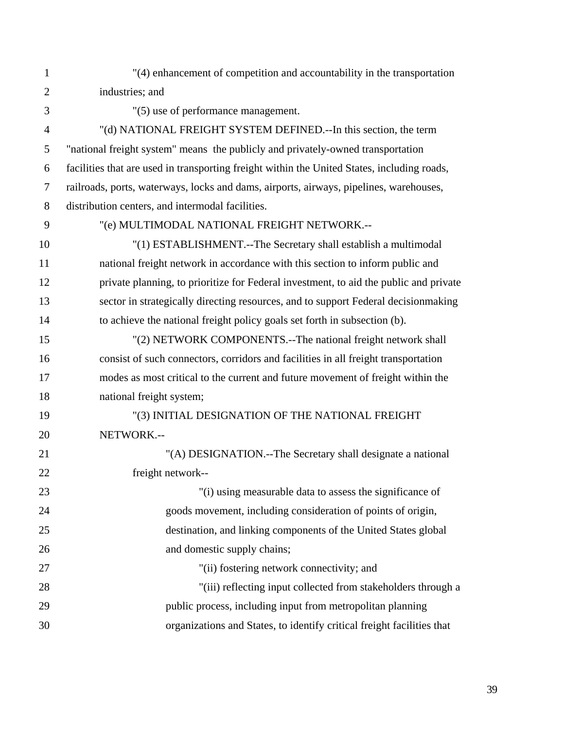| $\mathbf{1}$   | "(4) enhancement of competition and accountability in the transportation                    |
|----------------|---------------------------------------------------------------------------------------------|
| $\overline{2}$ | industries; and                                                                             |
| 3              | "(5) use of performance management.                                                         |
| $\overline{4}$ | "(d) NATIONAL FREIGHT SYSTEM DEFINED.--In this section, the term                            |
| 5              | "national freight system" means the publicly and privately-owned transportation             |
| 6              | facilities that are used in transporting freight within the United States, including roads, |
| $\tau$         | railroads, ports, waterways, locks and dams, airports, airways, pipelines, warehouses,      |
| $8\,$          | distribution centers, and intermodal facilities.                                            |
| 9              | "(e) MULTIMODAL NATIONAL FREIGHT NETWORK .--                                                |
| 10             | "(1) ESTABLISHMENT.--The Secretary shall establish a multimodal                             |
| 11             | national freight network in accordance with this section to inform public and               |
| 12             | private planning, to prioritize for Federal investment, to aid the public and private       |
| 13             | sector in strategically directing resources, and to support Federal decision making         |
| 14             | to achieve the national freight policy goals set forth in subsection (b).                   |
| 15             | "(2) NETWORK COMPONENTS.--The national freight network shall                                |
| 16             | consist of such connectors, corridors and facilities in all freight transportation          |
| 17             | modes as most critical to the current and future movement of freight within the             |
| 18             | national freight system;                                                                    |
| 19             | "(3) INITIAL DESIGNATION OF THE NATIONAL FREIGHT                                            |
| 20             | NETWORK.--                                                                                  |
| 21             | "(A) DESIGNATION.--The Secretary shall designate a national                                 |
| 22             | freight network--                                                                           |
| 23             | "(i) using measurable data to assess the significance of                                    |
| 24             | goods movement, including consideration of points of origin,                                |
| 25             | destination, and linking components of the United States global                             |
| 26             | and domestic supply chains;                                                                 |
| 27             | "(ii) fostering network connectivity; and                                                   |
| 28             | "(iii) reflecting input collected from stakeholders through a                               |
| 29             | public process, including input from metropolitan planning                                  |
| 30             | organizations and States, to identify critical freight facilities that                      |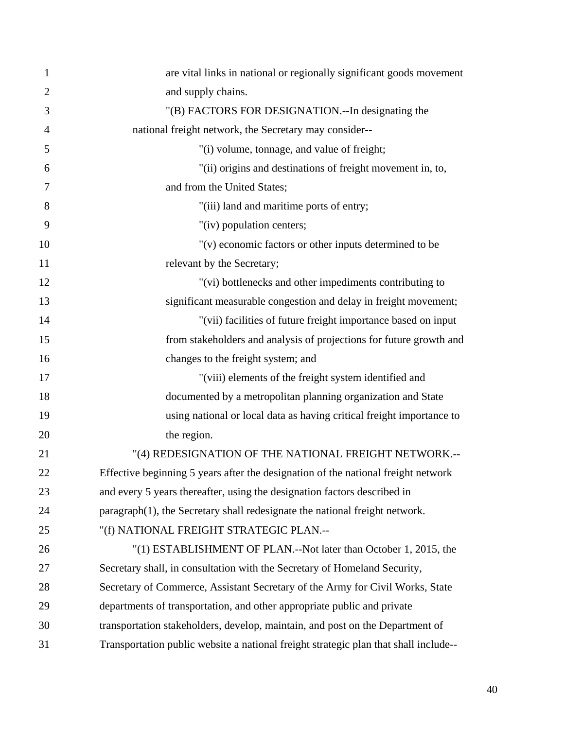| $\mathbf{1}$   | are vital links in national or regionally significant goods movement                 |
|----------------|--------------------------------------------------------------------------------------|
| $\overline{2}$ | and supply chains.                                                                   |
| 3              | "(B) FACTORS FOR DESIGNATION.--In designating the                                    |
| $\overline{4}$ | national freight network, the Secretary may consider--                               |
| 5              | "(i) volume, tonnage, and value of freight;                                          |
| 6              | "(ii) origins and destinations of freight movement in, to,                           |
| 7              | and from the United States;                                                          |
| 8              | "(iii) land and maritime ports of entry;                                             |
| 9              | "(iv) population centers;                                                            |
| 10             | "(v) economic factors or other inputs determined to be                               |
| 11             | relevant by the Secretary;                                                           |
| 12             | "(vi) bottlenecks and other impediments contributing to                              |
| 13             | significant measurable congestion and delay in freight movement;                     |
| 14             | "(vii) facilities of future freight importance based on input                        |
| 15             | from stakeholders and analysis of projections for future growth and                  |
| 16             | changes to the freight system; and                                                   |
| 17             | "(viii) elements of the freight system identified and                                |
| 18             | documented by a metropolitan planning organization and State                         |
| 19             | using national or local data as having critical freight importance to                |
| 20             | the region.                                                                          |
| 21             | "(4) REDESIGNATION OF THE NATIONAL FREIGHT NETWORK.--                                |
| 22             | Effective beginning 5 years after the designation of the national freight network    |
| 23             | and every 5 years thereafter, using the designation factors described in             |
| 24             | paragraph(1), the Secretary shall redesignate the national freight network.          |
| 25             | "(f) NATIONAL FREIGHT STRATEGIC PLAN.--                                              |
| 26             | "(1) ESTABLISHMENT OF PLAN.--Not later than October 1, 2015, the                     |
| 27             | Secretary shall, in consultation with the Secretary of Homeland Security,            |
| 28             | Secretary of Commerce, Assistant Secretary of the Army for Civil Works, State        |
| 29             | departments of transportation, and other appropriate public and private              |
| 30             | transportation stakeholders, develop, maintain, and post on the Department of        |
| 31             | Transportation public website a national freight strategic plan that shall include-- |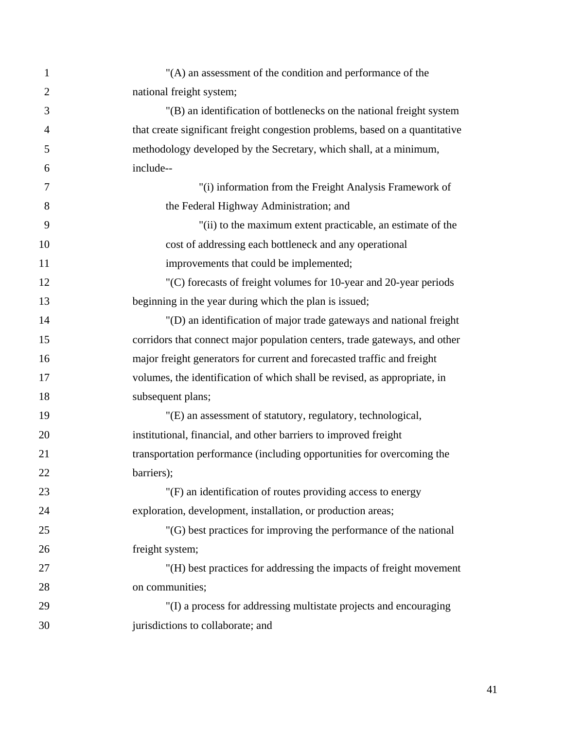| $\mathbf{1}$   | "(A) an assessment of the condition and performance of the                   |
|----------------|------------------------------------------------------------------------------|
| $\overline{2}$ | national freight system;                                                     |
| 3              | "(B) an identification of bottlenecks on the national freight system         |
| $\overline{4}$ | that create significant freight congestion problems, based on a quantitative |
| 5              | methodology developed by the Secretary, which shall, at a minimum,           |
| 6              | include--                                                                    |
| 7              | "(i) information from the Freight Analysis Framework of                      |
| 8              | the Federal Highway Administration; and                                      |
| 9              | "(ii) to the maximum extent practicable, an estimate of the                  |
| 10             | cost of addressing each bottleneck and any operational                       |
| 11             | improvements that could be implemented;                                      |
| 12             | "(C) forecasts of freight volumes for 10-year and 20-year periods            |
| 13             | beginning in the year during which the plan is issued;                       |
| 14             | "(D) an identification of major trade gateways and national freight          |
| 15             | corridors that connect major population centers, trade gateways, and other   |
| 16             | major freight generators for current and forecasted traffic and freight      |
| 17             | volumes, the identification of which shall be revised, as appropriate, in    |
| 18             | subsequent plans;                                                            |
| 19             | "(E) an assessment of statutory, regulatory, technological,                  |
| 20             | institutional, financial, and other barriers to improved freight             |
| 21             | transportation performance (including opportunities for overcoming the       |
| 22             | barriers);                                                                   |
| 23             | "(F) an identification of routes providing access to energy                  |
| 24             | exploration, development, installation, or production areas;                 |
| 25             | "(G) best practices for improving the performance of the national            |
| 26             | freight system;                                                              |
| 27             | "(H) best practices for addressing the impacts of freight movement           |
| 28             | on communities;                                                              |
| 29             | "(I) a process for addressing multistate projects and encouraging            |
| 30             | jurisdictions to collaborate; and                                            |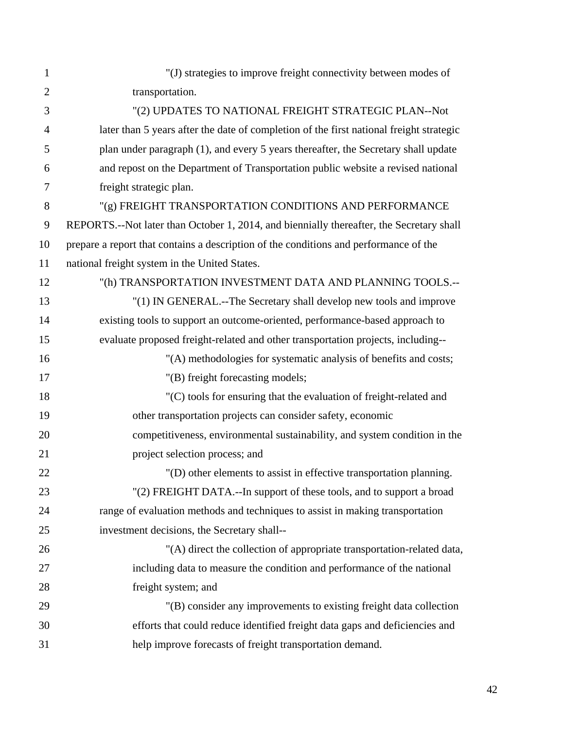| $\mathbf{1}$   | "(J) strategies to improve freight connectivity between modes of                         |
|----------------|------------------------------------------------------------------------------------------|
| $\overline{2}$ | transportation.                                                                          |
| 3              | "(2) UPDATES TO NATIONAL FREIGHT STRATEGIC PLAN--Not                                     |
| $\overline{4}$ | later than 5 years after the date of completion of the first national freight strategic  |
| 5              | plan under paragraph (1), and every 5 years thereafter, the Secretary shall update       |
| 6              | and repost on the Department of Transportation public website a revised national         |
| $\tau$         | freight strategic plan.                                                                  |
| 8              | "(g) FREIGHT TRANSPORTATION CONDITIONS AND PERFORMANCE                                   |
| 9              | REPORTS.--Not later than October 1, 2014, and biennially thereafter, the Secretary shall |
| 10             | prepare a report that contains a description of the conditions and performance of the    |
| 11             | national freight system in the United States.                                            |
| 12             | "(h) TRANSPORTATION INVESTMENT DATA AND PLANNING TOOLS.--                                |
| 13             | "(1) IN GENERAL.--The Secretary shall develop new tools and improve                      |
| 14             | existing tools to support an outcome-oriented, performance-based approach to             |
| 15             | evaluate proposed freight-related and other transportation projects, including--         |
| 16             | "(A) methodologies for systematic analysis of benefits and costs;                        |
| 17             | "(B) freight forecasting models;                                                         |
| 18             | "(C) tools for ensuring that the evaluation of freight-related and                       |
| 19             | other transportation projects can consider safety, economic                              |
| 20             | competitiveness, environmental sustainability, and system condition in the               |
| 21             | project selection process; and                                                           |
| 22             | "(D) other elements to assist in effective transportation planning.                      |
| 23             | "(2) FREIGHT DATA.--In support of these tools, and to support a broad                    |
| 24             | range of evaluation methods and techniques to assist in making transportation            |
| 25             | investment decisions, the Secretary shall--                                              |
| 26             | "(A) direct the collection of appropriate transportation-related data,                   |
| 27             | including data to measure the condition and performance of the national                  |
| 28             | freight system; and                                                                      |
| 29             | "(B) consider any improvements to existing freight data collection                       |
| 30             | efforts that could reduce identified freight data gaps and deficiencies and              |
| 31             | help improve forecasts of freight transportation demand.                                 |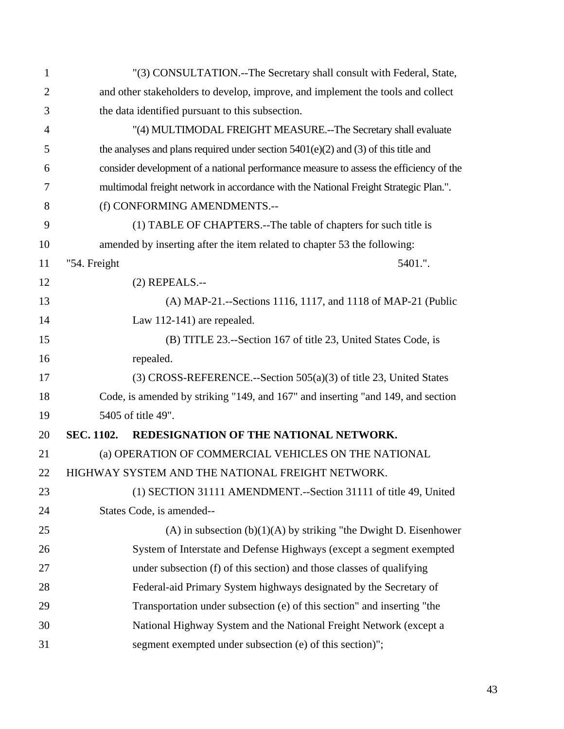| $\mathbf{1}$   |                                                                                 | "(3) CONSULTATION.--The Secretary shall consult with Federal, State,                   |  |
|----------------|---------------------------------------------------------------------------------|----------------------------------------------------------------------------------------|--|
| $\overline{2}$ | and other stakeholders to develop, improve, and implement the tools and collect |                                                                                        |  |
| 3              | the data identified pursuant to this subsection.                                |                                                                                        |  |
| $\overline{4}$ | "(4) MULTIMODAL FREIGHT MEASURE.--The Secretary shall evaluate                  |                                                                                        |  |
| 5              |                                                                                 | the analyses and plans required under section $5401(e)(2)$ and (3) of this title and   |  |
| 6              |                                                                                 | consider development of a national performance measure to assess the efficiency of the |  |
| 7              |                                                                                 | multimodal freight network in accordance with the National Freight Strategic Plan.".   |  |
| 8              |                                                                                 | (f) CONFORMING AMENDMENTS.--                                                           |  |
| 9              |                                                                                 | (1) TABLE OF CHAPTERS.--The table of chapters for such title is                        |  |
| 10             |                                                                                 | amended by inserting after the item related to chapter 53 the following:               |  |
| 11             | "54. Freight                                                                    | 5401.".                                                                                |  |
| 12             |                                                                                 | $(2)$ REPEALS.--                                                                       |  |
| 13             |                                                                                 | (A) MAP-21.--Sections 1116, 1117, and 1118 of MAP-21 (Public                           |  |
| 14             |                                                                                 | Law 112-141) are repealed.                                                             |  |
| 15             |                                                                                 | (B) TITLE 23.--Section 167 of title 23, United States Code, is                         |  |
| 16             | repealed.                                                                       |                                                                                        |  |
| 17             |                                                                                 | $(3)$ CROSS-REFERENCE.--Section 505(a)(3) of title 23, United States                   |  |
| 18             |                                                                                 | Code, is amended by striking "149, and 167" and inserting "and 149, and section        |  |
| 19             |                                                                                 | 5405 of title 49".                                                                     |  |
| 20             | SEC. 1102.                                                                      | REDESIGNATION OF THE NATIONAL NETWORK.                                                 |  |
| 21             |                                                                                 | (a) OPERATION OF COMMERCIAL VEHICLES ON THE NATIONAL                                   |  |
| 22             |                                                                                 | HIGHWAY SYSTEM AND THE NATIONAL FREIGHT NETWORK.                                       |  |
| 23             |                                                                                 | (1) SECTION 31111 AMENDMENT.--Section 31111 of title 49, United                        |  |
| 24             |                                                                                 | States Code, is amended--                                                              |  |
| 25             |                                                                                 | $(A)$ in subsection $(b)(1)(A)$ by striking "the Dwight D. Eisenhower                  |  |
| 26             |                                                                                 | System of Interstate and Defense Highways (except a segment exempted                   |  |
| 27             |                                                                                 | under subsection (f) of this section) and those classes of qualifying                  |  |
| 28             |                                                                                 | Federal-aid Primary System highways designated by the Secretary of                     |  |
| 29             |                                                                                 | Transportation under subsection (e) of this section" and inserting "the                |  |
| 30             |                                                                                 | National Highway System and the National Freight Network (except a                     |  |
| 31             |                                                                                 | segment exempted under subsection (e) of this section)";                               |  |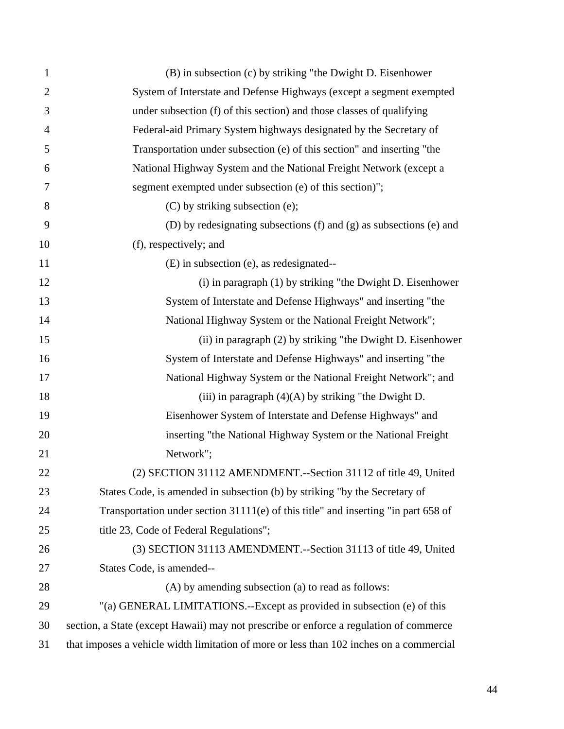| $\mathbf{1}$   | (B) in subsection (c) by striking "the Dwight D. Eisenhower                             |
|----------------|-----------------------------------------------------------------------------------------|
| $\overline{2}$ | System of Interstate and Defense Highways (except a segment exempted                    |
| 3              | under subsection (f) of this section) and those classes of qualifying                   |
| $\overline{4}$ | Federal-aid Primary System highways designated by the Secretary of                      |
| 5              | Transportation under subsection (e) of this section" and inserting "the                 |
| 6              | National Highway System and the National Freight Network (except a                      |
| 7              | segment exempted under subsection (e) of this section)";                                |
| 8              | (C) by striking subsection (e);                                                         |
| 9              | (D) by redesignating subsections (f) and (g) as subsections (e) and                     |
| 10             | (f), respectively; and                                                                  |
| 11             | (E) in subsection (e), as redesignated--                                                |
| 12             | (i) in paragraph (1) by striking "the Dwight D. Eisenhower                              |
| 13             | System of Interstate and Defense Highways" and inserting "the                           |
| 14             | National Highway System or the National Freight Network";                               |
| 15             | (ii) in paragraph (2) by striking "the Dwight D. Eisenhower                             |
| 16             | System of Interstate and Defense Highways" and inserting "the                           |
| 17             | National Highway System or the National Freight Network"; and                           |
| 18             | (iii) in paragraph $(4)(A)$ by striking "the Dwight D.                                  |
| 19             | Eisenhower System of Interstate and Defense Highways" and                               |
| 20             | inserting "the National Highway System or the National Freight                          |
| 21             | Network";                                                                               |
| 22             | (2) SECTION 31112 AMENDMENT.--Section 31112 of title 49, United                         |
| 23             | States Code, is amended in subsection (b) by striking "by the Secretary of              |
| 24             | Transportation under section $31111(e)$ of this title" and inserting "in part 658 of    |
| 25             | title 23, Code of Federal Regulations";                                                 |
| 26             | (3) SECTION 31113 AMENDMENT.--Section 31113 of title 49, United                         |
| 27             | States Code, is amended--                                                               |
| 28             | (A) by amending subsection (a) to read as follows:                                      |
| 29             | "(a) GENERAL LIMITATIONS.--Except as provided in subsection (e) of this                 |
| 30             | section, a State (except Hawaii) may not prescribe or enforce a regulation of commerce  |
| 31             | that imposes a vehicle width limitation of more or less than 102 inches on a commercial |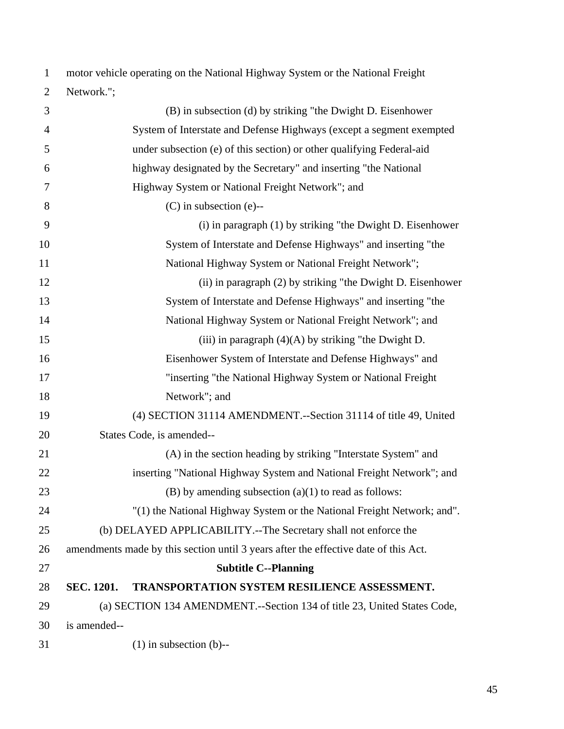| $\mathbf{1}$   | motor vehicle operating on the National Highway System or the National Freight      |  |
|----------------|-------------------------------------------------------------------------------------|--|
| $\overline{2}$ | Network.";                                                                          |  |
| 3              | (B) in subsection (d) by striking "the Dwight D. Eisenhower                         |  |
| $\overline{4}$ | System of Interstate and Defense Highways (except a segment exempted                |  |
| 5              | under subsection (e) of this section) or other qualifying Federal-aid               |  |
| 6              | highway designated by the Secretary" and inserting "the National                    |  |
| 7              | Highway System or National Freight Network"; and                                    |  |
| 8              | $(C)$ in subsection (e)--                                                           |  |
| 9              | (i) in paragraph (1) by striking "the Dwight D. Eisenhower                          |  |
| 10             | System of Interstate and Defense Highways" and inserting "the                       |  |
| 11             | National Highway System or National Freight Network";                               |  |
| 12             | (ii) in paragraph (2) by striking "the Dwight D. Eisenhower                         |  |
| 13             | System of Interstate and Defense Highways" and inserting "the                       |  |
| 14             | National Highway System or National Freight Network"; and                           |  |
| 15             | (iii) in paragraph $(4)(A)$ by striking "the Dwight D.                              |  |
| 16             | Eisenhower System of Interstate and Defense Highways" and                           |  |
| 17             | "inserting "the National Highway System or National Freight                         |  |
| 18             | Network"; and                                                                       |  |
| 19             | (4) SECTION 31114 AMENDMENT.--Section 31114 of title 49, United                     |  |
| 20             | States Code, is amended--                                                           |  |
| 21             | (A) in the section heading by striking "Interstate System" and                      |  |
| 22             | inserting "National Highway System and National Freight Network"; and               |  |
| 23             | $(B)$ by amending subsection $(a)(1)$ to read as follows:                           |  |
| 24             | "(1) the National Highway System or the National Freight Network; and".             |  |
| 25             | (b) DELAYED APPLICABILITY.--The Secretary shall not enforce the                     |  |
| 26             | amendments made by this section until 3 years after the effective date of this Act. |  |
| 27             | <b>Subtitle C--Planning</b>                                                         |  |
| 28             | <b>SEC. 1201.</b><br><b>TRANSPORTATION SYSTEM RESILIENCE ASSESSMENT.</b>            |  |
| 29             | (a) SECTION 134 AMENDMENT.--Section 134 of title 23, United States Code,            |  |
| 30             | is amended--                                                                        |  |
| 31             | $(1)$ in subsection $(b)$ --                                                        |  |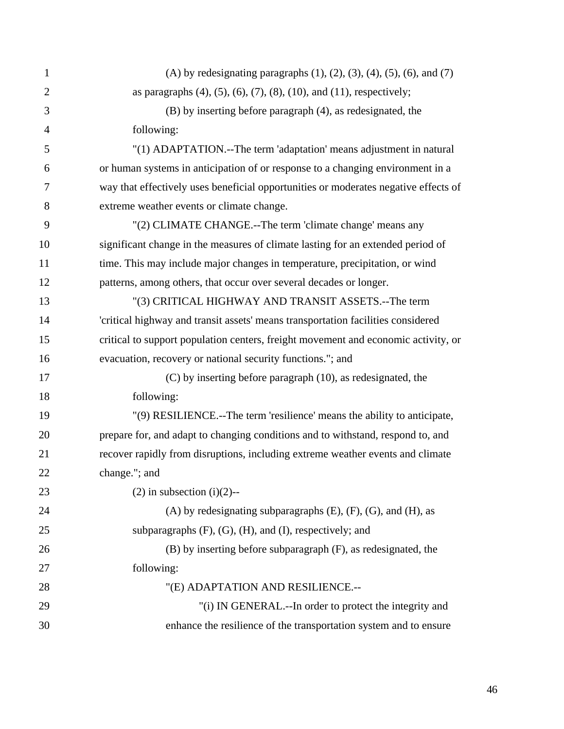| $\mathbf{1}$   | (A) by redesignating paragraphs $(1)$ , $(2)$ , $(3)$ , $(4)$ , $(5)$ , $(6)$ , and $(7)$ |
|----------------|-------------------------------------------------------------------------------------------|
| $\overline{2}$ | as paragraphs $(4)$ , $(5)$ , $(6)$ , $(7)$ , $(8)$ , $(10)$ , and $(11)$ , respectively; |
| 3              | (B) by inserting before paragraph (4), as redesignated, the                               |
| $\overline{4}$ | following:                                                                                |
| 5              | "(1) ADAPTATION.--The term 'adaptation' means adjustment in natural                       |
| 6              | or human systems in anticipation of or response to a changing environment in a            |
| 7              | way that effectively uses beneficial opportunities or moderates negative effects of       |
| 8              | extreme weather events or climate change.                                                 |
| 9              | "(2) CLIMATE CHANGE.--The term 'climate change' means any                                 |
| 10             | significant change in the measures of climate lasting for an extended period of           |
| 11             | time. This may include major changes in temperature, precipitation, or wind               |
| 12             | patterns, among others, that occur over several decades or longer.                        |
| 13             | "(3) CRITICAL HIGHWAY AND TRANSIT ASSETS.--The term                                       |
| 14             | 'critical highway and transit assets' means transportation facilities considered          |
| 15             | critical to support population centers, freight movement and economic activity, or        |
| 16             | evacuation, recovery or national security functions."; and                                |
| 17             | $(C)$ by inserting before paragraph $(10)$ , as redesignated, the                         |
| 18             | following:                                                                                |
| 19             | "(9) RESILIENCE.--The term 'resilience' means the ability to anticipate,                  |
| 20             | prepare for, and adapt to changing conditions and to withstand, respond to, and           |
| 21             | recover rapidly from disruptions, including extreme weather events and climate            |
| 22             | change."; and                                                                             |
| 23             | $(2)$ in subsection $(i)(2)$ --                                                           |
| 24             | $(A)$ by redesignating subparagraphs $(E)$ , $(F)$ , $(G)$ , and $(H)$ , as               |
| 25             | subparagraphs $(F)$ , $(G)$ , $(H)$ , and $(I)$ , respectively; and                       |
| 26             | (B) by inserting before subparagraph (F), as redesignated, the                            |
| 27             | following:                                                                                |
| 28             | "(E) ADAPTATION AND RESILIENCE.--                                                         |
| 29             | "(i) IN GENERAL.--In order to protect the integrity and                                   |
| 30             | enhance the resilience of the transportation system and to ensure                         |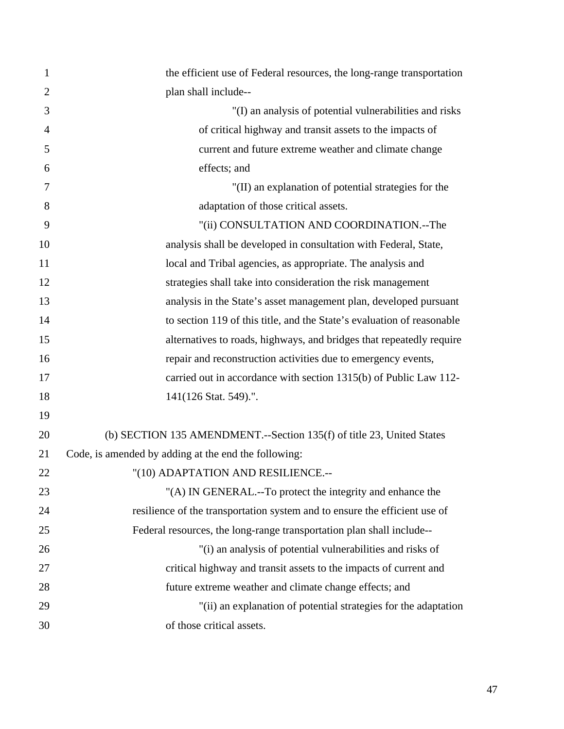| 1              | the efficient use of Federal resources, the long-range transportation      |
|----------------|----------------------------------------------------------------------------|
| $\overline{2}$ | plan shall include--                                                       |
| 3              | "(I) an analysis of potential vulnerabilities and risks                    |
| 4              | of critical highway and transit assets to the impacts of                   |
| 5              | current and future extreme weather and climate change                      |
| 6              | effects; and                                                               |
| 7              | "(II) an explanation of potential strategies for the                       |
| 8              | adaptation of those critical assets.                                       |
| 9              | "(ii) CONSULTATION AND COORDINATION.--The                                  |
| 10             | analysis shall be developed in consultation with Federal, State,           |
| 11             | local and Tribal agencies, as appropriate. The analysis and                |
| 12             | strategies shall take into consideration the risk management               |
| 13             | analysis in the State's asset management plan, developed pursuant          |
| 14             | to section 119 of this title, and the State's evaluation of reasonable     |
| 15             | alternatives to roads, highways, and bridges that repeatedly require       |
| 16             | repair and reconstruction activities due to emergency events,              |
| 17             | carried out in accordance with section 1315(b) of Public Law 112-          |
| 18             | 141(126 Stat. 549).".                                                      |
| 19             |                                                                            |
| 20             | (b) SECTION 135 AMENDMENT.--Section 135(f) of title 23, United States      |
| 21             | Code, is amended by adding at the end the following:                       |
| 22             | "(10) ADAPTATION AND RESILIENCE.--                                         |
| 23             | "(A) IN GENERAL.--To protect the integrity and enhance the                 |
| 24             | resilience of the transportation system and to ensure the efficient use of |
| 25             | Federal resources, the long-range transportation plan shall include--      |
| 26             | "(i) an analysis of potential vulnerabilities and risks of                 |
| 27             | critical highway and transit assets to the impacts of current and          |
| 28             | future extreme weather and climate change effects; and                     |
| 29             | "(ii) an explanation of potential strategies for the adaptation            |
| 30             | of those critical assets.                                                  |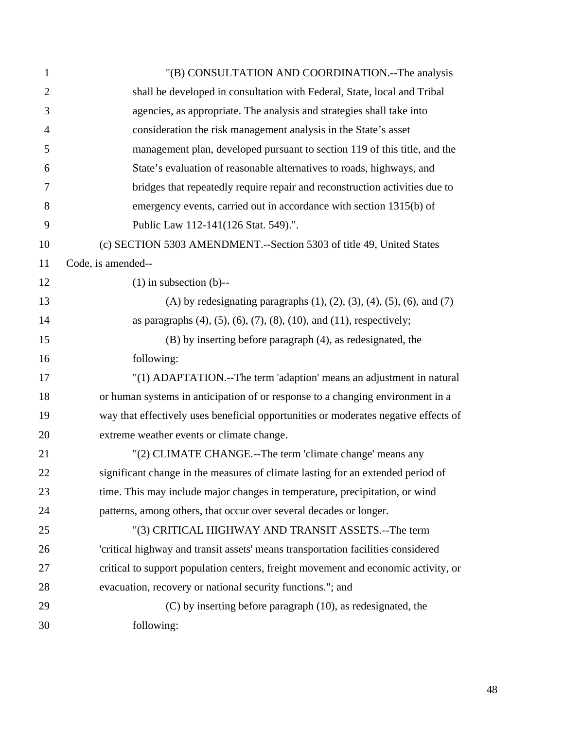| $\mathbf{1}$   | "(B) CONSULTATION AND COORDINATION.--The analysis                                         |
|----------------|-------------------------------------------------------------------------------------------|
| $\overline{2}$ | shall be developed in consultation with Federal, State, local and Tribal                  |
| 3              | agencies, as appropriate. The analysis and strategies shall take into                     |
| $\overline{4}$ | consideration the risk management analysis in the State's asset                           |
| 5              | management plan, developed pursuant to section 119 of this title, and the                 |
| 6              | State's evaluation of reasonable alternatives to roads, highways, and                     |
| 7              | bridges that repeatedly require repair and reconstruction activities due to               |
| 8              | emergency events, carried out in accordance with section 1315(b) of                       |
| 9              | Public Law 112-141(126 Stat. 549).".                                                      |
| 10             | (c) SECTION 5303 AMENDMENT.--Section 5303 of title 49, United States                      |
| 11             | Code, is amended--                                                                        |
| 12             | $(1)$ in subsection $(b)$ --                                                              |
| 13             | (A) by redesignating paragraphs $(1)$ , $(2)$ , $(3)$ , $(4)$ , $(5)$ , $(6)$ , and $(7)$ |
| 14             | as paragraphs $(4)$ , $(5)$ , $(6)$ , $(7)$ , $(8)$ , $(10)$ , and $(11)$ , respectively; |
| 15             | (B) by inserting before paragraph (4), as redesignated, the                               |
| 16             | following:                                                                                |
| 17             | "(1) ADAPTATION.--The term 'adaption' means an adjustment in natural                      |
| 18             | or human systems in anticipation of or response to a changing environment in a            |
| 19             | way that effectively uses beneficial opportunities or moderates negative effects of       |
| 20             | extreme weather events or climate change.                                                 |
| 21             | "(2) CLIMATE CHANGE.--The term 'climate change' means any                                 |
| 22             | significant change in the measures of climate lasting for an extended period of           |
| 23             | time. This may include major changes in temperature, precipitation, or wind               |
| 24             | patterns, among others, that occur over several decades or longer.                        |
| 25             | "(3) CRITICAL HIGHWAY AND TRANSIT ASSETS.--The term                                       |
| 26             | 'critical highway and transit assets' means transportation facilities considered          |
| 27             | critical to support population centers, freight movement and economic activity, or        |
| 28             | evacuation, recovery or national security functions."; and                                |
| 29             | (C) by inserting before paragraph (10), as redesignated, the                              |
| 30             | following:                                                                                |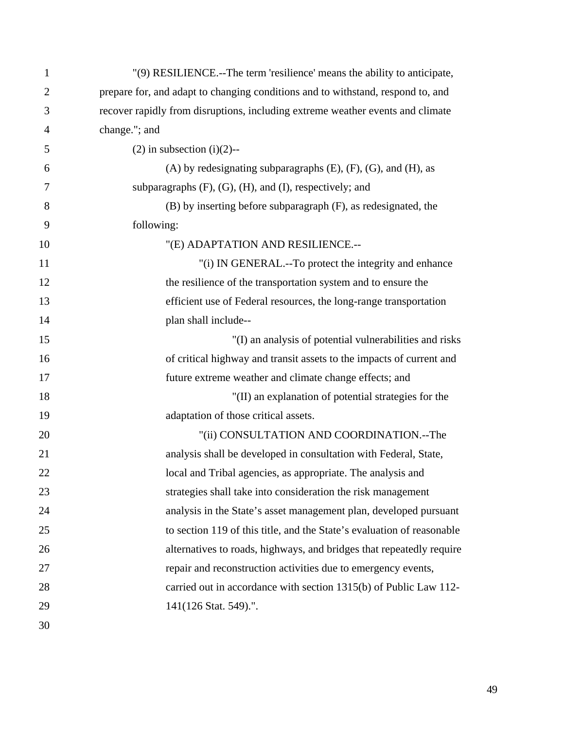| 1              | "(9) RESILIENCE.--The term 'resilience' means the ability to anticipate,        |
|----------------|---------------------------------------------------------------------------------|
| $\overline{2}$ | prepare for, and adapt to changing conditions and to withstand, respond to, and |
| 3              | recover rapidly from disruptions, including extreme weather events and climate  |
| 4              | change."; and                                                                   |
| 5              | $(2)$ in subsection $(i)(2)$ --                                                 |
| 6              | $(A)$ by redesignating subparagraphs $(E)$ , $(F)$ , $(G)$ , and $(H)$ , as     |
| 7              | subparagraphs $(F)$ , $(G)$ , $(H)$ , and $(I)$ , respectively; and             |
| 8              | (B) by inserting before subparagraph (F), as redesignated, the                  |
| 9              | following:                                                                      |
| 10             | "(E) ADAPTATION AND RESILIENCE.--                                               |
| 11             | "(i) IN GENERAL.--To protect the integrity and enhance                          |
| 12             | the resilience of the transportation system and to ensure the                   |
| 13             | efficient use of Federal resources, the long-range transportation               |
| 14             | plan shall include--                                                            |
| 15             | "(I) an analysis of potential vulnerabilities and risks                         |
| 16             | of critical highway and transit assets to the impacts of current and            |
| 17             | future extreme weather and climate change effects; and                          |
| 18             | "(II) an explanation of potential strategies for the                            |
| 19             | adaptation of those critical assets.                                            |
| 20             | "(ii) CONSULTATION AND COORDINATION.--The                                       |
| 21             | analysis shall be developed in consultation with Federal, State,                |
| 22             | local and Tribal agencies, as appropriate. The analysis and                     |
| 23             | strategies shall take into consideration the risk management                    |
| 24             | analysis in the State's asset management plan, developed pursuant               |
| 25             | to section 119 of this title, and the State's evaluation of reasonable          |
| 26             | alternatives to roads, highways, and bridges that repeatedly require            |
| 27             | repair and reconstruction activities due to emergency events,                   |
| 28             | carried out in accordance with section 1315(b) of Public Law 112-               |
| 29             | 141(126 Stat. 549).".                                                           |
| 30             |                                                                                 |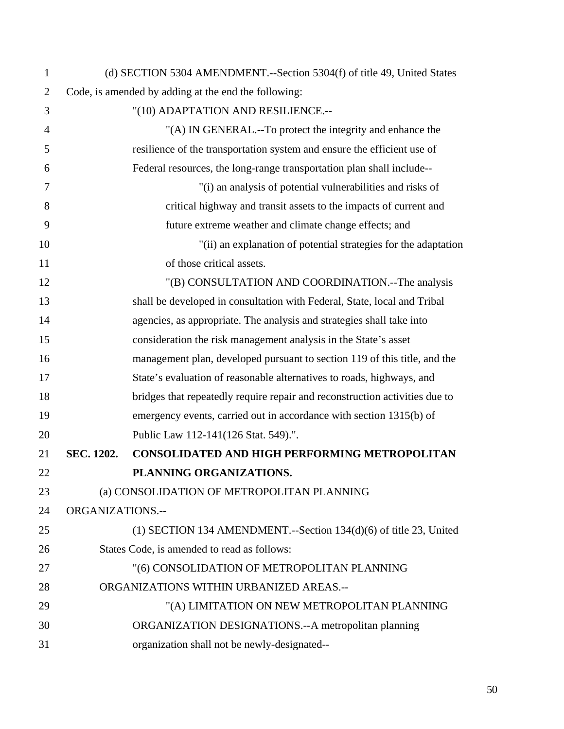| $\mathbf{1}$   |                                             | (d) SECTION 5304 AMENDMENT.--Section 5304(f) of title 49, United States     |
|----------------|---------------------------------------------|-----------------------------------------------------------------------------|
| $\overline{2}$ |                                             | Code, is amended by adding at the end the following:                        |
| 3              |                                             | "(10) ADAPTATION AND RESILIENCE.--                                          |
| $\overline{4}$ |                                             | "(A) IN GENERAL.--To protect the integrity and enhance the                  |
| 5              |                                             | resilience of the transportation system and ensure the efficient use of     |
| 6              |                                             | Federal resources, the long-range transportation plan shall include--       |
| 7              |                                             | "(i) an analysis of potential vulnerabilities and risks of                  |
| 8              |                                             | critical highway and transit assets to the impacts of current and           |
| 9              |                                             | future extreme weather and climate change effects; and                      |
| 10             |                                             | "(ii) an explanation of potential strategies for the adaptation             |
| 11             |                                             | of those critical assets.                                                   |
| 12             |                                             | "(B) CONSULTATION AND COORDINATION.--The analysis                           |
| 13             |                                             | shall be developed in consultation with Federal, State, local and Tribal    |
| 14             |                                             | agencies, as appropriate. The analysis and strategies shall take into       |
| 15             |                                             | consideration the risk management analysis in the State's asset             |
| 16             |                                             | management plan, developed pursuant to section 119 of this title, and the   |
| 17             |                                             | State's evaluation of reasonable alternatives to roads, highways, and       |
| 18             |                                             | bridges that repeatedly require repair and reconstruction activities due to |
| 19             |                                             | emergency events, carried out in accordance with section 1315(b) of         |
| 20             |                                             | Public Law 112-141(126 Stat. 549).".                                        |
| 21             | SEC. 1202.                                  | CONSOLIDATED AND HIGH PERFORMING METROPOLITAN                               |
| 22             |                                             | PLANNING ORGANIZATIONS.                                                     |
| 23             |                                             | (a) CONSOLIDATION OF METROPOLITAN PLANNING                                  |
| 24             | <b>ORGANIZATIONS.--</b>                     |                                                                             |
| 25             |                                             | $(1)$ SECTION 134 AMENDMENT.--Section 134 $(d)(6)$ of title 23, United      |
| 26             | States Code, is amended to read as follows: |                                                                             |
| 27             |                                             | "(6) CONSOLIDATION OF METROPOLITAN PLANNING                                 |
| 28             | ORGANIZATIONS WITHIN URBANIZED AREAS .--    |                                                                             |
| 29             |                                             | "(A) LIMITATION ON NEW METROPOLITAN PLANNING                                |
| 30             |                                             | ORGANIZATION DESIGNATIONS.--A metropolitan planning                         |
| 31             |                                             | organization shall not be newly-designated--                                |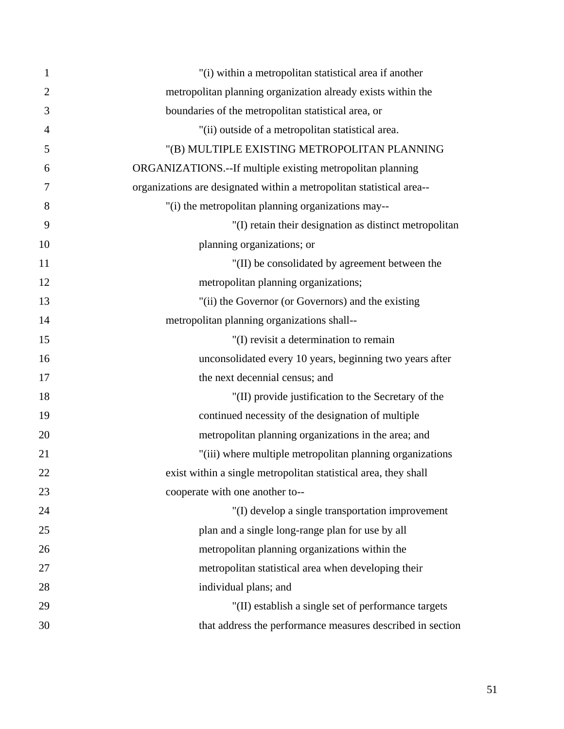| 1              | "(i) within a metropolitan statistical area if another                |
|----------------|-----------------------------------------------------------------------|
| $\overline{2}$ | metropolitan planning organization already exists within the          |
| 3              | boundaries of the metropolitan statistical area, or                   |
| 4              | "(ii) outside of a metropolitan statistical area.                     |
| 5              | "(B) MULTIPLE EXISTING METROPOLITAN PLANNING                          |
| 6              | ORGANIZATIONS.--If multiple existing metropolitan planning            |
| 7              | organizations are designated within a metropolitan statistical area-- |
| 8              | "(i) the metropolitan planning organizations may--                    |
| 9              | "(I) retain their designation as distinct metropolitan                |
| 10             | planning organizations; or                                            |
| 11             | "(II) be consolidated by agreement between the                        |
| 12             | metropolitan planning organizations;                                  |
| 13             | "(ii) the Governor (or Governors) and the existing                    |
| 14             | metropolitan planning organizations shall--                           |
| 15             | "(I) revisit a determination to remain                                |
| 16             | unconsolidated every 10 years, beginning two years after              |
| 17             | the next decennial census; and                                        |
| 18             | "(II) provide justification to the Secretary of the                   |
| 19             | continued necessity of the designation of multiple                    |
| 20             | metropolitan planning organizations in the area; and                  |
| 21             | "(iii) where multiple metropolitan planning organizations             |
| 22             | exist within a single metropolitan statistical area, they shall       |
| 23             | cooperate with one another to--                                       |
| 24             | "(I) develop a single transportation improvement                      |
| 25             | plan and a single long-range plan for use by all                      |
| 26             | metropolitan planning organizations within the                        |
| 27             | metropolitan statistical area when developing their                   |
| 28             | individual plans; and                                                 |
| 29             | "(II) establish a single set of performance targets                   |
| 30             | that address the performance measures described in section            |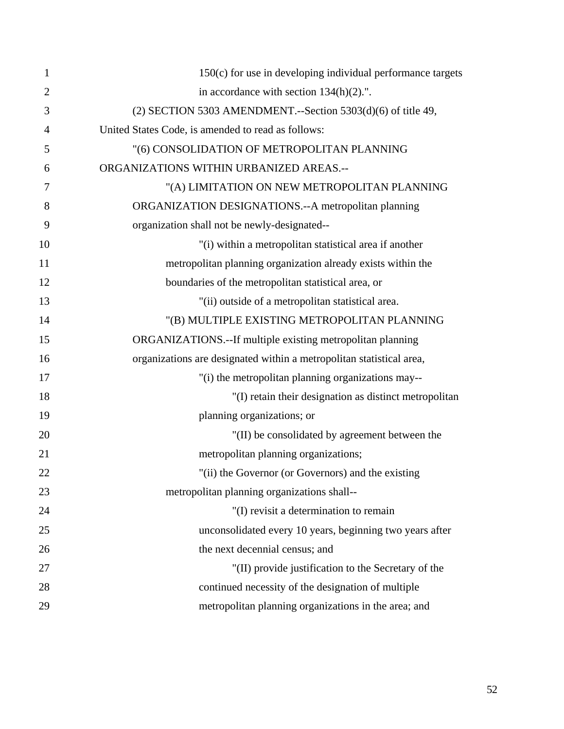| $\mathbf{1}$   | 150(c) for use in developing individual performance targets          |
|----------------|----------------------------------------------------------------------|
| $\overline{2}$ | in accordance with section $134(h)(2)$ .".                           |
| 3              | $(2)$ SECTION 5303 AMENDMENT.--Section 5303 $(d)(6)$ of title 49,    |
| 4              | United States Code, is amended to read as follows:                   |
| 5              | "(6) CONSOLIDATION OF METROPOLITAN PLANNING                          |
| 6              | ORGANIZATIONS WITHIN URBANIZED AREAS .--                             |
| 7              | "(A) LIMITATION ON NEW METROPOLITAN PLANNING                         |
| 8              | ORGANIZATION DESIGNATIONS.--A metropolitan planning                  |
| 9              | organization shall not be newly-designated--                         |
| 10             | "(i) within a metropolitan statistical area if another               |
| 11             | metropolitan planning organization already exists within the         |
| 12             | boundaries of the metropolitan statistical area, or                  |
| 13             | "(ii) outside of a metropolitan statistical area.                    |
| 14             | "(B) MULTIPLE EXISTING METROPOLITAN PLANNING                         |
| 15             | ORGANIZATIONS.--If multiple existing metropolitan planning           |
| 16             | organizations are designated within a metropolitan statistical area, |
| 17             | "(i) the metropolitan planning organizations may--                   |
| 18             | "(I) retain their designation as distinct metropolitan               |
| 19             | planning organizations; or                                           |
| 20             | "(II) be consolidated by agreement between the                       |
| 21             | metropolitan planning organizations;                                 |
| 22             | "(ii) the Governor (or Governors) and the existing                   |
| 23             | metropolitan planning organizations shall--                          |
| 24             | "(I) revisit a determination to remain                               |
| 25             | unconsolidated every 10 years, beginning two years after             |
| 26             | the next decennial census; and                                       |
| 27             | "(II) provide justification to the Secretary of the                  |
| 28             | continued necessity of the designation of multiple                   |
| 29             | metropolitan planning organizations in the area; and                 |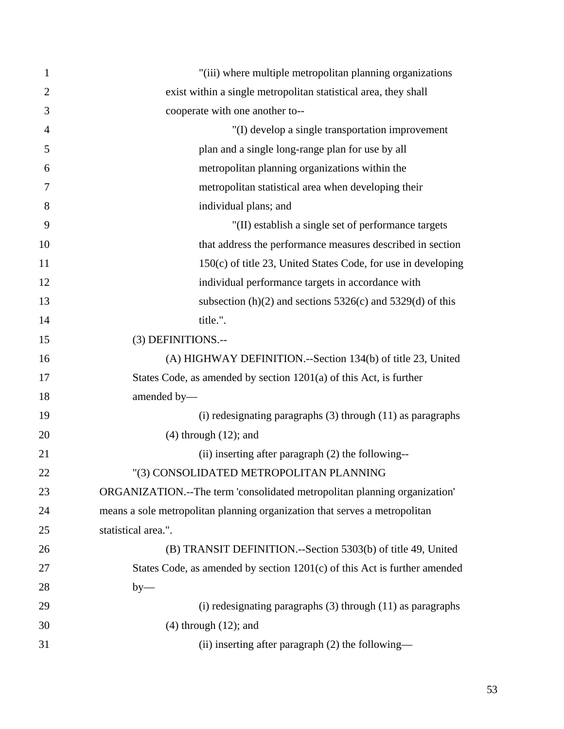| 1              | "(iii) where multiple metropolitan planning organizations                  |
|----------------|----------------------------------------------------------------------------|
| $\overline{2}$ | exist within a single metropolitan statistical area, they shall            |
| 3              | cooperate with one another to--                                            |
| $\overline{4}$ | "(I) develop a single transportation improvement                           |
| 5              | plan and a single long-range plan for use by all                           |
| 6              | metropolitan planning organizations within the                             |
| 7              | metropolitan statistical area when developing their                        |
| 8              | individual plans; and                                                      |
| 9              | "(II) establish a single set of performance targets                        |
| 10             | that address the performance measures described in section                 |
| 11             | $150(c)$ of title 23, United States Code, for use in developing            |
| 12             | individual performance targets in accordance with                          |
| 13             | subsection (h)(2) and sections $5326(c)$ and $5329(d)$ of this             |
| 14             | title.".                                                                   |
| 15             | (3) DEFINITIONS.--                                                         |
| 16             | (A) HIGHWAY DEFINITION.--Section 134(b) of title 23, United                |
| 17             | States Code, as amended by section 1201(a) of this Act, is further         |
| 18             | amended by-                                                                |
| 19             | $(i)$ redesignating paragraphs $(3)$ through $(11)$ as paragraphs          |
| 20             | $(4)$ through $(12)$ ; and                                                 |
| 21             | (ii) inserting after paragraph (2) the following--                         |
| 22             | "(3) CONSOLIDATED METROPOLITAN PLANNING                                    |
| 23             | ORGANIZATION.--The term 'consolidated metropolitan planning organization'  |
| 24             | means a sole metropolitan planning organization that serves a metropolitan |
| 25             | statistical area.".                                                        |
| 26             | (B) TRANSIT DEFINITION.--Section 5303(b) of title 49, United               |
| 27             | States Code, as amended by section 1201(c) of this Act is further amended  |
| 28             | $by-$                                                                      |
| 29             | $(i)$ redesignating paragraphs $(3)$ through $(11)$ as paragraphs          |
| 30             | $(4)$ through $(12)$ ; and                                                 |
| 31             | (ii) inserting after paragraph (2) the following—                          |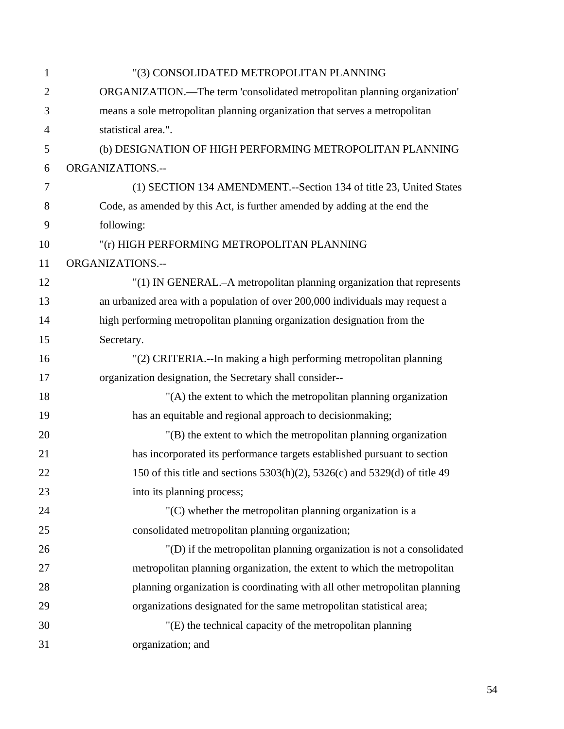| $\mathbf{1}$   | "(3) CONSOLIDATED METROPOLITAN PLANNING                                       |
|----------------|-------------------------------------------------------------------------------|
| $\overline{2}$ | ORGANIZATION.—The term 'consolidated metropolitan planning organization'      |
| 3              | means a sole metropolitan planning organization that serves a metropolitan    |
| $\overline{4}$ | statistical area.".                                                           |
| 5              | (b) DESIGNATION OF HIGH PERFORMING METROPOLITAN PLANNING                      |
| 6              | ORGANIZATIONS.--                                                              |
| $\overline{7}$ | (1) SECTION 134 AMENDMENT.--Section 134 of title 23, United States            |
| 8              | Code, as amended by this Act, is further amended by adding at the end the     |
| 9              | following:                                                                    |
| 10             | "(r) HIGH PERFORMING METROPOLITAN PLANNING                                    |
| 11             | ORGANIZATIONS.--                                                              |
| 12             | "(1) IN GENERAL.-A metropolitan planning organization that represents         |
| 13             | an urbanized area with a population of over 200,000 individuals may request a |
| 14             | high performing metropolitan planning organization designation from the       |
| 15             | Secretary.                                                                    |
| 16             | "(2) CRITERIA.--In making a high performing metropolitan planning             |
| 17             | organization designation, the Secretary shall consider--                      |
| 18             | "(A) the extent to which the metropolitan planning organization               |
| 19             | has an equitable and regional approach to decision making;                    |
| 20             | $'(B)$ the extent to which the metropolitan planning organization             |
| 21             | has incorporated its performance targets established pursuant to section      |
| 22             | 150 of this title and sections 5303(h)(2), 5326(c) and 5329(d) of title 49    |
| 23             | into its planning process;                                                    |
| 24             | $(C)$ whether the metropolitan planning organization is a                     |
| 25             | consolidated metropolitan planning organization;                              |
| 26             | "(D) if the metropolitan planning organization is not a consolidated          |
| 27             | metropolitan planning organization, the extent to which the metropolitan      |
| 28             | planning organization is coordinating with all other metropolitan planning    |
| 29             | organizations designated for the same metropolitan statistical area;          |
| 30             | "(E) the technical capacity of the metropolitan planning                      |
| 31             | organization; and                                                             |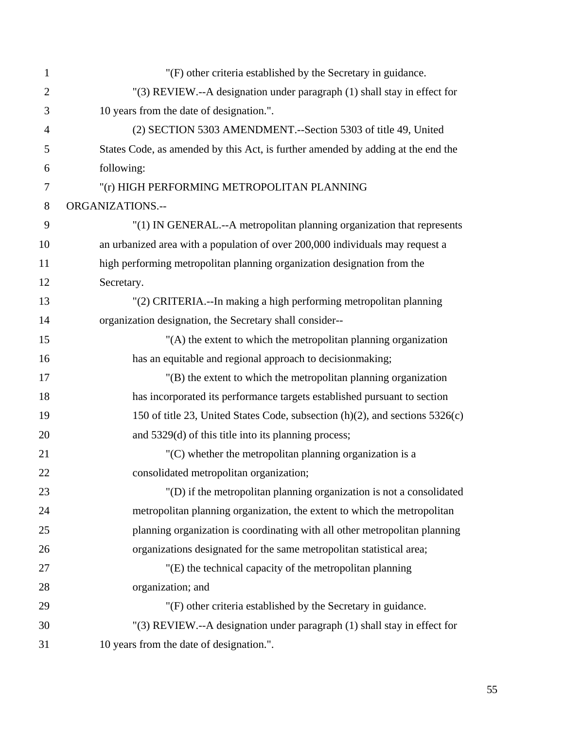| $\mathbf{1}$   | "(F) other criteria established by the Secretary in guidance.                    |
|----------------|----------------------------------------------------------------------------------|
| $\overline{2}$ | "(3) REVIEW.--A designation under paragraph (1) shall stay in effect for         |
| 3              | 10 years from the date of designation.".                                         |
| $\overline{4}$ | (2) SECTION 5303 AMENDMENT.--Section 5303 of title 49, United                    |
| 5              | States Code, as amended by this Act, is further amended by adding at the end the |
| 6              | following:                                                                       |
| 7              | "(r) HIGH PERFORMING METROPOLITAN PLANNING                                       |
| 8              | <b>ORGANIZATIONS.--</b>                                                          |
| 9              | "(1) IN GENERAL.--A metropolitan planning organization that represents           |
| 10             | an urbanized area with a population of over 200,000 individuals may request a    |
| 11             | high performing metropolitan planning organization designation from the          |
| 12             | Secretary.                                                                       |
| 13             | "(2) CRITERIA.--In making a high performing metropolitan planning                |
| 14             | organization designation, the Secretary shall consider--                         |
| 15             | "(A) the extent to which the metropolitan planning organization                  |
| 16             | has an equitable and regional approach to decision making;                       |
| 17             | $'(B)$ the extent to which the metropolitan planning organization                |
| 18             | has incorporated its performance targets established pursuant to section         |
| 19             | 150 of title 23, United States Code, subsection (h)(2), and sections 5326(c)     |
| 20             | and 5329(d) of this title into its planning process;                             |
| 21             | $(C)$ whether the metropolitan planning organization is a                        |
| 22             | consolidated metropolitan organization;                                          |
| 23             | "(D) if the metropolitan planning organization is not a consolidated             |
| 24             | metropolitan planning organization, the extent to which the metropolitan         |
| 25             | planning organization is coordinating with all other metropolitan planning       |
| 26             | organizations designated for the same metropolitan statistical area;             |
| 27             | "(E) the technical capacity of the metropolitan planning                         |
| 28             | organization; and                                                                |
| 29             | "(F) other criteria established by the Secretary in guidance.                    |
| 30             | "(3) REVIEW.--A designation under paragraph (1) shall stay in effect for         |
| 31             | 10 years from the date of designation.".                                         |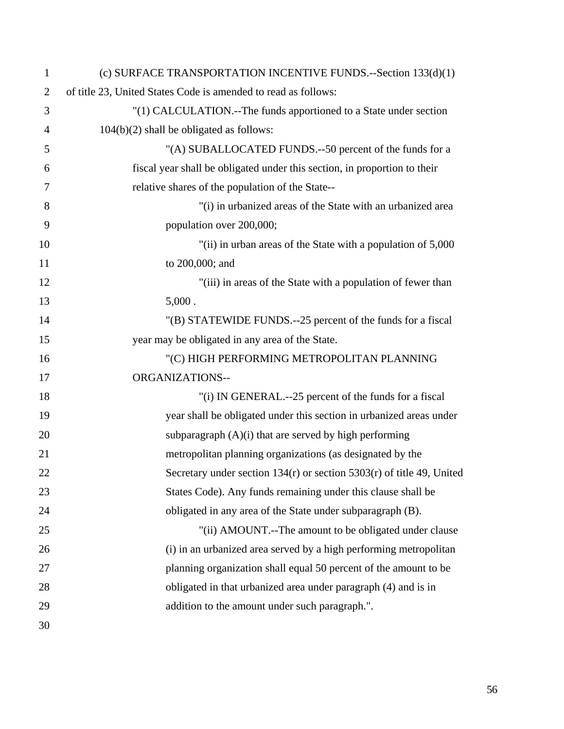| $\mathbf{1}$   | (c) SURFACE TRANSPORTATION INCENTIVE FUNDS.--Section 133(d)(1)            |
|----------------|---------------------------------------------------------------------------|
| $\overline{2}$ | of title 23, United States Code is amended to read as follows:            |
| 3              | "(1) CALCULATION.--The funds apportioned to a State under section         |
| 4              | $104(b)(2)$ shall be obligated as follows:                                |
| 5              | "(A) SUBALLOCATED FUNDS.--50 percent of the funds for a                   |
| 6              | fiscal year shall be obligated under this section, in proportion to their |
| 7              | relative shares of the population of the State--                          |
| 8              | "(i) in urbanized areas of the State with an urbanized area               |
| 9              | population over 200,000;                                                  |
| 10             | "(ii) in urban areas of the State with a population of 5,000              |
| 11             | to 200,000; and                                                           |
| 12             | "(iii) in areas of the State with a population of fewer than              |
| 13             | $5,000$ .                                                                 |
| 14             | "(B) STATEWIDE FUNDS.--25 percent of the funds for a fiscal               |
| 15             | year may be obligated in any area of the State.                           |
| 16             | "(C) HIGH PERFORMING METROPOLITAN PLANNING                                |
| 17             | ORGANIZATIONS--                                                           |
| 18             | "(i) IN GENERAL.--25 percent of the funds for a fiscal                    |
| 19             | year shall be obligated under this section in urbanized areas under       |
| 20             | subparagraph $(A)(i)$ that are served by high performing                  |
| 21             | metropolitan planning organizations (as designated by the                 |
| 22             | Secretary under section $134(r)$ or section $5303(r)$ of title 49, United |
| 23             | States Code). Any funds remaining under this clause shall be              |
| 24             | obligated in any area of the State under subparagraph (B).                |
| 25             | "(ii) AMOUNT.--The amount to be obligated under clause                    |
| 26             | (i) in an urbanized area served by a high performing metropolitan         |
| 27             | planning organization shall equal 50 percent of the amount to be          |
| 28             | obligated in that urbanized area under paragraph (4) and is in            |
| 29             | addition to the amount under such paragraph.".                            |
| 30             |                                                                           |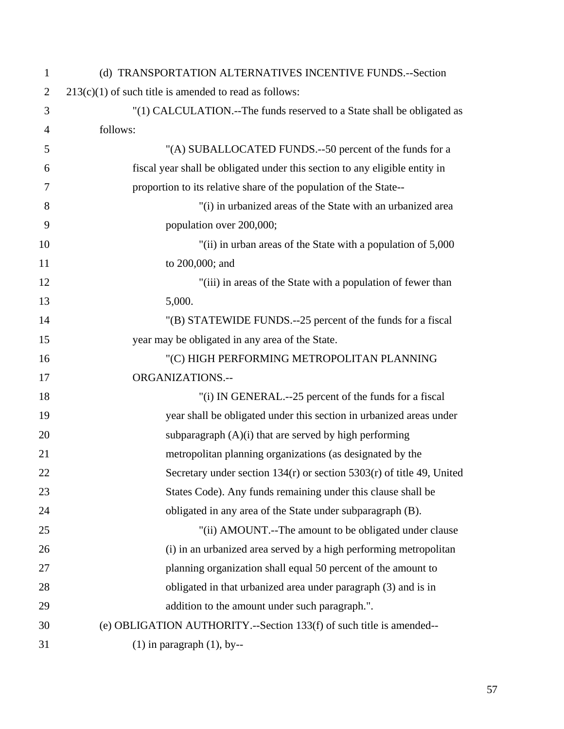| $\mathbf{1}$   | (d) TRANSPORTATION ALTERNATIVES INCENTIVE FUNDS.--Section                   |
|----------------|-----------------------------------------------------------------------------|
| $\overline{2}$ | $213(c)(1)$ of such title is amended to read as follows:                    |
| 3              | "(1) CALCULATION.--The funds reserved to a State shall be obligated as      |
| $\overline{4}$ | follows:                                                                    |
| 5              | "(A) SUBALLOCATED FUNDS.--50 percent of the funds for a                     |
| 6              | fiscal year shall be obligated under this section to any eligible entity in |
| 7              | proportion to its relative share of the population of the State--           |
| 8              | "(i) in urbanized areas of the State with an urbanized area                 |
| 9              | population over 200,000;                                                    |
| 10             | "(ii) in urban areas of the State with a population of 5,000                |
| 11             | to 200,000; and                                                             |
| 12             | "(iii) in areas of the State with a population of fewer than                |
| 13             | 5,000.                                                                      |
| 14             | "(B) STATEWIDE FUNDS.--25 percent of the funds for a fiscal                 |
| 15             | year may be obligated in any area of the State.                             |
| 16             | "(C) HIGH PERFORMING METROPOLITAN PLANNING                                  |
| 17             | <b>ORGANIZATIONS.--</b>                                                     |
| 18             | "(i) IN GENERAL.--25 percent of the funds for a fiscal                      |
| 19             | year shall be obligated under this section in urbanized areas under         |
| 20             | subparagraph $(A)(i)$ that are served by high performing                    |
| 21             | metropolitan planning organizations (as designated by the                   |
| 22             | Secretary under section $134(r)$ or section $5303(r)$ of title 49, United   |
| 23             | States Code). Any funds remaining under this clause shall be                |
| 24             | obligated in any area of the State under subparagraph (B).                  |
| 25             | "(ii) AMOUNT.--The amount to be obligated under clause                      |
| 26             | (i) in an urbanized area served by a high performing metropolitan           |
| 27             | planning organization shall equal 50 percent of the amount to               |
| 28             | obligated in that urbanized area under paragraph (3) and is in              |
| 29             | addition to the amount under such paragraph.".                              |
| 30             | (e) OBLIGATION AUTHORITY.--Section 133(f) of such title is amended--        |
| 31             | $(1)$ in paragraph $(1)$ , by--                                             |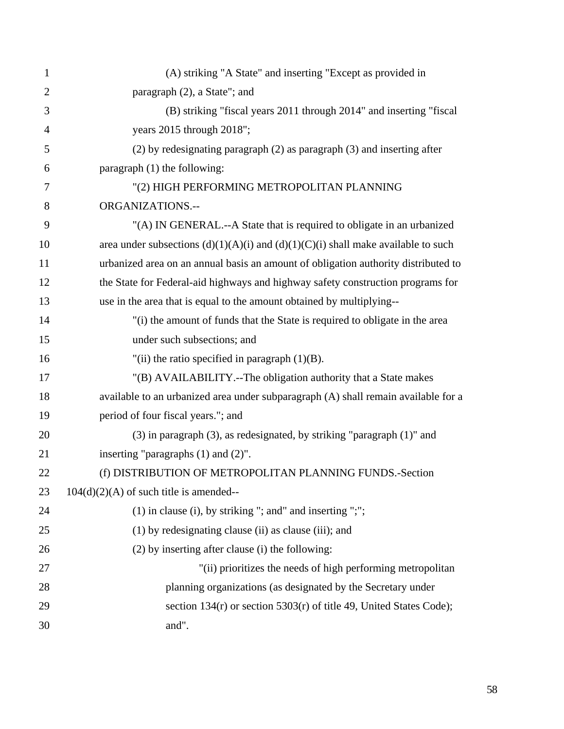| $\mathbf{1}$   | (A) striking "A State" and inserting "Except as provided in                           |
|----------------|---------------------------------------------------------------------------------------|
| $\overline{2}$ | paragraph (2), a State"; and                                                          |
| 3              | (B) striking "fiscal years 2011 through 2014" and inserting "fiscal                   |
| $\overline{4}$ | years 2015 through 2018";                                                             |
| 5              | (2) by redesignating paragraph (2) as paragraph (3) and inserting after               |
| 6              | paragraph (1) the following:                                                          |
| 7              | "(2) HIGH PERFORMING METROPOLITAN PLANNING                                            |
| 8              | <b>ORGANIZATIONS.--</b>                                                               |
| 9              | "(A) IN GENERAL.--A State that is required to obligate in an urbanized                |
| 10             | area under subsections $(d)(1)(A)(i)$ and $(d)(1)(C)(i)$ shall make available to such |
| 11             | urbanized area on an annual basis an amount of obligation authority distributed to    |
| 12             | the State for Federal-aid highways and highway safety construction programs for       |
| 13             | use in the area that is equal to the amount obtained by multiplying--                 |
| 14             | "(i) the amount of funds that the State is required to obligate in the area           |
| 15             | under such subsections; and                                                           |
| 16             | "(ii) the ratio specified in paragraph $(1)(B)$ .                                     |
| 17             | "(B) AVAILABILITY.--The obligation authority that a State makes                       |
| 18             | available to an urbanized area under subparagraph (A) shall remain available for a    |
| 19             | period of four fiscal years."; and                                                    |
| 20             | $(3)$ in paragraph $(3)$ , as redesignated, by striking "paragraph $(1)$ " and        |
| 21             | inserting "paragraphs $(1)$ and $(2)$ ".                                              |
| 22             | (f) DISTRIBUTION OF METROPOLITAN PLANNING FUNDS.-Section                              |
| 23             | $104(d)(2)(A)$ of such title is amended--                                             |
| 24             | $(1)$ in clause $(i)$ , by striking "; and" and inserting ";";                        |
| 25             | $(1)$ by redesignating clause (ii) as clause (iii); and                               |
| 26             | (2) by inserting after clause (i) the following:                                      |
| 27             | "(ii) prioritizes the needs of high performing metropolitan                           |
| 28             | planning organizations (as designated by the Secretary under                          |
| 29             | section $134(r)$ or section $5303(r)$ of title 49, United States Code);               |
| 30             | and".                                                                                 |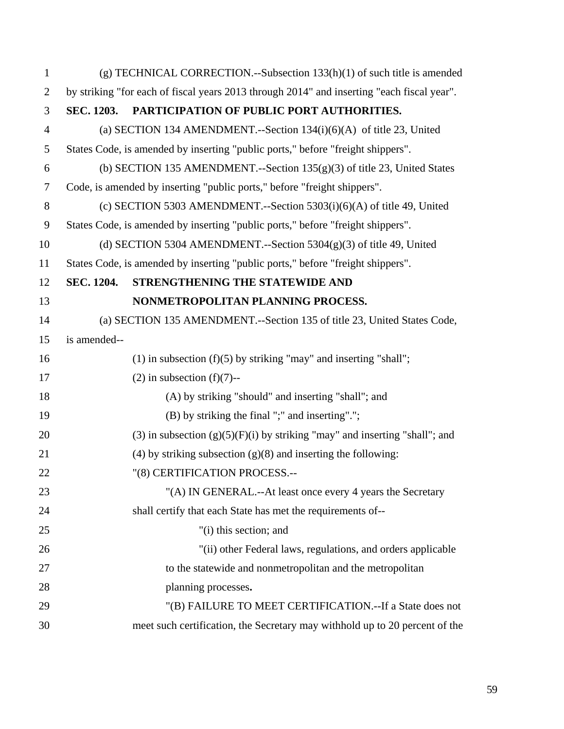| $\mathbf{1}$   |                   | $(g)$ TECHNICAL CORRECTION.--Subsection 133(h)(1) of such title is amended                 |
|----------------|-------------------|--------------------------------------------------------------------------------------------|
| $\overline{2}$ |                   | by striking "for each of fiscal years 2013 through 2014" and inserting "each fiscal year". |
| 3              |                   | SEC. 1203. PARTICIPATION OF PUBLIC PORT AUTHORITIES.                                       |
| $\overline{4}$ |                   | (a) SECTION 134 AMENDMENT.--Section $134(i)(6)(A)$ of title 23, United                     |
| 5              |                   | States Code, is amended by inserting "public ports," before "freight shippers".            |
| 6              |                   | (b) SECTION 135 AMENDMENT.--Section $135(g)(3)$ of title 23, United States                 |
| $\tau$         |                   | Code, is amended by inserting "public ports," before "freight shippers".                   |
| 8              |                   | (c) SECTION 5303 AMENDMENT.--Section $5303(i)(6)(A)$ of title 49, United                   |
| 9              |                   | States Code, is amended by inserting "public ports," before "freight shippers".            |
| 10             |                   | (d) SECTION 5304 AMENDMENT.--Section $5304(g)(3)$ of title 49, United                      |
| 11             |                   | States Code, is amended by inserting "public ports," before "freight shippers".            |
| 12             | <b>SEC. 1204.</b> | STRENGTHENING THE STATEWIDE AND                                                            |
| 13             |                   | NONMETROPOLITAN PLANNING PROCESS.                                                          |
| 14             |                   | (a) SECTION 135 AMENDMENT.--Section 135 of title 23, United States Code,                   |
| 15             | is amended--      |                                                                                            |
| 16             |                   | $(1)$ in subsection $(f)(5)$ by striking "may" and inserting "shall";                      |
| 17             |                   | $(2)$ in subsection $(f)(7)$ --                                                            |
| 18             |                   | (A) by striking "should" and inserting "shall"; and                                        |
| 19             |                   | (B) by striking the final ";" and inserting".";                                            |
| 20             |                   | $(3)$ in subsection $(g)(5)(F)(i)$ by striking "may" and inserting "shall"; and            |
| 21             |                   | (4) by striking subsection $(g)(8)$ and inserting the following:                           |
| 22             |                   | "(8) CERTIFICATION PROCESS.--                                                              |
| 23             |                   | "(A) IN GENERAL.--At least once every 4 years the Secretary                                |
| 24             |                   | shall certify that each State has met the requirements of--                                |
| 25             |                   | "(i) this section; and                                                                     |
| 26             |                   | "(ii) other Federal laws, regulations, and orders applicable                               |
| 27             |                   | to the statewide and nonmetropolitan and the metropolitan                                  |
| 28             |                   | planning processes.                                                                        |
| 29             |                   | "(B) FAILURE TO MEET CERTIFICATION.--If a State does not                                   |
| 30             |                   | meet such certification, the Secretary may withhold up to 20 percent of the                |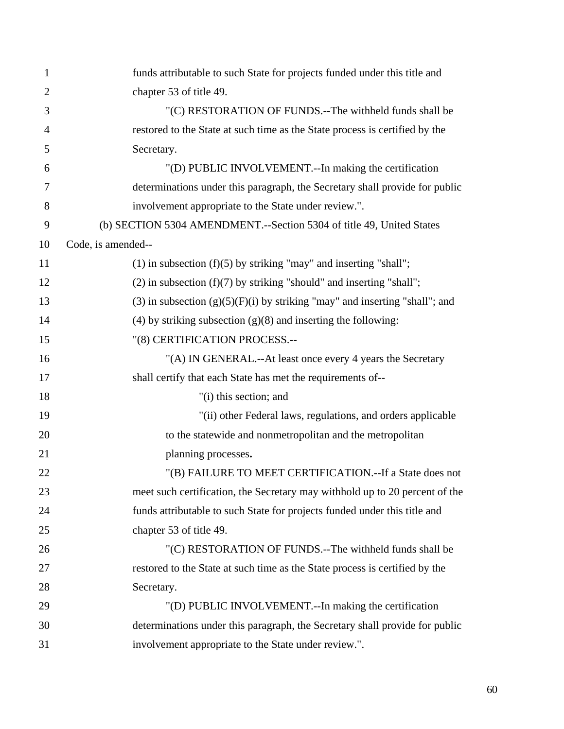| 1  | funds attributable to such State for projects funded under this title and       |
|----|---------------------------------------------------------------------------------|
| 2  | chapter 53 of title 49.                                                         |
| 3  | "(C) RESTORATION OF FUNDS.--The withheld funds shall be                         |
| 4  | restored to the State at such time as the State process is certified by the     |
| 5  | Secretary.                                                                      |
| 6  | "(D) PUBLIC INVOLVEMENT.--In making the certification                           |
| 7  | determinations under this paragraph, the Secretary shall provide for public     |
| 8  | involvement appropriate to the State under review.".                            |
| 9  | (b) SECTION 5304 AMENDMENT.--Section 5304 of title 49, United States            |
| 10 | Code, is amended--                                                              |
| 11 | $(1)$ in subsection $(f)(5)$ by striking "may" and inserting "shall";           |
| 12 | $(2)$ in subsection $(f)(7)$ by striking "should" and inserting "shall";        |
| 13 | $(3)$ in subsection $(g)(5)(F)(i)$ by striking "may" and inserting "shall"; and |
| 14 | (4) by striking subsection $(g)(8)$ and inserting the following:                |
| 15 | "(8) CERTIFICATION PROCESS.--                                                   |
| 16 | "(A) IN GENERAL.--At least once every 4 years the Secretary                     |
| 17 | shall certify that each State has met the requirements of--                     |
| 18 | "(i) this section; and                                                          |
| 19 | "(ii) other Federal laws, regulations, and orders applicable                    |
| 20 | to the statewide and nonmetropolitan and the metropolitan                       |
| 21 | planning processes.                                                             |
| 22 | "(B) FAILURE TO MEET CERTIFICATION.--If a State does not                        |
| 23 | meet such certification, the Secretary may withhold up to 20 percent of the     |
| 24 | funds attributable to such State for projects funded under this title and       |
| 25 | chapter 53 of title 49.                                                         |
| 26 | "(C) RESTORATION OF FUNDS.--The withheld funds shall be                         |
| 27 | restored to the State at such time as the State process is certified by the     |
| 28 | Secretary.                                                                      |
| 29 | "(D) PUBLIC INVOLVEMENT.--In making the certification                           |
| 30 | determinations under this paragraph, the Secretary shall provide for public     |
| 31 | involvement appropriate to the State under review.".                            |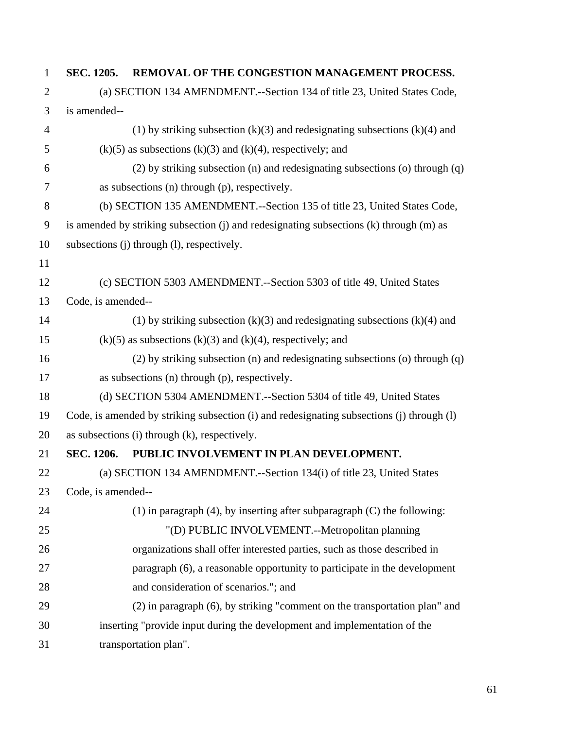## 1 **SEC. 1205. REMOVAL OF THE CONGESTION MANAGEMENT PROCESS.**

| $\overline{2}$ | (a) SECTION 134 AMENDMENT.--Section 134 of title 23, United States Code,                  |  |  |
|----------------|-------------------------------------------------------------------------------------------|--|--|
| 3              | is amended--                                                                              |  |  |
| $\overline{4}$ | (1) by striking subsection $(k)(3)$ and redesignating subsections $(k)(4)$ and            |  |  |
| 5              | $(k)(5)$ as subsections $(k)(3)$ and $(k)(4)$ , respectively; and                         |  |  |
| 6              | (2) by striking subsection (n) and redesignating subsections (o) through (q)              |  |  |
| 7              | as subsections $(n)$ through $(p)$ , respectively.                                        |  |  |
| 8              | (b) SECTION 135 AMENDMENT.--Section 135 of title 23, United States Code,                  |  |  |
| 9              | is amended by striking subsection (j) and redesignating subsections (k) through (m) as    |  |  |
| 10             | subsections (j) through (l), respectively.                                                |  |  |
| 11             |                                                                                           |  |  |
| 12             | (c) SECTION 5303 AMENDMENT.--Section 5303 of title 49, United States                      |  |  |
| 13             | Code, is amended--                                                                        |  |  |
| 14             | (1) by striking subsection $(k)(3)$ and redesignating subsections $(k)(4)$ and            |  |  |
| 15             | $(k)(5)$ as subsections $(k)(3)$ and $(k)(4)$ , respectively; and                         |  |  |
| 16             | (2) by striking subsection (n) and redesignating subsections (o) through (q)              |  |  |
| 17             | as subsections (n) through (p), respectively.                                             |  |  |
| 18             | (d) SECTION 5304 AMENDMENT.--Section 5304 of title 49, United States                      |  |  |
| 19             | Code, is amended by striking subsection (i) and redesignating subsections (j) through (l) |  |  |
| 20             | as subsections (i) through (k), respectively.                                             |  |  |
| 21             | PUBLIC INVOLVEMENT IN PLAN DEVELOPMENT.<br>SEC. 1206.                                     |  |  |
| 22             | (a) SECTION 134 AMENDMENT.--Section 134(i) of title 23, United States                     |  |  |
| 23             | Code, is amended--                                                                        |  |  |
| 24             | $(1)$ in paragraph $(4)$ , by inserting after subparagraph $(C)$ the following:           |  |  |
| 25             | "(D) PUBLIC INVOLVEMENT.--Metropolitan planning                                           |  |  |
| 26             | organizations shall offer interested parties, such as those described in                  |  |  |
| 27             | paragraph (6), a reasonable opportunity to participate in the development                 |  |  |
| 28             | and consideration of scenarios."; and                                                     |  |  |
| 29             | (2) in paragraph (6), by striking "comment on the transportation plan" and                |  |  |
| 30             | inserting "provide input during the development and implementation of the                 |  |  |
| 31             | transportation plan".                                                                     |  |  |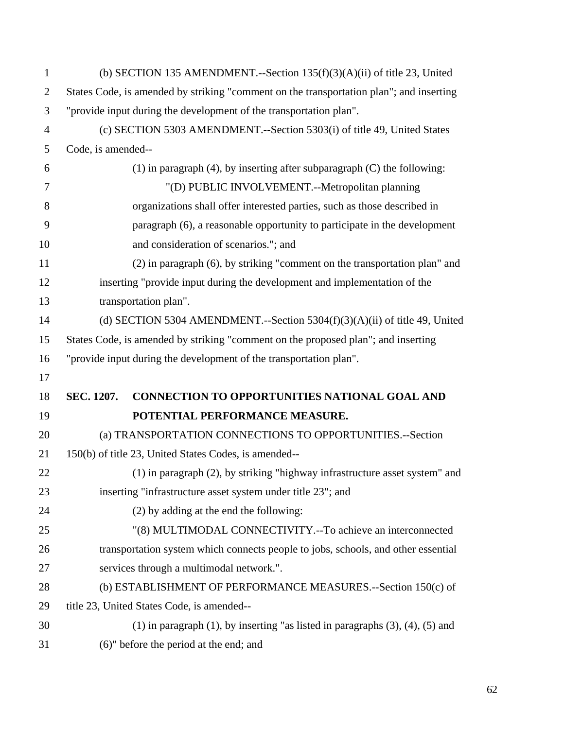| $\mathbf{1}$   | (b) SECTION 135 AMENDMENT.--Section $135(f)(3)(A)(ii)$ of title 23, United                 |
|----------------|--------------------------------------------------------------------------------------------|
| $\overline{2}$ | States Code, is amended by striking "comment on the transportation plan"; and inserting    |
| 3              | "provide input during the development of the transportation plan".                         |
| $\overline{4}$ | (c) SECTION 5303 AMENDMENT.--Section 5303(i) of title 49, United States                    |
| 5              | Code, is amended--                                                                         |
| 6              | $(1)$ in paragraph $(4)$ , by inserting after subparagraph $(C)$ the following:            |
| $\overline{7}$ | "(D) PUBLIC INVOLVEMENT.--Metropolitan planning                                            |
| 8              | organizations shall offer interested parties, such as those described in                   |
| 9              | paragraph (6), a reasonable opportunity to participate in the development                  |
| 10             | and consideration of scenarios."; and                                                      |
| 11             | (2) in paragraph (6), by striking "comment on the transportation plan" and                 |
| 12             | inserting "provide input during the development and implementation of the                  |
| 13             | transportation plan".                                                                      |
| 14             | (d) SECTION 5304 AMENDMENT.--Section 5304 $(f)(3)(A)(ii)$ of title 49, United              |
| 15             | States Code, is amended by striking "comment on the proposed plan"; and inserting          |
| 16             | "provide input during the development of the transportation plan".                         |
| 17             |                                                                                            |
| 18             | <b>CONNECTION TO OPPORTUNITIES NATIONAL GOAL AND</b><br>SEC. 1207.                         |
| 19             | POTENTIAL PERFORMANCE MEASURE.                                                             |
| 20             | (a) TRANSPORTATION CONNECTIONS TO OPPORTUNITIES.--Section                                  |
| 21             | 150(b) of title 23, United States Codes, is amended--                                      |
| 22             | (1) in paragraph (2), by striking "highway infrastructure asset system" and                |
| 23             | inserting "infrastructure asset system under title 23"; and                                |
| 24             | (2) by adding at the end the following:                                                    |
| 25             | "(8) MULTIMODAL CONNECTIVITY.--To achieve an interconnected                                |
| 26             | transportation system which connects people to jobs, schools, and other essential          |
| 27             | services through a multimodal network.".                                                   |
| 28             | (b) ESTABLISHMENT OF PERFORMANCE MEASURES.--Section 150(c) of                              |
| 29             | title 23, United States Code, is amended--                                                 |
| 30             | $(1)$ in paragraph $(1)$ , by inserting "as listed in paragraphs $(3)$ , $(4)$ , $(5)$ and |
| 31             | (6)" before the period at the end; and                                                     |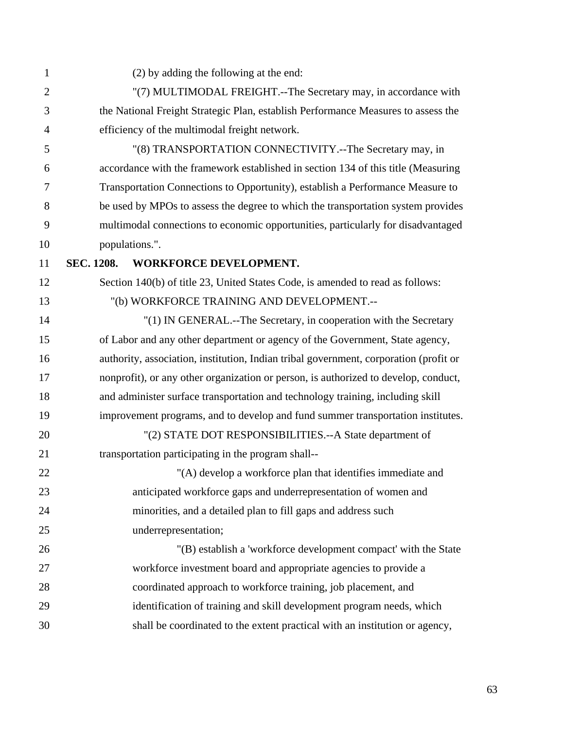| $\mathbf{1}$   | (2) by adding the following at the end:                                               |
|----------------|---------------------------------------------------------------------------------------|
| $\overline{2}$ | "(7) MULTIMODAL FREIGHT.--The Secretary may, in accordance with                       |
| 3              | the National Freight Strategic Plan, establish Performance Measures to assess the     |
| $\overline{4}$ | efficiency of the multimodal freight network.                                         |
| 5              | "(8) TRANSPORTATION CONNECTIVITY.--The Secretary may, in                              |
| 6              | accordance with the framework established in section 134 of this title (Measuring     |
| 7              | Transportation Connections to Opportunity), establish a Performance Measure to        |
| 8              | be used by MPOs to assess the degree to which the transportation system provides      |
| 9              | multimodal connections to economic opportunities, particularly for disadvantaged      |
| 10             | populations.".                                                                        |
| 11             | <b>WORKFORCE DEVELOPMENT.</b><br><b>SEC. 1208.</b>                                    |
| 12             | Section 140(b) of title 23, United States Code, is amended to read as follows:        |
| 13             | "(b) WORKFORCE TRAINING AND DEVELOPMENT.--                                            |
| 14             | "(1) IN GENERAL.--The Secretary, in cooperation with the Secretary                    |
| 15             | of Labor and any other department or agency of the Government, State agency,          |
| 16             | authority, association, institution, Indian tribal government, corporation (profit or |
| 17             | nonprofit), or any other organization or person, is authorized to develop, conduct,   |
| 18             | and administer surface transportation and technology training, including skill        |
| 19             | improvement programs, and to develop and fund summer transportation institutes.       |
| 20             | "(2) STATE DOT RESPONSIBILITIES.--A State department of                               |
| 21             | transportation participating in the program shall--                                   |
| 22             | "(A) develop a workforce plan that identifies immediate and                           |
| 23             | anticipated workforce gaps and underrepresentation of women and                       |
| 24             | minorities, and a detailed plan to fill gaps and address such                         |
| 25             | underrepresentation;                                                                  |
| 26             | "(B) establish a 'workforce development compact' with the State                       |
| 27             | workforce investment board and appropriate agencies to provide a                      |
| 28             | coordinated approach to workforce training, job placement, and                        |
| 29             | identification of training and skill development program needs, which                 |
| 30             | shall be coordinated to the extent practical with an institution or agency,           |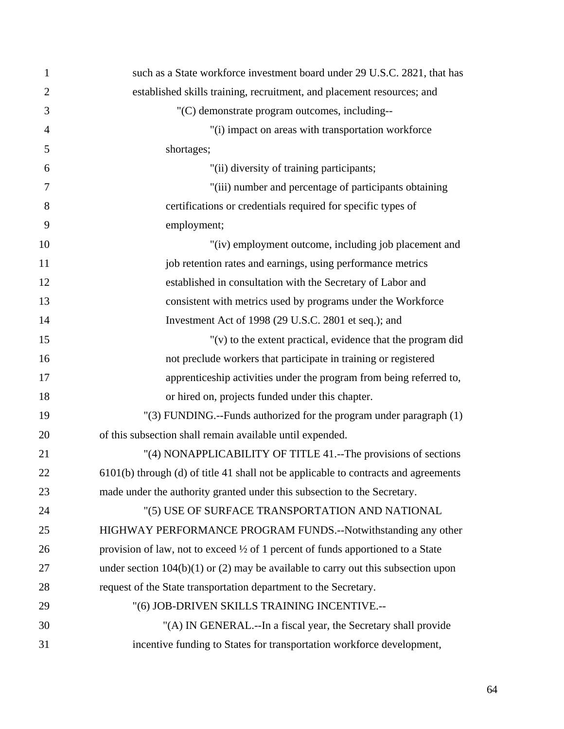| 1              | such as a State workforce investment board under 29 U.S.C. 2821, that has                  |
|----------------|--------------------------------------------------------------------------------------------|
| $\overline{2}$ | established skills training, recruitment, and placement resources; and                     |
| 3              | "(C) demonstrate program outcomes, including--                                             |
| $\overline{4}$ | "(i) impact on areas with transportation workforce                                         |
| 5              | shortages;                                                                                 |
| 6              | "(ii) diversity of training participants;                                                  |
| 7              | "(iii) number and percentage of participants obtaining                                     |
| 8              | certifications or credentials required for specific types of                               |
| 9              | employment;                                                                                |
| 10             | "(iv) employment outcome, including job placement and                                      |
| 11             | job retention rates and earnings, using performance metrics                                |
| 12             | established in consultation with the Secretary of Labor and                                |
| 13             | consistent with metrics used by programs under the Workforce                               |
| 14             | Investment Act of 1998 (29 U.S.C. 2801 et seq.); and                                       |
| 15             | " $(v)$ to the extent practical, evidence that the program did                             |
| 16             | not preclude workers that participate in training or registered                            |
| 17             | apprenticeship activities under the program from being referred to,                        |
| 18             | or hired on, projects funded under this chapter.                                           |
| 19             | "(3) FUNDING.--Funds authorized for the program under paragraph (1)                        |
| 20             | of this subsection shall remain available until expended.                                  |
| 21             | "(4) NONAPPLICABILITY OF TITLE 41.--The provisions of sections                             |
| 22             | 6101(b) through (d) of title 41 shall not be applicable to contracts and agreements        |
| 23             | made under the authority granted under this subsection to the Secretary.                   |
| 24             | "(5) USE OF SURFACE TRANSPORTATION AND NATIONAL                                            |
| 25             | HIGHWAY PERFORMANCE PROGRAM FUNDS.--Notwithstanding any other                              |
| 26             | provision of law, not to exceed $\frac{1}{2}$ of 1 percent of funds apportioned to a State |
| 27             | under section $104(b)(1)$ or (2) may be available to carry out this subsection upon        |
| 28             | request of the State transportation department to the Secretary.                           |
| 29             | "(6) JOB-DRIVEN SKILLS TRAINING INCENTIVE.--                                               |
| 30             | "(A) IN GENERAL.--In a fiscal year, the Secretary shall provide                            |
| 31             | incentive funding to States for transportation workforce development,                      |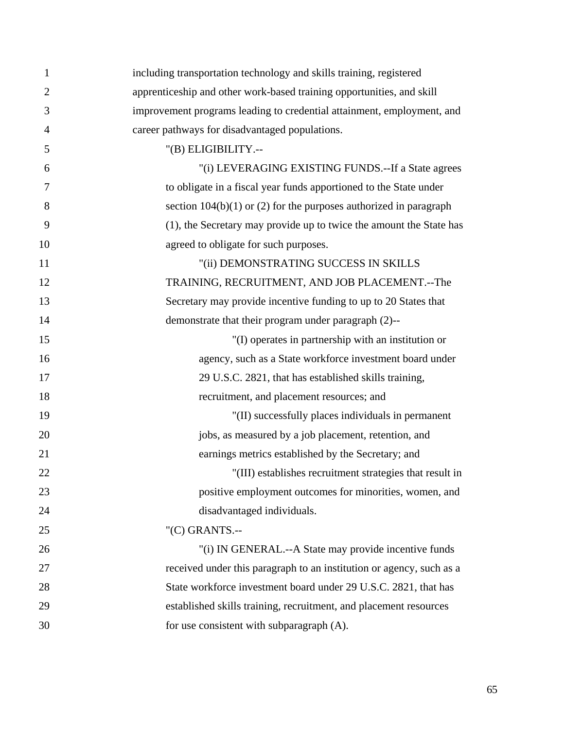| 1              | including transportation technology and skills training, registered    |
|----------------|------------------------------------------------------------------------|
| $\overline{2}$ | apprenticeship and other work-based training opportunities, and skill  |
| 3              | improvement programs leading to credential attainment, employment, and |
| $\overline{4}$ | career pathways for disadvantaged populations.                         |
| 5              | "(B) ELIGIBILITY.--                                                    |
| 6              | "(i) LEVERAGING EXISTING FUNDS.--If a State agrees                     |
| 7              | to obligate in a fiscal year funds apportioned to the State under      |
| 8              | section $104(b)(1)$ or (2) for the purposes authorized in paragraph    |
| 9              | (1), the Secretary may provide up to twice the amount the State has    |
| 10             | agreed to obligate for such purposes.                                  |
| 11             | "(ii) DEMONSTRATING SUCCESS IN SKILLS                                  |
| 12             | TRAINING, RECRUITMENT, AND JOB PLACEMENT.--The                         |
| 13             | Secretary may provide incentive funding to up to 20 States that        |
| 14             | demonstrate that their program under paragraph (2)--                   |
| 15             | "(I) operates in partnership with an institution or                    |
| 16             | agency, such as a State workforce investment board under               |
| 17             | 29 U.S.C. 2821, that has established skills training,                  |
| 18             | recruitment, and placement resources; and                              |
| 19             | "(II) successfully places individuals in permanent                     |
| 20             | jobs, as measured by a job placement, retention, and                   |
| 21             | earnings metrics established by the Secretary; and                     |
| 22             | "(III) establishes recruitment strategies that result in               |
| 23             | positive employment outcomes for minorities, women, and                |
| 24             | disadvantaged individuals.                                             |
| 25             | " $(C)$ GRANTS.--                                                      |
| 26             | "(i) IN GENERAL.--A State may provide incentive funds                  |
| 27             | received under this paragraph to an institution or agency, such as a   |
| 28             | State workforce investment board under 29 U.S.C. 2821, that has        |
| 29             | established skills training, recruitment, and placement resources      |
| 30             | for use consistent with subparagraph (A).                              |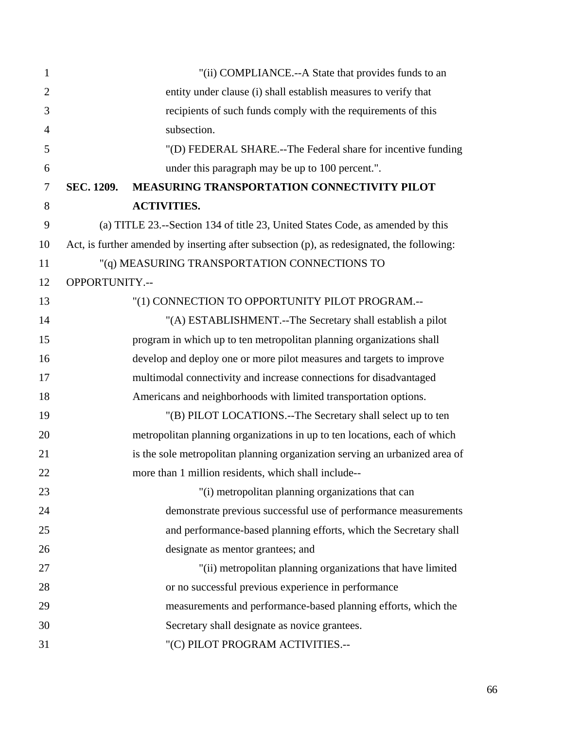| $\mathbf{1}$   |                | "(ii) COMPLIANCE.--A State that provides funds to an                                       |
|----------------|----------------|--------------------------------------------------------------------------------------------|
| $\overline{2}$ |                | entity under clause (i) shall establish measures to verify that                            |
| 3              |                | recipients of such funds comply with the requirements of this                              |
| $\overline{4}$ |                | subsection.                                                                                |
| 5              |                | "(D) FEDERAL SHARE.--The Federal share for incentive funding                               |
| 6              |                | under this paragraph may be up to 100 percent.".                                           |
| $\overline{7}$ | SEC. 1209.     | <b>MEASURING TRANSPORTATION CONNECTIVITY PILOT</b>                                         |
| 8              |                | <b>ACTIVITIES.</b>                                                                         |
| 9              |                | (a) TITLE 23.--Section 134 of title 23, United States Code, as amended by this             |
| 10             |                | Act, is further amended by inserting after subsection (p), as redesignated, the following: |
| 11             |                | "(q) MEASURING TRANSPORTATION CONNECTIONS TO                                               |
| 12             | OPPORTUNITY.-- |                                                                                            |
| 13             |                | "(1) CONNECTION TO OPPORTUNITY PILOT PROGRAM .--                                           |
| 14             |                | "(A) ESTABLISHMENT.--The Secretary shall establish a pilot                                 |
| 15             |                | program in which up to ten metropolitan planning organizations shall                       |
| 16             |                | develop and deploy one or more pilot measures and targets to improve                       |
| 17             |                | multimodal connectivity and increase connections for disadvantaged                         |
| 18             |                | Americans and neighborhoods with limited transportation options.                           |
| 19             |                | "(B) PILOT LOCATIONS.--The Secretary shall select up to ten                                |
| 20             |                | metropolitan planning organizations in up to ten locations, each of which                  |
| 21             |                | is the sole metropolitan planning organization serving an urbanized area of                |
| 22             |                | more than 1 million residents, which shall include--                                       |
| 23             |                | "(i) metropolitan planning organizations that can                                          |
| 24             |                | demonstrate previous successful use of performance measurements                            |
| 25             |                | and performance-based planning efforts, which the Secretary shall                          |
| 26             |                | designate as mentor grantees; and                                                          |
| 27             |                | "(ii) metropolitan planning organizations that have limited                                |
| 28             |                | or no successful previous experience in performance                                        |
| 29             |                | measurements and performance-based planning efforts, which the                             |
| 30             |                | Secretary shall designate as novice grantees.                                              |
| 31             |                | "(C) PILOT PROGRAM ACTIVITIES .--                                                          |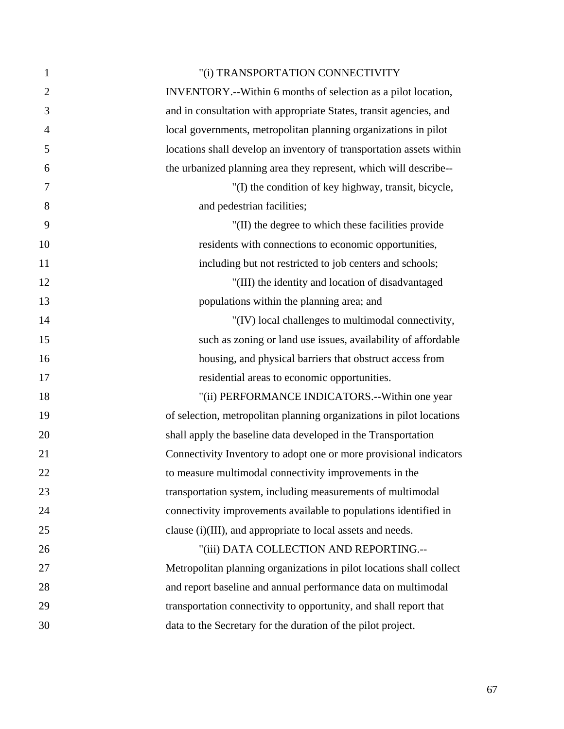| $\mathbf{1}$   | "(i) TRANSPORTATION CONNECTIVITY                                     |
|----------------|----------------------------------------------------------------------|
| $\overline{2}$ | INVENTORY.--Within 6 months of selection as a pilot location,        |
| 3              | and in consultation with appropriate States, transit agencies, and   |
| $\overline{4}$ | local governments, metropolitan planning organizations in pilot      |
| 5              | locations shall develop an inventory of transportation assets within |
| 6              | the urbanized planning area they represent, which will describe--    |
| 7              | "(I) the condition of key highway, transit, bicycle,                 |
| 8              | and pedestrian facilities;                                           |
| 9              | "(II) the degree to which these facilities provide                   |
| 10             | residents with connections to economic opportunities,                |
| 11             | including but not restricted to job centers and schools;             |
| 12             | "(III) the identity and location of disadvantaged                    |
| 13             | populations within the planning area; and                            |
| 14             | "(IV) local challenges to multimodal connectivity,                   |
| 15             | such as zoning or land use issues, availability of affordable        |
| 16             | housing, and physical barriers that obstruct access from             |
| 17             | residential areas to economic opportunities.                         |
| 18             | "(ii) PERFORMANCE INDICATORS.--Within one year                       |
| 19             | of selection, metropolitan planning organizations in pilot locations |
| 20             | shall apply the baseline data developed in the Transportation        |
| 21             | Connectivity Inventory to adopt one or more provisional indicators   |
| 22             | to measure multimodal connectivity improvements in the               |
| 23             | transportation system, including measurements of multimodal          |
| 24             | connectivity improvements available to populations identified in     |
| 25             | clause (i)(III), and appropriate to local assets and needs.          |
| 26             | "(iii) DATA COLLECTION AND REPORTING .--                             |
| 27             | Metropolitan planning organizations in pilot locations shall collect |
| 28             | and report baseline and annual performance data on multimodal        |
| 29             | transportation connectivity to opportunity, and shall report that    |
| 30             | data to the Secretary for the duration of the pilot project.         |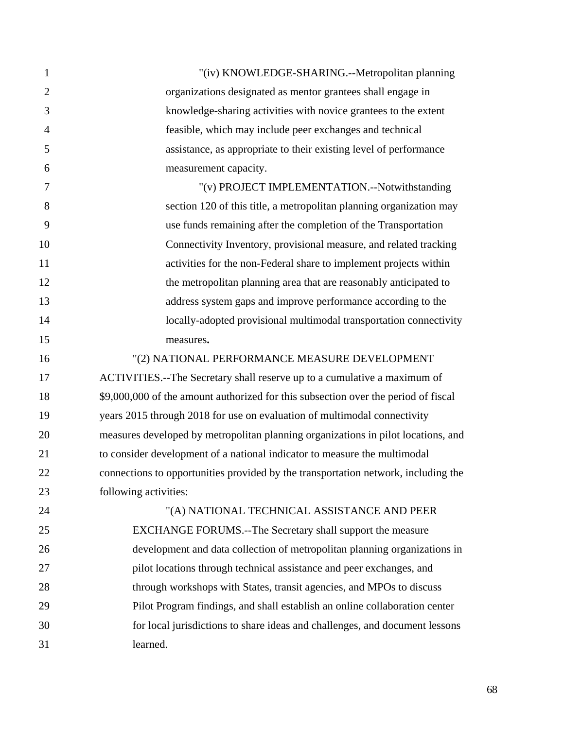| 1              | "(iv) KNOWLEDGE-SHARING.--Metropolitan planning                                    |
|----------------|------------------------------------------------------------------------------------|
| $\overline{2}$ | organizations designated as mentor grantees shall engage in                        |
| 3              | knowledge-sharing activities with novice grantees to the extent                    |
| $\overline{4}$ | feasible, which may include peer exchanges and technical                           |
| 5              | assistance, as appropriate to their existing level of performance                  |
| 6              | measurement capacity.                                                              |
| $\tau$         | "(v) PROJECT IMPLEMENTATION.--Notwithstanding                                      |
| 8              | section 120 of this title, a metropolitan planning organization may                |
| 9              | use funds remaining after the completion of the Transportation                     |
| 10             | Connectivity Inventory, provisional measure, and related tracking                  |
| 11             | activities for the non-Federal share to implement projects within                  |
| 12             | the metropolitan planning area that are reasonably anticipated to                  |
| 13             | address system gaps and improve performance according to the                       |
| 14             | locally-adopted provisional multimodal transportation connectivity                 |
| 15             | measures.                                                                          |
| 16             | "(2) NATIONAL PERFORMANCE MEASURE DEVELOPMENT                                      |
| 17             | ACTIVITIES.--The Secretary shall reserve up to a cumulative a maximum of           |
| 18             | \$9,000,000 of the amount authorized for this subsection over the period of fiscal |
| 19             | years 2015 through 2018 for use on evaluation of multimodal connectivity           |
| 20             | measures developed by metropolitan planning organizations in pilot locations, and  |
| 21             | to consider development of a national indicator to measure the multimodal          |
| 22             | connections to opportunities provided by the transportation network, including the |
| 23             | following activities:                                                              |
| 24             | "(A) NATIONAL TECHNICAL ASSISTANCE AND PEER                                        |
| 25             | EXCHANGE FORUMS.--The Secretary shall support the measure                          |
| 26             | development and data collection of metropolitan planning organizations in          |
| 27             | pilot locations through technical assistance and peer exchanges, and               |
| 28             | through workshops with States, transit agencies, and MPOs to discuss               |
| 29             | Pilot Program findings, and shall establish an online collaboration center         |
| 30             | for local jurisdictions to share ideas and challenges, and document lessons        |
| 31             | learned.                                                                           |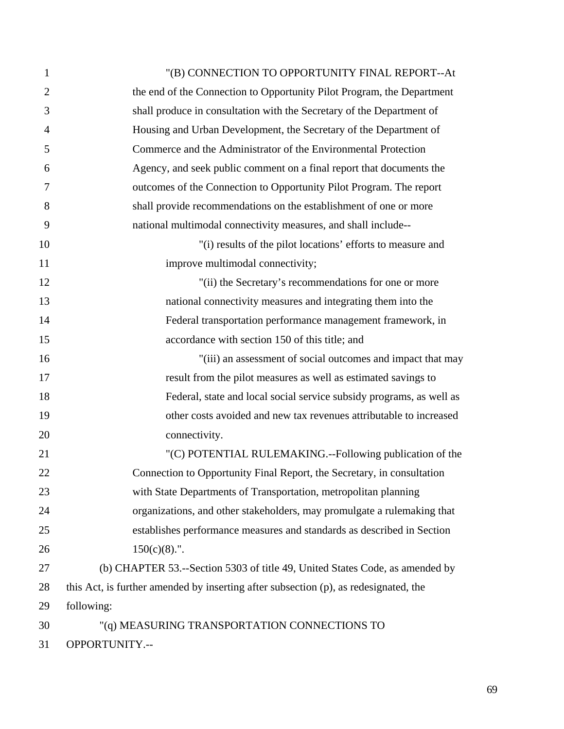| $\mathbf{1}$   | "(B) CONNECTION TO OPPORTUNITY FINAL REPORT--At                                      |
|----------------|--------------------------------------------------------------------------------------|
| $\overline{2}$ | the end of the Connection to Opportunity Pilot Program, the Department               |
| 3              | shall produce in consultation with the Secretary of the Department of                |
| $\overline{4}$ | Housing and Urban Development, the Secretary of the Department of                    |
| 5              | Commerce and the Administrator of the Environmental Protection                       |
| 6              | Agency, and seek public comment on a final report that documents the                 |
| 7              | outcomes of the Connection to Opportunity Pilot Program. The report                  |
| 8              | shall provide recommendations on the establishment of one or more                    |
| 9              | national multimodal connectivity measures, and shall include--                       |
| 10             | "(i) results of the pilot locations' efforts to measure and                          |
| 11             | improve multimodal connectivity;                                                     |
| 12             | "(ii) the Secretary's recommendations for one or more                                |
| 13             | national connectivity measures and integrating them into the                         |
| 14             | Federal transportation performance management framework, in                          |
| 15             | accordance with section 150 of this title; and                                       |
| 16             | "(iii) an assessment of social outcomes and impact that may                          |
| 17             | result from the pilot measures as well as estimated savings to                       |
| 18             | Federal, state and local social service subsidy programs, as well as                 |
| 19             | other costs avoided and new tax revenues attributable to increased                   |
| 20             | connectivity.                                                                        |
| 21             | "(C) POTENTIAL RULEMAKING.--Following publication of the                             |
| 22             | Connection to Opportunity Final Report, the Secretary, in consultation               |
| 23             | with State Departments of Transportation, metropolitan planning                      |
| 24             | organizations, and other stakeholders, may promulgate a rulemaking that              |
| 25             | establishes performance measures and standards as described in Section               |
| 26             | $150(c)(8)$ .".                                                                      |
| 27             | (b) CHAPTER 53.--Section 5303 of title 49, United States Code, as amended by         |
| 28             | this Act, is further amended by inserting after subsection (p), as redesignated, the |
| 29             | following:                                                                           |
| 30             | "(q) MEASURING TRANSPORTATION CONNECTIONS TO                                         |
| 31             | OPPORTUNITY.--                                                                       |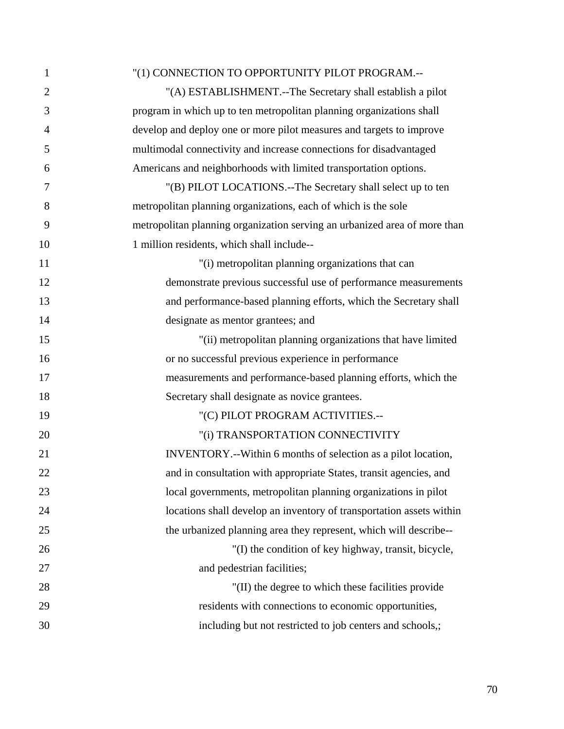| 1              | "(1) CONNECTION TO OPPORTUNITY PILOT PROGRAM.--                           |
|----------------|---------------------------------------------------------------------------|
| $\overline{2}$ | "(A) ESTABLISHMENT.--The Secretary shall establish a pilot                |
| 3              | program in which up to ten metropolitan planning organizations shall      |
| 4              | develop and deploy one or more pilot measures and targets to improve      |
| 5              | multimodal connectivity and increase connections for disadvantaged        |
| 6              | Americans and neighborhoods with limited transportation options.          |
| 7              | "(B) PILOT LOCATIONS.--The Secretary shall select up to ten               |
| 8              | metropolitan planning organizations, each of which is the sole            |
| 9              | metropolitan planning organization serving an urbanized area of more than |
| 10             | 1 million residents, which shall include--                                |
| 11             | "(i) metropolitan planning organizations that can                         |
| 12             | demonstrate previous successful use of performance measurements           |
| 13             | and performance-based planning efforts, which the Secretary shall         |
| 14             | designate as mentor grantees; and                                         |
| 15             | "(ii) metropolitan planning organizations that have limited               |
| 16             | or no successful previous experience in performance                       |
| 17             | measurements and performance-based planning efforts, which the            |
| 18             | Secretary shall designate as novice grantees.                             |
| 19             | "(C) PILOT PROGRAM ACTIVITIES.--                                          |
| 20             | "(i) TRANSPORTATION CONNECTIVITY                                          |
| 21             | INVENTORY.--Within 6 months of selection as a pilot location,             |
| 22             | and in consultation with appropriate States, transit agencies, and        |
| 23             | local governments, metropolitan planning organizations in pilot           |
| 24             | locations shall develop an inventory of transportation assets within      |
| 25             | the urbanized planning area they represent, which will describe--         |
| 26             | "(I) the condition of key highway, transit, bicycle,                      |
| 27             | and pedestrian facilities;                                                |
| 28             | "(II) the degree to which these facilities provide                        |
| 29             | residents with connections to economic opportunities,                     |
| 30             | including but not restricted to job centers and schools,;                 |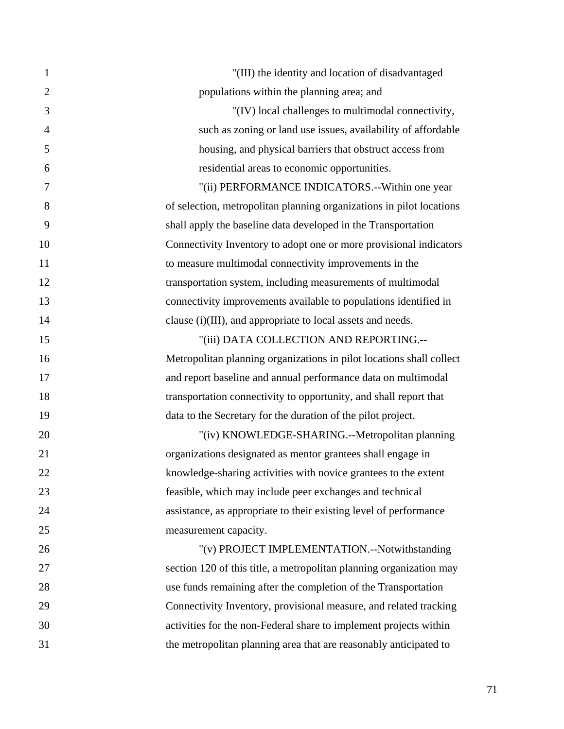| $\mathbf{1}$   | "(III) the identity and location of disadvantaged                    |
|----------------|----------------------------------------------------------------------|
| $\overline{2}$ | populations within the planning area; and                            |
| 3              | "(IV) local challenges to multimodal connectivity,                   |
| $\overline{4}$ | such as zoning or land use issues, availability of affordable        |
| 5              | housing, and physical barriers that obstruct access from             |
| 6              | residential areas to economic opportunities.                         |
| 7              | "(ii) PERFORMANCE INDICATORS.--Within one year                       |
| 8              | of selection, metropolitan planning organizations in pilot locations |
| 9              | shall apply the baseline data developed in the Transportation        |
| 10             | Connectivity Inventory to adopt one or more provisional indicators   |
| 11             | to measure multimodal connectivity improvements in the               |
| 12             | transportation system, including measurements of multimodal          |
| 13             | connectivity improvements available to populations identified in     |
| 14             | clause (i)(III), and appropriate to local assets and needs.          |
| 15             | "(iii) DATA COLLECTION AND REPORTING.--                              |
| 16             | Metropolitan planning organizations in pilot locations shall collect |
| 17             | and report baseline and annual performance data on multimodal        |
| 18             | transportation connectivity to opportunity, and shall report that    |
| 19             | data to the Secretary for the duration of the pilot project.         |
| 20             | "(iv) KNOWLEDGE-SHARING.--Metropolitan planning                      |
| 21             | organizations designated as mentor grantees shall engage in          |
| 22             | knowledge-sharing activities with novice grantees to the extent      |
| 23             | feasible, which may include peer exchanges and technical             |
| 24             | assistance, as appropriate to their existing level of performance    |
| 25             | measurement capacity.                                                |
| 26             | "(v) PROJECT IMPLEMENTATION.--Notwithstanding                        |
| 27             | section 120 of this title, a metropolitan planning organization may  |
| 28             | use funds remaining after the completion of the Transportation       |
| 29             | Connectivity Inventory, provisional measure, and related tracking    |
| 30             | activities for the non-Federal share to implement projects within    |
| 31             | the metropolitan planning area that are reasonably anticipated to    |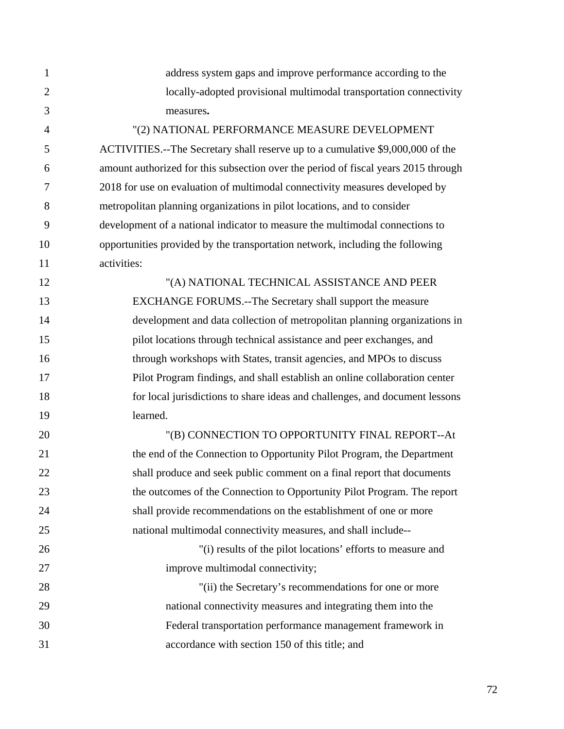1 address system gaps and improve performance according to the 2 locally-adopted provisional multimodal transportation connectivity 3 measures**.** 

4 "(2) NATIONAL PERFORMANCE MEASURE DEVELOPMENT 5 ACTIVITIES.--The Secretary shall reserve up to a cumulative \$9,000,000 of the 6 amount authorized for this subsection over the period of fiscal years 2015 through 7 2018 for use on evaluation of multimodal connectivity measures developed by 8 metropolitan planning organizations in pilot locations, and to consider 9 development of a national indicator to measure the multimodal connections to 10 opportunities provided by the transportation network, including the following 11 activities:

12 "(A) NATIONAL TECHNICAL ASSISTANCE AND PEER 13 EXCHANGE FORUMS.--The Secretary shall support the measure 14 development and data collection of metropolitan planning organizations in 15 pilot locations through technical assistance and peer exchanges, and 16 through workshops with States, transit agencies, and MPOs to discuss 17 Pilot Program findings, and shall establish an online collaboration center 18 for local jurisdictions to share ideas and challenges, and document lessons 19 learned.

20 "(B) CONNECTION TO OPPORTUNITY FINAL REPORT--At 21 the end of the Connection to Opportunity Pilot Program, the Department 22 shall produce and seek public comment on a final report that documents 23 the outcomes of the Connection to Opportunity Pilot Program. The report 24 shall provide recommendations on the establishment of one or more 25 national multimodal connectivity measures, and shall include--

26 "(i) results of the pilot locations' efforts to measure and 27 improve multimodal connectivity;

28 "(ii) the Secretary's recommendations for one or more 29 national connectivity measures and integrating them into the 30 Federal transportation performance management framework in 31 accordance with section 150 of this title; and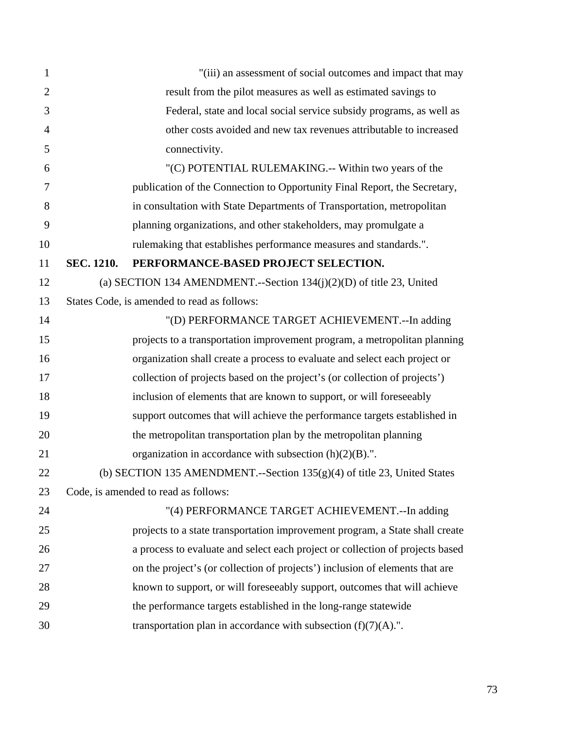| $\mathbf{1}$   |            | "(iii) an assessment of social outcomes and impact that may                   |
|----------------|------------|-------------------------------------------------------------------------------|
| $\overline{2}$ |            | result from the pilot measures as well as estimated savings to                |
| 3              |            | Federal, state and local social service subsidy programs, as well as          |
| $\overline{4}$ |            | other costs avoided and new tax revenues attributable to increased            |
| 5              |            | connectivity.                                                                 |
| 6              |            | "(C) POTENTIAL RULEMAKING.-- Within two years of the                          |
| 7              |            | publication of the Connection to Opportunity Final Report, the Secretary,     |
| 8              |            | in consultation with State Departments of Transportation, metropolitan        |
| 9              |            | planning organizations, and other stakeholders, may promulgate a              |
| 10             |            | rulemaking that establishes performance measures and standards.".             |
| 11             | SEC. 1210. | PERFORMANCE-BASED PROJECT SELECTION.                                          |
| 12             |            | (a) SECTION 134 AMENDMENT.--Section $134(j)(2)(D)$ of title 23, United        |
| 13             |            | States Code, is amended to read as follows:                                   |
| 14             |            | "(D) PERFORMANCE TARGET ACHIEVEMENT.--In adding                               |
| 15             |            | projects to a transportation improvement program, a metropolitan planning     |
| 16             |            | organization shall create a process to evaluate and select each project or    |
| 17             |            | collection of projects based on the project's (or collection of projects')    |
| 18             |            | inclusion of elements that are known to support, or will foreseeably          |
| 19             |            | support outcomes that will achieve the performance targets established in     |
| 20             |            | the metropolitan transportation plan by the metropolitan planning             |
| 21             |            | organization in accordance with subsection $(h)(2)(B)$ .".                    |
| 22             |            | (b) SECTION 135 AMENDMENT.--Section $135(g)(4)$ of title 23, United States    |
| 23             |            | Code, is amended to read as follows:                                          |
| 24             |            | "(4) PERFORMANCE TARGET ACHIEVEMENT.--In adding                               |
| 25             |            | projects to a state transportation improvement program, a State shall create  |
| 26             |            | a process to evaluate and select each project or collection of projects based |
| 27             |            | on the project's (or collection of projects') inclusion of elements that are  |
| 28             |            | known to support, or will foreseeably support, outcomes that will achieve     |
| 29             |            | the performance targets established in the long-range statewide               |
| 30             |            | transportation plan in accordance with subsection $(f)(7)(A)$ .".             |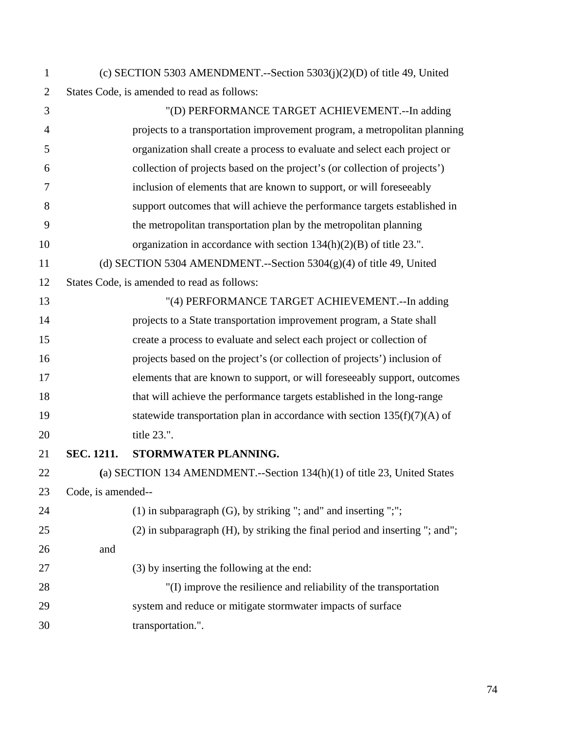| $\mathbf{1}$   |                    | (c) SECTION 5303 AMENDMENT.--Section $5303(j)(2)(D)$ of title 49, United     |
|----------------|--------------------|------------------------------------------------------------------------------|
| $\overline{2}$ |                    | States Code, is amended to read as follows:                                  |
| 3              |                    | "(D) PERFORMANCE TARGET ACHIEVEMENT.--In adding                              |
| $\overline{4}$ |                    | projects to a transportation improvement program, a metropolitan planning    |
| 5              |                    | organization shall create a process to evaluate and select each project or   |
| 6              |                    | collection of projects based on the project's (or collection of projects')   |
| 7              |                    | inclusion of elements that are known to support, or will foreseeably         |
| 8              |                    | support outcomes that will achieve the performance targets established in    |
| 9              |                    | the metropolitan transportation plan by the metropolitan planning            |
| 10             |                    | organization in accordance with section $134(h)(2)(B)$ of title 23.".        |
| 11             |                    | (d) SECTION 5304 AMENDMENT.--Section $5304(g)(4)$ of title 49, United        |
| 12             |                    | States Code, is amended to read as follows:                                  |
| 13             |                    | "(4) PERFORMANCE TARGET ACHIEVEMENT.--In adding                              |
| 14             |                    | projects to a State transportation improvement program, a State shall        |
| 15             |                    | create a process to evaluate and select each project or collection of        |
| 16             |                    | projects based on the project's (or collection of projects') inclusion of    |
| 17             |                    | elements that are known to support, or will foreseeably support, outcomes    |
| 18             |                    | that will achieve the performance targets established in the long-range      |
| 19             |                    | statewide transportation plan in accordance with section $135(f)(7)(A)$ of   |
| 20             |                    | title 23.".                                                                  |
| 21             | <b>SEC. 1211.</b>  | STORMWATER PLANNING.                                                         |
| 22             |                    | (a) SECTION 134 AMENDMENT.--Section 134(h)(1) of title 23, United States     |
| 23             | Code, is amended-- |                                                                              |
| 24             |                    | $(1)$ in subparagraph $(G)$ , by striking "; and" and inserting ";";         |
| 25             |                    | (2) in subparagraph (H), by striking the final period and inserting "; and"; |
| 26             | and                |                                                                              |
| 27             |                    | (3) by inserting the following at the end:                                   |
| 28             |                    | "(I) improve the resilience and reliability of the transportation            |
| 29             |                    | system and reduce or mitigate stormwater impacts of surface                  |
| 30             |                    | transportation.".                                                            |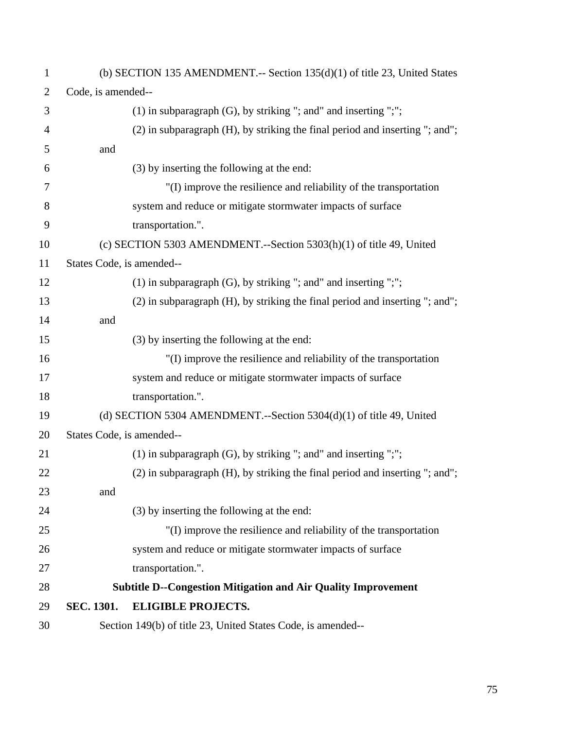| $\mathbf{1}$   |                           | (b) SECTION 135 AMENDMENT.-- Section $135(d)(1)$ of title 23, United States  |
|----------------|---------------------------|------------------------------------------------------------------------------|
| $\overline{2}$ | Code, is amended--        |                                                                              |
| 3              |                           | $(1)$ in subparagraph $(G)$ , by striking "; and" and inserting ";";         |
| $\overline{4}$ |                           | (2) in subparagraph (H), by striking the final period and inserting "; and"; |
| 5              | and                       |                                                                              |
| 6              |                           | (3) by inserting the following at the end:                                   |
| 7              |                           | "(I) improve the resilience and reliability of the transportation            |
| 8              |                           | system and reduce or mitigate stormwater impacts of surface                  |
| 9              |                           | transportation.".                                                            |
| 10             |                           | (c) SECTION 5303 AMENDMENT.--Section $5303(h)(1)$ of title 49, United        |
| 11             | States Code, is amended-- |                                                                              |
| 12             |                           | $(1)$ in subparagraph $(G)$ , by striking "; and" and inserting ";";         |
| 13             |                           | (2) in subparagraph (H), by striking the final period and inserting "; and"; |
| 14             | and                       |                                                                              |
| 15             |                           | (3) by inserting the following at the end:                                   |
| 16             |                           | "(I) improve the resilience and reliability of the transportation            |
| 17             |                           | system and reduce or mitigate stormwater impacts of surface                  |
| 18             |                           | transportation.".                                                            |
| 19             |                           | (d) SECTION 5304 AMENDMENT.--Section $5304(d)(1)$ of title 49, United        |
| 20             | States Code, is amended-- |                                                                              |
| 21             |                           | $(1)$ in subparagraph $(G)$ , by striking "; and" and inserting ";";         |
| 22             |                           | (2) in subparagraph (H), by striking the final period and inserting "; and"; |
| 23             | and                       |                                                                              |
| 24             |                           | (3) by inserting the following at the end:                                   |
| 25             |                           | "(I) improve the resilience and reliability of the transportation            |
| 26             |                           | system and reduce or mitigate stormwater impacts of surface                  |
| 27             |                           | transportation.".                                                            |
| 28             |                           | <b>Subtitle D--Congestion Mitigation and Air Quality Improvement</b>         |
| 29             | SEC. 1301.                | <b>ELIGIBLE PROJECTS.</b>                                                    |
| 30             |                           | Section 149(b) of title 23, United States Code, is amended--                 |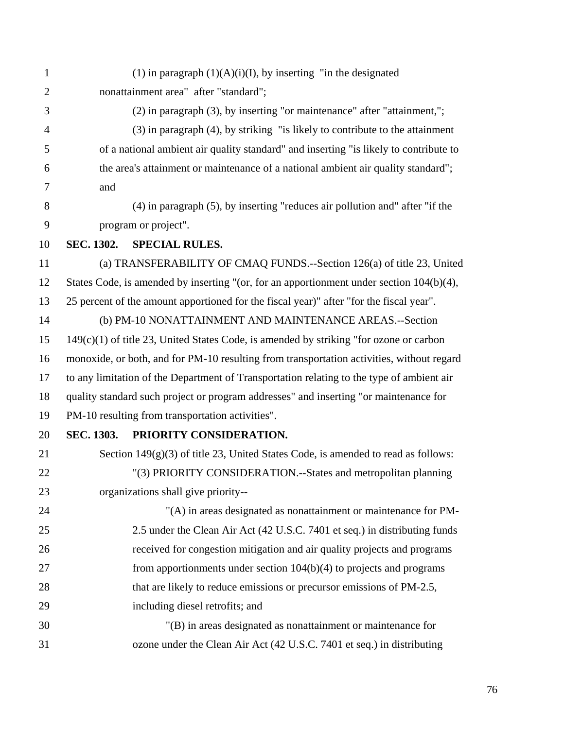1 (1) in paragraph  $(1)(A)(i)(I)$ , by inserting "in the designated 2 nonattainment area" after "standard"; 3 (2) in paragraph (3), by inserting "or maintenance" after "attainment,"; 4 (3) in paragraph (4), by striking "is likely to contribute to the attainment 5 of a national ambient air quality standard" and inserting "is likely to contribute to 6 the area's attainment or maintenance of a national ambient air quality standard"; 7 and 8 (4) in paragraph (5), by inserting "reduces air pollution and" after "if the 9 program or project". 10 **SEC. 1302. SPECIAL RULES.**  11 (a) TRANSFERABILITY OF CMAQ FUNDS.--Section 126(a) of title 23, United 12 States Code, is amended by inserting "(or, for an apportionment under section 104(b)(4), 13 25 percent of the amount apportioned for the fiscal year)" after "for the fiscal year". 14 (b) PM-10 NONATTAINMENT AND MAINTENANCE AREAS.--Section 15 149(c)(1) of title 23, United States Code, is amended by striking "for ozone or carbon 16 monoxide, or both, and for PM-10 resulting from transportation activities, without regard 17 to any limitation of the Department of Transportation relating to the type of ambient air 18 quality standard such project or program addresses" and inserting "or maintenance for 19 PM-10 resulting from transportation activities". 20 **SEC. 1303. PRIORITY CONSIDERATION.**  21 Section 149(g)(3) of title 23, United States Code, is amended to read as follows: 22 "(3) PRIORITY CONSIDERATION.--States and metropolitan planning 23 organizations shall give priority-- 24 "(A) in areas designated as nonattainment or maintenance for PM-25 2.5 under the Clean Air Act (42 U.S.C. 7401 et seq.) in distributing funds 26 received for congestion mitigation and air quality projects and programs 27 from apportionments under section 104(b)(4) to projects and programs 28 that are likely to reduce emissions or precursor emissions of PM-2.5, 29 including diesel retrofits; and 30 "(B) in areas designated as nonattainment or maintenance for 31 ozone under the Clean Air Act (42 U.S.C. 7401 et seq.) in distributing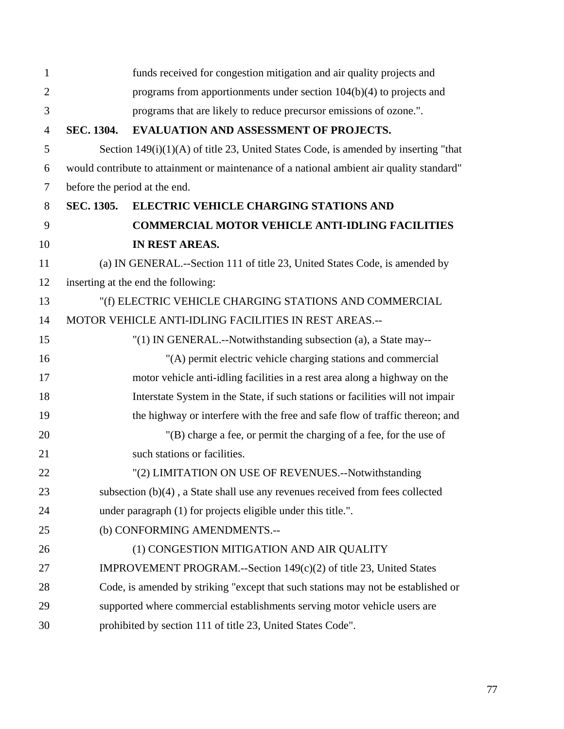| $\mathbf{1}$   |                   | funds received for congestion mitigation and air quality projects and                     |
|----------------|-------------------|-------------------------------------------------------------------------------------------|
| $\overline{2}$ |                   | programs from apportionments under section $104(b)(4)$ to projects and                    |
| 3              |                   | programs that are likely to reduce precursor emissions of ozone.".                        |
| $\overline{4}$ | <b>SEC. 1304.</b> | EVALUATION AND ASSESSMENT OF PROJECTS.                                                    |
| 5              |                   | Section $149(i)(1)(A)$ of title 23, United States Code, is amended by inserting "that     |
| 6              |                   | would contribute to attainment or maintenance of a national ambient air quality standard" |
| 7              |                   | before the period at the end.                                                             |
| 8              | <b>SEC. 1305.</b> | <b>ELECTRIC VEHICLE CHARGING STATIONS AND</b>                                             |
| 9              |                   | <b>COMMERCIAL MOTOR VEHICLE ANTI-IDLING FACILITIES</b>                                    |
| 10             |                   | IN REST AREAS.                                                                            |
| 11             |                   | (a) IN GENERAL.--Section 111 of title 23, United States Code, is amended by               |
| 12             |                   | inserting at the end the following:                                                       |
| 13             |                   | "(f) ELECTRIC VEHICLE CHARGING STATIONS AND COMMERCIAL                                    |
| 14             |                   | MOTOR VEHICLE ANTI-IDLING FACILITIES IN REST AREAS.--                                     |
| 15             |                   | "(1) IN GENERAL.--Notwithstanding subsection (a), a State may--                           |
| 16             |                   | "(A) permit electric vehicle charging stations and commercial                             |
| 17             |                   | motor vehicle anti-idling facilities in a rest area along a highway on the                |
| 18             |                   | Interstate System in the State, if such stations or facilities will not impair            |
| 19             |                   | the highway or interfere with the free and safe flow of traffic thereon; and              |
| 20             |                   | "(B) charge a fee, or permit the charging of a fee, for the use of                        |
| 21             |                   | such stations or facilities.                                                              |
| 22             |                   | "(2) LIMITATION ON USE OF REVENUES.--Notwithstanding                                      |
| 23             |                   | subsection (b)(4), a State shall use any revenues received from fees collected            |
| 24             |                   | under paragraph (1) for projects eligible under this title.".                             |
| 25             |                   | (b) CONFORMING AMENDMENTS.--                                                              |
| 26             |                   | (1) CONGESTION MITIGATION AND AIR QUALITY                                                 |
| 27             |                   | IMPROVEMENT PROGRAM.--Section 149(c)(2) of title 23, United States                        |
| 28             |                   | Code, is amended by striking "except that such stations may not be established or         |
| 29             |                   | supported where commercial establishments serving motor vehicle users are                 |
| 30             |                   | prohibited by section 111 of title 23, United States Code".                               |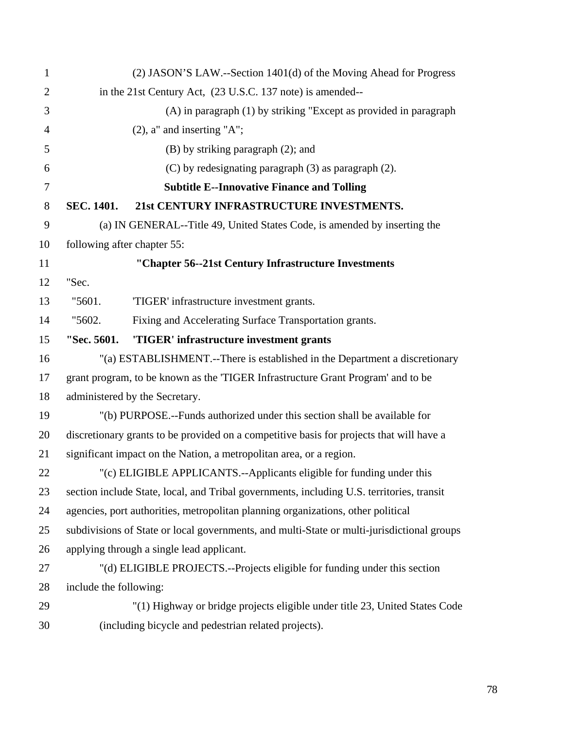| 1              |                             | (2) JASON'S LAW.--Section 1401(d) of the Moving Ahead for Progress                         |
|----------------|-----------------------------|--------------------------------------------------------------------------------------------|
| $\overline{2}$ |                             | in the 21st Century Act, (23 U.S.C. 137 note) is amended--                                 |
| 3              |                             | (A) in paragraph (1) by striking "Except as provided in paragraph                          |
| $\overline{4}$ |                             | $(2)$ , a" and inserting "A";                                                              |
| 5              |                             | $(B)$ by striking paragraph $(2)$ ; and                                                    |
| 6              |                             | $(C)$ by redesignating paragraph $(3)$ as paragraph $(2)$ .                                |
| $\overline{7}$ |                             | <b>Subtitle E--Innovative Finance and Tolling</b>                                          |
| 8              | SEC. 1401.                  | 21st CENTURY INFRASTRUCTURE INVESTMENTS.                                                   |
| 9              |                             | (a) IN GENERAL--Title 49, United States Code, is amended by inserting the                  |
| 10             | following after chapter 55: |                                                                                            |
| 11             |                             | "Chapter 56--21st Century Infrastructure Investments                                       |
| 12             | "Sec.                       |                                                                                            |
| 13             | "5601.                      | 'TIGER' infrastructure investment grants.                                                  |
| 14             | "5602.                      | Fixing and Accelerating Surface Transportation grants.                                     |
| 15             | "Sec. 5601.                 | 'TIGER' infrastructure investment grants                                                   |
| 16             |                             | "(a) ESTABLISHMENT.--There is established in the Department a discretionary                |
| 17             |                             | grant program, to be known as the 'TIGER Infrastructure Grant Program' and to be           |
| 18             |                             | administered by the Secretary.                                                             |
| 19             |                             | "(b) PURPOSE.--Funds authorized under this section shall be available for                  |
| 20             |                             | discretionary grants to be provided on a competitive basis for projects that will have a   |
| 21             |                             | significant impact on the Nation, a metropolitan area, or a region.                        |
| 22             |                             | "(c) ELIGIBLE APPLICANTS.--Applicants eligible for funding under this                      |
| 23             |                             | section include State, local, and Tribal governments, including U.S. territories, transit  |
| 24             |                             | agencies, port authorities, metropolitan planning organizations, other political           |
| 25             |                             | subdivisions of State or local governments, and multi-State or multi-jurisdictional groups |
| 26             |                             | applying through a single lead applicant.                                                  |
| 27             |                             | "(d) ELIGIBLE PROJECTS.--Projects eligible for funding under this section                  |
| 28             | include the following:      |                                                                                            |
| 29             |                             | "(1) Highway or bridge projects eligible under title 23, United States Code                |
| 30             |                             | (including bicycle and pedestrian related projects).                                       |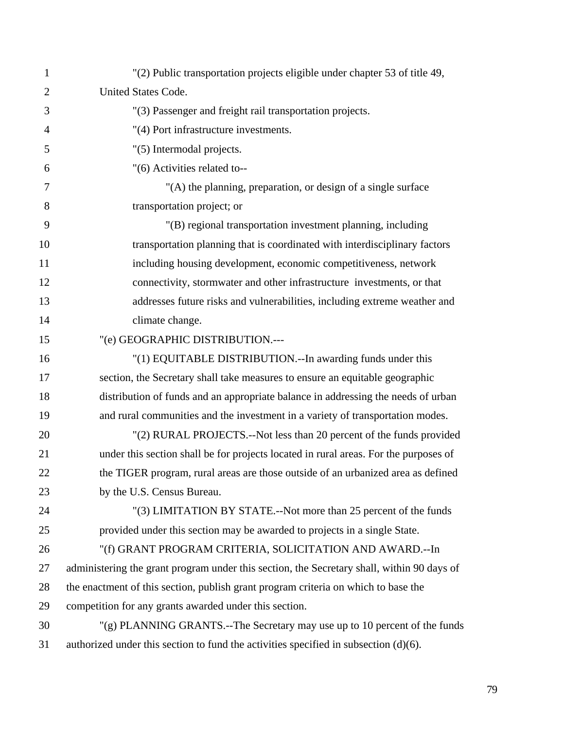| $\mathbf{1}$   | "(2) Public transportation projects eligible under chapter 53 of title 49,                 |
|----------------|--------------------------------------------------------------------------------------------|
| $\overline{2}$ | United States Code.                                                                        |
| 3              | "(3) Passenger and freight rail transportation projects.                                   |
| 4              | "(4) Port infrastructure investments.                                                      |
| 5              | "(5) Intermodal projects.                                                                  |
| 6              | "(6) Activities related to--                                                               |
| 7              | "(A) the planning, preparation, or design of a single surface                              |
| 8              | transportation project; or                                                                 |
| 9              | "(B) regional transportation investment planning, including                                |
| 10             | transportation planning that is coordinated with interdisciplinary factors                 |
| 11             | including housing development, economic competitiveness, network                           |
| 12             | connectivity, stormwater and other infrastructure investments, or that                     |
| 13             | addresses future risks and vulnerabilities, including extreme weather and                  |
| 14             | climate change.                                                                            |
| 15             | "(e) GEOGRAPHIC DISTRIBUTION .---                                                          |
| 16             | "(1) EQUITABLE DISTRIBUTION.--In awarding funds under this                                 |
| 17             | section, the Secretary shall take measures to ensure an equitable geographic               |
| 18             | distribution of funds and an appropriate balance in addressing the needs of urban          |
| 19             | and rural communities and the investment in a variety of transportation modes.             |
| 20             | "(2) RURAL PROJECTS.--Not less than 20 percent of the funds provided                       |
| 21             | under this section shall be for projects located in rural areas. For the purposes of       |
| 22             | the TIGER program, rural areas are those outside of an urbanized area as defined           |
| 23             | by the U.S. Census Bureau.                                                                 |
| 24             | "(3) LIMITATION BY STATE.--Not more than 25 percent of the funds                           |
| 25             | provided under this section may be awarded to projects in a single State.                  |
| 26             | "(f) GRANT PROGRAM CRITERIA, SOLICITATION AND AWARD.-- In                                  |
| 27             | administering the grant program under this section, the Secretary shall, within 90 days of |
| 28             | the enactment of this section, publish grant program criteria on which to base the         |
| 29             | competition for any grants awarded under this section.                                     |
| 30             | $'(g)$ PLANNING GRANTS.--The Secretary may use up to 10 percent of the funds               |
| 31             | authorized under this section to fund the activities specified in subsection $(d)(6)$ .    |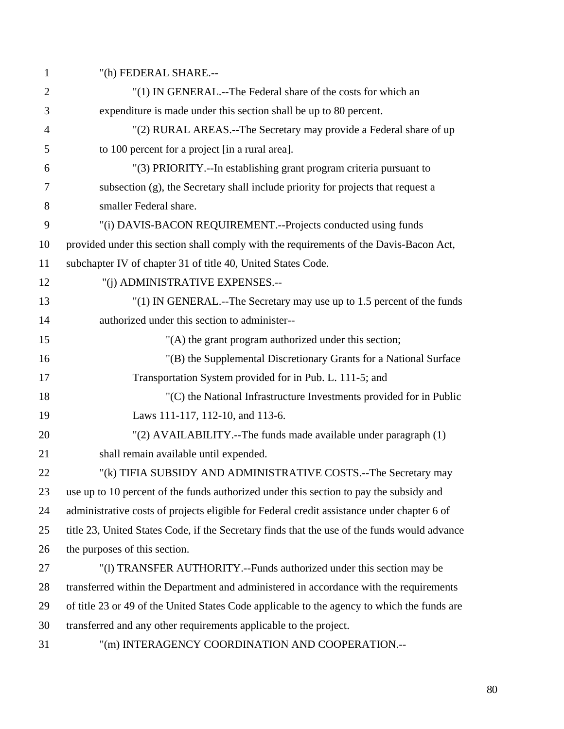1 "(h) FEDERAL SHARE.--

| $\overline{2}$ | "(1) IN GENERAL.--The Federal share of the costs for which an                                |
|----------------|----------------------------------------------------------------------------------------------|
| 3              | expenditure is made under this section shall be up to 80 percent.                            |
| $\overline{4}$ | "(2) RURAL AREAS.--The Secretary may provide a Federal share of up                           |
| 5              | to 100 percent for a project [in a rural area].                                              |
| 6              | "(3) PRIORITY.--In establishing grant program criteria pursuant to                           |
| 7              | subsection (g), the Secretary shall include priority for projects that request a             |
| 8              | smaller Federal share.                                                                       |
| 9              | "(i) DAVIS-BACON REQUIREMENT.--Projects conducted using funds                                |
| 10             | provided under this section shall comply with the requirements of the Davis-Bacon Act,       |
| 11             | subchapter IV of chapter 31 of title 40, United States Code.                                 |
| 12             | "(j) ADMINISTRATIVE EXPENSES.--                                                              |
| 13             | "(1) IN GENERAL.--The Secretary may use up to 1.5 percent of the funds                       |
| 14             | authorized under this section to administer--                                                |
| 15             | "(A) the grant program authorized under this section;                                        |
| 16             | "(B) the Supplemental Discretionary Grants for a National Surface                            |
| 17             | Transportation System provided for in Pub. L. 111-5; and                                     |
| 18             | "(C) the National Infrastructure Investments provided for in Public                          |
| 19             | Laws 111-117, 112-10, and 113-6.                                                             |
| 20             | "(2) AVAILABILITY.--The funds made available under paragraph (1)                             |
| 21             | shall remain available until expended.                                                       |
| 22             | "(k) TIFIA SUBSIDY AND ADMINISTRATIVE COSTS.--The Secretary may                              |
| $23\,$         | use up to 10 percent of the funds authorized under this section to pay the subsidy and       |
| 24             | administrative costs of projects eligible for Federal credit assistance under chapter 6 of   |
| 25             | title 23, United States Code, if the Secretary finds that the use of the funds would advance |
| 26             | the purposes of this section.                                                                |
| 27             | "(1) TRANSFER AUTHORITY.--Funds authorized under this section may be                         |
| 28             | transferred within the Department and administered in accordance with the requirements       |
| 29             | of title 23 or 49 of the United States Code applicable to the agency to which the funds are  |
| 30             | transferred and any other requirements applicable to the project.                            |
| 31             | "(m) INTERAGENCY COORDINATION AND COOPERATION.--                                             |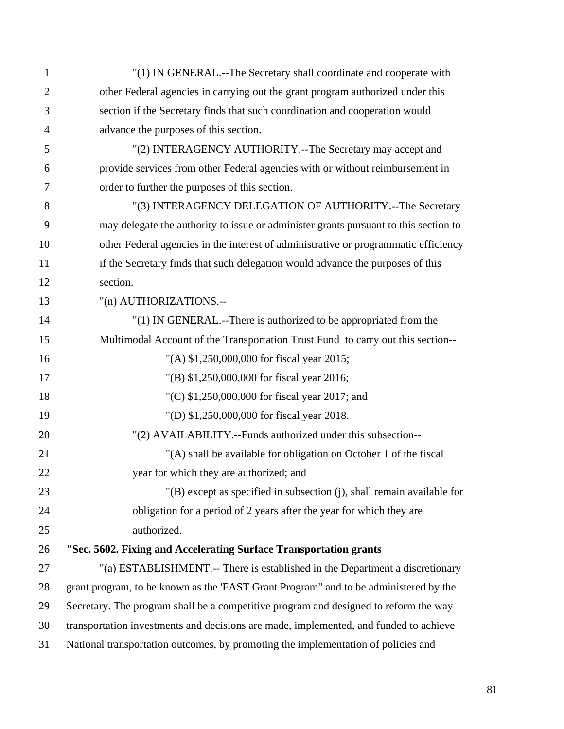| $\mathbf{1}$   | "(1) IN GENERAL.--The Secretary shall coordinate and cooperate with                   |
|----------------|---------------------------------------------------------------------------------------|
| $\overline{2}$ | other Federal agencies in carrying out the grant program authorized under this        |
| 3              | section if the Secretary finds that such coordination and cooperation would           |
| 4              | advance the purposes of this section.                                                 |
| 5              | "(2) INTERAGENCY AUTHORITY.--The Secretary may accept and                             |
| 6              | provide services from other Federal agencies with or without reimbursement in         |
| 7              | order to further the purposes of this section.                                        |
| 8              | "(3) INTERAGENCY DELEGATION OF AUTHORITY.--The Secretary                              |
| 9              | may delegate the authority to issue or administer grants pursuant to this section to  |
| 10             | other Federal agencies in the interest of administrative or programmatic efficiency   |
| 11             | if the Secretary finds that such delegation would advance the purposes of this        |
| 12             | section.                                                                              |
| 13             | "(n) AUTHORIZATIONS.--                                                                |
| 14             | "(1) IN GENERAL.--There is authorized to be appropriated from the                     |
| 15             | Multimodal Account of the Transportation Trust Fund to carry out this section--       |
| 16             | "(A) \$1,250,000,000 for fiscal year 2015;                                            |
| 17             | "(B) \$1,250,000,000 for fiscal year 2016;                                            |
| 18             | "(C) $$1,250,000,000$ for fiscal year 2017; and                                       |
| 19             | "(D) \$1,250,000,000 for fiscal year 2018.                                            |
| 20             | "(2) AVAILABILITY.--Funds authorized under this subsection--                          |
| 21             | "(A) shall be available for obligation on October 1 of the fiscal                     |
| 22             | year for which they are authorized; and                                               |
| 23             | $'(B)$ except as specified in subsection (j), shall remain available for              |
| 24             | obligation for a period of 2 years after the year for which they are                  |
| 25             | authorized.                                                                           |
| 26             | "Sec. 5602. Fixing and Accelerating Surface Transportation grants                     |
| 27             | "(a) ESTABLISHMENT.-- There is established in the Department a discretionary          |
| 28             | grant program, to be known as the 'FAST Grant Program'' and to be administered by the |
| 29             | Secretary. The program shall be a competitive program and designed to reform the way  |
| 30             | transportation investments and decisions are made, implemented, and funded to achieve |
| 31             | National transportation outcomes, by promoting the implementation of policies and     |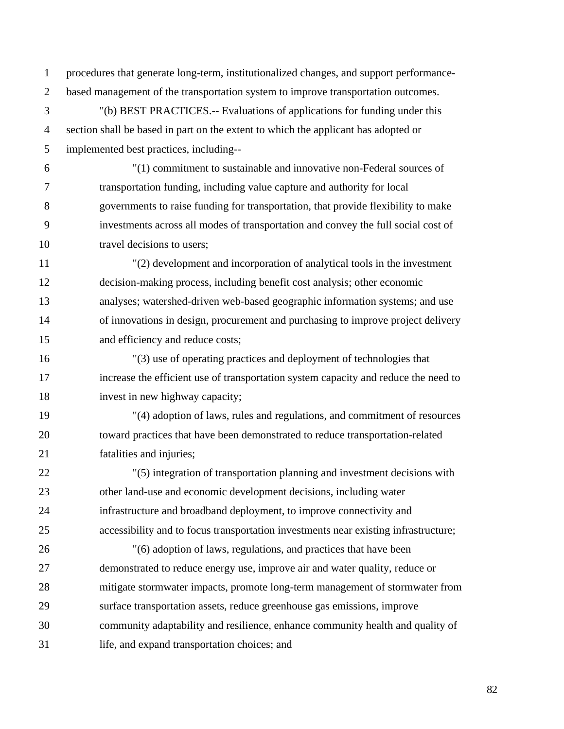1 procedures that generate long-term, institutionalized changes, and support performance-2 based management of the transportation system to improve transportation outcomes.

3 "(b) BEST PRACTICES.-- Evaluations of applications for funding under this 4 section shall be based in part on the extent to which the applicant has adopted or 5 implemented best practices, including--

6 "(1) commitment to sustainable and innovative non-Federal sources of 7 transportation funding, including value capture and authority for local 8 governments to raise funding for transportation, that provide flexibility to make 9 investments across all modes of transportation and convey the full social cost of 10 travel decisions to users;

11 "(2) development and incorporation of analytical tools in the investment 12 decision-making process, including benefit cost analysis; other economic 13 analyses; watershed-driven web-based geographic information systems; and use 14 of innovations in design, procurement and purchasing to improve project delivery 15 and efficiency and reduce costs;

16 "(3) use of operating practices and deployment of technologies that 17 increase the efficient use of transportation system capacity and reduce the need to 18 invest in new highway capacity;

19 "(4) adoption of laws, rules and regulations, and commitment of resources 20 toward practices that have been demonstrated to reduce transportation-related 21 fatalities and injuries;

22 "(5) integration of transportation planning and investment decisions with 23 other land-use and economic development decisions, including water 24 infrastructure and broadband deployment, to improve connectivity and 25 accessibility and to focus transportation investments near existing infrastructure;

26 "(6) adoption of laws, regulations, and practices that have been 27 demonstrated to reduce energy use, improve air and water quality, reduce or 28 mitigate stormwater impacts, promote long-term management of stormwater from 29 surface transportation assets, reduce greenhouse gas emissions, improve 30 community adaptability and resilience, enhance community health and quality of 31 life, and expand transportation choices; and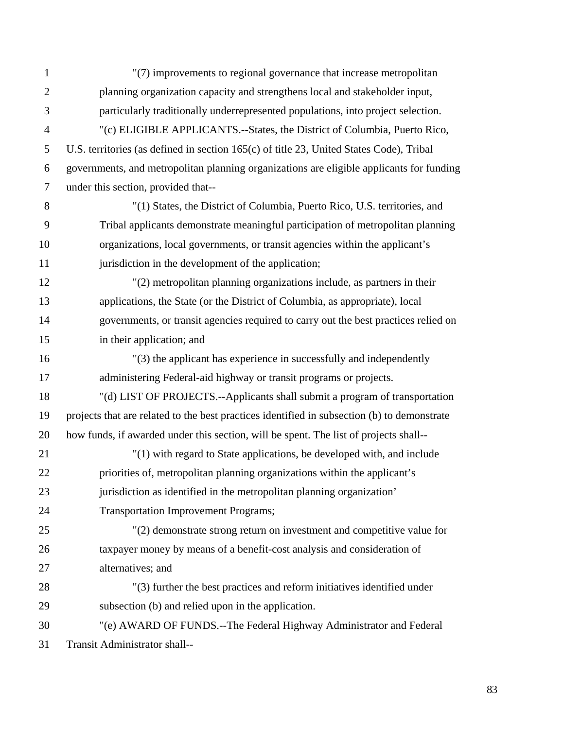| $\mathbf{1}$   | "(7) improvements to regional governance that increase metropolitan                         |
|----------------|---------------------------------------------------------------------------------------------|
| $\overline{2}$ | planning organization capacity and strengthens local and stakeholder input,                 |
| 3              | particularly traditionally underrepresented populations, into project selection.            |
| $\overline{4}$ | "(c) ELIGIBLE APPLICANTS.--States, the District of Columbia, Puerto Rico,                   |
| 5              | U.S. territories (as defined in section 165(c) of title 23, United States Code), Tribal     |
| 6              | governments, and metropolitan planning organizations are eligible applicants for funding    |
| $\overline{7}$ | under this section, provided that--                                                         |
| 8              | "(1) States, the District of Columbia, Puerto Rico, U.S. territories, and                   |
| 9              | Tribal applicants demonstrate meaningful participation of metropolitan planning             |
| 10             | organizations, local governments, or transit agencies within the applicant's                |
| 11             | jurisdiction in the development of the application;                                         |
| 12             | "(2) metropolitan planning organizations include, as partners in their                      |
| 13             | applications, the State (or the District of Columbia, as appropriate), local                |
| 14             | governments, or transit agencies required to carry out the best practices relied on         |
| 15             | in their application; and                                                                   |
| 16             | "(3) the applicant has experience in successfully and independently                         |
| 17             | administering Federal-aid highway or transit programs or projects.                          |
| 18             | "(d) LIST OF PROJECTS.--Applicants shall submit a program of transportation                 |
| 19             | projects that are related to the best practices identified in subsection (b) to demonstrate |
| 20             | how funds, if awarded under this section, will be spent. The list of projects shall--       |
| 21             | "(1) with regard to State applications, be developed with, and include                      |
| 22             | priorities of, metropolitan planning organizations within the applicant's                   |
| 23             | jurisdiction as identified in the metropolitan planning organization'                       |
| 24             | <b>Transportation Improvement Programs;</b>                                                 |
| 25             | "(2) demonstrate strong return on investment and competitive value for                      |
| 26             | taxpayer money by means of a benefit-cost analysis and consideration of                     |
| 27             | alternatives; and                                                                           |
| 28             | "(3) further the best practices and reform initiatives identified under                     |
| 29             | subsection (b) and relied upon in the application.                                          |
| 30             | "(e) AWARD OF FUNDS.--The Federal Highway Administrator and Federal                         |
| 31             | Transit Administrator shall--                                                               |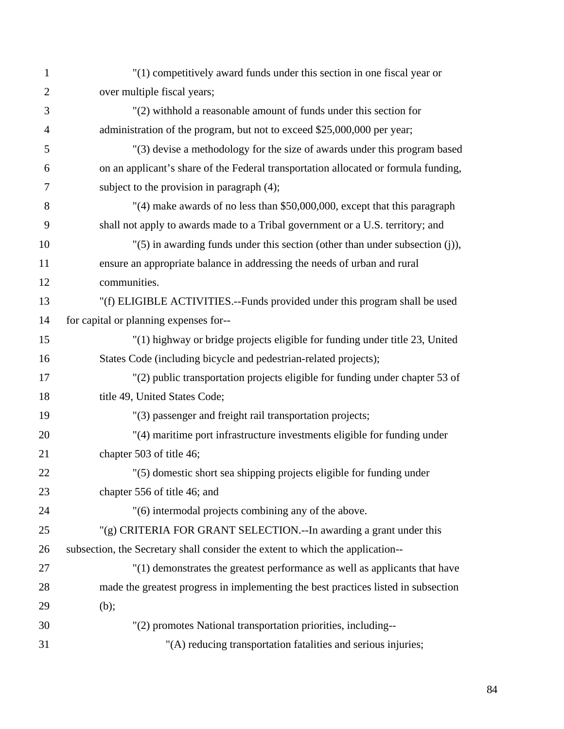| $\mathbf{1}$ | "(1) competitively award funds under this section in one fiscal year or             |
|--------------|-------------------------------------------------------------------------------------|
| $\mathbf{2}$ | over multiple fiscal years;                                                         |
| 3            | "(2) withhold a reasonable amount of funds under this section for                   |
| 4            | administration of the program, but not to exceed \$25,000,000 per year;             |
| 5            | "(3) devise a methodology for the size of awards under this program based           |
| 6            | on an applicant's share of the Federal transportation allocated or formula funding, |
| 7            | subject to the provision in paragraph $(4)$ ;                                       |
| 8            | $'(4)$ make awards of no less than \$50,000,000, except that this paragraph         |
| 9            | shall not apply to awards made to a Tribal government or a U.S. territory; and      |
| 10           | "(5) in awarding funds under this section (other than under subsection (j)),        |
| 11           | ensure an appropriate balance in addressing the needs of urban and rural            |
| 12           | communities.                                                                        |
| 13           | "(f) ELIGIBLE ACTIVITIES.--Funds provided under this program shall be used          |
| 14           | for capital or planning expenses for--                                              |
| 15           | "(1) highway or bridge projects eligible for funding under title 23, United         |
| 16           | States Code (including bicycle and pedestrian-related projects);                    |
| 17           | "(2) public transportation projects eligible for funding under chapter 53 of        |
| 18           | title 49, United States Code;                                                       |
| 19           | "(3) passenger and freight rail transportation projects;                            |
| 20           | "(4) maritime port infrastructure investments eligible for funding under            |
| 21           | chapter 503 of title 46;                                                            |
| 22           | "(5) domestic short sea shipping projects eligible for funding under                |
| 23           | chapter 556 of title 46; and                                                        |
| 24           | "(6) intermodal projects combining any of the above.                                |
| 25           | "(g) CRITERIA FOR GRANT SELECTION.--In awarding a grant under this                  |
| 26           | subsection, the Secretary shall consider the extent to which the application--      |
| 27           | "(1) demonstrates the greatest performance as well as applicants that have          |
| 28           | made the greatest progress in implementing the best practices listed in subsection  |
| 29           | (b);                                                                                |
| 30           | "(2) promotes National transportation priorities, including--                       |
| 31           | "(A) reducing transportation fatalities and serious injuries;                       |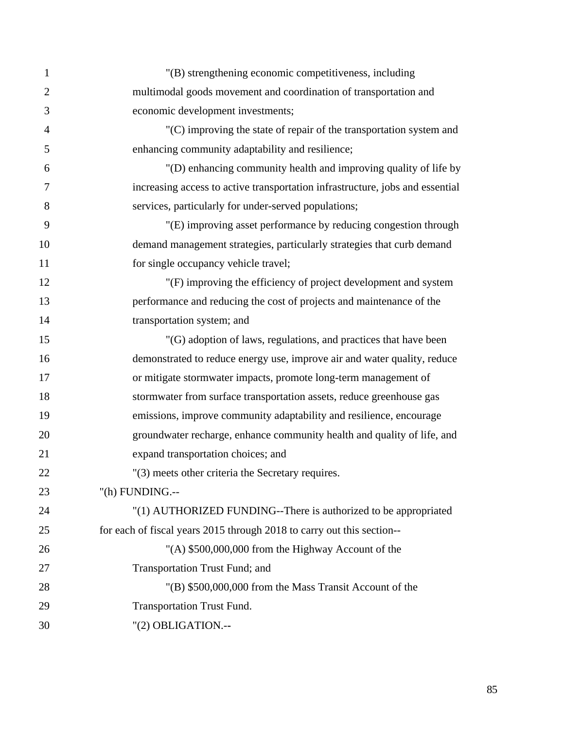| 1              | "(B) strengthening economic competitiveness, including                        |
|----------------|-------------------------------------------------------------------------------|
| $\overline{2}$ | multimodal goods movement and coordination of transportation and              |
| 3              | economic development investments;                                             |
| $\overline{4}$ | $(C)$ improving the state of repair of the transportation system and          |
| 5              | enhancing community adaptability and resilience;                              |
| 6              | "(D) enhancing community health and improving quality of life by              |
| $\overline{7}$ | increasing access to active transportation infrastructure, jobs and essential |
| 8              | services, particularly for under-served populations;                          |
| 9              | "(E) improving asset performance by reducing congestion through               |
| 10             | demand management strategies, particularly strategies that curb demand        |
| 11             | for single occupancy vehicle travel;                                          |
| 12             | "(F) improving the efficiency of project development and system               |
| 13             | performance and reducing the cost of projects and maintenance of the          |
| 14             | transportation system; and                                                    |
| 15             | "(G) adoption of laws, regulations, and practices that have been              |
| 16             | demonstrated to reduce energy use, improve air and water quality, reduce      |
| 17             | or mitigate stormwater impacts, promote long-term management of               |
| 18             | stormwater from surface transportation assets, reduce greenhouse gas          |
| 19             | emissions, improve community adaptability and resilience, encourage           |
| 20             | groundwater recharge, enhance community health and quality of life, and       |
| 21             | expand transportation choices; and                                            |
| 22             | "(3) meets other criteria the Secretary requires.                             |
| 23             | "(h) FUNDING.--                                                               |
| 24             | "(1) AUTHORIZED FUNDING--There is authorized to be appropriated               |
| 25             | for each of fiscal years 2015 through 2018 to carry out this section--        |
| 26             | "(A) \$500,000,000 from the Highway Account of the                            |
| 27             | Transportation Trust Fund; and                                                |
| 28             | "(B) \$500,000,000 from the Mass Transit Account of the                       |
| 29             | <b>Transportation Trust Fund.</b>                                             |
| 30             | "(2) OBLIGATION.--                                                            |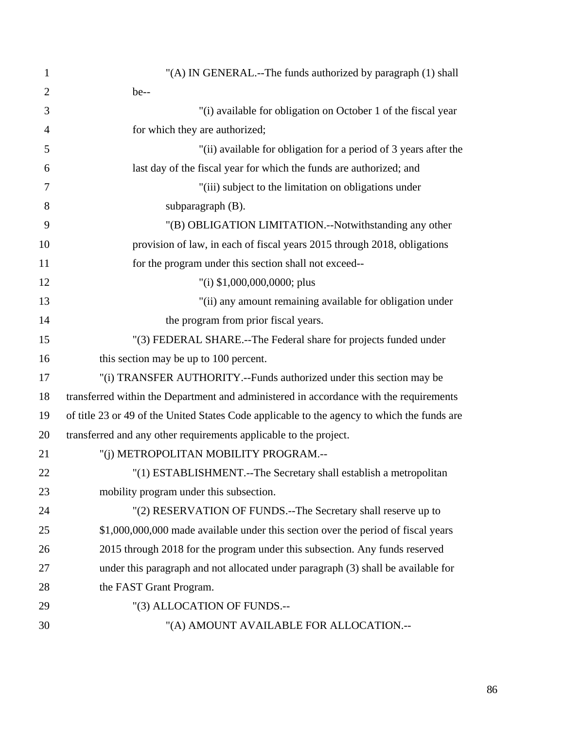| 1              | "(A) IN GENERAL.--The funds authorized by paragraph (1) shall                               |
|----------------|---------------------------------------------------------------------------------------------|
| $\overline{2}$ | be--                                                                                        |
| 3              | "(i) available for obligation on October 1 of the fiscal year                               |
| $\overline{4}$ | for which they are authorized;                                                              |
| 5              | "(ii) available for obligation for a period of 3 years after the                            |
| 6              | last day of the fiscal year for which the funds are authorized; and                         |
| $\tau$         | "(iii) subject to the limitation on obligations under                                       |
| 8              | subparagraph (B).                                                                           |
| 9              | "(B) OBLIGATION LIMITATION.--Notwithstanding any other                                      |
| 10             | provision of law, in each of fiscal years 2015 through 2018, obligations                    |
| 11             | for the program under this section shall not exceed--                                       |
| 12             | "(i) $$1,000,000,0000$ ; plus                                                               |
| 13             | "(ii) any amount remaining available for obligation under                                   |
| 14             | the program from prior fiscal years.                                                        |
| 15             | "(3) FEDERAL SHARE.--The Federal share for projects funded under                            |
| 16             | this section may be up to 100 percent.                                                      |
| 17             | "(i) TRANSFER AUTHORITY.--Funds authorized under this section may be                        |
| 18             | transferred within the Department and administered in accordance with the requirements      |
| 19             | of title 23 or 49 of the United States Code applicable to the agency to which the funds are |
| 20             | transferred and any other requirements applicable to the project.                           |
| 21             | "(j) METROPOLITAN MOBILITY PROGRAM.--                                                       |
| 22             | "(1) ESTABLISHMENT.--The Secretary shall establish a metropolitan                           |
| 23             | mobility program under this subsection.                                                     |
| 24             | "(2) RESERVATION OF FUNDS.--The Secretary shall reserve up to                               |
| 25             | \$1,000,000,000 made available under this section over the period of fiscal years           |
| 26             | 2015 through 2018 for the program under this subsection. Any funds reserved                 |
| 27             | under this paragraph and not allocated under paragraph (3) shall be available for           |
| 28             | the FAST Grant Program.                                                                     |
| 29             | "(3) ALLOCATION OF FUNDS.--                                                                 |
| 30             | "(A) AMOUNT AVAILABLE FOR ALLOCATION.--                                                     |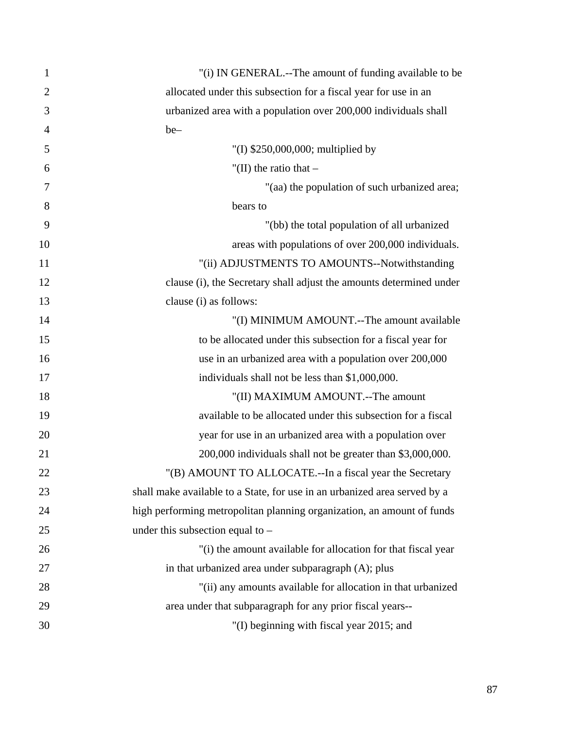| 1              | "(i) IN GENERAL.--The amount of funding available to be                   |
|----------------|---------------------------------------------------------------------------|
| $\overline{2}$ | allocated under this subsection for a fiscal year for use in an           |
| 3              | urbanized area with a population over 200,000 individuals shall           |
| $\overline{4}$ | be-                                                                       |
| 5              | "(I) $$250,000,000$ ; multiplied by                                       |
| 6              | "(II) the ratio that $-$                                                  |
| 7              | "(aa) the population of such urbanized area;                              |
| 8              | bears to                                                                  |
| 9              | "(bb) the total population of all urbanized                               |
| 10             | areas with populations of over 200,000 individuals.                       |
| 11             | "(ii) ADJUSTMENTS TO AMOUNTS--Notwithstanding                             |
| 12             | clause (i), the Secretary shall adjust the amounts determined under       |
| 13             | clause (i) as follows:                                                    |
| 14             | "(I) MINIMUM AMOUNT.--The amount available                                |
| 15             | to be allocated under this subsection for a fiscal year for               |
| 16             | use in an urbanized area with a population over 200,000                   |
| 17             | individuals shall not be less than \$1,000,000.                           |
| 18             | "(II) MAXIMUM AMOUNT.--The amount                                         |
| 19             | available to be allocated under this subsection for a fiscal              |
| 20             | year for use in an urbanized area with a population over                  |
| 21             | 200,000 individuals shall not be greater than \$3,000,000.                |
| 22             | "(B) AMOUNT TO ALLOCATE .-- In a fiscal year the Secretary                |
| 23             | shall make available to a State, for use in an urbanized area served by a |
| 24             | high performing metropolitan planning organization, an amount of funds    |
| 25             | under this subsection equal to $-$                                        |
| 26             | "(i) the amount available for allocation for that fiscal year             |
| 27             | in that urbanized area under subparagraph (A); plus                       |
| 28             | "(ii) any amounts available for allocation in that urbanized              |
| 29             | area under that subparagraph for any prior fiscal years--                 |
| 30             | "(I) beginning with fiscal year 2015; and                                 |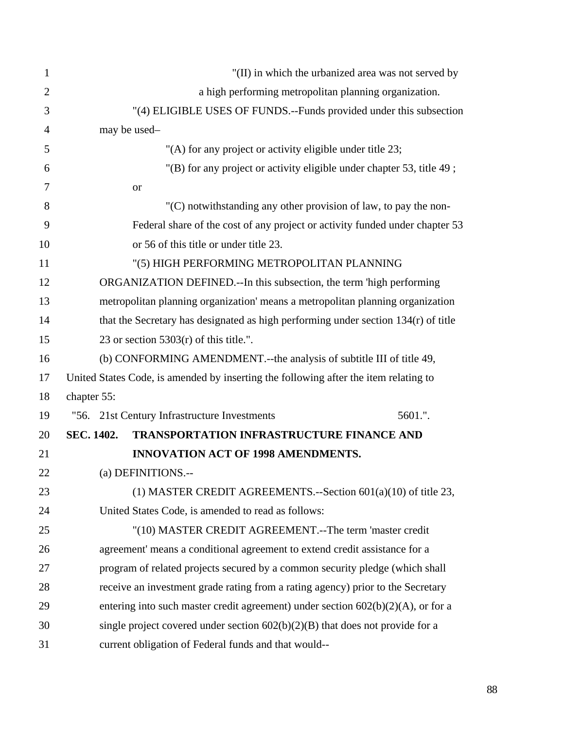| 1              |                   |                                                                                      | "(II) in which the urbanized area was not served by |
|----------------|-------------------|--------------------------------------------------------------------------------------|-----------------------------------------------------|
| $\overline{2}$ |                   | a high performing metropolitan planning organization.                                |                                                     |
| 3              |                   | "(4) ELIGIBLE USES OF FUNDS.--Funds provided under this subsection                   |                                                     |
| $\overline{4}$ |                   | may be used-                                                                         |                                                     |
| 5              |                   | "(A) for any project or activity eligible under title 23;                            |                                                     |
| 6              |                   | "(B) for any project or activity eligible under chapter 53, title 49;                |                                                     |
| 7              |                   | or                                                                                   |                                                     |
| 8              |                   | $C$ ) notwithstanding any other provision of law, to pay the non-                    |                                                     |
| 9              |                   | Federal share of the cost of any project or activity funded under chapter 53         |                                                     |
| 10             |                   | or 56 of this title or under title 23.                                               |                                                     |
| 11             |                   | "(5) HIGH PERFORMING METROPOLITAN PLANNING                                           |                                                     |
| 12             |                   | ORGANIZATION DEFINED.--In this subsection, the term 'high performing                 |                                                     |
| 13             |                   | metropolitan planning organization' means a metropolitan planning organization       |                                                     |
| 14             |                   | that the Secretary has designated as high performing under section 134(r) of title   |                                                     |
| 15             |                   | 23 or section $5303(r)$ of this title.".                                             |                                                     |
| 16             |                   | (b) CONFORMING AMENDMENT.--the analysis of subtitle III of title 49,                 |                                                     |
| 17             |                   | United States Code, is amended by inserting the following after the item relating to |                                                     |
| 18             | chapter 55:       |                                                                                      |                                                     |
| 19             |                   | "56. 21st Century Infrastructure Investments                                         | 5601.".                                             |
| 20             | <b>SEC. 1402.</b> | <b>TRANSPORTATION INFRASTRUCTURE FINANCE AND</b>                                     |                                                     |
| 21             |                   | <b>INNOVATION ACT OF 1998 AMENDMENTS.</b>                                            |                                                     |
| 22             |                   | (a) DEFINITIONS.--                                                                   |                                                     |
| 23             |                   | (1) MASTER CREDIT AGREEMENTS.--Section $601(a)(10)$ of title 23,                     |                                                     |
| 24             |                   | United States Code, is amended to read as follows:                                   |                                                     |
| 25             |                   | "(10) MASTER CREDIT AGREEMENT.--The term 'master credit                              |                                                     |
| 26             |                   | agreement' means a conditional agreement to extend credit assistance for a           |                                                     |
| 27             |                   | program of related projects secured by a common security pledge (which shall         |                                                     |
| 28             |                   | receive an investment grade rating from a rating agency) prior to the Secretary      |                                                     |
| 29             |                   | entering into such master credit agreement) under section $602(b)(2)(A)$ , or for a  |                                                     |
| 30             |                   | single project covered under section $602(b)(2)(B)$ that does not provide for a      |                                                     |
| 31             |                   | current obligation of Federal funds and that would--                                 |                                                     |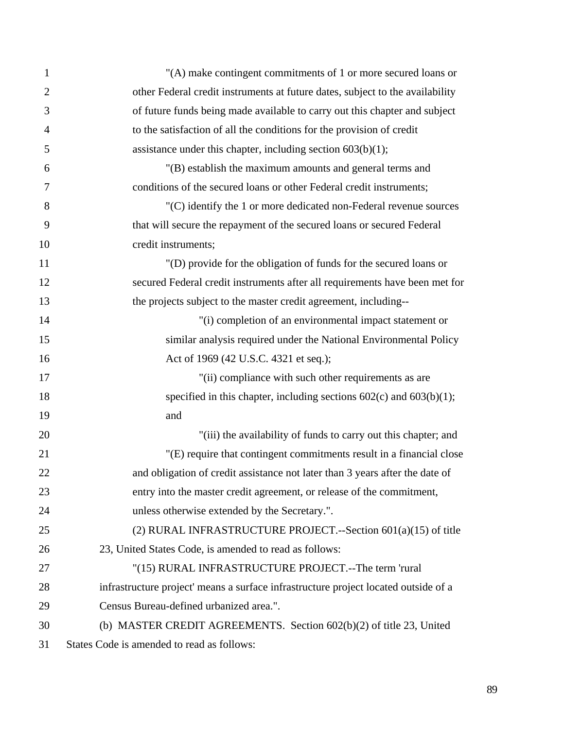| $\mathbf{1}$   | "(A) make contingent commitments of 1 or more secured loans or                      |
|----------------|-------------------------------------------------------------------------------------|
| $\overline{2}$ | other Federal credit instruments at future dates, subject to the availability       |
| 3              | of future funds being made available to carry out this chapter and subject          |
| $\overline{4}$ | to the satisfaction of all the conditions for the provision of credit               |
| 5              | assistance under this chapter, including section $603(b)(1)$ ;                      |
| 6              | "(B) establish the maximum amounts and general terms and                            |
| 7              | conditions of the secured loans or other Federal credit instruments;                |
| 8              | "(C) identify the 1 or more dedicated non-Federal revenue sources                   |
| 9              | that will secure the repayment of the secured loans or secured Federal              |
| 10             | credit instruments;                                                                 |
| 11             | "(D) provide for the obligation of funds for the secured loans or                   |
| 12             | secured Federal credit instruments after all requirements have been met for         |
| 13             | the projects subject to the master credit agreement, including--                    |
| 14             | "(i) completion of an environmental impact statement or                             |
| 15             | similar analysis required under the National Environmental Policy                   |
| 16             | Act of 1969 (42 U.S.C. 4321 et seq.);                                               |
| 17             | "(ii) compliance with such other requirements as are                                |
| 18             | specified in this chapter, including sections $602(c)$ and $603(b)(1)$ ;            |
| 19             | and                                                                                 |
| 20             | "(iii) the availability of funds to carry out this chapter; and                     |
| 21             | "(E) require that contingent commitments result in a financial close                |
| 22             | and obligation of credit assistance not later than 3 years after the date of        |
| 23             | entry into the master credit agreement, or release of the commitment,               |
| 24             | unless otherwise extended by the Secretary.".                                       |
| 25             | (2) RURAL INFRASTRUCTURE PROJECT.--Section 601(a)(15) of title                      |
| 26             | 23, United States Code, is amended to read as follows:                              |
| 27             | "(15) RURAL INFRASTRUCTURE PROJECT.--The term 'rural                                |
| 28             | infrastructure project' means a surface infrastructure project located outside of a |
| 29             | Census Bureau-defined urbanized area.".                                             |
| 30             | (b) MASTER CREDIT AGREEMENTS. Section 602(b)(2) of title 23, United                 |
| 31             | States Code is amended to read as follows:                                          |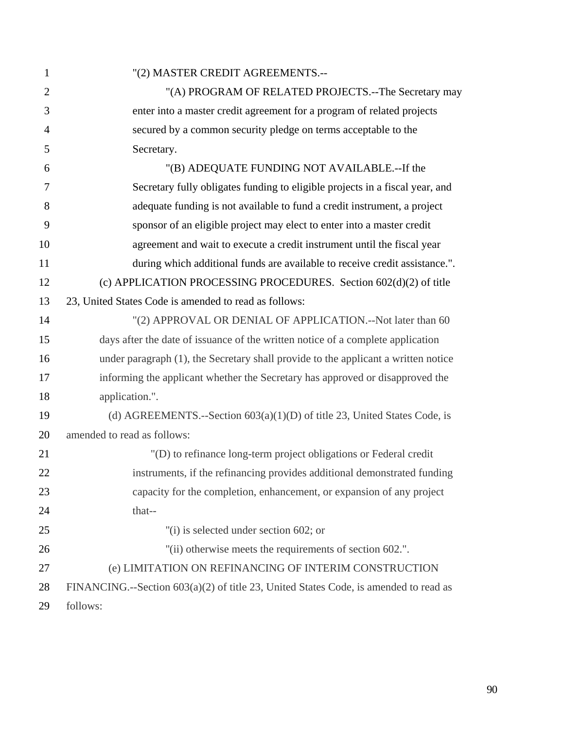| $\mathbf{1}$   | "(2) MASTER CREDIT AGREEMENTS.--                                                     |
|----------------|--------------------------------------------------------------------------------------|
| $\overline{2}$ | "(A) PROGRAM OF RELATED PROJECTS.--The Secretary may                                 |
| 3              | enter into a master credit agreement for a program of related projects               |
| $\overline{4}$ | secured by a common security pledge on terms acceptable to the                       |
| 5              | Secretary.                                                                           |
| 6              | "(B) ADEQUATE FUNDING NOT AVAILABLE.--If the                                         |
| $\tau$         | Secretary fully obligates funding to eligible projects in a fiscal year, and         |
| 8              | adequate funding is not available to fund a credit instrument, a project             |
| 9              | sponsor of an eligible project may elect to enter into a master credit               |
| 10             | agreement and wait to execute a credit instrument until the fiscal year              |
| 11             | during which additional funds are available to receive credit assistance.".          |
| 12             | (c) APPLICATION PROCESSING PROCEDURES. Section 602(d)(2) of title                    |
| 13             | 23, United States Code is amended to read as follows:                                |
| 14             | "(2) APPROVAL OR DENIAL OF APPLICATION.--Not later than 60                           |
| 15             | days after the date of issuance of the written notice of a complete application      |
| 16             | under paragraph (1), the Secretary shall provide to the applicant a written notice   |
| 17             | informing the applicant whether the Secretary has approved or disapproved the        |
| 18             | application.".                                                                       |
| 19             | (d) AGREEMENTS.--Section $603(a)(1)(D)$ of title 23, United States Code, is          |
| 20             | amended to read as follows:                                                          |
| 21             | "(D) to refinance long-term project obligations or Federal credit                    |
| 22             | instruments, if the refinancing provides additional demonstrated funding             |
| 23             | capacity for the completion, enhancement, or expansion of any project                |
| 24             | that--                                                                               |
| 25             | "(i) is selected under section 602; or                                               |
| 26             | "(ii) otherwise meets the requirements of section 602.".                             |
| 27             | (e) LIMITATION ON REFINANCING OF INTERIM CONSTRUCTION                                |
| 28             | FINANCING.--Section 603(a)(2) of title 23, United States Code, is amended to read as |
| 29             | follows:                                                                             |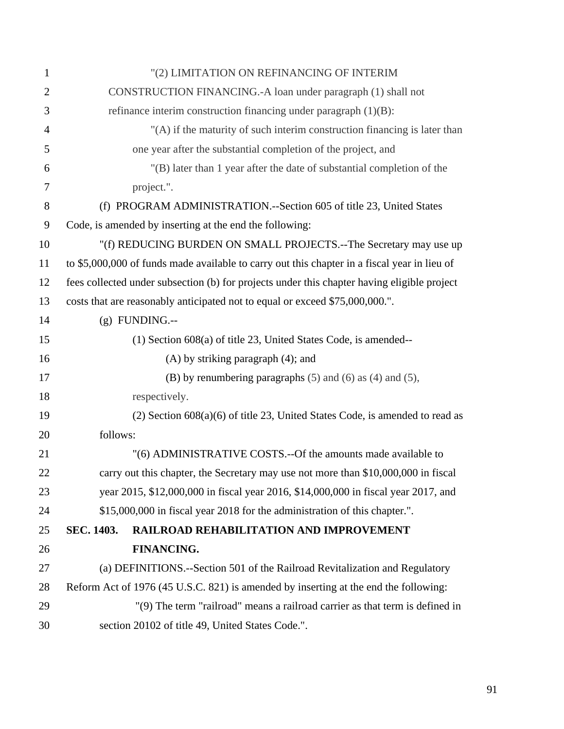| 1              | "(2) LIMITATION ON REFINANCING OF INTERIM                                                    |
|----------------|----------------------------------------------------------------------------------------------|
| $\overline{2}$ | CONSTRUCTION FINANCING.-A loan under paragraph (1) shall not                                 |
| 3              | refinance interim construction financing under paragraph $(1)(B)$ :                          |
| $\overline{4}$ | "(A) if the maturity of such interim construction financing is later than                    |
| 5              | one year after the substantial completion of the project, and                                |
| 6              | "(B) later than 1 year after the date of substantial completion of the                       |
| 7              | project.".                                                                                   |
| 8              | (f) PROGRAM ADMINISTRATION.--Section 605 of title 23, United States                          |
| 9              | Code, is amended by inserting at the end the following:                                      |
| 10             | "(f) REDUCING BURDEN ON SMALL PROJECTS.--The Secretary may use up                            |
| 11             | to \$5,000,000 of funds made available to carry out this chapter in a fiscal year in lieu of |
| 12             | fees collected under subsection (b) for projects under this chapter having eligible project  |
| 13             | costs that are reasonably anticipated not to equal or exceed \$75,000,000.".                 |
| 14             | $(g)$ FUNDING.--                                                                             |
| 15             | $(1)$ Section 608 $(a)$ of title 23, United States Code, is amended--                        |
| 16             | $(A)$ by striking paragraph $(4)$ ; and                                                      |
| 17             | (B) by renumbering paragraphs $(5)$ and $(6)$ as $(4)$ and $(5)$ ,                           |
| 18             | respectively.                                                                                |
| 19             | $(2)$ Section 608 $(a)(6)$ of title 23, United States Code, is amended to read as            |
| 20             | follows:                                                                                     |
| 21             | "(6) ADMINISTRATIVE COSTS.--Of the amounts made available to                                 |
| 22             | carry out this chapter, the Secretary may use not more than \$10,000,000 in fiscal           |
| 23             | year 2015, \$12,000,000 in fiscal year 2016, \$14,000,000 in fiscal year 2017, and           |
| 24             | \$15,000,000 in fiscal year 2018 for the administration of this chapter.".                   |
| 25             | SEC. 1403.<br>RAILROAD REHABILITATION AND IMPROVEMENT                                        |
| 26             | FINANCING.                                                                                   |
| 27             | (a) DEFINITIONS.--Section 501 of the Railroad Revitalization and Regulatory                  |
| 28             | Reform Act of 1976 (45 U.S.C. 821) is amended by inserting at the end the following:         |
| 29             | "(9) The term "railroad" means a railroad carrier as that term is defined in                 |
| 30             | section 20102 of title 49, United States Code.".                                             |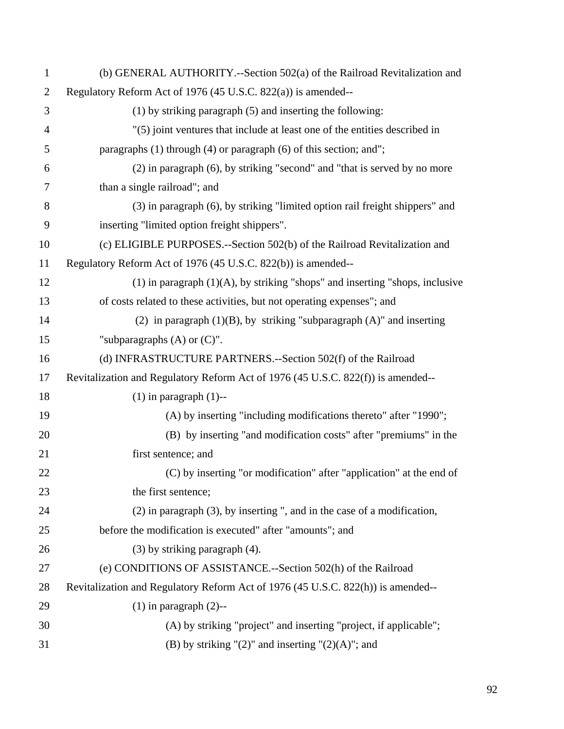| $\mathbf{1}$   | (b) GENERAL AUTHORITY.--Section 502(a) of the Railroad Revitalization and         |
|----------------|-----------------------------------------------------------------------------------|
| $\overline{2}$ | Regulatory Reform Act of 1976 (45 U.S.C. 822(a)) is amended--                     |
| 3              | $(1)$ by striking paragraph $(5)$ and inserting the following:                    |
| $\overline{4}$ | "(5) joint ventures that include at least one of the entities described in        |
| 5              | paragraphs $(1)$ through $(4)$ or paragraph $(6)$ of this section; and";          |
| 6              | (2) in paragraph (6), by striking "second" and "that is served by no more         |
| 7              | than a single railroad"; and                                                      |
| 8              | (3) in paragraph (6), by striking "limited option rail freight shippers" and      |
| 9              | inserting "limited option freight shippers".                                      |
| 10             | (c) ELIGIBLE PURPOSES.--Section 502(b) of the Railroad Revitalization and         |
| 11             | Regulatory Reform Act of 1976 (45 U.S.C. 822(b)) is amended--                     |
| 12             | $(1)$ in paragraph $(1)(A)$ , by striking "shops" and inserting "shops, inclusive |
| 13             | of costs related to these activities, but not operating expenses"; and            |
| 14             | (2) in paragraph $(1)(B)$ , by striking "subparagraph $(A)$ " and inserting       |
| 15             | "subparagraphs $(A)$ or $(C)$ ".                                                  |
| 16             | (d) INFRASTRUCTURE PARTNERS.--Section 502(f) of the Railroad                      |
| 17             | Revitalization and Regulatory Reform Act of 1976 (45 U.S.C. 822(f)) is amended--  |
| 18             | $(1)$ in paragraph $(1)$ --                                                       |
| 19             | (A) by inserting "including modifications thereto" after "1990";                  |
| 20             | (B) by inserting "and modification costs" after "premiums" in the                 |
| 21             | first sentence; and                                                               |
| 22             | (C) by inserting "or modification" after "application" at the end of              |
| 23             | the first sentence;                                                               |
| 24             | $(2)$ in paragraph $(3)$ , by inserting ", and in the case of a modification,     |
| 25             | before the modification is executed" after "amounts"; and                         |
| 26             | $(3)$ by striking paragraph $(4)$ .                                               |
| 27             | (e) CONDITIONS OF ASSISTANCE.--Section 502(h) of the Railroad                     |
| 28             | Revitalization and Regulatory Reform Act of 1976 (45 U.S.C. 822(h)) is amended--  |
| 29             | $(1)$ in paragraph $(2)$ --                                                       |
| 30             | (A) by striking "project" and inserting "project, if applicable";                 |
| 31             | (B) by striking " $(2)$ " and inserting " $(2)(A)$ "; and                         |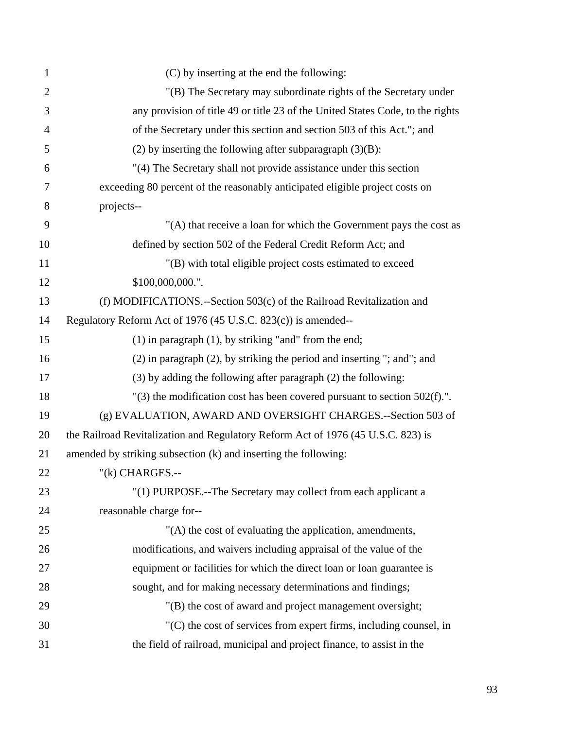| $\mathbf{1}$   | (C) by inserting at the end the following:                                       |
|----------------|----------------------------------------------------------------------------------|
| $\overline{2}$ | "(B) The Secretary may subordinate rights of the Secretary under                 |
| 3              | any provision of title 49 or title 23 of the United States Code, to the rights   |
| $\overline{4}$ | of the Secretary under this section and section 503 of this Act."; and           |
| 5              | (2) by inserting the following after subparagraph $(3)(B)$ :                     |
| 6              | "(4) The Secretary shall not provide assistance under this section               |
| 7              | exceeding 80 percent of the reasonably anticipated eligible project costs on     |
| 8              | projects--                                                                       |
| 9              | "(A) that receive a loan for which the Government pays the cost as               |
| 10             | defined by section 502 of the Federal Credit Reform Act; and                     |
| 11             | "(B) with total eligible project costs estimated to exceed                       |
| 12             | \$100,000,000.".                                                                 |
| 13             | (f) MODIFICATIONS.--Section 503(c) of the Railroad Revitalization and            |
| 14             | Regulatory Reform Act of 1976 (45 U.S.C. 823(c)) is amended--                    |
| 15             | $(1)$ in paragraph $(1)$ , by striking "and" from the end;                       |
| 16             | (2) in paragraph (2), by striking the period and inserting "; and"; and          |
| 17             | $(3)$ by adding the following after paragraph $(2)$ the following:               |
| 18             | $'(3)$ the modification cost has been covered pursuant to section 502(f).".      |
| 19             | (g) EVALUATION, AWARD AND OVERSIGHT CHARGES.--Section 503 of                     |
| 20             | the Railroad Revitalization and Regulatory Reform Act of 1976 (45 U.S.C. 823) is |
| 21             | amended by striking subsection (k) and inserting the following:                  |
| 22             | $''(k)$ CHARGES.--                                                               |
| 23             | "(1) PURPOSE.--The Secretary may collect from each applicant a                   |
| 24             | reasonable charge for--                                                          |
| 25             | "(A) the cost of evaluating the application, amendments,                         |
| 26             | modifications, and waivers including appraisal of the value of the               |
| 27             | equipment or facilities for which the direct loan or loan guarantee is           |
| 28             | sought, and for making necessary determinations and findings;                    |
| 29             | "(B) the cost of award and project management oversight;                         |
| 30             | $(C)$ the cost of services from expert firms, including counsel, in              |
| 31             | the field of railroad, municipal and project finance, to assist in the           |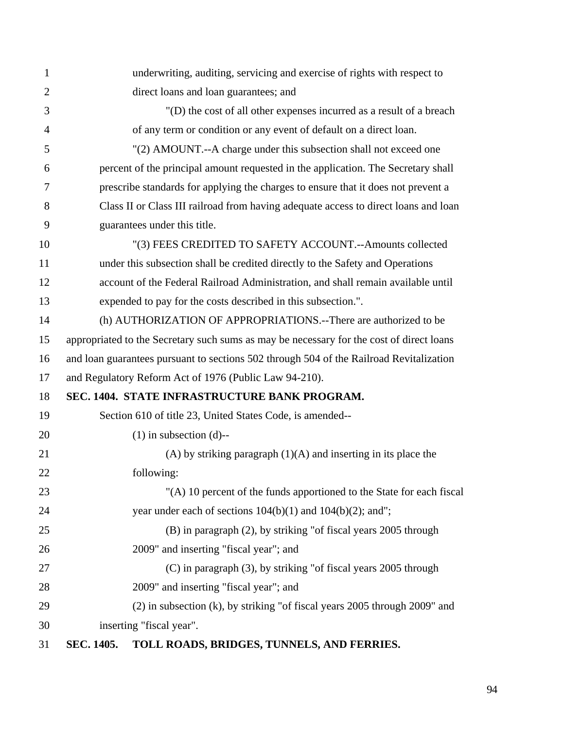| 1              | underwriting, auditing, servicing and exercise of rights with respect to                 |
|----------------|------------------------------------------------------------------------------------------|
| $\overline{2}$ | direct loans and loan guarantees; and                                                    |
| 3              | "(D) the cost of all other expenses incurred as a result of a breach                     |
| 4              | of any term or condition or any event of default on a direct loan.                       |
| 5              | "(2) AMOUNT.--A charge under this subsection shall not exceed one                        |
| 6              | percent of the principal amount requested in the application. The Secretary shall        |
| 7              | prescribe standards for applying the charges to ensure that it does not prevent a        |
| 8              | Class II or Class III railroad from having adequate access to direct loans and loan      |
| 9              | guarantees under this title.                                                             |
| 10             | "(3) FEES CREDITED TO SAFETY ACCOUNT.--Amounts collected                                 |
| 11             | under this subsection shall be credited directly to the Safety and Operations            |
| 12             | account of the Federal Railroad Administration, and shall remain available until         |
| 13             | expended to pay for the costs described in this subsection.".                            |
| 14             | (h) AUTHORIZATION OF APPROPRIATIONS.--There are authorized to be                         |
| 15             | appropriated to the Secretary such sums as may be necessary for the cost of direct loans |
| 16             | and loan guarantees pursuant to sections 502 through 504 of the Railroad Revitalization  |
| 17             | and Regulatory Reform Act of 1976 (Public Law 94-210).                                   |
| 18             | SEC. 1404. STATE INFRASTRUCTURE BANK PROGRAM.                                            |
| 19             | Section 610 of title 23, United States Code, is amended--                                |
| 20             | $(1)$ in subsection $(d)$ --                                                             |
| 21             | $(A)$ by striking paragraph $(1)(A)$ and inserting in its place the                      |
| 22             | following:                                                                               |
| 23             | "(A) 10 percent of the funds apportioned to the State for each fiscal                    |
| 24             | year under each of sections $104(b)(1)$ and $104(b)(2)$ ; and";                          |
| 25             | (B) in paragraph (2), by striking "of fiscal years 2005 through                          |
| 26             | 2009" and inserting "fiscal year"; and                                                   |
| 27             | (C) in paragraph (3), by striking "of fiscal years 2005 through                          |
| 28             | 2009" and inserting "fiscal year"; and                                                   |
| 29             | $(2)$ in subsection (k), by striking "of fiscal years 2005 through 2009" and             |
| 30             | inserting "fiscal year".                                                                 |
|                | $\alpha$ ra min'ny a $\alpha$ and re                                                     |

## 31 **SEC. 1405. TOLL ROADS, BRIDGES, TUNNELS, AND FERRIES.**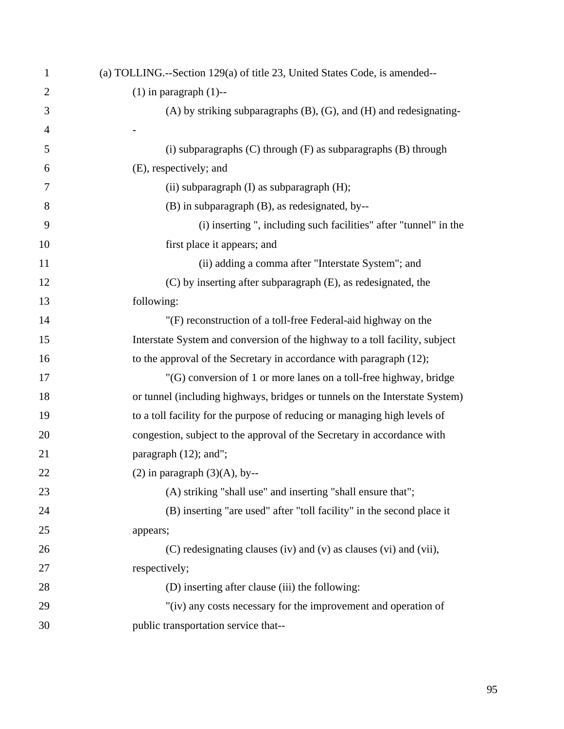| $\mathbf{1}$   | (a) TOLLING.--Section 129(a) of title 23, United States Code, is amended--   |
|----------------|------------------------------------------------------------------------------|
| $\overline{2}$ | $(1)$ in paragraph $(1)$ --                                                  |
| 3              | $(A)$ by striking subparagraphs $(B)$ , $(G)$ , and $(H)$ and redesignating- |
| $\overline{4}$ |                                                                              |
| 5              | $(i)$ subparagraphs $(C)$ through $(F)$ as subparagraphs $(B)$ through       |
| 6              | (E), respectively; and                                                       |
| 7              | (ii) subparagraph (I) as subparagraph (H);                                   |
| 8              | (B) in subparagraph (B), as redesignated, by--                               |
| 9              | (i) inserting ", including such facilities" after "tunnel" in the            |
| 10             | first place it appears; and                                                  |
| 11             | (ii) adding a comma after "Interstate System"; and                           |
| 12             | (C) by inserting after subparagraph (E), as redesignated, the                |
| 13             | following:                                                                   |
| 14             | "(F) reconstruction of a toll-free Federal-aid highway on the                |
| 15             | Interstate System and conversion of the highway to a toll facility, subject  |
| 16             | to the approval of the Secretary in accordance with paragraph (12);          |
| 17             | "(G) conversion of 1 or more lanes on a toll-free highway, bridge            |
| 18             | or tunnel (including highways, bridges or tunnels on the Interstate System)  |
| 19             | to a toll facility for the purpose of reducing or managing high levels of    |
| 20             | congestion, subject to the approval of the Secretary in accordance with      |
| 21             | paragraph (12); and";                                                        |
| 22             | $(2)$ in paragraph $(3)(A)$ , by--                                           |
| 23             | (A) striking "shall use" and inserting "shall ensure that";                  |
| 24             | (B) inserting "are used" after "toll facility" in the second place it        |
| 25             | appears;                                                                     |
| 26             | (C) redesignating clauses (iv) and (v) as clauses (vi) and (vii),            |
| 27             | respectively;                                                                |
| 28             | (D) inserting after clause (iii) the following:                              |
| 29             | "(iv) any costs necessary for the improvement and operation of               |
| 30             | public transportation service that--                                         |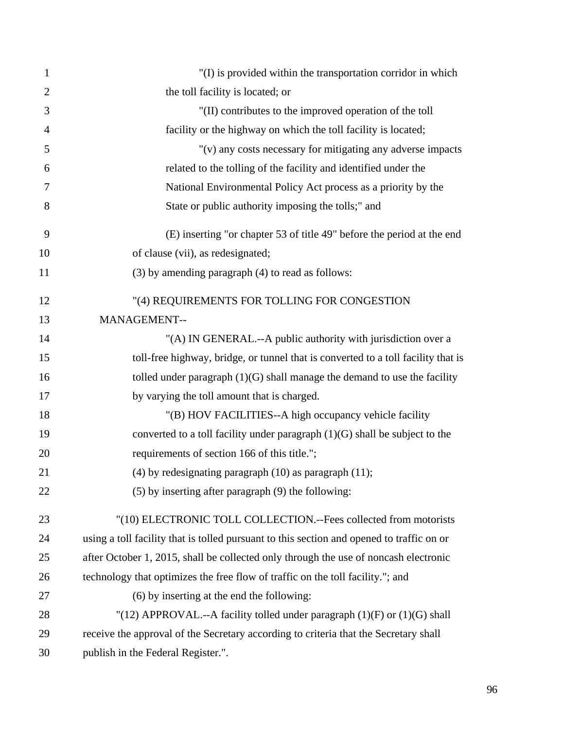| 1              | "(I) is provided within the transportation corridor in which                              |
|----------------|-------------------------------------------------------------------------------------------|
| $\overline{2}$ | the toll facility is located; or                                                          |
| 3              | "(II) contributes to the improved operation of the toll                                   |
| $\overline{4}$ | facility or the highway on which the toll facility is located;                            |
| 5              | "(v) any costs necessary for mitigating any adverse impacts                               |
| 6              | related to the tolling of the facility and identified under the                           |
| 7              | National Environmental Policy Act process as a priority by the                            |
| 8              | State or public authority imposing the tolls;" and                                        |
| 9              | (E) inserting "or chapter 53 of title 49" before the period at the end                    |
| 10             | of clause (vii), as redesignated;                                                         |
| 11             | (3) by amending paragraph (4) to read as follows:                                         |
| 12             | "(4) REQUIREMENTS FOR TOLLING FOR CONGESTION                                              |
| 13             | MANAGEMENT--                                                                              |
| 14             | "(A) IN GENERAL .-- A public authority with jurisdiction over a                           |
| 15             | toll-free highway, bridge, or tunnel that is converted to a toll facility that is         |
| 16             | tolled under paragraph $(1)(G)$ shall manage the demand to use the facility               |
| 17             | by varying the toll amount that is charged.                                               |
| 18             | "(B) HOV FACILITIES--A high occupancy vehicle facility                                    |
| 19             | converted to a toll facility under paragraph $(1)(G)$ shall be subject to the             |
| 20             | requirements of section 166 of this title.";                                              |
| 21             | $(4)$ by redesignating paragraph $(10)$ as paragraph $(11)$ ;                             |
| 22             | $(5)$ by inserting after paragraph $(9)$ the following:                                   |
| 23             | "(10) ELECTRONIC TOLL COLLECTION.--Fees collected from motorists                          |
| 24             | using a toll facility that is tolled pursuant to this section and opened to traffic on or |
| 25             | after October 1, 2015, shall be collected only through the use of noncash electronic      |
| 26             | technology that optimizes the free flow of traffic on the toll facility."; and            |
| 27             | (6) by inserting at the end the following:                                                |
| 28             | "(12) APPROVAL.--A facility tolled under paragraph $(1)(F)$ or $(1)(G)$ shall             |
| 29             | receive the approval of the Secretary according to criteria that the Secretary shall      |
| 30             | publish in the Federal Register.".                                                        |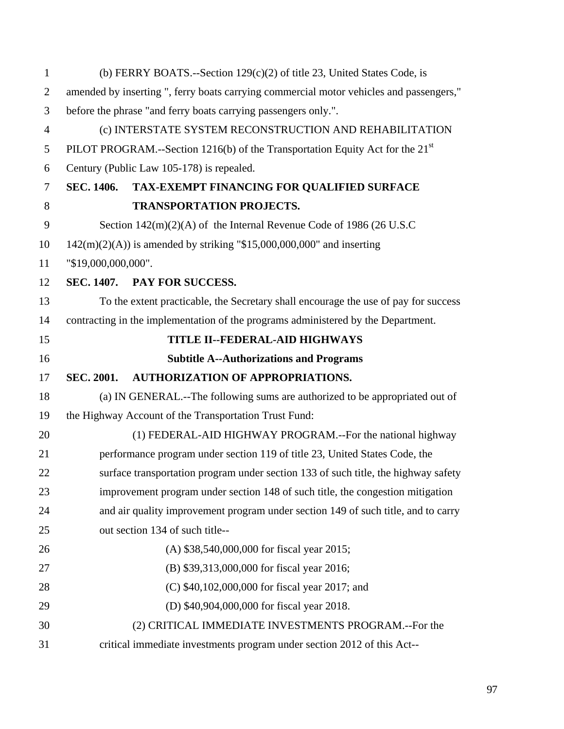| $\mathbf{1}$   | (b) FERRY BOATS.--Section $129(c)(2)$ of title 23, United States Code, is               |
|----------------|-----------------------------------------------------------------------------------------|
| $\overline{2}$ | amended by inserting ", ferry boats carrying commercial motor vehicles and passengers," |
| 3              | before the phrase "and ferry boats carrying passengers only.".                          |
| $\overline{4}$ | (c) INTERSTATE SYSTEM RECONSTRUCTION AND REHABILITATION                                 |
| 5              | PILOT PROGRAM.--Section 1216(b) of the Transportation Equity Act for the $21st$         |
| 6              | Century (Public Law 105-178) is repealed.                                               |
| $\tau$         | <b>SEC. 1406.</b><br>TAX-EXEMPT FINANCING FOR QUALIFIED SURFACE                         |
| 8              | <b>TRANSPORTATION PROJECTS.</b>                                                         |
| 9              | Section $142(m)(2)(A)$ of the Internal Revenue Code of 1986 (26 U.S.C)                  |
| 10             | $142(m)(2)(A)$ is amended by striking "\$15,000,000,000" and inserting                  |
| 11             | "\$19,000,000,000".                                                                     |
| 12             | SEC. 1407. PAY FOR SUCCESS.                                                             |
| 13             | To the extent practicable, the Secretary shall encourage the use of pay for success     |
| 14             | contracting in the implementation of the programs administered by the Department.       |
| 15             | TITLE II--FEDERAL-AID HIGHWAYS                                                          |
| 16             | <b>Subtitle A--Authorizations and Programs</b>                                          |
| 17             | <b>AUTHORIZATION OF APPROPRIATIONS.</b><br><b>SEC. 2001.</b>                            |
| 18             | (a) IN GENERAL.--The following sums are authorized to be appropriated out of            |
| 19             | the Highway Account of the Transportation Trust Fund:                                   |
| 20             | (1) FEDERAL-AID HIGHWAY PROGRAM.--For the national highway                              |
| 21             | performance program under section 119 of title 23, United States Code, the              |
| 22             | surface transportation program under section 133 of such title, the highway safety      |
| 23             | improvement program under section 148 of such title, the congestion mitigation          |
| 24             | and air quality improvement program under section 149 of such title, and to carry       |
| 25             | out section 134 of such title--                                                         |
| 26             | (A) \$38,540,000,000 for fiscal year 2015;                                              |
| 27             | (B) \$39,313,000,000 for fiscal year 2016;                                              |
| 28             | (C) \$40,102,000,000 for fiscal year 2017; and                                          |
| 29             | (D) \$40,904,000,000 for fiscal year 2018.                                              |
| 30             | (2) CRITICAL IMMEDIATE INVESTMENTS PROGRAM.--For the                                    |
| 31             | critical immediate investments program under section 2012 of this Act--                 |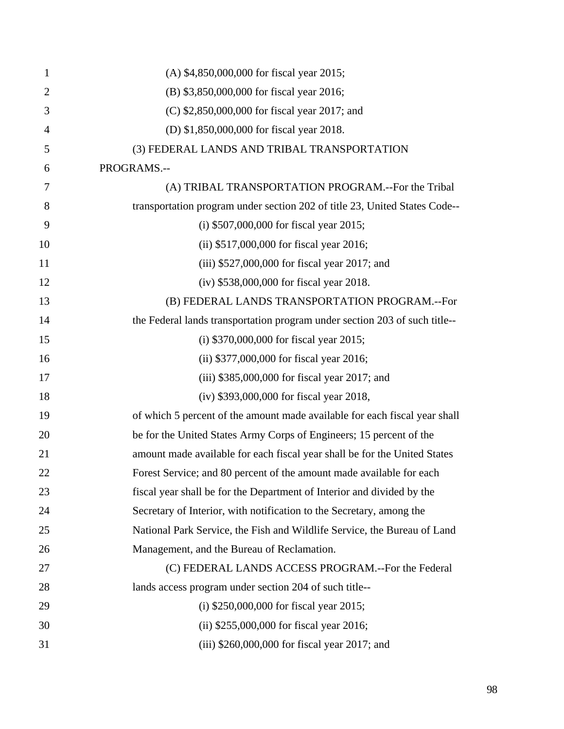| 1              | (A) \$4,850,000,000 for fiscal year 2015;                                  |
|----------------|----------------------------------------------------------------------------|
| $\overline{2}$ | (B) \$3,850,000,000 for fiscal year 2016;                                  |
| 3              | (C) \$2,850,000,000 for fiscal year 2017; and                              |
| 4              | (D) \$1,850,000,000 for fiscal year 2018.                                  |
| 5              | (3) FEDERAL LANDS AND TRIBAL TRANSPORTATION                                |
| 6              | PROGRAMS.--                                                                |
| 7              | (A) TRIBAL TRANSPORTATION PROGRAM.--For the Tribal                         |
| 8              | transportation program under section 202 of title 23, United States Code-- |
| 9              | (i) $$507,000,000$ for fiscal year 2015;                                   |
| 10             | (ii) \$517,000,000 for fiscal year 2016;                                   |
| 11             | (iii) \$527,000,000 for fiscal year 2017; and                              |
| 12             | (iv) \$538,000,000 for fiscal year 2018.                                   |
| 13             | (B) FEDERAL LANDS TRANSPORTATION PROGRAM.--For                             |
| 14             | the Federal lands transportation program under section 203 of such title-- |
| 15             | (i) $$370,000,000$ for fiscal year 2015;                                   |
| 16             | (ii) \$377,000,000 for fiscal year 2016;                                   |
| 17             | $(iii)$ \$385,000,000 for fiscal year 2017; and                            |
| 18             | (iv) \$393,000,000 for fiscal year 2018,                                   |
| 19             | of which 5 percent of the amount made available for each fiscal year shall |
| 20             | be for the United States Army Corps of Engineers; 15 percent of the        |
| 21             | amount made available for each fiscal year shall be for the United States  |
| 22             | Forest Service; and 80 percent of the amount made available for each       |
| 23             | fiscal year shall be for the Department of Interior and divided by the     |
| 24             | Secretary of Interior, with notification to the Secretary, among the       |
| 25             | National Park Service, the Fish and Wildlife Service, the Bureau of Land   |
| 26             | Management, and the Bureau of Reclamation.                                 |
| 27             | (C) FEDERAL LANDS ACCESS PROGRAM.--For the Federal                         |
| 28             | lands access program under section 204 of such title--                     |
| 29             | (i) $$250,000,000$ for fiscal year 2015;                                   |
| 30             | (ii) \$255,000,000 for fiscal year 2016;                                   |
| 31             | (iii) \$260,000,000 for fiscal year 2017; and                              |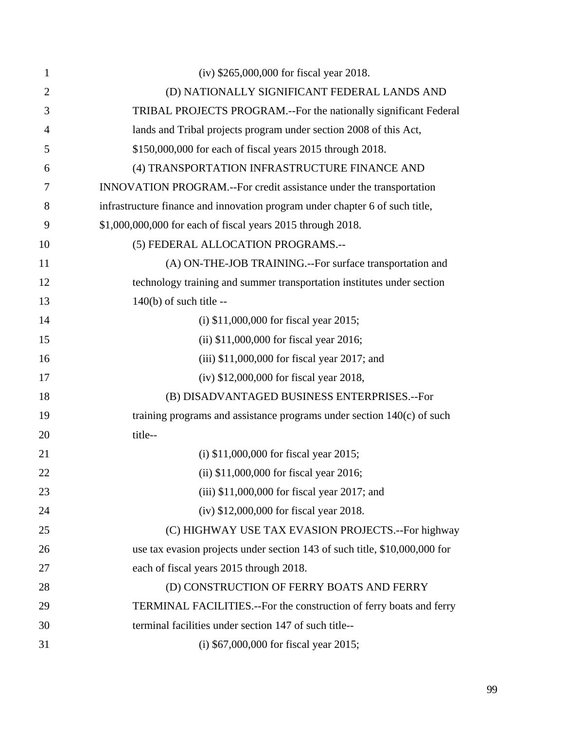| 1              | (iv) \$265,000,000 for fiscal year 2018.                                     |
|----------------|------------------------------------------------------------------------------|
| $\overline{2}$ | (D) NATIONALLY SIGNIFICANT FEDERAL LANDS AND                                 |
| 3              | TRIBAL PROJECTS PROGRAM.--For the nationally significant Federal             |
| 4              | lands and Tribal projects program under section 2008 of this Act,            |
| 5              | \$150,000,000 for each of fiscal years 2015 through 2018.                    |
| 6              | (4) TRANSPORTATION INFRASTRUCTURE FINANCE AND                                |
| 7              | INNOVATION PROGRAM.--For credit assistance under the transportation          |
| 8              | infrastructure finance and innovation program under chapter 6 of such title, |
| 9              | \$1,000,000,000 for each of fiscal years 2015 through 2018.                  |
| 10             | (5) FEDERAL ALLOCATION PROGRAMS.--                                           |
| 11             | (A) ON-THE-JOB TRAINING.--For surface transportation and                     |
| 12             | technology training and summer transportation institutes under section       |
| 13             | $140(b)$ of such title --                                                    |
| 14             | (i) $$11,000,000$ for fiscal year 2015;                                      |
| 15             | (ii) $$11,000,000$ for fiscal year 2016;                                     |
| 16             | $(iii)$ \$11,000,000 for fiscal year 2017; and                               |
| 17             | $(iv)$ \$12,000,000 for fiscal year 2018,                                    |
| 18             | (B) DISADVANTAGED BUSINESS ENTERPRISES.--For                                 |
| 19             | training programs and assistance programs under section $140(c)$ of such     |
| 20             | title--                                                                      |
| 21             | (i) $$11,000,000$ for fiscal year 2015;                                      |
| 22             | (ii) $$11,000,000$ for fiscal year 2016;                                     |
| 23             | $(iii)$ \$11,000,000 for fiscal year 2017; and                               |
| 24             | (iv) \$12,000,000 for fiscal year 2018.                                      |
| 25             | (C) HIGHWAY USE TAX EVASION PROJECTS.--For highway                           |
| 26             | use tax evasion projects under section 143 of such title, \$10,000,000 for   |
| 27             | each of fiscal years 2015 through 2018.                                      |
| 28             | (D) CONSTRUCTION OF FERRY BOATS AND FERRY                                    |
| 29             | TERMINAL FACILITIES.--For the construction of ferry boats and ferry          |
| 30             | terminal facilities under section 147 of such title--                        |
| 31             | (i) \$67,000,000 for fiscal year 2015;                                       |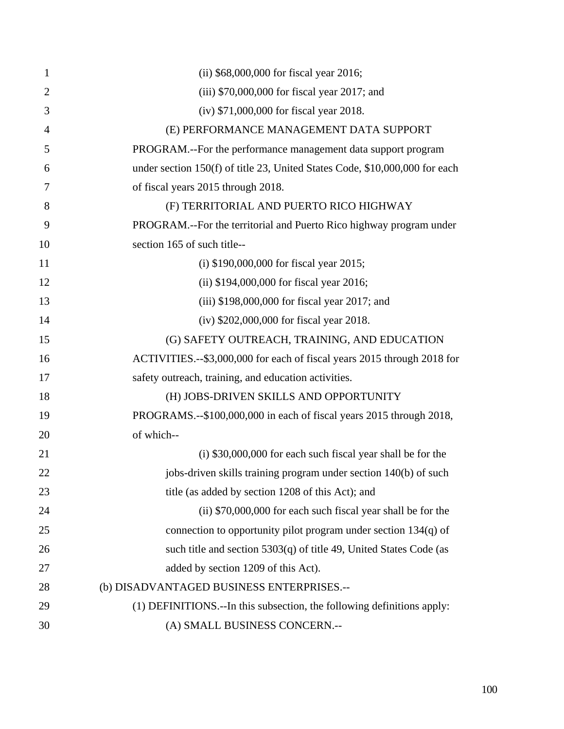| $\mathbf{1}$   | (ii) \$68,000,000 for fiscal year 2016;                                     |
|----------------|-----------------------------------------------------------------------------|
| $\overline{2}$ | $(iii)$ \$70,000,000 for fiscal year 2017; and                              |
| 3              | (iv) \$71,000,000 for fiscal year 2018.                                     |
| $\overline{4}$ | (E) PERFORMANCE MANAGEMENT DATA SUPPORT                                     |
| 5              | PROGRAM.--For the performance management data support program               |
| 6              | under section 150(f) of title 23, United States Code, \$10,000,000 for each |
| 7              | of fiscal years 2015 through 2018.                                          |
| 8              | (F) TERRITORIAL AND PUERTO RICO HIGHWAY                                     |
| 9              | PROGRAM.--For the territorial and Puerto Rico highway program under         |
| 10             | section 165 of such title--                                                 |
| 11             | (i) $$190,000,000$ for fiscal year 2015;                                    |
| 12             | (ii) $$194,000,000$ for fiscal year 2016;                                   |
| 13             | $(iii)$ \$198,000,000 for fiscal year 2017; and                             |
| 14             | (iv) \$202,000,000 for fiscal year 2018.                                    |
| 15             | (G) SAFETY OUTREACH, TRAINING, AND EDUCATION                                |
| 16             | ACTIVITIES.--\$3,000,000 for each of fiscal years 2015 through 2018 for     |
| 17             | safety outreach, training, and education activities.                        |
| 18             | (H) JOBS-DRIVEN SKILLS AND OPPORTUNITY                                      |
| 19             | PROGRAMS.--\$100,000,000 in each of fiscal years 2015 through 2018,         |
| 20             | of which--                                                                  |
| 21             | (i) \$30,000,000 for each such fiscal year shall be for the                 |
| 22             | jobs-driven skills training program under section 140(b) of such            |
| 23             | title (as added by section 1208 of this Act); and                           |
| 24             | (ii) \$70,000,000 for each such fiscal year shall be for the                |
| 25             | connection to opportunity pilot program under section $134(q)$ of           |
| 26             | such title and section $5303(q)$ of title 49, United States Code (as        |
| 27             | added by section 1209 of this Act).                                         |
| 28             | (b) DISADVANTAGED BUSINESS ENTERPRISES.--                                   |
| 29             | (1) DEFINITIONS.--In this subsection, the following definitions apply:      |
| 30             | (A) SMALL BUSINESS CONCERN .--                                              |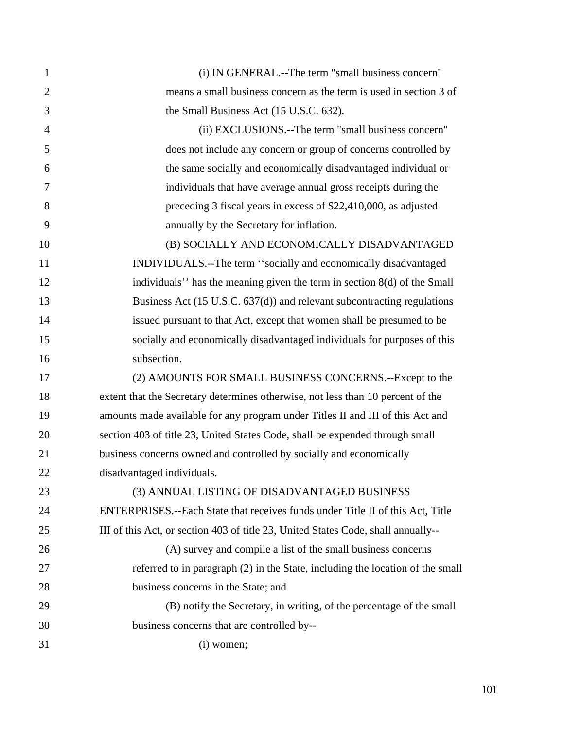| $\mathbf{1}$   | (i) IN GENERAL.--The term "small business concern"                                |
|----------------|-----------------------------------------------------------------------------------|
| $\mathbf{2}$   | means a small business concern as the term is used in section 3 of                |
| 3              | the Small Business Act (15 U.S.C. 632).                                           |
| $\overline{4}$ | (ii) EXCLUSIONS.--The term "small business concern"                               |
| 5              | does not include any concern or group of concerns controlled by                   |
| 6              | the same socially and economically disadvantaged individual or                    |
| 7              | individuals that have average annual gross receipts during the                    |
| 8              | preceding 3 fiscal years in excess of \$22,410,000, as adjusted                   |
| 9              | annually by the Secretary for inflation.                                          |
| 10             | (B) SOCIALLY AND ECONOMICALLY DISADVANTAGED                                       |
| 11             | INDIVIDUALS.--The term "socially and economically disadvantaged                   |
| 12             | individuals" has the meaning given the term in section 8(d) of the Small          |
| 13             | Business Act (15 U.S.C. 637(d)) and relevant subcontracting regulations           |
| 14             | issued pursuant to that Act, except that women shall be presumed to be            |
| 15             | socially and economically disadvantaged individuals for purposes of this          |
| 16             | subsection.                                                                       |
| 17             | (2) AMOUNTS FOR SMALL BUSINESS CONCERNS.--Except to the                           |
| 18             | extent that the Secretary determines otherwise, not less than 10 percent of the   |
| 19             | amounts made available for any program under Titles II and III of this Act and    |
| 20             | section 403 of title 23, United States Code, shall be expended through small      |
| 21             | business concerns owned and controlled by socially and economically               |
| 22             | disadvantaged individuals.                                                        |
| 23             | (3) ANNUAL LISTING OF DISADVANTAGED BUSINESS                                      |
| 24             | ENTERPRISES.--Each State that receives funds under Title II of this Act, Title    |
| 25             | III of this Act, or section 403 of title 23, United States Code, shall annually-- |
| 26             | (A) survey and compile a list of the small business concerns                      |
| 27             | referred to in paragraph (2) in the State, including the location of the small    |
| 28             | business concerns in the State; and                                               |
| 29             | (B) notify the Secretary, in writing, of the percentage of the small              |
| 30             | business concerns that are controlled by--                                        |
| 31             | $(i)$ women;                                                                      |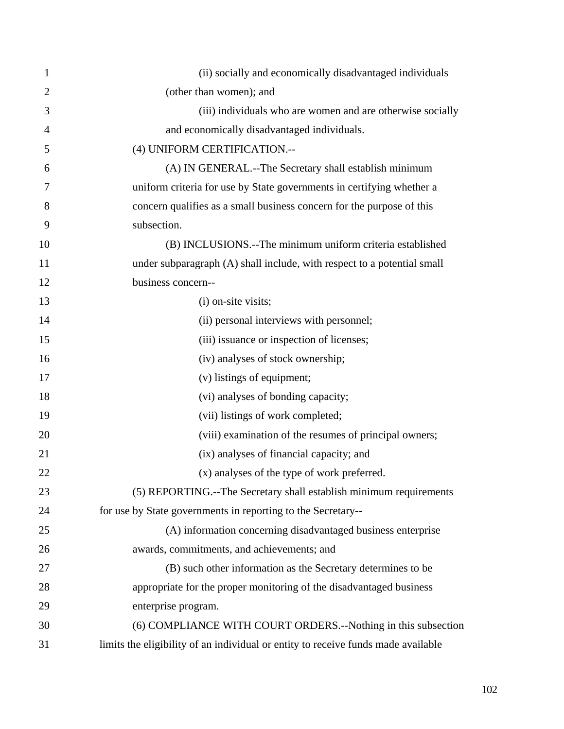| 1              | (ii) socially and economically disadvantaged individuals                          |
|----------------|-----------------------------------------------------------------------------------|
| $\overline{2}$ | (other than women); and                                                           |
| 3              | (iii) individuals who are women and are otherwise socially                        |
| 4              | and economically disadvantaged individuals.                                       |
| 5              | (4) UNIFORM CERTIFICATION.--                                                      |
| 6              | (A) IN GENERAL.--The Secretary shall establish minimum                            |
| 7              | uniform criteria for use by State governments in certifying whether a             |
| 8              | concern qualifies as a small business concern for the purpose of this             |
| 9              | subsection.                                                                       |
| 10             | (B) INCLUSIONS.--The minimum uniform criteria established                         |
| 11             | under subparagraph (A) shall include, with respect to a potential small           |
| 12             | business concern--                                                                |
| 13             | (i) on-site visits;                                                               |
| 14             | (ii) personal interviews with personnel;                                          |
| 15             | (iii) issuance or inspection of licenses;                                         |
| 16             | (iv) analyses of stock ownership;                                                 |
| 17             | (v) listings of equipment;                                                        |
| 18             | (vi) analyses of bonding capacity;                                                |
| 19             | (vii) listings of work completed;                                                 |
| 20             | (viii) examination of the resumes of principal owners;                            |
| 21             | (ix) analyses of financial capacity; and                                          |
| 22             | (x) analyses of the type of work preferred.                                       |
| 23             | (5) REPORTING.--The Secretary shall establish minimum requirements                |
| 24             | for use by State governments in reporting to the Secretary--                      |
| 25             | (A) information concerning disadvantaged business enterprise                      |
| 26             | awards, commitments, and achievements; and                                        |
| 27             | (B) such other information as the Secretary determines to be                      |
| 28             | appropriate for the proper monitoring of the disadvantaged business               |
| 29             | enterprise program.                                                               |
| 30             | (6) COMPLIANCE WITH COURT ORDERS.--Nothing in this subsection                     |
| 31             | limits the eligibility of an individual or entity to receive funds made available |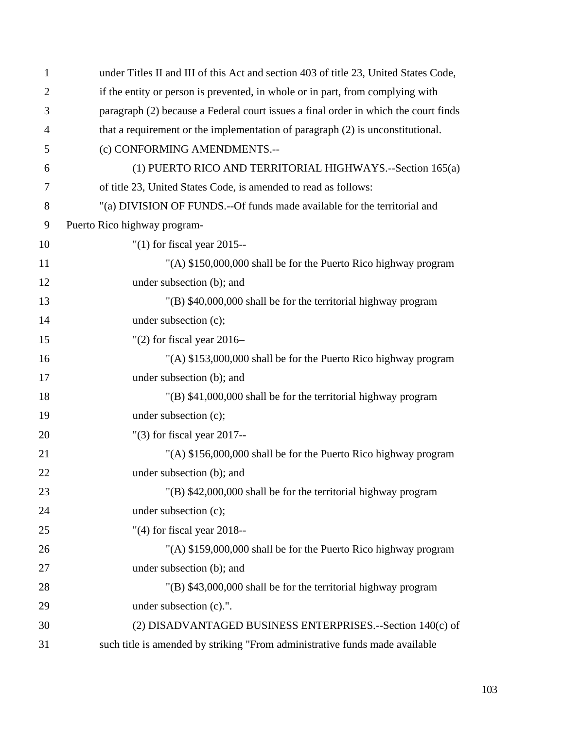| $\mathbf{1}$   | under Titles II and III of this Act and section 403 of title 23, United States Code, |
|----------------|--------------------------------------------------------------------------------------|
| $\overline{2}$ | if the entity or person is prevented, in whole or in part, from complying with       |
| 3              | paragraph (2) because a Federal court issues a final order in which the court finds  |
| $\overline{4}$ | that a requirement or the implementation of paragraph (2) is unconstitutional.       |
| 5              | (c) CONFORMING AMENDMENTS.--                                                         |
| 6              | (1) PUERTO RICO AND TERRITORIAL HIGHWAYS.--Section 165(a)                            |
| 7              | of title 23, United States Code, is amended to read as follows:                      |
| 8              | "(a) DIVISION OF FUNDS.--Of funds made available for the territorial and             |
| 9              | Puerto Rico highway program-                                                         |
| 10             | " $(1)$ for fiscal year 2015--                                                       |
| 11             | "(A) \$150,000,000 shall be for the Puerto Rico highway program                      |
| 12             | under subsection (b); and                                                            |
| 13             | "(B) \$40,000,000 shall be for the territorial highway program                       |
| 14             | under subsection (c);                                                                |
| 15             | " $(2)$ for fiscal year 2016-                                                        |
| 16             | "(A) \$153,000,000 shall be for the Puerto Rico highway program                      |
| 17             | under subsection (b); and                                                            |
| 18             | "(B) \$41,000,000 shall be for the territorial highway program                       |
| 19             | under subsection (c);                                                                |
| 20             | " $(3)$ for fiscal year 2017--                                                       |
| 21             | "(A) \$156,000,000 shall be for the Puerto Rico highway program                      |
| 22             | under subsection (b); and                                                            |
| 23             | "(B) \$42,000,000 shall be for the territorial highway program                       |
| 24             | under subsection (c);                                                                |
| 25             | " $(4)$ for fiscal year 2018--                                                       |
| 26             | "(A) \$159,000,000 shall be for the Puerto Rico highway program                      |
| 27             | under subsection (b); and                                                            |
| 28             | "(B) \$43,000,000 shall be for the territorial highway program                       |
| 29             | under subsection (c).".                                                              |
| 30             | (2) DISADVANTAGED BUSINESS ENTERPRISES.--Section 140(c) of                           |
| 31             | such title is amended by striking "From administrative funds made available          |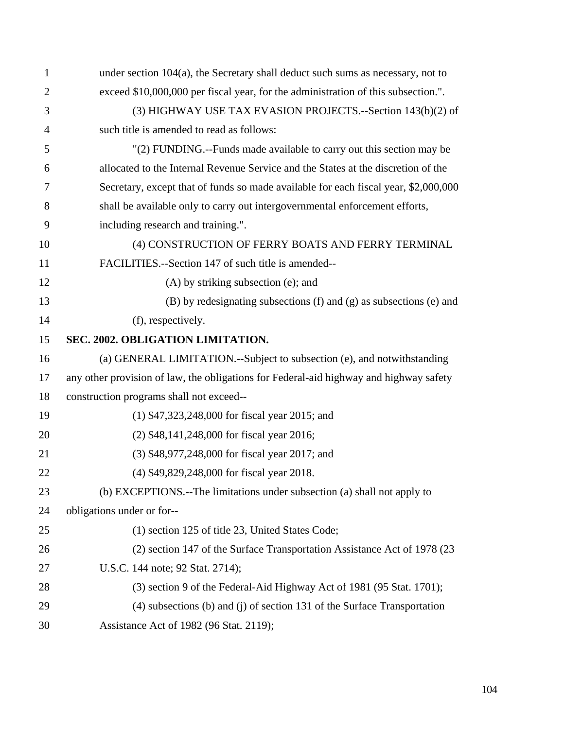| $\mathbf{1}$   | under section 104(a), the Secretary shall deduct such sums as necessary, not to        |
|----------------|----------------------------------------------------------------------------------------|
| $\overline{2}$ | exceed \$10,000,000 per fiscal year, for the administration of this subsection.".      |
| 3              | (3) HIGHWAY USE TAX EVASION PROJECTS.--Section 143(b)(2) of                            |
| $\overline{4}$ | such title is amended to read as follows:                                              |
| 5              | "(2) FUNDING.--Funds made available to carry out this section may be                   |
| 6              | allocated to the Internal Revenue Service and the States at the discretion of the      |
| 7              | Secretary, except that of funds so made available for each fiscal year, \$2,000,000    |
| 8              | shall be available only to carry out intergovernmental enforcement efforts,            |
| 9              | including research and training.".                                                     |
| 10             | (4) CONSTRUCTION OF FERRY BOATS AND FERRY TERMINAL                                     |
| 11             | FACILITIES.--Section 147 of such title is amended--                                    |
| 12             | $(A)$ by striking subsection (e); and                                                  |
| 13             | $(B)$ by redesignating subsections $(f)$ and $(g)$ as subsections $(e)$ and            |
| 14             | (f), respectively.                                                                     |
| 15             | SEC. 2002. OBLIGATION LIMITATION.                                                      |
| 16             | (a) GENERAL LIMITATION.--Subject to subsection (e), and notwithstanding                |
| 17             | any other provision of law, the obligations for Federal-aid highway and highway safety |
| 18             | construction programs shall not exceed--                                               |
| 19             | $(1)$ \$47,323,248,000 for fiscal year 2015; and                                       |
| 20             | (2) \$48,141,248,000 for fiscal year 2016;                                             |
| 21             | (3) \$48,977,248,000 for fiscal year 2017; and                                         |
| 22             | (4) \$49,829,248,000 for fiscal year 2018.                                             |
| 23             | (b) EXCEPTIONS.--The limitations under subsection (a) shall not apply to               |
| 24             | obligations under or for--                                                             |
| 25             | (1) section 125 of title 23, United States Code;                                       |
| 26             | (2) section 147 of the Surface Transportation Assistance Act of 1978 (23               |
| 27             | U.S.C. 144 note; 92 Stat. 2714);                                                       |
| 28             | (3) section 9 of the Federal-Aid Highway Act of 1981 (95 Stat. 1701);                  |
| 29             | $(4)$ subsections $(b)$ and $(i)$ of section 131 of the Surface Transportation         |
| 30             | Assistance Act of 1982 (96 Stat. 2119);                                                |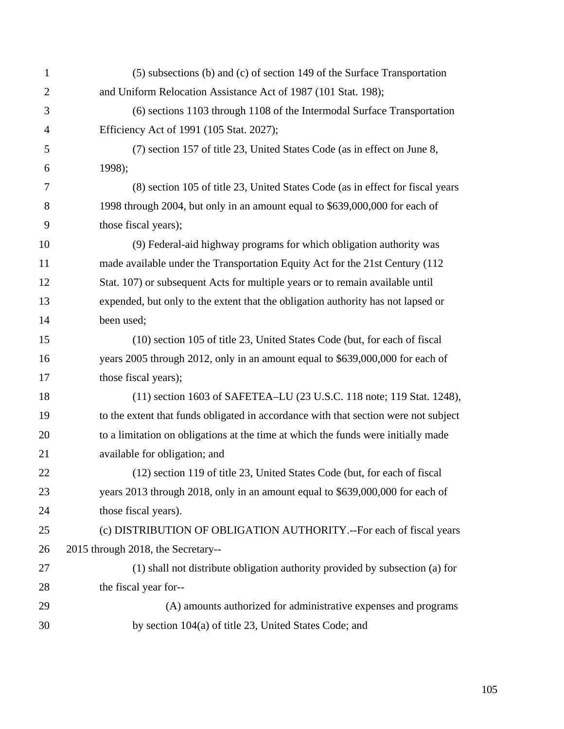| $\mathbf 1$    | (5) subsections (b) and (c) of section 149 of the Surface Transportation            |
|----------------|-------------------------------------------------------------------------------------|
| $\overline{2}$ | and Uniform Relocation Assistance Act of 1987 (101 Stat. 198);                      |
| 3              | (6) sections 1103 through 1108 of the Intermodal Surface Transportation             |
| $\overline{4}$ | Efficiency Act of 1991 (105 Stat. 2027);                                            |
| 5              | (7) section 157 of title 23, United States Code (as in effect on June 8,            |
| 6              | 1998);                                                                              |
| 7              | (8) section 105 of title 23, United States Code (as in effect for fiscal years      |
| 8              | 1998 through 2004, but only in an amount equal to \$639,000,000 for each of         |
| 9              | those fiscal years);                                                                |
| 10             | (9) Federal-aid highway programs for which obligation authority was                 |
| 11             | made available under the Transportation Equity Act for the 21st Century (112)       |
| 12             | Stat. 107) or subsequent Acts for multiple years or to remain available until       |
| 13             | expended, but only to the extent that the obligation authority has not lapsed or    |
| 14             | been used;                                                                          |
| 15             | (10) section 105 of title 23, United States Code (but, for each of fiscal           |
| 16             | years 2005 through 2012, only in an amount equal to \$639,000,000 for each of       |
| 17             | those fiscal years);                                                                |
| 18             | (11) section 1603 of SAFETEA-LU (23 U.S.C. 118 note; 119 Stat. 1248),               |
| 19             | to the extent that funds obligated in accordance with that section were not subject |
| 20             | to a limitation on obligations at the time at which the funds were initially made   |
| 21             | available for obligation; and                                                       |
| 22             | (12) section 119 of title 23, United States Code (but, for each of fiscal           |
| 23             | years 2013 through 2018, only in an amount equal to \$639,000,000 for each of       |
| 24             | those fiscal years).                                                                |
| 25             | (c) DISTRIBUTION OF OBLIGATION AUTHORITY.--For each of fiscal years                 |
| 26             | 2015 through 2018, the Secretary--                                                  |
| 27             | (1) shall not distribute obligation authority provided by subsection (a) for        |
| 28             | the fiscal year for--                                                               |
| 29             | (A) amounts authorized for administrative expenses and programs                     |
| 30             | by section 104(a) of title 23, United States Code; and                              |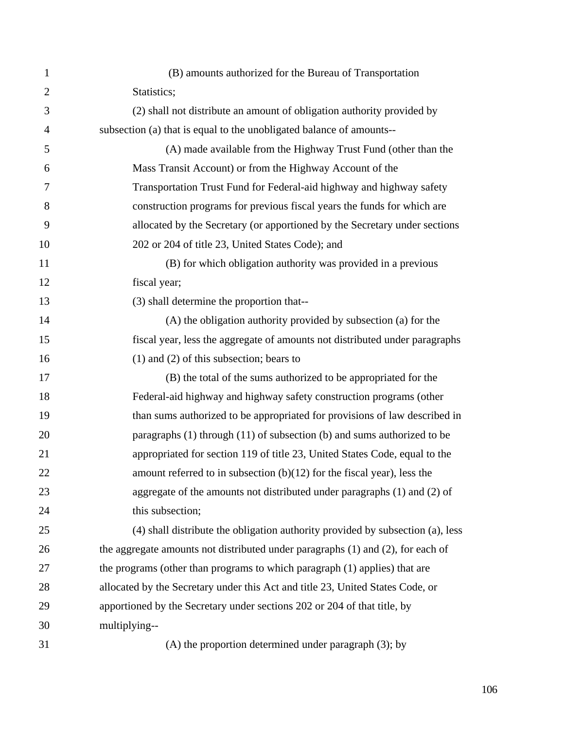| 1              | (B) amounts authorized for the Bureau of Transportation                         |
|----------------|---------------------------------------------------------------------------------|
| $\overline{2}$ | Statistics;                                                                     |
| 3              | (2) shall not distribute an amount of obligation authority provided by          |
| $\overline{4}$ | subsection (a) that is equal to the unobligated balance of amounts--            |
| 5              | (A) made available from the Highway Trust Fund (other than the                  |
| 6              | Mass Transit Account) or from the Highway Account of the                        |
| 7              | Transportation Trust Fund for Federal-aid highway and highway safety            |
| 8              | construction programs for previous fiscal years the funds for which are         |
| 9              | allocated by the Secretary (or apportioned by the Secretary under sections      |
| 10             | 202 or 204 of title 23, United States Code); and                                |
| 11             | (B) for which obligation authority was provided in a previous                   |
| 12             | fiscal year;                                                                    |
| 13             | (3) shall determine the proportion that--                                       |
| 14             | (A) the obligation authority provided by subsection (a) for the                 |
| 15             | fiscal year, less the aggregate of amounts not distributed under paragraphs     |
| 16             | $(1)$ and $(2)$ of this subsection; bears to                                    |
| 17             | (B) the total of the sums authorized to be appropriated for the                 |
| 18             | Federal-aid highway and highway safety construction programs (other             |
| 19             | than sums authorized to be appropriated for provisions of law described in      |
| 20             | paragraphs $(1)$ through $(11)$ of subsection $(b)$ and sums authorized to be   |
| 21             | appropriated for section 119 of title 23, United States Code, equal to the      |
| 22             | amount referred to in subsection $(b)(12)$ for the fiscal year), less the       |
| 23             | aggregate of the amounts not distributed under paragraphs (1) and (2) of        |
| 24             | this subsection;                                                                |
| 25             | (4) shall distribute the obligation authority provided by subsection (a), less  |
| 26             | the aggregate amounts not distributed under paragraphs (1) and (2), for each of |
| 27             | the programs (other than programs to which paragraph (1) applies) that are      |
| 28             | allocated by the Secretary under this Act and title 23, United States Code, or  |
| 29             | apportioned by the Secretary under sections 202 or 204 of that title, by        |
| 30             | multiplying--                                                                   |
| 31             | (A) the proportion determined under paragraph (3); by                           |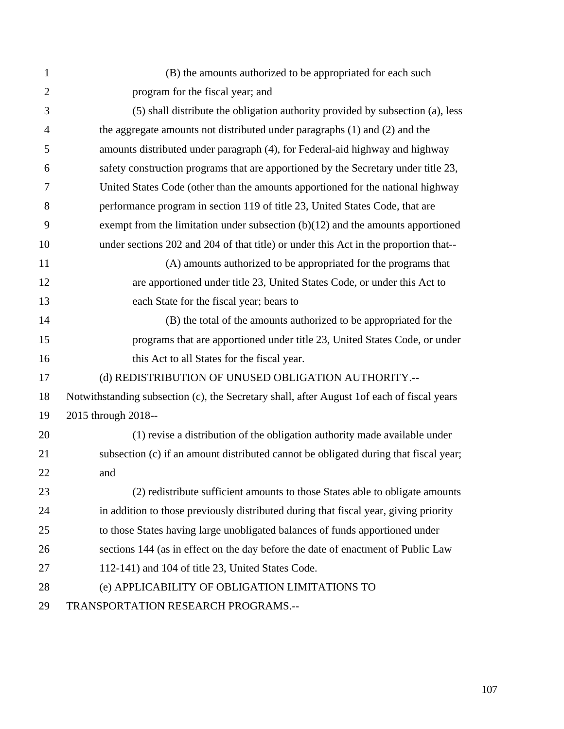| 1              | (B) the amounts authorized to be appropriated for each such                                 |
|----------------|---------------------------------------------------------------------------------------------|
| $\overline{2}$ | program for the fiscal year; and                                                            |
| 3              | (5) shall distribute the obligation authority provided by subsection (a), less              |
| $\overline{4}$ | the aggregate amounts not distributed under paragraphs (1) and (2) and the                  |
| 5              | amounts distributed under paragraph (4), for Federal-aid highway and highway                |
| 6              | safety construction programs that are apportioned by the Secretary under title 23,          |
| 7              | United States Code (other than the amounts apportioned for the national highway             |
| 8              | performance program in section 119 of title 23, United States Code, that are                |
| 9              | exempt from the limitation under subsection $(b)(12)$ and the amounts apportioned           |
| 10             | under sections 202 and 204 of that title) or under this Act in the proportion that--        |
| 11             | (A) amounts authorized to be appropriated for the programs that                             |
| 12             | are apportioned under title 23, United States Code, or under this Act to                    |
| 13             | each State for the fiscal year; bears to                                                    |
| 14             | (B) the total of the amounts authorized to be appropriated for the                          |
| 15             | programs that are apportioned under title 23, United States Code, or under                  |
| 16             | this Act to all States for the fiscal year.                                                 |
| 17             | (d) REDISTRIBUTION OF UNUSED OBLIGATION AUTHORITY.--                                        |
| 18             | Notwithstanding subsection (c), the Secretary shall, after August 1 of each of fiscal years |
| 19             | 2015 through 2018--                                                                         |
| 20             | (1) revise a distribution of the obligation authority made available under                  |
| 21             | subsection (c) if an amount distributed cannot be obligated during that fiscal year;        |
| 22             | and                                                                                         |
| 23             | (2) redistribute sufficient amounts to those States able to obligate amounts                |
| 24             | in addition to those previously distributed during that fiscal year, giving priority        |
| 25             | to those States having large unobligated balances of funds apportioned under                |
| 26             | sections 144 (as in effect on the day before the date of enactment of Public Law            |
| 27             | 112-141) and 104 of title 23, United States Code.                                           |
| 28             | (e) APPLICABILITY OF OBLIGATION LIMITATIONS TO                                              |
| 29             | TRANSPORTATION RESEARCH PROGRAMS.--                                                         |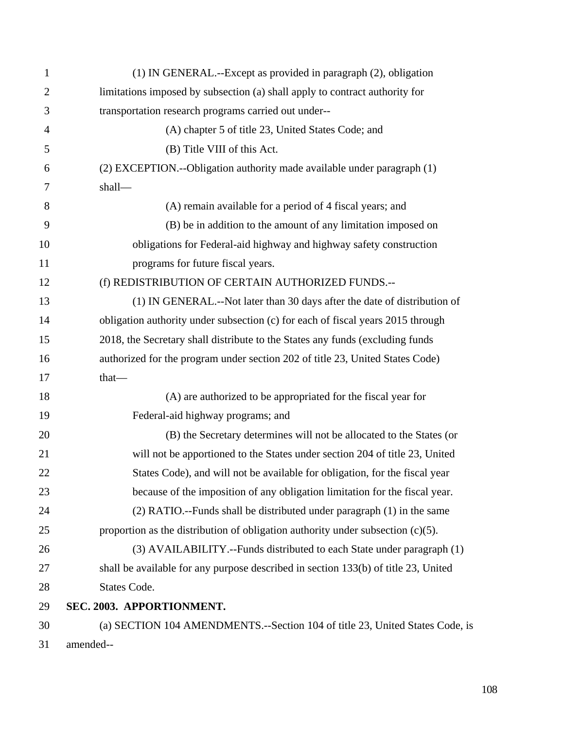| 1              | (1) IN GENERAL.--Except as provided in paragraph (2), obligation                   |
|----------------|------------------------------------------------------------------------------------|
| $\overline{2}$ | limitations imposed by subsection (a) shall apply to contract authority for        |
| 3              | transportation research programs carried out under--                               |
| 4              | (A) chapter 5 of title 23, United States Code; and                                 |
| 5              | (B) Title VIII of this Act.                                                        |
| 6              | (2) EXCEPTION.--Obligation authority made available under paragraph (1)            |
| 7              | shall-                                                                             |
| 8              | (A) remain available for a period of 4 fiscal years; and                           |
| 9              | (B) be in addition to the amount of any limitation imposed on                      |
| 10             | obligations for Federal-aid highway and highway safety construction                |
| 11             | programs for future fiscal years.                                                  |
| 12             | (f) REDISTRIBUTION OF CERTAIN AUTHORIZED FUNDS.--                                  |
| 13             | (1) IN GENERAL.--Not later than 30 days after the date of distribution of          |
| 14             | obligation authority under subsection (c) for each of fiscal years 2015 through    |
| 15             | 2018, the Secretary shall distribute to the States any funds (excluding funds      |
| 16             | authorized for the program under section 202 of title 23, United States Code)      |
| 17             | that-                                                                              |
| 18             | (A) are authorized to be appropriated for the fiscal year for                      |
| 19             | Federal-aid highway programs; and                                                  |
| 20             | (B) the Secretary determines will not be allocated to the States (or               |
| 21             | will not be apportioned to the States under section 204 of title 23, United        |
| 22             | States Code), and will not be available for obligation, for the fiscal year        |
| 23             | because of the imposition of any obligation limitation for the fiscal year.        |
| 24             | (2) RATIO.--Funds shall be distributed under paragraph (1) in the same             |
| 25             | proportion as the distribution of obligation authority under subsection $(c)(5)$ . |
| 26             | (3) AVAILABILITY.--Funds distributed to each State under paragraph (1)             |
| 27             | shall be available for any purpose described in section 133(b) of title 23, United |
| 28             | <b>States Code.</b>                                                                |
| 29             | SEC. 2003. APPORTIONMENT.                                                          |
| 30             | (a) SECTION 104 AMENDMENTS.--Section 104 of title 23, United States Code, is       |
| 31             | amended--                                                                          |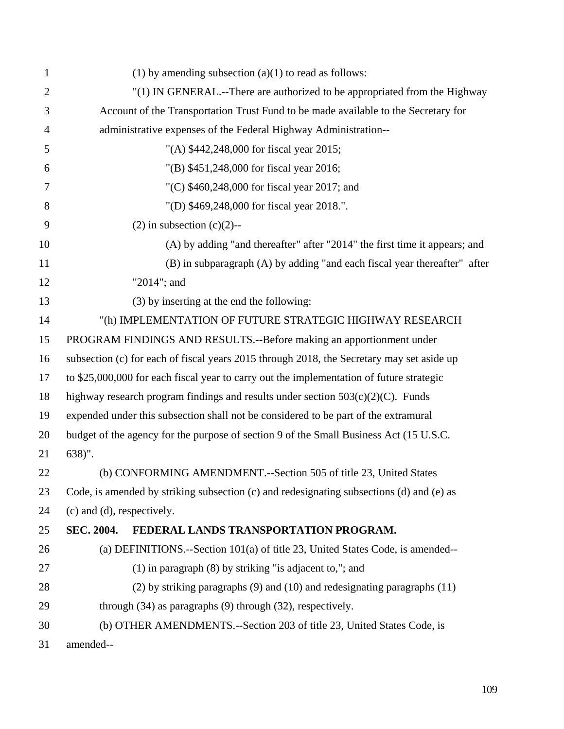| 1              | (1) by amending subsection $(a)(1)$ to read as follows:                                   |  |
|----------------|-------------------------------------------------------------------------------------------|--|
| $\overline{2}$ | "(1) IN GENERAL.--There are authorized to be appropriated from the Highway                |  |
| 3              | Account of the Transportation Trust Fund to be made available to the Secretary for        |  |
| 4              | administrative expenses of the Federal Highway Administration--                           |  |
| 5              | "(A) \$442,248,000 for fiscal year 2015;                                                  |  |
| 6              | "(B) \$451,248,000 for fiscal year 2016;                                                  |  |
| 7              | "(C) $$460,248,000$ for fiscal year 2017; and                                             |  |
| 8              | "(D) \$469,248,000 for fiscal year 2018.".                                                |  |
| 9              | $(2)$ in subsection $(c)(2)$ --                                                           |  |
| 10             | (A) by adding "and thereafter" after "2014" the first time it appears; and                |  |
| 11             | (B) in subparagraph (A) by adding "and each fiscal year thereafter" after                 |  |
| 12             | "2014"; and                                                                               |  |
| 13             | (3) by inserting at the end the following:                                                |  |
| 14             | "(h) IMPLEMENTATION OF FUTURE STRATEGIC HIGHWAY RESEARCH                                  |  |
| 15             | PROGRAM FINDINGS AND RESULTS.--Before making an apportionment under                       |  |
| 16             | subsection (c) for each of fiscal years 2015 through 2018, the Secretary may set aside up |  |
| 17             | to \$25,000,000 for each fiscal year to carry out the implementation of future strategic  |  |
| 18             | highway research program findings and results under section $503(c)(2)(C)$ . Funds        |  |
| 19             | expended under this subsection shall not be considered to be part of the extramural       |  |
| 20             | budget of the agency for the purpose of section 9 of the Small Business Act (15 U.S.C.    |  |
| 21             | $638)$ ".                                                                                 |  |
| 22             | (b) CONFORMING AMENDMENT.--Section 505 of title 23, United States                         |  |
| 23             | Code, is amended by striking subsection (c) and redesignating subsections (d) and (e) as  |  |
| 24             | (c) and (d), respectively.                                                                |  |
| 25             | FEDERAL LANDS TRANSPORTATION PROGRAM.<br><b>SEC. 2004.</b>                                |  |
| 26             | (a) DEFINITIONS.--Section 101(a) of title 23, United States Code, is amended--            |  |
| 27             | $(1)$ in paragraph $(8)$ by striking "is adjacent to,"; and                               |  |
| 28             | $(2)$ by striking paragraphs $(9)$ and $(10)$ and redesignating paragraphs $(11)$         |  |
| 29             | through $(34)$ as paragraphs $(9)$ through $(32)$ , respectively.                         |  |
| 30             | (b) OTHER AMENDMENTS.--Section 203 of title 23, United States Code, is                    |  |
| 31             | amended--                                                                                 |  |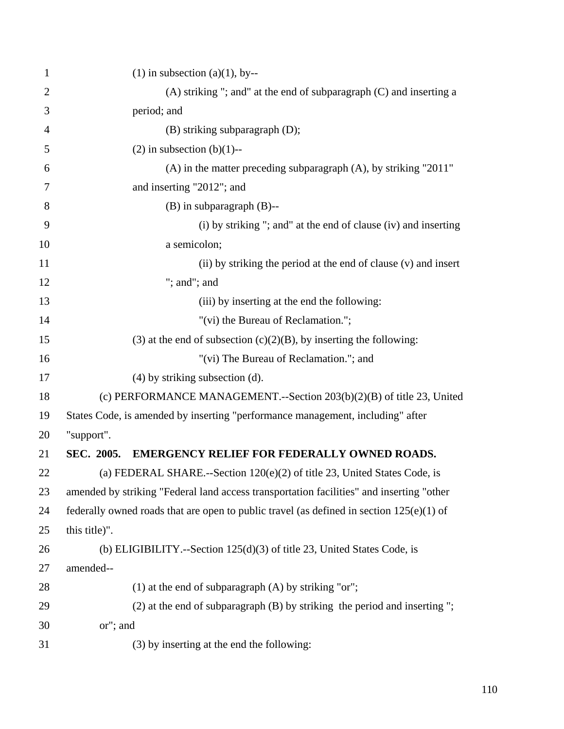| $\mathbf{1}$   | $(1)$ in subsection $(a)(1)$ , by--                                                        |
|----------------|--------------------------------------------------------------------------------------------|
| $\overline{2}$ | $(A)$ striking "; and" at the end of subparagraph $(C)$ and inserting a                    |
| 3              | period; and                                                                                |
| $\overline{4}$ | (B) striking subparagraph (D);                                                             |
| 5              | $(2)$ in subsection $(b)(1)$ --                                                            |
| 6              | $(A)$ in the matter preceding subparagraph $(A)$ , by striking "2011"                      |
| 7              | and inserting "2012"; and                                                                  |
| 8              | $(B)$ in subparagraph $(B)$ --                                                             |
| 9              | (i) by striking "; and" at the end of clause (iv) and inserting                            |
| 10             | a semicolon;                                                                               |
| 11             | (ii) by striking the period at the end of clause (v) and insert                            |
| 12             | "; and"; and                                                                               |
| 13             | (iii) by inserting at the end the following:                                               |
| 14             | "(vi) the Bureau of Reclamation.";                                                         |
| 15             | (3) at the end of subsection $(c)(2)(B)$ , by inserting the following:                     |
| 16             | "(vi) The Bureau of Reclamation."; and                                                     |
| 17             | $(4)$ by striking subsection $(d)$ .                                                       |
| 18             | (c) PERFORMANCE MANAGEMENT.--Section $203(b)(2)(B)$ of title 23, United                    |
| 19             | States Code, is amended by inserting "performance management, including" after             |
| 20             | "support".                                                                                 |
| 21             | <b>EMERGENCY RELIEF FOR FEDERALLY OWNED ROADS.</b><br>SEC. 2005.                           |
| 22             | (a) FEDERAL SHARE.--Section $120(e)(2)$ of title 23, United States Code, is                |
| 23             | amended by striking "Federal land access transportation facilities" and inserting "other   |
| 24             | federally owned roads that are open to public travel (as defined in section $125(e)(1)$ of |
| 25             | this title)".                                                                              |
| 26             | (b) ELIGIBILITY.--Section $125(d)(3)$ of title 23, United States Code, is                  |
| 27             | amended--                                                                                  |
| 28             | $(1)$ at the end of subparagraph $(A)$ by striking "or";                                   |
| 29             | (2) at the end of subparagraph (B) by striking the period and inserting";                  |
| 30             | or"; and                                                                                   |
| 31             | (3) by inserting at the end the following:                                                 |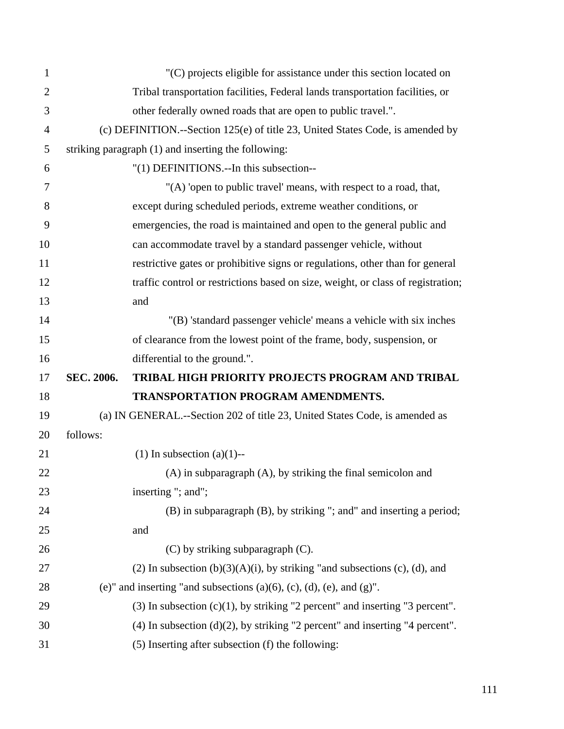| $\mathbf{1}$   |            | "(C) projects eligible for assistance under this section located on                 |
|----------------|------------|-------------------------------------------------------------------------------------|
| $\overline{2}$ |            | Tribal transportation facilities, Federal lands transportation facilities, or       |
| 3              |            | other federally owned roads that are open to public travel.".                       |
| $\overline{4}$ |            | (c) DEFINITION.--Section 125(e) of title 23, United States Code, is amended by      |
| 5              |            | striking paragraph (1) and inserting the following:                                 |
| 6              |            | "(1) DEFINITIONS.--In this subsection--                                             |
| 7              |            | "(A) 'open to public travel' means, with respect to a road, that,                   |
| 8              |            | except during scheduled periods, extreme weather conditions, or                     |
| 9              |            | emergencies, the road is maintained and open to the general public and              |
| 10             |            | can accommodate travel by a standard passenger vehicle, without                     |
| 11             |            | restrictive gates or prohibitive signs or regulations, other than for general       |
| 12             |            | traffic control or restrictions based on size, weight, or class of registration;    |
| 13             |            | and                                                                                 |
| 14             |            | "(B) 'standard passenger vehicle' means a vehicle with six inches                   |
| 15             |            | of clearance from the lowest point of the frame, body, suspension, or               |
| 16             |            | differential to the ground.".                                                       |
| 17             | SEC. 2006. | TRIBAL HIGH PRIORITY PROJECTS PROGRAM AND TRIBAL                                    |
| 18             |            | <b>TRANSPORTATION PROGRAM AMENDMENTS.</b>                                           |
| 19             |            | (a) IN GENERAL.--Section 202 of title 23, United States Code, is amended as         |
| 20             | follows:   |                                                                                     |
| 21             |            | $(1)$ In subsection $(a)(1)$ --                                                     |
| 22             |            | (A) in subparagraph (A), by striking the final semicolon and                        |
| 23             |            | inserting "; and";                                                                  |
| 24             |            | (B) in subparagraph (B), by striking "; and" and inserting a period;                |
| 25             |            | and                                                                                 |
| 26             |            | (C) by striking subparagraph (C).                                                   |
| 27             |            | (2) In subsection $(b)(3)(A)(i)$ , by striking "and subsections (c), (d), and       |
| 28             |            | (e)" and inserting "and subsections $(a)(6)$ , $(c)$ , $(d)$ , $(e)$ , and $(g)$ ". |
| 29             |            | $(3)$ In subsection $(c)(1)$ , by striking "2 percent" and inserting "3 percent".   |
| 30             |            | $(4)$ In subsection $(d)(2)$ , by striking "2 percent" and inserting "4 percent".   |
| 31             |            | (5) Inserting after subsection (f) the following:                                   |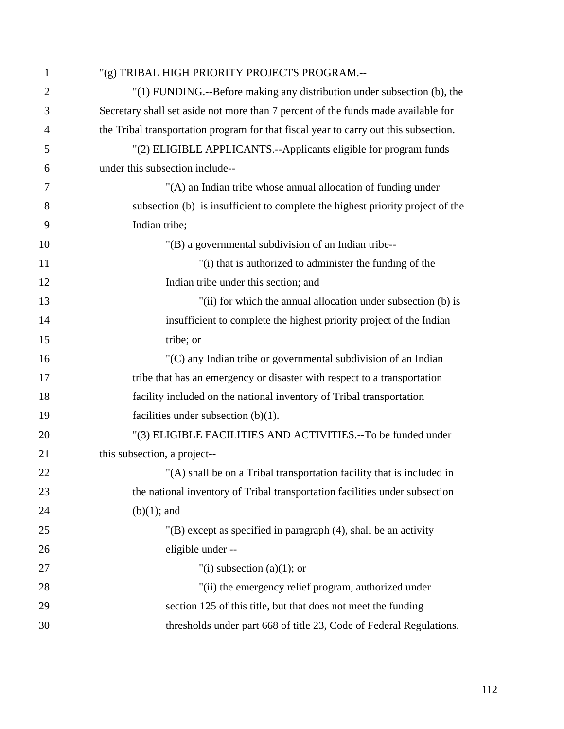| $\mathbf{1}$   | "(g) TRIBAL HIGH PRIORITY PROJECTS PROGRAM .--                                       |
|----------------|--------------------------------------------------------------------------------------|
| $\overline{2}$ | "(1) FUNDING.--Before making any distribution under subsection (b), the              |
| 3              | Secretary shall set aside not more than 7 percent of the funds made available for    |
| 4              | the Tribal transportation program for that fiscal year to carry out this subsection. |
| 5              | "(2) ELIGIBLE APPLICANTS.--Applicants eligible for program funds                     |
| 6              | under this subsection include--                                                      |
| 7              | "(A) an Indian tribe whose annual allocation of funding under                        |
| 8              | subsection (b) is insufficient to complete the highest priority project of the       |
| 9              | Indian tribe;                                                                        |
| 10             | "(B) a governmental subdivision of an Indian tribe--                                 |
| 11             | "(i) that is authorized to administer the funding of the                             |
| 12             | Indian tribe under this section; and                                                 |
| 13             | "(ii) for which the annual allocation under subsection (b) is                        |
| 14             | insufficient to complete the highest priority project of the Indian                  |
| 15             | tribe; or                                                                            |
| 16             | "(C) any Indian tribe or governmental subdivision of an Indian                       |
| 17             | tribe that has an emergency or disaster with respect to a transportation             |
| 18             | facility included on the national inventory of Tribal transportation                 |
| 19             | facilities under subsection $(b)(1)$ .                                               |
| 20             | "(3) ELIGIBLE FACILITIES AND ACTIVITIES.--To be funded under                         |
| 21             | this subsection, a project--                                                         |
| 22             | "(A) shall be on a Tribal transportation facility that is included in                |
| 23             | the national inventory of Tribal transportation facilities under subsection          |
| 24             | $(b)(1)$ ; and                                                                       |
| 25             | $'(B)$ except as specified in paragraph $(4)$ , shall be an activity                 |
| 26             | eligible under --                                                                    |
| 27             | "(i) subsection (a)(1); or                                                           |
| 28             | "(ii) the emergency relief program, authorized under                                 |
| 29             | section 125 of this title, but that does not meet the funding                        |
| 30             | thresholds under part 668 of title 23, Code of Federal Regulations.                  |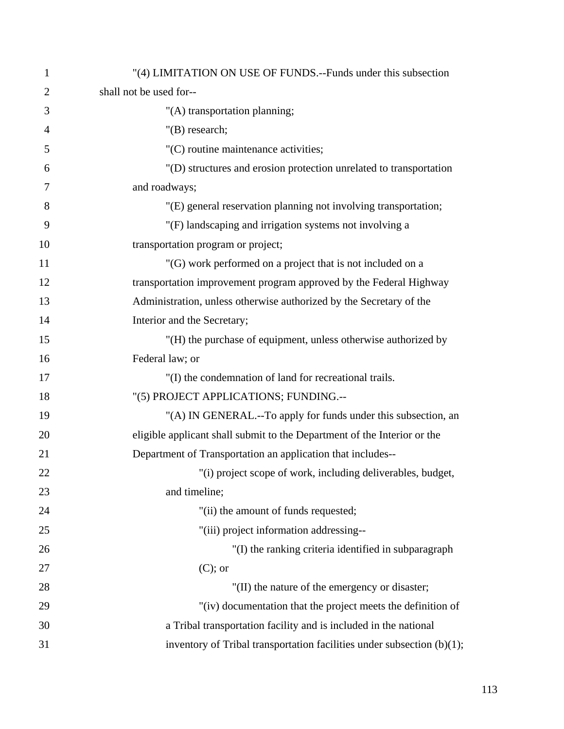| $\mathbf{1}$   | "(4) LIMITATION ON USE OF FUNDS.--Funds under this subsection             |
|----------------|---------------------------------------------------------------------------|
| $\overline{2}$ | shall not be used for--                                                   |
| 3              | "(A) transportation planning;                                             |
| $\overline{4}$ | $"$ (B) research;                                                         |
| 5              | "(C) routine maintenance activities;                                      |
| 6              | "(D) structures and erosion protection unrelated to transportation        |
| 7              | and roadways;                                                             |
| 8              | "(E) general reservation planning not involving transportation;           |
| 9              | "(F) landscaping and irrigation systems not involving a                   |
| 10             | transportation program or project;                                        |
| 11             | "(G) work performed on a project that is not included on a                |
| 12             | transportation improvement program approved by the Federal Highway        |
| 13             | Administration, unless otherwise authorized by the Secretary of the       |
| 14             | Interior and the Secretary;                                               |
| 15             | "(H) the purchase of equipment, unless otherwise authorized by            |
| 16             | Federal law; or                                                           |
| 17             | "(I) the condemnation of land for recreational trails.                    |
| 18             | "(5) PROJECT APPLICATIONS; FUNDING.--                                     |
| 19             | "(A) IN GENERAL.--To apply for funds under this subsection, an            |
| 20             | eligible applicant shall submit to the Department of the Interior or the  |
| 21             | Department of Transportation an application that includes--               |
| 22             | "(i) project scope of work, including deliverables, budget,               |
| 23             | and timeline;                                                             |
| 24             | "(ii) the amount of funds requested;                                      |
| 25             | "(iii) project information addressing--                                   |
| 26             | "(I) the ranking criteria identified in subparagraph                      |
| 27             | $(C)$ ; or                                                                |
| 28             | "(II) the nature of the emergency or disaster;                            |
| 29             | "(iv) documentation that the project meets the definition of              |
| 30             | a Tribal transportation facility and is included in the national          |
| 31             | inventory of Tribal transportation facilities under subsection $(b)(1)$ ; |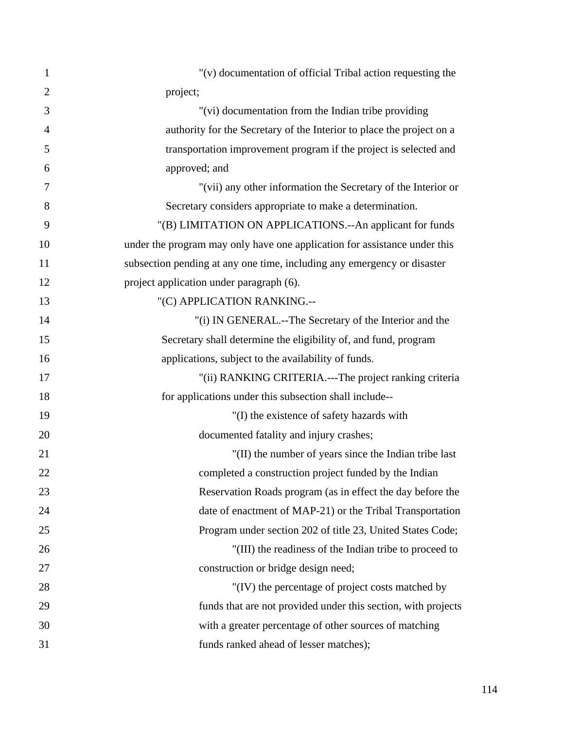| $\mathbf{1}$   | "(v) documentation of official Tribal action requesting the               |
|----------------|---------------------------------------------------------------------------|
| $\overline{2}$ | project;                                                                  |
| 3              | "(vi) documentation from the Indian tribe providing                       |
| $\overline{4}$ | authority for the Secretary of the Interior to place the project on a     |
| 5              | transportation improvement program if the project is selected and         |
| 6              | approved; and                                                             |
| 7              | "(vii) any other information the Secretary of the Interior or             |
| 8              | Secretary considers appropriate to make a determination.                  |
| 9              | "(B) LIMITATION ON APPLICATIONS.--An applicant for funds                  |
| 10             | under the program may only have one application for assistance under this |
| 11             | subsection pending at any one time, including any emergency or disaster   |
| 12             | project application under paragraph (6).                                  |
| 13             | "(C) APPLICATION RANKING.--                                               |
| 14             | "(i) IN GENERAL.--The Secretary of the Interior and the                   |
| 15             | Secretary shall determine the eligibility of, and fund, program           |
| 16             | applications, subject to the availability of funds.                       |
| 17             | "(ii) RANKING CRITERIA.---The project ranking criteria                    |
| 18             | for applications under this subsection shall include--                    |
| 19             | "(I) the existence of safety hazards with                                 |
| 20             | documented fatality and injury crashes;                                   |
| 21             | "(II) the number of years since the Indian tribe last                     |
| 22             | completed a construction project funded by the Indian                     |
| 23             | Reservation Roads program (as in effect the day before the                |
| 24             | date of enactment of MAP-21) or the Tribal Transportation                 |
| 25             | Program under section 202 of title 23, United States Code;                |
| 26             | "(III) the readiness of the Indian tribe to proceed to                    |
| 27             | construction or bridge design need;                                       |
| 28             | "(IV) the percentage of project costs matched by                          |
| 29             | funds that are not provided under this section, with projects             |
| 30             | with a greater percentage of other sources of matching                    |
| 31             | funds ranked ahead of lesser matches);                                    |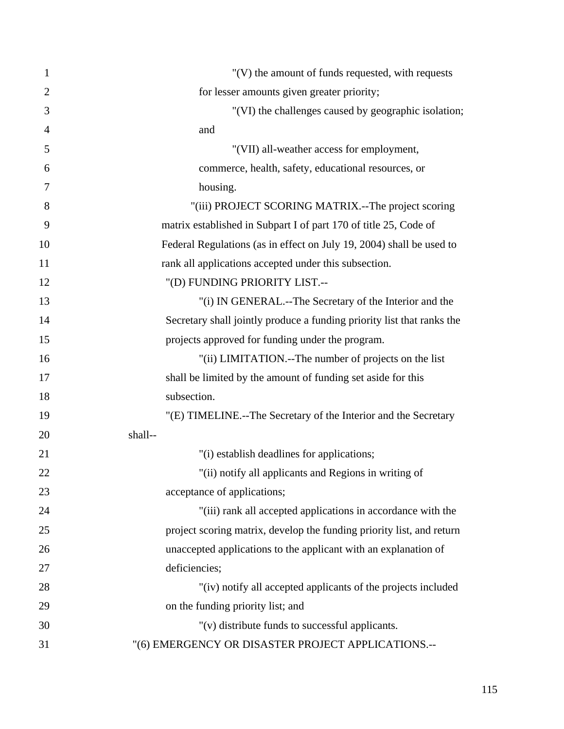| $\mathbf{1}$   | "(V) the amount of funds requested, with requests                      |
|----------------|------------------------------------------------------------------------|
| $\overline{2}$ | for lesser amounts given greater priority;                             |
| 3              | "(VI) the challenges caused by geographic isolation;                   |
| $\overline{4}$ | and                                                                    |
| 5              | "(VII) all-weather access for employment,                              |
| 6              | commerce, health, safety, educational resources, or                    |
| $\overline{7}$ | housing.                                                               |
| 8              | "(iii) PROJECT SCORING MATRIX.--The project scoring                    |
| 9              | matrix established in Subpart I of part 170 of title 25, Code of       |
| 10             | Federal Regulations (as in effect on July 19, 2004) shall be used to   |
| 11             | rank all applications accepted under this subsection.                  |
| 12             | "(D) FUNDING PRIORITY LIST.--                                          |
| 13             | "(i) IN GENERAL.--The Secretary of the Interior and the                |
| 14             | Secretary shall jointly produce a funding priority list that ranks the |
| 15             | projects approved for funding under the program.                       |
| 16             | "(ii) LIMITATION.--The number of projects on the list                  |
| 17             | shall be limited by the amount of funding set aside for this           |
| 18             | subsection.                                                            |
| 19             | "(E) TIMELINE.--The Secretary of the Interior and the Secretary        |
| 20             | shall--                                                                |
| 21             | "(i) establish deadlines for applications;                             |
| 22             | "(ii) notify all applicants and Regions in writing of                  |
| 23             | acceptance of applications;                                            |
| 24             | "(iii) rank all accepted applications in accordance with the           |
| 25             | project scoring matrix, develop the funding priority list, and return  |
| 26             | unaccepted applications to the applicant with an explanation of        |
| 27             | deficiencies;                                                          |
| 28             | "(iv) notify all accepted applicants of the projects included          |
| 29             | on the funding priority list; and                                      |
| 30             | "(v) distribute funds to successful applicants.                        |
| 31             | "(6) EMERGENCY OR DISASTER PROJECT APPLICATIONS .--                    |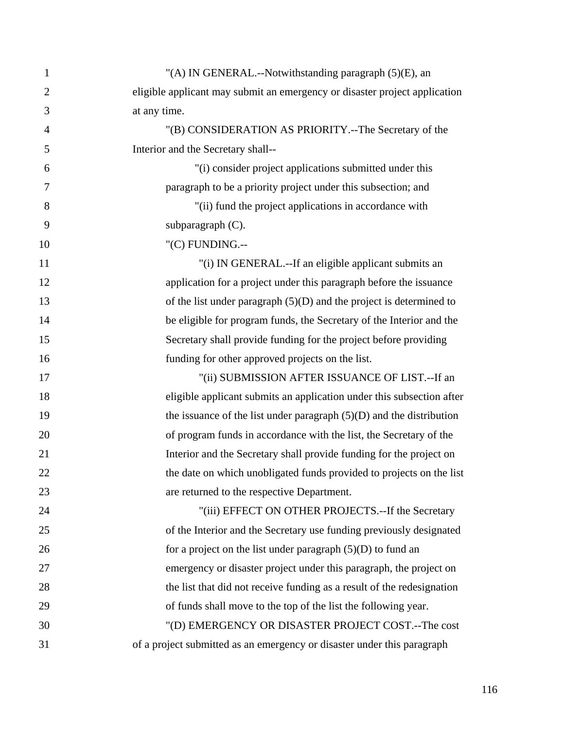| $\mathbf{1}$   | "(A) IN GENERAL.--Notwithstanding paragraph (5)(E), an                     |
|----------------|----------------------------------------------------------------------------|
| $\overline{2}$ | eligible applicant may submit an emergency or disaster project application |
| 3              | at any time.                                                               |
| $\overline{4}$ | "(B) CONSIDERATION AS PRIORITY.--The Secretary of the                      |
| 5              | Interior and the Secretary shall--                                         |
| 6              | "(i) consider project applications submitted under this                    |
| 7              | paragraph to be a priority project under this subsection; and              |
| 8              | "(ii) fund the project applications in accordance with                     |
| 9              | subparagraph (C).                                                          |
| 10             | "(C) FUNDING.--                                                            |
| 11             | "(i) IN GENERAL.--If an eligible applicant submits an                      |
| 12             | application for a project under this paragraph before the issuance         |
| 13             | of the list under paragraph $(5)(D)$ and the project is determined to      |
| 14             | be eligible for program funds, the Secretary of the Interior and the       |
| 15             | Secretary shall provide funding for the project before providing           |
| 16             | funding for other approved projects on the list.                           |
| 17             | "(ii) SUBMISSION AFTER ISSUANCE OF LIST.--If an                            |
| 18             | eligible applicant submits an application under this subsection after      |
| 19             | the issuance of the list under paragraph $(5)(D)$ and the distribution     |
| 20             | of program funds in accordance with the list, the Secretary of the         |
| 21             | Interior and the Secretary shall provide funding for the project on        |
| 22             | the date on which unobligated funds provided to projects on the list       |
| 23             | are returned to the respective Department.                                 |
| 24             | "(iii) EFFECT ON OTHER PROJECTS.--If the Secretary                         |
| 25             | of the Interior and the Secretary use funding previously designated        |
| 26             | for a project on the list under paragraph $(5)(D)$ to fund an              |
| 27             | emergency or disaster project under this paragraph, the project on         |
| 28             | the list that did not receive funding as a result of the redesignation     |
| 29             | of funds shall move to the top of the list the following year.             |
| 30             | "(D) EMERGENCY OR DISASTER PROJECT COST.--The cost                         |
| 31             | of a project submitted as an emergency or disaster under this paragraph    |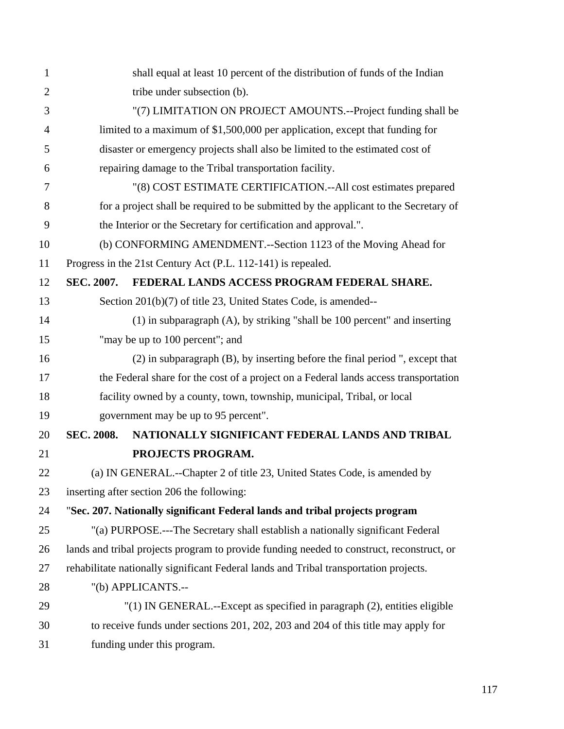| $\mathbf{1}$   |                                                                                           | shall equal at least 10 percent of the distribution of funds of the Indian           |  |
|----------------|-------------------------------------------------------------------------------------------|--------------------------------------------------------------------------------------|--|
| $\overline{2}$ | tribe under subsection (b).                                                               |                                                                                      |  |
| 3              | "(7) LIMITATION ON PROJECT AMOUNTS.--Project funding shall be                             |                                                                                      |  |
| $\overline{4}$ |                                                                                           | limited to a maximum of \$1,500,000 per application, except that funding for         |  |
| 5              |                                                                                           | disaster or emergency projects shall also be limited to the estimated cost of        |  |
| 6              |                                                                                           | repairing damage to the Tribal transportation facility.                              |  |
| 7              |                                                                                           | "(8) COST ESTIMATE CERTIFICATION.--All cost estimates prepared                       |  |
| 8              |                                                                                           | for a project shall be required to be submitted by the applicant to the Secretary of |  |
| 9              |                                                                                           | the Interior or the Secretary for certification and approval.".                      |  |
| 10             | (b) CONFORMING AMENDMENT.--Section 1123 of the Moving Ahead for                           |                                                                                      |  |
| 11             |                                                                                           | Progress in the 21st Century Act (P.L. 112-141) is repealed.                         |  |
| 12             | SEC. 2007.                                                                                | FEDERAL LANDS ACCESS PROGRAM FEDERAL SHARE.                                          |  |
| 13             |                                                                                           | Section 201(b)(7) of title 23, United States Code, is amended--                      |  |
| 14             |                                                                                           | $(1)$ in subparagraph $(A)$ , by striking "shall be 100 percent" and inserting       |  |
| 15             |                                                                                           | "may be up to 100 percent"; and                                                      |  |
| 16             |                                                                                           | (2) in subparagraph (B), by inserting before the final period ", except that         |  |
| 17             |                                                                                           | the Federal share for the cost of a project on a Federal lands access transportation |  |
| 18             |                                                                                           | facility owned by a county, town, township, municipal, Tribal, or local              |  |
| 19             |                                                                                           | government may be up to 95 percent".                                                 |  |
| 20             | <b>SEC. 2008.</b>                                                                         | NATIONALLY SIGNIFICANT FEDERAL LANDS AND TRIBAL                                      |  |
| 21             |                                                                                           | PROJECTS PROGRAM.                                                                    |  |
| 22             |                                                                                           | (a) IN GENERAL.--Chapter 2 of title 23, United States Code, is amended by            |  |
| 23             |                                                                                           | inserting after section 206 the following:                                           |  |
| 24             |                                                                                           | "Sec. 207. Nationally significant Federal lands and tribal projects program          |  |
| 25             | "(a) PURPOSE.---The Secretary shall establish a nationally significant Federal            |                                                                                      |  |
| 26             | lands and tribal projects program to provide funding needed to construct, reconstruct, or |                                                                                      |  |
| 27             | rehabilitate nationally significant Federal lands and Tribal transportation projects.     |                                                                                      |  |
| 28             |                                                                                           | "(b) APPLICANTS.--                                                                   |  |
| 29             |                                                                                           | "(1) IN GENERAL.--Except as specified in paragraph (2), entities eligible            |  |
| 30             |                                                                                           | to receive funds under sections 201, 202, 203 and 204 of this title may apply for    |  |
| 31             |                                                                                           | funding under this program.                                                          |  |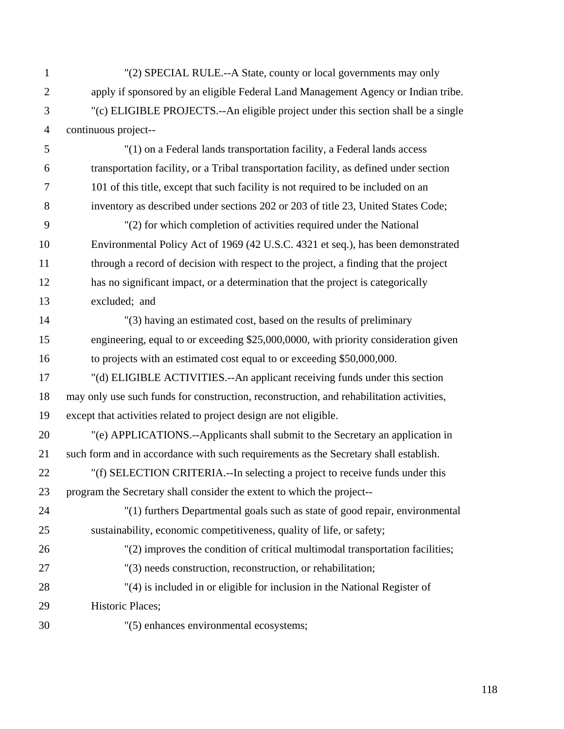| $\mathbf{1}$   | "(2) SPECIAL RULE.--A State, county or local governments may only                        |
|----------------|------------------------------------------------------------------------------------------|
| $\overline{2}$ | apply if sponsored by an eligible Federal Land Management Agency or Indian tribe.        |
| 3              | "(c) ELIGIBLE PROJECTS.--An eligible project under this section shall be a single        |
| $\overline{4}$ | continuous project--                                                                     |
| 5              | "(1) on a Federal lands transportation facility, a Federal lands access                  |
| 6              | transportation facility, or a Tribal transportation facility, as defined under section   |
| $\tau$         | 101 of this title, except that such facility is not required to be included on an        |
| 8              | inventory as described under sections 202 or 203 of title 23, United States Code;        |
| 9              | "(2) for which completion of activities required under the National                      |
| 10             | Environmental Policy Act of 1969 (42 U.S.C. 4321 et seq.), has been demonstrated         |
| 11             | through a record of decision with respect to the project, a finding that the project     |
| 12             | has no significant impact, or a determination that the project is categorically          |
| 13             | excluded; and                                                                            |
| 14             | "(3) having an estimated cost, based on the results of preliminary                       |
| 15             | engineering, equal to or exceeding \$25,000,0000, with priority consideration given      |
| 16             | to projects with an estimated cost equal to or exceeding \$50,000,000.                   |
| 17             | "(d) ELIGIBLE ACTIVITIES.--An applicant receiving funds under this section               |
| 18             | may only use such funds for construction, reconstruction, and rehabilitation activities, |
| 19             | except that activities related to project design are not eligible.                       |
| 20             | "(e) APPLICATIONS.--Applicants shall submit to the Secretary an application in           |
| 21             | such form and in accordance with such requirements as the Secretary shall establish.     |
| 22             | "(f) SELECTION CRITERIA.--In selecting a project to receive funds under this             |
| 23             | program the Secretary shall consider the extent to which the project--                   |
| 24             | "(1) furthers Departmental goals such as state of good repair, environmental             |
| 25             | sustainability, economic competitiveness, quality of life, or safety;                    |
| 26             | "(2) improves the condition of critical multimodal transportation facilities;            |
| 27             | "(3) needs construction, reconstruction, or rehabilitation;                              |
| 28             | "(4) is included in or eligible for inclusion in the National Register of                |
| 29             | Historic Places;                                                                         |
| 30             | "(5) enhances environmental ecosystems;                                                  |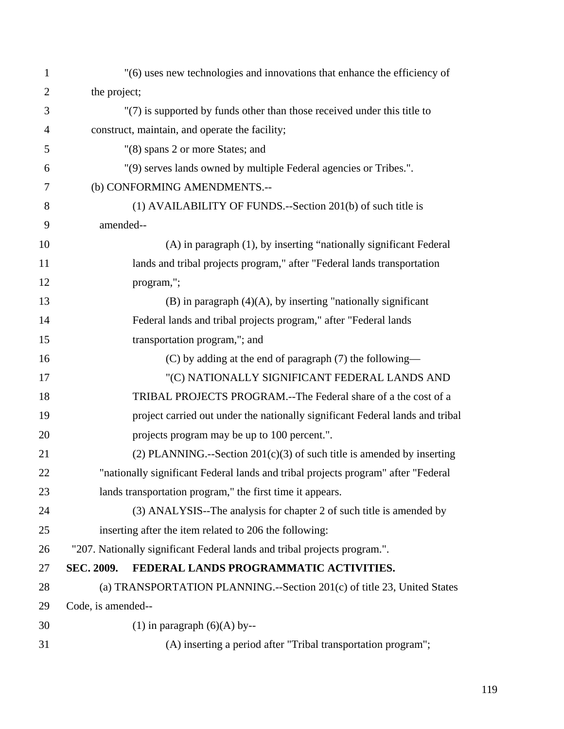| $\mathbf 1$    |                    | "(6) uses new technologies and innovations that enhance the efficiency of         |
|----------------|--------------------|-----------------------------------------------------------------------------------|
| $\overline{2}$ | the project;       |                                                                                   |
| 3              |                    | "(7) is supported by funds other than those received under this title to          |
| $\overline{4}$ |                    | construct, maintain, and operate the facility;                                    |
| 5              |                    | "(8) spans 2 or more States; and                                                  |
| 6              |                    | "(9) serves lands owned by multiple Federal agencies or Tribes.".                 |
| 7              |                    | (b) CONFORMING AMENDMENTS.--                                                      |
| 8              |                    | (1) AVAILABILITY OF FUNDS.--Section 201(b) of such title is                       |
| 9              | amended--          |                                                                                   |
| 10             |                    | (A) in paragraph (1), by inserting "nationally significant Federal                |
| 11             |                    | lands and tribal projects program," after "Federal lands transportation           |
| 12             |                    | program,";                                                                        |
| 13             |                    | $(B)$ in paragraph $(4)(A)$ , by inserting "nationally significant                |
| 14             |                    | Federal lands and tribal projects program," after "Federal lands                  |
| 15             |                    | transportation program,"; and                                                     |
| 16             |                    | $(C)$ by adding at the end of paragraph $(7)$ the following—                      |
| 17             |                    | "(C) NATIONALLY SIGNIFICANT FEDERAL LANDS AND                                     |
| 18             |                    | TRIBAL PROJECTS PROGRAM.--The Federal share of a the cost of a                    |
| 19             |                    | project carried out under the nationally significant Federal lands and tribal     |
| 20             |                    | projects program may be up to 100 percent.".                                      |
| 21             |                    | (2) PLANNING.--Section $201(c)(3)$ of such title is amended by inserting          |
| 22             |                    | "nationally significant Federal lands and tribal projects program" after "Federal |
| 23             |                    | lands transportation program," the first time it appears.                         |
| 24             |                    | (3) ANALYSIS--The analysis for chapter 2 of such title is amended by              |
| 25             |                    | inserting after the item related to 206 the following:                            |
| 26             |                    | "207. Nationally significant Federal lands and tribal projects program.".         |
| 27             | SEC. 2009.         | FEDERAL LANDS PROGRAMMATIC ACTIVITIES.                                            |
| 28             |                    | (a) TRANSPORTATION PLANNING.--Section 201(c) of title 23, United States           |
| 29             | Code, is amended-- |                                                                                   |
| 30             |                    | $(1)$ in paragraph $(6)(A)$ by--                                                  |
| 31             |                    | (A) inserting a period after "Tribal transportation program";                     |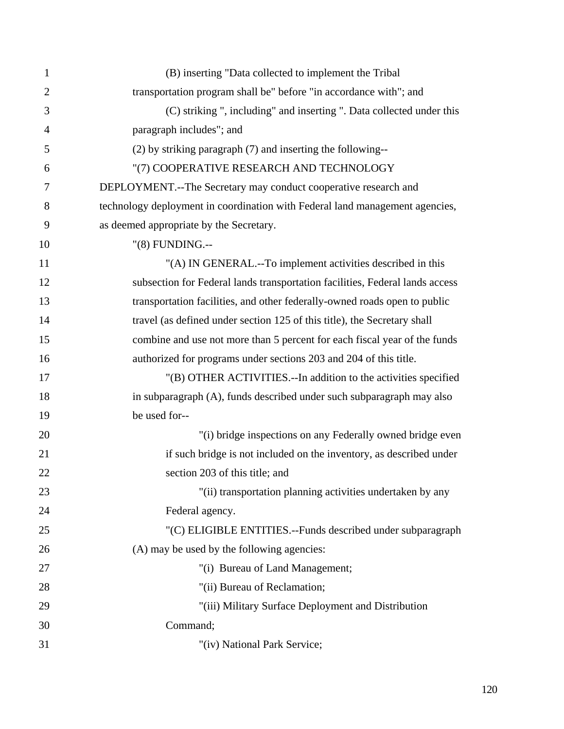| $\mathbf{1}$   | (B) inserting "Data collected to implement the Tribal                        |
|----------------|------------------------------------------------------------------------------|
| $\overline{2}$ | transportation program shall be" before "in accordance with"; and            |
| 3              | (C) striking ", including" and inserting ". Data collected under this        |
| $\overline{4}$ | paragraph includes"; and                                                     |
| 5              | (2) by striking paragraph (7) and inserting the following--                  |
| 6              | "(7) COOPERATIVE RESEARCH AND TECHNOLOGY                                     |
| 7              | DEPLOYMENT.--The Secretary may conduct cooperative research and              |
| 8              | technology deployment in coordination with Federal land management agencies, |
| 9              | as deemed appropriate by the Secretary.                                      |
| 10             | "(8) FUNDING.--                                                              |
| 11             | "(A) IN GENERAL.--To implement activities described in this                  |
| 12             | subsection for Federal lands transportation facilities, Federal lands access |
| 13             | transportation facilities, and other federally-owned roads open to public    |
| 14             | travel (as defined under section 125 of this title), the Secretary shall     |
| 15             | combine and use not more than 5 percent for each fiscal year of the funds    |
| 16             | authorized for programs under sections 203 and 204 of this title.            |
| 17             | "(B) OTHER ACTIVITIES.--In addition to the activities specified              |
| 18             | in subparagraph (A), funds described under such subparagraph may also        |
| 19             | be used for--                                                                |
| 20             | "(i) bridge inspections on any Federally owned bridge even                   |
| 21             | if such bridge is not included on the inventory, as described under          |
| 22             | section 203 of this title; and                                               |
| 23             | "(ii) transportation planning activities undertaken by any                   |
| 24             | Federal agency.                                                              |
| 25             | "(C) ELIGIBLE ENTITIES.--Funds described under subparagraph                  |
| 26             | (A) may be used by the following agencies:                                   |
| 27             | "(i) Bureau of Land Management;                                              |
| 28             | "(ii) Bureau of Reclamation;                                                 |
| 29             | "(iii) Military Surface Deployment and Distribution                          |
| 30             | Command;                                                                     |
| 31             | "(iv) National Park Service;                                                 |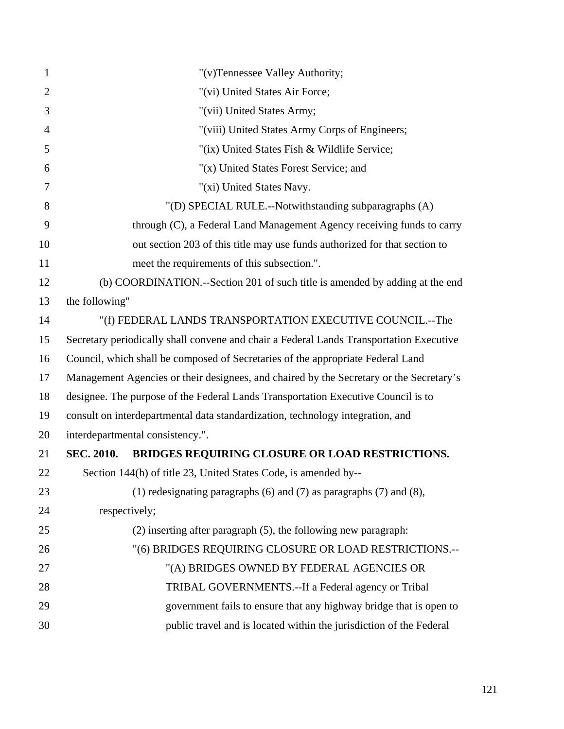| 1              | "(v)Tennessee Valley Authority;                                                         |
|----------------|-----------------------------------------------------------------------------------------|
| $\overline{2}$ | "(vi) United States Air Force;                                                          |
| 3              | "(vii) United States Army;                                                              |
| $\overline{4}$ | "(viii) United States Army Corps of Engineers;                                          |
| 5              | "(ix) United States Fish & Wildlife Service;                                            |
| 6              | "(x) United States Forest Service; and                                                  |
| 7              | "(xi) United States Navy.                                                               |
| 8              | "(D) SPECIAL RULE.--Notwithstanding subparagraphs (A)                                   |
| 9              | through (C), a Federal Land Management Agency receiving funds to carry                  |
| 10             | out section 203 of this title may use funds authorized for that section to              |
| 11             | meet the requirements of this subsection.".                                             |
| 12             | (b) COORDINATION.--Section 201 of such title is amended by adding at the end            |
| 13             | the following"                                                                          |
| 14             | "(f) FEDERAL LANDS TRANSPORTATION EXECUTIVE COUNCIL.--The                               |
| 15             | Secretary periodically shall convene and chair a Federal Lands Transportation Executive |
| 16             | Council, which shall be composed of Secretaries of the appropriate Federal Land         |
| 17             | Management Agencies or their designees, and chaired by the Secretary or the Secretary's |
| 18             | designee. The purpose of the Federal Lands Transportation Executive Council is to       |
| 19             | consult on interdepartmental data standardization, technology integration, and          |
| 20             | interdepartmental consistency.".                                                        |
| 21             | BRIDGES REQUIRING CLOSURE OR LOAD RESTRICTIONS.<br><b>SEC. 2010.</b>                    |
| 22             | Section 144(h) of title 23, United States Code, is amended by--                         |
| 23             | (1) redesignating paragraphs $(6)$ and $(7)$ as paragraphs $(7)$ and $(8)$ ,            |
| 24             | respectively;                                                                           |
| 25             | $(2)$ inserting after paragraph $(5)$ , the following new paragraph:                    |
| 26             | "(6) BRIDGES REQUIRING CLOSURE OR LOAD RESTRICTIONS.--                                  |
| 27             | "(A) BRIDGES OWNED BY FEDERAL AGENCIES OR                                               |
| 28             | TRIBAL GOVERNMENTS.--If a Federal agency or Tribal                                      |
| 29             | government fails to ensure that any highway bridge that is open to                      |
| 30             | public travel and is located within the jurisdiction of the Federal                     |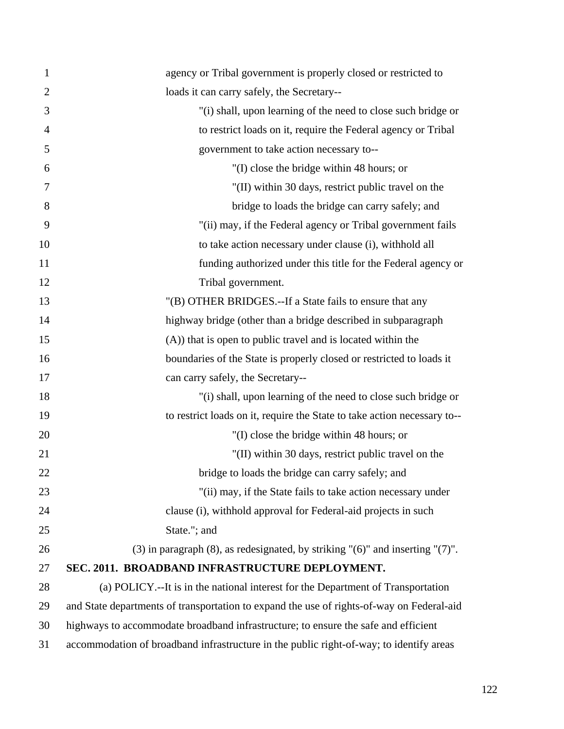| $\mathbf{1}$   | agency or Tribal government is properly closed or restricted to                            |
|----------------|--------------------------------------------------------------------------------------------|
| $\overline{2}$ | loads it can carry safely, the Secretary--                                                 |
| 3              | "(i) shall, upon learning of the need to close such bridge or                              |
| $\overline{4}$ | to restrict loads on it, require the Federal agency or Tribal                              |
| 5              | government to take action necessary to--                                                   |
| 6              | "(I) close the bridge within 48 hours; or                                                  |
| 7              | "(II) within 30 days, restrict public travel on the                                        |
| 8              | bridge to loads the bridge can carry safely; and                                           |
| 9              | "(ii) may, if the Federal agency or Tribal government fails                                |
| 10             | to take action necessary under clause (i), withhold all                                    |
| 11             | funding authorized under this title for the Federal agency or                              |
| 12             | Tribal government.                                                                         |
| 13             | "(B) OTHER BRIDGES.--If a State fails to ensure that any                                   |
| 14             | highway bridge (other than a bridge described in subparagraph                              |
| 15             | (A)) that is open to public travel and is located within the                               |
| 16             | boundaries of the State is properly closed or restricted to loads it                       |
| 17             | can carry safely, the Secretary--                                                          |
| 18             | "(i) shall, upon learning of the need to close such bridge or                              |
| 19             | to restrict loads on it, require the State to take action necessary to--                   |
| 20             | "(I) close the bridge within 48 hours; or                                                  |
| 21             | "(II) within 30 days, restrict public travel on the                                        |
| 22             | bridge to loads the bridge can carry safely; and                                           |
| 23             | "(ii) may, if the State fails to take action necessary under                               |
| 24             | clause (i), withhold approval for Federal-aid projects in such                             |
| 25             | State."; and                                                                               |
| 26             | $(3)$ in paragraph $(8)$ , as redesignated, by striking " $(6)$ " and inserting " $(7)$ ". |
| 27             | SEC. 2011. BROADBAND INFRASTRUCTURE DEPLOYMENT.                                            |
| 28             | (a) POLICY.--It is in the national interest for the Department of Transportation           |
| 29             | and State departments of transportation to expand the use of rights-of-way on Federal-aid  |
| 30             | highways to accommodate broadband infrastructure; to ensure the safe and efficient         |
| 31             | accommodation of broadband infrastructure in the public right-of-way; to identify areas    |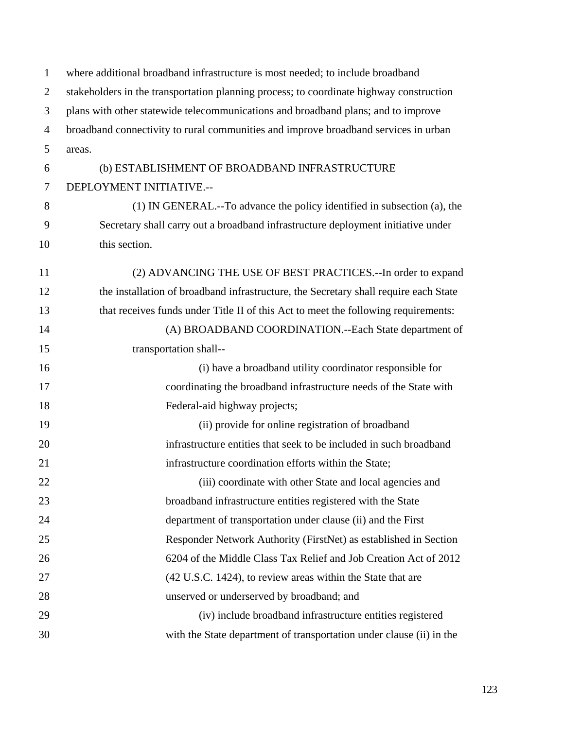| $\mathbf{1}$   | where additional broadband infrastructure is most needed; to include broadband          |
|----------------|-----------------------------------------------------------------------------------------|
| $\overline{2}$ | stakeholders in the transportation planning process; to coordinate highway construction |
| 3              | plans with other statewide telecommunications and broadband plans; and to improve       |
| $\overline{4}$ | broadband connectivity to rural communities and improve broadband services in urban     |
| 5              | areas.                                                                                  |
| 6              | (b) ESTABLISHMENT OF BROADBAND INFRASTRUCTURE                                           |
| 7              | DEPLOYMENT INITIATIVE .--                                                               |
| 8              | (1) IN GENERAL.--To advance the policy identified in subsection (a), the                |
| 9              | Secretary shall carry out a broadband infrastructure deployment initiative under        |
| 10             | this section.                                                                           |
| 11             | (2) ADVANCING THE USE OF BEST PRACTICES.--In order to expand                            |
| 12             | the installation of broadband infrastructure, the Secretary shall require each State    |
| 13             | that receives funds under Title II of this Act to meet the following requirements:      |
| 14             | (A) BROADBAND COORDINATION.--Each State department of                                   |
| 15             | transportation shall--                                                                  |
| 16             | (i) have a broadband utility coordinator responsible for                                |
| 17             | coordinating the broadband infrastructure needs of the State with                       |
| 18             | Federal-aid highway projects;                                                           |
| 19             | (ii) provide for online registration of broadband                                       |
| 20             | infrastructure entities that seek to be included in such broadband                      |
| 21             | infrastructure coordination efforts within the State;                                   |
| 22             | (iii) coordinate with other State and local agencies and                                |
| 23             | broadband infrastructure entities registered with the State                             |
| 24             | department of transportation under clause (ii) and the First                            |
| 25             | Responder Network Authority (FirstNet) as established in Section                        |
| 26             | 6204 of the Middle Class Tax Relief and Job Creation Act of 2012                        |
| 27             | (42 U.S.C. 1424), to review areas within the State that are                             |
| 28             | unserved or underserved by broadband; and                                               |
| 29             | (iv) include broadband infrastructure entities registered                               |
| 30             | with the State department of transportation under clause (ii) in the                    |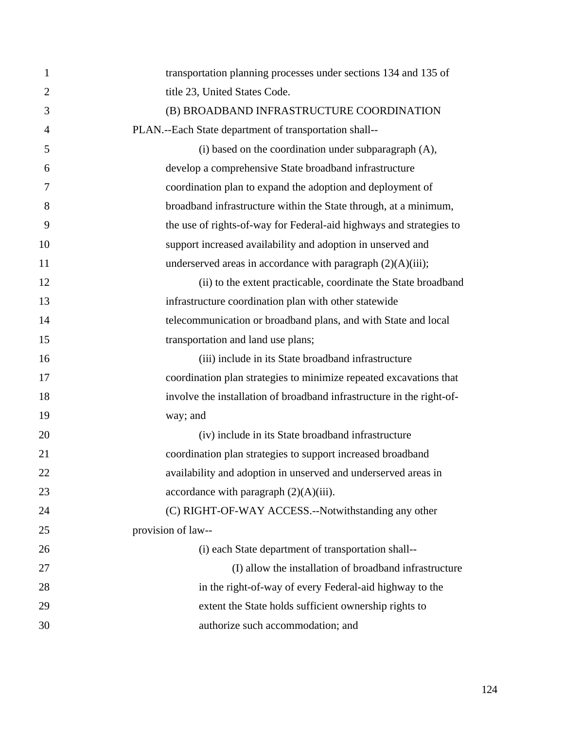| $\mathbf{1}$   | transportation planning processes under sections 134 and 135 of       |
|----------------|-----------------------------------------------------------------------|
| $\overline{2}$ | title 23, United States Code.                                         |
| 3              | (B) BROADBAND INFRASTRUCTURE COORDINATION                             |
| 4              | PLAN.--Each State department of transportation shall--                |
| 5              | (i) based on the coordination under subparagraph (A),                 |
| 6              | develop a comprehensive State broadband infrastructure                |
| 7              | coordination plan to expand the adoption and deployment of            |
| 8              | broadband infrastructure within the State through, at a minimum,      |
| 9              | the use of rights-of-way for Federal-aid highways and strategies to   |
| 10             | support increased availability and adoption in unserved and           |
| 11             | underserved areas in accordance with paragraph $(2)(A)(iii)$ ;        |
| 12             | (ii) to the extent practicable, coordinate the State broadband        |
| 13             | infrastructure coordination plan with other statewide                 |
| 14             | telecommunication or broadband plans, and with State and local        |
| 15             | transportation and land use plans;                                    |
| 16             | (iii) include in its State broadband infrastructure                   |
| 17             | coordination plan strategies to minimize repeated excavations that    |
| 18             | involve the installation of broadband infrastructure in the right-of- |
| 19             | way; and                                                              |
| 20             | (iv) include in its State broadband infrastructure                    |
| 21             | coordination plan strategies to support increased broadband           |
| 22             | availability and adoption in unserved and underserved areas in        |
| 23             | accordance with paragraph $(2)(A)(iii)$ .                             |
| 24             | (C) RIGHT-OF-WAY ACCESS.--Notwithstanding any other                   |
| 25             | provision of law--                                                    |
| 26             | (i) each State department of transportation shall--                   |
| 27             | (I) allow the installation of broadband infrastructure                |
| 28             | in the right-of-way of every Federal-aid highway to the               |
| 29             | extent the State holds sufficient ownership rights to                 |
| 30             | authorize such accommodation; and                                     |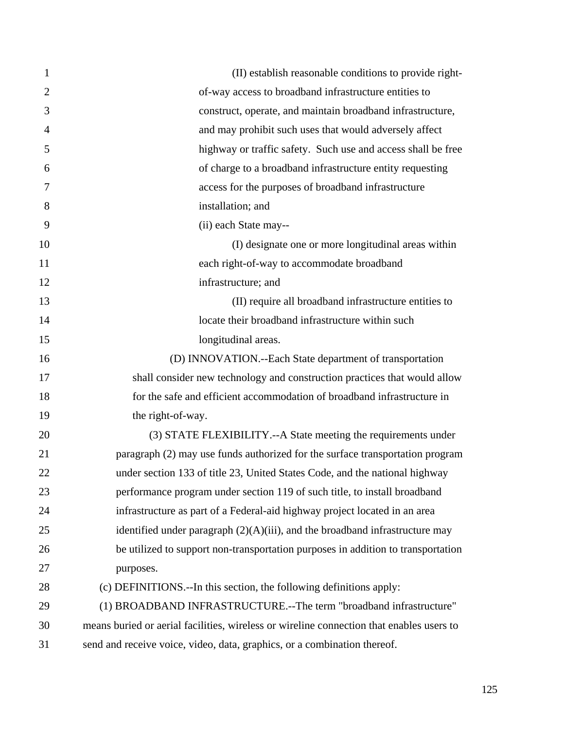| 1              | (II) establish reasonable conditions to provide right-                                   |
|----------------|------------------------------------------------------------------------------------------|
| $\overline{2}$ | of-way access to broadband infrastructure entities to                                    |
| 3              | construct, operate, and maintain broadband infrastructure,                               |
| $\overline{4}$ | and may prohibit such uses that would adversely affect                                   |
| 5              | highway or traffic safety. Such use and access shall be free                             |
| 6              | of charge to a broadband infrastructure entity requesting                                |
| 7              | access for the purposes of broadband infrastructure                                      |
| 8              | installation; and                                                                        |
| 9              | (ii) each State may--                                                                    |
| 10             | (I) designate one or more longitudinal areas within                                      |
| 11             | each right-of-way to accommodate broadband                                               |
| 12             | infrastructure; and                                                                      |
| 13             | (II) require all broadband infrastructure entities to                                    |
| 14             | locate their broadband infrastructure within such                                        |
| 15             | longitudinal areas.                                                                      |
| 16             | (D) INNOVATION.--Each State department of transportation                                 |
| 17             | shall consider new technology and construction practices that would allow                |
| 18             | for the safe and efficient accommodation of broadband infrastructure in                  |
| 19             | the right-of-way.                                                                        |
| 20             | (3) STATE FLEXIBILITY.--A State meeting the requirements under                           |
| 21             | paragraph (2) may use funds authorized for the surface transportation program            |
| 22             | under section 133 of title 23, United States Code, and the national highway              |
| 23             | performance program under section 119 of such title, to install broadband                |
| 24             | infrastructure as part of a Federal-aid highway project located in an area               |
| 25             | identified under paragraph $(2)(A)(iii)$ , and the broadband infrastructure may          |
| 26             | be utilized to support non-transportation purposes in addition to transportation         |
| 27             | purposes.                                                                                |
| 28             | (c) DEFINITIONS.--In this section, the following definitions apply:                      |
| 29             | (1) BROADBAND INFRASTRUCTURE.--The term "broadband infrastructure"                       |
| 30             | means buried or aerial facilities, wireless or wireline connection that enables users to |
| 31             | send and receive voice, video, data, graphics, or a combination thereof.                 |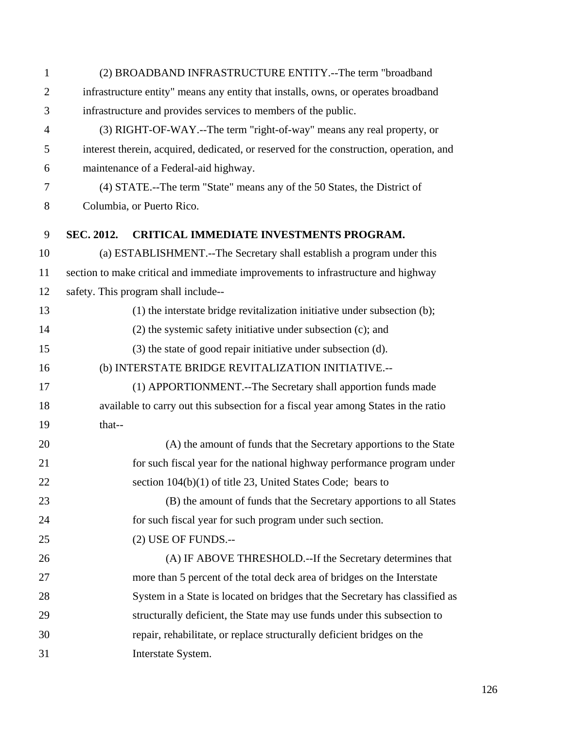| $\mathbf{1}$   |                                                                                    | (2) BROADBAND INFRASTRUCTURE ENTITY.--The term "broadband                               |
|----------------|------------------------------------------------------------------------------------|-----------------------------------------------------------------------------------------|
| $\overline{2}$ | infrastructure entity" means any entity that installs, owns, or operates broadband |                                                                                         |
| 3              | infrastructure and provides services to members of the public.                     |                                                                                         |
| $\overline{4}$ |                                                                                    | (3) RIGHT-OF-WAY.--The term "right-of-way" means any real property, or                  |
| 5              |                                                                                    | interest therein, acquired, dedicated, or reserved for the construction, operation, and |
| 6              |                                                                                    | maintenance of a Federal-aid highway.                                                   |
| 7              |                                                                                    | (4) STATE.--The term "State" means any of the 50 States, the District of                |
| $8\,$          |                                                                                    | Columbia, or Puerto Rico.                                                               |
| 9              | SEC. 2012.                                                                         | CRITICAL IMMEDIATE INVESTMENTS PROGRAM.                                                 |
| 10             |                                                                                    | (a) ESTABLISHMENT.--The Secretary shall establish a program under this                  |
| 11             |                                                                                    | section to make critical and immediate improvements to infrastructure and highway       |
| 12             |                                                                                    | safety. This program shall include--                                                    |
| 13             |                                                                                    | (1) the interstate bridge revitalization initiative under subsection (b);               |
| 14             |                                                                                    | $(2)$ the systemic safety initiative under subsection $(c)$ ; and                       |
| 15             |                                                                                    | (3) the state of good repair initiative under subsection (d).                           |
| 16             |                                                                                    | (b) INTERSTATE BRIDGE REVITALIZATION INITIATIVE.--                                      |
| 17             |                                                                                    | (1) APPORTIONMENT.--The Secretary shall apportion funds made                            |
| 18             |                                                                                    | available to carry out this subsection for a fiscal year among States in the ratio      |
| 19             | that--                                                                             |                                                                                         |
| 20             |                                                                                    | (A) the amount of funds that the Secretary apportions to the State                      |
| 21             |                                                                                    | for such fiscal year for the national highway performance program under                 |
| 22             |                                                                                    | section 104(b)(1) of title 23, United States Code; bears to                             |
| 23             |                                                                                    | (B) the amount of funds that the Secretary apportions to all States                     |
| 24             |                                                                                    | for such fiscal year for such program under such section.                               |
| 25             |                                                                                    | (2) USE OF FUNDS.--                                                                     |
| 26             |                                                                                    | (A) IF ABOVE THRESHOLD.--If the Secretary determines that                               |
| 27             |                                                                                    | more than 5 percent of the total deck area of bridges on the Interstate                 |
| 28             |                                                                                    | System in a State is located on bridges that the Secretary has classified as            |
| 29             |                                                                                    | structurally deficient, the State may use funds under this subsection to                |
| 30             |                                                                                    | repair, rehabilitate, or replace structurally deficient bridges on the                  |
| 31             |                                                                                    | Interstate System.                                                                      |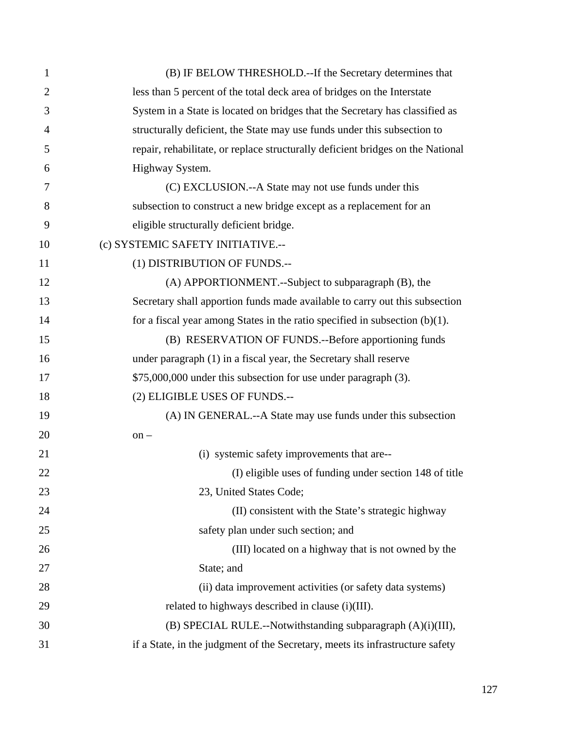| 1              | (B) IF BELOW THRESHOLD.--If the Secretary determines that                       |
|----------------|---------------------------------------------------------------------------------|
| $\overline{2}$ | less than 5 percent of the total deck area of bridges on the Interstate         |
| 3              | System in a State is located on bridges that the Secretary has classified as    |
| 4              | structurally deficient, the State may use funds under this subsection to        |
| 5              | repair, rehabilitate, or replace structurally deficient bridges on the National |
| 6              | Highway System.                                                                 |
| 7              | (C) EXCLUSION.--A State may not use funds under this                            |
| 8              | subsection to construct a new bridge except as a replacement for an             |
| 9              | eligible structurally deficient bridge.                                         |
| 10             | (c) SYSTEMIC SAFETY INITIATIVE.--                                               |
| 11             | (1) DISTRIBUTION OF FUNDS.--                                                    |
| 12             | (A) APPORTIONMENT.--Subject to subparagraph (B), the                            |
| 13             | Secretary shall apportion funds made available to carry out this subsection     |
| 14             | for a fiscal year among States in the ratio specified in subsection $(b)(1)$ .  |
| 15             | (B) RESERVATION OF FUNDS.--Before apportioning funds                            |
| 16             | under paragraph (1) in a fiscal year, the Secretary shall reserve               |
| 17             | \$75,000,000 under this subsection for use under paragraph (3).                 |
| 18             | (2) ELIGIBLE USES OF FUNDS.--                                                   |
| 19             | (A) IN GENERAL.--A State may use funds under this subsection                    |
| 20             | $on -$                                                                          |
| 21             | (i) systemic safety improvements that are--                                     |
| 22             | (I) eligible uses of funding under section 148 of title                         |
| 23             | 23, United States Code;                                                         |
| 24             | (II) consistent with the State's strategic highway                              |
| 25             | safety plan under such section; and                                             |
| 26             | (III) located on a highway that is not owned by the                             |
| 27             | State; and                                                                      |
| 28             | (ii) data improvement activities (or safety data systems)                       |
| 29             | related to highways described in clause (i)(III).                               |
| 30             | (B) SPECIAL RULE.--Notwithstanding subparagraph (A)(i)(III),                    |
| 31             | if a State, in the judgment of the Secretary, meets its infrastructure safety   |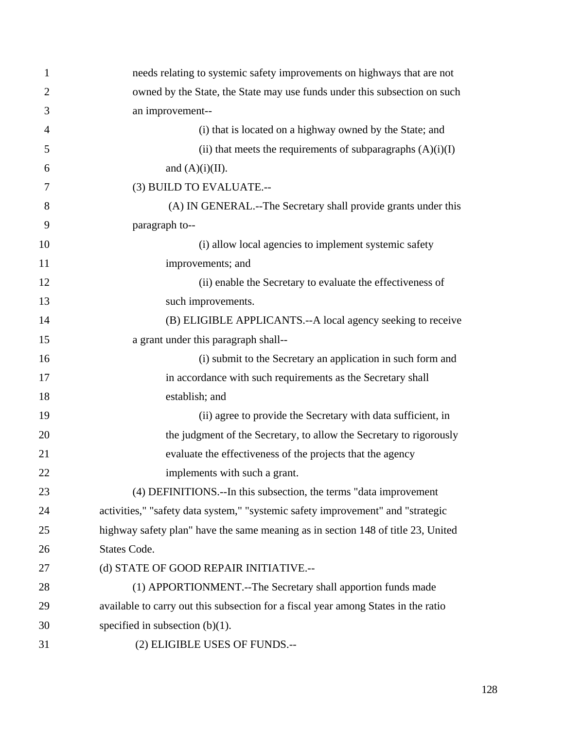| 1              | needs relating to systemic safety improvements on highways that are not            |
|----------------|------------------------------------------------------------------------------------|
| $\overline{2}$ | owned by the State, the State may use funds under this subsection on such          |
| 3              | an improvement--                                                                   |
| 4              | (i) that is located on a highway owned by the State; and                           |
| 5              | (ii) that meets the requirements of subparagraphs $(A)(i)(I)$                      |
| 6              | and $(A)(i)(II)$ .                                                                 |
| 7              | (3) BUILD TO EVALUATE.--                                                           |
| 8              | (A) IN GENERAL.--The Secretary shall provide grants under this                     |
| 9              | paragraph to--                                                                     |
| 10             | (i) allow local agencies to implement systemic safety                              |
| 11             | improvements; and                                                                  |
| 12             | (ii) enable the Secretary to evaluate the effectiveness of                         |
| 13             | such improvements.                                                                 |
| 14             | (B) ELIGIBLE APPLICANTS.--A local agency seeking to receive                        |
| 15             | a grant under this paragraph shall--                                               |
| 16             | (i) submit to the Secretary an application in such form and                        |
| 17             | in accordance with such requirements as the Secretary shall                        |
| 18             | establish; and                                                                     |
| 19             | (ii) agree to provide the Secretary with data sufficient, in                       |
| 20             | the judgment of the Secretary, to allow the Secretary to rigorously                |
| 21             | evaluate the effectiveness of the projects that the agency                         |
| 22             | implements with such a grant.                                                      |
| 23             | (4) DEFINITIONS.--In this subsection, the terms "data improvement                  |
| 24             | activities," "safety data system," "systemic safety improvement" and "strategic    |
| 25             | highway safety plan" have the same meaning as in section 148 of title 23, United   |
| 26             | States Code.                                                                       |
| 27             | (d) STATE OF GOOD REPAIR INITIATIVE.--                                             |
| 28             | (1) APPORTIONMENT.--The Secretary shall apportion funds made                       |
| 29             | available to carry out this subsection for a fiscal year among States in the ratio |
| 30             | specified in subsection $(b)(1)$ .                                                 |
| 31             | (2) ELIGIBLE USES OF FUNDS.--                                                      |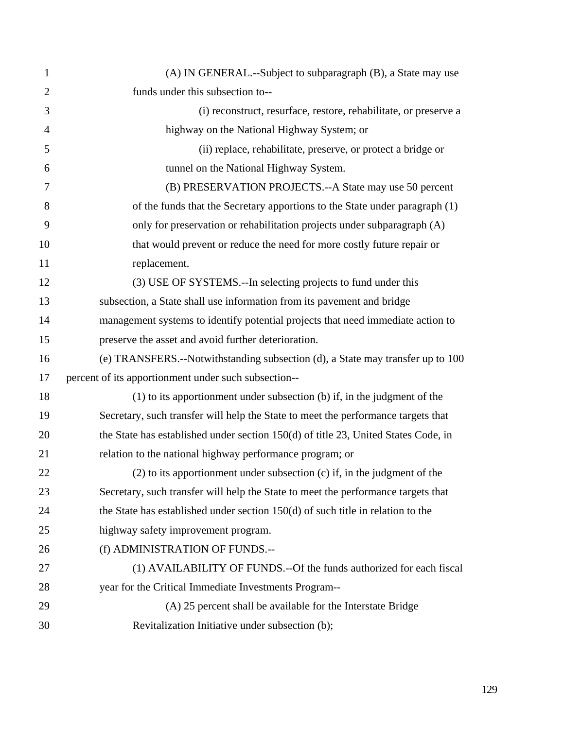| $\mathbf{1}$   | (A) IN GENERAL.--Subject to subparagraph (B), a State may use                      |
|----------------|------------------------------------------------------------------------------------|
| $\overline{2}$ | funds under this subsection to--                                                   |
| 3              | (i) reconstruct, resurface, restore, rehabilitate, or preserve a                   |
| $\overline{4}$ | highway on the National Highway System; or                                         |
| 5              | (ii) replace, rehabilitate, preserve, or protect a bridge or                       |
| 6              | tunnel on the National Highway System.                                             |
| 7              | (B) PRESERVATION PROJECTS.--A State may use 50 percent                             |
| 8              | of the funds that the Secretary apportions to the State under paragraph (1)        |
| 9              | only for preservation or rehabilitation projects under subparagraph (A)            |
| 10             | that would prevent or reduce the need for more costly future repair or             |
| 11             | replacement.                                                                       |
| 12             | (3) USE OF SYSTEMS.--In selecting projects to fund under this                      |
| 13             | subsection, a State shall use information from its pavement and bridge             |
| 14             | management systems to identify potential projects that need immediate action to    |
| 15             | preserve the asset and avoid further deterioration.                                |
| 16             | (e) TRANSFERS.--Notwithstanding subsection (d), a State may transfer up to 100     |
| 17             | percent of its apportionment under such subsection--                               |
| 18             | (1) to its apportionment under subsection (b) if, in the judgment of the           |
| 19             | Secretary, such transfer will help the State to meet the performance targets that  |
| 20             | the State has established under section 150(d) of title 23, United States Code, in |
| 21             | relation to the national highway performance program; or                           |
| 22             | $(2)$ to its apportionment under subsection $(c)$ if, in the judgment of the       |
| 23             | Secretary, such transfer will help the State to meet the performance targets that  |
| 24             | the State has established under section $150(d)$ of such title in relation to the  |
| 25             | highway safety improvement program.                                                |
| 26             | (f) ADMINISTRATION OF FUNDS.--                                                     |
| 27             | (1) AVAILABILITY OF FUNDS.--Of the funds authorized for each fiscal                |
| 28             | year for the Critical Immediate Investments Program--                              |
| 29             | (A) 25 percent shall be available for the Interstate Bridge                        |
| 30             | Revitalization Initiative under subsection (b);                                    |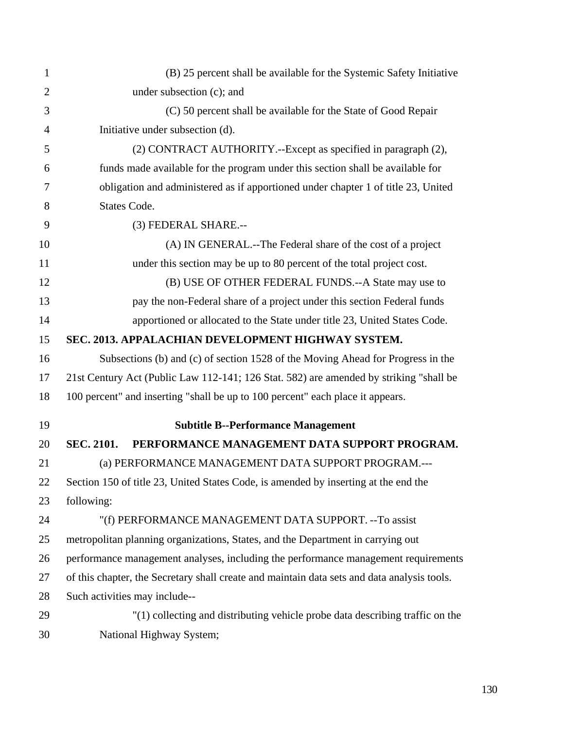| 1              | (B) 25 percent shall be available for the Systemic Safety Initiative                        |
|----------------|---------------------------------------------------------------------------------------------|
| $\overline{2}$ | under subsection (c); and                                                                   |
| 3              | (C) 50 percent shall be available for the State of Good Repair                              |
| 4              | Initiative under subsection (d).                                                            |
| 5              | (2) CONTRACT AUTHORITY.--Except as specified in paragraph (2),                              |
| 6              | funds made available for the program under this section shall be available for              |
| 7              | obligation and administered as if apportioned under chapter 1 of title 23, United           |
| 8              | States Code.                                                                                |
| 9              | (3) FEDERAL SHARE.--                                                                        |
| 10             | (A) IN GENERAL.--The Federal share of the cost of a project                                 |
| 11             | under this section may be up to 80 percent of the total project cost.                       |
| 12             | (B) USE OF OTHER FEDERAL FUNDS.--A State may use to                                         |
| 13             | pay the non-Federal share of a project under this section Federal funds                     |
| 14             | apportioned or allocated to the State under title 23, United States Code.                   |
| 15             | SEC. 2013. APPALACHIAN DEVELOPMENT HIGHWAY SYSTEM.                                          |
| 16             | Subsections (b) and (c) of section 1528 of the Moving Ahead for Progress in the             |
| 17             | 21st Century Act (Public Law 112-141; 126 Stat. 582) are amended by striking "shall be      |
| 18             | 100 percent" and inserting "shall be up to 100 percent" each place it appears.              |
| 19             | <b>Subtitle B--Performance Management</b>                                                   |
| 20             | PERFORMANCE MANAGEMENT DATA SUPPORT PROGRAM.<br><b>SEC. 2101.</b>                           |
| 21             | (a) PERFORMANCE MANAGEMENT DATA SUPPORT PROGRAM.---                                         |
| 22             | Section 150 of title 23, United States Code, is amended by inserting at the end the         |
| 23             | following:                                                                                  |
| 24             | "(f) PERFORMANCE MANAGEMENT DATA SUPPORT. -- To assist                                      |
| 25             | metropolitan planning organizations, States, and the Department in carrying out             |
| 26             | performance management analyses, including the performance management requirements          |
| 27             | of this chapter, the Secretary shall create and maintain data sets and data analysis tools. |
| 28             | Such activities may include--                                                               |
| 29             | "(1) collecting and distributing vehicle probe data describing traffic on the               |
| 30             | National Highway System;                                                                    |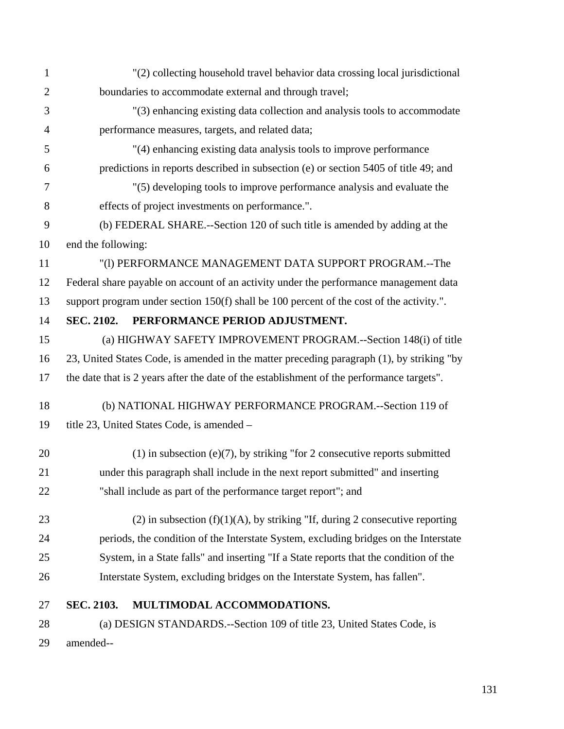| $\mathbf{1}$   | "(2) collecting household travel behavior data crossing local jurisdictional              |
|----------------|-------------------------------------------------------------------------------------------|
| $\mathbf{2}$   | boundaries to accommodate external and through travel;                                    |
| 3              | "(3) enhancing existing data collection and analysis tools to accommodate                 |
| $\overline{4}$ | performance measures, targets, and related data;                                          |
| 5              | "(4) enhancing existing data analysis tools to improve performance                        |
| 6              | predictions in reports described in subsection (e) or section 5405 of title 49; and       |
| 7              | "(5) developing tools to improve performance analysis and evaluate the                    |
| 8              | effects of project investments on performance.".                                          |
| 9              | (b) FEDERAL SHARE.--Section 120 of such title is amended by adding at the                 |
| 10             | end the following:                                                                        |
| 11             | "(1) PERFORMANCE MANAGEMENT DATA SUPPORT PROGRAM.--The                                    |
| 12             | Federal share payable on account of an activity under the performance management data     |
| 13             | support program under section 150(f) shall be 100 percent of the cost of the activity.".  |
| 14             | PERFORMANCE PERIOD ADJUSTMENT.<br><b>SEC. 2102.</b>                                       |
| 15             | (a) HIGHWAY SAFETY IMPROVEMENT PROGRAM.--Section 148(i) of title                          |
| 16             | 23, United States Code, is amended in the matter preceding paragraph (1), by striking "by |
| 17             | the date that is 2 years after the date of the establishment of the performance targets". |
| 18             | (b) NATIONAL HIGHWAY PERFORMANCE PROGRAM.--Section 119 of                                 |
| 19             | title 23, United States Code, is amended -                                                |
| 20             | $(1)$ in subsection (e)(7), by striking "for 2 consecutive reports submitted              |
| 21             | under this paragraph shall include in the next report submitted" and inserting            |
| 22             | "shall include as part of the performance target report"; and                             |
| 23             | (2) in subsection $(f)(1)(A)$ , by striking "If, during 2 consecutive reporting           |
| 24             | periods, the condition of the Interstate System, excluding bridges on the Interstate      |
| 25             | System, in a State falls" and inserting "If a State reports that the condition of the     |
| 26             | Interstate System, excluding bridges on the Interstate System, has fallen".               |
| 27             | SEC. 2103.<br>MULTIMODAL ACCOMMODATIONS.                                                  |
| 28             | (a) DESIGN STANDARDS.--Section 109 of title 23, United States Code, is                    |
| 29             | amended--                                                                                 |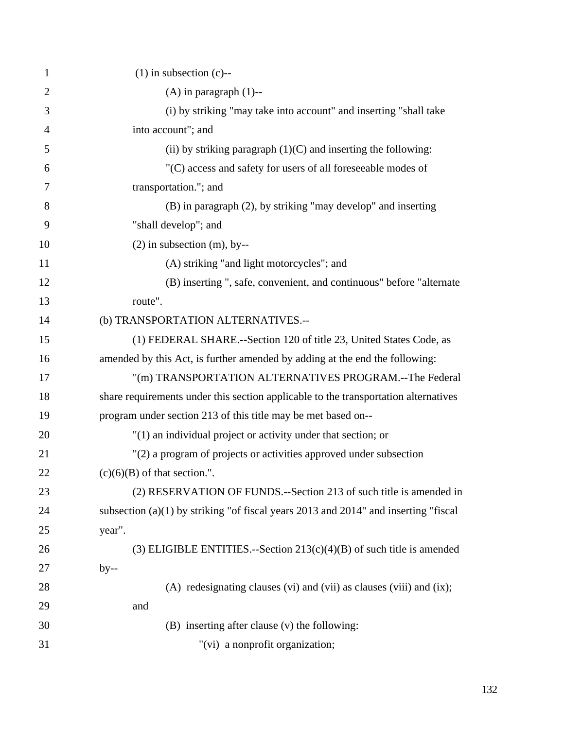| $\mathbf{1}$   | $(1)$ in subsection $(c)$ --                                                          |
|----------------|---------------------------------------------------------------------------------------|
| $\overline{2}$ | $(A)$ in paragraph $(1)$ --                                                           |
| 3              | (i) by striking "may take into account" and inserting "shall take                     |
| $\overline{4}$ | into account"; and                                                                    |
| 5              | (ii) by striking paragraph $(1)(C)$ and inserting the following:                      |
| 6              | "(C) access and safety for users of all foreseeable modes of                          |
| 7              | transportation."; and                                                                 |
| 8              | (B) in paragraph (2), by striking "may develop" and inserting                         |
| 9              | "shall develop"; and                                                                  |
| 10             | $(2)$ in subsection $(m)$ , by--                                                      |
| 11             | (A) striking "and light motorcycles"; and                                             |
| 12             | (B) inserting ", safe, convenient, and continuous" before "alternate                  |
| 13             | route".                                                                               |
| 14             | (b) TRANSPORTATION ALTERNATIVES.--                                                    |
| 15             | (1) FEDERAL SHARE.--Section 120 of title 23, United States Code, as                   |
| 16             | amended by this Act, is further amended by adding at the end the following:           |
| 17             | "(m) TRANSPORTATION ALTERNATIVES PROGRAM.--The Federal                                |
| 18             | share requirements under this section applicable to the transportation alternatives   |
| 19             | program under section 213 of this title may be met based on--                         |
| 20             | "(1) an individual project or activity under that section; or                         |
| 21             | "(2) a program of projects or activities approved under subsection                    |
| 22             | $(c)(6)(B)$ of that section.".                                                        |
| 23             | (2) RESERVATION OF FUNDS.--Section 213 of such title is amended in                    |
| 24             | subsection $(a)(1)$ by striking "of fiscal years 2013 and 2014" and inserting "fiscal |
| 25             | year".                                                                                |
| 26             | (3) ELIGIBLE ENTITIES.--Section $213(c)(4)(B)$ of such title is amended               |
| 27             | $by-$                                                                                 |
| 28             | $(A)$ redesignating clauses $(vi)$ and $(vii)$ as clauses $(viii)$ and $(ix)$ ;       |
| 29             | and                                                                                   |
| 30             | (B) inserting after clause (v) the following:                                         |
| 31             | "(vi) a nonprofit organization;                                                       |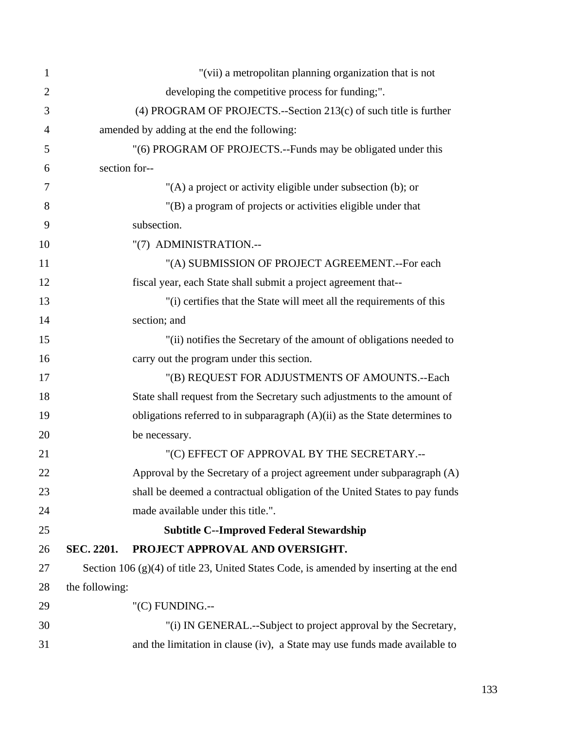| $\mathbf{1}$   | "(vii) a metropolitan planning organization that is not                                  |
|----------------|------------------------------------------------------------------------------------------|
| $\overline{2}$ | developing the competitive process for funding;".                                        |
| 3              | (4) PROGRAM OF PROJECTS.--Section 213(c) of such title is further                        |
| 4              | amended by adding at the end the following:                                              |
| 5              | "(6) PROGRAM OF PROJECTS.--Funds may be obligated under this                             |
| 6              | section for--                                                                            |
| 7              | "(A) a project or activity eligible under subsection (b); or                             |
| 8              | "(B) a program of projects or activities eligible under that                             |
| 9              | subsection.                                                                              |
| 10             | "(7) ADMINISTRATION.--                                                                   |
| 11             | "(A) SUBMISSION OF PROJECT AGREEMENT.--For each                                          |
| 12             | fiscal year, each State shall submit a project agreement that--                          |
| 13             | "(i) certifies that the State will meet all the requirements of this                     |
| 14             | section; and                                                                             |
| 15             | "(ii) notifies the Secretary of the amount of obligations needed to                      |
| 16             | carry out the program under this section.                                                |
| 17             | "(B) REQUEST FOR ADJUSTMENTS OF AMOUNTS.--Each                                           |
| 18             | State shall request from the Secretary such adjustments to the amount of                 |
| 19             | obligations referred to in subparagraph $(A)(ii)$ as the State determines to             |
| 20             | be necessary.                                                                            |
| 21             | "(C) EFFECT OF APPROVAL BY THE SECRETARY.--                                              |
| 22             | Approval by the Secretary of a project agreement under subparagraph (A)                  |
| 23             | shall be deemed a contractual obligation of the United States to pay funds               |
| 24             | made available under this title.".                                                       |
| 25             | <b>Subtitle C--Improved Federal Stewardship</b>                                          |
| 26             | SEC. 2201.<br>PROJECT APPROVAL AND OVERSIGHT.                                            |
| 27             | Section 106 $(g)(4)$ of title 23, United States Code, is amended by inserting at the end |
| 28             | the following:                                                                           |
| 29             | "(C) FUNDING.--                                                                          |
| 30             | "(i) IN GENERAL.--Subject to project approval by the Secretary,                          |
| 31             | and the limitation in clause (iv), a State may use funds made available to               |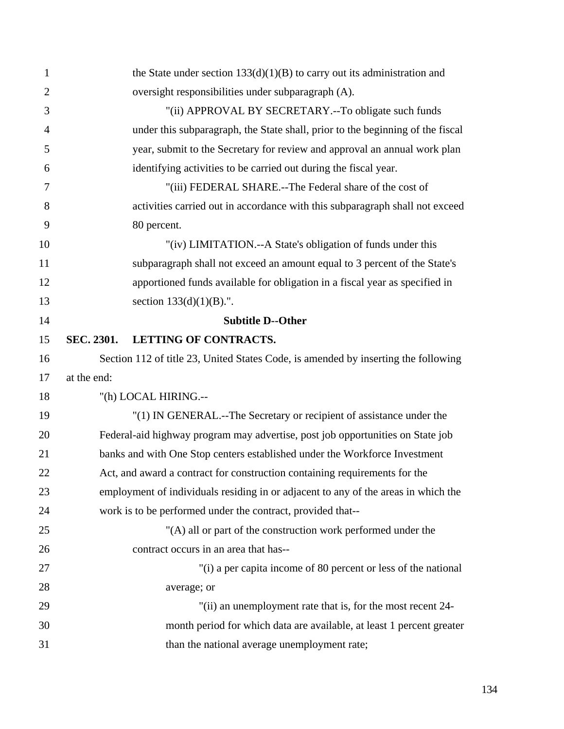| $\mathbf{1}$   |             | the State under section $133(d)(1)(B)$ to carry out its administration and         |
|----------------|-------------|------------------------------------------------------------------------------------|
| $\overline{2}$ |             | oversight responsibilities under subparagraph (A).                                 |
| 3              |             | "(ii) APPROVAL BY SECRETARY.--To obligate such funds                               |
| $\overline{4}$ |             | under this subparagraph, the State shall, prior to the beginning of the fiscal     |
| 5              |             | year, submit to the Secretary for review and approval an annual work plan          |
| 6              |             | identifying activities to be carried out during the fiscal year.                   |
| 7              |             | "(iii) FEDERAL SHARE.--The Federal share of the cost of                            |
| 8              |             | activities carried out in accordance with this subparagraph shall not exceed       |
| 9              |             | 80 percent.                                                                        |
| 10             |             | "(iv) LIMITATION.--A State's obligation of funds under this                        |
| 11             |             | subparagraph shall not exceed an amount equal to 3 percent of the State's          |
| 12             |             | apportioned funds available for obligation in a fiscal year as specified in        |
| 13             |             | section $133(d)(1)(B)$ .".                                                         |
| 14             |             | <b>Subtitle D--Other</b>                                                           |
| 15             | SEC. 2301.  | LETTING OF CONTRACTS.                                                              |
| 16             |             | Section 112 of title 23, United States Code, is amended by inserting the following |
| 17             | at the end: |                                                                                    |
| 18             |             | "(h) LOCAL HIRING.--                                                               |
| 19             |             | "(1) IN GENERAL.--The Secretary or recipient of assistance under the               |
| 20             |             | Federal-aid highway program may advertise, post job opportunities on State job     |
| 21             |             | banks and with One Stop centers established under the Workforce Investment         |
| 22             |             | Act, and award a contract for construction containing requirements for the         |
| 23             |             | employment of individuals residing in or adjacent to any of the areas in which the |
| 24             |             | work is to be performed under the contract, provided that--                        |
| 25             |             | "(A) all or part of the construction work performed under the                      |
| 26             |             | contract occurs in an area that has--                                              |
| 27             |             | "(i) a per capita income of 80 percent or less of the national                     |
| 28             |             | average; or                                                                        |
| 29             |             | "(ii) an unemployment rate that is, for the most recent 24-                        |
| 30             |             | month period for which data are available, at least 1 percent greater              |
| 31             |             | than the national average unemployment rate;                                       |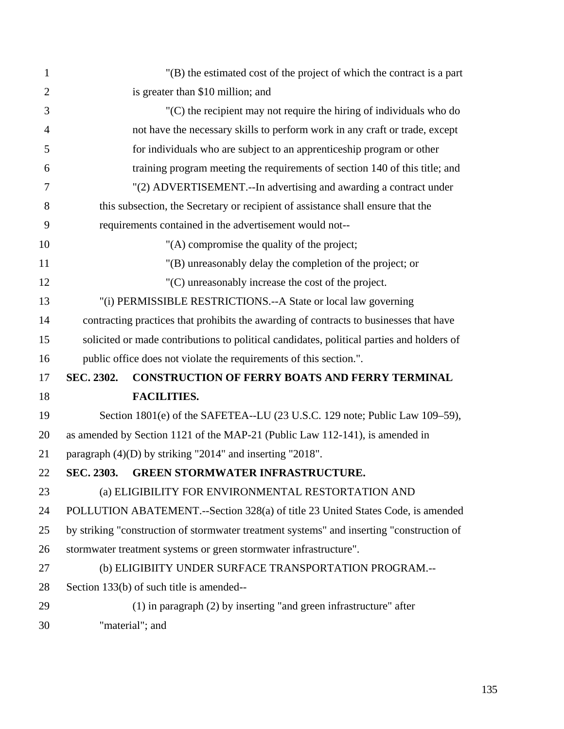| $\mathbf{1}$   | "(B) the estimated cost of the project of which the contract is a part                    |
|----------------|-------------------------------------------------------------------------------------------|
| $\overline{2}$ | is greater than \$10 million; and                                                         |
| 3              | $(C)$ the recipient may not require the hiring of individuals who do                      |
| $\overline{4}$ | not have the necessary skills to perform work in any craft or trade, except               |
| 5              | for individuals who are subject to an apprentice ship program or other                    |
| 6              | training program meeting the requirements of section 140 of this title; and               |
| 7              | "(2) ADVERTISEMENT.--In advertising and awarding a contract under                         |
| 8              | this subsection, the Secretary or recipient of assistance shall ensure that the           |
| 9              | requirements contained in the advertisement would not--                                   |
| 10             | "(A) compromise the quality of the project;                                               |
| 11             | "(B) unreasonably delay the completion of the project; or                                 |
| 12             | "(C) unreasonably increase the cost of the project.                                       |
| 13             | "(i) PERMISSIBLE RESTRICTIONS.--A State or local law governing                            |
| 14             | contracting practices that prohibits the awarding of contracts to businesses that have    |
| 15             | solicited or made contributions to political candidates, political parties and holders of |
| 16             | public office does not violate the requirements of this section.".                        |
| 17             | SEC. 2302.<br><b>CONSTRUCTION OF FERRY BOATS AND FERRY TERMINAL</b>                       |
| 18             | <b>FACILITIES.</b>                                                                        |
| 19             | Section 1801(e) of the SAFETEA--LU (23 U.S.C. 129 note; Public Law 109–59),               |
| 20             | as amended by Section 1121 of the MAP-21 (Public Law 112-141), is amended in              |
| 21             | paragraph (4)(D) by striking "2014" and inserting "2018".                                 |
| 22             | <b>GREEN STORMWATER INFRASTRUCTURE.</b><br>SEC. 2303.                                     |
| 23             | (a) ELIGIBILITY FOR ENVIRONMENTAL RESTORTATION AND                                        |
| 24             | POLLUTION ABATEMENT.--Section 328(a) of title 23 United States Code, is amended           |
| 25             | by striking "construction of stormwater treatment systems" and inserting "construction of |
| 26             | stormwater treatment systems or green stormwater infrastructure".                         |
| 27             | (b) ELIGIBIITY UNDER SURFACE TRANSPORTATION PROGRAM.--                                    |
| 28             | Section 133(b) of such title is amended--                                                 |
| 29             | $(1)$ in paragraph $(2)$ by inserting "and green infrastructure" after                    |
| 30             | "material"; and                                                                           |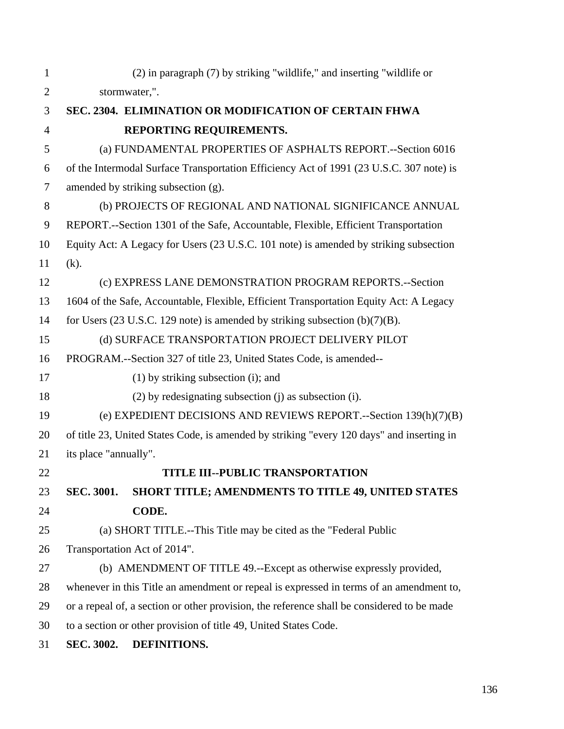| $\mathbf{1}$   | (2) in paragraph (7) by striking "wildlife," and inserting "wildlife or                           |  |
|----------------|---------------------------------------------------------------------------------------------------|--|
| $\overline{2}$ | stormwater,".                                                                                     |  |
| 3              | SEC. 2304. ELIMINATION OR MODIFICATION OF CERTAIN FHWA                                            |  |
| $\overline{4}$ | REPORTING REQUIREMENTS.                                                                           |  |
| 5              | (a) FUNDAMENTAL PROPERTIES OF ASPHALTS REPORT.--Section 6016                                      |  |
| 6              | of the Intermodal Surface Transportation Efficiency Act of 1991 (23 U.S.C. 307 note) is           |  |
| $\overline{7}$ | amended by striking subsection (g).                                                               |  |
| 8              | (b) PROJECTS OF REGIONAL AND NATIONAL SIGNIFICANCE ANNUAL                                         |  |
| 9              | REPORT.--Section 1301 of the Safe, Accountable, Flexible, Efficient Transportation                |  |
| 10             | Equity Act: A Legacy for Users (23 U.S.C. 101 note) is amended by striking subsection             |  |
| 11             | $(k)$ .                                                                                           |  |
| 12             | (c) EXPRESS LANE DEMONSTRATION PROGRAM REPORTS.--Section                                          |  |
| 13             | 1604 of the Safe, Accountable, Flexible, Efficient Transportation Equity Act: A Legacy            |  |
| 14             | for Users $(23 \text{ U.S.C. } 129 \text{ note})$ is amended by striking subsection $(b)(7)(B)$ . |  |
| 15             | (d) SURFACE TRANSPORTATION PROJECT DELIVERY PILOT                                                 |  |
| 16             | PROGRAM.--Section 327 of title 23, United States Code, is amended--                               |  |
| 17             | $(1)$ by striking subsection $(i)$ ; and                                                          |  |
| 18             | (2) by redesignating subsection (j) as subsection (i).                                            |  |
| 19             | (e) EXPEDIENT DECISIONS AND REVIEWS REPORT.--Section 139(h)(7)(B)                                 |  |
| 20             | of title 23, United States Code, is amended by striking "every 120 days" and inserting in         |  |
| 21             | its place "annually".                                                                             |  |
| 22             | <b>TITLE III--PUBLIC TRANSPORTATION</b>                                                           |  |
| 23             | <b>SEC. 3001.</b><br><b>SHORT TITLE; AMENDMENTS TO TITLE 49, UNITED STATES</b>                    |  |
| 24             | CODE.                                                                                             |  |
| 25             | (a) SHORT TITLE.--This Title may be cited as the "Federal Public                                  |  |
| 26             | Transportation Act of 2014".                                                                      |  |
| 27             | (b) AMENDMENT OF TITLE 49.--Except as otherwise expressly provided,                               |  |
| 28             | whenever in this Title an amendment or repeal is expressed in terms of an amendment to,           |  |
| 29             | or a repeal of, a section or other provision, the reference shall be considered to be made        |  |
| 30             | to a section or other provision of title 49, United States Code.                                  |  |
| 31             | DEFINITIONS.<br>SEC. 3002.                                                                        |  |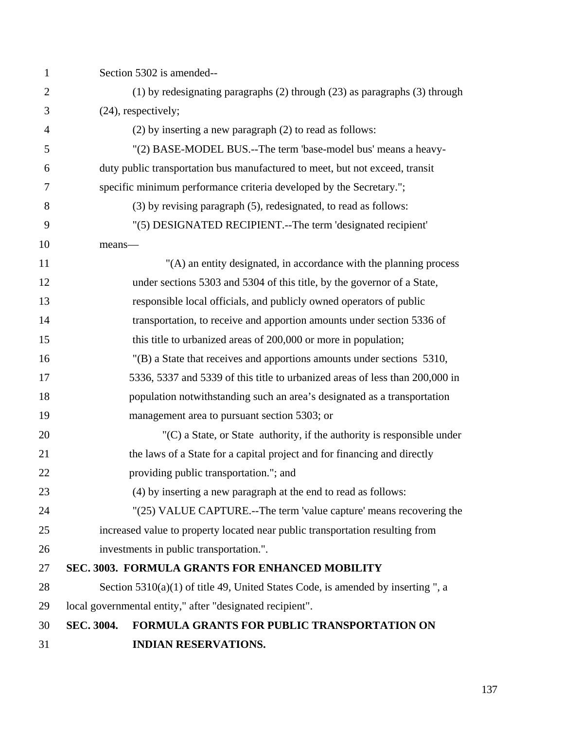| $\mathbf{1}$   | Section 5302 is amended--                                                          |
|----------------|------------------------------------------------------------------------------------|
| $\overline{2}$ | $(1)$ by redesignating paragraphs $(2)$ through $(23)$ as paragraphs $(3)$ through |
| 3              | (24), respectively;                                                                |
| 4              | (2) by inserting a new paragraph (2) to read as follows:                           |
| 5              | "(2) BASE-MODEL BUS.--The term 'base-model bus' means a heavy-                     |
| 6              | duty public transportation bus manufactured to meet, but not exceed, transit       |
| 7              | specific minimum performance criteria developed by the Secretary.";                |
| 8              | (3) by revising paragraph (5), redesignated, to read as follows:                   |
| 9              | "(5) DESIGNATED RECIPIENT.--The term 'designated recipient'                        |
| 10             | means-                                                                             |
| 11             | "(A) an entity designated, in accordance with the planning process                 |
| 12             | under sections 5303 and 5304 of this title, by the governor of a State,            |
| 13             | responsible local officials, and publicly owned operators of public                |
| 14             | transportation, to receive and apportion amounts under section 5336 of             |
| 15             | this title to urbanized areas of 200,000 or more in population;                    |
| 16             | $'(B)$ a State that receives and apportions amounts under sections 5310,           |
| 17             | 5336, 5337 and 5339 of this title to urbanized areas of less than 200,000 in       |
| 18             | population notwithstanding such an area's designated as a transportation           |
| 19             | management area to pursuant section 5303; or                                       |
| 20             | $(C)$ a State, or State authority, if the authority is responsible under           |
| 21             | the laws of a State for a capital project and for financing and directly           |
| 22             | providing public transportation."; and                                             |
| 23             | (4) by inserting a new paragraph at the end to read as follows:                    |
| 24             | "(25) VALUE CAPTURE.--The term 'value capture' means recovering the                |
| 25             | increased value to property located near public transportation resulting from      |
| 26             | investments in public transportation.".                                            |
| 27             | SEC. 3003. FORMULA GRANTS FOR ENHANCED MOBILITY                                    |
| 28             | Section $5310(a)(1)$ of title 49, United States Code, is amended by inserting ", a |
| 29             | local governmental entity," after "designated recipient".                          |
| 30             | SEC. 3004.<br><b>FORMULA GRANTS FOR PUBLIC TRANSPORTATION ON</b>                   |
| 31             | <b>INDIAN RESERVATIONS.</b>                                                        |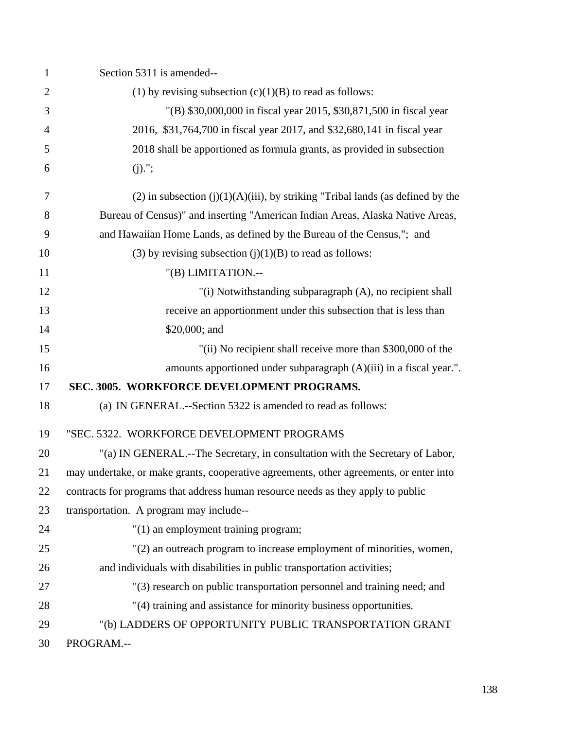| $\mathbf{1}$   | Section 5311 is amended--                                                              |
|----------------|----------------------------------------------------------------------------------------|
| $\overline{2}$ | (1) by revising subsection $(c)(1)(B)$ to read as follows:                             |
| 3              | "(B) \$30,000,000 in fiscal year 2015, \$30,871,500 in fiscal year                     |
| 4              | 2016, \$31,764,700 in fiscal year 2017, and \$32,680,141 in fiscal year                |
| 5              | 2018 shall be apportioned as formula grants, as provided in subsection                 |
| 6              | $(j).$ ";                                                                              |
| 7              | $(2)$ in subsection $(j)(1)(A)(iii)$ , by striking "Tribal lands (as defined by the    |
| 8              | Bureau of Census)" and inserting "American Indian Areas, Alaska Native Areas,          |
| 9              | and Hawaiian Home Lands, as defined by the Bureau of the Census,"; and                 |
| 10             | (3) by revising subsection $(j)(1)(B)$ to read as follows:                             |
| 11             | "(B) LIMITATION.--                                                                     |
| 12             | "(i) Notwithstanding subparagraph (A), no recipient shall                              |
| 13             | receive an apportionment under this subsection that is less than                       |
| 14             | \$20,000; and                                                                          |
| 15             | "(ii) No recipient shall receive more than \$300,000 of the                            |
| 16             | amounts apportioned under subparagraph $(A)(iii)$ in a fiscal year.".                  |
| 17             | SEC. 3005. WORKFORCE DEVELOPMENT PROGRAMS.                                             |
| 18             | (a) IN GENERAL.--Section 5322 is amended to read as follows:                           |
| 19             | "SEC. 5322. WORKFORCE DEVELOPMENT PROGRAMS                                             |
| 20             | "(a) IN GENERAL.--The Secretary, in consultation with the Secretary of Labor,          |
| 21             | may undertake, or make grants, cooperative agreements, other agreements, or enter into |
| 22             | contracts for programs that address human resource needs as they apply to public       |
| 23             | transportation. A program may include--                                                |
| 24             | $"(1)$ an employment training program;                                                 |
| 25             | "(2) an outreach program to increase employment of minorities, women,                  |
| 26             | and individuals with disabilities in public transportation activities;                 |
| 27             | "(3) research on public transportation personnel and training need; and                |
| 28             | "(4) training and assistance for minority business opportunities.                      |
| 29             | "(b) LADDERS OF OPPORTUNITY PUBLIC TRANSPORTATION GRANT                                |
| 30             | PROGRAM.--                                                                             |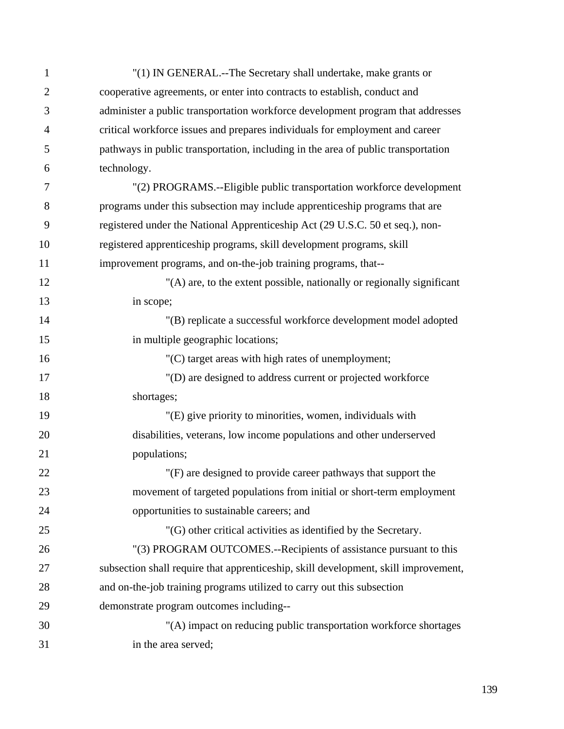| $\mathbf{1}$   | "(1) IN GENERAL.--The Secretary shall undertake, make grants or                     |
|----------------|-------------------------------------------------------------------------------------|
| $\overline{2}$ | cooperative agreements, or enter into contracts to establish, conduct and           |
| 3              | administer a public transportation workforce development program that addresses     |
| $\overline{4}$ | critical workforce issues and prepares individuals for employment and career        |
| 5              | pathways in public transportation, including in the area of public transportation   |
| 6              | technology.                                                                         |
| 7              | "(2) PROGRAMS.--Eligible public transportation workforce development                |
| 8              | programs under this subsection may include apprenticeship programs that are         |
| 9              | registered under the National Apprenticeship Act (29 U.S.C. 50 et seq.), non-       |
| 10             | registered apprenticeship programs, skill development programs, skill               |
| 11             | improvement programs, and on-the-job training programs, that--                      |
| 12             | "(A) are, to the extent possible, nationally or regionally significant              |
| 13             | in scope;                                                                           |
| 14             | "(B) replicate a successful workforce development model adopted                     |
| 15             | in multiple geographic locations;                                                   |
| 16             | "(C) target areas with high rates of unemployment;                                  |
| 17             | "(D) are designed to address current or projected workforce                         |
| 18             | shortages;                                                                          |
| 19             | "(E) give priority to minorities, women, individuals with                           |
| 20             | disabilities, veterans, low income populations and other underserved                |
| 21             | populations;                                                                        |
| $22\,$         | "(F) are designed to provide career pathways that support the                       |
| 23             | movement of targeted populations from initial or short-term employment              |
| 24             | opportunities to sustainable careers; and                                           |
| 25             | "(G) other critical activities as identified by the Secretary.                      |
| 26             | "(3) PROGRAM OUTCOMES.--Recipients of assistance pursuant to this                   |
| 27             | subsection shall require that apprenticeship, skill development, skill improvement, |
| 28             | and on-the-job training programs utilized to carry out this subsection              |
| 29             | demonstrate program outcomes including--                                            |
| 30             | "(A) impact on reducing public transportation workforce shortages                   |
| 31             | in the area served;                                                                 |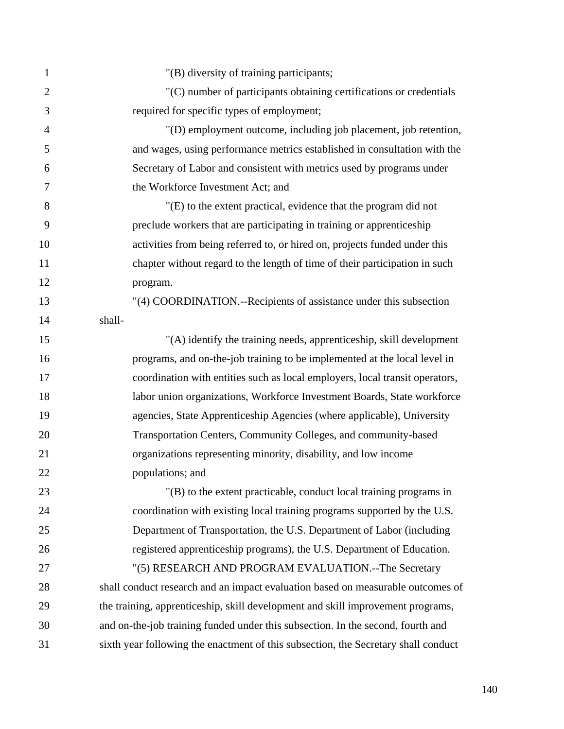| $\mathbf{1}$   | "(B) diversity of training participants;                                           |
|----------------|------------------------------------------------------------------------------------|
| $\overline{2}$ | "(C) number of participants obtaining certifications or credentials                |
| 3              | required for specific types of employment;                                         |
| $\overline{4}$ | "(D) employment outcome, including job placement, job retention,                   |
| 5              | and wages, using performance metrics established in consultation with the          |
| 6              | Secretary of Labor and consistent with metrics used by programs under              |
| 7              | the Workforce Investment Act; and                                                  |
| 8              | "(E) to the extent practical, evidence that the program did not                    |
| 9              | preclude workers that are participating in training or apprenticeship              |
| 10             | activities from being referred to, or hired on, projects funded under this         |
| 11             | chapter without regard to the length of time of their participation in such        |
| 12             | program.                                                                           |
| 13             | "(4) COORDINATION.--Recipients of assistance under this subsection                 |
| 14             | shall-                                                                             |
| 15             | "(A) identify the training needs, apprenticeship, skill development                |
| 16             | programs, and on-the-job training to be implemented at the local level in          |
| 17             | coordination with entities such as local employers, local transit operators,       |
| 18             | labor union organizations, Workforce Investment Boards, State workforce            |
| 19             | agencies, State Apprenticeship Agencies (where applicable), University             |
| 20             | Transportation Centers, Community Colleges, and community-based                    |
| 21             | organizations representing minority, disability, and low income                    |
| 22             | populations; and                                                                   |
| 23             | "(B) to the extent practicable, conduct local training programs in                 |
| 24             | coordination with existing local training programs supported by the U.S.           |
| 25             | Department of Transportation, the U.S. Department of Labor (including              |
| 26             | registered apprenticeship programs), the U.S. Department of Education.             |
| 27             | "(5) RESEARCH AND PROGRAM EVALUATION.--The Secretary                               |
| 28             | shall conduct research and an impact evaluation based on measurable outcomes of    |
| 29             | the training, apprenticeship, skill development and skill improvement programs,    |
| 30             | and on-the-job training funded under this subsection. In the second, fourth and    |
| 31             | sixth year following the enactment of this subsection, the Secretary shall conduct |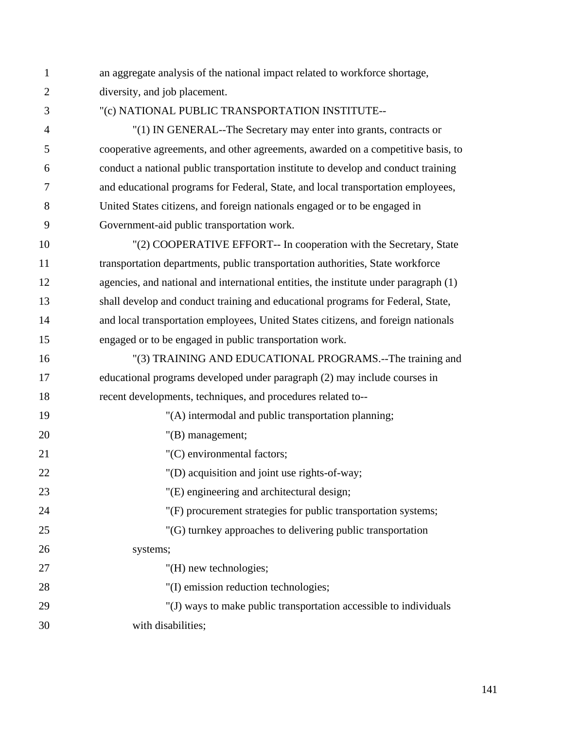1 an aggregate analysis of the national impact related to workforce shortage, 2 diversity, and job placement.

3 "(c) NATIONAL PUBLIC TRANSPORTATION INSTITUTE--

4 "(1) IN GENERAL--The Secretary may enter into grants, contracts or 5 cooperative agreements, and other agreements, awarded on a competitive basis, to 6 conduct a national public transportation institute to develop and conduct training 7 and educational programs for Federal, State, and local transportation employees, 8 United States citizens, and foreign nationals engaged or to be engaged in 9 Government-aid public transportation work.

10 "(2) COOPERATIVE EFFORT-- In cooperation with the Secretary, State 11 transportation departments, public transportation authorities, State workforce 12 agencies, and national and international entities, the institute under paragraph (1) 13 shall develop and conduct training and educational programs for Federal, State, 14 and local transportation employees, United States citizens, and foreign nationals 15 engaged or to be engaged in public transportation work.

16 "(3) TRAINING AND EDUCATIONAL PROGRAMS.--The training and 17 educational programs developed under paragraph (2) may include courses in 18 recent developments, techniques, and procedures related to--

| 19 | "(A) intermodal and public transportation planning;               |
|----|-------------------------------------------------------------------|
| 20 | $"$ (B) management;                                               |
| 21 | "(C) environmental factors;                                       |
| 22 | "(D) acquisition and joint use rights-of-way;                     |
| 23 | "(E) engineering and architectural design;                        |
| 24 | "(F) procurement strategies for public transportation systems;    |
| 25 | "(G) turnkey approaches to delivering public transportation       |
| 26 | systems;                                                          |
| 27 | "(H) new technologies;                                            |
| 28 | "(I) emission reduction technologies;                             |
| 29 | "(J) ways to make public transportation accessible to individuals |
| 30 | with disabilities;                                                |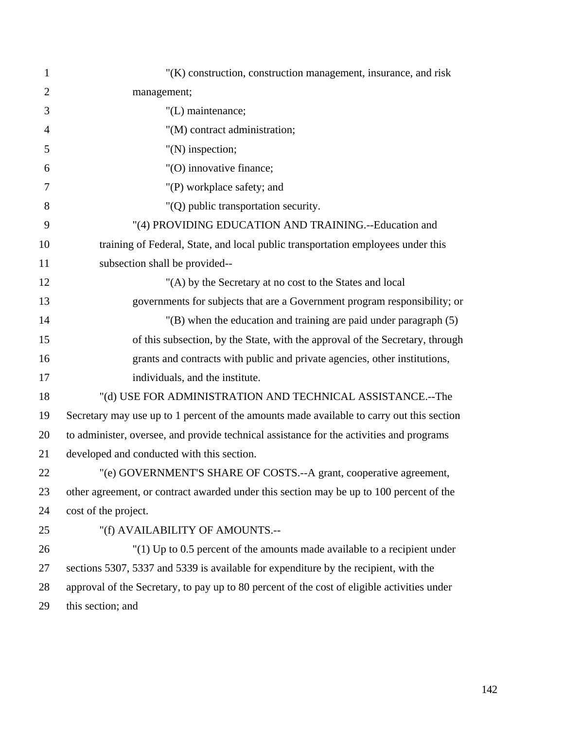| 1              | "(K) construction, construction management, insurance, and risk                             |
|----------------|---------------------------------------------------------------------------------------------|
| $\overline{2}$ | management;                                                                                 |
| 3              | "(L) maintenance;                                                                           |
| $\overline{4}$ | "(M) contract administration;                                                               |
| 5              | $"$ (N) inspection;                                                                         |
| 6              | "(O) innovative finance;                                                                    |
| 7              | "(P) workplace safety; and                                                                  |
| 8              | "(Q) public transportation security.                                                        |
| 9              | "(4) PROVIDING EDUCATION AND TRAINING.--Education and                                       |
| 10             | training of Federal, State, and local public transportation employees under this            |
| 11             | subsection shall be provided--                                                              |
| 12             | "(A) by the Secretary at no cost to the States and local                                    |
| 13             | governments for subjects that are a Government program responsibility; or                   |
| 14             | $'(B)$ when the education and training are paid under paragraph $(5)$                       |
| 15             | of this subsection, by the State, with the approval of the Secretary, through               |
| 16             | grants and contracts with public and private agencies, other institutions,                  |
| 17             | individuals, and the institute.                                                             |
| 18             | "(d) USE FOR ADMINISTRATION AND TECHNICAL ASSISTANCE.--The                                  |
| 19             | Secretary may use up to 1 percent of the amounts made available to carry out this section   |
| 20             | to administer, oversee, and provide technical assistance for the activities and programs    |
| 21             | developed and conducted with this section.                                                  |
| 22             | "(e) GOVERNMENT'S SHARE OF COSTS.--A grant, cooperative agreement,                          |
| 23             | other agreement, or contract awarded under this section may be up to 100 percent of the     |
| 24             | cost of the project.                                                                        |
| 25             | "(f) AVAILABILITY OF AMOUNTS .--                                                            |
| 26             | $'(1)$ Up to 0.5 percent of the amounts made available to a recipient under                 |
| 27             | sections 5307, 5337 and 5339 is available for expenditure by the recipient, with the        |
| 28             | approval of the Secretary, to pay up to 80 percent of the cost of eligible activities under |
| 29             | this section; and                                                                           |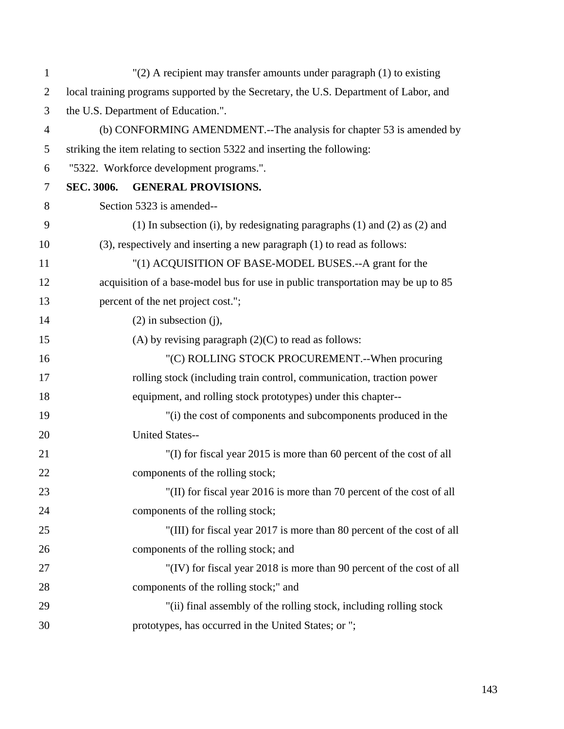| $\mathbf{1}$   |                   | "(2) A recipient may transfer amounts under paragraph (1) to existing                 |
|----------------|-------------------|---------------------------------------------------------------------------------------|
| $\overline{2}$ |                   | local training programs supported by the Secretary, the U.S. Department of Labor, and |
| 3              |                   | the U.S. Department of Education.".                                                   |
| $\overline{4}$ |                   | (b) CONFORMING AMENDMENT.--The analysis for chapter 53 is amended by                  |
| 5              |                   | striking the item relating to section 5322 and inserting the following:               |
| 6              |                   | "5322. Workforce development programs.".                                              |
| 7              | <b>SEC. 3006.</b> | <b>GENERAL PROVISIONS.</b>                                                            |
| 8              |                   | Section 5323 is amended--                                                             |
| 9              |                   | (1) In subsection (i), by redesignating paragraphs (1) and (2) as (2) and             |
| 10             |                   | (3), respectively and inserting a new paragraph (1) to read as follows:               |
| 11             |                   | "(1) ACQUISITION OF BASE-MODEL BUSES.--A grant for the                                |
| 12             |                   | acquisition of a base-model bus for use in public transportation may be up to 85      |
| 13             |                   | percent of the net project cost.";                                                    |
| 14             |                   | $(2)$ in subsection $(i)$ ,                                                           |
| 15             |                   | (A) by revising paragraph $(2)(C)$ to read as follows:                                |
| 16             |                   | "(C) ROLLING STOCK PROCUREMENT.--When procuring                                       |
| 17             |                   | rolling stock (including train control, communication, traction power                 |
| 18             |                   | equipment, and rolling stock prototypes) under this chapter--                         |
| 19             |                   | "(i) the cost of components and subcomponents produced in the                         |
| 20             |                   | <b>United States--</b>                                                                |
| 21             |                   | "(I) for fiscal year 2015 is more than 60 percent of the cost of all                  |
| 22             |                   | components of the rolling stock;                                                      |
| 23             |                   | "(II) for fiscal year 2016 is more than 70 percent of the cost of all                 |
| 24             |                   | components of the rolling stock;                                                      |
| 25             |                   | "(III) for fiscal year 2017 is more than 80 percent of the cost of all                |
| 26             |                   | components of the rolling stock; and                                                  |
| 27             |                   | "(IV) for fiscal year 2018 is more than 90 percent of the cost of all                 |
| 28             |                   | components of the rolling stock;" and                                                 |
| 29             |                   | "(ii) final assembly of the rolling stock, including rolling stock                    |
| 30             |                   | prototypes, has occurred in the United States; or ";                                  |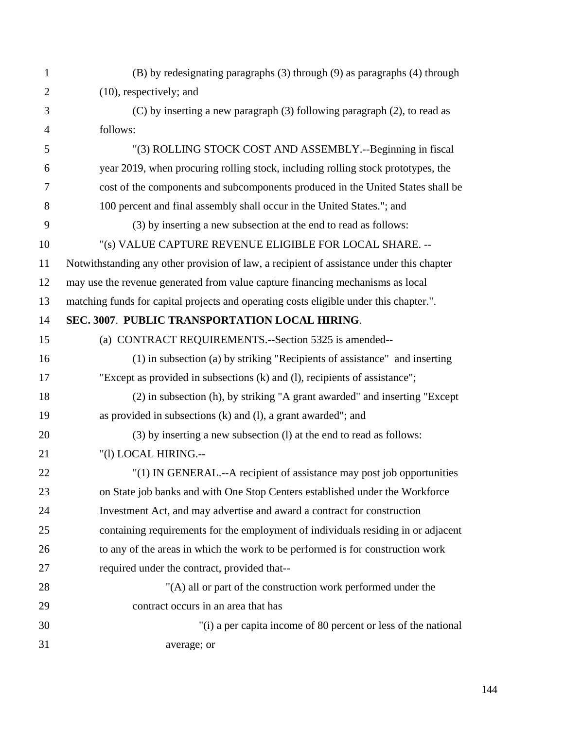| $\mathbf{1}$   | (B) by redesignating paragraphs (3) through (9) as paragraphs (4) through                |
|----------------|------------------------------------------------------------------------------------------|
| $\mathfrak{2}$ | $(10)$ , respectively; and                                                               |
| 3              | (C) by inserting a new paragraph (3) following paragraph (2), to read as                 |
| $\overline{4}$ | follows:                                                                                 |
| 5              | "(3) ROLLING STOCK COST AND ASSEMBLY.--Beginning in fiscal                               |
| 6              | year 2019, when procuring rolling stock, including rolling stock prototypes, the         |
| $\overline{7}$ | cost of the components and subcomponents produced in the United States shall be          |
| 8              | 100 percent and final assembly shall occur in the United States."; and                   |
| 9              | (3) by inserting a new subsection at the end to read as follows:                         |
| 10             | "(s) VALUE CAPTURE REVENUE ELIGIBLE FOR LOCAL SHARE. --                                  |
| 11             | Notwithstanding any other provision of law, a recipient of assistance under this chapter |
| 12             | may use the revenue generated from value capture financing mechanisms as local           |
| 13             | matching funds for capital projects and operating costs eligible under this chapter.".   |
| 14             | SEC. 3007. PUBLIC TRANSPORTATION LOCAL HIRING.                                           |
| 15             | (a) CONTRACT REQUIREMENTS.--Section 5325 is amended--                                    |
| 16             | (1) in subsection (a) by striking "Recipients of assistance" and inserting               |
| 17             | "Except as provided in subsections (k) and (l), recipients of assistance";               |
| 18             | (2) in subsection (h), by striking "A grant awarded" and inserting "Except"              |
| 19             | as provided in subsections $(k)$ and $(l)$ , a grant awarded"; and                       |
| 20             | (3) by inserting a new subsection (1) at the end to read as follows:                     |
| 21             | "(1) LOCAL HIRING.--                                                                     |
| 22             | "(1) IN GENERAL.--A recipient of assistance may post job opportunities                   |
| 23             | on State job banks and with One Stop Centers established under the Workforce             |
| 24             | Investment Act, and may advertise and award a contract for construction                  |
| 25             | containing requirements for the employment of individuals residing in or adjacent        |
| 26             | to any of the areas in which the work to be performed is for construction work           |
| 27             | required under the contract, provided that--                                             |
| 28             | "(A) all or part of the construction work performed under the                            |
| 29             | contract occurs in an area that has                                                      |
| 30             | "(i) a per capita income of 80 percent or less of the national                           |
| 31             | average; or                                                                              |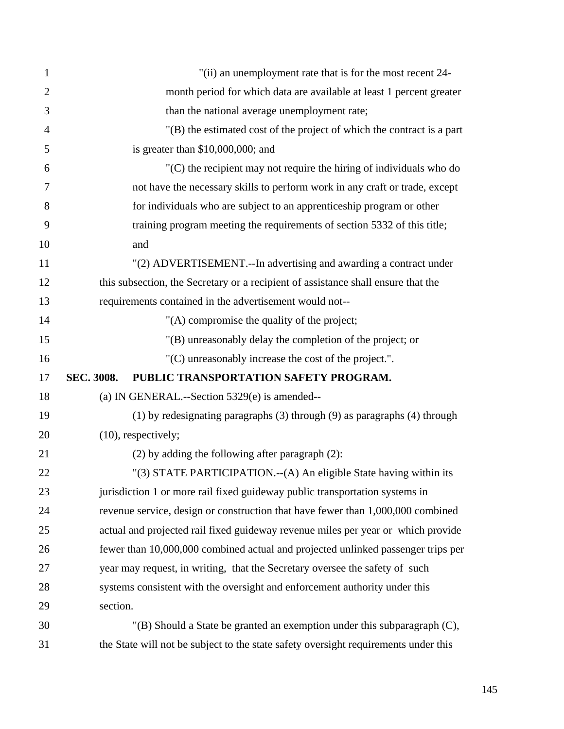| $\mathbf{1}$   | "(ii) an unemployment rate that is for the most recent 24-                          |
|----------------|-------------------------------------------------------------------------------------|
| $\overline{2}$ | month period for which data are available at least 1 percent greater                |
| 3              | than the national average unemployment rate;                                        |
| $\overline{4}$ | "(B) the estimated cost of the project of which the contract is a part              |
| 5              | is greater than $$10,000,000$ ; and                                                 |
| 6              | $(C)$ the recipient may not require the hiring of individuals who do                |
| 7              | not have the necessary skills to perform work in any craft or trade, except         |
| 8              | for individuals who are subject to an apprentice ship program or other              |
| 9              | training program meeting the requirements of section 5332 of this title;            |
| 10             | and                                                                                 |
| 11             | "(2) ADVERTISEMENT.--In advertising and awarding a contract under                   |
| 12             | this subsection, the Secretary or a recipient of assistance shall ensure that the   |
| 13             | requirements contained in the advertisement would not--                             |
| 14             | "(A) compromise the quality of the project;                                         |
| 15             | "(B) unreasonably delay the completion of the project; or                           |
| 16             | "(C) unreasonably increase the cost of the project.".                               |
| 17             | PUBLIC TRANSPORTATION SAFETY PROGRAM.<br>SEC. 3008.                                 |
| 18             | (a) IN GENERAL.--Section 5329(e) is amended--                                       |
| 19             | (1) by redesignating paragraphs (3) through (9) as paragraphs (4) through           |
| 20             | $(10)$ , respectively;                                                              |
| 21             | $(2)$ by adding the following after paragraph $(2)$ :                               |
| 22             | "(3) STATE PARTICIPATION.--(A) An eligible State having within its                  |
| 23             | jurisdiction 1 or more rail fixed guideway public transportation systems in         |
| 24             | revenue service, design or construction that have fewer than 1,000,000 combined     |
| 25             | actual and projected rail fixed guideway revenue miles per year or which provide    |
| 26             | fewer than 10,000,000 combined actual and projected unlinked passenger trips per    |
| 27             | year may request, in writing, that the Secretary oversee the safety of such         |
| 28             | systems consistent with the oversight and enforcement authority under this          |
| 29             | section.                                                                            |
| 30             | "(B) Should a State be granted an exemption under this subparagraph $(C)$ ,         |
| 31             | the State will not be subject to the state safety oversight requirements under this |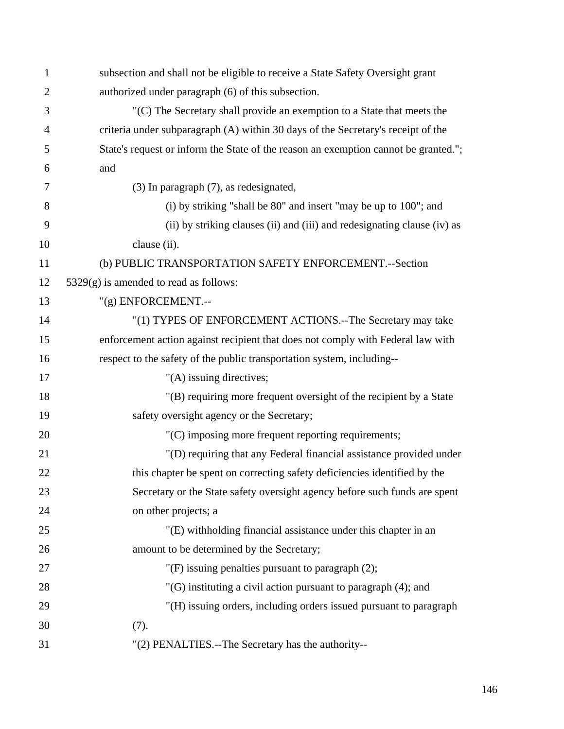| $\mathbf{1}$   | subsection and shall not be eligible to receive a State Safety Oversight grant      |
|----------------|-------------------------------------------------------------------------------------|
| $\overline{2}$ | authorized under paragraph (6) of this subsection.                                  |
| 3              | "(C) The Secretary shall provide an exemption to a State that meets the             |
| $\overline{4}$ | criteria under subparagraph (A) within 30 days of the Secretary's receipt of the    |
| 5              | State's request or inform the State of the reason an exemption cannot be granted."; |
| 6              | and                                                                                 |
| 7              | (3) In paragraph (7), as redesignated,                                              |
| 8              | (i) by striking "shall be 80" and insert "may be up to 100"; and                    |
| 9              | (ii) by striking clauses (ii) and (iii) and redesignating clause (iv) as            |
| 10             | clause (ii).                                                                        |
| 11             | (b) PUBLIC TRANSPORTATION SAFETY ENFORCEMENT.--Section                              |
| 12             | $5329(g)$ is amended to read as follows:                                            |
| 13             | $"$ (g) ENFORCEMENT.--                                                              |
| 14             | "(1) TYPES OF ENFORCEMENT ACTIONS.--The Secretary may take                          |
| 15             | enforcement action against recipient that does not comply with Federal law with     |
| 16             | respect to the safety of the public transportation system, including--              |
| 17             | "(A) issuing directives;                                                            |
| 18             | "(B) requiring more frequent oversight of the recipient by a State                  |
| 19             | safety oversight agency or the Secretary;                                           |
| 20             | "(C) imposing more frequent reporting requirements;                                 |
| 21             | "(D) requiring that any Federal financial assistance provided under                 |
| 22             | this chapter be spent on correcting safety deficiencies identified by the           |
| 23             | Secretary or the State safety oversight agency before such funds are spent          |
| 24             | on other projects; a                                                                |
| 25             | "(E) withholding financial assistance under this chapter in an                      |
| 26             | amount to be determined by the Secretary;                                           |
| 27             | " $(F)$ issuing penalties pursuant to paragraph $(2)$ ;                             |
| 28             | $'(G)$ instituting a civil action pursuant to paragraph (4); and                    |
| 29             | "(H) issuing orders, including orders issued pursuant to paragraph                  |
| 30             | (7).                                                                                |
| 31             | "(2) PENALTIES.--The Secretary has the authority--                                  |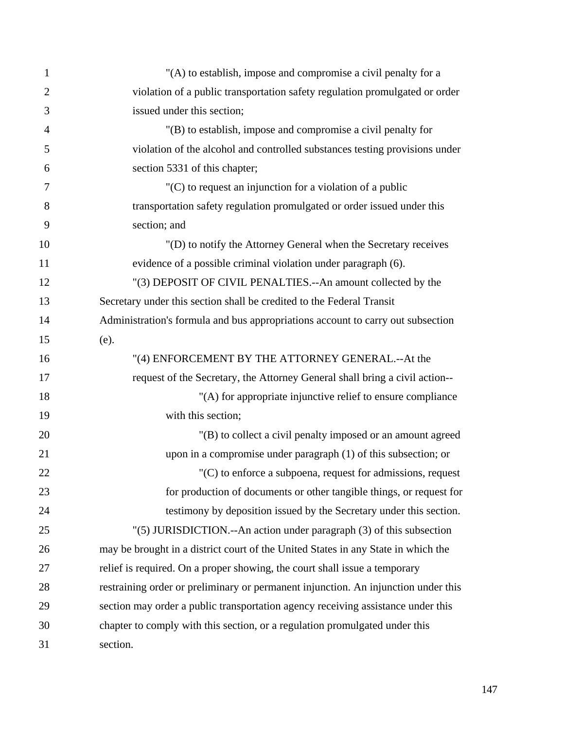| $\mathbf{1}$   | "(A) to establish, impose and compromise a civil penalty for a                     |
|----------------|------------------------------------------------------------------------------------|
| $\overline{2}$ | violation of a public transportation safety regulation promulgated or order        |
| 3              | issued under this section;                                                         |
| $\overline{4}$ | "(B) to establish, impose and compromise a civil penalty for                       |
| 5              | violation of the alcohol and controlled substances testing provisions under        |
| 6              | section 5331 of this chapter;                                                      |
| 7              | "(C) to request an injunction for a violation of a public                          |
| 8              | transportation safety regulation promulgated or order issued under this            |
| 9              | section; and                                                                       |
| 10             | "(D) to notify the Attorney General when the Secretary receives                    |
| 11             | evidence of a possible criminal violation under paragraph (6).                     |
| 12             | "(3) DEPOSIT OF CIVIL PENALTIES.--An amount collected by the                       |
| 13             | Secretary under this section shall be credited to the Federal Transit              |
| 14             | Administration's formula and bus appropriations account to carry out subsection    |
| 15             | (e).                                                                               |
| 16             | "(4) ENFORCEMENT BY THE ATTORNEY GENERAL.--At the                                  |
| 17             | request of the Secretary, the Attorney General shall bring a civil action--        |
| 18             | "(A) for appropriate injunctive relief to ensure compliance                        |
| 19             | with this section;                                                                 |
| 20             | "(B) to collect a civil penalty imposed or an amount agreed                        |
| 21             | upon in a compromise under paragraph $(1)$ of this subsection; or                  |
| 22             | $C(C)$ to enforce a subpoena, request for admissions, request                      |
| 23             | for production of documents or other tangible things, or request for               |
| 24             | testimony by deposition issued by the Secretary under this section.                |
| 25             | "(5) JURISDICTION.--An action under paragraph (3) of this subsection               |
| 26             | may be brought in a district court of the United States in any State in which the  |
| 27             | relief is required. On a proper showing, the court shall issue a temporary         |
| 28             | restraining order or preliminary or permanent injunction. An injunction under this |
| 29             | section may order a public transportation agency receiving assistance under this   |
| 30             | chapter to comply with this section, or a regulation promulgated under this        |
| 31             | section.                                                                           |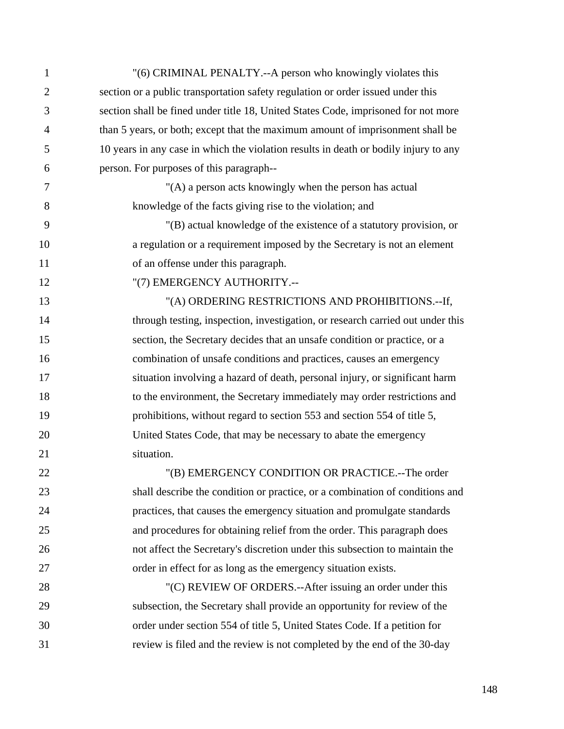| $\mathbf{1}$   | "(6) CRIMINAL PENALTY.--A person who knowingly violates this                         |
|----------------|--------------------------------------------------------------------------------------|
| $\overline{2}$ | section or a public transportation safety regulation or order issued under this      |
| 3              | section shall be fined under title 18, United States Code, imprisoned for not more   |
| $\overline{4}$ | than 5 years, or both; except that the maximum amount of imprisonment shall be       |
| 5              | 10 years in any case in which the violation results in death or bodily injury to any |
| 6              | person. For purposes of this paragraph--                                             |
| 7              | "(A) a person acts knowingly when the person has actual                              |
| 8              | knowledge of the facts giving rise to the violation; and                             |
| 9              | "(B) actual knowledge of the existence of a statutory provision, or                  |
| 10             | a regulation or a requirement imposed by the Secretary is not an element             |
| 11             | of an offense under this paragraph.                                                  |
| 12             | "(7) EMERGENCY AUTHORITY.--                                                          |
| 13             | "(A) ORDERING RESTRICTIONS AND PROHIBITIONS.--If,                                    |
| 14             | through testing, inspection, investigation, or research carried out under this       |
| 15             | section, the Secretary decides that an unsafe condition or practice, or a            |
| 16             | combination of unsafe conditions and practices, causes an emergency                  |
| 17             | situation involving a hazard of death, personal injury, or significant harm          |
| 18             | to the environment, the Secretary immediately may order restrictions and             |
| 19             | prohibitions, without regard to section 553 and section 554 of title 5,              |
| 20             | United States Code, that may be necessary to abate the emergency                     |
| 21             | situation.                                                                           |
| 22             | "(B) EMERGENCY CONDITION OR PRACTICE.--The order                                     |
| 23             | shall describe the condition or practice, or a combination of conditions and         |
| 24             | practices, that causes the emergency situation and promulgate standards              |
| 25             | and procedures for obtaining relief from the order. This paragraph does              |
| 26             | not affect the Secretary's discretion under this subsection to maintain the          |
| 27             | order in effect for as long as the emergency situation exists.                       |
| 28             | "(C) REVIEW OF ORDERS.--After issuing an order under this                            |
| 29             | subsection, the Secretary shall provide an opportunity for review of the             |
| 30             | order under section 554 of title 5, United States Code. If a petition for            |
| 31             | review is filed and the review is not completed by the end of the 30-day             |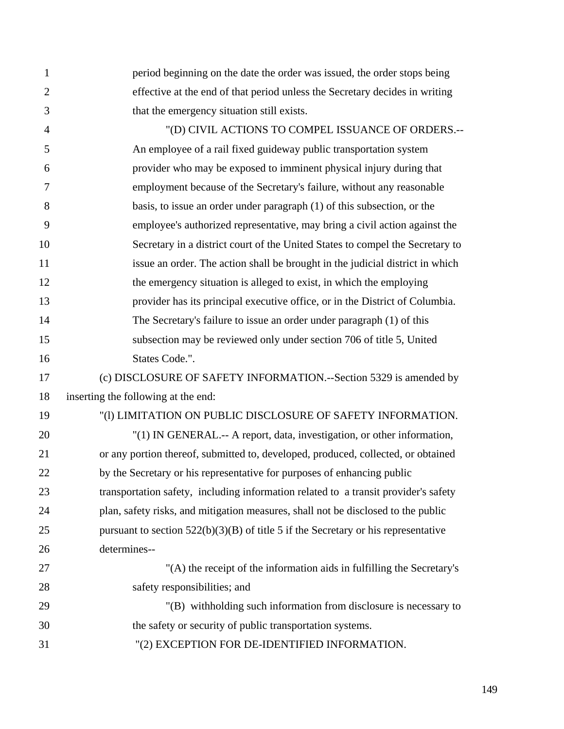| 1              | period beginning on the date the order was issued, the order stops being             |
|----------------|--------------------------------------------------------------------------------------|
| $\overline{2}$ | effective at the end of that period unless the Secretary decides in writing          |
| 3              | that the emergency situation still exists.                                           |
| $\overline{4}$ | "(D) CIVIL ACTIONS TO COMPEL ISSUANCE OF ORDERS.--                                   |
| 5              | An employee of a rail fixed guideway public transportation system                    |
| 6              | provider who may be exposed to imminent physical injury during that                  |
| 7              | employment because of the Secretary's failure, without any reasonable                |
| 8              | basis, to issue an order under paragraph $(1)$ of this subsection, or the            |
| 9              | employee's authorized representative, may bring a civil action against the           |
| 10             | Secretary in a district court of the United States to compel the Secretary to        |
| 11             | issue an order. The action shall be brought in the judicial district in which        |
| 12             | the emergency situation is alleged to exist, in which the employing                  |
| 13             | provider has its principal executive office, or in the District of Columbia.         |
| 14             | The Secretary's failure to issue an order under paragraph (1) of this                |
| 15             | subsection may be reviewed only under section 706 of title 5, United                 |
| 16             | States Code.".                                                                       |
| 17             | (c) DISCLOSURE OF SAFETY INFORMATION.--Section 5329 is amended by                    |
| 18             | inserting the following at the end:                                                  |
| 19             | "(1) LIMITATION ON PUBLIC DISCLOSURE OF SAFETY INFORMATION.                          |
| 20             | "(1) IN GENERAL.-- A report, data, investigation, or other information,              |
| 21             | or any portion thereof, submitted to, developed, produced, collected, or obtained    |
| 22             | by the Secretary or his representative for purposes of enhancing public              |
| 23             | transportation safety, including information related to a transit provider's safety  |
| 24             | plan, safety risks, and mitigation measures, shall not be disclosed to the public    |
| 25             | pursuant to section $522(b)(3)(B)$ of title 5 if the Secretary or his representative |
| 26             | determines--                                                                         |
| 27             | "(A) the receipt of the information aids in fulfilling the Secretary's               |
| 28             | safety responsibilities; and                                                         |
| 29             | "(B) with holding such information from disclosure is necessary to                   |
| 30             | the safety or security of public transportation systems.                             |
| 31             | "(2) EXCEPTION FOR DE-IDENTIFIED INFORMATION.                                        |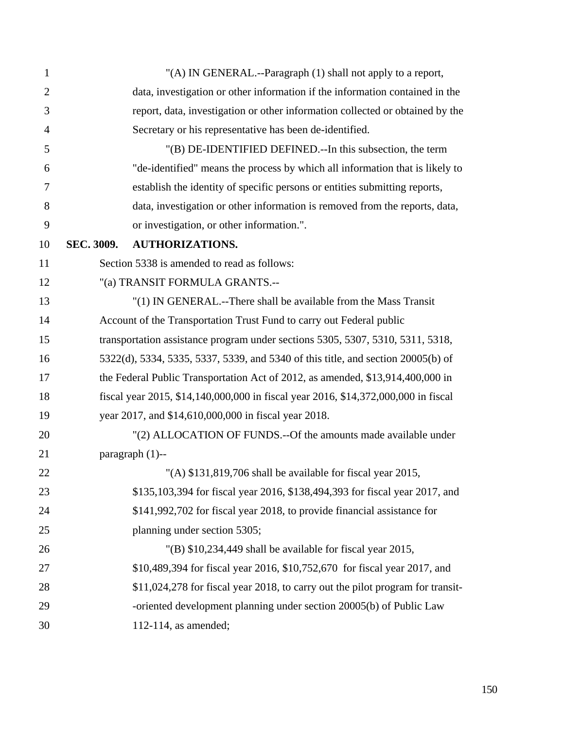| $\mathbf{1}$   |            | "(A) IN GENERAL.--Paragraph (1) shall not apply to a report,                       |
|----------------|------------|------------------------------------------------------------------------------------|
| $\overline{2}$ |            | data, investigation or other information if the information contained in the       |
| 3              |            | report, data, investigation or other information collected or obtained by the      |
| 4              |            | Secretary or his representative has been de-identified.                            |
| 5              |            | "(B) DE-IDENTIFIED DEFINED.--In this subsection, the term                          |
| 6              |            | "de-identified" means the process by which all information that is likely to       |
| 7              |            | establish the identity of specific persons or entities submitting reports,         |
| 8              |            | data, investigation or other information is removed from the reports, data,        |
| 9              |            | or investigation, or other information.".                                          |
| 10             | SEC. 3009. | <b>AUTHORIZATIONS.</b>                                                             |
| 11             |            | Section 5338 is amended to read as follows:                                        |
| 12             |            | "(a) TRANSIT FORMULA GRANTS .--                                                    |
| 13             |            | "(1) IN GENERAL.--There shall be available from the Mass Transit                   |
| 14             |            | Account of the Transportation Trust Fund to carry out Federal public               |
| 15             |            | transportation assistance program under sections 5305, 5307, 5310, 5311, 5318,     |
| 16             |            | 5322(d), 5334, 5335, 5337, 5339, and 5340 of this title, and section 20005(b) of   |
| 17             |            | the Federal Public Transportation Act of 2012, as amended, \$13,914,400,000 in     |
| 18             |            | fiscal year 2015, \$14,140,000,000 in fiscal year 2016, \$14,372,000,000 in fiscal |
| 19             |            | year 2017, and \$14,610,000,000 in fiscal year 2018.                               |
| 20             |            | "(2) ALLOCATION OF FUNDS.--Of the amounts made available under                     |
| 21             |            | paragraph $(1)$ --                                                                 |
| 22             |            | "(A) \$131,819,706 shall be available for fiscal year 2015.                        |
| 23             |            | \$135,103,394 for fiscal year 2016, \$138,494,393 for fiscal year 2017, and        |
| 24             |            | \$141,992,702 for fiscal year 2018, to provide financial assistance for            |
| 25             |            | planning under section 5305;                                                       |
| 26             |            | $'(B)$ \$10,234,449 shall be available for fiscal year 2015,                       |
| 27             |            | \$10,489,394 for fiscal year 2016, \$10,752,670 for fiscal year 2017, and          |
| 28             |            | \$11,024,278 for fiscal year 2018, to carry out the pilot program for transit-     |
| 29             |            | -oriented development planning under section 20005(b) of Public Law                |
| 30             |            | $112-114$ , as amended;                                                            |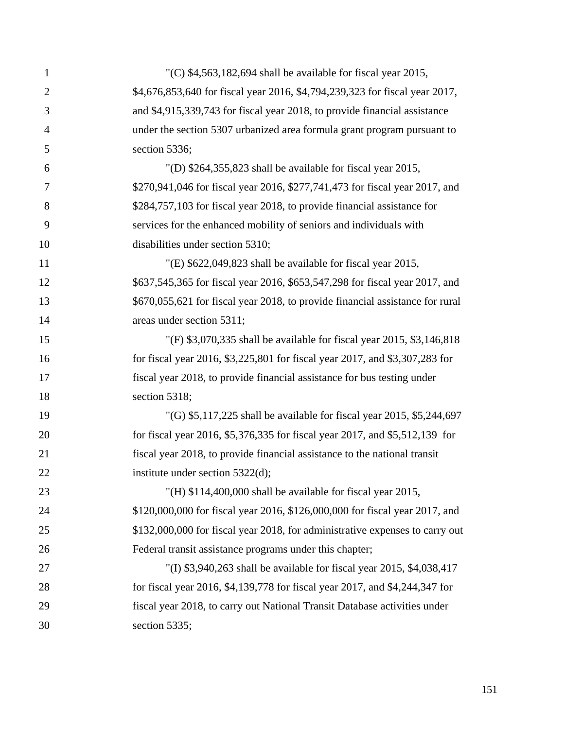| $\mathbf{1}$   | "(C) $$4,563,182,694$ shall be available for fiscal year 2015,                |
|----------------|-------------------------------------------------------------------------------|
| $\overline{2}$ | \$4,676,853,640 for fiscal year 2016, \$4,794,239,323 for fiscal year 2017,   |
| 3              | and \$4,915,339,743 for fiscal year 2018, to provide financial assistance     |
| $\overline{4}$ | under the section 5307 urbanized area formula grant program pursuant to       |
| 5              | section 5336;                                                                 |
| 6              | "(D) $$264,355,823$ shall be available for fiscal year 2015,                  |
| 7              | \$270,941,046 for fiscal year 2016, \$277,741,473 for fiscal year 2017, and   |
| 8              | \$284,757,103 for fiscal year 2018, to provide financial assistance for       |
| 9              | services for the enhanced mobility of seniors and individuals with            |
| 10             | disabilities under section 5310;                                              |
| 11             | "(E) $$622,049,823$ shall be available for fiscal year 2015,                  |
| 12             | \$637,545,365 for fiscal year 2016, \$653,547,298 for fiscal year 2017, and   |
| 13             | \$670,055,621 for fiscal year 2018, to provide financial assistance for rural |
| 14             | areas under section 5311;                                                     |
| 15             | "(F) \$3,070,335 shall be available for fiscal year 2015, \$3,146,818         |
| 16             | for fiscal year 2016, \$3,225,801 for fiscal year 2017, and \$3,307,283 for   |
| 17             | fiscal year 2018, to provide financial assistance for bus testing under       |
| 18             | section 5318;                                                                 |
| 19             | "(G) $$5,117,225$ shall be available for fiscal year 2015, $$5,244,697$       |
| 20             | for fiscal year 2016, \$5,376,335 for fiscal year 2017, and \$5,512,139 for   |
| 21             | fiscal year 2018, to provide financial assistance to the national transit     |
| 22             | institute under section $5322(d)$ ;                                           |
| 23             | "(H) $$114,400,000$ shall be available for fiscal year 2015,                  |
| 24             | \$120,000,000 for fiscal year 2016, \$126,000,000 for fiscal year 2017, and   |
| 25             | \$132,000,000 for fiscal year 2018, for administrative expenses to carry out  |
| 26             | Federal transit assistance programs under this chapter;                       |
| 27             | "(I) $$3,940,263$ shall be available for fiscal year 2015, $$4,038,417$       |
| 28             | for fiscal year 2016, \$4,139,778 for fiscal year 2017, and \$4,244,347 for   |
| 29             | fiscal year 2018, to carry out National Transit Database activities under     |
| 30             | section 5335;                                                                 |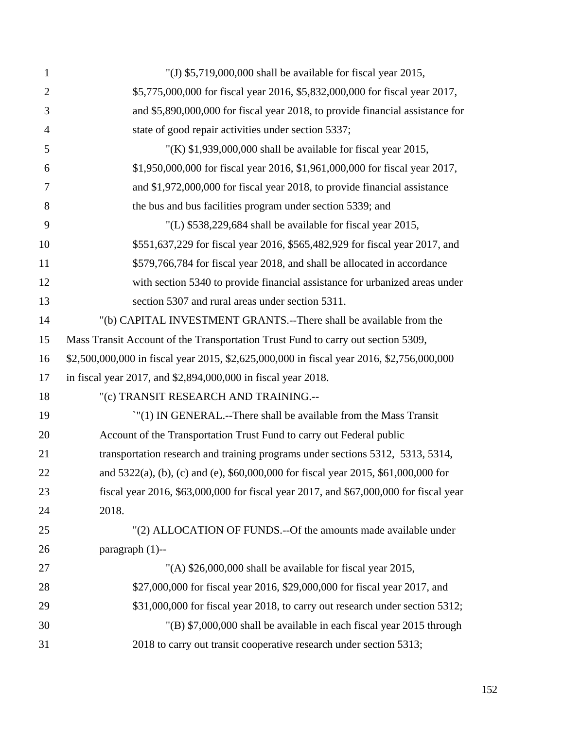| $\mathbf{1}$   | "(J) $$5,719,000,000$ shall be available for fiscal year 2015,                            |
|----------------|-------------------------------------------------------------------------------------------|
| $\overline{2}$ | \$5,775,000,000 for fiscal year 2016, \$5,832,000,000 for fiscal year 2017,               |
| 3              | and \$5,890,000,000 for fiscal year 2018, to provide financial assistance for             |
| $\overline{4}$ | state of good repair activities under section 5337;                                       |
| 5              | "(K) $$1,939,000,000$ shall be available for fiscal year 2015,                            |
| 6              | \$1,950,000,000 for fiscal year 2016, \$1,961,000,000 for fiscal year 2017,               |
| 7              | and \$1,972,000,000 for fiscal year 2018, to provide financial assistance                 |
| 8              | the bus and bus facilities program under section 5339; and                                |
| 9              | "(L) $$538,229,684$ shall be available for fiscal year 2015,                              |
| 10             | \$551,637,229 for fiscal year 2016, \$565,482,929 for fiscal year 2017, and               |
| 11             | \$579,766,784 for fiscal year 2018, and shall be allocated in accordance                  |
| 12             | with section 5340 to provide financial assistance for urbanized areas under               |
| 13             | section 5307 and rural areas under section 5311.                                          |
| 14             | "(b) CAPITAL INVESTMENT GRANTS.--There shall be available from the                        |
| 15             | Mass Transit Account of the Transportation Trust Fund to carry out section 5309,          |
| 16             | \$2,500,000,000 in fiscal year 2015, \$2,625,000,000 in fiscal year 2016, \$2,756,000,000 |
| 17             | in fiscal year 2017, and \$2,894,000,000 in fiscal year 2018.                             |
| 18             | "(c) TRANSIT RESEARCH AND TRAINING.--                                                     |
| 19             | ''(1) IN GENERAL.--There shall be available from the Mass Transit                         |
| 20             | Account of the Transportation Trust Fund to carry out Federal public                      |
| 21             | transportation research and training programs under sections 5312, 5313, 5314,            |
| 22             | and 5322(a), (b), (c) and (e), \$60,000,000 for fiscal year 2015, \$61,000,000 for        |
| 23             | fiscal year 2016, \$63,000,000 for fiscal year 2017, and \$67,000,000 for fiscal year     |
| 24             | 2018.                                                                                     |
| 25             | "(2) ALLOCATION OF FUNDS.--Of the amounts made available under                            |
| 26             | paragraph $(1)$ --                                                                        |
| 27             | "(A) $$26,000,000$ shall be available for fiscal year 2015,                               |
| 28             | \$27,000,000 for fiscal year 2016, \$29,000,000 for fiscal year 2017, and                 |
| 29             | \$31,000,000 for fiscal year 2018, to carry out research under section 5312;              |
| 30             | "(B) \$7,000,000 shall be available in each fiscal year 2015 through                      |
| 31             | 2018 to carry out transit cooperative research under section 5313;                        |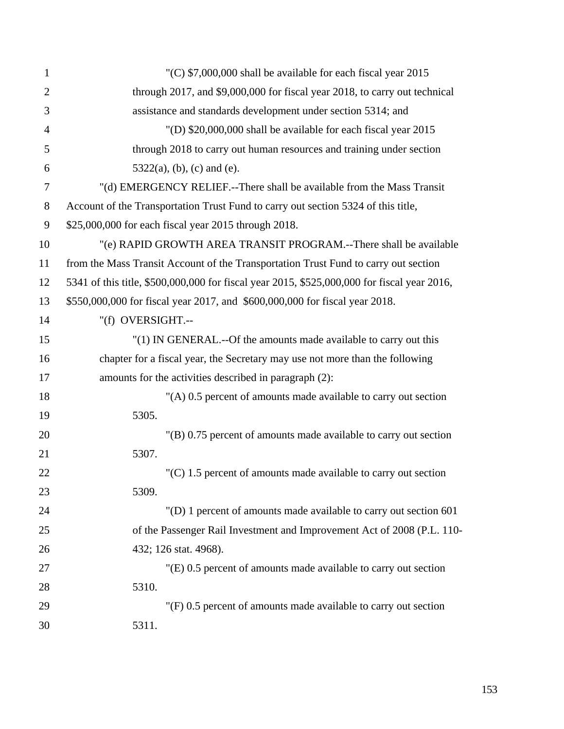| $\mathbf{1}$   | "(C) $$7,000,000$ shall be available for each fiscal year 2015                              |
|----------------|---------------------------------------------------------------------------------------------|
| $\overline{2}$ | through 2017, and \$9,000,000 for fiscal year 2018, to carry out technical                  |
| 3              | assistance and standards development under section 5314; and                                |
| $\overline{4}$ | "(D) \$20,000,000 shall be available for each fiscal year 2015                              |
| 5              | through 2018 to carry out human resources and training under section                        |
| 6              | $5322(a)$ , (b), (c) and (e).                                                               |
| $\overline{7}$ | "(d) EMERGENCY RELIEF.--There shall be available from the Mass Transit                      |
| $8\,$          | Account of the Transportation Trust Fund to carry out section 5324 of this title,           |
| 9              | \$25,000,000 for each fiscal year 2015 through 2018.                                        |
| 10             | "(e) RAPID GROWTH AREA TRANSIT PROGRAM.--There shall be available                           |
| 11             | from the Mass Transit Account of the Transportation Trust Fund to carry out section         |
| 12             | 5341 of this title, \$500,000,000 for fiscal year 2015, \$525,000,000 for fiscal year 2016, |
| 13             | \$550,000,000 for fiscal year 2017, and \$600,000,000 for fiscal year 2018.                 |
| 14             | "(f) OVERSIGHT.--                                                                           |
| 15             | "(1) IN GENERAL.--Of the amounts made available to carry out this                           |
| 16             | chapter for a fiscal year, the Secretary may use not more than the following                |
| 17             | amounts for the activities described in paragraph (2):                                      |
| 18             | "(A) 0.5 percent of amounts made available to carry out section                             |
| 19             | 5305.                                                                                       |
| 20             | "(B) 0.75 percent of amounts made available to carry out section                            |
| 21             | 5307.                                                                                       |
| 22             | $(C)$ 1.5 percent of amounts made available to carry out section                            |
| 23             | 5309.                                                                                       |
| 24             | "(D) 1 percent of amounts made available to carry out section 601                           |
| 25             | of the Passenger Rail Investment and Improvement Act of 2008 (P.L. 110-                     |
| 26             | 432; 126 stat. 4968).                                                                       |
| 27             | "(E) 0.5 percent of amounts made available to carry out section                             |
| 28             | 5310.                                                                                       |
| 29             | "(F) 0.5 percent of amounts made available to carry out section                             |
| 30             | 5311.                                                                                       |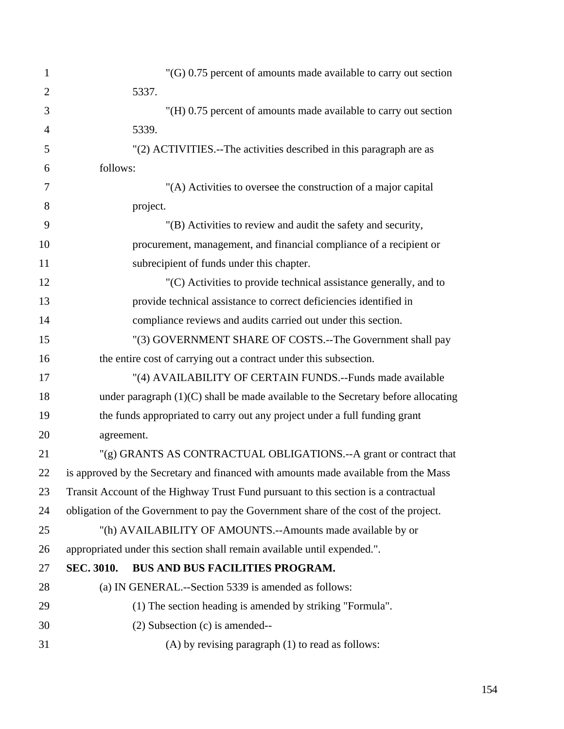| $\mathbf{1}$   |            | $'(G)$ 0.75 percent of amounts made available to carry out section                   |
|----------------|------------|--------------------------------------------------------------------------------------|
| $\overline{2}$ |            | 5337.                                                                                |
| 3              |            | "(H) 0.75 percent of amounts made available to carry out section                     |
| $\overline{4}$ |            | 5339.                                                                                |
| 5              |            | "(2) ACTIVITIES.--The activities described in this paragraph are as                  |
| 6              | follows:   |                                                                                      |
| 7              |            | "(A) Activities to oversee the construction of a major capital                       |
| 8              |            | project.                                                                             |
| 9              |            | "(B) Activities to review and audit the safety and security,                         |
| 10             |            | procurement, management, and financial compliance of a recipient or                  |
| 11             |            | subrecipient of funds under this chapter.                                            |
| 12             |            | "(C) Activities to provide technical assistance generally, and to                    |
| 13             |            | provide technical assistance to correct deficiencies identified in                   |
| 14             |            | compliance reviews and audits carried out under this section.                        |
| 15             |            | "(3) GOVERNMENT SHARE OF COSTS.--The Government shall pay                            |
| 16             |            | the entire cost of carrying out a contract under this subsection.                    |
| 17             |            | "(4) AVAILABILITY OF CERTAIN FUNDS.--Funds made available                            |
| 18             |            | under paragraph $(1)(C)$ shall be made available to the Secretary before allocating  |
| 19             |            | the funds appropriated to carry out any project under a full funding grant           |
| 20             | agreement. |                                                                                      |
| 21             |            | "(g) GRANTS AS CONTRACTUAL OBLIGATIONS.--A grant or contract that                    |
| 22             |            | is approved by the Secretary and financed with amounts made available from the Mass  |
| 23             |            | Transit Account of the Highway Trust Fund pursuant to this section is a contractual  |
| 24             |            | obligation of the Government to pay the Government share of the cost of the project. |
| 25             |            | "(h) AVAILABILITY OF AMOUNTS.--Amounts made available by or                          |
| 26             |            | appropriated under this section shall remain available until expended.".             |
| 27             | SEC. 3010. | BUS AND BUS FACILITIES PROGRAM.                                                      |
| 28             |            | (a) IN GENERAL.--Section 5339 is amended as follows:                                 |
| 29             |            | (1) The section heading is amended by striking "Formula".                            |
| 30             |            | $(2)$ Subsection $(c)$ is amended--                                                  |
| 31             |            | $(A)$ by revising paragraph $(1)$ to read as follows:                                |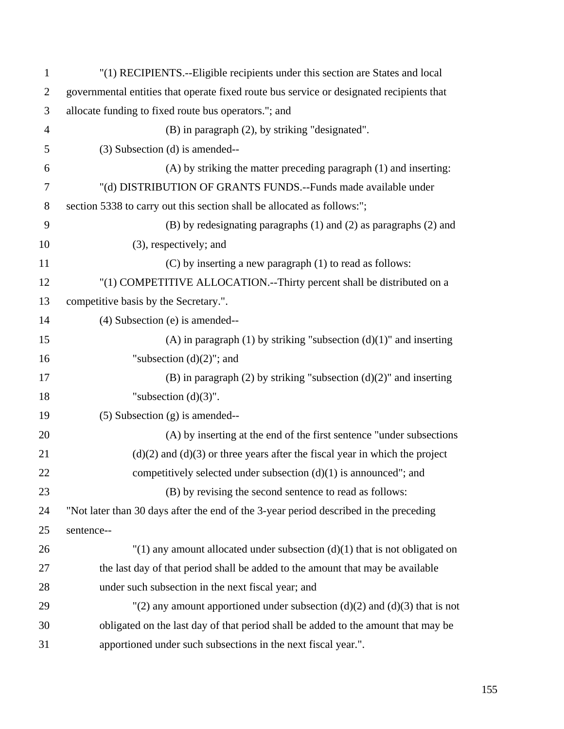| $\mathbf{1}$   | "(1) RECIPIENTS.--Eligible recipients under this section are States and local            |
|----------------|------------------------------------------------------------------------------------------|
| $\overline{2}$ | governmental entities that operate fixed route bus service or designated recipients that |
| 3              | allocate funding to fixed route bus operators."; and                                     |
| $\overline{4}$ | (B) in paragraph (2), by striking "designated".                                          |
| 5              | (3) Subsection (d) is amended--                                                          |
| 6              | (A) by striking the matter preceding paragraph (1) and inserting:                        |
| $\tau$         | "(d) DISTRIBUTION OF GRANTS FUNDS.--Funds made available under                           |
| 8              | section 5338 to carry out this section shall be allocated as follows:";                  |
| 9              | $(B)$ by redesignating paragraphs $(1)$ and $(2)$ as paragraphs $(2)$ and                |
| 10             | (3), respectively; and                                                                   |
| 11             | (C) by inserting a new paragraph (1) to read as follows:                                 |
| 12             | "(1) COMPETITIVE ALLOCATION.--Thirty percent shall be distributed on a                   |
| 13             | competitive basis by the Secretary.".                                                    |
| 14             | $(4)$ Subsection $(e)$ is amended--                                                      |
| 15             | (A) in paragraph (1) by striking "subsection $(d)(1)$ " and inserting                    |
| 16             | "subsection $(d)(2)$ "; and                                                              |
| 17             | $(B)$ in paragraph $(2)$ by striking "subsection $(d)(2)$ " and inserting                |
| 18             | "subsection $(d)(3)$ ".                                                                  |
| 19             | $(5)$ Subsection $(g)$ is amended--                                                      |
| 20             | (A) by inserting at the end of the first sentence "under subsections"                    |
| 21             | $(d)(2)$ and $(d)(3)$ or three years after the fiscal year in which the project          |
| 22             | competitively selected under subsection $(d)(1)$ is announced"; and                      |
| 23             | (B) by revising the second sentence to read as follows:                                  |
| 24             | "Not later than 30 days after the end of the 3-year period described in the preceding    |
| 25             | sentence--                                                                               |
| 26             | $''(1)$ any amount allocated under subsection (d)(1) that is not obligated on            |
| 27             | the last day of that period shall be added to the amount that may be available           |
| 28             | under such subsection in the next fiscal year; and                                       |
| 29             | "(2) any amount apportioned under subsection (d)(2) and (d)(3) that is not               |
| 30             | obligated on the last day of that period shall be added to the amount that may be        |
| 31             | apportioned under such subsections in the next fiscal year.".                            |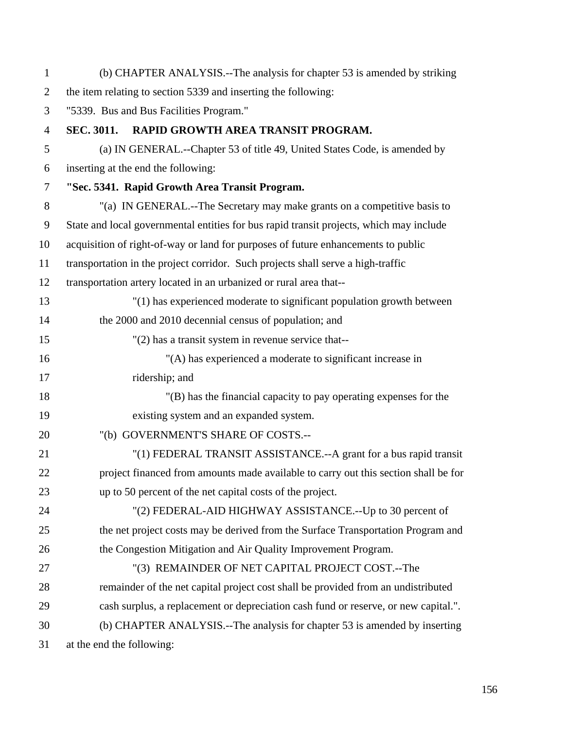| $\mathbf{1}$   | (b) CHAPTER ANALYSIS.--The analysis for chapter 53 is amended by striking               |
|----------------|-----------------------------------------------------------------------------------------|
| $\overline{2}$ | the item relating to section 5339 and inserting the following:                          |
| 3              | "5339. Bus and Bus Facilities Program."                                                 |
| $\overline{4}$ | <b>SEC. 3011.</b><br>RAPID GROWTH AREA TRANSIT PROGRAM.                                 |
| 5              | (a) IN GENERAL.--Chapter 53 of title 49, United States Code, is amended by              |
| 6              | inserting at the end the following:                                                     |
| $\overline{7}$ | "Sec. 5341. Rapid Growth Area Transit Program.                                          |
| 8              | "(a) IN GENERAL.--The Secretary may make grants on a competitive basis to               |
| 9              | State and local governmental entities for bus rapid transit projects, which may include |
| 10             | acquisition of right-of-way or land for purposes of future enhancements to public       |
| 11             | transportation in the project corridor. Such projects shall serve a high-traffic        |
| 12             | transportation artery located in an urbanized or rural area that--                      |
| 13             | "(1) has experienced moderate to significant population growth between                  |
| 14             | the 2000 and 2010 decennial census of population; and                                   |
| 15             | $"(2)$ has a transit system in revenue service that--                                   |
| 16             | "(A) has experienced a moderate to significant increase in                              |
| 17             | ridership; and                                                                          |
| 18             | "(B) has the financial capacity to pay operating expenses for the                       |
| 19             | existing system and an expanded system.                                                 |
| 20             | "(b) GOVERNMENT'S SHARE OF COSTS .--                                                    |
| 21             | "(1) FEDERAL TRANSIT ASSISTANCE.--A grant for a bus rapid transit                       |
| 22             | project financed from amounts made available to carry out this section shall be for     |
| 23             | up to 50 percent of the net capital costs of the project.                               |
| 24             | "(2) FEDERAL-AID HIGHWAY ASSISTANCE.--Up to 30 percent of                               |
| 25             | the net project costs may be derived from the Surface Transportation Program and        |
| 26             | the Congestion Mitigation and Air Quality Improvement Program.                          |
| 27             | "(3) REMAINDER OF NET CAPITAL PROJECT COST.--The                                        |
| 28             | remainder of the net capital project cost shall be provided from an undistributed       |
| 29             | cash surplus, a replacement or depreciation cash fund or reserve, or new capital.".     |
| 30             | (b) CHAPTER ANALYSIS.--The analysis for chapter 53 is amended by inserting              |
| 31             | at the end the following:                                                               |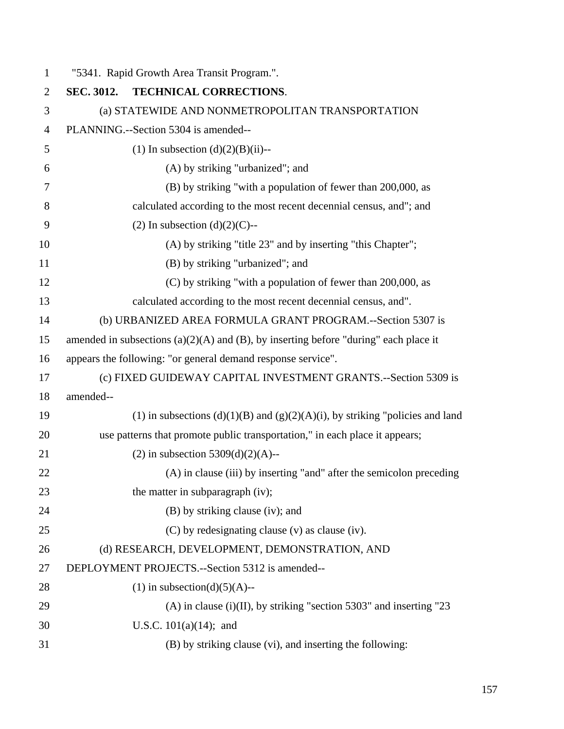| $\mathbf{1}$   |            | "5341. Rapid Growth Area Transit Program.".                                               |
|----------------|------------|-------------------------------------------------------------------------------------------|
| $\overline{2}$ | SEC. 3012. | TECHNICAL CORRECTIONS.                                                                    |
| 3              |            | (a) STATEWIDE AND NONMETROPOLITAN TRANSPORTATION                                          |
| $\overline{4}$ |            | PLANNING.--Section 5304 is amended--                                                      |
| 5              |            | (1) In subsection $(d)(2)(B)(ii)$ --                                                      |
| 6              |            | (A) by striking "urbanized"; and                                                          |
| 7              |            | (B) by striking "with a population of fewer than 200,000, as                              |
| 8              |            | calculated according to the most recent decennial census, and"; and                       |
| 9              |            | $(2)$ In subsection $(d)(2)(C)$ --                                                        |
| 10             |            | (A) by striking "title 23" and by inserting "this Chapter";                               |
| 11             |            | (B) by striking "urbanized"; and                                                          |
| 12             |            | (C) by striking "with a population of fewer than 200,000, as                              |
| 13             |            | calculated according to the most recent decennial census, and".                           |
| 14             |            | (b) URBANIZED AREA FORMULA GRANT PROGRAM.--Section 5307 is                                |
| 15             |            | amended in subsections $(a)(2)(A)$ and $(B)$ , by inserting before "during" each place it |
| 16             |            | appears the following: "or general demand response service".                              |
| 17             |            | (c) FIXED GUIDEWAY CAPITAL INVESTMENT GRANTS.--Section 5309 is                            |
| 18             | amended--  |                                                                                           |
| 19             |            | (1) in subsections $(d)(1)(B)$ and $(g)(2)(A)(i)$ , by striking "policies and land        |
| 20             |            | use patterns that promote public transportation," in each place it appears;               |
| 21             |            | (2) in subsection $5309(d)(2)(A)$ --                                                      |
| 22             |            | (A) in clause (iii) by inserting "and" after the semicolon preceding                      |
| 23             |            | the matter in subparagraph (iv);                                                          |
| 24             |            | (B) by striking clause (iv); and                                                          |
| 25             |            | (C) by redesignating clause (v) as clause (iv).                                           |
| 26             |            | (d) RESEARCH, DEVELOPMENT, DEMONSTRATION, AND                                             |
| 27             |            | DEPLOYMENT PROJECTS.--Section 5312 is amended--                                           |
| 28             |            | $(1)$ in subsection(d)(5)(A)--                                                            |
| 29             |            | $(A)$ in clause (i)(II), by striking "section 5303" and inserting "23                     |
| 30             |            | U.S.C. $101(a)(14)$ ; and                                                                 |
| 31             |            | (B) by striking clause (vi), and inserting the following:                                 |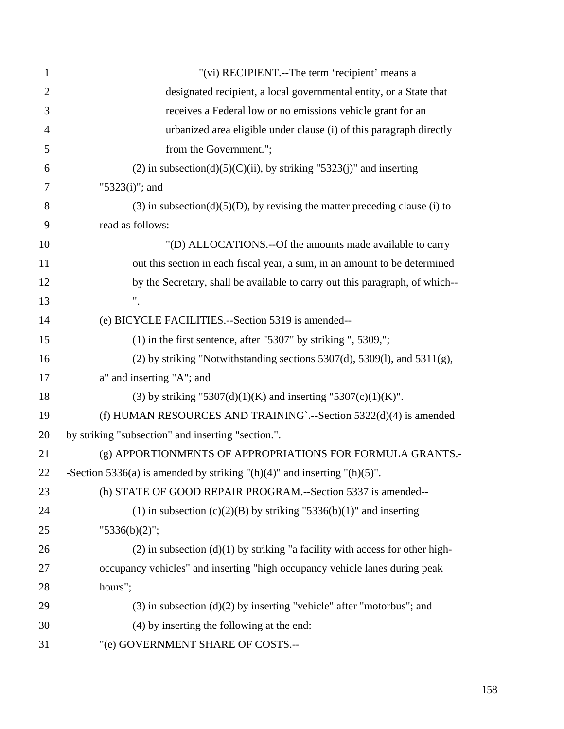| $\mathbf{1}$   | "(vi) RECIPIENT.--The term 'recipient' means a                                    |
|----------------|-----------------------------------------------------------------------------------|
| $\overline{2}$ | designated recipient, a local governmental entity, or a State that                |
| 3              | receives a Federal low or no emissions vehicle grant for an                       |
| 4              | urbanized area eligible under clause (i) of this paragraph directly               |
| 5              | from the Government.";                                                            |
| 6              | (2) in subsection(d)(5)(C)(ii), by striking "5323(j)" and inserting               |
| 7              | " $5323(i)$ "; and                                                                |
| 8              | $(3)$ in subsection(d)(5)(D), by revising the matter preceding clause (i) to      |
| 9              | read as follows:                                                                  |
| 10             | "(D) ALLOCATIONS.--Of the amounts made available to carry                         |
| 11             | out this section in each fiscal year, a sum, in an amount to be determined        |
| 12             | by the Secretary, shall be available to carry out this paragraph, of which--      |
| 13             |                                                                                   |
| 14             | (e) BICYCLE FACILITIES.--Section 5319 is amended--                                |
| 15             | $(1)$ in the first sentence, after "5307" by striking ", 5309,";                  |
| 16             | (2) by striking "Notwithstanding sections $5307(d)$ , $5309(l)$ , and $5311(g)$ , |
| 17             | a" and inserting "A"; and                                                         |
| 18             | (3) by striking "5307(d)(1)(K) and inserting "5307(c)(1)(K)".                     |
| 19             | (f) HUMAN RESOURCES AND TRAINING `.-- Section $5322(d)(4)$ is amended             |
| 20             | by striking "subsection" and inserting "section.".                                |
| 21             | (g) APPORTIONMENTS OF APPROPRIATIONS FOR FORMULA GRANTS.-                         |
| 22             | -Section 5336(a) is amended by striking "(h)(4)" and inserting "(h)(5)".          |
| 23             | (h) STATE OF GOOD REPAIR PROGRAM.--Section 5337 is amended--                      |
| 24             | (1) in subsection $(c)(2)(B)$ by striking "5336(b)(1)" and inserting              |
| 25             | "5336(b)(2)";                                                                     |
| 26             | $(2)$ in subsection $(d)(1)$ by striking "a facility with access for other high-  |
| 27             | occupancy vehicles" and inserting "high occupancy vehicle lanes during peak       |
| 28             | hours";                                                                           |
| 29             | $(3)$ in subsection $(d)(2)$ by inserting "vehicle" after "motorbus"; and         |
| 30             | (4) by inserting the following at the end:                                        |
| 31             | "(e) GOVERNMENT SHARE OF COSTS .--                                                |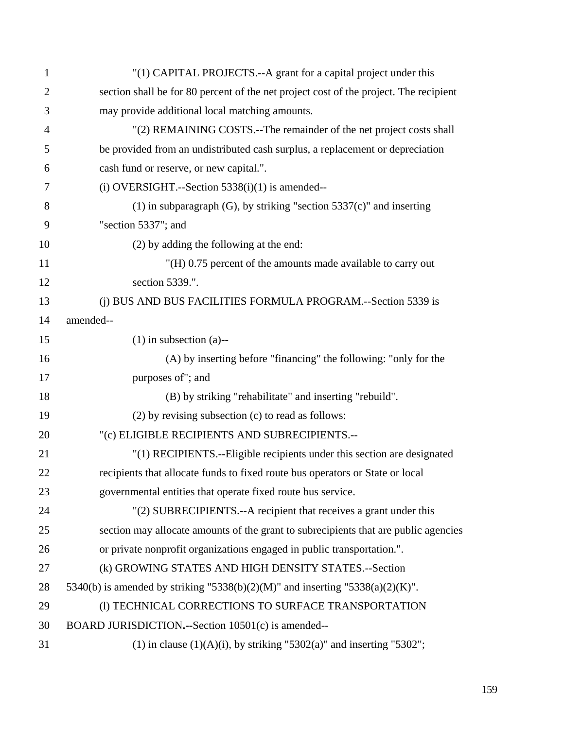| $\mathbf{1}$   | "(1) CAPITAL PROJECTS.--A grant for a capital project under this                      |
|----------------|---------------------------------------------------------------------------------------|
| $\overline{2}$ | section shall be for 80 percent of the net project cost of the project. The recipient |
| 3              | may provide additional local matching amounts.                                        |
| $\overline{4}$ | "(2) REMAINING COSTS.--The remainder of the net project costs shall                   |
| 5              | be provided from an undistributed cash surplus, a replacement or depreciation         |
| 6              | cash fund or reserve, or new capital.".                                               |
| 7              | $(i)$ OVERSIGHT.--Section 5338 $(i)(1)$ is amended--                                  |
| 8              | $(1)$ in subparagraph $(G)$ , by striking "section 5337 $(c)$ " and inserting         |
| 9              | "section 5337"; and                                                                   |
| 10             | (2) by adding the following at the end:                                               |
| 11             | "(H) 0.75 percent of the amounts made available to carry out                          |
| 12             | section 5339.".                                                                       |
| 13             | (j) BUS AND BUS FACILITIES FORMULA PROGRAM.--Section 5339 is                          |
| 14             | amended--                                                                             |
| 15             | $(1)$ in subsection $(a)$ --                                                          |
| 16             | (A) by inserting before "financing" the following: "only for the                      |
| 17             | purposes of"; and                                                                     |
| 18             | (B) by striking "rehabilitate" and inserting "rebuild".                               |
| 19             | (2) by revising subsection (c) to read as follows:                                    |
| 20             | "(c) ELIGIBLE RECIPIENTS AND SUBRECIPIENTS .--                                        |
| 21             | "(1) RECIPIENTS.--Eligible recipients under this section are designated               |
| 22             | recipients that allocate funds to fixed route bus operators or State or local         |
| 23             | governmental entities that operate fixed route bus service.                           |
| 24             | "(2) SUBRECIPIENTS.--A recipient that receives a grant under this                     |
| 25             | section may allocate amounts of the grant to subrecipients that are public agencies   |
| 26             | or private nonprofit organizations engaged in public transportation.".                |
| 27             | (k) GROWING STATES AND HIGH DENSITY STATES.--Section                                  |
| 28             | 5340(b) is amended by striking "5338(b)(2)(M)" and inserting "5338(a)(2)(K)".         |
| 29             | (1) TECHNICAL CORRECTIONS TO SURFACE TRANSPORTATION                                   |
| 30             | BOARD JURISDICTION.--Section 10501(c) is amended--                                    |
| 31             | (1) in clause $(1)(A)(i)$ , by striking "5302(a)" and inserting "5302";               |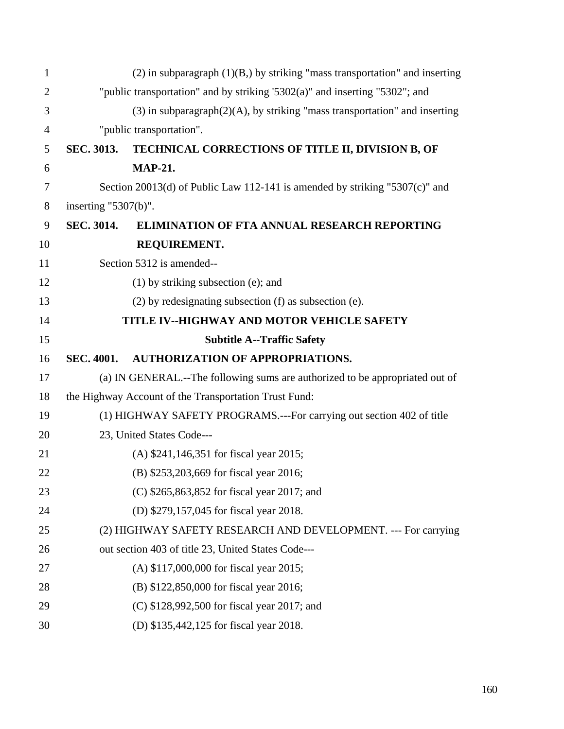| $\mathbf{1}$   |                                                                             | $(2)$ in subparagraph $(1)(B)$ , by striking "mass transportation" and inserting |  |
|----------------|-----------------------------------------------------------------------------|----------------------------------------------------------------------------------|--|
| $\overline{2}$ | "public transportation" and by striking '5302(a)" and inserting "5302"; and |                                                                                  |  |
| 3              |                                                                             | $(3)$ in subparagraph $(2)(A)$ , by striking "mass transportation" and inserting |  |
| 4              |                                                                             | "public transportation".                                                         |  |
| 5              | <b>SEC. 3013.</b>                                                           | TECHNICAL CORRECTIONS OF TITLE II, DIVISION B, OF                                |  |
| 6              |                                                                             | <b>MAP-21.</b>                                                                   |  |
| $\overline{7}$ |                                                                             | Section 20013(d) of Public Law 112-141 is amended by striking "5307(c)" and      |  |
| 8              | inserting $"5307(b)$ ".                                                     |                                                                                  |  |
| 9              | <b>SEC. 3014.</b>                                                           | <b>ELIMINATION OF FTA ANNUAL RESEARCH REPORTING</b>                              |  |
| 10             |                                                                             | REQUIREMENT.                                                                     |  |
| 11             |                                                                             | Section 5312 is amended--                                                        |  |
| 12             |                                                                             | $(1)$ by striking subsection (e); and                                            |  |
| 13             |                                                                             | $(2)$ by redesignating subsection $(f)$ as subsection $(e)$ .                    |  |
| 14             |                                                                             | TITLE IV--HIGHWAY AND MOTOR VEHICLE SAFETY                                       |  |
| 15             |                                                                             | <b>Subtitle A--Traffic Safety</b>                                                |  |
|                |                                                                             |                                                                                  |  |
| 16             | <b>SEC. 4001.</b>                                                           | <b>AUTHORIZATION OF APPROPRIATIONS.</b>                                          |  |
| 17             |                                                                             | (a) IN GENERAL.--The following sums are authorized to be appropriated out of     |  |
| 18             |                                                                             | the Highway Account of the Transportation Trust Fund:                            |  |
| 19             |                                                                             | (1) HIGHWAY SAFETY PROGRAMS.---For carrying out section 402 of title             |  |
| 20             |                                                                             | 23, United States Code---                                                        |  |
| 21             |                                                                             | (A) \$241,146,351 for fiscal year 2015;                                          |  |
| 22             |                                                                             | (B) \$253,203,669 for fiscal year 2016;                                          |  |
| 23             |                                                                             | (C) \$265,863,852 for fiscal year 2017; and                                      |  |
| 24             |                                                                             | (D) \$279,157,045 for fiscal year 2018.                                          |  |
| 25             |                                                                             | (2) HIGHWAY SAFETY RESEARCH AND DEVELOPMENT. --- For carrying                    |  |
| 26             |                                                                             | out section 403 of title 23, United States Code---                               |  |
| 27             |                                                                             | (A) \$117,000,000 for fiscal year 2015;                                          |  |
| 28             |                                                                             | (B) \$122,850,000 for fiscal year 2016;                                          |  |
| 29             |                                                                             | (C) \$128,992,500 for fiscal year 2017; and                                      |  |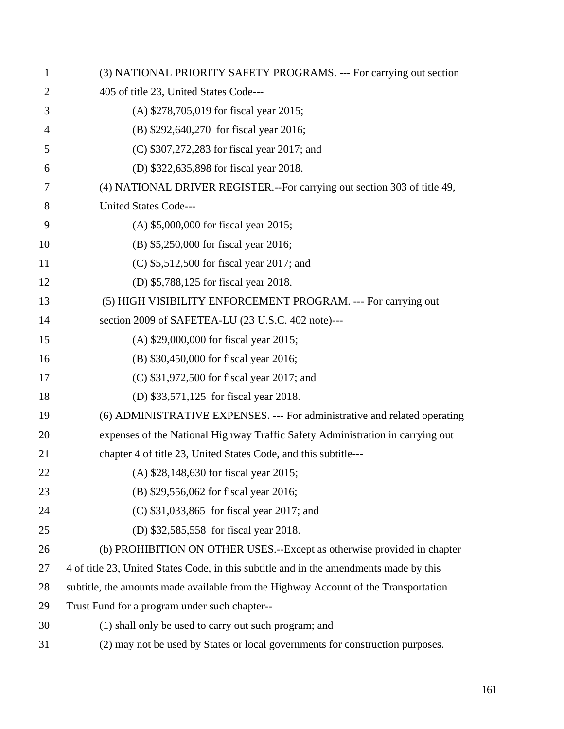| $\mathbf{1}$ | (3) NATIONAL PRIORITY SAFETY PROGRAMS. --- For carrying out section                    |
|--------------|----------------------------------------------------------------------------------------|
| 2            | 405 of title 23, United States Code---                                                 |
| 3            | (A) \$278,705,019 for fiscal year 2015;                                                |
| 4            | (B) \$292,640,270 for fiscal year 2016;                                                |
| 5            | (C) \$307,272,283 for fiscal year 2017; and                                            |
| 6            | (D) \$322,635,898 for fiscal year 2018.                                                |
| 7            | (4) NATIONAL DRIVER REGISTER.--For carrying out section 303 of title 49,               |
| 8            | <b>United States Code---</b>                                                           |
| 9            | (A) \$5,000,000 for fiscal year 2015;                                                  |
| 10           | (B) \$5,250,000 for fiscal year 2016;                                                  |
| 11           | (C) \$5,512,500 for fiscal year 2017; and                                              |
| 12           | (D) \$5,788,125 for fiscal year 2018.                                                  |
| 13           | (5) HIGH VISIBILITY ENFORCEMENT PROGRAM. --- For carrying out                          |
| 14           | section 2009 of SAFETEA-LU (23 U.S.C. 402 note)---                                     |
| 15           | (A) \$29,000,000 for fiscal year 2015;                                                 |
| 16           | (B) \$30,450,000 for fiscal year 2016;                                                 |
| 17           | (C) \$31,972,500 for fiscal year 2017; and                                             |
| 18           | (D) \$33,571,125 for fiscal year 2018.                                                 |
| 19           | (6) ADMINISTRATIVE EXPENSES. --- For administrative and related operating              |
| 20           | expenses of the National Highway Traffic Safety Administration in carrying out         |
| 21           | chapter 4 of title 23, United States Code, and this subtitle---                        |
| 22           | (A) \$28,148,630 for fiscal year 2015;                                                 |
| 23           | (B) \$29,556,062 for fiscal year 2016;                                                 |
| 24           | (C) \$31,033,865 for fiscal year 2017; and                                             |
| 25           | (D) \$32,585,558 for fiscal year 2018.                                                 |
| 26           | (b) PROHIBITION ON OTHER USES.--Except as otherwise provided in chapter                |
| 27           | 4 of title 23, United States Code, in this subtitle and in the amendments made by this |
| 28           | subtitle, the amounts made available from the Highway Account of the Transportation    |
| 29           | Trust Fund for a program under such chapter--                                          |
| 30           | (1) shall only be used to carry out such program; and                                  |
| 31           | (2) may not be used by States or local governments for construction purposes.          |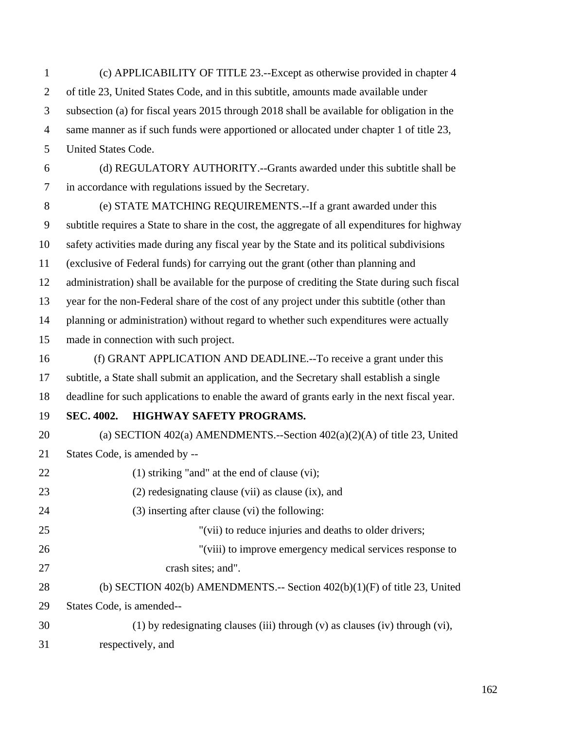1 (c) APPLICABILITY OF TITLE 23.--Except as otherwise provided in chapter 4 2 of title 23, United States Code, and in this subtitle, amounts made available under 3 subsection (a) for fiscal years 2015 through 2018 shall be available for obligation in the 4 same manner as if such funds were apportioned or allocated under chapter 1 of title 23, 5 United States Code. 6 (d) REGULATORY AUTHORITY.--Grants awarded under this subtitle shall be 7 in accordance with regulations issued by the Secretary.

8 (e) STATE MATCHING REQUIREMENTS.--If a grant awarded under this 9 subtitle requires a State to share in the cost, the aggregate of all expenditures for highway 10 safety activities made during any fiscal year by the State and its political subdivisions 11 (exclusive of Federal funds) for carrying out the grant (other than planning and 12 administration) shall be available for the purpose of crediting the State during such fiscal 13 year for the non-Federal share of the cost of any project under this subtitle (other than 14 planning or administration) without regard to whether such expenditures were actually 15 made in connection with such project.

16 (f) GRANT APPLICATION AND DEADLINE.--To receive a grant under this 17 subtitle, a State shall submit an application, and the Secretary shall establish a single 18 deadline for such applications to enable the award of grants early in the next fiscal year.

19 **SEC. 4002. HIGHWAY SAFETY PROGRAMS.** 

20 (a) SECTION 402(a) AMENDMENTS.--Section 402(a)(2)(A) of title 23, United 21 States Code, is amended by --

22 (1) striking "and" at the end of clause (vi);

- 23 (2) redesignating clause (vii) as clause (ix), and
- 24 (3) inserting after clause (vi) the following:
- 25 "(vii) to reduce injuries and deaths to older drivers;

26 "(viii) to improve emergency medical services response to 27 crash sites; and".

28 (b) SECTION 402(b) AMENDMENTS.-- Section 402(b)(1)(F) of title 23, United 29 States Code, is amended--

30 (1) by redesignating clauses (iii) through (v) as clauses (iv) through (vi), 31 respectively, and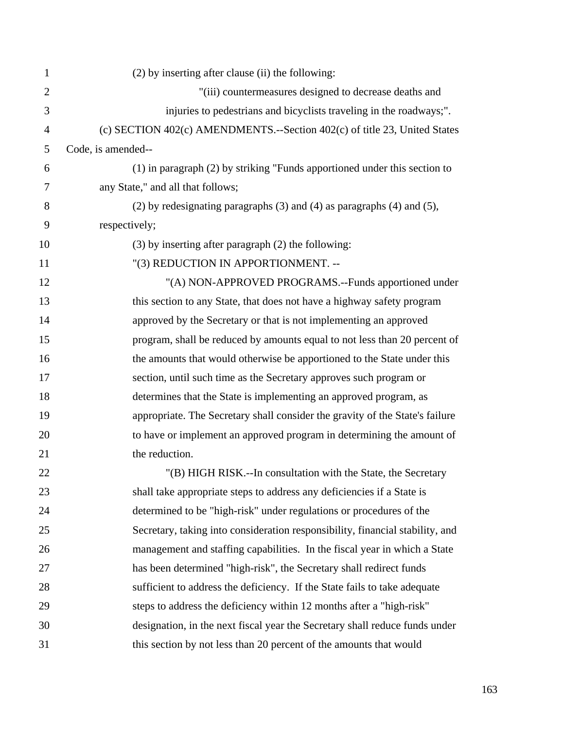| 1              | (2) by inserting after clause (ii) the following:                                 |
|----------------|-----------------------------------------------------------------------------------|
| $\overline{2}$ | "(iii) countermeasures designed to decrease deaths and                            |
| 3              | injuries to pedestrians and bicyclists traveling in the roadways;".               |
| 4              | (c) SECTION 402(c) AMENDMENTS.--Section 402(c) of title 23, United States         |
| 5              | Code, is amended--                                                                |
| 6              | $(1)$ in paragraph $(2)$ by striking "Funds apportioned under this section to     |
| 7              | any State," and all that follows;                                                 |
| 8              | $(2)$ by redesignating paragraphs $(3)$ and $(4)$ as paragraphs $(4)$ and $(5)$ , |
| 9              | respectively;                                                                     |
| 10             | $(3)$ by inserting after paragraph $(2)$ the following:                           |
| 11             | "(3) REDUCTION IN APPORTIONMENT. --                                               |
| 12             | "(A) NON-APPROVED PROGRAMS.--Funds apportioned under                              |
| 13             | this section to any State, that does not have a highway safety program            |
| 14             | approved by the Secretary or that is not implementing an approved                 |
| 15             | program, shall be reduced by amounts equal to not less than 20 percent of         |
| 16             | the amounts that would otherwise be apportioned to the State under this           |
| 17             | section, until such time as the Secretary approves such program or                |
| 18             | determines that the State is implementing an approved program, as                 |
| 19             | appropriate. The Secretary shall consider the gravity of the State's failure      |
| 20             | to have or implement an approved program in determining the amount of             |
| 21             | the reduction.                                                                    |
| 22             | "(B) HIGH RISK.--In consultation with the State, the Secretary                    |
| 23             | shall take appropriate steps to address any deficiencies if a State is            |
| 24             | determined to be "high-risk" under regulations or procedures of the               |
| 25             | Secretary, taking into consideration responsibility, financial stability, and     |
| 26             | management and staffing capabilities. In the fiscal year in which a State         |
| 27             | has been determined "high-risk", the Secretary shall redirect funds               |
| 28             | sufficient to address the deficiency. If the State fails to take adequate         |
| 29             | steps to address the deficiency within 12 months after a "high-risk"              |
| 30             | designation, in the next fiscal year the Secretary shall reduce funds under       |
| 31             | this section by not less than 20 percent of the amounts that would                |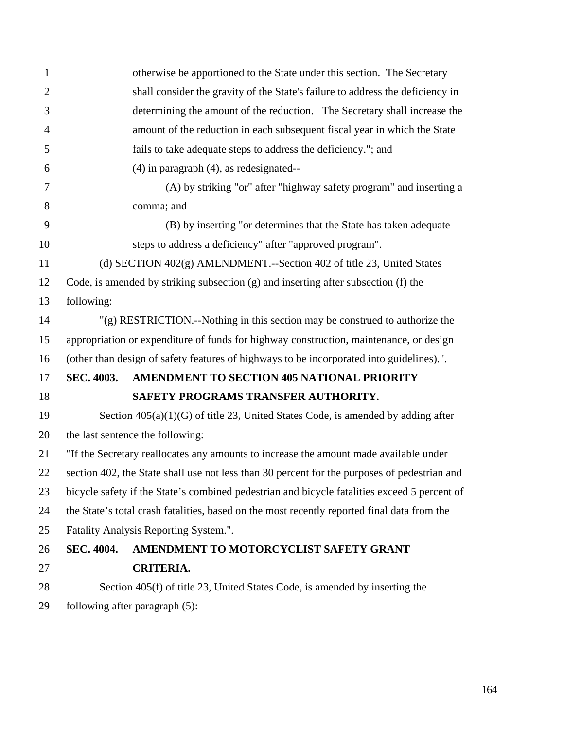| $\mathbf{1}$   | otherwise be apportioned to the State under this section. The Secretary                      |  |
|----------------|----------------------------------------------------------------------------------------------|--|
| $\overline{2}$ | shall consider the gravity of the State's failure to address the deficiency in               |  |
| 3              | determining the amount of the reduction. The Secretary shall increase the                    |  |
| $\overline{4}$ | amount of the reduction in each subsequent fiscal year in which the State                    |  |
| 5              | fails to take adequate steps to address the deficiency."; and                                |  |
| 6              | $(4)$ in paragraph $(4)$ , as redesignated--                                                 |  |
| $\overline{7}$ | (A) by striking "or" after "highway safety program" and inserting a                          |  |
| 8              | comma; and                                                                                   |  |
| 9              | (B) by inserting "or determines that the State has taken adequate                            |  |
| 10             | steps to address a deficiency" after "approved program".                                     |  |
| 11             | (d) SECTION 402(g) AMENDMENT.--Section 402 of title 23, United States                        |  |
| 12             | Code, is amended by striking subsection (g) and inserting after subsection (f) the           |  |
| 13             | following:                                                                                   |  |
| 14             | $'(g)$ RESTRICTION.--Nothing in this section may be construed to authorize the               |  |
| 15             | appropriation or expenditure of funds for highway construction, maintenance, or design       |  |
| 16             | (other than design of safety features of highways to be incorporated into guidelines).".     |  |
| 17             | AMENDMENT TO SECTION 405 NATIONAL PRIORITY<br><b>SEC. 4003.</b>                              |  |
| 18             | SAFETY PROGRAMS TRANSFER AUTHORITY.                                                          |  |
| 19             | Section $405(a)(1)(G)$ of title 23, United States Code, is amended by adding after           |  |
| 20             | the last sentence the following:                                                             |  |
| 21             | "If the Secretary reallocates any amounts to increase the amount made available under        |  |
| 22             | section 402, the State shall use not less than 30 percent for the purposes of pedestrian and |  |
| 23             | bicycle safety if the State's combined pedestrian and bicycle fatalities exceed 5 percent of |  |
| 24             | the State's total crash fatalities, based on the most recently reported final data from the  |  |
| 25             | Fatality Analysis Reporting System.".                                                        |  |
| 26             | <b>SEC. 4004.</b><br>AMENDMENT TO MOTORCYCLIST SAFETY GRANT                                  |  |
| 27             | <b>CRITERIA.</b>                                                                             |  |
| 28             | Section 405(f) of title 23, United States Code, is amended by inserting the                  |  |
| $\Omega$       |                                                                                              |  |

29 following after paragraph (5):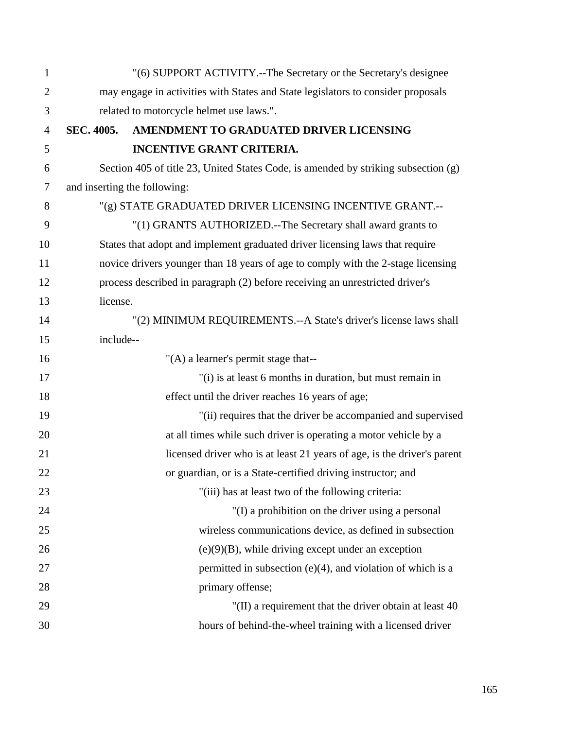| $\mathbf{1}$   |                                                                                  | "(6) SUPPORT ACTIVITY.--The Secretary or the Secretary's designee                  |  |
|----------------|----------------------------------------------------------------------------------|------------------------------------------------------------------------------------|--|
| $\overline{2}$ | may engage in activities with States and State legislators to consider proposals |                                                                                    |  |
| 3              | related to motorcycle helmet use laws.".                                         |                                                                                    |  |
| $\overline{4}$ | SEC. 4005.                                                                       | AMENDMENT TO GRADUATED DRIVER LICENSING                                            |  |
| 5              |                                                                                  | <b>INCENTIVE GRANT CRITERIA.</b>                                                   |  |
| 6              |                                                                                  | Section 405 of title 23, United States Code, is amended by striking subsection (g) |  |
| 7              |                                                                                  | and inserting the following:                                                       |  |
| 8              |                                                                                  | "(g) STATE GRADUATED DRIVER LICENSING INCENTIVE GRANT.--                           |  |
| 9              |                                                                                  | "(1) GRANTS AUTHORIZED.--The Secretary shall award grants to                       |  |
| 10             |                                                                                  | States that adopt and implement graduated driver licensing laws that require       |  |
| 11             |                                                                                  | novice drivers younger than 18 years of age to comply with the 2-stage licensing   |  |
| 12             |                                                                                  | process described in paragraph (2) before receiving an unrestricted driver's       |  |
| 13             | license.                                                                         |                                                                                    |  |
| 14             |                                                                                  | "(2) MINIMUM REQUIREMENTS.--A State's driver's license laws shall                  |  |
| 15             | include--                                                                        |                                                                                    |  |
| 16             |                                                                                  | "(A) a learner's permit stage that--                                               |  |
| 17             |                                                                                  | "(i) is at least 6 months in duration, but must remain in                          |  |
| 18             |                                                                                  | effect until the driver reaches 16 years of age;                                   |  |
| 19             |                                                                                  | "(ii) requires that the driver be accompanied and supervised                       |  |
| 20             |                                                                                  | at all times while such driver is operating a motor vehicle by a                   |  |
| 21             |                                                                                  | licensed driver who is at least 21 years of age, is the driver's parent            |  |
| 22             |                                                                                  | or guardian, or is a State-certified driving instructor; and                       |  |
| 23             |                                                                                  | "(iii) has at least two of the following criteria:                                 |  |
| 24             |                                                                                  | "(I) a prohibition on the driver using a personal                                  |  |
| 25             |                                                                                  | wireless communications device, as defined in subsection                           |  |
| 26             |                                                                                  | $(e)(9)(B)$ , while driving except under an exception                              |  |
| 27             |                                                                                  | permitted in subsection (e)(4), and violation of which is a                        |  |
| 28             |                                                                                  | primary offense;                                                                   |  |
| 29             |                                                                                  | "(II) a requirement that the driver obtain at least 40                             |  |
| 30             |                                                                                  | hours of behind-the-wheel training with a licensed driver                          |  |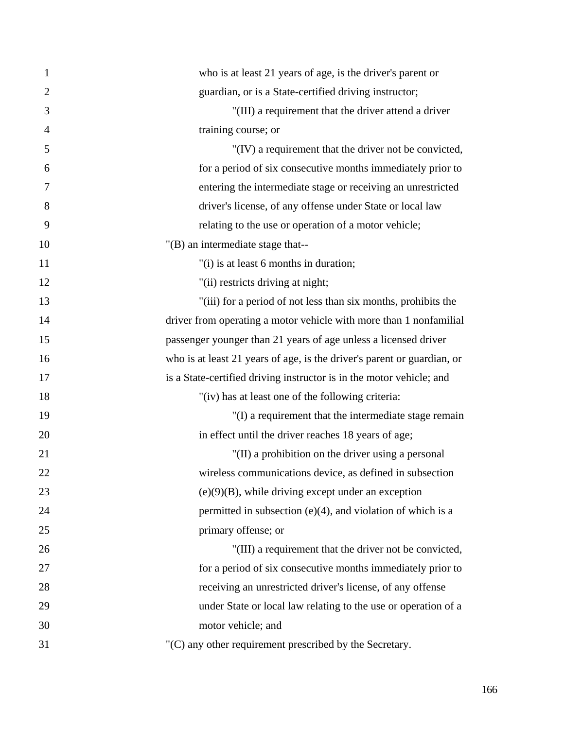| 1              | who is at least 21 years of age, is the driver's parent or              |
|----------------|-------------------------------------------------------------------------|
| $\overline{2}$ | guardian, or is a State-certified driving instructor;                   |
| 3              | "(III) a requirement that the driver attend a driver                    |
| $\overline{4}$ | training course; or                                                     |
| 5              | "(IV) a requirement that the driver not be convicted,                   |
| 6              | for a period of six consecutive months immediately prior to             |
| 7              | entering the intermediate stage or receiving an unrestricted            |
| 8              | driver's license, of any offense under State or local law               |
| 9              | relating to the use or operation of a motor vehicle;                    |
| 10             | "(B) an intermediate stage that--                                       |
| 11             | "(i) is at least 6 months in duration;                                  |
| 12             | "(ii) restricts driving at night;                                       |
| 13             | "(iii) for a period of not less than six months, prohibits the          |
| 14             | driver from operating a motor vehicle with more than 1 nonfamilial      |
| 15             | passenger younger than 21 years of age unless a licensed driver         |
| 16             | who is at least 21 years of age, is the driver's parent or guardian, or |
| 17             | is a State-certified driving instructor is in the motor vehicle; and    |
| 18             | "(iv) has at least one of the following criteria:                       |
| 19             | "(I) a requirement that the intermediate stage remain                   |
| 20             | in effect until the driver reaches 18 years of age;                     |
| 21             | "(II) a prohibition on the driver using a personal                      |
| 22             | wireless communications device, as defined in subsection                |
| 23             | $(e)(9)(B)$ , while driving except under an exception                   |
| 24             | permitted in subsection $(e)(4)$ , and violation of which is a          |
| 25             | primary offense; or                                                     |
| 26             | "(III) a requirement that the driver not be convicted,                  |
| 27             | for a period of six consecutive months immediately prior to             |
| 28             | receiving an unrestricted driver's license, of any offense              |
| 29             | under State or local law relating to the use or operation of a          |
| 30             | motor vehicle; and                                                      |
| 31             | "(C) any other requirement prescribed by the Secretary.                 |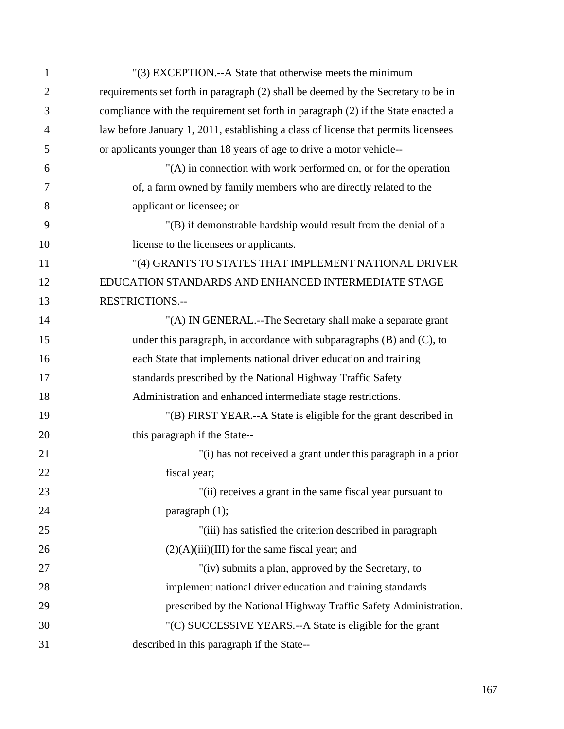| $\mathbf{1}$   | "(3) EXCEPTION.--A State that otherwise meets the minimum                          |
|----------------|------------------------------------------------------------------------------------|
| $\overline{2}$ | requirements set forth in paragraph (2) shall be deemed by the Secretary to be in  |
| 3              | compliance with the requirement set forth in paragraph (2) if the State enacted a  |
| 4              | law before January 1, 2011, establishing a class of license that permits licensees |
| 5              | or applicants younger than 18 years of age to drive a motor vehicle--              |
| 6              | "(A) in connection with work performed on, or for the operation                    |
| 7              | of, a farm owned by family members who are directly related to the                 |
| 8              | applicant or licensee; or                                                          |
| 9              | "(B) if demonstrable hardship would result from the denial of a                    |
| 10             | license to the licensees or applicants.                                            |
| 11             | "(4) GRANTS TO STATES THAT IMPLEMENT NATIONAL DRIVER                               |
| 12             | EDUCATION STANDARDS AND ENHANCED INTERMEDIATE STAGE                                |
| 13             | <b>RESTRICTIONS.--</b>                                                             |
| 14             | "(A) IN GENERAL.--The Secretary shall make a separate grant                        |
| 15             | under this paragraph, in accordance with subparagraphs $(B)$ and $(C)$ , to        |
| 16             | each State that implements national driver education and training                  |
| 17             | standards prescribed by the National Highway Traffic Safety                        |
| 18             | Administration and enhanced intermediate stage restrictions.                       |
| 19             | "(B) FIRST YEAR.--A State is eligible for the grant described in                   |
| 20             | this paragraph if the State--                                                      |
| 21             | "(i) has not received a grant under this paragraph in a prior                      |
| 22             | fiscal year:                                                                       |
| 23             | "(ii) receives a grant in the same fiscal year pursuant to                         |
| 24             | paragraph $(1)$ ;                                                                  |
| 25             | "(iii) has satisfied the criterion described in paragraph                          |
| 26             | $(2)(A)(iii)(III)$ for the same fiscal year; and                                   |
| 27             | "(iv) submits a plan, approved by the Secretary, to                                |
| 28             | implement national driver education and training standards                         |
| 29             | prescribed by the National Highway Traffic Safety Administration.                  |
| 30             | "(C) SUCCESSIVE YEARS.--A State is eligible for the grant                          |
| 31             | described in this paragraph if the State--                                         |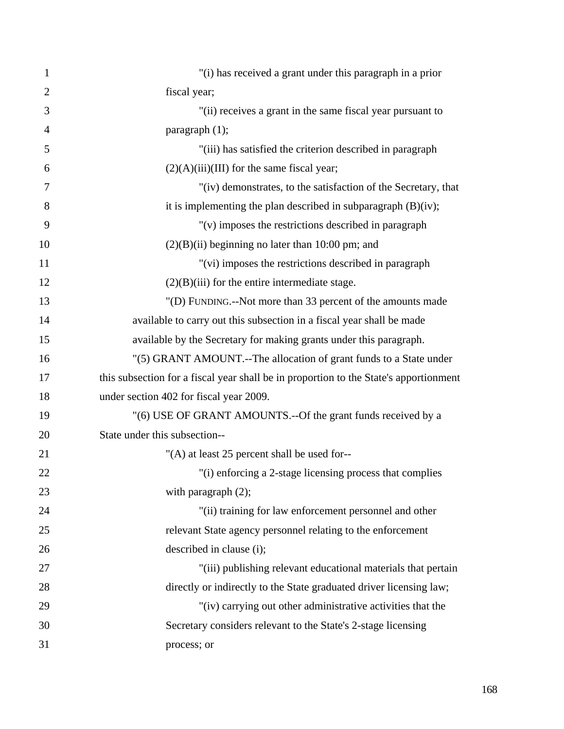| $\mathbf{1}$   | "(i) has received a grant under this paragraph in a prior                             |
|----------------|---------------------------------------------------------------------------------------|
| $\overline{2}$ | fiscal year;                                                                          |
| 3              | "(ii) receives a grant in the same fiscal year pursuant to                            |
| $\overline{4}$ | paragraph $(1)$ ;                                                                     |
| 5              | "(iii) has satisfied the criterion described in paragraph                             |
| 6              | $(2)(A)(iii)(III)$ for the same fiscal year;                                          |
| 7              | "(iv) demonstrates, to the satisfaction of the Secretary, that                        |
| 8              | it is implementing the plan described in subparagraph $(B)(iv)$ ;                     |
| 9              | $"$ (v) imposes the restrictions described in paragraph                               |
| 10             | $(2)(B)(ii)$ beginning no later than 10:00 pm; and                                    |
| 11             | "(vi) imposes the restrictions described in paragraph                                 |
| 12             | $(2)(B)(iii)$ for the entire intermediate stage.                                      |
| 13             | "(D) FUNDING.--Not more than 33 percent of the amounts made                           |
| 14             | available to carry out this subsection in a fiscal year shall be made                 |
| 15             | available by the Secretary for making grants under this paragraph.                    |
| 16             | "(5) GRANT AMOUNT.--The allocation of grant funds to a State under                    |
| 17             | this subsection for a fiscal year shall be in proportion to the State's apportionment |
| 18             | under section 402 for fiscal year 2009.                                               |
| 19             | "(6) USE OF GRANT AMOUNTS.--Of the grant funds received by a                          |
| 20             | State under this subsection--                                                         |
| 21             | "(A) at least 25 percent shall be used for--                                          |
| 22             | "(i) enforcing a 2-stage licensing process that complies                              |
| 23             | with paragraph $(2)$ ;                                                                |
| 24             | "(ii) training for law enforcement personnel and other                                |
| 25             | relevant State agency personnel relating to the enforcement                           |
| 26             | described in clause (i);                                                              |
| 27             | "(iii) publishing relevant educational materials that pertain                         |
| 28             | directly or indirectly to the State graduated driver licensing law;                   |
| 29             | "(iv) carrying out other administrative activities that the                           |
| 30             | Secretary considers relevant to the State's 2-stage licensing                         |
| 31             | process; or                                                                           |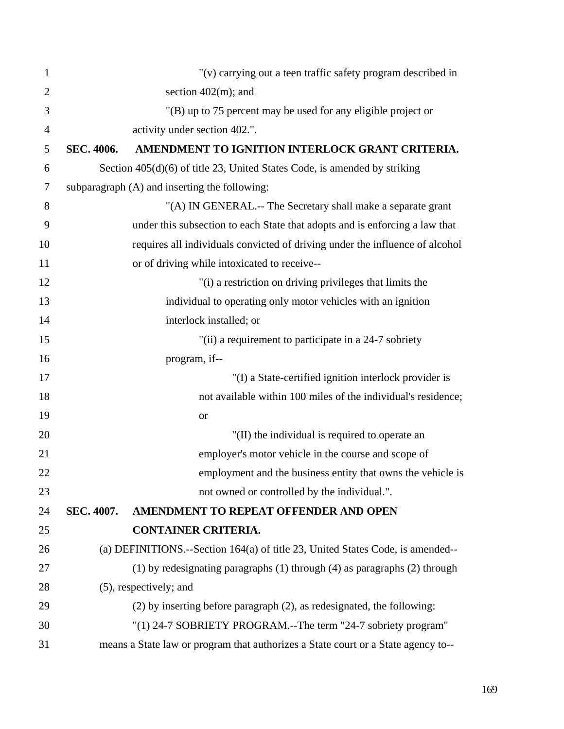| 1              |                                                               | "(v) carrying out a teen traffic safety program described in                      |
|----------------|---------------------------------------------------------------|-----------------------------------------------------------------------------------|
| $\overline{2}$ |                                                               | section $402(m)$ ; and                                                            |
| 3              | "(B) up to 75 percent may be used for any eligible project or |                                                                                   |
| $\overline{4}$ | activity under section 402.".                                 |                                                                                   |
| 5              | SEC. 4006.                                                    | AMENDMENT TO IGNITION INTERLOCK GRANT CRITERIA.                                   |
| 6              |                                                               | Section $405(d)(6)$ of title 23, United States Code, is amended by striking       |
| $\tau$         |                                                               | subparagraph (A) and inserting the following:                                     |
| 8              |                                                               | "(A) IN GENERAL.-- The Secretary shall make a separate grant                      |
| 9              |                                                               | under this subsection to each State that adopts and is enforcing a law that       |
| 10             |                                                               | requires all individuals convicted of driving under the influence of alcohol      |
| 11             |                                                               | or of driving while intoxicated to receive--                                      |
| 12             |                                                               | "(i) a restriction on driving privileges that limits the                          |
| 13             |                                                               | individual to operating only motor vehicles with an ignition                      |
| 14             |                                                               | interlock installed; or                                                           |
| 15             |                                                               | "(ii) a requirement to participate in a 24-7 sobriety                             |
| 16             |                                                               | program, if--                                                                     |
| 17             |                                                               | "(I) a State-certified ignition interlock provider is                             |
| 18             |                                                               | not available within 100 miles of the individual's residence;                     |
| 19             |                                                               | <b>or</b>                                                                         |
| 20             |                                                               | "(II) the individual is required to operate an                                    |
| 21             |                                                               | employer's motor vehicle in the course and scope of                               |
| 22             |                                                               | employment and the business entity that owns the vehicle is                       |
| 23             |                                                               | not owned or controlled by the individual.".                                      |
| 24             | SEC. 4007.                                                    | AMENDMENT TO REPEAT OFFENDER AND OPEN                                             |
| 25             |                                                               | <b>CONTAINER CRITERIA.</b>                                                        |
| 26             |                                                               | (a) DEFINITIONS.--Section 164(a) of title 23, United States Code, is amended--    |
| 27             |                                                               | $(1)$ by redesignating paragraphs $(1)$ through $(4)$ as paragraphs $(2)$ through |
| 28             |                                                               | (5), respectively; and                                                            |
| 29             |                                                               | (2) by inserting before paragraph (2), as redesignated, the following:            |
| 30             |                                                               | "(1) 24-7 SOBRIETY PROGRAM.--The term "24-7 sobriety program"                     |
| 31             |                                                               | means a State law or program that authorizes a State court or a State agency to-- |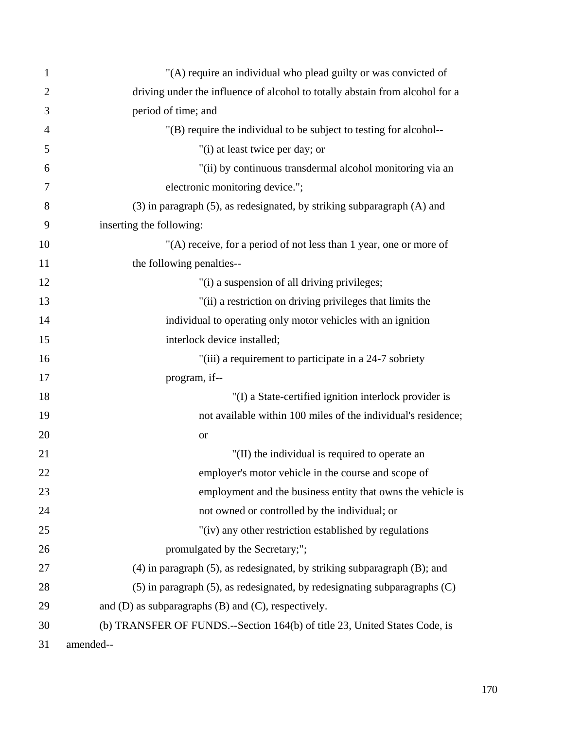| 1              | "(A) require an individual who plead guilty or was convicted of                  |
|----------------|----------------------------------------------------------------------------------|
| $\overline{2}$ | driving under the influence of alcohol to totally abstain from alcohol for a     |
| 3              | period of time; and                                                              |
| $\overline{4}$ | "(B) require the individual to be subject to testing for alcohol--               |
| 5              | "(i) at least twice per day; or                                                  |
| 6              | "(ii) by continuous transdermal alcohol monitoring via an                        |
| 7              | electronic monitoring device.";                                                  |
| 8              | (3) in paragraph (5), as redesignated, by striking subparagraph (A) and          |
| 9              | inserting the following:                                                         |
| 10             | "(A) receive, for a period of not less than 1 year, one or more of               |
| 11             | the following penalties--                                                        |
| 12             | "(i) a suspension of all driving privileges;                                     |
| 13             | "(ii) a restriction on driving privileges that limits the                        |
| 14             | individual to operating only motor vehicles with an ignition                     |
| 15             | interlock device installed;                                                      |
| 16             | "(iii) a requirement to participate in a 24-7 sobriety                           |
| 17             | program, if--                                                                    |
| 18             | "(I) a State-certified ignition interlock provider is                            |
| 19             | not available within 100 miles of the individual's residence;                    |
| 20             | <b>or</b>                                                                        |
| 21             | "(II) the individual is required to operate an                                   |
| 22             | employer's motor vehicle in the course and scope of                              |
| 23             | employment and the business entity that owns the vehicle is                      |
| 24             | not owned or controlled by the individual; or                                    |
| 25             | "(iv) any other restriction established by regulations                           |
| 26             | promulgated by the Secretary;";                                                  |
| 27             | $(4)$ in paragraph $(5)$ , as redesignated, by striking subparagraph $(B)$ ; and |
| 28             | $(5)$ in paragraph $(5)$ , as redesignated, by redesignating subparagraphs $(C)$ |
| 29             | and $(D)$ as subparagraphs $(B)$ and $(C)$ , respectively.                       |
| 30             | (b) TRANSFER OF FUNDS.--Section 164(b) of title 23, United States Code, is       |
| 31             | amended--                                                                        |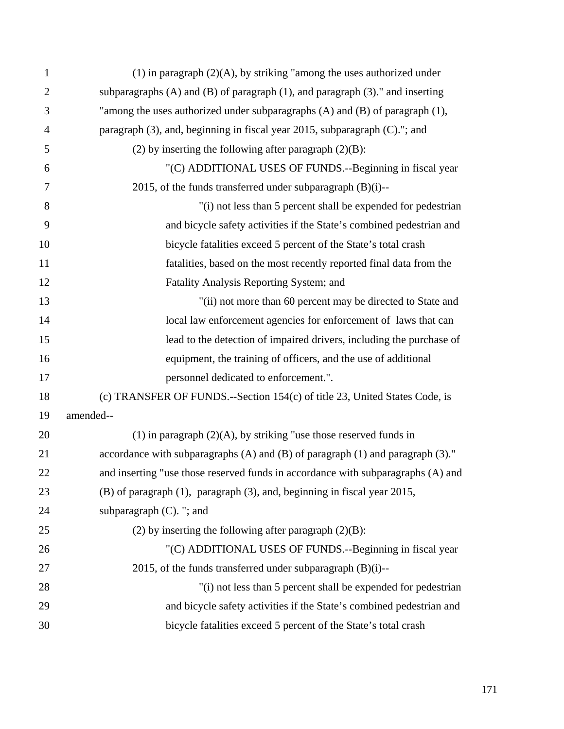| $\mathbf{1}$   | $(1)$ in paragraph $(2)(A)$ , by striking "among the uses authorized under              |
|----------------|-----------------------------------------------------------------------------------------|
| $\overline{2}$ | subparagraphs $(A)$ and $(B)$ of paragraph $(1)$ , and paragraph $(3)$ ." and inserting |
| 3              | "among the uses authorized under subparagraphs (A) and (B) of paragraph (1),            |
| $\overline{4}$ | paragraph (3), and, beginning in fiscal year 2015, subparagraph (C)."; and              |
| 5              | (2) by inserting the following after paragraph $(2)(B)$ :                               |
| 6              | "(C) ADDITIONAL USES OF FUNDS.--Beginning in fiscal year                                |
| 7              | 2015, of the funds transferred under subparagraph $(B)(i)$ --                           |
| 8              | "(i) not less than 5 percent shall be expended for pedestrian                           |
| 9              | and bicycle safety activities if the State's combined pedestrian and                    |
| 10             | bicycle fatalities exceed 5 percent of the State's total crash                          |
| 11             | fatalities, based on the most recently reported final data from the                     |
| 12             | Fatality Analysis Reporting System; and                                                 |
| 13             | "(ii) not more than 60 percent may be directed to State and                             |
| 14             | local law enforcement agencies for enforcement of laws that can                         |
| 15             | lead to the detection of impaired drivers, including the purchase of                    |
| 16             | equipment, the training of officers, and the use of additional                          |
| 17             | personnel dedicated to enforcement.".                                                   |
| 18             | (c) TRANSFER OF FUNDS.--Section 154(c) of title 23, United States Code, is              |
| 19             | amended--                                                                               |
| 20             | (1) in paragraph $(2)(A)$ , by striking "use those reserved funds in                    |
| 21             | accordance with subparagraphs (A) and (B) of paragraph (1) and paragraph (3)."          |
| 22             | and inserting "use those reserved funds in accordance with subparagraphs (A) and        |
| 23             | (B) of paragraph (1), paragraph (3), and, beginning in fiscal year 2015,                |
| 24             | subparagraph $(C)$ . "; and                                                             |
| 25             | (2) by inserting the following after paragraph $(2)(B)$ :                               |
| 26             | "(C) ADDITIONAL USES OF FUNDS.--Beginning in fiscal year                                |
| 27             | 2015, of the funds transferred under subparagraph $(B)(i)$ --                           |
| 28             | "(i) not less than 5 percent shall be expended for pedestrian                           |
| 29             | and bicycle safety activities if the State's combined pedestrian and                    |
| 30             | bicycle fatalities exceed 5 percent of the State's total crash                          |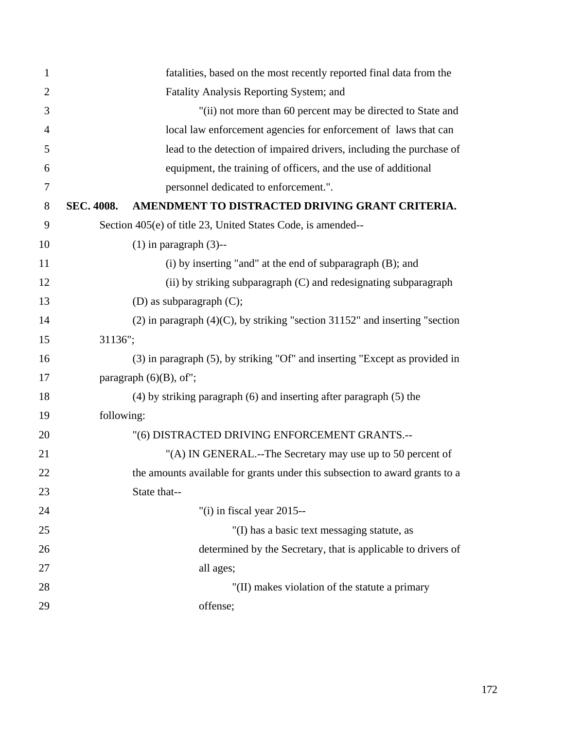| $\mathbf{1}$   |            | fatalities, based on the most recently reported final data from the              |
|----------------|------------|----------------------------------------------------------------------------------|
| $\overline{2}$ |            | Fatality Analysis Reporting System; and                                          |
| 3              |            | "(ii) not more than 60 percent may be directed to State and                      |
| $\overline{4}$ |            | local law enforcement agencies for enforcement of laws that can                  |
| 5              |            | lead to the detection of impaired drivers, including the purchase of             |
| 6              |            | equipment, the training of officers, and the use of additional                   |
| 7              |            | personnel dedicated to enforcement.".                                            |
| 8              | SEC. 4008. | AMENDMENT TO DISTRACTED DRIVING GRANT CRITERIA.                                  |
| 9              |            | Section 405(e) of title 23, United States Code, is amended--                     |
| 10             |            | $(1)$ in paragraph $(3)$ --                                                      |
| 11             |            | (i) by inserting "and" at the end of subparagraph (B); and                       |
| 12             |            | (ii) by striking subparagraph (C) and redesignating subparagraph                 |
| 13             |            | (D) as subparagraph $(C)$ ;                                                      |
| 14             |            | $(2)$ in paragraph $(4)(C)$ , by striking "section 31152" and inserting "section |
| 15             | 31136";    |                                                                                  |
| 16             |            | (3) in paragraph (5), by striking "Of" and inserting "Except as provided in      |
| 17             |            | paragraph $(6)(B)$ , of";                                                        |
| 18             |            | (4) by striking paragraph (6) and inserting after paragraph (5) the              |
| 19             | following: |                                                                                  |
| 20             |            | "(6) DISTRACTED DRIVING ENFORCEMENT GRANTS .--                                   |
| 21             |            | "(A) IN GENERAL.--The Secretary may use up to 50 percent of                      |
| 22             |            | the amounts available for grants under this subsection to award grants to a      |
| 23             |            | State that--                                                                     |
| 24             |            | "(i) in fiscal year $2015$ --                                                    |
| 25             |            | "(I) has a basic text messaging statute, as                                      |
| 26             |            | determined by the Secretary, that is applicable to drivers of                    |
| 27             |            | all ages;                                                                        |
| 28             |            | "(II) makes violation of the statute a primary                                   |
| 29             |            | offense;                                                                         |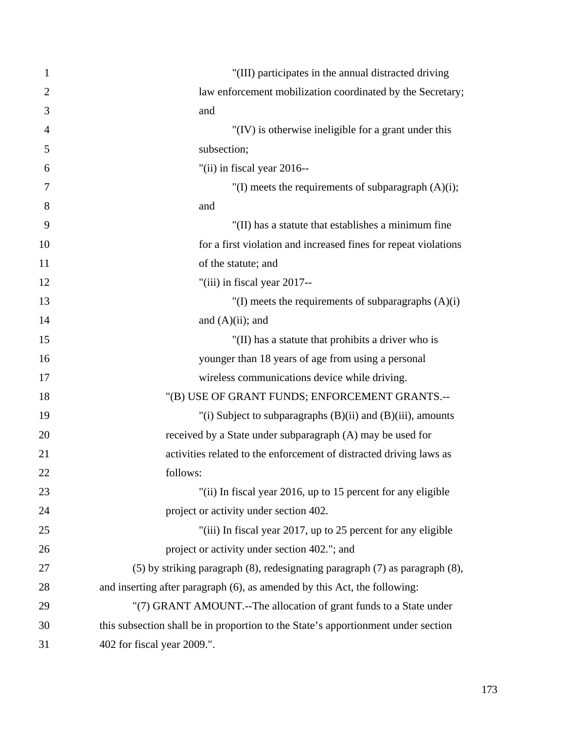| 1              | "(III) participates in the annual distracted driving                              |
|----------------|-----------------------------------------------------------------------------------|
| $\overline{2}$ | law enforcement mobilization coordinated by the Secretary;                        |
| 3              | and                                                                               |
| $\overline{4}$ | "(IV) is otherwise ineligible for a grant under this                              |
| 5              | subsection;                                                                       |
| 6              | "(ii) in fiscal year 2016--                                                       |
| 7              | "(I) meets the requirements of subparagraph $(A)(i)$ ;                            |
| 8              | and                                                                               |
| 9              | "(II) has a statute that establishes a minimum fine                               |
| 10             | for a first violation and increased fines for repeat violations                   |
| 11             | of the statute; and                                                               |
| 12             | "(iii) in fiscal year 2017--                                                      |
| 13             | "(I) meets the requirements of subparagraphs $(A)(i)$                             |
| 14             | and $(A)(ii)$ ; and                                                               |
| 15             | "(II) has a statute that prohibits a driver who is                                |
| 16             | younger than 18 years of age from using a personal                                |
| 17             | wireless communications device while driving.                                     |
| 18             | "(B) USE OF GRANT FUNDS; ENFORCEMENT GRANTS.--                                    |
| 19             | "(i) Subject to subparagraphs $(B)(ii)$ and $(B)(iii)$ , amounts                  |
| 20             | received by a State under subparagraph (A) may be used for                        |
| 21             | activities related to the enforcement of distracted driving laws as               |
| 22             | follows:                                                                          |
| 23             | "(ii) In fiscal year 2016, up to 15 percent for any eligible                      |
| 24             | project or activity under section 402.                                            |
| 25             | "(iii) In fiscal year 2017, up to 25 percent for any eligible                     |
| 26             | project or activity under section 402."; and                                      |
| 27             | (5) by striking paragraph (8), redesignating paragraph (7) as paragraph (8),      |
| 28             | and inserting after paragraph (6), as amended by this Act, the following:         |
| 29             | "(7) GRANT AMOUNT.--The allocation of grant funds to a State under                |
| 30             | this subsection shall be in proportion to the State's apportionment under section |
| 31             | 402 for fiscal year 2009.".                                                       |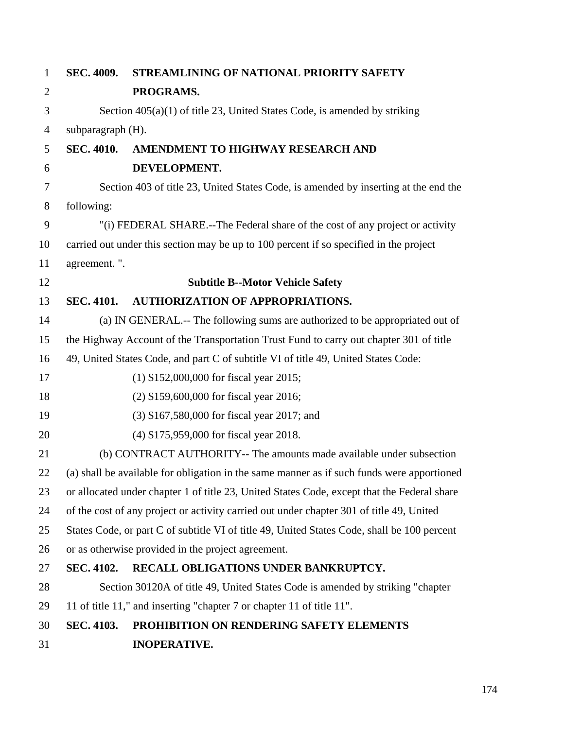| $\mathbf{1}$   | SEC. 4009.                                                                             | STREAMLINING OF NATIONAL PRIORITY SAFETY                                                    |  |
|----------------|----------------------------------------------------------------------------------------|---------------------------------------------------------------------------------------------|--|
| $\overline{2}$ |                                                                                        | PROGRAMS.                                                                                   |  |
| 3              | Section $405(a)(1)$ of title 23, United States Code, is amended by striking            |                                                                                             |  |
| $\overline{4}$ | subparagraph (H).                                                                      |                                                                                             |  |
| 5              | <b>SEC. 4010.</b>                                                                      | AMENDMENT TO HIGHWAY RESEARCH AND                                                           |  |
| 6              |                                                                                        | DEVELOPMENT.                                                                                |  |
| $\tau$         | Section 403 of title 23, United States Code, is amended by inserting at the end the    |                                                                                             |  |
| 8              | following:                                                                             |                                                                                             |  |
| 9              | "(i) FEDERAL SHARE.--The Federal share of the cost of any project or activity          |                                                                                             |  |
| 10             | carried out under this section may be up to 100 percent if so specified in the project |                                                                                             |  |
| 11             | agreement.".                                                                           |                                                                                             |  |
| 12             |                                                                                        | <b>Subtitle B--Motor Vehicle Safety</b>                                                     |  |
| 13             | <b>SEC. 4101.</b>                                                                      | <b>AUTHORIZATION OF APPROPRIATIONS.</b>                                                     |  |
| 14             |                                                                                        | (a) IN GENERAL.-- The following sums are authorized to be appropriated out of               |  |
| 15             |                                                                                        | the Highway Account of the Transportation Trust Fund to carry out chapter 301 of title      |  |
| 16             |                                                                                        | 49, United States Code, and part C of subtitle VI of title 49, United States Code:          |  |
| 17             |                                                                                        | $(1)$ \$152,000,000 for fiscal year 2015;                                                   |  |
| 18             |                                                                                        | (2) \$159,600,000 for fiscal year 2016;                                                     |  |
| 19             |                                                                                        | (3) \$167,580,000 for fiscal year 2017; and                                                 |  |
| 20             |                                                                                        | (4) \$175,959,000 for fiscal year 2018.                                                     |  |
| 21             |                                                                                        | (b) CONTRACT AUTHORITY-- The amounts made available under subsection                        |  |
| 22             |                                                                                        | (a) shall be available for obligation in the same manner as if such funds were apportioned  |  |
| 23             |                                                                                        | or allocated under chapter 1 of title 23, United States Code, except that the Federal share |  |
| 24             |                                                                                        | of the cost of any project or activity carried out under chapter 301 of title 49, United    |  |
| 25             |                                                                                        | States Code, or part C of subtitle VI of title 49, United States Code, shall be 100 percent |  |
| 26             |                                                                                        | or as otherwise provided in the project agreement.                                          |  |
| 27             | <b>SEC. 4102.</b>                                                                      | RECALL OBLIGATIONS UNDER BANKRUPTCY.                                                        |  |
| 28             |                                                                                        | Section 30120A of title 49, United States Code is amended by striking "chapter"             |  |
| 29             |                                                                                        | 11 of title 11," and inserting "chapter 7 or chapter 11 of title 11".                       |  |
| 30             | SEC. 4103.                                                                             | PROHIBITION ON RENDERING SAFETY ELEMENTS                                                    |  |
| 31             |                                                                                        | <b>INOPERATIVE.</b>                                                                         |  |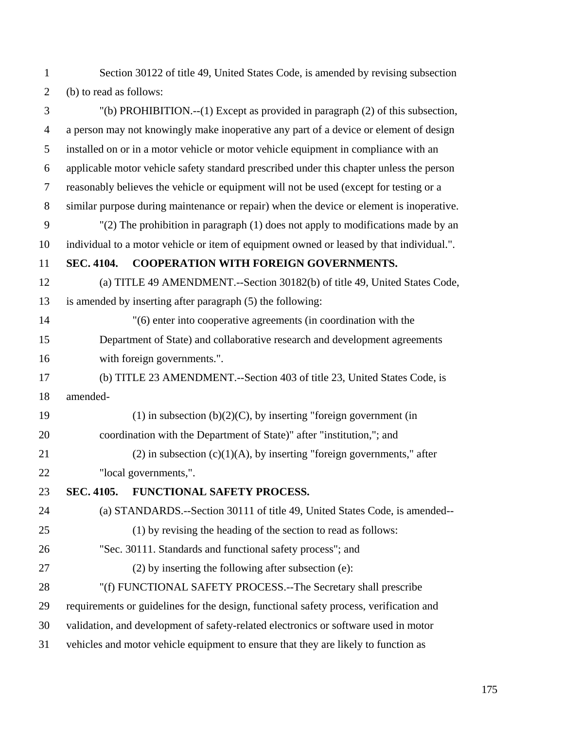1 Section 30122 of title 49, United States Code, is amended by revising subsection 2 (b) to read as follows:

3 "(b) PROHIBITION.--(1) Except as provided in paragraph (2) of this subsection, 4 a person may not knowingly make inoperative any part of a device or element of design 5 installed on or in a motor vehicle or motor vehicle equipment in compliance with an 6 applicable motor vehicle safety standard prescribed under this chapter unless the person 7 reasonably believes the vehicle or equipment will not be used (except for testing or a 8 similar purpose during maintenance or repair) when the device or element is inoperative. 9 "(2) The prohibition in paragraph (1) does not apply to modifications made by an 10 individual to a motor vehicle or item of equipment owned or leased by that individual.". 11 **SEC. 4104. COOPERATION WITH FOREIGN GOVERNMENTS.** 12 (a) TITLE 49 AMENDMENT.--Section 30182(b) of title 49, United States Code, 13 is amended by inserting after paragraph (5) the following: 14 "(6) enter into cooperative agreements (in coordination with the 15 Department of State) and collaborative research and development agreements 16 with foreign governments.". 17 (b) TITLE 23 AMENDMENT.--Section 403 of title 23, United States Code, is 18 amended-19 (1) in subsection  $(b)(2)(C)$ , by inserting "foreign government (in 20 coordination with the Department of State)" after "institution,"; and 21 (2) in subsection  $(c)(1)(A)$ , by inserting "foreign governments," after 22 "local governments,". 23 **SEC. 4105. FUNCTIONAL SAFETY PROCESS.**  24 (a) STANDARDS.--Section 30111 of title 49, United States Code, is amended-- 25 (1) by revising the heading of the section to read as follows: 26 "Sec. 30111. Standards and functional safety process"; and 27 (2) by inserting the following after subsection (e): 28 "(f) FUNCTIONAL SAFETY PROCESS.--The Secretary shall prescribe 29 requirements or guidelines for the design, functional safety process, verification and 30 validation, and development of safety-related electronics or software used in motor 31 vehicles and motor vehicle equipment to ensure that they are likely to function as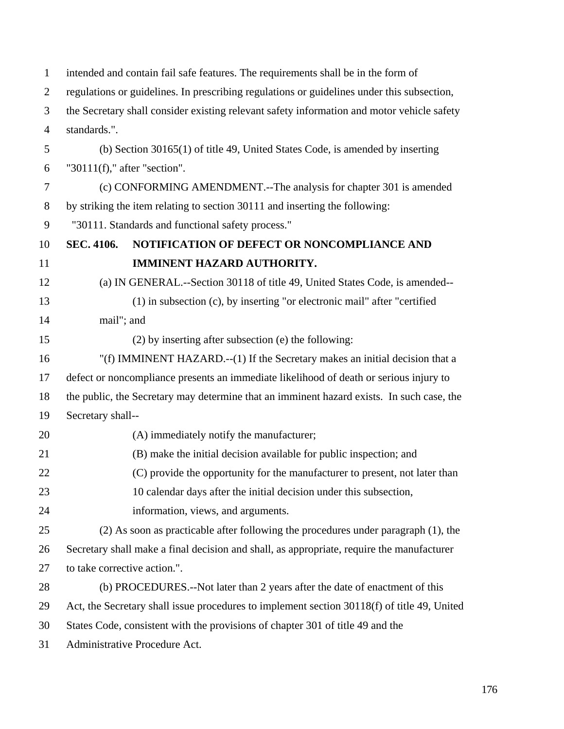| $\mathbf{1}$   | intended and contain fail safe features. The requirements shall be in the form of          |                                                                                             |  |
|----------------|--------------------------------------------------------------------------------------------|---------------------------------------------------------------------------------------------|--|
| $\overline{2}$ | regulations or guidelines. In prescribing regulations or guidelines under this subsection, |                                                                                             |  |
| 3              | the Secretary shall consider existing relevant safety information and motor vehicle safety |                                                                                             |  |
| $\overline{4}$ | standards.".                                                                               |                                                                                             |  |
| 5              | (b) Section $30165(1)$ of title 49, United States Code, is amended by inserting            |                                                                                             |  |
| 6              | " $30111(f)$ ," after "section".                                                           |                                                                                             |  |
| 7              | (c) CONFORMING AMENDMENT.--The analysis for chapter 301 is amended                         |                                                                                             |  |
| 8              | by striking the item relating to section 30111 and inserting the following:                |                                                                                             |  |
| 9              |                                                                                            | "30111. Standards and functional safety process."                                           |  |
| 10             | <b>SEC. 4106.</b>                                                                          | NOTIFICATION OF DEFECT OR NONCOMPLIANCE AND                                                 |  |
| 11             |                                                                                            | IMMINENT HAZARD AUTHORITY.                                                                  |  |
| 12             |                                                                                            | (a) IN GENERAL.--Section 30118 of title 49, United States Code, is amended--                |  |
| 13             |                                                                                            | $(1)$ in subsection $(c)$ , by inserting "or electronic mail" after "certified              |  |
| 14             | mail"; and                                                                                 |                                                                                             |  |
| 15             |                                                                                            | $(2)$ by inserting after subsection (e) the following:                                      |  |
| 16             |                                                                                            | "(f) IMMINENT HAZARD.--(1) If the Secretary makes an initial decision that a                |  |
| 17             |                                                                                            | defect or noncompliance presents an immediate likelihood of death or serious injury to      |  |
| 18             | the public, the Secretary may determine that an imminent hazard exists. In such case, the  |                                                                                             |  |
| 19             | Secretary shall--                                                                          |                                                                                             |  |
| 20             |                                                                                            | (A) immediately notify the manufacturer;                                                    |  |
| 21             |                                                                                            | (B) make the initial decision available for public inspection; and                          |  |
| 22             |                                                                                            | (C) provide the opportunity for the manufacturer to present, not later than                 |  |
| 23             |                                                                                            | 10 calendar days after the initial decision under this subsection,                          |  |
| 24             |                                                                                            | information, views, and arguments.                                                          |  |
| 25             |                                                                                            | (2) As soon as practicable after following the procedures under paragraph (1), the          |  |
| 26             |                                                                                            | Secretary shall make a final decision and shall, as appropriate, require the manufacturer   |  |
| 27             | to take corrective action.".                                                               |                                                                                             |  |
| 28             |                                                                                            | (b) PROCEDURES.--Not later than 2 years after the date of enactment of this                 |  |
| 29             |                                                                                            | Act, the Secretary shall issue procedures to implement section 30118(f) of title 49, United |  |
| 30             | States Code, consistent with the provisions of chapter 301 of title 49 and the             |                                                                                             |  |
| 31             | Administrative Procedure Act.                                                              |                                                                                             |  |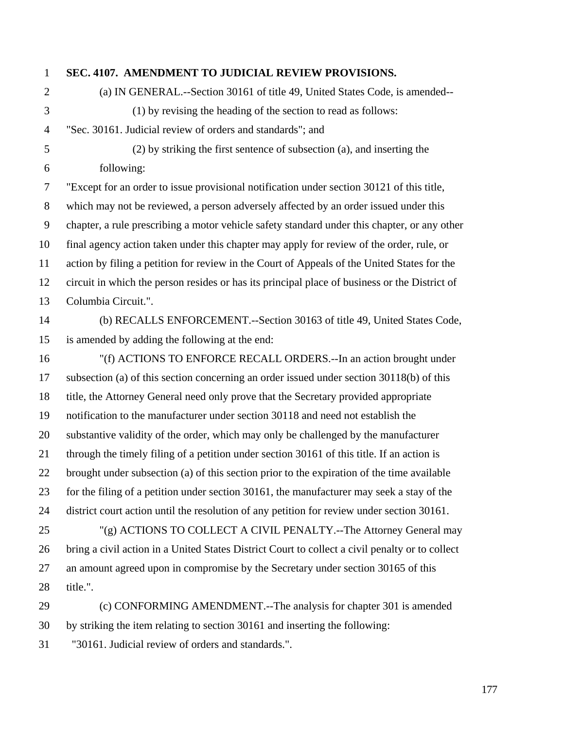## 1 **SEC. 4107. AMENDMENT TO JUDICIAL REVIEW PROVISIONS.**

- 2 (a) IN GENERAL.--Section 30161 of title 49, United States Code, is amended-- 3 (1) by revising the heading of the section to read as follows: 4 "Sec. 30161. Judicial review of orders and standards"; and
- 

5 (2) by striking the first sentence of subsection (a), and inserting the 6 following:

7 "Except for an order to issue provisional notification under section 30121 of this title, 8 which may not be reviewed, a person adversely affected by an order issued under this 9 chapter, a rule prescribing a motor vehicle safety standard under this chapter, or any other 10 final agency action taken under this chapter may apply for review of the order, rule, or 11 action by filing a petition for review in the Court of Appeals of the United States for the 12 circuit in which the person resides or has its principal place of business or the District of 13 Columbia Circuit.".

## 14 (b) RECALLS ENFORCEMENT.--Section 30163 of title 49, United States Code, 15 is amended by adding the following at the end:

16 "(f) ACTIONS TO ENFORCE RECALL ORDERS.--In an action brought under 17 subsection (a) of this section concerning an order issued under section 30118(b) of this 18 title, the Attorney General need only prove that the Secretary provided appropriate 19 notification to the manufacturer under section 30118 and need not establish the 20 substantive validity of the order, which may only be challenged by the manufacturer 21 through the timely filing of a petition under section 30161 of this title. If an action is 22 brought under subsection (a) of this section prior to the expiration of the time available 23 for the filing of a petition under section 30161, the manufacturer may seek a stay of the 24 district court action until the resolution of any petition for review under section 30161. 25 "(g) ACTIONS TO COLLECT A CIVIL PENALTY.--The Attorney General may

26 bring a civil action in a United States District Court to collect a civil penalty or to collect 27 an amount agreed upon in compromise by the Secretary under section 30165 of this 28 title.".

29 (c) CONFORMING AMENDMENT.--The analysis for chapter 301 is amended 30 by striking the item relating to section 30161 and inserting the following:

31 "30161. Judicial review of orders and standards.".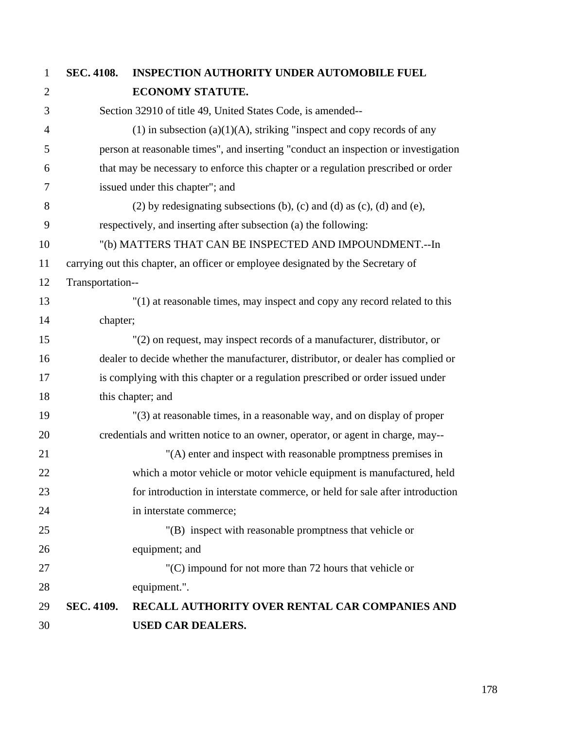| $\mathbf{1}$   | SEC. 4108.                                                               | <b>INSPECTION AUTHORITY UNDER AUTOMOBILE FUEL</b>                                  |  |
|----------------|--------------------------------------------------------------------------|------------------------------------------------------------------------------------|--|
| $\overline{2}$ |                                                                          | ECONOMY STATUTE.                                                                   |  |
| 3              |                                                                          | Section 32910 of title 49, United States Code, is amended--                        |  |
| $\overline{4}$ |                                                                          | $(1)$ in subsection $(a)(1)(A)$ , striking "inspect and copy records of any        |  |
| 5              |                                                                          | person at reasonable times", and inserting "conduct an inspection or investigation |  |
| 6              |                                                                          | that may be necessary to enforce this chapter or a regulation prescribed or order  |  |
| 7              |                                                                          | issued under this chapter"; and                                                    |  |
| 8              | $(2)$ by redesignating subsections (b), (c) and (d) as (c), (d) and (e), |                                                                                    |  |
| 9              | respectively, and inserting after subsection (a) the following:          |                                                                                    |  |
| 10             | "(b) MATTERS THAT CAN BE INSPECTED AND IMPOUNDMENT.--In                  |                                                                                    |  |
| 11             |                                                                          | carrying out this chapter, an officer or employee designated by the Secretary of   |  |
| 12             | Transportation--                                                         |                                                                                    |  |
| 13             |                                                                          | "(1) at reasonable times, may inspect and copy any record related to this          |  |
| 14             | chapter;                                                                 |                                                                                    |  |
| 15             |                                                                          | "(2) on request, may inspect records of a manufacturer, distributor, or            |  |
| 16             |                                                                          | dealer to decide whether the manufacturer, distributor, or dealer has complied or  |  |
| 17             |                                                                          | is complying with this chapter or a regulation prescribed or order issued under    |  |
| 18             |                                                                          | this chapter; and                                                                  |  |
| 19             |                                                                          | "(3) at reasonable times, in a reasonable way, and on display of proper            |  |
| 20             |                                                                          | credentials and written notice to an owner, operator, or agent in charge, may--    |  |
| 21             |                                                                          | "(A) enter and inspect with reasonable promptness premises in                      |  |
| 22             |                                                                          | which a motor vehicle or motor vehicle equipment is manufactured, held             |  |
| 23             |                                                                          | for introduction in interstate commerce, or held for sale after introduction       |  |
| 24             |                                                                          | in interstate commerce;                                                            |  |
| 25             |                                                                          | "(B) inspect with reasonable promptness that vehicle or                            |  |
| 26             |                                                                          | equipment; and                                                                     |  |
| 27             |                                                                          | $(C)$ impound for not more than 72 hours that vehicle or                           |  |
| 28             |                                                                          | equipment.".                                                                       |  |
| 29             | SEC. 4109.                                                               | RECALL AUTHORITY OVER RENTAL CAR COMPANIES AND                                     |  |
| 30             |                                                                          | <b>USED CAR DEALERS.</b>                                                           |  |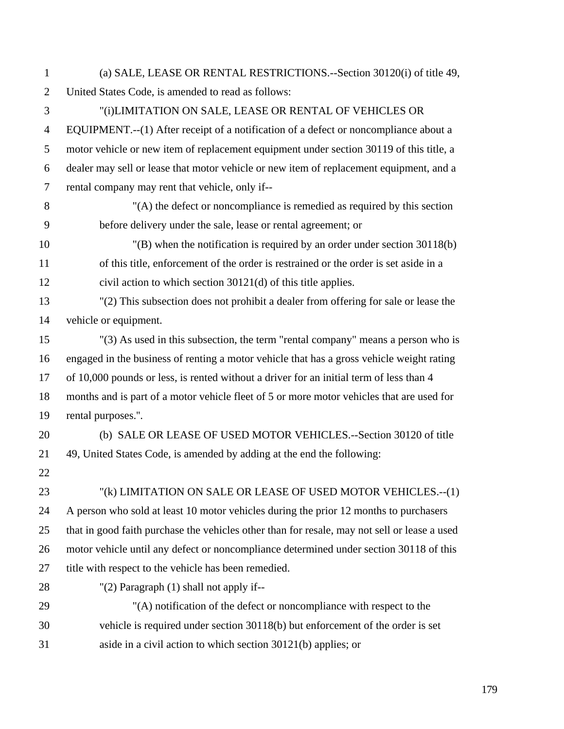1 (a) SALE, LEASE OR RENTAL RESTRICTIONS.--Section 30120(i) of title 49, 2 United States Code, is amended to read as follows:

3 "(i)LIMITATION ON SALE, LEASE OR RENTAL OF VEHICLES OR 4 EQUIPMENT.--(1) After receipt of a notification of a defect or noncompliance about a 5 motor vehicle or new item of replacement equipment under section 30119 of this title, a 6 dealer may sell or lease that motor vehicle or new item of replacement equipment, and a 7 rental company may rent that vehicle, only if--

8 "(A) the defect or noncompliance is remedied as required by this section 9 before delivery under the sale, lease or rental agreement; or

10 "(B) when the notification is required by an order under section 30118(b) 11 of this title, enforcement of the order is restrained or the order is set aside in a 12 civil action to which section 30121(d) of this title applies.

13 "(2) This subsection does not prohibit a dealer from offering for sale or lease the 14 vehicle or equipment.

15 "(3) As used in this subsection, the term "rental company" means a person who is 16 engaged in the business of renting a motor vehicle that has a gross vehicle weight rating 17 of 10,000 pounds or less, is rented without a driver for an initial term of less than 4 18 months and is part of a motor vehicle fleet of 5 or more motor vehicles that are used for 19 rental purposes.''.

20 (b) SALE OR LEASE OF USED MOTOR VEHICLES.--Section 30120 of title 21 49, United States Code, is amended by adding at the end the following:

22

23 "(k) LIMITATION ON SALE OR LEASE OF USED MOTOR VEHICLES.--(1) 24 A person who sold at least 10 motor vehicles during the prior 12 months to purchasers 25 that in good faith purchase the vehicles other than for resale, may not sell or lease a used 26 motor vehicle until any defect or noncompliance determined under section 30118 of this 27 title with respect to the vehicle has been remedied.

28 "(2) Paragraph (1) shall not apply if--

29 "(A) notification of the defect or noncompliance with respect to the 30 vehicle is required under section 30118(b) but enforcement of the order is set 31 aside in a civil action to which section 30121(b) applies; or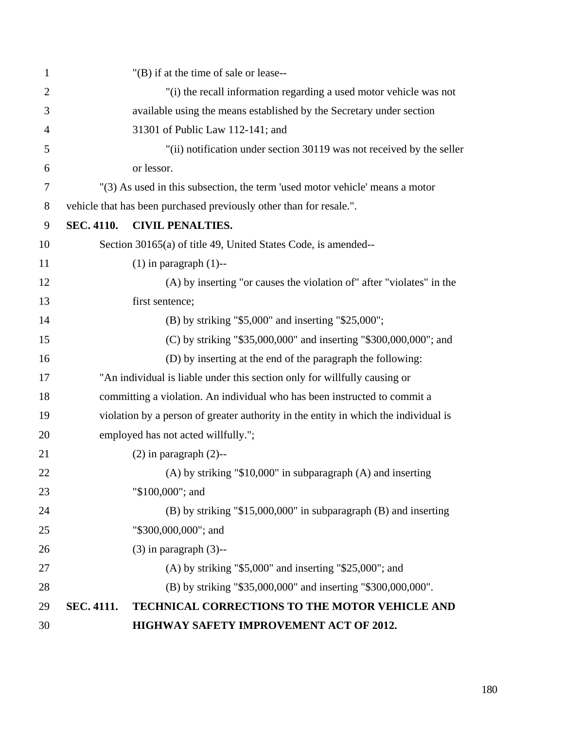| $\mathbf{1}$   | "(B) if at the time of sale or lease--                                              |  |
|----------------|-------------------------------------------------------------------------------------|--|
| $\overline{2}$ | "(i) the recall information regarding a used motor vehicle was not                  |  |
| 3              | available using the means established by the Secretary under section                |  |
| 4              | 31301 of Public Law 112-141; and                                                    |  |
| 5              | "(ii) notification under section 30119 was not received by the seller               |  |
| 6              | or lessor.                                                                          |  |
| $\tau$         | "(3) As used in this subsection, the term 'used motor vehicle' means a motor        |  |
| 8              | vehicle that has been purchased previously other than for resale.".                 |  |
| 9              | <b>SEC. 4110.</b><br><b>CIVIL PENALTIES.</b>                                        |  |
| 10             | Section 30165(a) of title 49, United States Code, is amended--                      |  |
| 11             | $(1)$ in paragraph $(1)$ --                                                         |  |
| 12             | (A) by inserting "or causes the violation of" after "violates" in the               |  |
| 13             | first sentence;                                                                     |  |
| 14             | (B) by striking "\$5,000" and inserting "\$25,000";                                 |  |
| 15             | (C) by striking "\$35,000,000" and inserting "\$300,000,000"; and                   |  |
| 16             | (D) by inserting at the end of the paragraph the following:                         |  |
| 17             | "An individual is liable under this section only for willfully causing or           |  |
| 18             | committing a violation. An individual who has been instructed to commit a           |  |
| 19             | violation by a person of greater authority in the entity in which the individual is |  |
| 20             | employed has not acted willfully.";                                                 |  |
| 21             | $(2)$ in paragraph $(2)$ --                                                         |  |
| 22             | $(A)$ by striking "\$10,000" in subparagraph $(A)$ and inserting                    |  |
| 23             | "\$100,000"; and                                                                    |  |
| 24             | $(B)$ by striking "\$15,000,000" in subparagraph $(B)$ and inserting                |  |
| 25             | "\$300,000,000"; and                                                                |  |
| 26             | $(3)$ in paragraph $(3)$ --                                                         |  |
| 27             | $(A)$ by striking "\$5,000" and inserting "\$25,000"; and                           |  |
| 28             | (B) by striking "\$35,000,000" and inserting "\$300,000,000".                       |  |
| 29             | TECHNICAL CORRECTIONS TO THE MOTOR VEHICLE AND<br><b>SEC. 4111.</b>                 |  |
| 30             | HIGHWAY SAFETY IMPROVEMENT ACT OF 2012.                                             |  |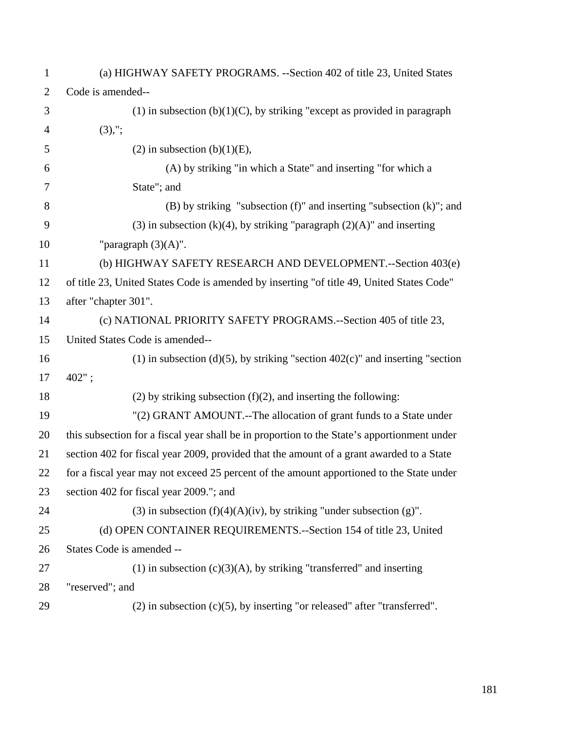| $\mathbf{1}$   | (a) HIGHWAY SAFETY PROGRAMS. -- Section 402 of title 23, United States                      |
|----------------|---------------------------------------------------------------------------------------------|
| $\overline{2}$ | Code is amended--                                                                           |
| 3              | $(1)$ in subsection $(b)(1)(C)$ , by striking "except as provided in paragraph"             |
| $\overline{4}$ | $(3),$ ";                                                                                   |
| 5              | $(2)$ in subsection $(b)(1)(E)$ ,                                                           |
| 6              | (A) by striking "in which a State" and inserting "for which a                               |
| $\tau$         | State"; and                                                                                 |
| 8              | $(B)$ by striking "subsection $(f)$ " and inserting "subsection $(k)$ "; and                |
| 9              | (3) in subsection (k)(4), by striking "paragraph $(2)(A)$ " and inserting                   |
| 10             | "paragraph $(3)(A)$ ".                                                                      |
| 11             | (b) HIGHWAY SAFETY RESEARCH AND DEVELOPMENT.--Section 403(e)                                |
| 12             | of title 23, United States Code is amended by inserting "of title 49, United States Code"   |
| 13             | after "chapter 301".                                                                        |
| 14             | (c) NATIONAL PRIORITY SAFETY PROGRAMS.--Section 405 of title 23,                            |
| 15             | United States Code is amended--                                                             |
| 16             | (1) in subsection (d)(5), by striking "section $402(c)$ " and inserting "section            |
| 17             | 402";                                                                                       |
| 18             | $(2)$ by striking subsection $(f)(2)$ , and inserting the following:                        |
| 19             | "(2) GRANT AMOUNT.--The allocation of grant funds to a State under                          |
| 20             | this subsection for a fiscal year shall be in proportion to the State's apportionment under |
| 21             | section 402 for fiscal year 2009, provided that the amount of a grant awarded to a State    |
| 22             | for a fiscal year may not exceed 25 percent of the amount apportioned to the State under    |
| 23             | section 402 for fiscal year 2009."; and                                                     |
| 24             | (3) in subsection $(f)(4)(A)(iv)$ , by striking "under subsection (g)".                     |
| 25             | (d) OPEN CONTAINER REQUIREMENTS.--Section 154 of title 23, United                           |
| 26             | States Code is amended --                                                                   |
| 27             | $(1)$ in subsection $(c)(3)(A)$ , by striking "transferred" and inserting                   |
| 28             | "reserved"; and                                                                             |
| 29             | $(2)$ in subsection $(c)(5)$ , by inserting "or released" after "transferred".              |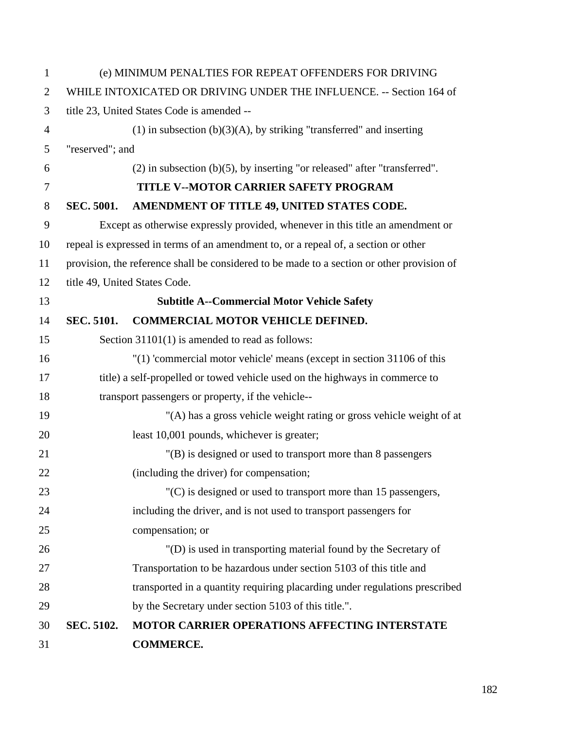| 1              |                                                                     | (e) MINIMUM PENALTIES FOR REPEAT OFFENDERS FOR DRIVING                                     |  |
|----------------|---------------------------------------------------------------------|--------------------------------------------------------------------------------------------|--|
| $\overline{2}$ | WHILE INTOXICATED OR DRIVING UNDER THE INFLUENCE. -- Section 164 of |                                                                                            |  |
| 3              |                                                                     | title 23, United States Code is amended --                                                 |  |
| $\overline{4}$ |                                                                     | $(1)$ in subsection $(b)(3)(A)$ , by striking "transferred" and inserting                  |  |
| 5              | "reserved"; and                                                     |                                                                                            |  |
| 6              |                                                                     | $(2)$ in subsection $(b)(5)$ , by inserting "or released" after "transferred".             |  |
| 7              |                                                                     | <b>TITLE V--MOTOR CARRIER SAFETY PROGRAM</b>                                               |  |
| 8              | <b>SEC. 5001.</b>                                                   | AMENDMENT OF TITLE 49, UNITED STATES CODE.                                                 |  |
| 9              |                                                                     | Except as otherwise expressly provided, whenever in this title an amendment or             |  |
| 10             |                                                                     | repeal is expressed in terms of an amendment to, or a repeal of, a section or other        |  |
| 11             |                                                                     | provision, the reference shall be considered to be made to a section or other provision of |  |
| 12             |                                                                     | title 49, United States Code.                                                              |  |
| 13             |                                                                     | <b>Subtitle A--Commercial Motor Vehicle Safety</b>                                         |  |
| 14             | <b>SEC. 5101.</b>                                                   | <b>COMMERCIAL MOTOR VEHICLE DEFINED.</b>                                                   |  |
| 15             |                                                                     | Section 31101(1) is amended to read as follows:                                            |  |
| 16             |                                                                     | $'(1)$ 'commercial motor vehicle' means (except in section 31106 of this                   |  |
| 17             |                                                                     | title) a self-propelled or towed vehicle used on the highways in commerce to               |  |
| 18             |                                                                     | transport passengers or property, if the vehicle--                                         |  |
| 19             |                                                                     | "(A) has a gross vehicle weight rating or gross vehicle weight of at                       |  |
| 20             |                                                                     | least 10,001 pounds, whichever is greater;                                                 |  |
| 21             |                                                                     | "(B) is designed or used to transport more than 8 passengers                               |  |
| 22             |                                                                     | (including the driver) for compensation;                                                   |  |
| 23             |                                                                     | $(C)$ is designed or used to transport more than 15 passengers,                            |  |
| 24             |                                                                     | including the driver, and is not used to transport passengers for                          |  |
| 25             |                                                                     | compensation; or                                                                           |  |
| 26             |                                                                     | "(D) is used in transporting material found by the Secretary of                            |  |
| 27             |                                                                     | Transportation to be hazardous under section 5103 of this title and                        |  |
| 28             |                                                                     | transported in a quantity requiring placarding under regulations prescribed                |  |
| 29             |                                                                     | by the Secretary under section 5103 of this title.".                                       |  |
| 30             | <b>SEC. 5102.</b>                                                   | MOTOR CARRIER OPERATIONS AFFECTING INTERSTATE                                              |  |
| 31             |                                                                     | <b>COMMERCE.</b>                                                                           |  |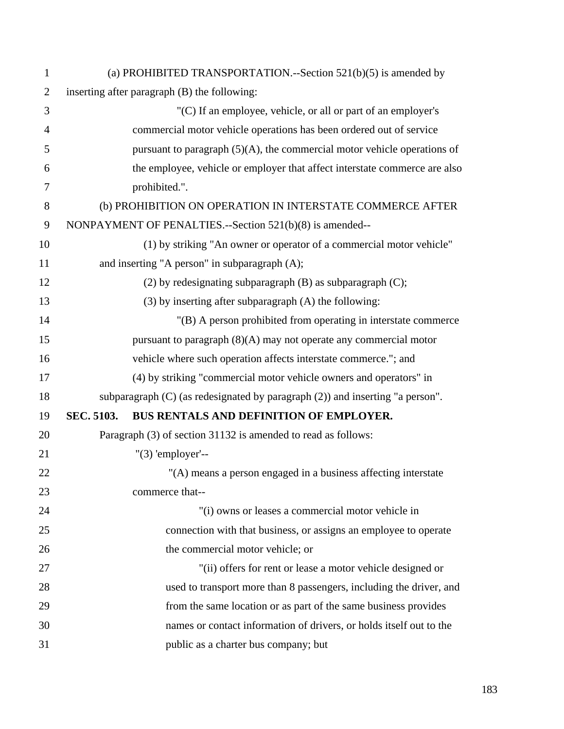| $\mathbf{1}$   |            | (a) PROHIBITED TRANSPORTATION.--Section $521(b)(5)$ is amended by                  |
|----------------|------------|------------------------------------------------------------------------------------|
| $\overline{2}$ |            | inserting after paragraph (B) the following:                                       |
| 3              |            | "(C) If an employee, vehicle, or all or part of an employer's                      |
| $\overline{4}$ |            | commercial motor vehicle operations has been ordered out of service                |
| 5              |            | pursuant to paragraph $(5)(A)$ , the commercial motor vehicle operations of        |
| 6              |            | the employee, vehicle or employer that affect interstate commerce are also         |
| 7              |            | prohibited.".                                                                      |
| 8              |            | (b) PROHIBITION ON OPERATION IN INTERSTATE COMMERCE AFTER                          |
| 9              |            | NONPAYMENT OF PENALTIES.--Section 521(b)(8) is amended--                           |
| 10             |            | (1) by striking "An owner or operator of a commercial motor vehicle"               |
| 11             |            | and inserting "A person" in subparagraph (A);                                      |
| 12             |            | $(2)$ by redesignating subparagraph $(B)$ as subparagraph $(C)$ ;                  |
| 13             |            | (3) by inserting after subparagraph (A) the following:                             |
| 14             |            | "(B) A person prohibited from operating in interstate commerce                     |
| 15             |            | pursuant to paragraph $(8)(A)$ may not operate any commercial motor                |
| 16             |            | vehicle where such operation affects interstate commerce."; and                    |
| 17             |            | (4) by striking "commercial motor vehicle owners and operators" in                 |
| 18             |            | subparagraph $(C)$ (as redesignated by paragraph $(2)$ ) and inserting "a person". |
| 19             | SEC. 5103. | BUS RENTALS AND DEFINITION OF EMPLOYER.                                            |
| 20             |            | Paragraph (3) of section 31132 is amended to read as follows:                      |
| 21             |            | $"(3) 'employee'--$                                                                |
| 22             |            | "(A) means a person engaged in a business affecting interstate                     |
| 23             |            | commerce that--                                                                    |
| 24             |            | "(i) owns or leases a commercial motor vehicle in                                  |
| 25             |            | connection with that business, or assigns an employee to operate                   |
| 26             |            | the commercial motor vehicle; or                                                   |
| 27             |            | "(ii) offers for rent or lease a motor vehicle designed or                         |
| 28             |            | used to transport more than 8 passengers, including the driver, and                |
| 29             |            | from the same location or as part of the same business provides                    |
| 30             |            | names or contact information of drivers, or holds itself out to the                |
| 31             |            | public as a charter bus company; but                                               |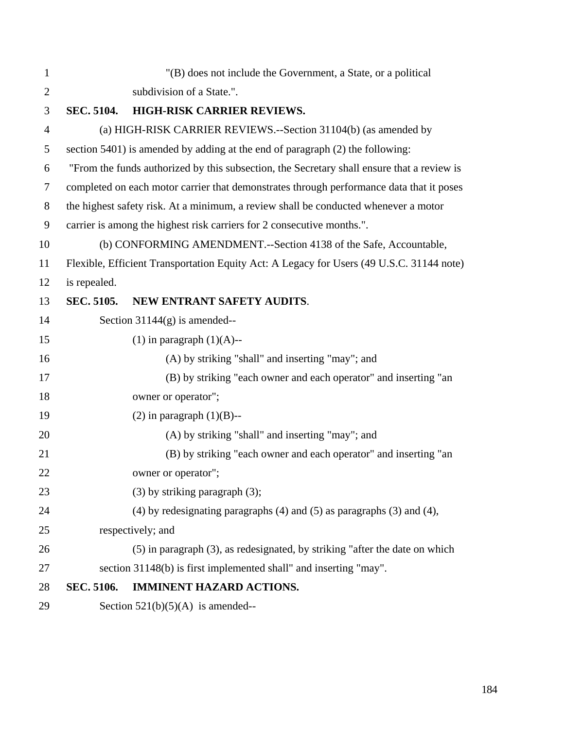| 1              |                   | "(B) does not include the Government, a State, or a political                              |
|----------------|-------------------|--------------------------------------------------------------------------------------------|
| $\overline{2}$ |                   | subdivision of a State.".                                                                  |
| 3              | <b>SEC. 5104.</b> | HIGH-RISK CARRIER REVIEWS.                                                                 |
| $\overline{4}$ |                   | (a) HIGH-RISK CARRIER REVIEWS.--Section 31104(b) (as amended by                            |
| 5              |                   | section 5401) is amended by adding at the end of paragraph (2) the following:              |
| 6              |                   | "From the funds authorized by this subsection, the Secretary shall ensure that a review is |
| $\overline{7}$ |                   | completed on each motor carrier that demonstrates through performance data that it poses   |
| $8\,$          |                   | the highest safety risk. At a minimum, a review shall be conducted whenever a motor        |
| 9              |                   | carrier is among the highest risk carriers for 2 consecutive months.".                     |
| 10             |                   | (b) CONFORMING AMENDMENT.--Section 4138 of the Safe, Accountable,                          |
| 11             |                   | Flexible, Efficient Transportation Equity Act: A Legacy for Users (49 U.S.C. 31144 note)   |
| 12             | is repealed.      |                                                                                            |
| 13             | SEC. 5105.        | NEW ENTRANT SAFETY AUDITS.                                                                 |
| 14             |                   | Section $31144(g)$ is amended--                                                            |
| 15             |                   | $(1)$ in paragraph $(1)(A)$ --                                                             |
| 16             |                   | (A) by striking "shall" and inserting "may"; and                                           |
| 17             |                   | (B) by striking "each owner and each operator" and inserting "an                           |
| 18             |                   | owner or operator";                                                                        |
| 19             |                   | $(2)$ in paragraph $(1)(B)$ --                                                             |
| 20             |                   | (A) by striking "shall" and inserting "may"; and                                           |
| 21             |                   | (B) by striking "each owner and each operator" and inserting "an                           |
| 22             |                   | owner or operator";                                                                        |
| 23             |                   | $(3)$ by striking paragraph $(3)$ ;                                                        |
| 24             |                   | (4) by redesignating paragraphs $(4)$ and $(5)$ as paragraphs $(3)$ and $(4)$ ,            |
| 25             |                   | respectively; and                                                                          |
| 26             |                   | (5) in paragraph (3), as redesignated, by striking "after the date on which                |
| 27             |                   | section 31148(b) is first implemented shall" and inserting "may".                          |
| 28             | SEC. 5106.        | <b>IMMINENT HAZARD ACTIONS.</b>                                                            |
| 29             |                   | Section $521(b)(5)(A)$ is amended--                                                        |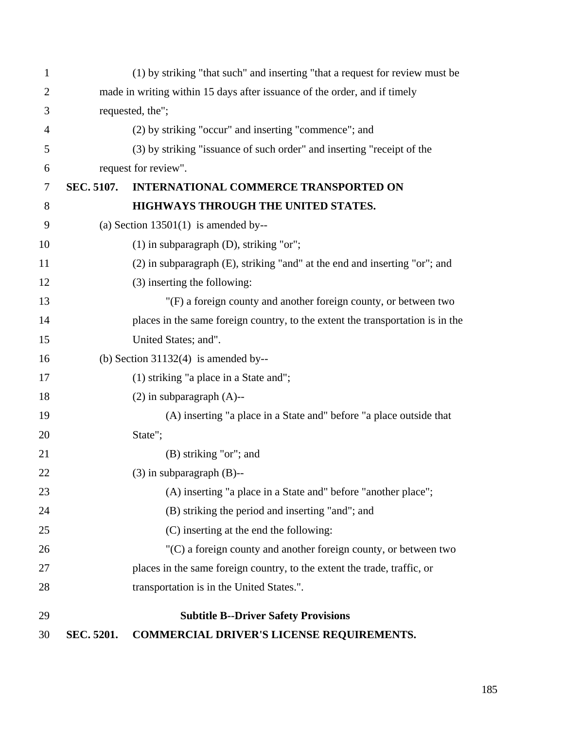| 1              |                                                                           | (1) by striking "that such" and inserting "that a request for review must be   |  |
|----------------|---------------------------------------------------------------------------|--------------------------------------------------------------------------------|--|
| $\overline{2}$ | made in writing within 15 days after issuance of the order, and if timely |                                                                                |  |
| 3              | requested, the";                                                          |                                                                                |  |
| $\overline{4}$ |                                                                           | (2) by striking "occur" and inserting "commence"; and                          |  |
| 5              |                                                                           | (3) by striking "issuance of such order" and inserting "receipt of the         |  |
| 6              |                                                                           | request for review".                                                           |  |
| $\tau$         | SEC. 5107.                                                                | <b>INTERNATIONAL COMMERCE TRANSPORTED ON</b>                                   |  |
| 8              |                                                                           | HIGHWAYS THROUGH THE UNITED STATES.                                            |  |
| 9              |                                                                           | (a) Section $13501(1)$ is amended by--                                         |  |
| 10             |                                                                           | $(1)$ in subparagraph $(D)$ , striking "or";                                   |  |
| 11             |                                                                           | (2) in subparagraph (E), striking "and" at the end and inserting "or"; and     |  |
| 12             |                                                                           | (3) inserting the following:                                                   |  |
| 13             |                                                                           | "(F) a foreign county and another foreign county, or between two               |  |
| 14             |                                                                           | places in the same foreign country, to the extent the transportation is in the |  |
| 15             |                                                                           | United States; and".                                                           |  |
| 16             |                                                                           | (b) Section $31132(4)$ is amended by--                                         |  |
| 17             |                                                                           | (1) striking "a place in a State and";                                         |  |
| 18             |                                                                           | $(2)$ in subparagraph $(A)$ --                                                 |  |
| 19             |                                                                           | (A) inserting "a place in a State and" before "a place outside that            |  |
| 20             |                                                                           | State";                                                                        |  |
| 21             |                                                                           | (B) striking "or"; and                                                         |  |
| 22             |                                                                           | $(3)$ in subparagraph $(B)$ --                                                 |  |
| 23             |                                                                           | (A) inserting "a place in a State and" before "another place";                 |  |
| 24             |                                                                           | (B) striking the period and inserting "and"; and                               |  |
| 25             |                                                                           | (C) inserting at the end the following:                                        |  |
| 26             |                                                                           | $(C)$ a foreign county and another foreign county, or between two              |  |
| 27             |                                                                           | places in the same foreign country, to the extent the trade, traffic, or       |  |
| 28             |                                                                           | transportation is in the United States.".                                      |  |
| 29             |                                                                           | <b>Subtitle B--Driver Safety Provisions</b>                                    |  |
| 30             | SEC. 5201.                                                                | COMMERCIAL DRIVER'S LICENSE REQUIREMENTS.                                      |  |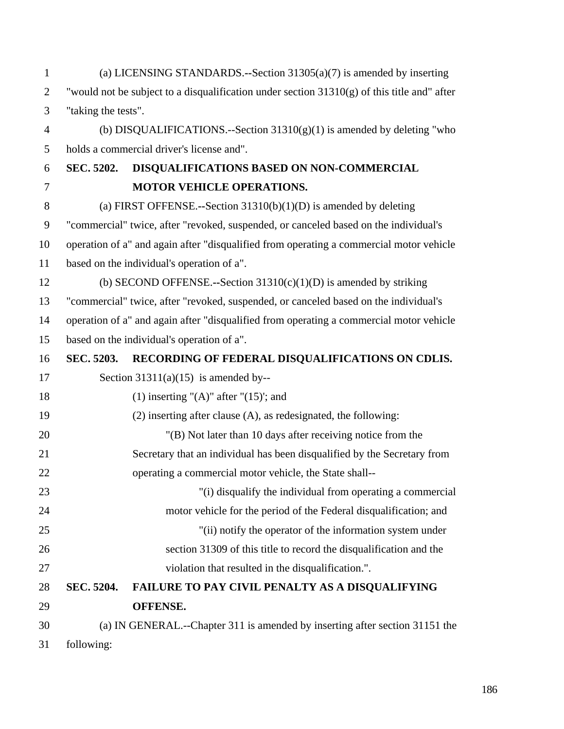| $\mathbf{1}$   |                     | (a) LICENSING STANDARDS.--Section $31305(a)(7)$ is amended by inserting                       |
|----------------|---------------------|-----------------------------------------------------------------------------------------------|
| $\overline{2}$ |                     | "would not be subject to a disqualification under section $31310(g)$ of this title and" after |
| 3              | "taking the tests". |                                                                                               |
| $\overline{4}$ |                     | (b) DISQUALIFICATIONS.--Section $31310(g)(1)$ is amended by deleting "who                     |
| 5              |                     | holds a commercial driver's license and".                                                     |
| 6              | <b>SEC. 5202.</b>   | DISQUALIFICATIONS BASED ON NON-COMMERCIAL                                                     |
| 7              |                     | <b>MOTOR VEHICLE OPERATIONS.</b>                                                              |
| 8              |                     | (a) FIRST OFFENSE.--Section $31310(b)(1)(D)$ is amended by deleting                           |
| 9              |                     | "commercial" twice, after "revoked, suspended, or canceled based on the individual's          |
| 10             |                     | operation of a" and again after "disqualified from operating a commercial motor vehicle       |
| 11             |                     | based on the individual's operation of a".                                                    |
| 12             |                     | (b) SECOND OFFENSE.--Section $31310(c)(1)(D)$ is amended by striking                          |
| 13             |                     | "commercial" twice, after "revoked, suspended, or canceled based on the individual's          |
| 14             |                     | operation of a" and again after "disqualified from operating a commercial motor vehicle       |
| 15             |                     | based on the individual's operation of a".                                                    |
| 16             | SEC. 5203.          | RECORDING OF FEDERAL DISQUALIFICATIONS ON CDLIS.                                              |
| 17             |                     | Section $31311(a)(15)$ is amended by--                                                        |
| 18             |                     | $(1)$ inserting " $(A)$ " after " $(15)$ ; and                                                |
| 19             |                     | $(2)$ inserting after clause $(A)$ , as redesignated, the following:                          |
| 20             |                     | "(B) Not later than 10 days after receiving notice from the                                   |
| 21             |                     | Secretary that an individual has been disqualified by the Secretary from                      |
| 22             |                     | operating a commercial motor vehicle, the State shall--                                       |
| 23             |                     | "(i) disqualify the individual from operating a commercial                                    |
| 24             |                     | motor vehicle for the period of the Federal disqualification; and                             |
| 25             |                     | "(ii) notify the operator of the information system under                                     |
| 26             |                     | section 31309 of this title to record the disqualification and the                            |
| 27             |                     | violation that resulted in the disqualification.".                                            |
| 28             | SEC. 5204.          | FAILURE TO PAY CIVIL PENALTY AS A DISQUALIFYING                                               |
| 29             |                     | <b>OFFENSE.</b>                                                                               |
| 30             |                     | (a) IN GENERAL.--Chapter 311 is amended by inserting after section 31151 the                  |
| 31             | following:          |                                                                                               |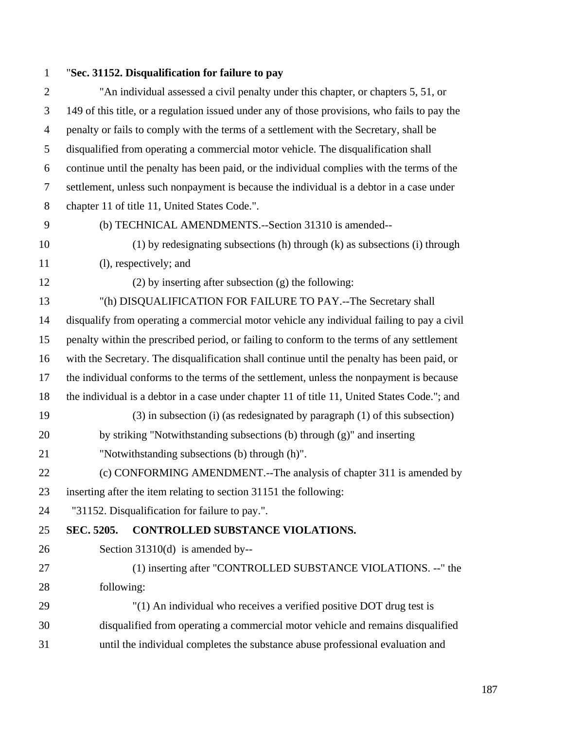## 1 "**Sec. 31152. Disqualification for failure to pay**

| $\overline{2}$ | "An individual assessed a civil penalty under this chapter, or chapters 5, 51, or             |
|----------------|-----------------------------------------------------------------------------------------------|
| 3              | 149 of this title, or a regulation issued under any of those provisions, who fails to pay the |
| $\overline{4}$ | penalty or fails to comply with the terms of a settlement with the Secretary, shall be        |
| 5              | disqualified from operating a commercial motor vehicle. The disqualification shall            |
| 6              | continue until the penalty has been paid, or the individual complies with the terms of the    |
| $\tau$         | settlement, unless such nonpayment is because the individual is a debtor in a case under      |
| 8              | chapter 11 of title 11, United States Code.".                                                 |
| 9              | (b) TECHNICAL AMENDMENTS.--Section 31310 is amended--                                         |
| 10             | (1) by redesignating subsections (h) through (k) as subsections (i) through                   |
| 11             | (l), respectively; and                                                                        |
| 12             | $(2)$ by inserting after subsection $(g)$ the following:                                      |
| 13             | "(h) DISQUALIFICATION FOR FAILURE TO PAY.--The Secretary shall                                |
| 14             | disqualify from operating a commercial motor vehicle any individual failing to pay a civil    |
| 15             | penalty within the prescribed period, or failing to conform to the terms of any settlement    |
| 16             | with the Secretary. The disqualification shall continue until the penalty has been paid, or   |
| 17             | the individual conforms to the terms of the settlement, unless the nonpayment is because      |
| 18             | the individual is a debtor in a case under chapter 11 of title 11, United States Code."; and  |
| 19             | $(3)$ in subsection (i) (as redesignated by paragraph $(1)$ of this subsection)               |
| 20             | by striking "Notwithstanding subsections (b) through (g)" and inserting                       |
| 21             | "Notwithstanding subsections (b) through (h)".                                                |
| 22             | (c) CONFORMING AMENDMENT.--The analysis of chapter 311 is amended by                          |
| 23             | inserting after the item relating to section 31151 the following:                             |
| 24             | "31152. Disqualification for failure to pay.".                                                |
| 25             | SEC. 5205.<br>CONTROLLED SUBSTANCE VIOLATIONS.                                                |
| 26             | Section 31310(d) is amended by--                                                              |
| 27             | (1) inserting after "CONTROLLED SUBSTANCE VIOLATIONS. --" the                                 |
| 28             | following:                                                                                    |
| 29             | "(1) An individual who receives a verified positive DOT drug test is                          |
| 30             | disqualified from operating a commercial motor vehicle and remains disqualified               |
| 31             | until the individual completes the substance abuse professional evaluation and                |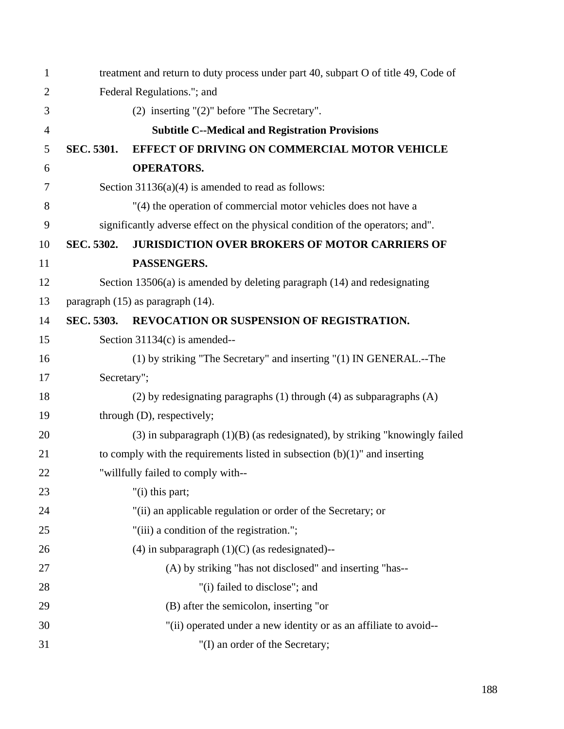| $\mathbf{1}$   |                   | treatment and return to duty process under part 40, subpart O of title 49, Code of |
|----------------|-------------------|------------------------------------------------------------------------------------|
| $\overline{2}$ |                   | Federal Regulations."; and                                                         |
| 3              |                   | $(2)$ inserting " $(2)$ " before "The Secretary".                                  |
| $\overline{4}$ |                   | <b>Subtitle C--Medical and Registration Provisions</b>                             |
| 5              | SEC. 5301.        | <b>EFFECT OF DRIVING ON COMMERCIAL MOTOR VEHICLE</b>                               |
| 6              |                   | <b>OPERATORS.</b>                                                                  |
| 7              |                   | Section $31136(a)(4)$ is amended to read as follows:                               |
| 8              |                   | "(4) the operation of commercial motor vehicles does not have a                    |
| 9              |                   | significantly adverse effect on the physical condition of the operators; and".     |
| 10             | SEC. 5302.        | <b>JURISDICTION OVER BROKERS OF MOTOR CARRIERS OF</b>                              |
| 11             |                   | PASSENGERS.                                                                        |
| 12             |                   | Section 13506(a) is amended by deleting paragraph $(14)$ and redesignating         |
| 13             |                   | paragraph $(15)$ as paragraph $(14)$ .                                             |
| 14             | <b>SEC. 5303.</b> | REVOCATION OR SUSPENSION OF REGISTRATION.                                          |
| 15             |                   | Section $31134(c)$ is amended--                                                    |
| 16             |                   | (1) by striking "The Secretary" and inserting "(1) IN GENERAL.--The                |
| 17             | Secretary";       |                                                                                    |
| 18             |                   | $(2)$ by redesignating paragraphs $(1)$ through $(4)$ as subparagraphs $(A)$       |
| 19             |                   | through (D), respectively;                                                         |
| 20             |                   | $(3)$ in subparagraph $(1)(B)$ (as redesignated), by striking "knowingly failed    |
| 21             |                   | to comply with the requirements listed in subsection $(b)(1)$ " and inserting      |
| 22             |                   | "willfully failed to comply with--                                                 |
| 23             |                   | "(i) this part;                                                                    |
| 24             |                   | "(ii) an applicable regulation or order of the Secretary; or                       |
| 25             |                   | "(iii) a condition of the registration.";                                          |
| 26             |                   | $(4)$ in subparagraph $(1)(C)$ (as redesignated)--                                 |
| 27             |                   | (A) by striking "has not disclosed" and inserting "has--                           |
| 28             |                   | "(i) failed to disclose"; and                                                      |
| 29             |                   | (B) after the semicolon, inserting "or                                             |
| 30             |                   | "(ii) operated under a new identity or as an affiliate to avoid--                  |
| 31             |                   | "(I) an order of the Secretary;                                                    |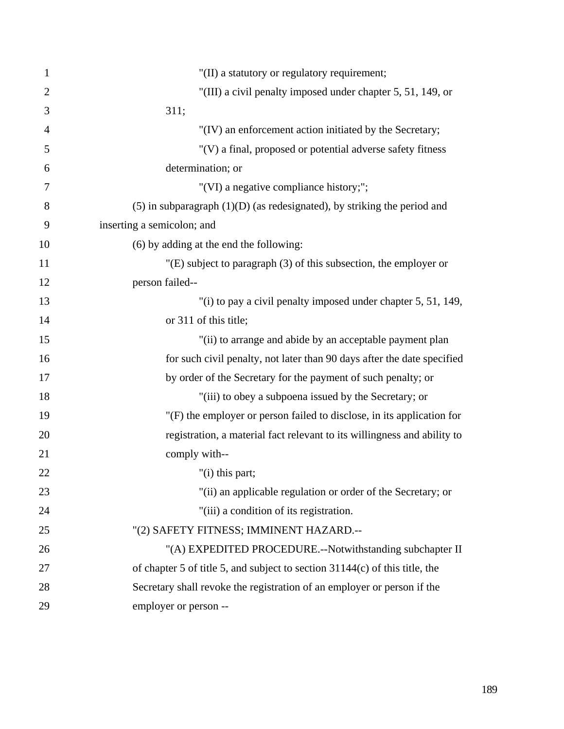| 1              | "(II) a statutory or regulatory requirement;                                  |
|----------------|-------------------------------------------------------------------------------|
| $\overline{2}$ | "(III) a civil penalty imposed under chapter 5, 51, 149, or                   |
| 3              | 311;                                                                          |
| $\overline{4}$ | "(IV) an enforcement action initiated by the Secretary;                       |
| 5              | "(V) a final, proposed or potential adverse safety fitness                    |
| 6              | determination; or                                                             |
| 7              | "(VI) a negative compliance history;";                                        |
| 8              | $(5)$ in subparagraph $(1)(D)$ (as redesignated), by striking the period and  |
| 9              | inserting a semicolon; and                                                    |
| 10             | (6) by adding at the end the following:                                       |
| 11             | $"$ (E) subject to paragraph (3) of this subsection, the employer or          |
| 12             | person failed--                                                               |
| 13             | "(i) to pay a civil penalty imposed under chapter 5, 51, 149,                 |
| 14             | or 311 of this title;                                                         |
| 15             | "(ii) to arrange and abide by an acceptable payment plan                      |
| 16             | for such civil penalty, not later than 90 days after the date specified       |
| 17             | by order of the Secretary for the payment of such penalty; or                 |
| 18             | "(iii) to obey a subpoena issued by the Secretary; or                         |
| 19             | "(F) the employer or person failed to disclose, in its application for        |
| 20             | registration, a material fact relevant to its willingness and ability to      |
| 21             | comply with--                                                                 |
| 22             | "(i) this part;                                                               |
| 23             | "(ii) an applicable regulation or order of the Secretary; or                  |
| 24             | "(iii) a condition of its registration.                                       |
| 25             | "(2) SAFETY FITNESS; IMMINENT HAZARD.--                                       |
| 26             | "(A) EXPEDITED PROCEDURE.--Notwithstanding subchapter II                      |
| 27             | of chapter 5 of title 5, and subject to section $31144(c)$ of this title, the |
| 28             | Secretary shall revoke the registration of an employer or person if the       |
| 29             | employer or person --                                                         |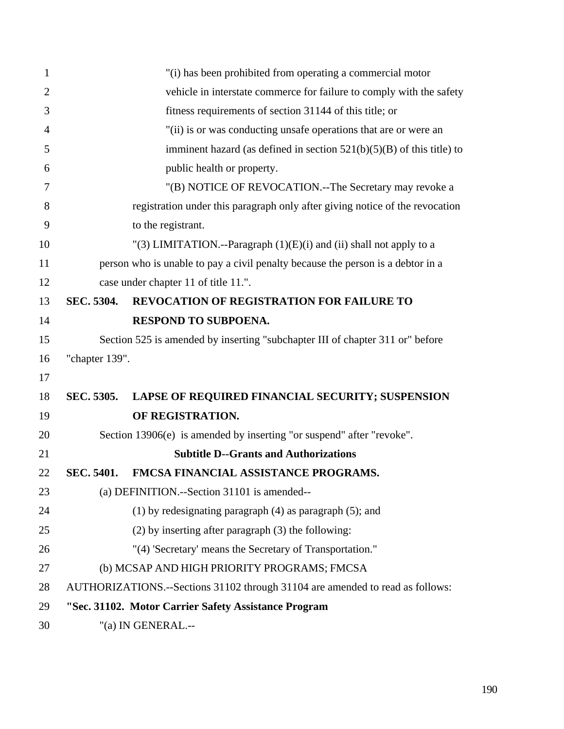| $\mathbf{1}$   |                | "(i) has been prohibited from operating a commercial motor                      |
|----------------|----------------|---------------------------------------------------------------------------------|
| $\overline{2}$ |                | vehicle in interstate commerce for failure to comply with the safety            |
| 3              |                | fitness requirements of section 31144 of this title; or                         |
| 4              |                | "(ii) is or was conducting unsafe operations that are or were an                |
| 5              |                | imminent hazard (as defined in section $521(b)(5)(B)$ of this title) to         |
| 6              |                | public health or property.                                                      |
| 7              |                | "(B) NOTICE OF REVOCATION.--The Secretary may revoke a                          |
| 8              |                | registration under this paragraph only after giving notice of the revocation    |
| 9              |                | to the registrant.                                                              |
| 10             |                | "(3) LIMITATION.--Paragraph $(1)(E)(i)$ and $(ii)$ shall not apply to a         |
| 11             |                | person who is unable to pay a civil penalty because the person is a debtor in a |
| 12             |                | case under chapter 11 of title 11.".                                            |
| 13             | SEC. 5304.     | <b>REVOCATION OF REGISTRATION FOR FAILURE TO</b>                                |
| 14             |                | RESPOND TO SUBPOENA.                                                            |
| 15             |                | Section 525 is amended by inserting "subchapter III of chapter 311 or" before   |
| 16             | "chapter 139". |                                                                                 |
| 17             |                |                                                                                 |
| 18             | SEC. 5305.     | LAPSE OF REQUIRED FINANCIAL SECURITY; SUSPENSION                                |
| 19             |                | OF REGISTRATION.                                                                |
| 20             |                | Section 13906(e) is amended by inserting "or suspend" after "revoke".           |
| 21             |                | <b>Subtitle D--Grants and Authorizations</b>                                    |
| 22             | SEC. 5401.     | FMCSA FINANCIAL ASSISTANCE PROGRAMS.                                            |
| 23             |                | (a) DEFINITION.--Section 31101 is amended--                                     |
| 24             |                | $(1)$ by redesignating paragraph $(4)$ as paragraph $(5)$ ; and                 |
| 25             |                | $(2)$ by inserting after paragraph $(3)$ the following:                         |
| 26             |                | "(4) 'Secretary' means the Secretary of Transportation."                        |
| 27             |                | (b) MCSAP AND HIGH PRIORITY PROGRAMS; FMCSA                                     |
| 28             |                | AUTHORIZATIONS.--Sections 31102 through 31104 are amended to read as follows:   |
| 29             |                | "Sec. 31102. Motor Carrier Safety Assistance Program                            |
| 30             |                | "(a) IN GENERAL.--                                                              |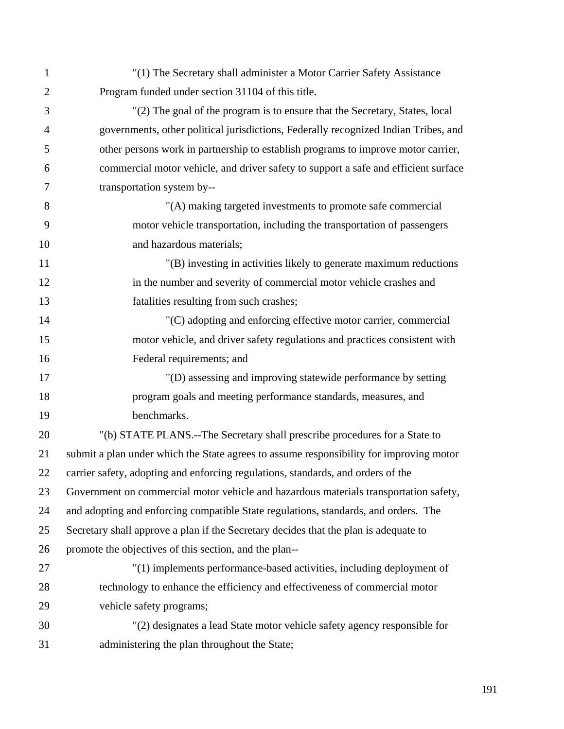1 "(1) The Secretary shall administer a Motor Carrier Safety Assistance 2 Program funded under section 31104 of this title. 3 "(2) The goal of the program is to ensure that the Secretary, States, local 4 governments, other political jurisdictions, Federally recognized Indian Tribes, and 5 other persons work in partnership to establish programs to improve motor carrier, 6 commercial motor vehicle, and driver safety to support a safe and efficient surface 7 transportation system by-- 8 "(A) making targeted investments to promote safe commercial 9 motor vehicle transportation, including the transportation of passengers 10 and hazardous materials; 11 "(B) investing in activities likely to generate maximum reductions 12 in the number and severity of commercial motor vehicle crashes and 13 fatalities resulting from such crashes; 14 "(C) adopting and enforcing effective motor carrier, commercial 15 motor vehicle, and driver safety regulations and practices consistent with 16 Federal requirements; and 17 "(D) assessing and improving statewide performance by setting 18 program goals and meeting performance standards, measures, and 19 benchmarks. 20 "(b) STATE PLANS.--The Secretary shall prescribe procedures for a State to 21 submit a plan under which the State agrees to assume responsibility for improving motor 22 carrier safety, adopting and enforcing regulations, standards, and orders of the 23 Government on commercial motor vehicle and hazardous materials transportation safety, 24 and adopting and enforcing compatible State regulations, standards, and orders. The 25 Secretary shall approve a plan if the Secretary decides that the plan is adequate to 26 promote the objectives of this section, and the plan-- 27 "(1) implements performance-based activities, including deployment of 28 technology to enhance the efficiency and effectiveness of commercial motor 29 vehicle safety programs; 30 "(2) designates a lead State motor vehicle safety agency responsible for 31 administering the plan throughout the State;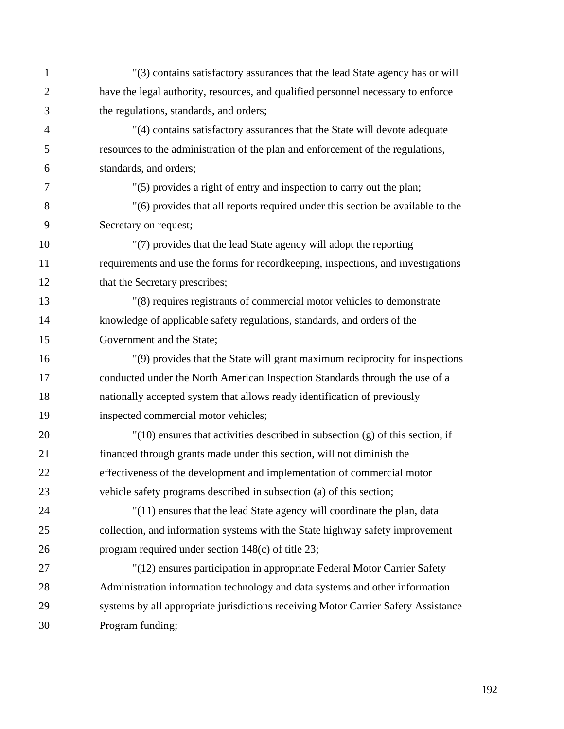| $\mathbf{1}$   | "(3) contains satisfactory assurances that the lead State agency has or will       |
|----------------|------------------------------------------------------------------------------------|
| $\overline{2}$ | have the legal authority, resources, and qualified personnel necessary to enforce  |
| 3              | the regulations, standards, and orders;                                            |
| $\overline{4}$ | "(4) contains satisfactory assurances that the State will devote adequate          |
| 5              | resources to the administration of the plan and enforcement of the regulations,    |
| 6              | standards, and orders;                                                             |
| 7              | "(5) provides a right of entry and inspection to carry out the plan;               |
| 8              | "(6) provides that all reports required under this section be available to the     |
| 9              | Secretary on request;                                                              |
| 10             | "(7) provides that the lead State agency will adopt the reporting                  |
| 11             | requirements and use the forms for recordkeeping, inspections, and investigations  |
| 12             | that the Secretary prescribes;                                                     |
| 13             | "(8) requires registrants of commercial motor vehicles to demonstrate              |
| 14             | knowledge of applicable safety regulations, standards, and orders of the           |
| 15             | Government and the State;                                                          |
| 16             | "(9) provides that the State will grant maximum reciprocity for inspections        |
| 17             | conducted under the North American Inspection Standards through the use of a       |
| 18             | nationally accepted system that allows ready identification of previously          |
| 19             | inspected commercial motor vehicles;                                               |
| 20             | $'(10)$ ensures that activities described in subsection (g) of this section, if    |
| 21             | financed through grants made under this section, will not diminish the             |
| 22             | effectiveness of the development and implementation of commercial motor            |
| 23             | vehicle safety programs described in subsection (a) of this section;               |
| 24             | "(11) ensures that the lead State agency will coordinate the plan, data            |
| 25             | collection, and information systems with the State highway safety improvement      |
| 26             | program required under section 148(c) of title 23;                                 |
| 27             | "(12) ensures participation in appropriate Federal Motor Carrier Safety            |
| 28             | Administration information technology and data systems and other information       |
| 29             | systems by all appropriate jurisdictions receiving Motor Carrier Safety Assistance |
| 30             | Program funding;                                                                   |
|                |                                                                                    |

192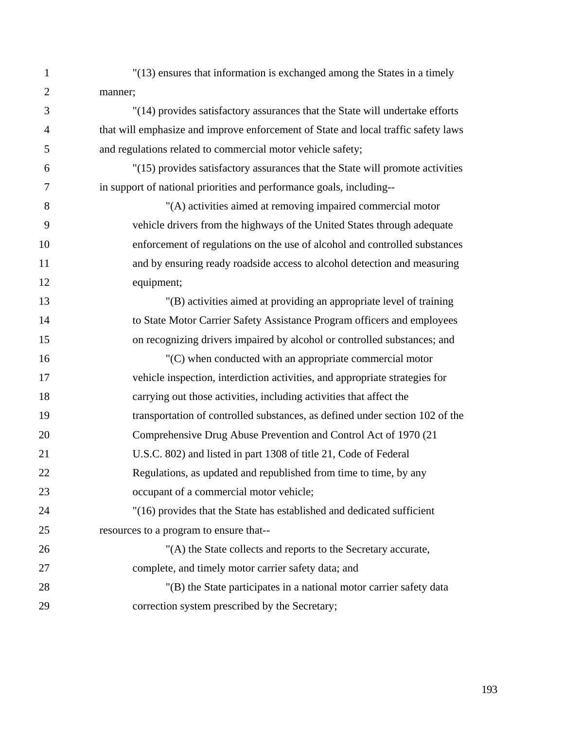- 1 "(13) ensures that information is exchanged among the States in a timely 2 manner;
- 3 "(14) provides satisfactory assurances that the State will undertake efforts 4 that will emphasize and improve enforcement of State and local traffic safety laws 5 and regulations related to commercial motor vehicle safety;
- 6 "(15) provides satisfactory assurances that the State will promote activities 7 in support of national priorities and performance goals, including--
- 8 "(A) activities aimed at removing impaired commercial motor 9 vehicle drivers from the highways of the United States through adequate 10 enforcement of regulations on the use of alcohol and controlled substances 11 and by ensuring ready roadside access to alcohol detection and measuring 12 equipment;
- 13 "(B) activities aimed at providing an appropriate level of training 14 to State Motor Carrier Safety Assistance Program officers and employees 15 on recognizing drivers impaired by alcohol or controlled substances; and
- 16 "(C) when conducted with an appropriate commercial motor 17 vehicle inspection, interdiction activities, and appropriate strategies for 18 carrying out those activities, including activities that affect the 19 transportation of controlled substances, as defined under section 102 of the 20 Comprehensive Drug Abuse Prevention and Control Act of 1970 (21 21 U.S.C. 802) and listed in part 1308 of title 21, Code of Federal 22 Regulations, as updated and republished from time to time, by any 23 occupant of a commercial motor vehicle; 24 "(16) provides that the State has established and dedicated sufficient
- 25 resources to a program to ensure that--
- 26 "(A) the State collects and reports to the Secretary accurate, 27 complete, and timely motor carrier safety data; and
- 28 "(B) the State participates in a national motor carrier safety data 29 correction system prescribed by the Secretary;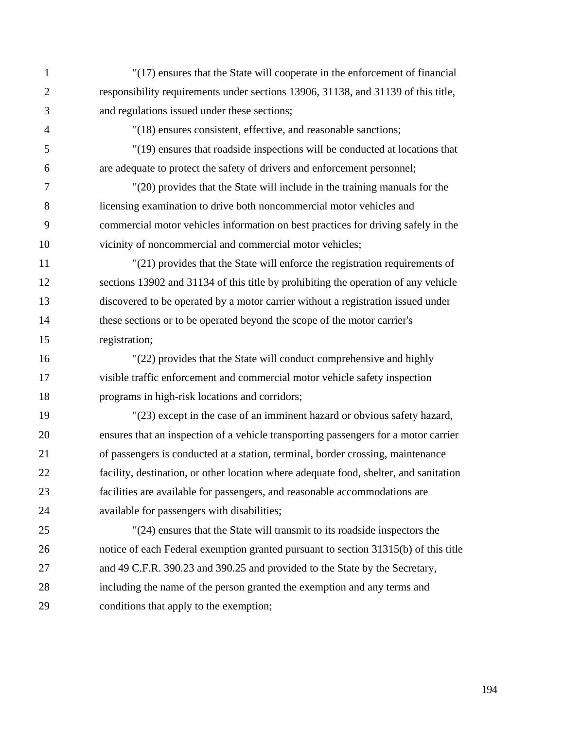1 "(17) ensures that the State will cooperate in the enforcement of financial 2 responsibility requirements under sections 13906, 31138, and 31139 of this title, 3 and regulations issued under these sections; 4 "(18) ensures consistent, effective, and reasonable sanctions; 5 "(19) ensures that roadside inspections will be conducted at locations that 6 are adequate to protect the safety of drivers and enforcement personnel; 7 "(20) provides that the State will include in the training manuals for the 8 licensing examination to drive both noncommercial motor vehicles and 9 commercial motor vehicles information on best practices for driving safely in the 10 vicinity of noncommercial and commercial motor vehicles; 11 "(21) provides that the State will enforce the registration requirements of 12 sections 13902 and 31134 of this title by prohibiting the operation of any vehicle 13 discovered to be operated by a motor carrier without a registration issued under 14 these sections or to be operated beyond the scope of the motor carrier's 15 registration; 16 "(22) provides that the State will conduct comprehensive and highly 17 visible traffic enforcement and commercial motor vehicle safety inspection 18 programs in high-risk locations and corridors; 19 "(23) except in the case of an imminent hazard or obvious safety hazard, 20 ensures that an inspection of a vehicle transporting passengers for a motor carrier 21 of passengers is conducted at a station, terminal, border crossing, maintenance 22 facility, destination, or other location where adequate food, shelter, and sanitation 23 facilities are available for passengers, and reasonable accommodations are 24 available for passengers with disabilities; 25 "(24) ensures that the State will transmit to its roadside inspectors the 26 notice of each Federal exemption granted pursuant to section 31315(b) of this title 27 and 49 C.F.R. 390.23 and 390.25 and provided to the State by the Secretary,

28 including the name of the person granted the exemption and any terms and

29 conditions that apply to the exemption;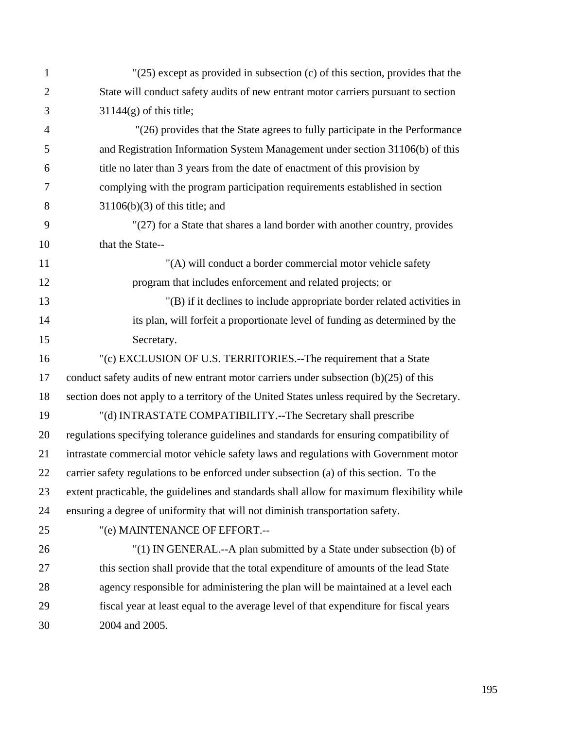| $\mathbf{1}$   | $'(25)$ except as provided in subsection (c) of this section, provides that the              |
|----------------|----------------------------------------------------------------------------------------------|
| $\overline{2}$ | State will conduct safety audits of new entrant motor carriers pursuant to section           |
| 3              | $31144(g)$ of this title;                                                                    |
| $\overline{4}$ | "(26) provides that the State agrees to fully participate in the Performance                 |
| 5              | and Registration Information System Management under section 31106(b) of this                |
| 6              | title no later than 3 years from the date of enactment of this provision by                  |
| $\overline{7}$ | complying with the program participation requirements established in section                 |
| 8              | $31106(b)(3)$ of this title; and                                                             |
| 9              | "(27) for a State that shares a land border with another country, provides                   |
| 10             | that the State--                                                                             |
| 11             | "(A) will conduct a border commercial motor vehicle safety                                   |
| 12             | program that includes enforcement and related projects; or                                   |
| 13             | "(B) if it declines to include appropriate border related activities in                      |
| 14             | its plan, will forfeit a proportionate level of funding as determined by the                 |
| 15             | Secretary.                                                                                   |
| 16             | "(c) EXCLUSION OF U.S. TERRITORIES.--The requirement that a State                            |
| 17             | conduct safety audits of new entrant motor carriers under subsection $(b)(25)$ of this       |
| 18             | section does not apply to a territory of the United States unless required by the Secretary. |
| 19             | "(d) INTRASTATE COMPATIBILITY.--The Secretary shall prescribe                                |
| 20             | regulations specifying tolerance guidelines and standards for ensuring compatibility of      |
| 21             | intrastate commercial motor vehicle safety laws and regulations with Government motor        |
| 22             | carrier safety regulations to be enforced under subsection (a) of this section. To the       |
| 23             | extent practicable, the guidelines and standards shall allow for maximum flexibility while   |
| 24             | ensuring a degree of uniformity that will not diminish transportation safety.                |
| 25             | "(e) MAINTENANCE OF EFFORT.--                                                                |
| 26             | "(1) IN GENERAL.--A plan submitted by a State under subsection (b) of                        |
| 27             | this section shall provide that the total expenditure of amounts of the lead State           |
| 28             | agency responsible for administering the plan will be maintained at a level each             |
| 29             | fiscal year at least equal to the average level of that expenditure for fiscal years         |
| 30             | 2004 and 2005.                                                                               |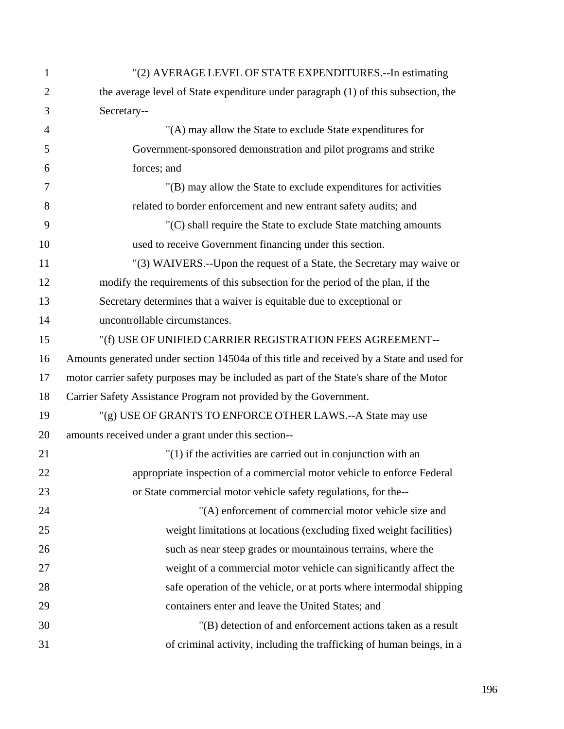| 1              | "(2) AVERAGE LEVEL OF STATE EXPENDITURES.--In estimating                                  |
|----------------|-------------------------------------------------------------------------------------------|
| $\overline{2}$ | the average level of State expenditure under paragraph (1) of this subsection, the        |
| 3              | Secretary--                                                                               |
| $\overline{4}$ | "(A) may allow the State to exclude State expenditures for                                |
| 5              | Government-sponsored demonstration and pilot programs and strike                          |
| 6              | forces; and                                                                               |
| 7              | "(B) may allow the State to exclude expenditures for activities                           |
| 8              | related to border enforcement and new entrant safety audits; and                          |
| 9              | "(C) shall require the State to exclude State matching amounts                            |
| 10             | used to receive Government financing under this section.                                  |
| 11             | "(3) WAIVERS.--Upon the request of a State, the Secretary may waive or                    |
| 12             | modify the requirements of this subsection for the period of the plan, if the             |
| 13             | Secretary determines that a waiver is equitable due to exceptional or                     |
| 14             | uncontrollable circumstances.                                                             |
| 15             | "(f) USE OF UNIFIED CARRIER REGISTRATION FEES AGREEMENT--                                 |
| 16             | Amounts generated under section 14504a of this title and received by a State and used for |
| 17             | motor carrier safety purposes may be included as part of the State's share of the Motor   |
| 18             | Carrier Safety Assistance Program not provided by the Government.                         |
| 19             | "(g) USE OF GRANTS TO ENFORCE OTHER LAWS.--A State may use                                |
| 20             | amounts received under a grant under this section--                                       |
| 21             | $''(1)$ if the activities are carried out in conjunction with an                          |
| 22             | appropriate inspection of a commercial motor vehicle to enforce Federal                   |
| 23             | or State commercial motor vehicle safety regulations, for the--                           |
| 24             | "(A) enforcement of commercial motor vehicle size and                                     |
| 25             | weight limitations at locations (excluding fixed weight facilities)                       |
| 26             | such as near steep grades or mountainous terrains, where the                              |
| 27             | weight of a commercial motor vehicle can significantly affect the                         |
| 28             | safe operation of the vehicle, or at ports where intermodal shipping                      |
| 29             | containers enter and leave the United States; and                                         |
| 30             | "(B) detection of and enforcement actions taken as a result                               |
| 31             | of criminal activity, including the trafficking of human beings, in a                     |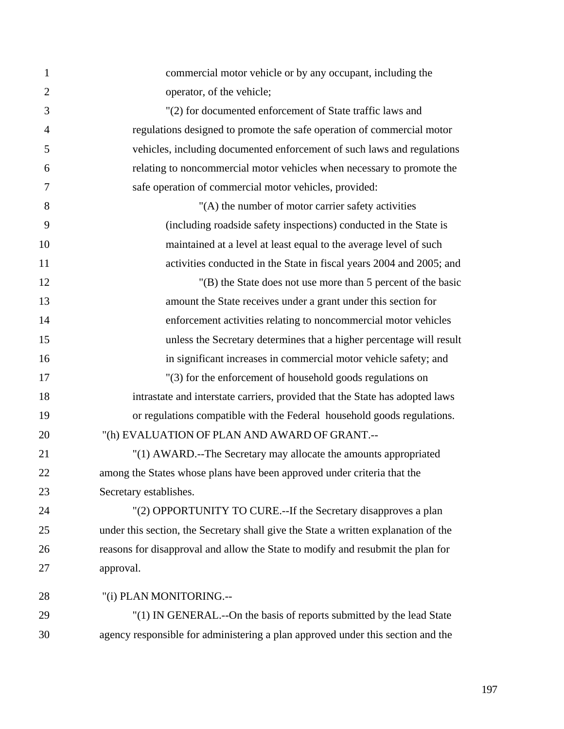| $\mathbf{1}$   | commercial motor vehicle or by any occupant, including the                          |
|----------------|-------------------------------------------------------------------------------------|
| $\overline{2}$ | operator, of the vehicle;                                                           |
| 3              | "(2) for documented enforcement of State traffic laws and                           |
| $\overline{4}$ | regulations designed to promote the safe operation of commercial motor              |
| 5              | vehicles, including documented enforcement of such laws and regulations             |
| 6              | relating to noncommercial motor vehicles when necessary to promote the              |
| 7              | safe operation of commercial motor vehicles, provided:                              |
| 8              | "(A) the number of motor carrier safety activities                                  |
| 9              | (including roadside safety inspections) conducted in the State is                   |
| 10             | maintained at a level at least equal to the average level of such                   |
| 11             | activities conducted in the State in fiscal years 2004 and 2005; and                |
| 12             | "(B) the State does not use more than 5 percent of the basic                        |
| 13             | amount the State receives under a grant under this section for                      |
| 14             | enforcement activities relating to noncommercial motor vehicles                     |
| 15             | unless the Secretary determines that a higher percentage will result                |
| 16             | in significant increases in commercial motor vehicle safety; and                    |
| 17             | "(3) for the enforcement of household goods regulations on                          |
| 18             | intrastate and interstate carriers, provided that the State has adopted laws        |
| 19             | or regulations compatible with the Federal household goods regulations.             |
| 20             | "(h) EVALUATION OF PLAN AND AWARD OF GRANT.--                                       |
| 21             | "(1) AWARD.--The Secretary may allocate the amounts appropriated                    |
| 22             | among the States whose plans have been approved under criteria that the             |
| 23             | Secretary establishes.                                                              |
| 24             | "(2) OPPORTUNITY TO CURE.--If the Secretary disapproves a plan                      |
| 25             | under this section, the Secretary shall give the State a written explanation of the |
| 26             | reasons for disapproval and allow the State to modify and resubmit the plan for     |
| 27             | approval.                                                                           |
| 28             | "(i) PLAN MONITORING.--                                                             |
| 29             | "(1) IN GENERAL.--On the basis of reports submitted by the lead State               |
| 30             | agency responsible for administering a plan approved under this section and the     |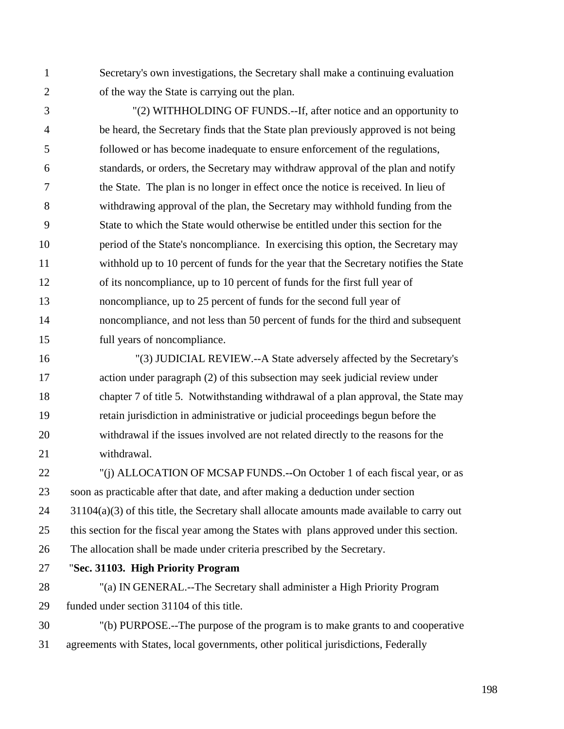1 Secretary's own investigations, the Secretary shall make a continuing evaluation 2 of the way the State is carrying out the plan.

3 "(2) WITHHOLDING OF FUNDS.--If, after notice and an opportunity to 4 be heard, the Secretary finds that the State plan previously approved is not being 5 followed or has become inadequate to ensure enforcement of the regulations, 6 standards, or orders, the Secretary may withdraw approval of the plan and notify 7 the State. The plan is no longer in effect once the notice is received. In lieu of 8 withdrawing approval of the plan, the Secretary may withhold funding from the 9 State to which the State would otherwise be entitled under this section for the 10 period of the State's noncompliance. In exercising this option, the Secretary may 11 withhold up to 10 percent of funds for the year that the Secretary notifies the State 12 of its noncompliance, up to 10 percent of funds for the first full year of 13 noncompliance, up to 25 percent of funds for the second full year of 14 noncompliance, and not less than 50 percent of funds for the third and subsequent 15 full years of noncompliance.

16 "(3) JUDICIAL REVIEW.--A State adversely affected by the Secretary's 17 action under paragraph (2) of this subsection may seek judicial review under 18 chapter 7 of title 5. Notwithstanding withdrawal of a plan approval, the State may 19 retain jurisdiction in administrative or judicial proceedings begun before the 20 withdrawal if the issues involved are not related directly to the reasons for the 21 withdrawal.

22 "(j) ALLOCATION OF MCSAP FUNDS.**--**On October 1 of each fiscal year, or as 23 soon as practicable after that date, and after making a deduction under section  $24$  31104(a)(3) of this title, the Secretary shall allocate amounts made available to carry out 25 this section for the fiscal year among the States with plans approved under this section. 26 The allocation shall be made under criteria prescribed by the Secretary.

27 "**Sec. 31103. High Priority Program** 

28 "(a) IN GENERAL.--The Secretary shall administer a High Priority Program 29 funded under section 31104 of this title.

30 "(b) PURPOSE.--The purpose of the program is to make grants to and cooperative 31 agreements with States, local governments, other political jurisdictions, Federally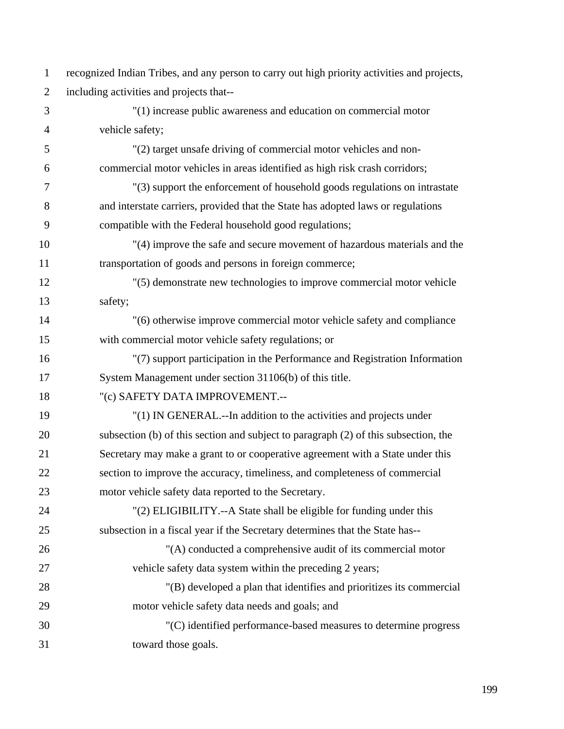| $\mathbf{1}$   | recognized Indian Tribes, and any person to carry out high priority activities and projects, |
|----------------|----------------------------------------------------------------------------------------------|
| $\overline{2}$ | including activities and projects that--                                                     |
| 3              | $"(1)$ increase public awareness and education on commercial motor                           |
| $\overline{4}$ | vehicle safety;                                                                              |
| 5              | "(2) target unsafe driving of commercial motor vehicles and non-                             |
| 6              | commercial motor vehicles in areas identified as high risk crash corridors;                  |
| 7              | "(3) support the enforcement of household goods regulations on intrastate                    |
| 8              | and interstate carriers, provided that the State has adopted laws or regulations             |
| 9              | compatible with the Federal household good regulations;                                      |
| 10             | "(4) improve the safe and secure movement of hazardous materials and the                     |
| 11             | transportation of goods and persons in foreign commerce;                                     |
| 12             | "(5) demonstrate new technologies to improve commercial motor vehicle                        |
| 13             | safety;                                                                                      |
| 14             | "(6) otherwise improve commercial motor vehicle safety and compliance                        |
| 15             | with commercial motor vehicle safety regulations; or                                         |
| 16             | "(7) support participation in the Performance and Registration Information                   |
| 17             | System Management under section 31106(b) of this title.                                      |
| 18             | "(c) SAFETY DATA IMPROVEMENT.--                                                              |
| 19             | "(1) IN GENERAL.--In addition to the activities and projects under                           |
| 20             | subsection (b) of this section and subject to paragraph (2) of this subsection, the          |
| 21             | Secretary may make a grant to or cooperative agreement with a State under this               |
| 22             | section to improve the accuracy, timeliness, and completeness of commercial                  |
| 23             | motor vehicle safety data reported to the Secretary.                                         |
| 24             | "(2) ELIGIBILITY.--A State shall be eligible for funding under this                          |
| 25             | subsection in a fiscal year if the Secretary determines that the State has--                 |
| 26             | "(A) conducted a comprehensive audit of its commercial motor                                 |
| 27             | vehicle safety data system within the preceding 2 years;                                     |
| 28             | "(B) developed a plan that identifies and prioritizes its commercial                         |
| 29             | motor vehicle safety data needs and goals; and                                               |
| 30             | "(C) identified performance-based measures to determine progress                             |
| 31             | toward those goals.                                                                          |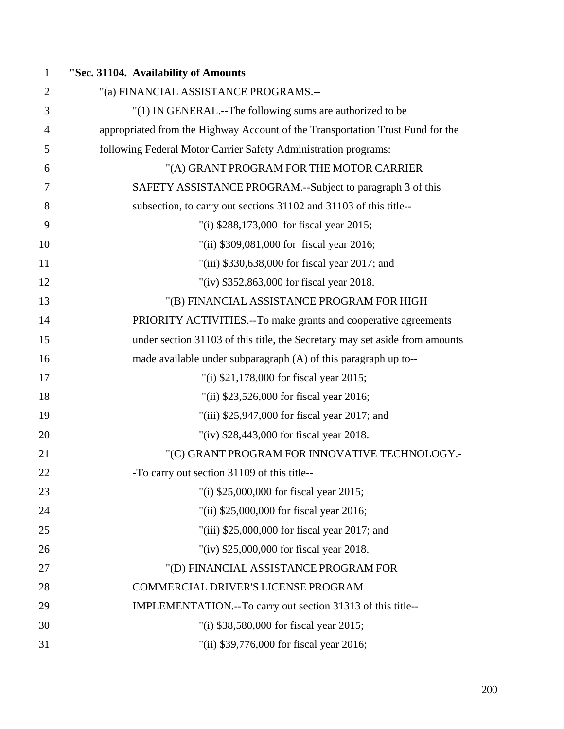| 1              | "Sec. 31104. Availability of Amounts                                           |
|----------------|--------------------------------------------------------------------------------|
| $\overline{2}$ | "(a) FINANCIAL ASSISTANCE PROGRAMS .--                                         |
| 3              | "(1) IN GENERAL.--The following sums are authorized to be                      |
| $\overline{4}$ | appropriated from the Highway Account of the Transportation Trust Fund for the |
| 5              | following Federal Motor Carrier Safety Administration programs:                |
| 6              | "(A) GRANT PROGRAM FOR THE MOTOR CARRIER                                       |
| 7              | SAFETY ASSISTANCE PROGRAM.--Subject to paragraph 3 of this                     |
| 8              | subsection, to carry out sections 31102 and 31103 of this title--              |
| 9              | "(i) \$288,173,000 for fiscal year 2015;                                       |
| 10             | "(ii) \$309,081,000 for fiscal year 2016;                                      |
| 11             | "(iii) $$330,638,000$ for fiscal year 2017; and                                |
| 12             | "(iv) \$352,863,000 for fiscal year 2018.                                      |
| 13             | "(B) FINANCIAL ASSISTANCE PROGRAM FOR HIGH                                     |
| 14             | PRIORITY ACTIVITIES.--To make grants and cooperative agreements                |
| 15             | under section 31103 of this title, the Secretary may set aside from amounts    |
| 16             | made available under subparagraph (A) of this paragraph up to--                |
| 17             | "(i) \$21,178,000 for fiscal year 2015;                                        |
| 18             | "(ii) \$23,526,000 for fiscal year 2016;                                       |
| 19             | "(iii) \$25,947,000 for fiscal year 2017; and                                  |
| 20             | "(iv) \$28,443,000 for fiscal year 2018.                                       |
| 21             | "(C) GRANT PROGRAM FOR INNOVATIVE TECHNOLOGY.-                                 |
| 22             | -To carry out section 31109 of this title--                                    |
| 23             | "(i) \$25,000,000 for fiscal year 2015;                                        |
| 24             | "(ii) \$25,000,000 for fiscal year 2016;                                       |
| 25             | "(iii) $$25,000,000$ for fiscal year 2017; and                                 |
| 26             | "(iv) $$25,000,000$ for fiscal year 2018.                                      |
| 27             | "(D) FINANCIAL ASSISTANCE PROGRAM FOR                                          |
| 28             | COMMERCIAL DRIVER'S LICENSE PROGRAM                                            |
| 29             | IMPLEMENTATION.--To carry out section 31313 of this title--                    |
| 30             | "(i) \$38,580,000 for fiscal year 2015;                                        |
| 31             | "(ii) \$39,776,000 for fiscal year 2016;                                       |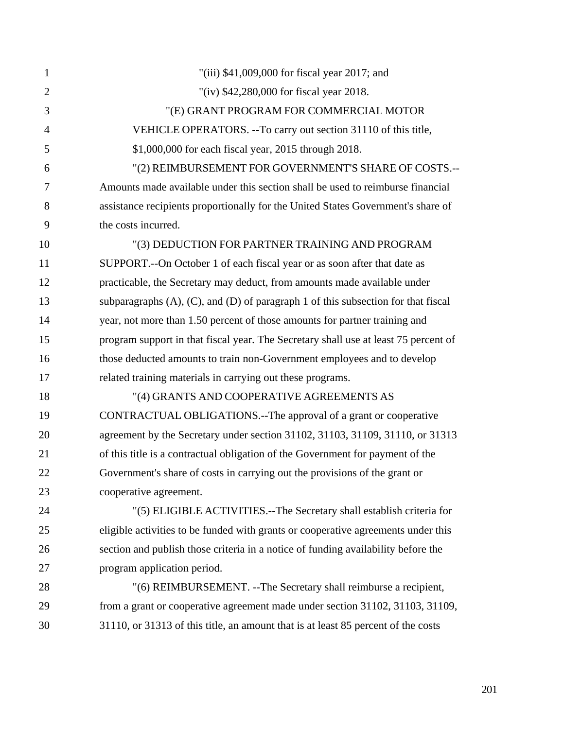| $\mathbf{1}$   | "(iii) \$41,009,000 for fiscal year 2017; and                                             |
|----------------|-------------------------------------------------------------------------------------------|
| $\overline{2}$ | "(iv) \$42,280,000 for fiscal year 2018.                                                  |
| 3              | "(E) GRANT PROGRAM FOR COMMERCIAL MOTOR                                                   |
| $\overline{4}$ | VEHICLE OPERATORS. -- To carry out section 31110 of this title,                           |
| 5              | \$1,000,000 for each fiscal year, 2015 through 2018.                                      |
| 6              | "(2) REIMBURSEMENT FOR GOVERNMENT'S SHARE OF COSTS.--                                     |
| 7              | Amounts made available under this section shall be used to reimburse financial            |
| 8              | assistance recipients proportionally for the United States Government's share of          |
| 9              | the costs incurred.                                                                       |
| 10             | "(3) DEDUCTION FOR PARTNER TRAINING AND PROGRAM                                           |
| 11             | SUPPORT.--On October 1 of each fiscal year or as soon after that date as                  |
| 12             | practicable, the Secretary may deduct, from amounts made available under                  |
| 13             | subparagraphs $(A)$ , $(C)$ , and $(D)$ of paragraph 1 of this subsection for that fiscal |
| 14             | year, not more than 1.50 percent of those amounts for partner training and                |
| 15             | program support in that fiscal year. The Secretary shall use at least 75 percent of       |
| 16             | those deducted amounts to train non-Government employees and to develop                   |
| 17             | related training materials in carrying out these programs.                                |
| 18             | "(4) GRANTS AND COOPERATIVE AGREEMENTS AS                                                 |
| 19             | CONTRACTUAL OBLIGATIONS.--The approval of a grant or cooperative                          |
| 20             | agreement by the Secretary under section 31102, 31103, 31109, 31110, or 31313             |
| 21             | of this title is a contractual obligation of the Government for payment of the            |
| 22             | Government's share of costs in carrying out the provisions of the grant or                |
| 23             | cooperative agreement.                                                                    |
| 24             | "(5) ELIGIBLE ACTIVITIES.--The Secretary shall establish criteria for                     |
| 25             | eligible activities to be funded with grants or cooperative agreements under this         |
| 26             | section and publish those criteria in a notice of funding availability before the         |
| 27             | program application period.                                                               |
| 28             | "(6) REIMBURSEMENT. -- The Secretary shall reimburse a recipient,                         |
| 29             | from a grant or cooperative agreement made under section 31102, 31103, 31109,             |
| 30             | 31110, or 31313 of this title, an amount that is at least 85 percent of the costs         |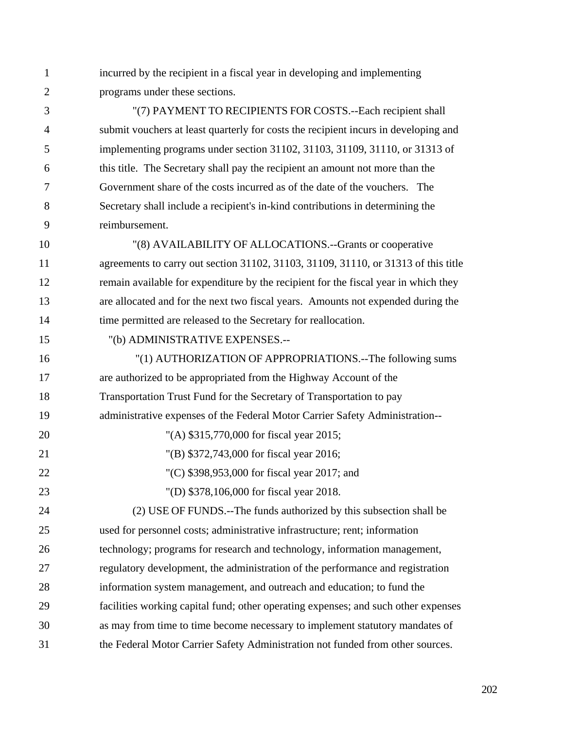1 incurred by the recipient in a fiscal year in developing and implementing 2 programs under these sections.

3 "(7) PAYMENT TO RECIPIENTS FOR COSTS.--Each recipient shall 4 submit vouchers at least quarterly for costs the recipient incurs in developing and 5 implementing programs under section 31102, 31103, 31109, 31110, or 31313 of 6 this title. The Secretary shall pay the recipient an amount not more than the 7 Government share of the costs incurred as of the date of the vouchers. The 8 Secretary shall include a recipient's in-kind contributions in determining the 9 reimbursement.

10 "(8) AVAILABILITY OF ALLOCATIONS.--Grants or cooperative 11 agreements to carry out section 31102, 31103, 31109, 31110, or 31313 of this title 12 remain available for expenditure by the recipient for the fiscal year in which they 13 are allocated and for the next two fiscal years. Amounts not expended during the 14 time permitted are released to the Secretary for reallocation.

15 "(b) ADMINISTRATIVE EXPENSES.--

16 "(1) AUTHORIZATION OF APPROPRIATIONS.--The following sums 17 are authorized to be appropriated from the Highway Account of the 18 Transportation Trust Fund for the Secretary of Transportation to pay 19 administrative expenses of the Federal Motor Carrier Safety Administration-- 20 "(A) \$315,770,000 for fiscal year 2015; 21 "(B) \$372,743,000 for fiscal year 2016; 22 "(C) \$398,953,000 for fiscal year 2017; and 23 "(D) \$378,106,000 for fiscal year 2018. 24 (2) USE OF FUNDS.--The funds authorized by this subsection shall be 25 used for personnel costs; administrative infrastructure; rent; information 26 technology; programs for research and technology, information management, 27 regulatory development, the administration of the performance and registration 28 information system management, and outreach and education; to fund the 29 facilities working capital fund; other operating expenses; and such other expenses 30 as may from time to time become necessary to implement statutory mandates of 31 the Federal Motor Carrier Safety Administration not funded from other sources.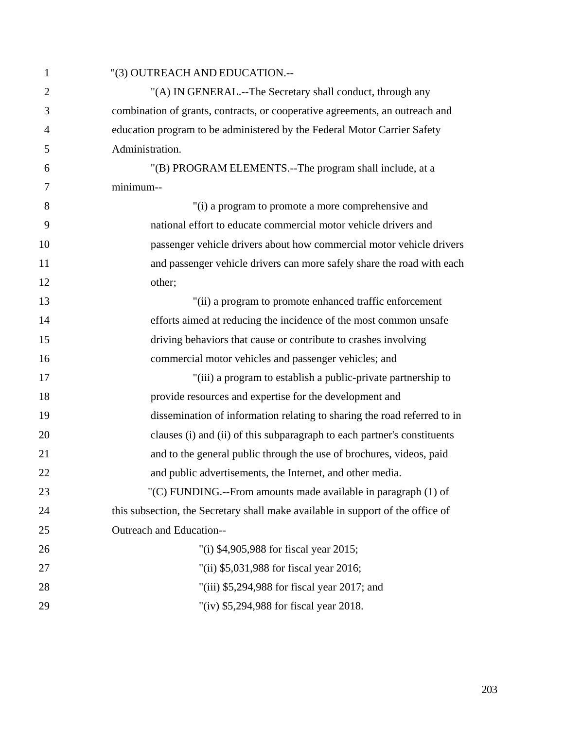| 1              | "(3) OUTREACH AND EDUCATION.--                                                  |
|----------------|---------------------------------------------------------------------------------|
| $\overline{2}$ | "(A) IN GENERAL.--The Secretary shall conduct, through any                      |
| 3              | combination of grants, contracts, or cooperative agreements, an outreach and    |
| $\overline{4}$ | education program to be administered by the Federal Motor Carrier Safety        |
| 5              | Administration.                                                                 |
| 6              | "(B) PROGRAM ELEMENTS.--The program shall include, at a                         |
| 7              | minimum--                                                                       |
| 8              | "(i) a program to promote a more comprehensive and                              |
| 9              | national effort to educate commercial motor vehicle drivers and                 |
| 10             | passenger vehicle drivers about how commercial motor vehicle drivers            |
| 11             | and passenger vehicle drivers can more safely share the road with each          |
| 12             | other;                                                                          |
| 13             | "(ii) a program to promote enhanced traffic enforcement                         |
| 14             | efforts aimed at reducing the incidence of the most common unsafe               |
| 15             | driving behaviors that cause or contribute to crashes involving                 |
| 16             | commercial motor vehicles and passenger vehicles; and                           |
| 17             | "(iii) a program to establish a public-private partnership to                   |
| 18             | provide resources and expertise for the development and                         |
| 19             | dissemination of information relating to sharing the road referred to in        |
| 20             | clauses (i) and (ii) of this subparagraph to each partner's constituents        |
| 21             | and to the general public through the use of brochures, videos, paid            |
| 22             | and public advertisements, the Internet, and other media.                       |
| 23             | "(C) FUNDING.--From amounts made available in paragraph (1) of                  |
| 24             | this subsection, the Secretary shall make available in support of the office of |
| 25             | Outreach and Education--                                                        |
| 26             | "(i) \$4,905,988 for fiscal year 2015;                                          |
| 27             | "(ii) \$5,031,988 for fiscal year 2016;                                         |
| 28             | "(iii) $$5,294,988$ for fiscal year 2017; and                                   |
| 29             | "(iv) \$5,294,988 for fiscal year 2018.                                         |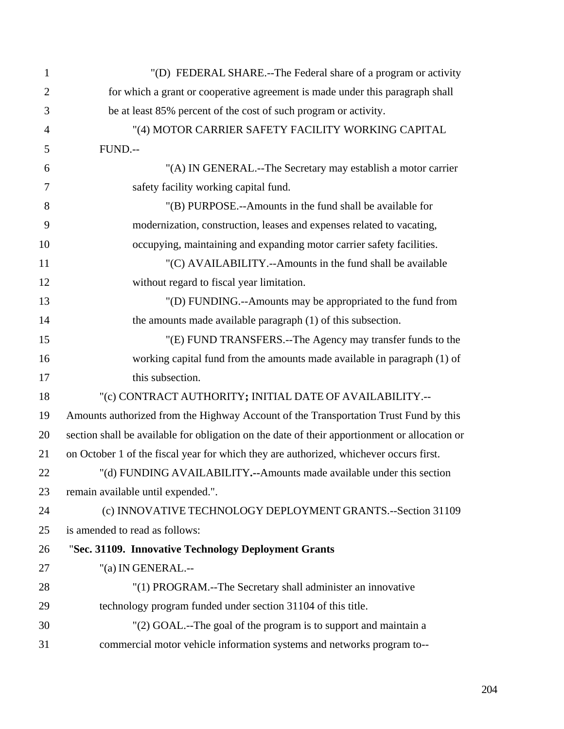| $\mathbf{1}$   | "(D) FEDERAL SHARE.--The Federal share of a program or activity                               |
|----------------|-----------------------------------------------------------------------------------------------|
| $\overline{2}$ | for which a grant or cooperative agreement is made under this paragraph shall                 |
| 3              | be at least 85% percent of the cost of such program or activity.                              |
| $\overline{4}$ | "(4) MOTOR CARRIER SAFETY FACILITY WORKING CAPITAL                                            |
| 5              | FUND.--                                                                                       |
| 6              | "(A) IN GENERAL.--The Secretary may establish a motor carrier                                 |
| 7              | safety facility working capital fund.                                                         |
| 8              | "(B) PURPOSE.--Amounts in the fund shall be available for                                     |
| 9              | modernization, construction, leases and expenses related to vacating,                         |
| 10             | occupying, maintaining and expanding motor carrier safety facilities.                         |
| 11             | "(C) AVAILABILITY.--Amounts in the fund shall be available                                    |
| 12             | without regard to fiscal year limitation.                                                     |
| 13             | "(D) FUNDING.--Amounts may be appropriated to the fund from                                   |
| 14             | the amounts made available paragraph $(1)$ of this subsection.                                |
| 15             | "(E) FUND TRANSFERS.--The Agency may transfer funds to the                                    |
| 16             | working capital fund from the amounts made available in paragraph (1) of                      |
| 17             | this subsection.                                                                              |
| 18             | "(c) CONTRACT AUTHORITY; INITIAL DATE OF AVAILABILITY .--                                     |
| 19             | Amounts authorized from the Highway Account of the Transportation Trust Fund by this          |
| 20             | section shall be available for obligation on the date of their apportionment or allocation or |
| 21             | on October 1 of the fiscal year for which they are authorized, whichever occurs first.        |
| 22             | "(d) FUNDING AVAILABILITY.--Amounts made available under this section                         |
| 23             | remain available until expended.".                                                            |
| 24             | (c) INNOVATIVE TECHNOLOGY DEPLOYMENT GRANTS.--Section 31109                                   |
| 25             | is amended to read as follows:                                                                |
| 26             | "Sec. 31109. Innovative Technology Deployment Grants                                          |
| 27             | "(a) IN GENERAL.--                                                                            |
| 28             | "(1) PROGRAM.--The Secretary shall administer an innovative                                   |
| 29             | technology program funded under section 31104 of this title.                                  |
| 30             | "(2) GOAL.--The goal of the program is to support and maintain a                              |
| 31             | commercial motor vehicle information systems and networks program to--                        |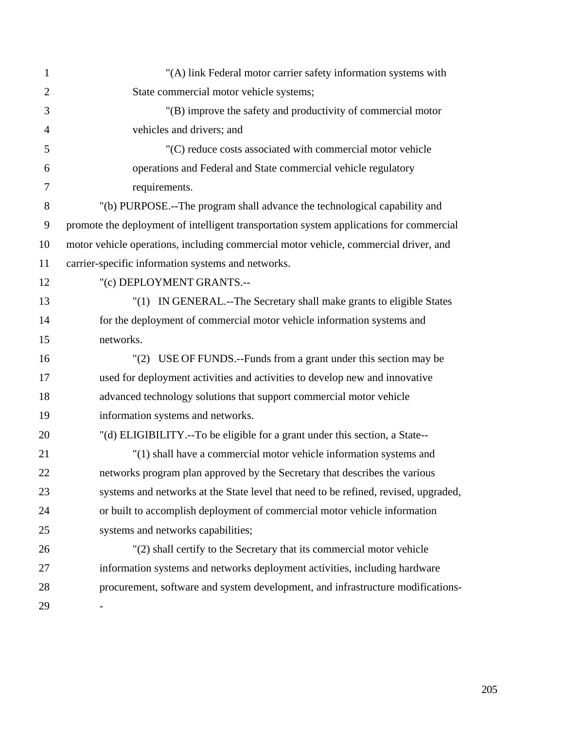| $\mathbf{1}$   | "(A) link Federal motor carrier safety information systems with                         |
|----------------|-----------------------------------------------------------------------------------------|
| $\overline{2}$ | State commercial motor vehicle systems;                                                 |
| 3              | "(B) improve the safety and productivity of commercial motor                            |
| $\overline{4}$ | vehicles and drivers; and                                                               |
| 5              | "(C) reduce costs associated with commercial motor vehicle                              |
| 6              | operations and Federal and State commercial vehicle regulatory                          |
| 7              | requirements.                                                                           |
| 8              | "(b) PURPOSE.--The program shall advance the technological capability and               |
| 9              | promote the deployment of intelligent transportation system applications for commercial |
| 10             | motor vehicle operations, including commercial motor vehicle, commercial driver, and    |
| 11             | carrier-specific information systems and networks.                                      |
| 12             | "(c) DEPLOYMENT GRANTS.--                                                               |
| 13             | "(1) IN GENERAL.--The Secretary shall make grants to eligible States                    |
| 14             | for the deployment of commercial motor vehicle information systems and                  |
| 15             | networks.                                                                               |
| 16             | "(2) USE OF FUNDS.--Funds from a grant under this section may be                        |
| 17             | used for deployment activities and activities to develop new and innovative             |
| 18             | advanced technology solutions that support commercial motor vehicle                     |
| 19             | information systems and networks.                                                       |
| 20             | "(d) ELIGIBILITY.--To be eligible for a grant under this section, a State--             |
| 21             | "(1) shall have a commercial motor vehicle information systems and                      |
| 22             | networks program plan approved by the Secretary that describes the various              |
| 23             | systems and networks at the State level that need to be refined, revised, upgraded,     |
| 24             | or built to accomplish deployment of commercial motor vehicle information               |
| 25             | systems and networks capabilities;                                                      |
| 26             | "(2) shall certify to the Secretary that its commercial motor vehicle                   |
| 27             | information systems and networks deployment activities, including hardware              |
| 28             | procurement, software and system development, and infrastructure modifications-         |
| 29             |                                                                                         |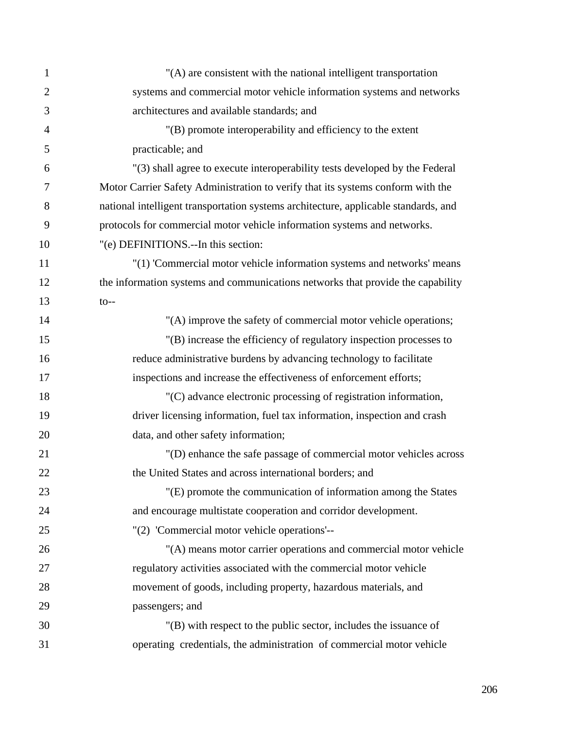| $\mathbf{1}$   | "(A) are consistent with the national intelligent transportation                    |
|----------------|-------------------------------------------------------------------------------------|
| $\overline{2}$ | systems and commercial motor vehicle information systems and networks               |
| 3              | architectures and available standards; and                                          |
| $\overline{4}$ | "(B) promote interoperability and efficiency to the extent                          |
| 5              | practicable; and                                                                    |
| 6              | "(3) shall agree to execute interoperability tests developed by the Federal         |
| 7              | Motor Carrier Safety Administration to verify that its systems conform with the     |
| 8              | national intelligent transportation systems architecture, applicable standards, and |
| 9              | protocols for commercial motor vehicle information systems and networks.            |
| 10             | "(e) DEFINITIONS.--In this section:                                                 |
| 11             | "(1) 'Commercial motor vehicle information systems and networks' means              |
| 12             | the information systems and communications networks that provide the capability     |
| 13             | $to--$                                                                              |
| 14             | "(A) improve the safety of commercial motor vehicle operations;                     |
| 15             | "(B) increase the efficiency of regulatory inspection processes to                  |
| 16             | reduce administrative burdens by advancing technology to facilitate                 |
| 17             | inspections and increase the effectiveness of enforcement efforts;                  |
| 18             | "(C) advance electronic processing of registration information,                     |
| 19             | driver licensing information, fuel tax information, inspection and crash            |
| 20             | data, and other safety information;                                                 |
| 21             | "(D) enhance the safe passage of commercial motor vehicles across                   |
| 22             | the United States and across international borders; and                             |
| 23             | "(E) promote the communication of information among the States                      |
| 24             | and encourage multistate cooperation and corridor development.                      |
| 25             | "(2) 'Commercial motor vehicle operations'--                                        |
| 26             | "(A) means motor carrier operations and commercial motor vehicle                    |
| 27             | regulatory activities associated with the commercial motor vehicle                  |
| 28             | movement of goods, including property, hazardous materials, and                     |
| 29             | passengers; and                                                                     |
| 30             | "(B) with respect to the public sector, includes the issuance of                    |
| 31             | operating credentials, the administration of commercial motor vehicle               |

206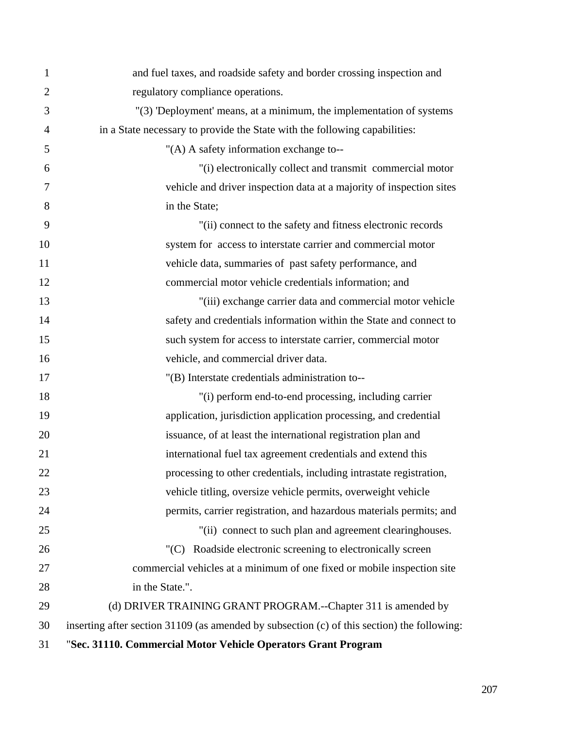| 1              | and fuel taxes, and roadside safety and border crossing inspection and                      |
|----------------|---------------------------------------------------------------------------------------------|
| $\overline{2}$ | regulatory compliance operations.                                                           |
| 3              | "(3) 'Deployment' means, at a minimum, the implementation of systems                        |
| 4              | in a State necessary to provide the State with the following capabilities:                  |
| 5              | "(A) A safety information exchange to--                                                     |
| 6              | "(i) electronically collect and transmit commercial motor                                   |
| 7              | vehicle and driver inspection data at a majority of inspection sites                        |
| 8              | in the State;                                                                               |
| 9              | "(ii) connect to the safety and fitness electronic records                                  |
| 10             | system for access to interstate carrier and commercial motor                                |
| 11             | vehicle data, summaries of past safety performance, and                                     |
| 12             | commercial motor vehicle credentials information; and                                       |
| 13             | "(iii) exchange carrier data and commercial motor vehicle                                   |
| 14             | safety and credentials information within the State and connect to                          |
| 15             | such system for access to interstate carrier, commercial motor                              |
| 16             | vehicle, and commercial driver data.                                                        |
| 17             | "(B) Interstate credentials administration to--                                             |
| 18             | "(i) perform end-to-end processing, including carrier                                       |
| 19             | application, jurisdiction application processing, and credential                            |
| 20             | issuance, of at least the international registration plan and                               |
| 21             | international fuel tax agreement credentials and extend this                                |
| 22             | processing to other credentials, including intrastate registration,                         |
| 23             | vehicle titling, oversize vehicle permits, overweight vehicle                               |
| 24             | permits, carrier registration, and hazardous materials permits; and                         |
| 25             | "(ii) connect to such plan and agreement clearinghouses.                                    |
| 26             | "(C) Roadside electronic screening to electronically screen                                 |
| 27             | commercial vehicles at a minimum of one fixed or mobile inspection site                     |
| 28             | in the State.".                                                                             |
| 29             | (d) DRIVER TRAINING GRANT PROGRAM.--Chapter 311 is amended by                               |
| 30             | inserting after section 31109 (as amended by subsection (c) of this section) the following: |
| 31             | "Sec. 31110. Commercial Motor Vehicle Operators Grant Program                               |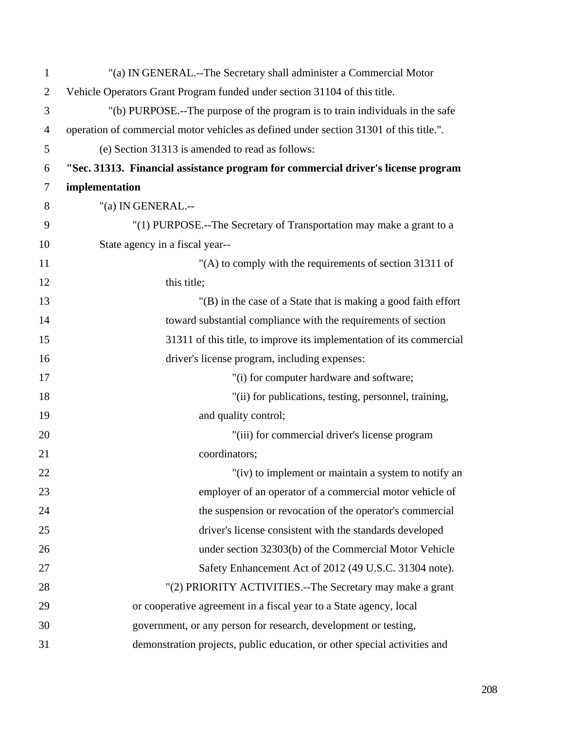| $\mathbf{1}$   | "(a) IN GENERAL.--The Secretary shall administer a Commercial Motor                    |
|----------------|----------------------------------------------------------------------------------------|
| $\overline{2}$ | Vehicle Operators Grant Program funded under section 31104 of this title.              |
| 3              | "(b) PURPOSE.--The purpose of the program is to train individuals in the safe          |
| 4              | operation of commercial motor vehicles as defined under section 31301 of this title.". |
| 5              | (e) Section 31313 is amended to read as follows:                                       |
| 6              | "Sec. 31313. Financial assistance program for commercial driver's license program      |
| 7              | implementation                                                                         |
| 8              | "(a) IN GENERAL.--                                                                     |
| 9              | "(1) PURPOSE.--The Secretary of Transportation may make a grant to a                   |
| 10             | State agency in a fiscal year--                                                        |
| 11             | "(A) to comply with the requirements of section 31311 of                               |
| 12             | this title;                                                                            |
| 13             | "(B) in the case of a State that is making a good faith effort                         |
| 14             | toward substantial compliance with the requirements of section                         |
| 15             | 31311 of this title, to improve its implementation of its commercial                   |
| 16             | driver's license program, including expenses:                                          |
| 17             | "(i) for computer hardware and software;                                               |
| 18             | "(ii) for publications, testing, personnel, training,                                  |
| 19             | and quality control;                                                                   |
| 20             | "(iii) for commercial driver's license program                                         |
| 21             | coordinators;                                                                          |
| 22             | "(iv) to implement or maintain a system to notify an                                   |
| 23             | employer of an operator of a commercial motor vehicle of                               |
| 24             | the suspension or revocation of the operator's commercial                              |
| 25             | driver's license consistent with the standards developed                               |
| 26             | under section 32303(b) of the Commercial Motor Vehicle                                 |
| 27             | Safety Enhancement Act of 2012 (49 U.S.C. 31304 note).                                 |
| 28             | "(2) PRIORITY ACTIVITIES.--The Secretary may make a grant                              |
| 29             | or cooperative agreement in a fiscal year to a State agency, local                     |
| 30             | government, or any person for research, development or testing,                        |
| 31             | demonstration projects, public education, or other special activities and              |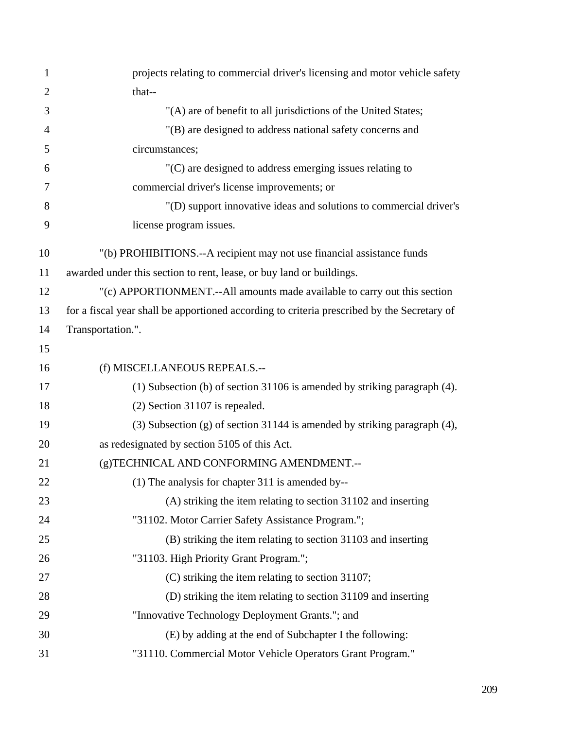| $\mathbf{1}$   | projects relating to commercial driver's licensing and motor vehicle safety                 |
|----------------|---------------------------------------------------------------------------------------------|
| $\overline{2}$ | that--                                                                                      |
| 3              | "(A) are of benefit to all jurisdictions of the United States;                              |
| $\overline{4}$ | "(B) are designed to address national safety concerns and                                   |
| 5              | circumstances;                                                                              |
| 6              | $(C)$ are designed to address emerging issues relating to                                   |
| 7              | commercial driver's license improvements; or                                                |
| 8              | "(D) support innovative ideas and solutions to commercial driver's                          |
| 9              | license program issues.                                                                     |
| 10             | "(b) PROHIBITIONS.--A recipient may not use financial assistance funds                      |
| 11             | awarded under this section to rent, lease, or buy land or buildings.                        |
| 12             | "(c) APPORTIONMENT.--All amounts made available to carry out this section                   |
| 13             | for a fiscal year shall be apportioned according to criteria prescribed by the Secretary of |
| 14             | Transportation.".                                                                           |
| 15             |                                                                                             |
| 16             | (f) MISCELLANEOUS REPEALS.--                                                                |
| 17             | (1) Subsection (b) of section 31106 is amended by striking paragraph (4).                   |
| 18             | $(2)$ Section 31107 is repealed.                                                            |
| 19             | (3) Subsection (g) of section 31144 is amended by striking paragraph $(4)$ ,                |
| 20             | as redesignated by section 5105 of this Act.                                                |
| 21             | (g)TECHNICAL AND CONFORMING AMENDMENT.--                                                    |
| 22             | (1) The analysis for chapter 311 is amended by--                                            |
| 23             | (A) striking the item relating to section 31102 and inserting                               |
| 24             | "31102. Motor Carrier Safety Assistance Program.";                                          |
| 25             | (B) striking the item relating to section 31103 and inserting                               |
| 26             | "31103. High Priority Grant Program.";                                                      |
| 27             | (C) striking the item relating to section 31107;                                            |
| 28             | (D) striking the item relating to section 31109 and inserting                               |
| 29             | "Innovative Technology Deployment Grants."; and                                             |
| 30             | (E) by adding at the end of Subchapter I the following:                                     |
| 31             | "31110. Commercial Motor Vehicle Operators Grant Program."                                  |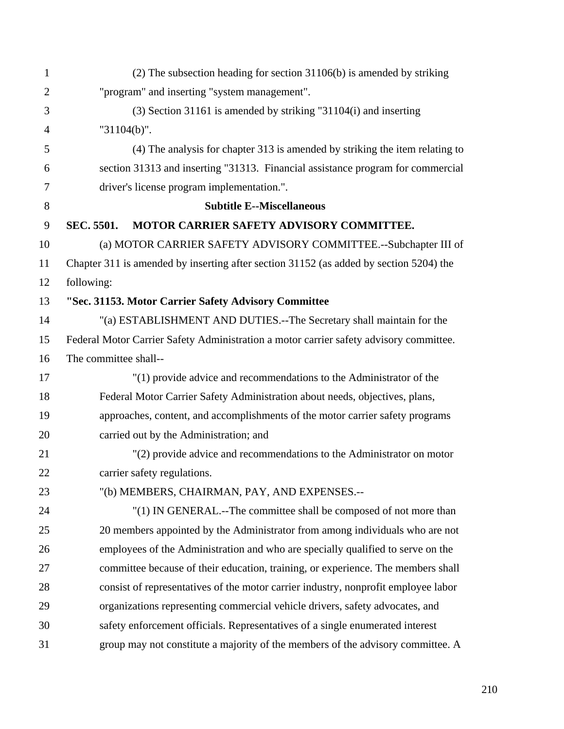| 1              | $(2)$ The subsection heading for section 31106(b) is amended by striking               |  |  |
|----------------|----------------------------------------------------------------------------------------|--|--|
| $\overline{2}$ | "program" and inserting "system management".                                           |  |  |
| 3              | $(3)$ Section 31161 is amended by striking "31104(i) and inserting                     |  |  |
| $\overline{4}$ | "31104(b)".                                                                            |  |  |
| 5              | (4) The analysis for chapter 313 is amended by striking the item relating to           |  |  |
| 6              | section 31313 and inserting "31313. Financial assistance program for commercial        |  |  |
| 7              | driver's license program implementation.".                                             |  |  |
| 8              | <b>Subtitle E--Miscellaneous</b>                                                       |  |  |
| 9              | <b>SEC. 5501.</b><br>MOTOR CARRIER SAFETY ADVISORY COMMITTEE.                          |  |  |
| 10             | (a) MOTOR CARRIER SAFETY ADVISORY COMMITTEE.--Subchapter III of                        |  |  |
| 11             | Chapter 311 is amended by inserting after section 31152 (as added by section 5204) the |  |  |
| 12             | following:                                                                             |  |  |
| 13             | "Sec. 31153. Motor Carrier Safety Advisory Committee                                   |  |  |
| 14             | "(a) ESTABLISHMENT AND DUTIES.--The Secretary shall maintain for the                   |  |  |
| 15             | Federal Motor Carrier Safety Administration a motor carrier safety advisory committee. |  |  |
| 16             | The committee shall--                                                                  |  |  |
| 17             | "(1) provide advice and recommendations to the Administrator of the                    |  |  |
| 18             | Federal Motor Carrier Safety Administration about needs, objectives, plans,            |  |  |
| 19             | approaches, content, and accomplishments of the motor carrier safety programs          |  |  |
| 20             | carried out by the Administration; and                                                 |  |  |
| 21             | "(2) provide advice and recommendations to the Administrator on motor                  |  |  |
| 22             | carrier safety regulations.                                                            |  |  |
| 23             | "(b) MEMBERS, CHAIRMAN, PAY, AND EXPENSES.--                                           |  |  |
| 24             | "(1) IN GENERAL.--The committee shall be composed of not more than                     |  |  |
| 25             | 20 members appointed by the Administrator from among individuals who are not           |  |  |
| 26             | employees of the Administration and who are specially qualified to serve on the        |  |  |
| 27             | committee because of their education, training, or experience. The members shall       |  |  |
| 28             | consist of representatives of the motor carrier industry, nonprofit employee labor     |  |  |
| 29             | organizations representing commercial vehicle drivers, safety advocates, and           |  |  |
| 30             | safety enforcement officials. Representatives of a single enumerated interest          |  |  |
| 31             | group may not constitute a majority of the members of the advisory committee. A        |  |  |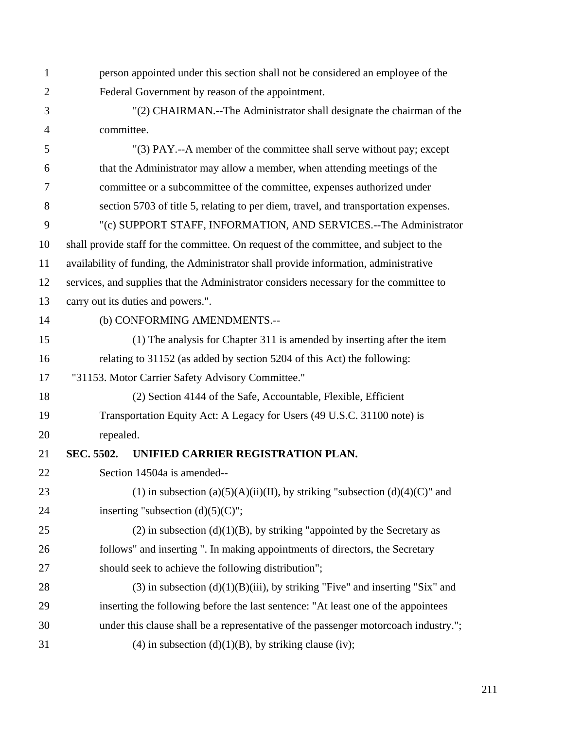1 person appointed under this section shall not be considered an employee of the 2 Federal Government by reason of the appointment. 3 "(2) CHAIRMAN.--The Administrator shall designate the chairman of the 4 committee. 5 "(3) PAY.--A member of the committee shall serve without pay; except 6 that the Administrator may allow a member, when attending meetings of the 7 committee or a subcommittee of the committee, expenses authorized under 8 section 5703 of title 5, relating to per diem, travel, and transportation expenses. 9 "(c) SUPPORT STAFF, INFORMATION, AND SERVICES.--The Administrator 10 shall provide staff for the committee. On request of the committee, and subject to the 11 availability of funding, the Administrator shall provide information, administrative 12 services, and supplies that the Administrator considers necessary for the committee to 13 carry out its duties and powers.". 14 (b) CONFORMING AMENDMENTS.-- 15 (1) The analysis for Chapter 311 is amended by inserting after the item 16 relating to 31152 (as added by section 5204 of this Act) the following: 17 "31153. Motor Carrier Safety Advisory Committee." 18 (2) Section 4144 of the Safe, Accountable, Flexible, Efficient 19 Transportation Equity Act: A Legacy for Users (49 U.S.C. 31100 note) is 20 repealed. 21 **SEC. 5502. UNIFIED CARRIER REGISTRATION PLAN.**  22 Section 14504a is amended-- 23 (1) in subsection (a)(5)(A)(ii)(II), by striking "subsection (d)(4)(C)" and 24 inserting "subsection  $(d)(5)(C)$ "; 25 (2) in subsection  $(d)(1)(B)$ , by striking "appointed by the Secretary as 26 follows" and inserting ". In making appointments of directors, the Secretary 27 should seek to achieve the following distribution"; 28 (3) in subsection  $(d)(1)(B)(iii)$ , by striking "Five" and inserting "Six" and 29 inserting the following before the last sentence: "At least one of the appointees 30 under this clause shall be a representative of the passenger motorcoach industry."; 31 (4) in subsection (d)(1)(B), by striking clause (iv);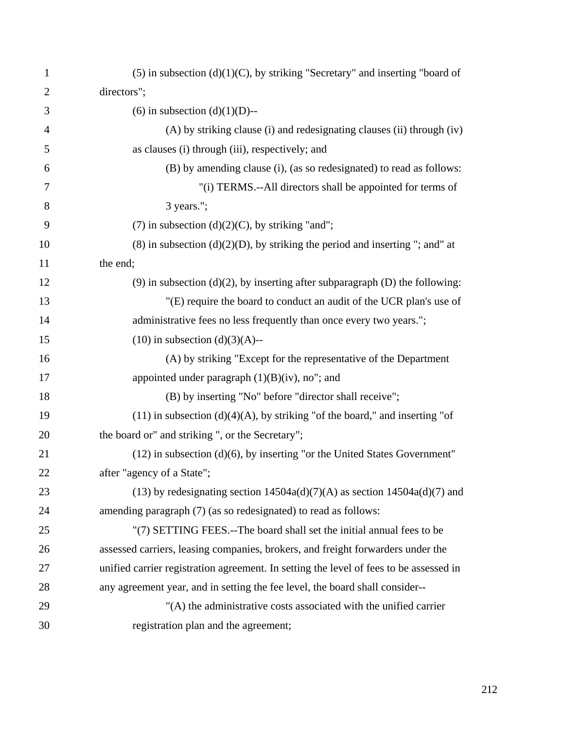| $\mathbf{1}$   | $(5)$ in subsection $(d)(1)(C)$ , by striking "Secretary" and inserting "board of      |
|----------------|----------------------------------------------------------------------------------------|
| $\overline{2}$ | directors";                                                                            |
| 3              | (6) in subsection (d)(1)(D)--                                                          |
| 4              | (A) by striking clause (i) and redesignating clauses (ii) through (iv)                 |
| 5              | as clauses (i) through (iii), respectively; and                                        |
| 6              | (B) by amending clause (i), (as so redesignated) to read as follows:                   |
| 7              | "(i) TERMS.--All directors shall be appointed for terms of                             |
| 8              | 3 years.";                                                                             |
| 9              | (7) in subsection $(d)(2)(C)$ , by striking "and";                                     |
| 10             | $(8)$ in subsection $(d)(2)(D)$ , by striking the period and inserting "; and" at      |
| 11             | the end;                                                                               |
| 12             | $(9)$ in subsection $(d)(2)$ , by inserting after subparagraph $(D)$ the following:    |
| 13             | "(E) require the board to conduct an audit of the UCR plan's use of                    |
| 14             | administrative fees no less frequently than once every two years.";                    |
| 15             | $(10)$ in subsection $(d)(3)(A)$ --                                                    |
| 16             | (A) by striking "Except for the representative of the Department                       |
| 17             | appointed under paragraph $(1)(B)(iv)$ , no"; and                                      |
| 18             | (B) by inserting "No" before "director shall receive";                                 |
| 19             | $(11)$ in subsection $(d)(4)(A)$ , by striking "of the board," and inserting "of       |
| 20             | the board or" and striking ", or the Secretary";                                       |
| 21             | $(12)$ in subsection $(d)(6)$ , by inserting "or the United States Government"         |
| 22             | after "agency of a State";                                                             |
| 23             | (13) by redesignating section $14504a(d)(7)(A)$ as section $14504a(d)(7)$ and          |
| 24             | amending paragraph (7) (as so redesignated) to read as follows:                        |
| 25             | "(7) SETTING FEES.--The board shall set the initial annual fees to be                  |
| 26             | assessed carriers, leasing companies, brokers, and freight forwarders under the        |
| 27             | unified carrier registration agreement. In setting the level of fees to be assessed in |
| 28             | any agreement year, and in setting the fee level, the board shall consider--           |
| 29             | "(A) the administrative costs associated with the unified carrier                      |
| 30             | registration plan and the agreement;                                                   |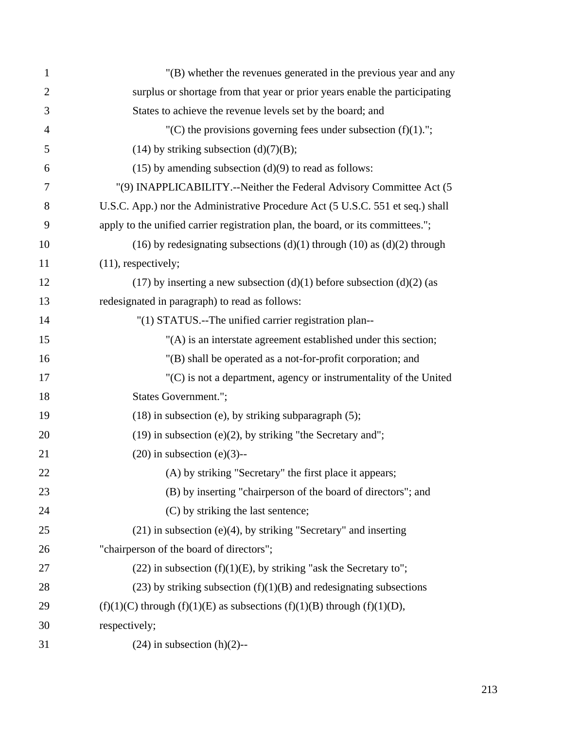| $\mathbf{1}$   | "(B) whether the revenues generated in the previous year and any                 |
|----------------|----------------------------------------------------------------------------------|
| $\overline{2}$ | surplus or shortage from that year or prior years enable the participating       |
| 3              | States to achieve the revenue levels set by the board; and                       |
| $\overline{4}$ | "(C) the provisions governing fees under subsection $(f)(1)$ .";                 |
| 5              | $(14)$ by striking subsection $(d)(7)(B)$ ;                                      |
| 6              | $(15)$ by amending subsection $(d)(9)$ to read as follows:                       |
| 7              | "(9) INAPPLICABILITY.--Neither the Federal Advisory Committee Act (5             |
| 8              | U.S.C. App.) nor the Administrative Procedure Act (5 U.S.C. 551 et seq.) shall   |
| 9              | apply to the unified carrier registration plan, the board, or its committees.";  |
| 10             | (16) by redesignating subsections (d)(1) through (10) as (d)(2) through          |
| 11             | $(11)$ , respectively;                                                           |
| 12             | (17) by inserting a new subsection $(d)(1)$ before subsection $(d)(2)$ (as       |
| 13             | redesignated in paragraph) to read as follows:                                   |
| 14             | "(1) STATUS.--The unified carrier registration plan--                            |
| 15             | "(A) is an interstate agreement established under this section;                  |
| 16             | "(B) shall be operated as a not-for-profit corporation; and                      |
| 17             | "(C) is not a department, agency or instrumentality of the United                |
| 18             | States Government.";                                                             |
| 19             | $(18)$ in subsection (e), by striking subparagraph $(5)$ ;                       |
| 20             | $(19)$ in subsection $(e)(2)$ , by striking "the Secretary and";                 |
| 21             | $(20)$ in subsection $(e)(3)$ --                                                 |
| 22             | (A) by striking "Secretary" the first place it appears;                          |
| 23             | (B) by inserting "chairperson of the board of directors"; and                    |
| 24             | (C) by striking the last sentence;                                               |
| 25             | $(21)$ in subsection (e)(4), by striking "Secretary" and inserting               |
| 26             | "chairperson of the board of directors";                                         |
| 27             | $(22)$ in subsection $(f)(1)(E)$ , by striking "ask the Secretary to";           |
| 28             | $(23)$ by striking subsection $(f)(1)(B)$ and redesignating subsections          |
| 29             | $(f)(1)(C)$ through $(f)(1)(E)$ as subsections $(f)(1)(B)$ through $(f)(1)(D)$ , |
| 30             | respectively;                                                                    |
| 31             | $(24)$ in subsection $(h)(2)$ --                                                 |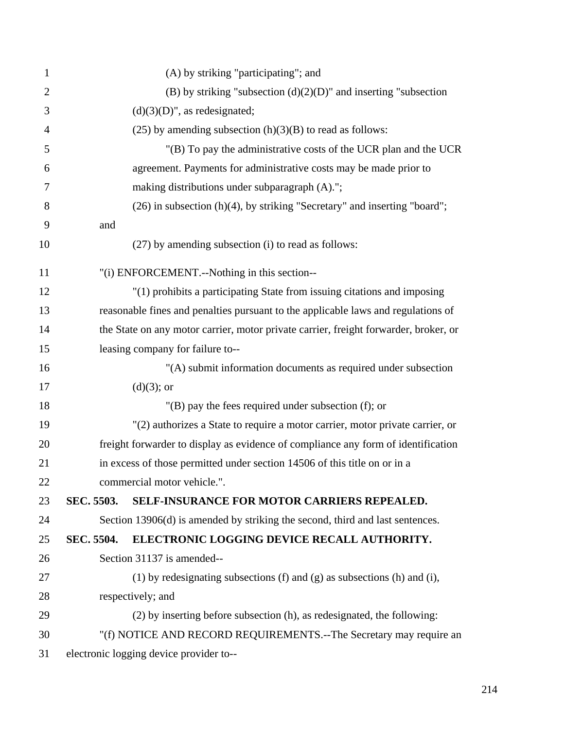| $\mathbf{1}$   | (A) by striking "participating"; and                                                 |                                                                                   |  |  |  |
|----------------|--------------------------------------------------------------------------------------|-----------------------------------------------------------------------------------|--|--|--|
| $\overline{2}$ | (B) by striking "subsection $(d)(2)(D)$ " and inserting "subsection                  |                                                                                   |  |  |  |
| 3              | $(d)(3)(D)$ ", as redesignated;                                                      |                                                                                   |  |  |  |
| 4              | $(25)$ by amending subsection $(h)(3)(B)$ to read as follows:                        |                                                                                   |  |  |  |
| 5              | "(B) To pay the administrative costs of the UCR plan and the UCR                     |                                                                                   |  |  |  |
| 6              | agreement. Payments for administrative costs may be made prior to                    |                                                                                   |  |  |  |
| 7              | making distributions under subparagraph (A).";                                       |                                                                                   |  |  |  |
| 8              | $(26)$ in subsection $(h)(4)$ , by striking "Secretary" and inserting "board";       |                                                                                   |  |  |  |
| 9              | and                                                                                  |                                                                                   |  |  |  |
| 10             |                                                                                      | (27) by amending subsection (i) to read as follows:                               |  |  |  |
| 11             | "(i) ENFORCEMENT.--Nothing in this section--                                         |                                                                                   |  |  |  |
| 12             | "(1) prohibits a participating State from issuing citations and imposing             |                                                                                   |  |  |  |
| 13             | reasonable fines and penalties pursuant to the applicable laws and regulations of    |                                                                                   |  |  |  |
| 14             | the State on any motor carrier, motor private carrier, freight forwarder, broker, or |                                                                                   |  |  |  |
| 15             | leasing company for failure to--                                                     |                                                                                   |  |  |  |
| 16             |                                                                                      | "(A) submit information documents as required under subsection                    |  |  |  |
| 17             | $(d)(3)$ ; or                                                                        |                                                                                   |  |  |  |
| 18             | $"$ (B) pay the fees required under subsection (f); or                               |                                                                                   |  |  |  |
| 19             | "(2) authorizes a State to require a motor carrier, motor private carrier, or        |                                                                                   |  |  |  |
| 20             |                                                                                      | freight forwarder to display as evidence of compliance any form of identification |  |  |  |
| 21             | in excess of those permitted under section 14506 of this title on or in a            |                                                                                   |  |  |  |
| 22             | commercial motor vehicle.".                                                          |                                                                                   |  |  |  |
| 23             | SEC. 5503.                                                                           | SELF-INSURANCE FOR MOTOR CARRIERS REPEALED.                                       |  |  |  |
| 24             |                                                                                      | Section 13906(d) is amended by striking the second, third and last sentences.     |  |  |  |
| 25             | SEC. 5504.                                                                           | ELECTRONIC LOGGING DEVICE RECALL AUTHORITY.                                       |  |  |  |
| 26             |                                                                                      | Section 31137 is amended--                                                        |  |  |  |
| 27             | (1) by redesignating subsections (f) and (g) as subsections (h) and (i),             |                                                                                   |  |  |  |
| 28             |                                                                                      | respectively; and                                                                 |  |  |  |
| 29             |                                                                                      | (2) by inserting before subsection (h), as redesignated, the following:           |  |  |  |
| 30             | "(f) NOTICE AND RECORD REQUIREMENTS.--The Secretary may require an                   |                                                                                   |  |  |  |
| 31             | electronic logging device provider to--                                              |                                                                                   |  |  |  |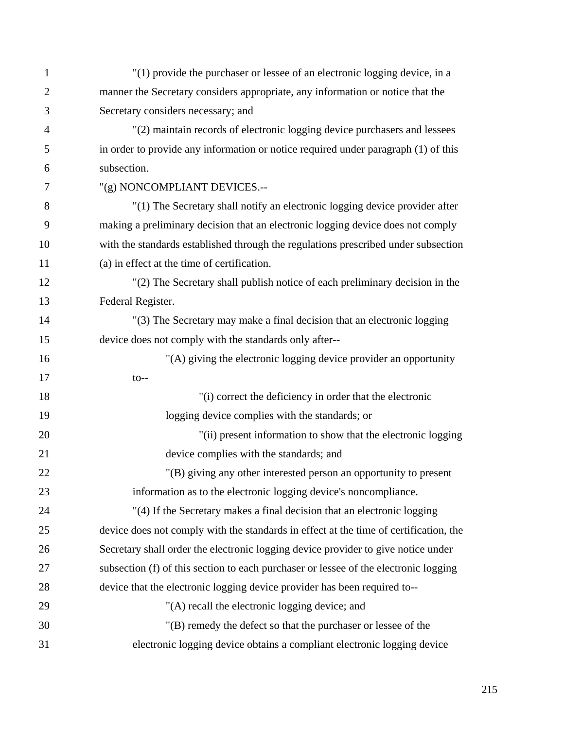| $\mathbf{1}$   | "(1) provide the purchaser or lessee of an electronic logging device, in a            |
|----------------|---------------------------------------------------------------------------------------|
| $\mathbf{2}$   | manner the Secretary considers appropriate, any information or notice that the        |
| 3              | Secretary considers necessary; and                                                    |
| $\overline{4}$ | "(2) maintain records of electronic logging device purchasers and lessees             |
| 5              | in order to provide any information or notice required under paragraph (1) of this    |
| 6              | subsection.                                                                           |
| 7              | "(g) NONCOMPLIANT DEVICES.--                                                          |
| 8              | "(1) The Secretary shall notify an electronic logging device provider after           |
| 9              | making a preliminary decision that an electronic logging device does not comply       |
| 10             | with the standards established through the regulations prescribed under subsection    |
| 11             | (a) in effect at the time of certification.                                           |
| 12             | "(2) The Secretary shall publish notice of each preliminary decision in the           |
| 13             | Federal Register.                                                                     |
| 14             | "(3) The Secretary may make a final decision that an electronic logging               |
| 15             | device does not comply with the standards only after--                                |
| 16             | "(A) giving the electronic logging device provider an opportunity                     |
| 17             | $to--$                                                                                |
| 18             | "(i) correct the deficiency in order that the electronic                              |
| 19             | logging device complies with the standards; or                                        |
| 20             | "(ii) present information to show that the electronic logging                         |
| 21             | device complies with the standards; and                                               |
| 22             | "(B) giving any other interested person an opportunity to present                     |
| 23             | information as to the electronic logging device's noncompliance.                      |
| 24             | "(4) If the Secretary makes a final decision that an electronic logging               |
| 25             | device does not comply with the standards in effect at the time of certification, the |
| 26             | Secretary shall order the electronic logging device provider to give notice under     |
| 27             | subsection (f) of this section to each purchaser or lessee of the electronic logging  |
| 28             | device that the electronic logging device provider has been required to--             |
| 29             | "(A) recall the electronic logging device; and                                        |
| 30             | "(B) remedy the defect so that the purchaser or lessee of the                         |
| 31             | electronic logging device obtains a compliant electronic logging device               |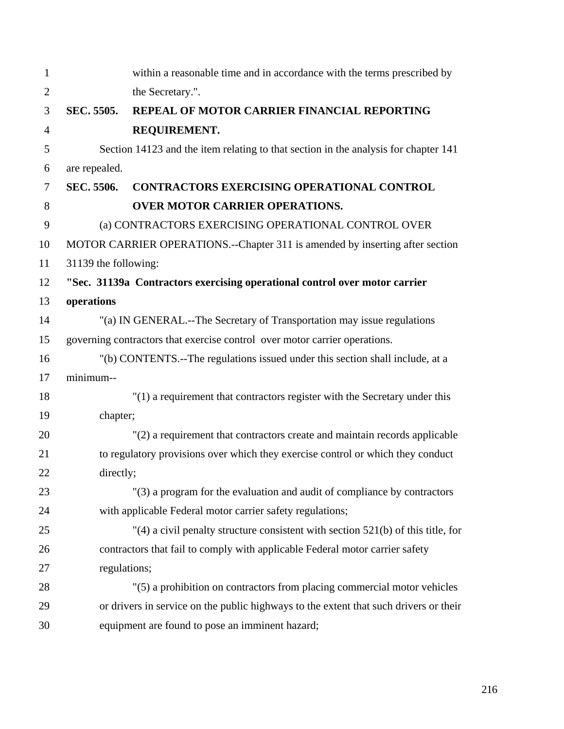| $\mathbf{1}$   |                                                                                       | within a reasonable time and in accordance with the terms prescribed by      |  |  |
|----------------|---------------------------------------------------------------------------------------|------------------------------------------------------------------------------|--|--|
| $\overline{2}$ |                                                                                       | the Secretary.".                                                             |  |  |
| 3              | <b>SEC. 5505.</b>                                                                     | REPEAL OF MOTOR CARRIER FINANCIAL REPORTING                                  |  |  |
| $\overline{4}$ |                                                                                       | REQUIREMENT.                                                                 |  |  |
| 5              | Section 14123 and the item relating to that section in the analysis for chapter 141   |                                                                              |  |  |
| 6              | are repealed.                                                                         |                                                                              |  |  |
| 7              | SEC. 5506.                                                                            | <b>CONTRACTORS EXERCISING OPERATIONAL CONTROL</b>                            |  |  |
| 8              |                                                                                       | <b>OVER MOTOR CARRIER OPERATIONS.</b>                                        |  |  |
| 9              | (a) CONTRACTORS EXERCISING OPERATIONAL CONTROL OVER                                   |                                                                              |  |  |
| 10             | MOTOR CARRIER OPERATIONS.--Chapter 311 is amended by inserting after section          |                                                                              |  |  |
| 11             | 31139 the following:                                                                  |                                                                              |  |  |
| 12             | "Sec. 31139a Contractors exercising operational control over motor carrier            |                                                                              |  |  |
| 13             | operations                                                                            |                                                                              |  |  |
| 14             | "(a) IN GENERAL.--The Secretary of Transportation may issue regulations               |                                                                              |  |  |
| 15             | governing contractors that exercise control over motor carrier operations.            |                                                                              |  |  |
| 16             | "(b) CONTENTS.--The regulations issued under this section shall include, at a         |                                                                              |  |  |
| 17             | minimum--                                                                             |                                                                              |  |  |
| 18             | $''(1)$ a requirement that contractors register with the Secretary under this         |                                                                              |  |  |
| 19             | chapter;                                                                              |                                                                              |  |  |
| 20             | "(2) a requirement that contractors create and maintain records applicable            |                                                                              |  |  |
| 21             | to regulatory provisions over which they exercise control or which they conduct       |                                                                              |  |  |
| 22             | directly;                                                                             |                                                                              |  |  |
| 23             |                                                                                       | "(3) a program for the evaluation and audit of compliance by contractors     |  |  |
| 24             |                                                                                       | with applicable Federal motor carrier safety regulations;                    |  |  |
| 25             | "(4) a civil penalty structure consistent with section $521(b)$ of this title, for    |                                                                              |  |  |
| 26             |                                                                                       | contractors that fail to comply with applicable Federal motor carrier safety |  |  |
| 27             | regulations;                                                                          |                                                                              |  |  |
| 28             |                                                                                       | "(5) a prohibition on contractors from placing commercial motor vehicles     |  |  |
| 29             | or drivers in service on the public highways to the extent that such drivers or their |                                                                              |  |  |
| 30             | equipment are found to pose an imminent hazard;                                       |                                                                              |  |  |

216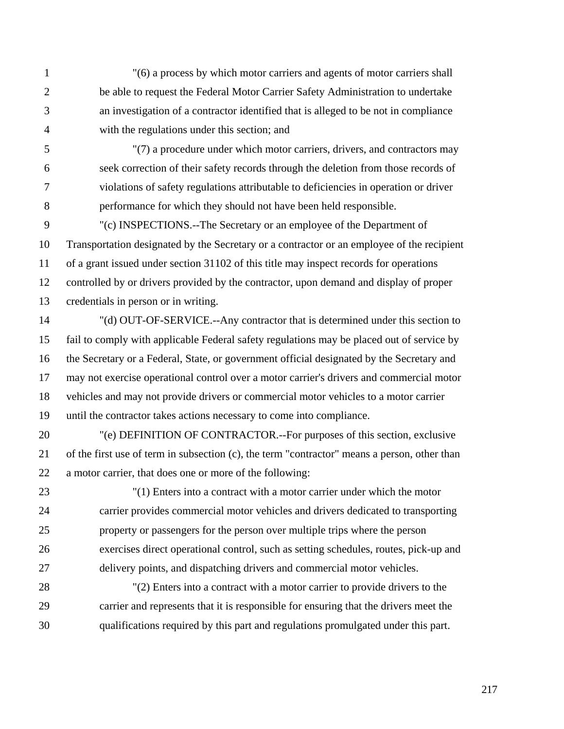1 "(6) a process by which motor carriers and agents of motor carriers shall 2 be able to request the Federal Motor Carrier Safety Administration to undertake 3 an investigation of a contractor identified that is alleged to be not in compliance 4 with the regulations under this section; and

5 "(7) a procedure under which motor carriers, drivers, and contractors may 6 seek correction of their safety records through the deletion from those records of 7 violations of safety regulations attributable to deficiencies in operation or driver 8 performance for which they should not have been held responsible.

9 "(c) INSPECTIONS.--The Secretary or an employee of the Department of 10 Transportation designated by the Secretary or a contractor or an employee of the recipient 11 of a grant issued under section 31102 of this title may inspect records for operations 12 controlled by or drivers provided by the contractor, upon demand and display of proper 13 credentials in person or in writing.

14 "(d) OUT-OF-SERVICE.--Any contractor that is determined under this section to 15 fail to comply with applicable Federal safety regulations may be placed out of service by 16 the Secretary or a Federal, State, or government official designated by the Secretary and 17 may not exercise operational control over a motor carrier's drivers and commercial motor 18 vehicles and may not provide drivers or commercial motor vehicles to a motor carrier 19 until the contractor takes actions necessary to come into compliance.

20 "(e) DEFINITION OF CONTRACTOR.--For purposes of this section, exclusive 21 of the first use of term in subsection (c), the term "contractor" means a person, other than 22 a motor carrier, that does one or more of the following:

23 "(1) Enters into a contract with a motor carrier under which the motor 24 carrier provides commercial motor vehicles and drivers dedicated to transporting 25 property or passengers for the person over multiple trips where the person 26 exercises direct operational control, such as setting schedules, routes, pick-up and 27 delivery points, and dispatching drivers and commercial motor vehicles.

28 "(2) Enters into a contract with a motor carrier to provide drivers to the 29 carrier and represents that it is responsible for ensuring that the drivers meet the 30 qualifications required by this part and regulations promulgated under this part.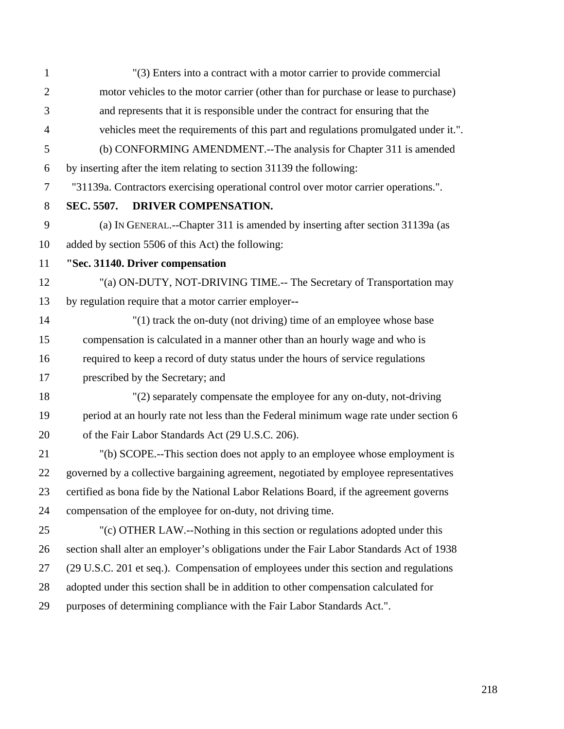| $\mathbf{1}$   | "(3) Enters into a contract with a motor carrier to provide commercial                   |  |  |
|----------------|------------------------------------------------------------------------------------------|--|--|
| $\overline{2}$ | motor vehicles to the motor carrier (other than for purchase or lease to purchase)       |  |  |
| 3              | and represents that it is responsible under the contract for ensuring that the           |  |  |
| $\overline{4}$ | vehicles meet the requirements of this part and regulations promulgated under it.".      |  |  |
| 5              | (b) CONFORMING AMENDMENT.--The analysis for Chapter 311 is amended                       |  |  |
| 6              | by inserting after the item relating to section 31139 the following:                     |  |  |
| $\overline{7}$ | "31139a. Contractors exercising operational control over motor carrier operations.".     |  |  |
| 8              | SEC. 5507.<br>DRIVER COMPENSATION.                                                       |  |  |
| 9              | (a) IN GENERAL.--Chapter 311 is amended by inserting after section 31139a (as            |  |  |
| 10             | added by section 5506 of this Act) the following:                                        |  |  |
| 11             | "Sec. 31140. Driver compensation                                                         |  |  |
| 12             | "(a) ON-DUTY, NOT-DRIVING TIME.-- The Secretary of Transportation may                    |  |  |
| 13             | by regulation require that a motor carrier employer--                                    |  |  |
| 14             | "(1) track the on-duty (not driving) time of an employee whose base                      |  |  |
| 15             | compensation is calculated in a manner other than an hourly wage and who is              |  |  |
| 16             | required to keep a record of duty status under the hours of service regulations          |  |  |
| 17             | prescribed by the Secretary; and                                                         |  |  |
| 18             | "(2) separately compensate the employee for any on-duty, not-driving                     |  |  |
| 19             | period at an hourly rate not less than the Federal minimum wage rate under section 6     |  |  |
| 20             | of the Fair Labor Standards Act (29 U.S.C. 206).                                         |  |  |
| 21             | "(b) SCOPE.--This section does not apply to an employee whose employment is              |  |  |
| 22             | governed by a collective bargaining agreement, negotiated by employee representatives    |  |  |
| 23             | certified as bona fide by the National Labor Relations Board, if the agreement governs   |  |  |
| 24             | compensation of the employee for on-duty, not driving time.                              |  |  |
| 25             | "(c) OTHER LAW.--Nothing in this section or regulations adopted under this               |  |  |
| 26             | section shall alter an employer's obligations under the Fair Labor Standards Act of 1938 |  |  |
| 27             | (29 U.S.C. 201 et seq.). Compensation of employees under this section and regulations    |  |  |
| 28             | adopted under this section shall be in addition to other compensation calculated for     |  |  |
| 29             | purposes of determining compliance with the Fair Labor Standards Act.".                  |  |  |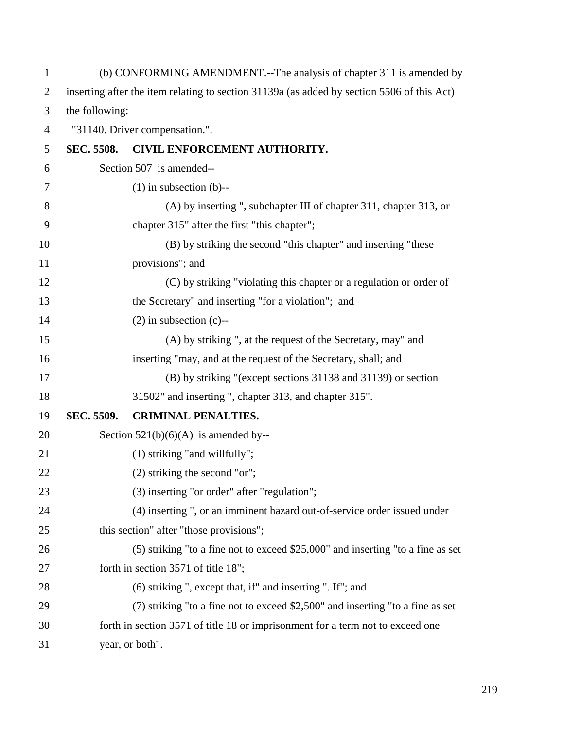| $\mathbf{1}$   | (b) CONFORMING AMENDMENT.--The analysis of chapter 311 is amended by                       |                                                                                   |  |
|----------------|--------------------------------------------------------------------------------------------|-----------------------------------------------------------------------------------|--|
| $\overline{2}$ | inserting after the item relating to section 31139a (as added by section 5506 of this Act) |                                                                                   |  |
| 3              | the following:                                                                             |                                                                                   |  |
| $\overline{4}$ | "31140. Driver compensation.".                                                             |                                                                                   |  |
| 5              | <b>SEC. 5508.</b>                                                                          | CIVIL ENFORCEMENT AUTHORITY.                                                      |  |
| 6              |                                                                                            | Section 507 is amended--                                                          |  |
| 7              |                                                                                            | $(1)$ in subsection $(b)$ --                                                      |  |
| 8              |                                                                                            | (A) by inserting ", subchapter III of chapter 311, chapter 313, or                |  |
| 9              |                                                                                            | chapter 315" after the first "this chapter";                                      |  |
| 10             |                                                                                            | (B) by striking the second "this chapter" and inserting "these                    |  |
| 11             |                                                                                            | provisions"; and                                                                  |  |
| 12             |                                                                                            | (C) by striking "violating this chapter or a regulation or order of               |  |
| 13             |                                                                                            | the Secretary" and inserting "for a violation"; and                               |  |
| 14             |                                                                                            | $(2)$ in subsection $(c)$ --                                                      |  |
| 15             |                                                                                            | (A) by striking ", at the request of the Secretary, may" and                      |  |
| 16             |                                                                                            | inserting "may, and at the request of the Secretary, shall; and                   |  |
| 17             |                                                                                            | (B) by striking "(except sections 31138 and 31139) or section                     |  |
| 18             |                                                                                            | 31502" and inserting ", chapter 313, and chapter 315".                            |  |
| 19             | SEC. 5509.                                                                                 | <b>CRIMINAL PENALTIES.</b>                                                        |  |
| 20             |                                                                                            | Section $521(b)(6)(A)$ is amended by--                                            |  |
| 21             |                                                                                            | (1) striking "and willfully";                                                     |  |
| 22             |                                                                                            | (2) striking the second "or";                                                     |  |
| 23             |                                                                                            | (3) inserting "or order" after "regulation";                                      |  |
| 24             |                                                                                            | (4) inserting ", or an imminent hazard out-of-service order issued under          |  |
| 25             |                                                                                            | this section" after "those provisions";                                           |  |
| 26             |                                                                                            | $(5)$ striking "to a fine not to exceed \$25,000" and inserting "to a fine as set |  |
| 27             |                                                                                            | forth in section 3571 of title 18";                                               |  |
| 28             |                                                                                            | (6) striking ", except that, if" and inserting ". If"; and                        |  |
| 29             |                                                                                            | (7) striking "to a fine not to exceed \$2,500" and inserting "to a fine as set    |  |
| 30             |                                                                                            | forth in section 3571 of title 18 or imprisonment for a term not to exceed one    |  |
| 31             |                                                                                            | year, or both".                                                                   |  |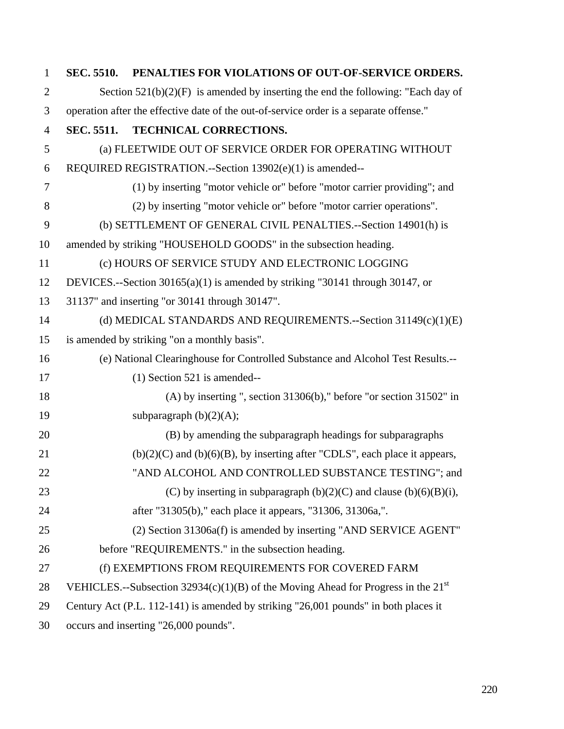| $\mathbf{1}$   |                   | SEC. 5510. PENALTIES FOR VIOLATIONS OF OUT-OF-SERVICE ORDERS.                          |
|----------------|-------------------|----------------------------------------------------------------------------------------|
| $\overline{2}$ |                   | Section $521(b)(2)(F)$ is amended by inserting the end the following: "Each day of     |
| 3              |                   | operation after the effective date of the out-of-service order is a separate offense." |
| $\overline{4}$ | <b>SEC. 5511.</b> | <b>TECHNICAL CORRECTIONS.</b>                                                          |
| 5              |                   | (a) FLEETWIDE OUT OF SERVICE ORDER FOR OPERATING WITHOUT                               |
| 6              |                   | REQUIRED REGISTRATION.--Section 13902(e)(1) is amended--                               |
| $\overline{7}$ |                   | (1) by inserting "motor vehicle or" before "motor carrier providing"; and              |
| 8              |                   | (2) by inserting "motor vehicle or" before "motor carrier operations".                 |
| 9              |                   | (b) SETTLEMENT OF GENERAL CIVIL PENALTIES.--Section 14901(h) is                        |
| 10             |                   | amended by striking "HOUSEHOLD GOODS" in the subsection heading.                       |
| 11             |                   | (c) HOURS OF SERVICE STUDY AND ELECTRONIC LOGGING                                      |
| 12             |                   | DEVICES.--Section 30165(a)(1) is amended by striking "30141 through 30147, or          |
| 13             |                   | 31137" and inserting "or 30141 through 30147".                                         |
| 14             |                   | (d) MEDICAL STANDARDS AND REQUIREMENTS.--Section 31149(c)(1)(E)                        |
| 15             |                   | is amended by striking "on a monthly basis".                                           |
| 16             |                   | (e) National Clearinghouse for Controlled Substance and Alcohol Test Results.--        |
| 17             |                   | $(1)$ Section 521 is amended--                                                         |
| 18             |                   | $(A)$ by inserting ", section 31306(b)," before "or section 31502" in                  |
| 19             |                   | subparagraph $(b)(2)(A);$                                                              |
| 20             |                   | (B) by amending the subparagraph headings for subparagraphs                            |
| 21             |                   | $(b)(2)(C)$ and $(b)(6)(B)$ , by inserting after "CDLS", each place it appears,        |
| 22             |                   | "AND ALCOHOL AND CONTROLLED SUBSTANCE TESTING"; and                                    |
| 23             |                   | (C) by inserting in subparagraph $(b)(2)(C)$ and clause $(b)(6)(B)(i)$ ,               |
| 24             |                   | after "31305(b)," each place it appears, "31306, 31306a,".                             |
| 25             |                   | (2) Section 31306a(f) is amended by inserting "AND SERVICE AGENT"                      |
| 26             |                   | before "REQUIREMENTS." in the subsection heading.                                      |
| 27             |                   | (f) EXEMPTIONS FROM REQUIREMENTS FOR COVERED FARM                                      |
| 28             |                   | VEHICLES.--Subsection 32934(c)(1)(B) of the Moving Ahead for Progress in the $21^{st}$ |
| 29             |                   | Century Act (P.L. 112-141) is amended by striking "26,001 pounds" in both places it    |
| 30             |                   | occurs and inserting "26,000 pounds".                                                  |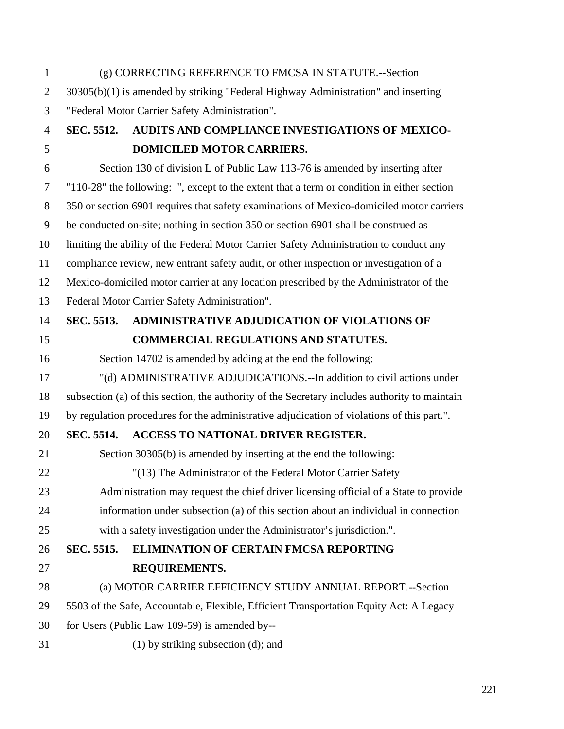1 (g) CORRECTING REFERENCE TO FMCSA IN STATUTE.--Section 2 30305(b)(1) is amended by striking "Federal Highway Administration" and inserting 3 "Federal Motor Carrier Safety Administration". 4 **SEC. 5512. AUDITS AND COMPLIANCE INVESTIGATIONS OF MEXICO-**5 **DOMICILED MOTOR CARRIERS.**  6 Section 130 of division L of Public Law 113-76 is amended by inserting after 7 "110-28" the following: ", except to the extent that a term or condition in either section 8 350 or section 6901 requires that safety examinations of Mexico-domiciled motor carriers 9 be conducted on-site; nothing in section 350 or section 6901 shall be construed as 10 limiting the ability of the Federal Motor Carrier Safety Administration to conduct any 11 compliance review, new entrant safety audit, or other inspection or investigation of a 12 Mexico-domiciled motor carrier at any location prescribed by the Administrator of the 13 Federal Motor Carrier Safety Administration". 14 **SEC. 5513. ADMINISTRATIVE ADJUDICATION OF VIOLATIONS OF**  15 **COMMERCIAL REGULATIONS AND STATUTES.**  16 Section 14702 is amended by adding at the end the following: 17 "(d) ADMINISTRATIVE ADJUDICATIONS.--In addition to civil actions under 18 subsection (a) of this section, the authority of the Secretary includes authority to maintain 19 by regulation procedures for the administrative adjudication of violations of this part.". 20 **SEC. 5514. ACCESS TO NATIONAL DRIVER REGISTER.**  21 Section 30305(b) is amended by inserting at the end the following: 22 "(13) The Administrator of the Federal Motor Carrier Safety 23 Administration may request the chief driver licensing official of a State to provide 24 information under subsection (a) of this section about an individual in connection 25 with a safety investigation under the Administrator's jurisdiction.". 26 **SEC. 5515. ELIMINATION OF CERTAIN FMCSA REPORTING**  27 **REQUIREMENTS.**  28 (a) MOTOR CARRIER EFFICIENCY STUDY ANNUAL REPORT.--Section 29 5503 of the Safe, Accountable, Flexible, Efficient Transportation Equity Act: A Legacy 30 for Users (Public Law 109-59) is amended by-- 31 (1) by striking subsection (d); and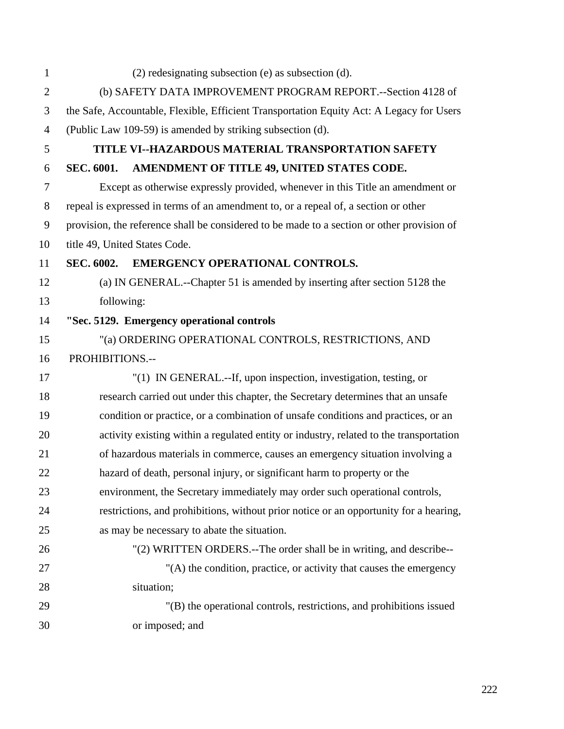| $\mathbf{1}$   | $(2)$ redesignating subsection (e) as subsection (d).                                      |
|----------------|--------------------------------------------------------------------------------------------|
| $\mathbf{2}$   | (b) SAFETY DATA IMPROVEMENT PROGRAM REPORT.--Section 4128 of                               |
| 3              | the Safe, Accountable, Flexible, Efficient Transportation Equity Act: A Legacy for Users   |
| $\overline{4}$ | (Public Law 109-59) is amended by striking subsection (d).                                 |
| 5              | TITLE VI--HAZARDOUS MATERIAL TRANSPORTATION SAFETY                                         |
| 6              | AMENDMENT OF TITLE 49, UNITED STATES CODE.<br><b>SEC. 6001.</b>                            |
| $\tau$         | Except as otherwise expressly provided, whenever in this Title an amendment or             |
| $8\,$          | repeal is expressed in terms of an amendment to, or a repeal of, a section or other        |
| 9              | provision, the reference shall be considered to be made to a section or other provision of |
| 10             | title 49, United States Code.                                                              |
| 11             | <b>SEC. 6002.</b><br>EMERGENCY OPERATIONAL CONTROLS.                                       |
| 12             | (a) IN GENERAL.--Chapter 51 is amended by inserting after section 5128 the                 |
| 13             | following:                                                                                 |
| 14             | "Sec. 5129. Emergency operational controls                                                 |
| 15             | "(a) ORDERING OPERATIONAL CONTROLS, RESTRICTIONS, AND                                      |
| 16             | PROHIBITIONS.--                                                                            |
| 17             | "(1) IN GENERAL.--If, upon inspection, investigation, testing, or                          |
| 18             | research carried out under this chapter, the Secretary determines that an unsafe           |
| 19             | condition or practice, or a combination of unsafe conditions and practices, or an          |
| 20             | activity existing within a regulated entity or industry, related to the transportation     |
| 21             | of hazardous materials in commerce, causes an emergency situation involving a              |
| 22             | hazard of death, personal injury, or significant harm to property or the                   |
| 23             | environment, the Secretary immediately may order such operational controls,                |
| 24             | restrictions, and prohibitions, without prior notice or an opportunity for a hearing,      |
| 25             | as may be necessary to abate the situation.                                                |
| 26             | "(2) WRITTEN ORDERS.--The order shall be in writing, and describe--                        |
| 27             | "(A) the condition, practice, or activity that causes the emergency                        |
| 28             | situation;                                                                                 |
| 29             | "(B) the operational controls, restrictions, and prohibitions issued                       |
| 30             | or imposed; and                                                                            |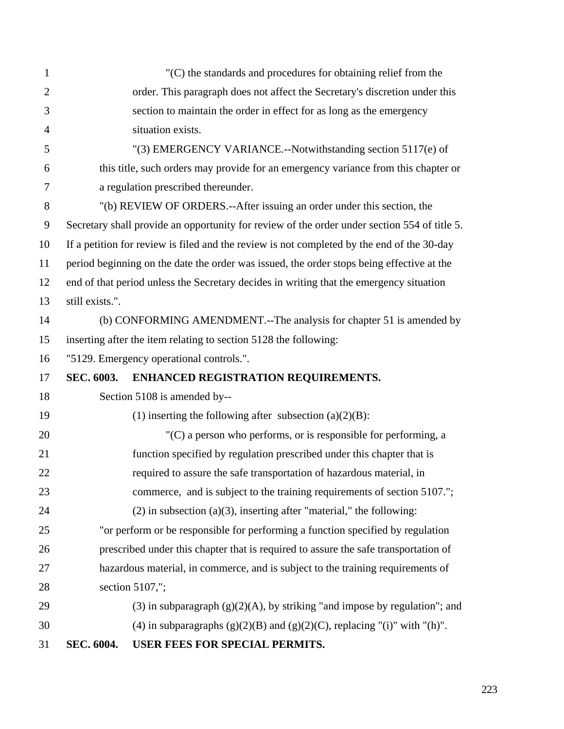| $\mathbf{1}$   |                   | $(C)$ the standards and procedures for obtaining relief from the                             |
|----------------|-------------------|----------------------------------------------------------------------------------------------|
| $\overline{2}$ |                   | order. This paragraph does not affect the Secretary's discretion under this                  |
| 3              |                   | section to maintain the order in effect for as long as the emergency                         |
| 4              |                   | situation exists.                                                                            |
| 5              |                   | "(3) EMERGENCY VARIANCE.--Notwithstanding section 5117(e) of                                 |
| 6              |                   | this title, such orders may provide for an emergency variance from this chapter or           |
| 7              |                   | a regulation prescribed thereunder.                                                          |
| 8              |                   | "(b) REVIEW OF ORDERS.--After issuing an order under this section, the                       |
| 9              |                   | Secretary shall provide an opportunity for review of the order under section 554 of title 5. |
| 10             |                   | If a petition for review is filed and the review is not completed by the end of the 30-day   |
| 11             |                   | period beginning on the date the order was issued, the order stops being effective at the    |
| 12             |                   | end of that period unless the Secretary decides in writing that the emergency situation      |
| 13             | still exists.".   |                                                                                              |
| 14             |                   | (b) CONFORMING AMENDMENT.--The analysis for chapter 51 is amended by                         |
| 15             |                   | inserting after the item relating to section 5128 the following:                             |
| 16             |                   | "5129. Emergency operational controls.".                                                     |
| 17             | <b>SEC. 6003.</b> | ENHANCED REGISTRATION REQUIREMENTS.                                                          |
| 18             |                   | Section 5108 is amended by--                                                                 |
| 19             |                   | (1) inserting the following after subsection $(a)(2)(B)$ :                                   |
| 20             |                   | $(C)$ a person who performs, or is responsible for performing, a                             |
| 21             |                   | function specified by regulation prescribed under this chapter that is                       |
| 22             |                   | required to assure the safe transportation of hazardous material, in                         |
| 23             |                   | commerce, and is subject to the training requirements of section 5107.";                     |
| 24             |                   | $(2)$ in subsection $(a)(3)$ , inserting after "material," the following:                    |
| 25             |                   | "or perform or be responsible for performing a function specified by regulation              |
| 26             |                   | prescribed under this chapter that is required to assure the safe transportation of          |
| 27             |                   | hazardous material, in commerce, and is subject to the training requirements of              |
| 28             |                   | section 5107,";                                                                              |
| 29             |                   | (3) in subparagraph $(g)(2)(A)$ , by striking "and impose by regulation"; and                |
| 30             |                   | (4) in subparagraphs $(g)(2)(B)$ and $(g)(2)(C)$ , replacing "(i)" with "(h)".               |
| 31             | SEC. 6004.        | USER FEES FOR SPECIAL PERMITS.                                                               |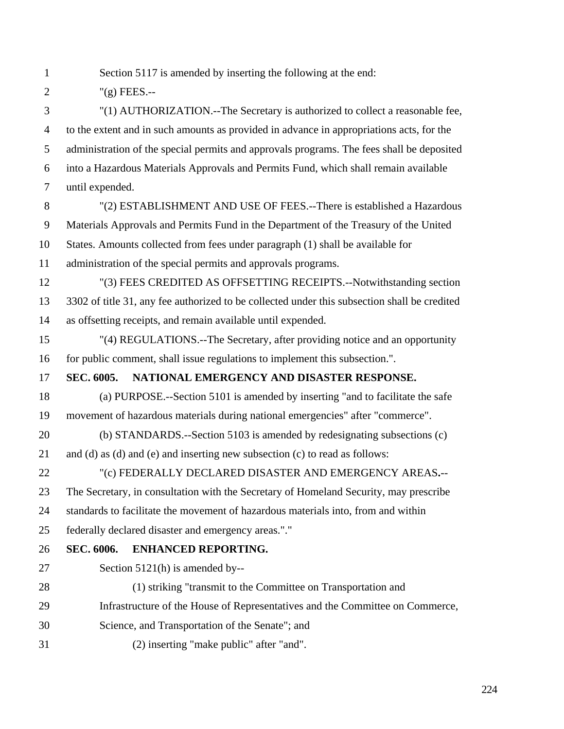- 1 Section 5117 is amended by inserting the following at the end:
- 2  $"({\rm g})$  FEES.--

3 "(1) AUTHORIZATION.--The Secretary is authorized to collect a reasonable fee, 4 to the extent and in such amounts as provided in advance in appropriations acts, for the 5 administration of the special permits and approvals programs. The fees shall be deposited 6 into a Hazardous Materials Approvals and Permits Fund, which shall remain available 7 until expended.

- 8 "(2) ESTABLISHMENT AND USE OF FEES.--There is established a Hazardous 9 Materials Approvals and Permits Fund in the Department of the Treasury of the United 10 States. Amounts collected from fees under paragraph (1) shall be available for
- 11 administration of the special permits and approvals programs.
- 12 "(3) FEES CREDITED AS OFFSETTING RECEIPTS.--Notwithstanding section 13 3302 of title 31, any fee authorized to be collected under this subsection shall be credited 14 as offsetting receipts, and remain available until expended.
- 15 "(4) REGULATIONS.--The Secretary, after providing notice and an opportunity 16 for public comment, shall issue regulations to implement this subsection.".

## 17 **SEC. 6005. NATIONAL EMERGENCY AND DISASTER RESPONSE.**

- 18 (a) PURPOSE.--Section 5101 is amended by inserting "and to facilitate the safe 19 movement of hazardous materials during national emergencies" after "commerce".
- 20 (b) STANDARDS.--Section 5103 is amended by redesignating subsections (c)
- 21 and (d) as (d) and (e) and inserting new subsection (c) to read as follows:

22 "(c) FEDERALLY DECLARED DISASTER AND EMERGENCY AREAS**.**--

23 The Secretary, in consultation with the Secretary of Homeland Security, may prescribe

- 24 standards to facilitate the movement of hazardous materials into, from and within
- 25 federally declared disaster and emergency areas."."
- 26 **SEC. 6006. ENHANCED REPORTING.**
- 27 Section 5121(h) is amended by--
- 28 (1) striking "transmit to the Committee on Transportation and
- 29 Infrastructure of the House of Representatives and the Committee on Commerce,
- 30 Science, and Transportation of the Senate"; and
- 31 (2) inserting "make public" after "and".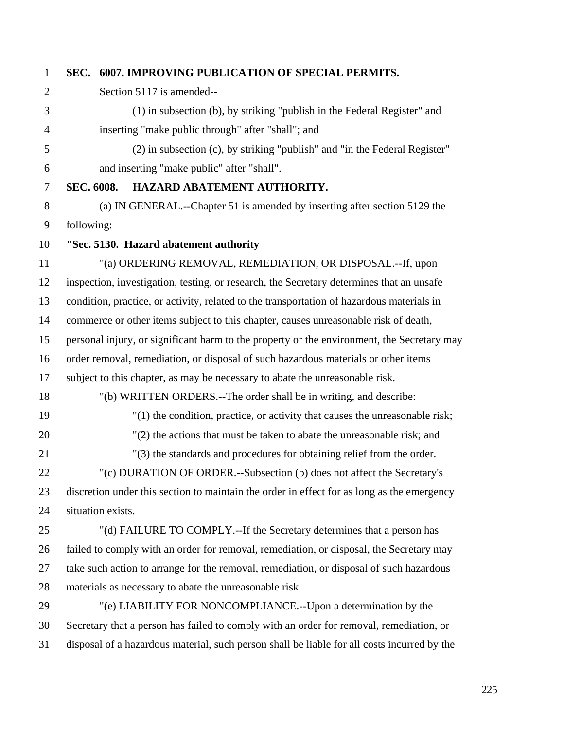## 1 **SEC. 6007. IMPROVING PUBLICATION OF SPECIAL PERMITS.**  2 Section 5117 is amended-- 3 (1) in subsection (b), by striking "publish in the Federal Register" and 4 inserting "make public through" after "shall"; and 5 (2) in subsection (c), by striking "publish" and "in the Federal Register" 6 and inserting "make public" after "shall". 7 **SEC. 6008. HAZARD ABATEMENT AUTHORITY.**  8 (a) IN GENERAL.--Chapter 51 is amended by inserting after section 5129 the 9 following: 10 **"Sec. 5130. Hazard abatement authority**  11 "(a) ORDERING REMOVAL, REMEDIATION, OR DISPOSAL.--If, upon 12 inspection, investigation, testing, or research, the Secretary determines that an unsafe 13 condition, practice, or activity, related to the transportation of hazardous materials in 14 commerce or other items subject to this chapter, causes unreasonable risk of death, 15 personal injury, or significant harm to the property or the environment, the Secretary may 16 order removal, remediation, or disposal of such hazardous materials or other items 17 subject to this chapter, as may be necessary to abate the unreasonable risk. 18 "(b) WRITTEN ORDERS.--The order shall be in writing, and describe: 19 "(1) the condition, practice, or activity that causes the unreasonable risk; 20 "(2) the actions that must be taken to abate the unreasonable risk; and 21 "(3) the standards and procedures for obtaining relief from the order. 22 "(c) DURATION OF ORDER.--Subsection (b) does not affect the Secretary's 23 discretion under this section to maintain the order in effect for as long as the emergency 24 situation exists. 25 "(d) FAILURE TO COMPLY.--If the Secretary determines that a person has 26 failed to comply with an order for removal, remediation, or disposal, the Secretary may 27 take such action to arrange for the removal, remediation, or disposal of such hazardous 28 materials as necessary to abate the unreasonable risk. 29 "(e) LIABILITY FOR NONCOMPLIANCE.--Upon a determination by the 30 Secretary that a person has failed to comply with an order for removal, remediation, or

31 disposal of a hazardous material, such person shall be liable for all costs incurred by the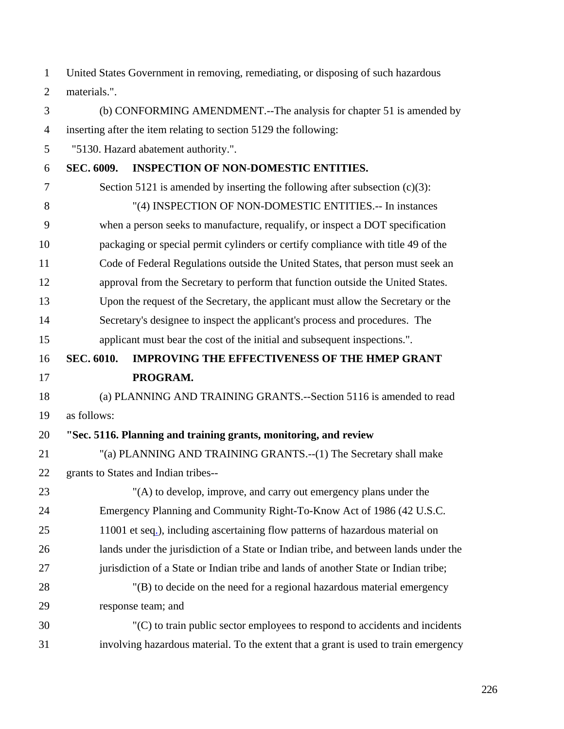1 United States Government in removing, remediating, or disposing of such hazardous 2 materials.".

3 (b) CONFORMING AMENDMENT.--The analysis for chapter 51 is amended by 4 inserting after the item relating to section 5129 the following: 5 "5130. Hazard abatement authority.". 6 **SEC. 6009. INSPECTION OF NON-DOMESTIC ENTITIES.**  7 Section 5121 is amended by inserting the following after subsection (c)(3): 8 "(4) INSPECTION OF NON-DOMESTIC ENTITIES.-- In instances 9 when a person seeks to manufacture, requalify, or inspect a DOT specification 10 packaging or special permit cylinders or certify compliance with title 49 of the 11 Code of Federal Regulations outside the United States, that person must seek an 12 approval from the Secretary to perform that function outside the United States. 13 Upon the request of the Secretary, the applicant must allow the Secretary or the 14 Secretary's designee to inspect the applicant's process and procedures. The 15 applicant must bear the cost of the initial and subsequent inspections.". 16 **SEC. 6010. IMPROVING THE EFFECTIVENESS OF THE HMEP GRANT**  17 **PROGRAM.**  18 (a) PLANNING AND TRAINING GRANTS.--Section 5116 is amended to read 19 as follows: 20 **"Sec. 5116. Planning and training grants, monitoring, and review**  21 "(a) PLANNING AND TRAINING GRANTS.--(1) The Secretary shall make 22 grants to States and Indian tribes-- 23 "(A) to develop, improve, and carry out emergency plans under the 24 Emergency Planning and Community Right-To-Know Act of 1986 (42 U.S.C. 25 11001 et seq.), including ascertaining flow patterns of hazardous material on 26 lands under the jurisdiction of a State or Indian tribe, and between lands under the 27 jurisdiction of a State or Indian tribe and lands of another State or Indian tribe; 28 "(B) to decide on the need for a regional hazardous material emergency 29 response team; and 30 "(C) to train public sector employees to respond to accidents and incidents

31 involving hazardous material. To the extent that a grant is used to train emergency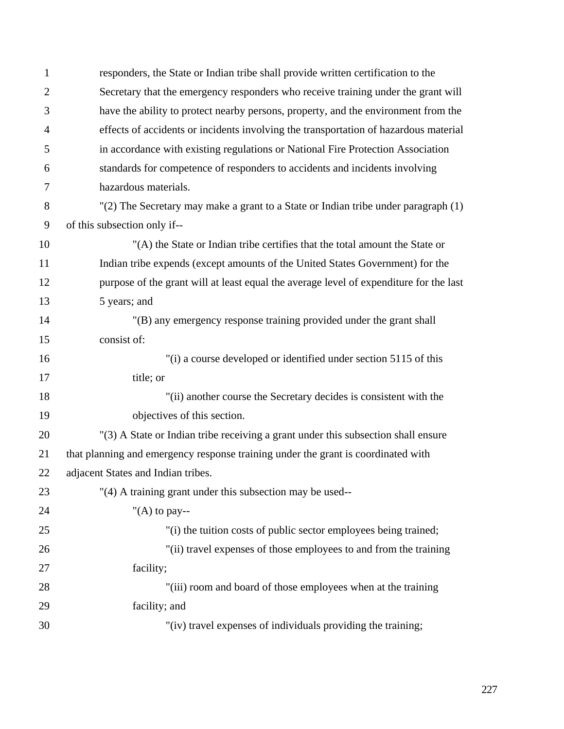| $\mathbf{1}$   | responders, the State or Indian tribe shall provide written certification to the       |
|----------------|----------------------------------------------------------------------------------------|
| $\overline{2}$ | Secretary that the emergency responders who receive training under the grant will      |
| 3              | have the ability to protect nearby persons, property, and the environment from the     |
| $\overline{4}$ | effects of accidents or incidents involving the transportation of hazardous material   |
| 5              | in accordance with existing regulations or National Fire Protection Association        |
| 6              | standards for competence of responders to accidents and incidents involving            |
| 7              | hazardous materials.                                                                   |
| 8              | "(2) The Secretary may make a grant to a State or Indian tribe under paragraph (1)     |
| 9              | of this subsection only if--                                                           |
| 10             | "(A) the State or Indian tribe certifies that the total amount the State or            |
| 11             | Indian tribe expends (except amounts of the United States Government) for the          |
| 12             | purpose of the grant will at least equal the average level of expenditure for the last |
| 13             | 5 years; and                                                                           |
| 14             | "(B) any emergency response training provided under the grant shall                    |
| 15             | consist of:                                                                            |
| 16             | "(i) a course developed or identified under section 5115 of this                       |
| 17             | title; or                                                                              |
| 18             | "(ii) another course the Secretary decides is consistent with the                      |
| 19             | objectives of this section.                                                            |
| 20             | "(3) A State or Indian tribe receiving a grant under this subsection shall ensure      |
| 21             | that planning and emergency response training under the grant is coordinated with      |
| 22             | adjacent States and Indian tribes.                                                     |
| 23             | "(4) A training grant under this subsection may be used--                              |
| 24             | "(A) to pay--                                                                          |
| 25             | "(i) the tuition costs of public sector employees being trained;                       |
| 26             | "(ii) travel expenses of those employees to and from the training                      |
| 27             | facility;                                                                              |
| 28             | "(iii) room and board of those employees when at the training                          |
| 29             | facility; and                                                                          |
| 30             | "(iv) travel expenses of individuals providing the training;                           |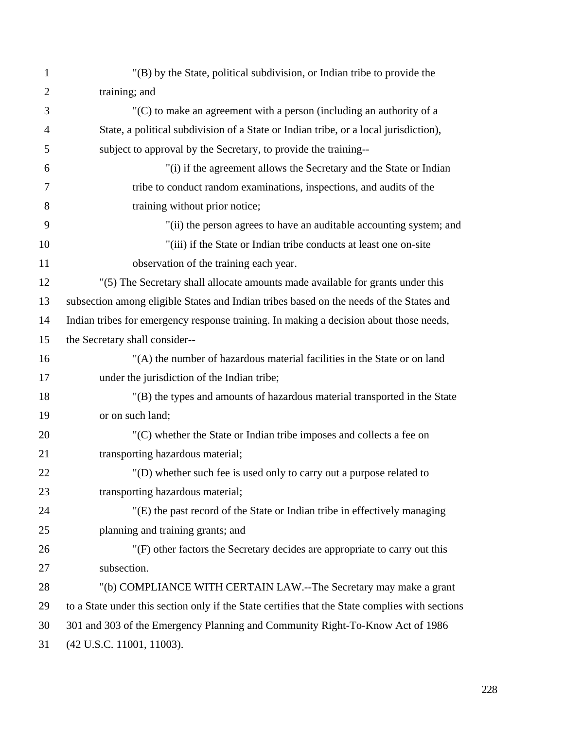| $\mathbf{1}$   | "(B) by the State, political subdivision, or Indian tribe to provide the                        |
|----------------|-------------------------------------------------------------------------------------------------|
| $\overline{2}$ | training; and                                                                                   |
| 3              | $C(C)$ to make an agreement with a person (including an authority of a                          |
| $\overline{4}$ | State, a political subdivision of a State or Indian tribe, or a local jurisdiction),            |
| 5              | subject to approval by the Secretary, to provide the training--                                 |
| 6              | "(i) if the agreement allows the Secretary and the State or Indian                              |
| 7              | tribe to conduct random examinations, inspections, and audits of the                            |
| 8              | training without prior notice;                                                                  |
| 9              | "(ii) the person agrees to have an auditable accounting system; and                             |
| 10             | "(iii) if the State or Indian tribe conducts at least one on-site                               |
| 11             | observation of the training each year.                                                          |
| 12             | "(5) The Secretary shall allocate amounts made available for grants under this                  |
| 13             | subsection among eligible States and Indian tribes based on the needs of the States and         |
| 14             | Indian tribes for emergency response training. In making a decision about those needs,          |
| 15             | the Secretary shall consider--                                                                  |
| 16             | "(A) the number of hazardous material facilities in the State or on land                        |
| 17             | under the jurisdiction of the Indian tribe;                                                     |
| 18             | "(B) the types and amounts of hazardous material transported in the State                       |
| 19             | or on such land;                                                                                |
| 20             | "(C) whether the State or Indian tribe imposes and collects a fee on                            |
| 21             | transporting hazardous material;                                                                |
| 22             | "(D) whether such fee is used only to carry out a purpose related to                            |
| 23             | transporting hazardous material;                                                                |
| 24             | "(E) the past record of the State or Indian tribe in effectively managing                       |
| 25             | planning and training grants; and                                                               |
| 26             | "(F) other factors the Secretary decides are appropriate to carry out this                      |
| 27             | subsection.                                                                                     |
| 28             | "(b) COMPLIANCE WITH CERTAIN LAW.--The Secretary may make a grant                               |
| 29             | to a State under this section only if the State certifies that the State complies with sections |
| 30             | 301 and 303 of the Emergency Planning and Community Right-To-Know Act of 1986                   |
| 31             | (42 U.S.C. 11001, 11003).                                                                       |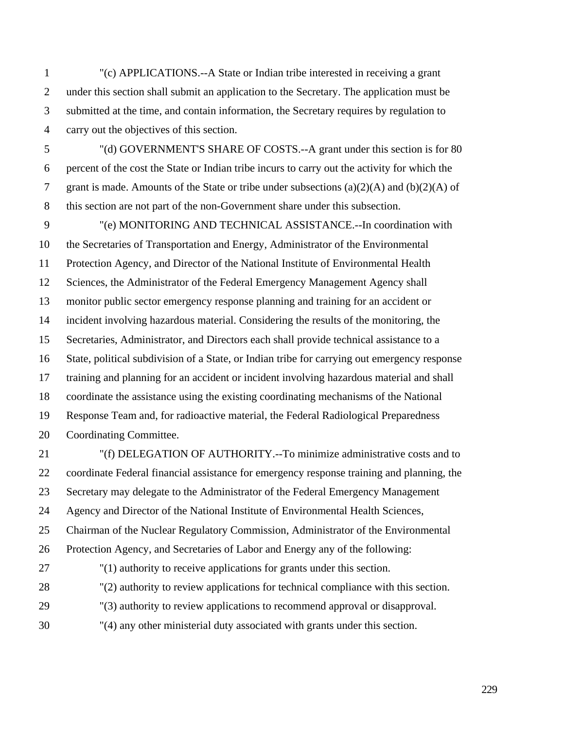1 "(c) APPLICATIONS.--A State or Indian tribe interested in receiving a grant 2 under this section shall submit an application to the Secretary. The application must be 3 submitted at the time, and contain information, the Secretary requires by regulation to 4 carry out the objectives of this section.

5 "(d) GOVERNMENT'S SHARE OF COSTS.--A grant under this section is for 80 6 percent of the cost the State or Indian tribe incurs to carry out the activity for which the 7 grant is made. Amounts of the State or tribe under subsections (a)(2)(A) and (b)(2)(A) of 8 this section are not part of the non-Government share under this subsection.

9 "(e) MONITORING AND TECHNICAL ASSISTANCE.--In coordination with 10 the Secretaries of Transportation and Energy, Administrator of the Environmental 11 Protection Agency, and Director of the National Institute of Environmental Health 12 Sciences, the Administrator of the Federal Emergency Management Agency shall 13 monitor public sector emergency response planning and training for an accident or 14 incident involving hazardous material. Considering the results of the monitoring, the 15 Secretaries, Administrator, and Directors each shall provide technical assistance to a 16 State, political subdivision of a State, or Indian tribe for carrying out emergency response 17 training and planning for an accident or incident involving hazardous material and shall 18 coordinate the assistance using the existing coordinating mechanisms of the National 19 Response Team and, for radioactive material, the Federal Radiological Preparedness 20 Coordinating Committee.

21 "(f) DELEGATION OF AUTHORITY.--To minimize administrative costs and to 22 coordinate Federal financial assistance for emergency response training and planning, the 23 Secretary may delegate to the Administrator of the Federal Emergency Management 24 Agency and Director of the National Institute of Environmental Health Sciences, 25 Chairman of the Nuclear Regulatory Commission, Administrator of the Environmental 26 Protection Agency, and Secretaries of Labor and Energy any of the following: 27 "(1) authority to receive applications for grants under this section.

- 28 "(2) authority to review applications for technical compliance with this section.
- 29 "(3) authority to review applications to recommend approval or disapproval.
- 30 "(4) any other ministerial duty associated with grants under this section.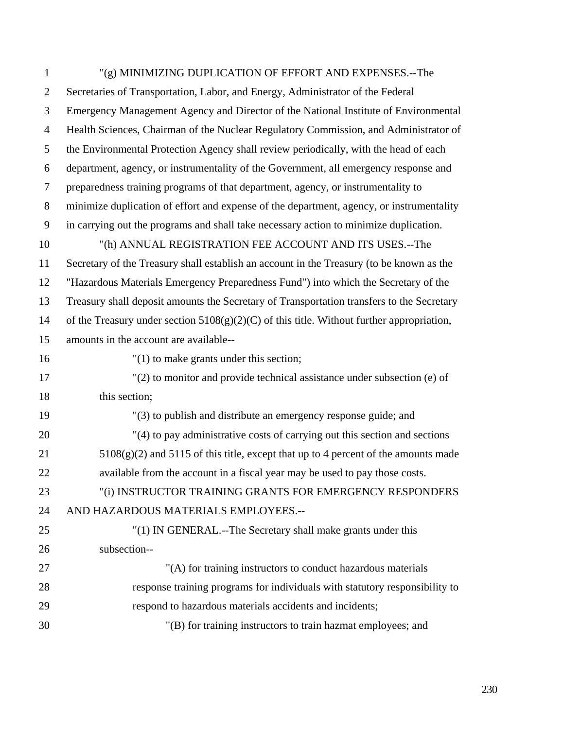| $\mathbf{1}$   | "(g) MINIMIZING DUPLICATION OF EFFORT AND EXPENSES.--The                                    |
|----------------|---------------------------------------------------------------------------------------------|
| $\overline{2}$ | Secretaries of Transportation, Labor, and Energy, Administrator of the Federal              |
| 3              | Emergency Management Agency and Director of the National Institute of Environmental         |
| $\overline{4}$ | Health Sciences, Chairman of the Nuclear Regulatory Commission, and Administrator of        |
| 5              | the Environmental Protection Agency shall review periodically, with the head of each        |
| 6              | department, agency, or instrumentality of the Government, all emergency response and        |
| $\overline{7}$ | preparedness training programs of that department, agency, or instrumentality to            |
| 8              | minimize duplication of effort and expense of the department, agency, or instrumentality    |
| 9              | in carrying out the programs and shall take necessary action to minimize duplication.       |
| 10             | "(h) ANNUAL REGISTRATION FEE ACCOUNT AND ITS USES.--The                                     |
| 11             | Secretary of the Treasury shall establish an account in the Treasury (to be known as the    |
| 12             | "Hazardous Materials Emergency Preparedness Fund") into which the Secretary of the          |
| 13             | Treasury shall deposit amounts the Secretary of Transportation transfers to the Secretary   |
| 14             | of the Treasury under section $5108(g)(2)(C)$ of this title. Without further appropriation, |
| 15             | amounts in the account are available--                                                      |
| 16             | $"(1)$ to make grants under this section;                                                   |
| 17             | $'(2)$ to monitor and provide technical assistance under subsection (e) of                  |
| 18             | this section;                                                                               |
| 19             | "(3) to publish and distribute an emergency response guide; and                             |
| 20             | "(4) to pay administrative costs of carrying out this section and sections                  |
| 21             | $5108(g)(2)$ and $5115$ of this title, except that up to 4 percent of the amounts made      |
| 22             | available from the account in a fiscal year may be used to pay those costs.                 |
| 23             | "(i) INSTRUCTOR TRAINING GRANTS FOR EMERGENCY RESPONDERS                                    |
| 24             | AND HAZARDOUS MATERIALS EMPLOYEES .--                                                       |
| 25             | "(1) IN GENERAL.--The Secretary shall make grants under this                                |
| 26             | subsection--                                                                                |
| 27             | "(A) for training instructors to conduct hazardous materials                                |
| 28             | response training programs for individuals with statutory responsibility to                 |
| 29             | respond to hazardous materials accidents and incidents;                                     |
| 30             | "(B) for training instructors to train hazmat employees; and                                |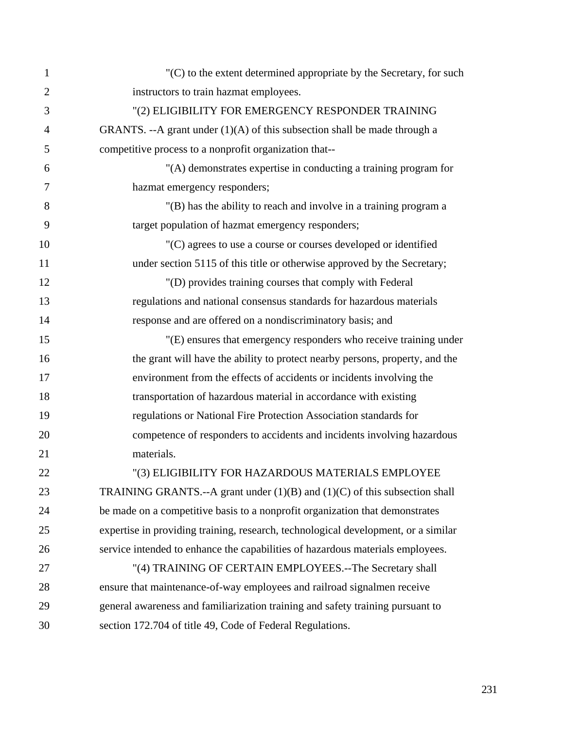| $\mathbf{1}$   | "(C) to the extent determined appropriate by the Secretary, for such               |
|----------------|------------------------------------------------------------------------------------|
| $\overline{2}$ | instructors to train hazmat employees.                                             |
| 3              | "(2) ELIGIBILITY FOR EMERGENCY RESPONDER TRAINING                                  |
| 4              | GRANTS. --A grant under $(1)(A)$ of this subsection shall be made through a        |
| 5              | competitive process to a nonprofit organization that--                             |
| 6              | "(A) demonstrates expertise in conducting a training program for                   |
| 7              | hazmat emergency responders;                                                       |
| 8              | "(B) has the ability to reach and involve in a training program a                  |
| 9              | target population of hazmat emergency responders;                                  |
| 10             | "(C) agrees to use a course or courses developed or identified                     |
| 11             | under section 5115 of this title or otherwise approved by the Secretary;           |
| 12             | "(D) provides training courses that comply with Federal                            |
| 13             | regulations and national consensus standards for hazardous materials               |
| 14             | response and are offered on a nondiscriminatory basis; and                         |
| 15             | "(E) ensures that emergency responders who receive training under                  |
| 16             | the grant will have the ability to protect nearby persons, property, and the       |
| 17             | environment from the effects of accidents or incidents involving the               |
| 18             | transportation of hazardous material in accordance with existing                   |
| 19             | regulations or National Fire Protection Association standards for                  |
| 20             | competence of responders to accidents and incidents involving hazardous            |
| 21             | materials.                                                                         |
| 22             | "(3) ELIGIBILITY FOR HAZARDOUS MATERIALS EMPLOYEE                                  |
| 23             | TRAINING GRANTS.--A grant under $(1)(B)$ and $(1)(C)$ of this subsection shall     |
| 24             | be made on a competitive basis to a nonprofit organization that demonstrates       |
| 25             | expertise in providing training, research, technological development, or a similar |
| 26             | service intended to enhance the capabilities of hazardous materials employees.     |
| 27             | "(4) TRAINING OF CERTAIN EMPLOYEES.--The Secretary shall                           |
| 28             | ensure that maintenance-of-way employees and railroad signalmen receive            |
| 29             | general awareness and familiarization training and safety training pursuant to     |
| 30             | section 172.704 of title 49, Code of Federal Regulations.                          |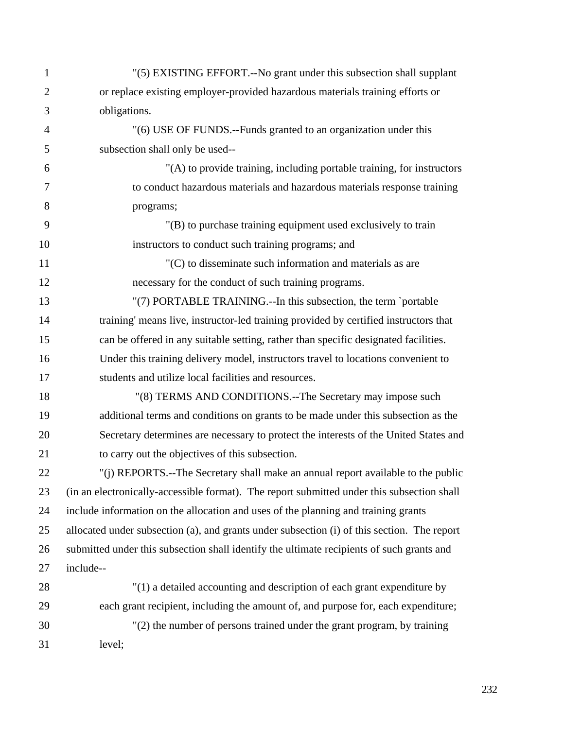| $\mathbf{1}$   | "(5) EXISTING EFFORT.--No grant under this subsection shall supplant                        |
|----------------|---------------------------------------------------------------------------------------------|
| $\overline{2}$ | or replace existing employer-provided hazardous materials training efforts or               |
| 3              | obligations.                                                                                |
| $\overline{4}$ | "(6) USE OF FUNDS.--Funds granted to an organization under this                             |
| 5              | subsection shall only be used--                                                             |
| 6              | "(A) to provide training, including portable training, for instructors                      |
| 7              | to conduct hazardous materials and hazardous materials response training                    |
| 8              | programs;                                                                                   |
| 9              | "(B) to purchase training equipment used exclusively to train                               |
| 10             | instructors to conduct such training programs; and                                          |
| 11             | $C(C)$ to disseminate such information and materials as are                                 |
| 12             | necessary for the conduct of such training programs.                                        |
| 13             | "(7) PORTABLE TRAINING.--In this subsection, the term `portable                             |
| 14             | training' means live, instructor-led training provided by certified instructors that        |
| 15             | can be offered in any suitable setting, rather than specific designated facilities.         |
| 16             | Under this training delivery model, instructors travel to locations convenient to           |
| 17             | students and utilize local facilities and resources.                                        |
| 18             | "(8) TERMS AND CONDITIONS.--The Secretary may impose such                                   |
| 19             | additional terms and conditions on grants to be made under this subsection as the           |
| 20             | Secretary determines are necessary to protect the interests of the United States and        |
| 21             | to carry out the objectives of this subsection.                                             |
| 22             | "(i) REPORTS.--The Secretary shall make an annual report available to the public            |
| 23             | (in an electronically-accessible format). The report submitted under this subsection shall  |
| 24             | include information on the allocation and uses of the planning and training grants          |
| 25             | allocated under subsection (a), and grants under subsection (i) of this section. The report |
| 26             | submitted under this subsection shall identify the ultimate recipients of such grants and   |
| 27             | include--                                                                                   |
| 28             | "(1) a detailed accounting and description of each grant expenditure by                     |
| 29             | each grant recipient, including the amount of, and purpose for, each expenditure;           |
| 30             | "(2) the number of persons trained under the grant program, by training                     |
| 31             | level;                                                                                      |
|                |                                                                                             |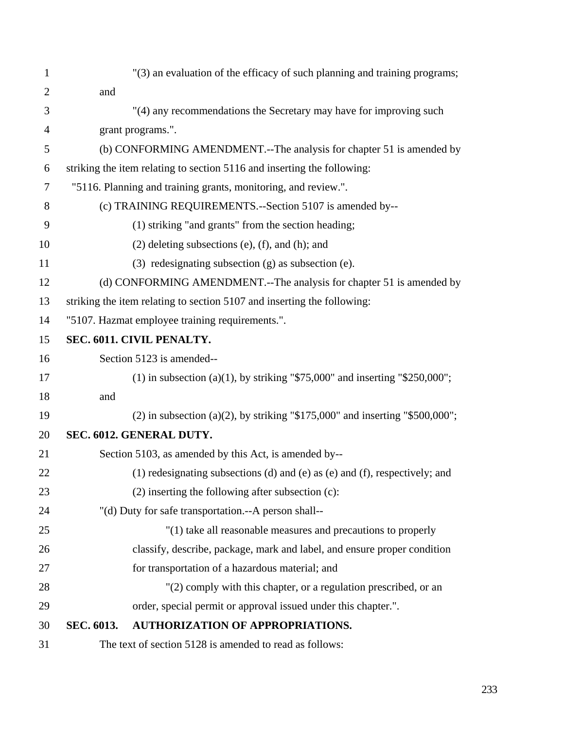| 1              | "(3) an evaluation of the efficacy of such planning and training programs;        |
|----------------|-----------------------------------------------------------------------------------|
| $\overline{2}$ | and                                                                               |
| 3              | "(4) any recommendations the Secretary may have for improving such                |
| $\overline{4}$ | grant programs.".                                                                 |
| 5              | (b) CONFORMING AMENDMENT.--The analysis for chapter 51 is amended by              |
| 6              | striking the item relating to section 5116 and inserting the following:           |
| 7              | "5116. Planning and training grants, monitoring, and review.".                    |
| 8              | (c) TRAINING REQUIREMENTS.--Section 5107 is amended by--                          |
| 9              | (1) striking "and grants" from the section heading;                               |
| 10             | $(2)$ deleting subsections $(e)$ , $(f)$ , and $(h)$ ; and                        |
| 11             | $(3)$ redesignating subsection $(g)$ as subsection $(e)$ .                        |
| 12             | (d) CONFORMING AMENDMENT.--The analysis for chapter 51 is amended by              |
| 13             | striking the item relating to section 5107 and inserting the following:           |
| 14             | "5107. Hazmat employee training requirements.".                                   |
| 15             | SEC. 6011. CIVIL PENALTY.                                                         |
| 16             | Section 5123 is amended--                                                         |
| 17             | (1) in subsection (a)(1), by striking "\$75,000" and inserting "\$250,000";       |
| 18             | and                                                                               |
| 19             | $(2)$ in subsection $(a)(2)$ , by striking "\$175,000" and inserting "\$500,000"; |
| 20             | SEC. 6012. GENERAL DUTY.                                                          |
| 21             | Section 5103, as amended by this Act, is amended by--                             |
| 22             | (1) redesignating subsections (d) and (e) as (e) and (f), respectively; and       |
| 23             | $(2)$ inserting the following after subsection $(c)$ :                            |
| 24             | "(d) Duty for safe transportation.--A person shall--                              |
| 25             | "(1) take all reasonable measures and precautions to properly                     |
| 26             | classify, describe, package, mark and label, and ensure proper condition          |
| 27             | for transportation of a hazardous material; and                                   |
| 28             | "(2) comply with this chapter, or a regulation prescribed, or an                  |
| 29             | order, special permit or approval issued under this chapter.".                    |
| 30             | <b>AUTHORIZATION OF APPROPRIATIONS.</b><br>SEC. 6013.                             |
| 31             | The text of section 5128 is amended to read as follows:                           |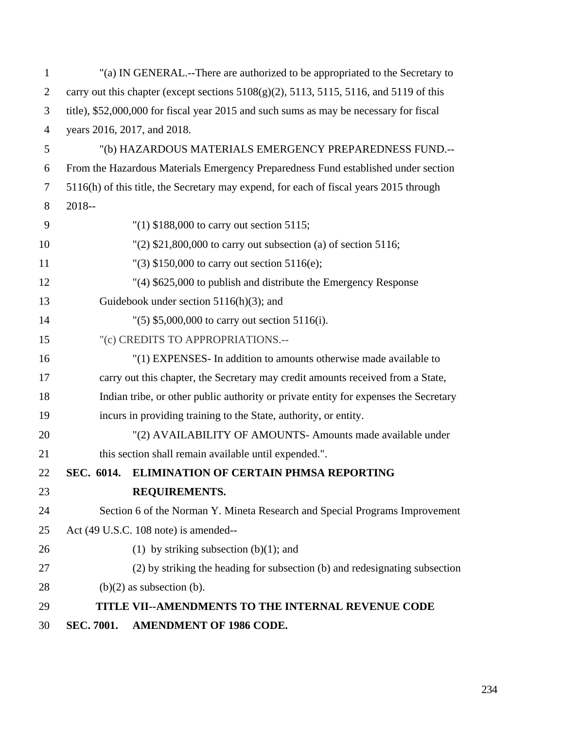| $\mathbf{1}$   |            | "(a) IN GENERAL.--There are authorized to be appropriated to the Secretary to                        |
|----------------|------------|------------------------------------------------------------------------------------------------------|
| $\overline{2}$ |            | carry out this chapter (except sections $5108(g)(2)$ , $5113$ , $5115$ , $5116$ , and $5119$ of this |
| 3              |            | title), \$52,000,000 for fiscal year 2015 and such sums as may be necessary for fiscal               |
| $\overline{4}$ |            | years 2016, 2017, and 2018.                                                                          |
| 5              |            | "(b) HAZARDOUS MATERIALS EMERGENCY PREPAREDNESS FUND.--                                              |
| 6              |            | From the Hazardous Materials Emergency Preparedness Fund established under section                   |
| 7              |            | 5116(h) of this title, the Secretary may expend, for each of fiscal years 2015 through               |
| 8              | $2018 -$   |                                                                                                      |
| 9              |            | $''(1)$ \$188,000 to carry out section 5115;                                                         |
| 10             |            | $'(2)$ \$21,800,000 to carry out subsection (a) of section 5116;                                     |
| 11             |            | "(3) $$150,000$ to carry out section $5116(e)$ ;                                                     |
| 12             |            | "(4) \$625,000 to publish and distribute the Emergency Response                                      |
| 13             |            | Guidebook under section $5116(h)(3)$ ; and                                                           |
| 14             |            | $'(5)$ \$5,000,000 to carry out section 5116(i).                                                     |
| 15             |            | "(c) CREDITS TO APPROPRIATIONS.--                                                                    |
| 16             |            | "(1) EXPENSES- In addition to amounts otherwise made available to                                    |
| 17             |            | carry out this chapter, the Secretary may credit amounts received from a State,                      |
| 18             |            | Indian tribe, or other public authority or private entity for expenses the Secretary                 |
| 19             |            | incurs in providing training to the State, authority, or entity.                                     |
| 20             |            | "(2) AVAILABILITY OF AMOUNTS- Amounts made available under                                           |
| 21             |            | this section shall remain available until expended.".                                                |
| 22             |            | SEC. 6014. ELIMINATION OF CERTAIN PHMSA REPORTING                                                    |
| 23             |            | REQUIREMENTS.                                                                                        |
| 24             |            | Section 6 of the Norman Y. Mineta Research and Special Programs Improvement                          |
| 25             |            | Act (49 U.S.C. 108 note) is amended--                                                                |
| 26             |            | (1) by striking subsection (b)(1); and                                                               |
| 27             |            | (2) by striking the heading for subsection (b) and redesignating subsection                          |
| 28             |            | $(b)(2)$ as subsection $(b)$ .                                                                       |
| 29             |            | <b>TITLE VII--AMENDMENTS TO THE INTERNAL REVENUE CODE</b>                                            |
| 30             | SEC. 7001. | <b>AMENDMENT OF 1986 CODE.</b>                                                                       |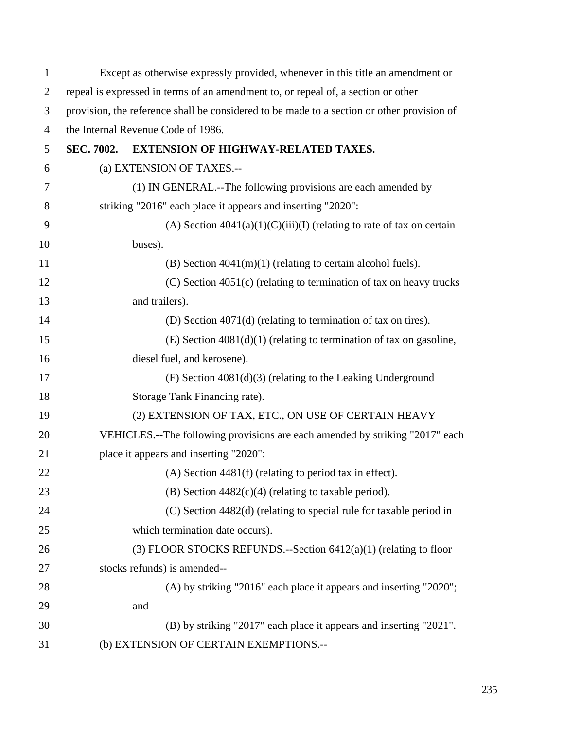| $\mathbf 1$    |                   | Except as otherwise expressly provided, whenever in this title an amendment or             |
|----------------|-------------------|--------------------------------------------------------------------------------------------|
| $\overline{2}$ |                   | repeal is expressed in terms of an amendment to, or repeal of, a section or other          |
| 3              |                   | provision, the reference shall be considered to be made to a section or other provision of |
| $\overline{4}$ |                   | the Internal Revenue Code of 1986.                                                         |
| 5              | <b>SEC. 7002.</b> | EXTENSION OF HIGHWAY-RELATED TAXES.                                                        |
| 6              |                   | (a) EXTENSION OF TAXES.--                                                                  |
| 7              |                   | (1) IN GENERAL.--The following provisions are each amended by                              |
| 8              |                   | striking "2016" each place it appears and inserting "2020":                                |
| 9              |                   | (A) Section $4041(a)(1)(C)(iii)(I)$ (relating to rate of tax on certain                    |
| 10             |                   | buses).                                                                                    |
| 11             |                   | (B) Section $4041(m)(1)$ (relating to certain alcohol fuels).                              |
| 12             |                   | $(C)$ Section 4051 $(c)$ (relating to termination of tax on heavy trucks                   |
| 13             |                   | and trailers).                                                                             |
| 14             |                   | (D) Section 4071(d) (relating to termination of tax on tires).                             |
| 15             |                   | $(E)$ Section 4081(d)(1) (relating to termination of tax on gasoline,                      |
| 16             |                   | diesel fuel, and kerosene).                                                                |
| 17             |                   | $(F)$ Section 4081(d)(3) (relating to the Leaking Underground                              |
| 18             |                   | Storage Tank Financing rate).                                                              |
| 19             |                   | (2) EXTENSION OF TAX, ETC., ON USE OF CERTAIN HEAVY                                        |
| 20             |                   | VEHICLES.--The following provisions are each amended by striking "2017" each               |
| 21             |                   | place it appears and inserting "2020":                                                     |
| 22             |                   | $(A)$ Section 4481(f) (relating to period tax in effect).                                  |
| 23             |                   | (B) Section $4482(c)(4)$ (relating to taxable period).                                     |
| 24             |                   | (C) Section 4482(d) (relating to special rule for taxable period in                        |
| 25             |                   | which termination date occurs).                                                            |
| 26             |                   | (3) FLOOR STOCKS REFUNDS.--Section $6412(a)(1)$ (relating to floor                         |
| 27             |                   | stocks refunds) is amended--                                                               |
| 28             |                   | (A) by striking "2016" each place it appears and inserting "2020";                         |
| 29             |                   | and                                                                                        |
| 30             |                   | (B) by striking "2017" each place it appears and inserting "2021".                         |
| 31             |                   | (b) EXTENSION OF CERTAIN EXEMPTIONS.--                                                     |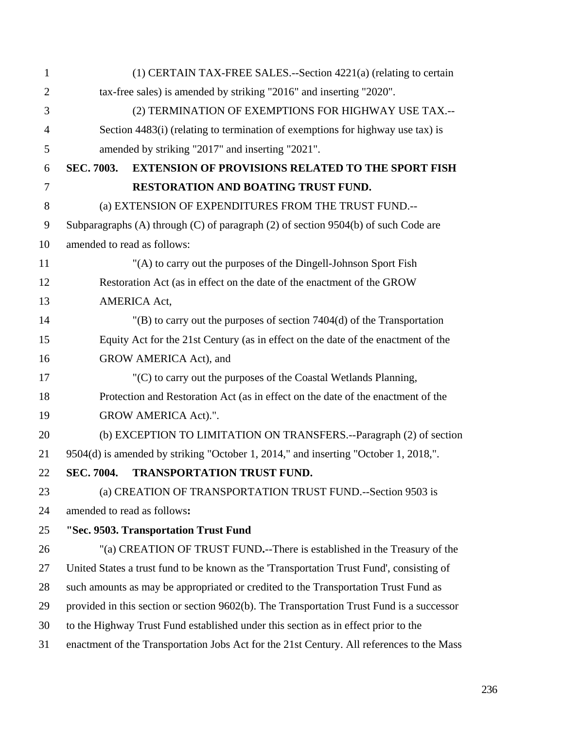| $\mathbf{1}$   | $(1)$ CERTAIN TAX-FREE SALES.--Section 4221 $(a)$ (relating to certain                    |
|----------------|-------------------------------------------------------------------------------------------|
| $\overline{2}$ | tax-free sales) is amended by striking "2016" and inserting "2020".                       |
| 3              | (2) TERMINATION OF EXEMPTIONS FOR HIGHWAY USE TAX .--                                     |
| $\overline{4}$ | Section 4483(i) (relating to termination of exemptions for highway use tax) is            |
| 5              | amended by striking "2017" and inserting "2021".                                          |
| 6              | <b>EXTENSION OF PROVISIONS RELATED TO THE SPORT FISH</b><br><b>SEC. 7003.</b>             |
| 7              | RESTORATION AND BOATING TRUST FUND.                                                       |
| 8              | (a) EXTENSION OF EXPENDITURES FROM THE TRUST FUND.--                                      |
| $\mathbf{9}$   | Subparagraphs (A) through (C) of paragraph (2) of section 9504(b) of such Code are        |
| 10             | amended to read as follows:                                                               |
| 11             | "(A) to carry out the purposes of the Dingell-Johnson Sport Fish                          |
| 12             | Restoration Act (as in effect on the date of the enactment of the GROW                    |
| 13             | AMERICA Act,                                                                              |
| 14             | $'(B)$ to carry out the purposes of section 7404(d) of the Transportation                 |
| 15             | Equity Act for the 21st Century (as in effect on the date of the enactment of the         |
| 16             | GROW AMERICA Act), and                                                                    |
| 17             | $C(C)$ to carry out the purposes of the Coastal Wetlands Planning,                        |
| 18             | Protection and Restoration Act (as in effect on the date of the enactment of the          |
| 19             | GROW AMERICA Act).".                                                                      |
| 20             | (b) EXCEPTION TO LIMITATION ON TRANSFERS.--Paragraph (2) of section                       |
| 21             | 9504(d) is amended by striking "October 1, 2014," and inserting "October 1, 2018,".       |
| 22             | <b>SEC. 7004.</b><br><b>TRANSPORTATION TRUST FUND.</b>                                    |
| 23             | (a) CREATION OF TRANSPORTATION TRUST FUND.--Section 9503 is                               |
| 24             | amended to read as follows:                                                               |
| 25             | "Sec. 9503. Transportation Trust Fund                                                     |
| 26             | "(a) CREATION OF TRUST FUND.--There is established in the Treasury of the                 |
| 27             | United States a trust fund to be known as the 'Transportation Trust Fund', consisting of  |
| 28             | such amounts as may be appropriated or credited to the Transportation Trust Fund as       |
| 29             | provided in this section or section 9602(b). The Transportation Trust Fund is a successor |
| 30             | to the Highway Trust Fund established under this section as in effect prior to the        |
| 31             | enactment of the Transportation Jobs Act for the 21st Century. All references to the Mass |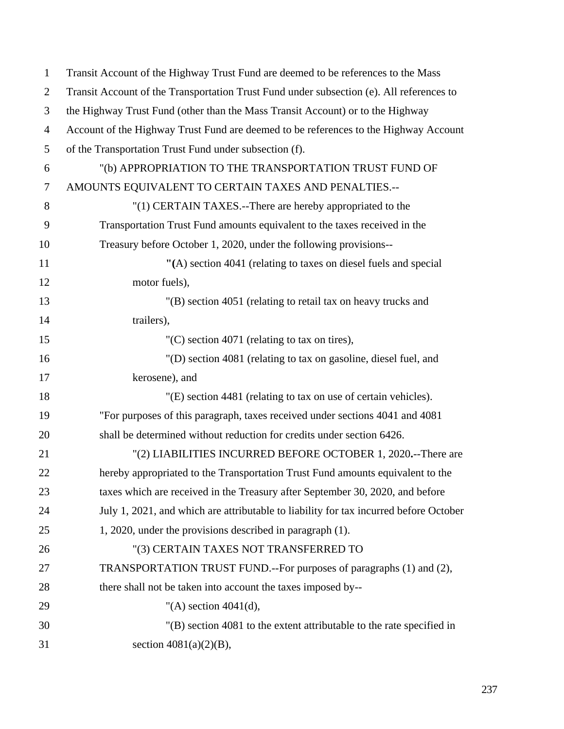| $\mathbf{1}$   | Transit Account of the Highway Trust Fund are deemed to be references to the Mass        |
|----------------|------------------------------------------------------------------------------------------|
| $\overline{2}$ | Transit Account of the Transportation Trust Fund under subsection (e). All references to |
| 3              | the Highway Trust Fund (other than the Mass Transit Account) or to the Highway           |
| $\overline{4}$ | Account of the Highway Trust Fund are deemed to be references to the Highway Account     |
| 5              | of the Transportation Trust Fund under subsection (f).                                   |
| 6              | "(b) APPROPRIATION TO THE TRANSPORTATION TRUST FUND OF                                   |
| $\tau$         | AMOUNTS EQUIVALENT TO CERTAIN TAXES AND PENALTIES.--                                     |
| 8              | "(1) CERTAIN TAXES.--There are hereby appropriated to the                                |
| 9              | Transportation Trust Fund amounts equivalent to the taxes received in the                |
| 10             | Treasury before October 1, 2020, under the following provisions--                        |
| 11             | "(A) section 4041 (relating to taxes on diesel fuels and special                         |
| 12             | motor fuels),                                                                            |
| 13             | "(B) section 4051 (relating to retail tax on heavy trucks and                            |
| 14             | trailers),                                                                               |
| 15             | $(C)$ section 4071 (relating to tax on tires),                                           |
| 16             | "(D) section 4081 (relating to tax on gasoline, diesel fuel, and                         |
| 17             | kerosene), and                                                                           |
| 18             | "(E) section 4481 (relating to tax on use of certain vehicles).                          |
| 19             | "For purposes of this paragraph, taxes received under sections 4041 and 4081             |
| 20             | shall be determined without reduction for credits under section 6426.                    |
| 21             | "(2) LIABILITIES INCURRED BEFORE OCTOBER 1, 2020.--There are                             |
| 22             | hereby appropriated to the Transportation Trust Fund amounts equivalent to the           |
| 23             | taxes which are received in the Treasury after September 30, 2020, and before            |
| 24             | July 1, 2021, and which are attributable to liability for tax incurred before October    |
| 25             | 1, 2020, under the provisions described in paragraph (1).                                |
| 26             | "(3) CERTAIN TAXES NOT TRANSFERRED TO                                                    |
| 27             | TRANSPORTATION TRUST FUND.--For purposes of paragraphs (1) and (2),                      |
| 28             | there shall not be taken into account the taxes imposed by--                             |
| 29             | "(A) section $4041(d)$ ,                                                                 |
| 30             | $'(B)$ section 4081 to the extent attributable to the rate specified in                  |
| 31             | section $4081(a)(2)(B)$ ,                                                                |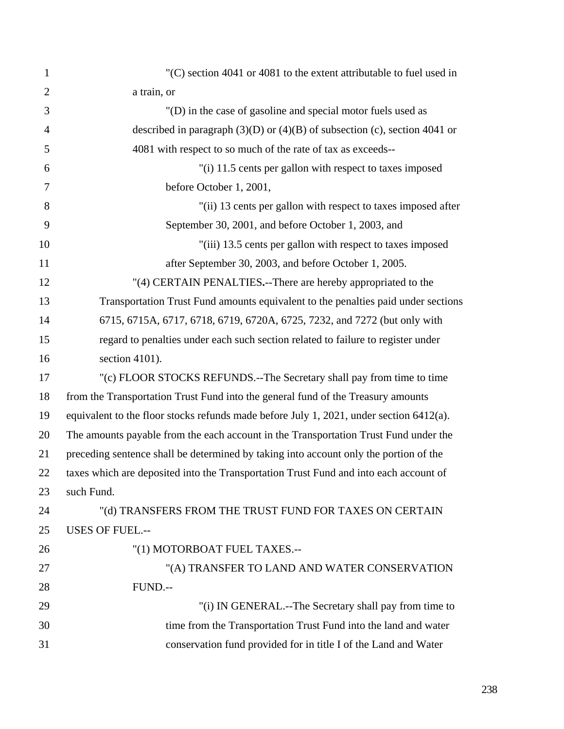| $(C)$ section 4041 or 4081 to the extent attributable to fuel used in                   |
|-----------------------------------------------------------------------------------------|
| a train, or                                                                             |
| "(D) in the case of gasoline and special motor fuels used as                            |
| described in paragraph $(3)(D)$ or $(4)(B)$ of subsection (c), section 4041 or          |
| 4081 with respect to so much of the rate of tax as exceeds--                            |
| "(i) 11.5 cents per gallon with respect to taxes imposed                                |
| before October 1, 2001,                                                                 |
| "(ii) 13 cents per gallon with respect to taxes imposed after                           |
| September 30, 2001, and before October 1, 2003, and                                     |
| "(iii) 13.5 cents per gallon with respect to taxes imposed                              |
| after September 30, 2003, and before October 1, 2005.                                   |
| "(4) CERTAIN PENALTIES.--There are hereby appropriated to the                           |
| Transportation Trust Fund amounts equivalent to the penalties paid under sections       |
| 6715, 6715A, 6717, 6718, 6719, 6720A, 6725, 7232, and 7272 (but only with               |
| regard to penalties under each such section related to failure to register under        |
| section 4101).                                                                          |
| "(c) FLOOR STOCKS REFUNDS.--The Secretary shall pay from time to time                   |
| from the Transportation Trust Fund into the general fund of the Treasury amounts        |
| equivalent to the floor stocks refunds made before July 1, 2021, under section 6412(a). |
| The amounts payable from the each account in the Transportation Trust Fund under the    |
| preceding sentence shall be determined by taking into account only the portion of the   |
| taxes which are deposited into the Transportation Trust Fund and into each account of   |
| such Fund.                                                                              |
| "(d) TRANSFERS FROM THE TRUST FUND FOR TAXES ON CERTAIN                                 |
| <b>USES OF FUEL.--</b>                                                                  |
| "(1) MOTORBOAT FUEL TAXES .--                                                           |
| "(A) TRANSFER TO LAND AND WATER CONSERVATION                                            |
| FUND.--                                                                                 |
| "(i) IN GENERAL.--The Secretary shall pay from time to                                  |
| time from the Transportation Trust Fund into the land and water                         |
| conservation fund provided for in title I of the Land and Water                         |
|                                                                                         |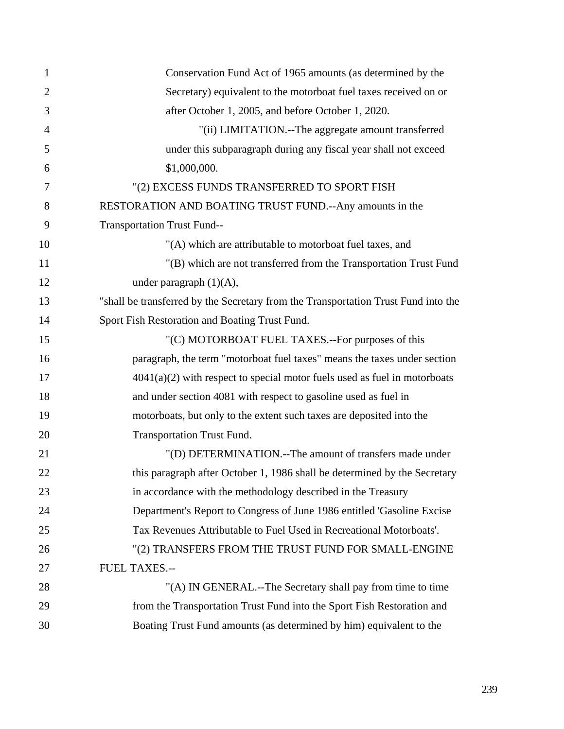| $\mathbf{1}$   | Conservation Fund Act of 1965 amounts (as determined by the                        |
|----------------|------------------------------------------------------------------------------------|
| $\overline{2}$ | Secretary) equivalent to the motorboat fuel taxes received on or                   |
| 3              | after October 1, 2005, and before October 1, 2020.                                 |
| $\overline{4}$ | "(ii) LIMITATION.--The aggregate amount transferred                                |
| 5              | under this subparagraph during any fiscal year shall not exceed                    |
| 6              | \$1,000,000.                                                                       |
| 7              | "(2) EXCESS FUNDS TRANSFERRED TO SPORT FISH                                        |
| 8              | RESTORATION AND BOATING TRUST FUND.--Any amounts in the                            |
| 9              | <b>Transportation Trust Fund--</b>                                                 |
| 10             | "(A) which are attributable to motorboat fuel taxes, and                           |
| 11             | "(B) which are not transferred from the Transportation Trust Fund                  |
| 12             | under paragraph $(1)(A)$ ,                                                         |
| 13             | "shall be transferred by the Secretary from the Transportation Trust Fund into the |
| 14             | Sport Fish Restoration and Boating Trust Fund.                                     |
| 15             | "(C) MOTORBOAT FUEL TAXES.--For purposes of this                                   |
| 16             | paragraph, the term "motorboat fuel taxes" means the taxes under section           |
| 17             | $4041(a)(2)$ with respect to special motor fuels used as fuel in motorboats        |
| 18             | and under section 4081 with respect to gasoline used as fuel in                    |
| 19             | motorboats, but only to the extent such taxes are deposited into the               |
| 20             | <b>Transportation Trust Fund.</b>                                                  |
| 21             | "(D) DETERMINATION.--The amount of transfers made under                            |
| 22             | this paragraph after October 1, 1986 shall be determined by the Secretary          |
| 23             | in accordance with the methodology described in the Treasury                       |
| 24             | Department's Report to Congress of June 1986 entitled 'Gasoline Excise             |
| 25             | Tax Revenues Attributable to Fuel Used in Recreational Motorboats'.                |
| 26             | "(2) TRANSFERS FROM THE TRUST FUND FOR SMALL-ENGINE                                |
| 27             | <b>FUEL TAXES.--</b>                                                               |
| 28             | "(A) IN GENERAL.--The Secretary shall pay from time to time                        |
| 29             | from the Transportation Trust Fund into the Sport Fish Restoration and             |
| 30             | Boating Trust Fund amounts (as determined by him) equivalent to the                |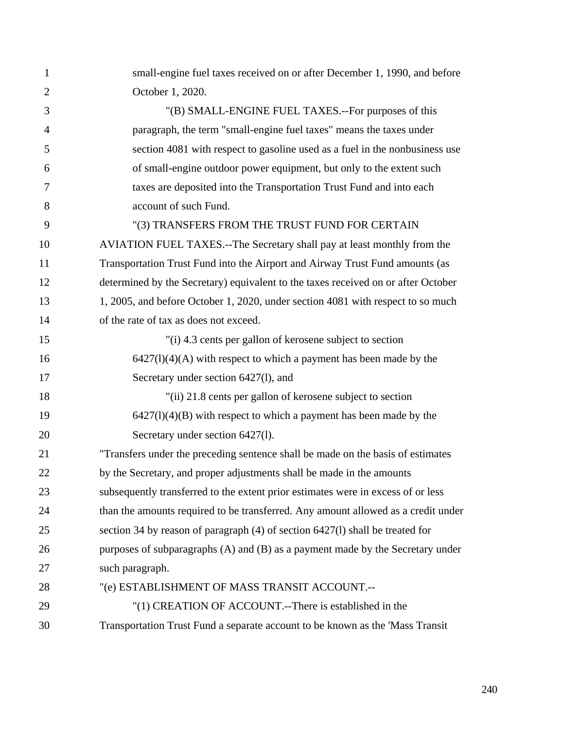| $\mathbf{1}$   | small-engine fuel taxes received on or after December 1, 1990, and before         |
|----------------|-----------------------------------------------------------------------------------|
| $\overline{2}$ | October 1, 2020.                                                                  |
| 3              | "(B) SMALL-ENGINE FUEL TAXES.--For purposes of this                               |
| $\overline{4}$ | paragraph, the term "small-engine fuel taxes" means the taxes under               |
| 5              | section 4081 with respect to gasoline used as a fuel in the nonbusiness use       |
| 6              | of small-engine outdoor power equipment, but only to the extent such              |
| 7              | taxes are deposited into the Transportation Trust Fund and into each              |
| 8              | account of such Fund.                                                             |
| 9              | "(3) TRANSFERS FROM THE TRUST FUND FOR CERTAIN                                    |
| 10             | AVIATION FUEL TAXES.--The Secretary shall pay at least monthly from the           |
| 11             | Transportation Trust Fund into the Airport and Airway Trust Fund amounts (as      |
| 12             | determined by the Secretary) equivalent to the taxes received on or after October |
| 13             | 1, 2005, and before October 1, 2020, under section 4081 with respect to so much   |
| 14             | of the rate of tax as does not exceed.                                            |
| 15             | "(i) 4.3 cents per gallon of kerosene subject to section                          |
| 16             | $6427(l)(4)(A)$ with respect to which a payment has been made by the              |
| 17             | Secretary under section 6427(1), and                                              |
| 18             | "(ii) 21.8 cents per gallon of kerosene subject to section                        |
| 19             | $6427(l)(4)(B)$ with respect to which a payment has been made by the              |
| 20             | Secretary under section 6427(1).                                                  |
| 21             | "Transfers under the preceding sentence shall be made on the basis of estimates   |
| 22             | by the Secretary, and proper adjustments shall be made in the amounts             |
| 23             | subsequently transferred to the extent prior estimates were in excess of or less  |
| 24             | than the amounts required to be transferred. Any amount allowed as a credit under |
| 25             | section 34 by reason of paragraph (4) of section 6427(1) shall be treated for     |
| 26             | purposes of subparagraphs (A) and (B) as a payment made by the Secretary under    |
| 27             | such paragraph.                                                                   |
| 28             | "(e) ESTABLISHMENT OF MASS TRANSIT ACCOUNT.--                                     |
| 29             | "(1) CREATION OF ACCOUNT.--There is established in the                            |
| 30             | Transportation Trust Fund a separate account to be known as the 'Mass Transit     |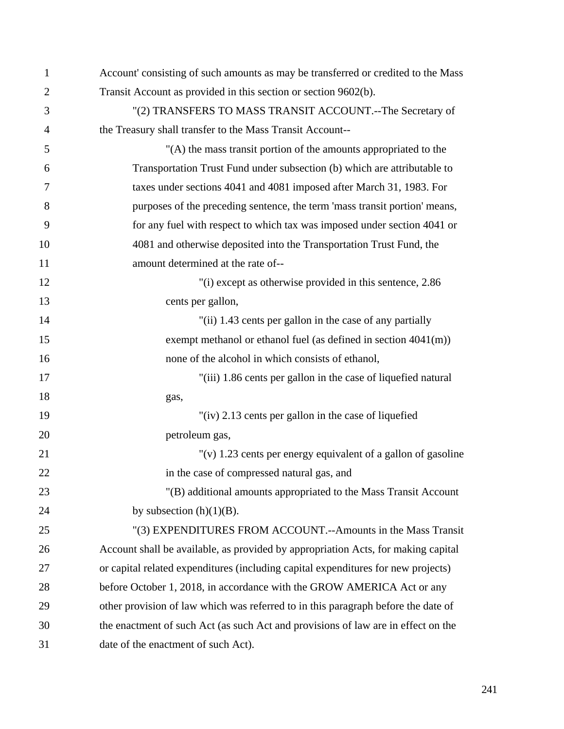| 1              | Account' consisting of such amounts as may be transferred or credited to the Mass |
|----------------|-----------------------------------------------------------------------------------|
| $\overline{2}$ | Transit Account as provided in this section or section 9602(b).                   |
| 3              | "(2) TRANSFERS TO MASS TRANSIT ACCOUNT.--The Secretary of                         |
| $\overline{4}$ | the Treasury shall transfer to the Mass Transit Account--                         |
| 5              | "(A) the mass transit portion of the amounts appropriated to the                  |
| 6              | Transportation Trust Fund under subsection (b) which are attributable to          |
| 7              | taxes under sections 4041 and 4081 imposed after March 31, 1983. For              |
| 8              | purposes of the preceding sentence, the term 'mass transit portion' means,        |
| 9              | for any fuel with respect to which tax was imposed under section 4041 or          |
| 10             | 4081 and otherwise deposited into the Transportation Trust Fund, the              |
| 11             | amount determined at the rate of--                                                |
| 12             | "(i) except as otherwise provided in this sentence, 2.86                          |
| 13             | cents per gallon,                                                                 |
| 14             | "(ii) 1.43 cents per gallon in the case of any partially                          |
| 15             | exempt methanol or ethanol fuel (as defined in section $4041(m)$ )                |
| 16             | none of the alcohol in which consists of ethanol,                                 |
| 17             | "(iii) 1.86 cents per gallon in the case of liquefied natural                     |
| 18             | gas,                                                                              |
| 19             | "(iv) 2.13 cents per gallon in the case of liquefied                              |
| 20             | petroleum gas,                                                                    |
| 21             | "(v) 1.23 cents per energy equivalent of a gallon of gasoline                     |
| 22             | in the case of compressed natural gas, and                                        |
| 23             | "(B) additional amounts appropriated to the Mass Transit Account                  |
| 24             | by subsection $(h)(1)(B)$ .                                                       |
| 25             | "(3) EXPENDITURES FROM ACCOUNT.--Amounts in the Mass Transit                      |
| 26             | Account shall be available, as provided by appropriation Acts, for making capital |
| 27             | or capital related expenditures (including capital expenditures for new projects) |
| 28             | before October 1, 2018, in accordance with the GROW AMERICA Act or any            |
| 29             | other provision of law which was referred to in this paragraph before the date of |
| 30             | the enactment of such Act (as such Act and provisions of law are in effect on the |
| 31             | date of the enactment of such Act).                                               |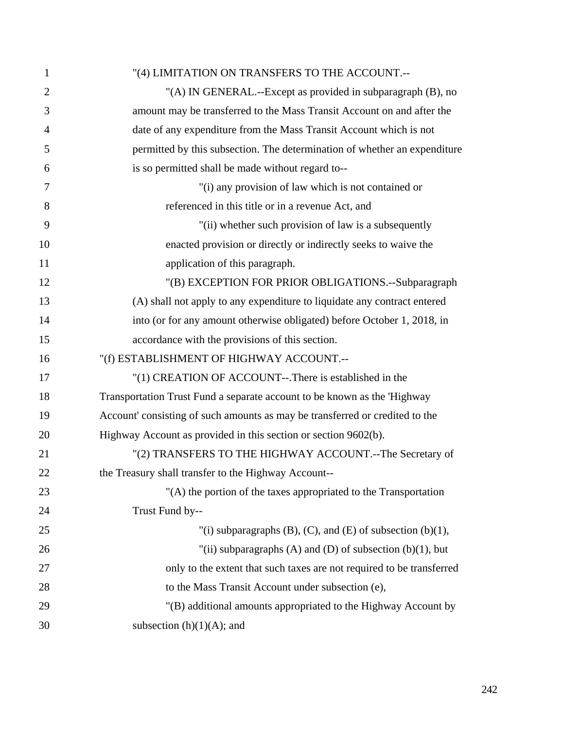| 1              | "(4) LIMITATION ON TRANSFERS TO THE ACCOUNT.--                               |
|----------------|------------------------------------------------------------------------------|
| $\overline{2}$ | "(A) IN GENERAL.--Except as provided in subparagraph (B), no                 |
| 3              | amount may be transferred to the Mass Transit Account on and after the       |
| $\overline{4}$ | date of any expenditure from the Mass Transit Account which is not           |
| 5              | permitted by this subsection. The determination of whether an expenditure    |
| 6              | is so permitted shall be made without regard to--                            |
| 7              | "(i) any provision of law which is not contained or                          |
| 8              | referenced in this title or in a revenue Act, and                            |
| 9              | "(ii) whether such provision of law is a subsequently                        |
| 10             | enacted provision or directly or indirectly seeks to waive the               |
| 11             | application of this paragraph.                                               |
| 12             | "(B) EXCEPTION FOR PRIOR OBLIGATIONS.--Subparagraph                          |
| 13             | (A) shall not apply to any expenditure to liquidate any contract entered     |
| 14             | into (or for any amount otherwise obligated) before October 1, 2018, in      |
| 15             | accordance with the provisions of this section.                              |
| 16             | "(f) ESTABLISHMENT OF HIGHWAY ACCOUNT.--                                     |
| 17             | "(1) CREATION OF ACCOUNT--.There is established in the                       |
| 18             | Transportation Trust Fund a separate account to be known as the 'Highway     |
| 19             | Account' consisting of such amounts as may be transferred or credited to the |
| 20             | Highway Account as provided in this section or section 9602(b).              |
| 21             | "(2) TRANSFERS TO THE HIGHWAY ACCOUNT.--The Secretary of                     |
| 22             | the Treasury shall transfer to the Highway Account--                         |
| 23             | "(A) the portion of the taxes appropriated to the Transportation             |
| 24             | Trust Fund by--                                                              |
| 25             | "(i) subparagraphs (B), (C), and (E) of subsection (b)(1),                   |
| 26             | "(ii) subparagraphs (A) and (D) of subsection $(b)(1)$ , but                 |
| 27             | only to the extent that such taxes are not required to be transferred        |
| 28             | to the Mass Transit Account under subsection (e),                            |
| 29             | "(B) additional amounts appropriated to the Highway Account by               |
| 30             | subsection $(h)(1)(A)$ ; and                                                 |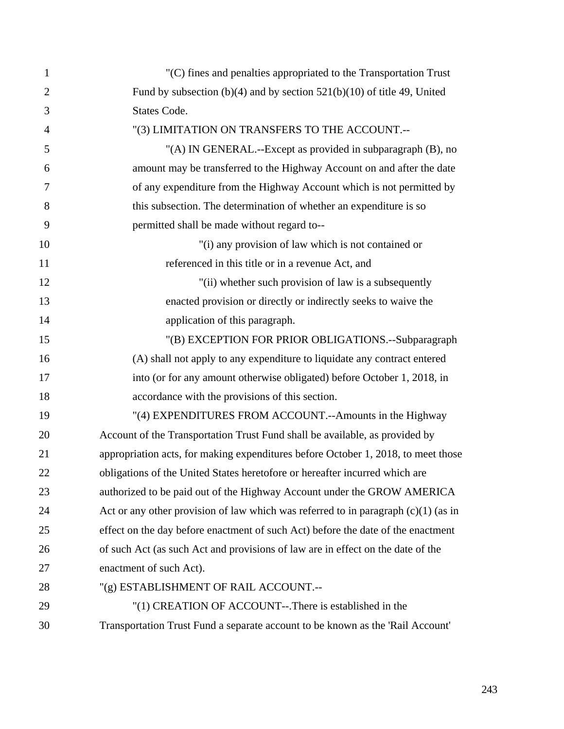| $\mathbf{1}$   | "(C) fines and penalties appropriated to the Transportation Trust                    |
|----------------|--------------------------------------------------------------------------------------|
| $\overline{2}$ | Fund by subsection $(b)(4)$ and by section $521(b)(10)$ of title 49, United          |
| 3              | States Code.                                                                         |
| $\overline{4}$ | "(3) LIMITATION ON TRANSFERS TO THE ACCOUNT.--                                       |
| 5              | "(A) IN GENERAL.--Except as provided in subparagraph (B), no                         |
| 6              | amount may be transferred to the Highway Account on and after the date               |
| 7              | of any expenditure from the Highway Account which is not permitted by                |
| 8              | this subsection. The determination of whether an expenditure is so                   |
| 9              | permitted shall be made without regard to--                                          |
| 10             | "(i) any provision of law which is not contained or                                  |
| 11             | referenced in this title or in a revenue Act, and                                    |
| 12             | "(ii) whether such provision of law is a subsequently                                |
| 13             | enacted provision or directly or indirectly seeks to waive the                       |
| 14             | application of this paragraph.                                                       |
| 15             | "(B) EXCEPTION FOR PRIOR OBLIGATIONS.--Subparagraph                                  |
| 16             | (A) shall not apply to any expenditure to liquidate any contract entered             |
| 17             | into (or for any amount otherwise obligated) before October 1, 2018, in              |
| 18             | accordance with the provisions of this section.                                      |
| 19             | "(4) EXPENDITURES FROM ACCOUNT.--Amounts in the Highway                              |
| 20             | Account of the Transportation Trust Fund shall be available, as provided by          |
| 21             | appropriation acts, for making expenditures before October 1, 2018, to meet those    |
| 22             | obligations of the United States heretofore or hereafter incurred which are          |
| 23             | authorized to be paid out of the Highway Account under the GROW AMERICA              |
| 24             | Act or any other provision of law which was referred to in paragraph $(c)(1)$ (as in |
| 25             | effect on the day before enactment of such Act) before the date of the enactment     |
| 26             | of such Act (as such Act and provisions of law are in effect on the date of the      |
| 27             | enactment of such Act).                                                              |
| 28             | "(g) ESTABLISHMENT OF RAIL ACCOUNT.--                                                |
| 29             | "(1) CREATION OF ACCOUNT--.There is established in the                               |
| 30             | Transportation Trust Fund a separate account to be known as the 'Rail Account'       |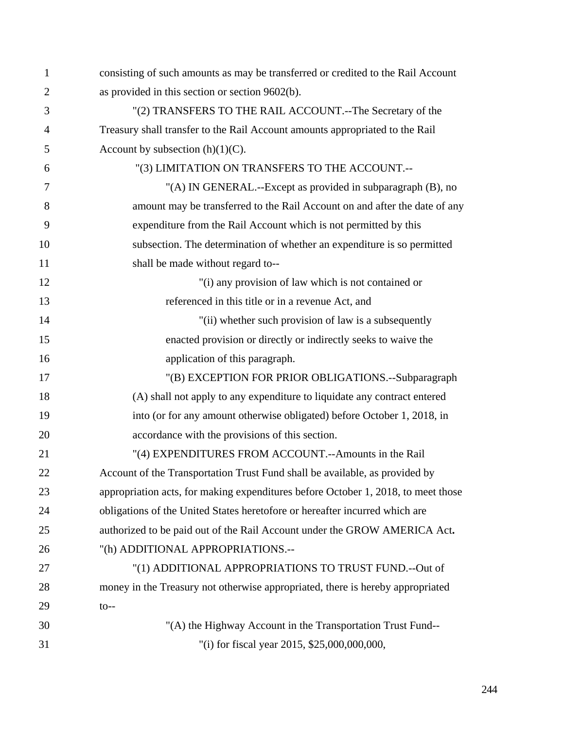| 1              | consisting of such amounts as may be transferred or credited to the Rail Account  |
|----------------|-----------------------------------------------------------------------------------|
| $\overline{2}$ | as provided in this section or section 9602(b).                                   |
| 3              | "(2) TRANSFERS TO THE RAIL ACCOUNT.--The Secretary of the                         |
| 4              | Treasury shall transfer to the Rail Account amounts appropriated to the Rail      |
| 5              | Account by subsection $(h)(1)(C)$ .                                               |
| 6              | "(3) LIMITATION ON TRANSFERS TO THE ACCOUNT.--                                    |
| 7              | "(A) IN GENERAL.--Except as provided in subparagraph (B), no                      |
| 8              | amount may be transferred to the Rail Account on and after the date of any        |
| 9              | expenditure from the Rail Account which is not permitted by this                  |
| 10             | subsection. The determination of whether an expenditure is so permitted           |
| 11             | shall be made without regard to--                                                 |
| 12             | "(i) any provision of law which is not contained or                               |
| 13             | referenced in this title or in a revenue Act, and                                 |
| 14             | "(ii) whether such provision of law is a subsequently                             |
| 15             | enacted provision or directly or indirectly seeks to waive the                    |
| 16             | application of this paragraph.                                                    |
| 17             | "(B) EXCEPTION FOR PRIOR OBLIGATIONS.--Subparagraph                               |
| 18             | (A) shall not apply to any expenditure to liquidate any contract entered          |
| 19             | into (or for any amount otherwise obligated) before October 1, 2018, in           |
| 20             | accordance with the provisions of this section.                                   |
| 21             | "(4) EXPENDITURES FROM ACCOUNT.--Amounts in the Rail                              |
| 22             | Account of the Transportation Trust Fund shall be available, as provided by       |
| 23             | appropriation acts, for making expenditures before October 1, 2018, to meet those |
| 24             | obligations of the United States heretofore or hereafter incurred which are       |
| 25             | authorized to be paid out of the Rail Account under the GROW AMERICA Act.         |
| 26             | "(h) ADDITIONAL APPROPRIATIONS.--                                                 |
| 27             | "(1) ADDITIONAL APPROPRIATIONS TO TRUST FUND.--Out of                             |
| 28             | money in the Treasury not otherwise appropriated, there is hereby appropriated    |
| 29             | $to --$                                                                           |
| 30             | "(A) the Highway Account in the Transportation Trust Fund--                       |
| 31             | "(i) for fiscal year 2015, \$25,000,000,000,                                      |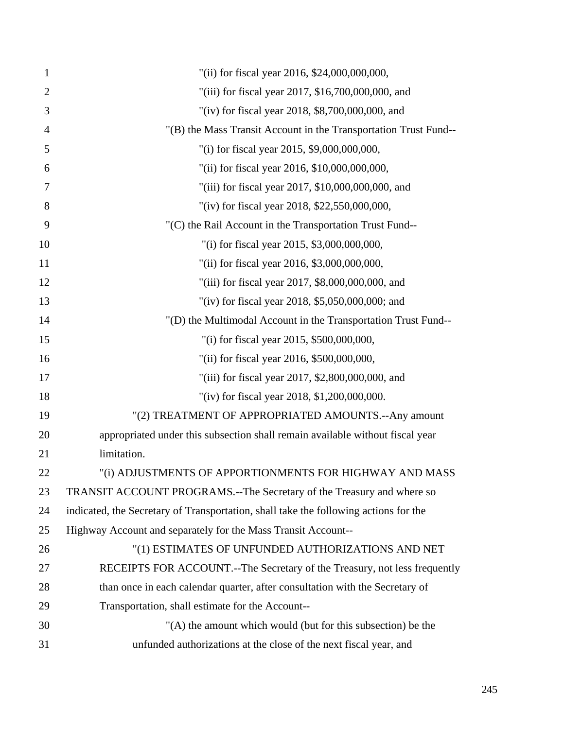| $\mathbf{1}$   | "(ii) for fiscal year 2016, \$24,000,000,000,                                        |
|----------------|--------------------------------------------------------------------------------------|
| $\overline{2}$ | "(iii) for fiscal year 2017, \$16,700,000,000, and                                   |
| 3              | "(iv) for fiscal year 2018, \$8,700,000,000, and                                     |
| $\overline{4}$ | "(B) the Mass Transit Account in the Transportation Trust Fund--                     |
| 5              | "(i) for fiscal year 2015, \$9,000,000,000,                                          |
| 6              | "(ii) for fiscal year 2016, \$10,000,000,000,                                        |
| 7              | "(iii) for fiscal year 2017, \$10,000,000,000, and                                   |
| 8              | "(iv) for fiscal year 2018, \$22,550,000,000,                                        |
| 9              | "(C) the Rail Account in the Transportation Trust Fund--                             |
| 10             | "(i) for fiscal year 2015, \$3,000,000,000,                                          |
| 11             | "(ii) for fiscal year 2016, \$3,000,000,000,                                         |
| 12             | "(iii) for fiscal year 2017, \$8,000,000,000, and                                    |
| 13             | "(iv) for fiscal year 2018, $$5,050,000,000$ ; and                                   |
| 14             | "(D) the Multimodal Account in the Transportation Trust Fund--                       |
| 15             | "(i) for fiscal year 2015, \$500,000,000,                                            |
| 16             | "(ii) for fiscal year 2016, \$500,000,000,                                           |
| 17             | "(iii) for fiscal year 2017, \$2,800,000,000, and                                    |
| 18             | "(iv) for fiscal year 2018, \$1,200,000,000.                                         |
| 19             | "(2) TREATMENT OF APPROPRIATED AMOUNTS.--Any amount                                  |
| 20             | appropriated under this subsection shall remain available without fiscal year        |
| 21             | limitation.                                                                          |
| 22             | "(i) ADJUSTMENTS OF APPORTIONMENTS FOR HIGHWAY AND MASS                              |
| 23             | TRANSIT ACCOUNT PROGRAMS.--The Secretary of the Treasury and where so                |
| 24             | indicated, the Secretary of Transportation, shall take the following actions for the |
| 25             | Highway Account and separately for the Mass Transit Account--                        |
| 26             | "(1) ESTIMATES OF UNFUNDED AUTHORIZATIONS AND NET                                    |
| 27             | RECEIPTS FOR ACCOUNT.--The Secretary of the Treasury, not less frequently            |
| 28             | than once in each calendar quarter, after consultation with the Secretary of         |
| 29             | Transportation, shall estimate for the Account--                                     |
| 30             | "(A) the amount which would (but for this subsection) be the                         |
| 31             | unfunded authorizations at the close of the next fiscal year, and                    |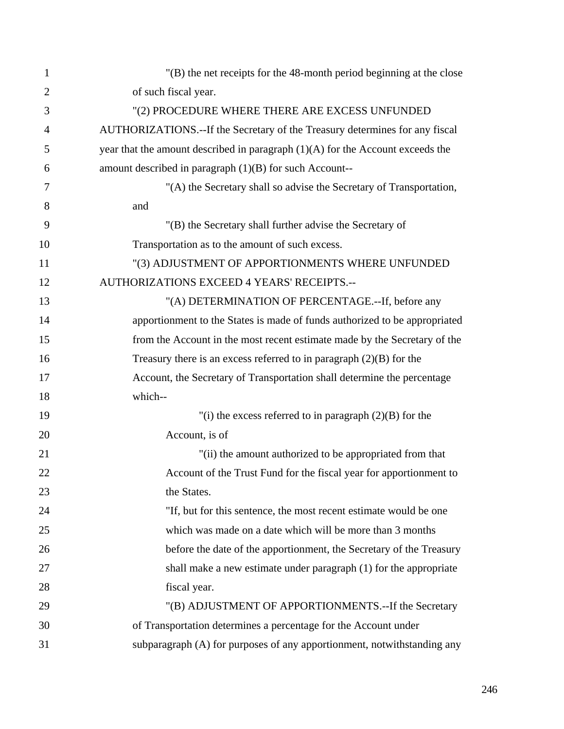| 1              | $'(B)$ the net receipts for the 48-month period beginning at the close           |
|----------------|----------------------------------------------------------------------------------|
| $\overline{2}$ | of such fiscal year.                                                             |
| 3              | "(2) PROCEDURE WHERE THERE ARE EXCESS UNFUNDED                                   |
| 4              | AUTHORIZATIONS.--If the Secretary of the Treasury determines for any fiscal      |
| 5              | year that the amount described in paragraph $(1)(A)$ for the Account exceeds the |
| 6              | amount described in paragraph $(1)(B)$ for such Account--                        |
| 7              | "(A) the Secretary shall so advise the Secretary of Transportation,              |
| 8              | and                                                                              |
| 9              | "(B) the Secretary shall further advise the Secretary of                         |
| 10             | Transportation as to the amount of such excess.                                  |
| 11             | "(3) ADJUSTMENT OF APPORTIONMENTS WHERE UNFUNDED                                 |
| 12             | AUTHORIZATIONS EXCEED 4 YEARS' RECEIPTS.--                                       |
| 13             | "(A) DETERMINATION OF PERCENTAGE.--If, before any                                |
| 14             | apportionment to the States is made of funds authorized to be appropriated       |
| 15             | from the Account in the most recent estimate made by the Secretary of the        |
| 16             | Treasury there is an excess referred to in paragraph $(2)(B)$ for the            |
| 17             | Account, the Secretary of Transportation shall determine the percentage          |
| 18             | which--                                                                          |
| 19             | "(i) the excess referred to in paragraph $(2)(B)$ for the                        |
| 20             | Account, is of                                                                   |
| 21             | "(ii) the amount authorized to be appropriated from that                         |
| 22             | Account of the Trust Fund for the fiscal year for apportionment to               |
| 23             | the States.                                                                      |
| 24             | "If, but for this sentence, the most recent estimate would be one                |
| 25             | which was made on a date which will be more than 3 months                        |
| 26             | before the date of the apportionment, the Secretary of the Treasury              |
| 27             | shall make a new estimate under paragraph (1) for the appropriate                |
| 28             | fiscal year.                                                                     |
| 29             | "(B) ADJUSTMENT OF APPORTIONMENTS.--If the Secretary                             |
| 30             | of Transportation determines a percentage for the Account under                  |
| 31             | subparagraph (A) for purposes of any apportionment, notwithstanding any          |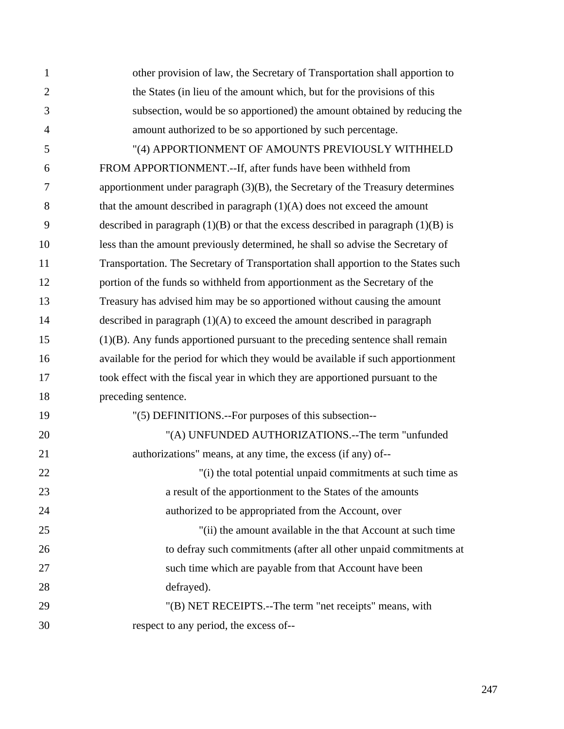| $\mathbf{1}$   | other provision of law, the Secretary of Transportation shall apportion to            |
|----------------|---------------------------------------------------------------------------------------|
| $\overline{2}$ | the States (in lieu of the amount which, but for the provisions of this               |
| 3              | subsection, would be so apportioned) the amount obtained by reducing the              |
| 4              | amount authorized to be so apportioned by such percentage.                            |
| 5              | "(4) APPORTIONMENT OF AMOUNTS PREVIOUSLY WITHHELD                                     |
| 6              | FROM APPORTIONMENT.--If, after funds have been withheld from                          |
| 7              | apportionment under paragraph $(3)(B)$ , the Secretary of the Treasury determines     |
| 8              | that the amount described in paragraph $(1)(A)$ does not exceed the amount            |
| 9              | described in paragraph $(1)(B)$ or that the excess described in paragraph $(1)(B)$ is |
| 10             | less than the amount previously determined, he shall so advise the Secretary of       |
| 11             | Transportation. The Secretary of Transportation shall apportion to the States such    |
| 12             | portion of the funds so withheld from apportionment as the Secretary of the           |
| 13             | Treasury has advised him may be so apportioned without causing the amount             |
| 14             | described in paragraph $(1)(A)$ to exceed the amount described in paragraph           |
| 15             | $(1)(B)$ . Any funds apportioned pursuant to the preceding sentence shall remain      |
| 16             | available for the period for which they would be available if such apportionment      |
| 17             | took effect with the fiscal year in which they are apportioned pursuant to the        |
| 18             | preceding sentence.                                                                   |
| 19             | "(5) DEFINITIONS.--For purposes of this subsection--                                  |
| 20             | "(A) UNFUNDED AUTHORIZATIONS.--The term "unfunded                                     |
| 21             | authorizations" means, at any time, the excess (if any) of--                          |
| 22             | "(i) the total potential unpaid commitments at such time as                           |
| 23             | a result of the apportionment to the States of the amounts                            |
| 24             | authorized to be appropriated from the Account, over                                  |
| 25             | "(ii) the amount available in the that Account at such time                           |
| 26             | to defray such commitments (after all other unpaid commitments at                     |
| 27             | such time which are payable from that Account have been                               |
| 28             | defrayed).                                                                            |
| 29             | "(B) NET RECEIPTS.--The term "net receipts" means, with                               |
| 30             | respect to any period, the excess of--                                                |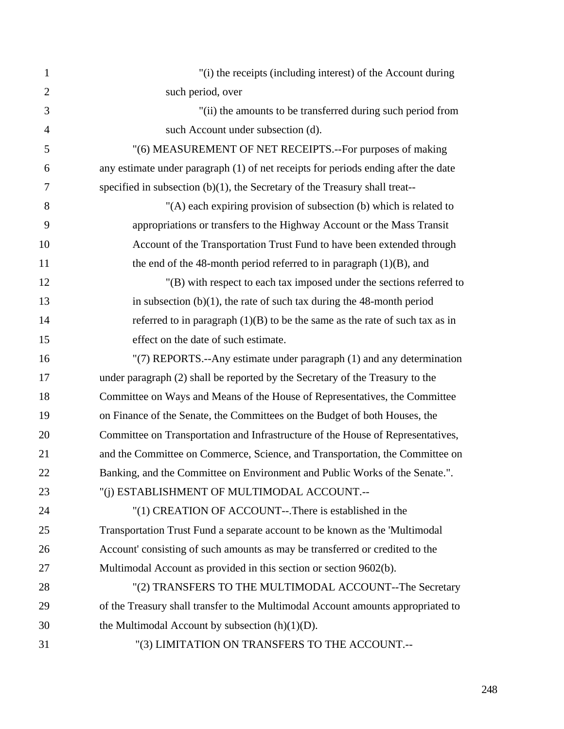| $\mathbf{1}$   | "(i) the receipts (including interest) of the Account during                       |
|----------------|------------------------------------------------------------------------------------|
| $\overline{2}$ | such period, over                                                                  |
| 3              | "(ii) the amounts to be transferred during such period from                        |
| $\overline{4}$ | such Account under subsection (d).                                                 |
| 5              | "(6) MEASUREMENT OF NET RECEIPTS.--For purposes of making                          |
| 6              | any estimate under paragraph (1) of net receipts for periods ending after the date |
| $\overline{7}$ | specified in subsection $(b)(1)$ , the Secretary of the Treasury shall treat--     |
| 8              | "(A) each expiring provision of subsection (b) which is related to                 |
| 9              | appropriations or transfers to the Highway Account or the Mass Transit             |
| 10             | Account of the Transportation Trust Fund to have been extended through             |
| 11             | the end of the 48-month period referred to in paragraph (1)(B), and                |
| 12             | "(B) with respect to each tax imposed under the sections referred to               |
| 13             | in subsection $(b)(1)$ , the rate of such tax during the 48-month period           |
| 14             | referred to in paragraph $(1)(B)$ to be the same as the rate of such tax as in     |
| 15             | effect on the date of such estimate.                                               |
| 16             | "(7) REPORTS.--Any estimate under paragraph (1) and any determination              |
| 17             | under paragraph (2) shall be reported by the Secretary of the Treasury to the      |
| 18             | Committee on Ways and Means of the House of Representatives, the Committee         |
| 19             | on Finance of the Senate, the Committees on the Budget of both Houses, the         |
| 20             | Committee on Transportation and Infrastructure of the House of Representatives,    |
| 21             | and the Committee on Commerce, Science, and Transportation, the Committee on       |
| 22             | Banking, and the Committee on Environment and Public Works of the Senate."         |
| 23             | "(i) ESTABLISHMENT OF MULTIMODAL ACCOUNT.--                                        |
| 24             | "(1) CREATION OF ACCOUNT--.There is established in the                             |
| 25             | Transportation Trust Fund a separate account to be known as the 'Multimodal        |
| 26             | Account' consisting of such amounts as may be transferred or credited to the       |
| 27             | Multimodal Account as provided in this section or section 9602(b).                 |
| 28             | "(2) TRANSFERS TO THE MULTIMODAL ACCOUNT--The Secretary                            |
| 29             | of the Treasury shall transfer to the Multimodal Account amounts appropriated to   |
| 30             | the Multimodal Account by subsection $(h)(1)(D)$ .                                 |
| 31             | "(3) LIMITATION ON TRANSFERS TO THE ACCOUNT.--                                     |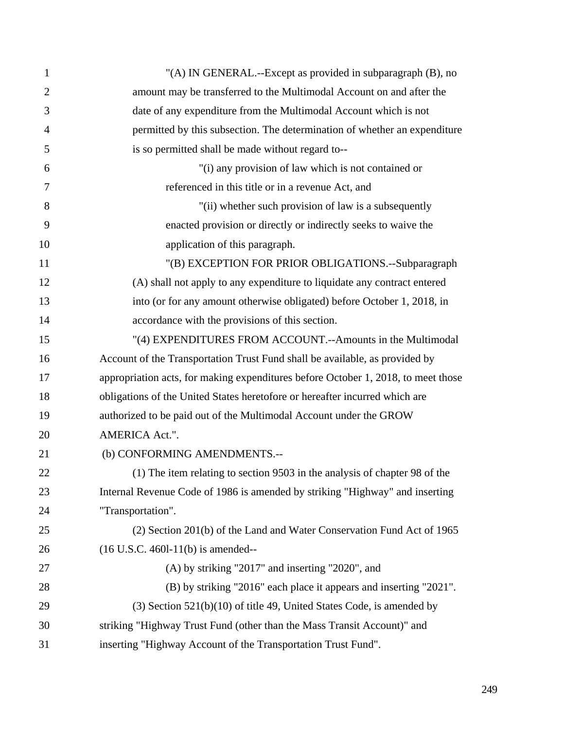| $\mathbf{1}$   | "(A) IN GENERAL.--Except as provided in subparagraph (B), no                      |
|----------------|-----------------------------------------------------------------------------------|
| $\overline{2}$ | amount may be transferred to the Multimodal Account on and after the              |
| 3              | date of any expenditure from the Multimodal Account which is not                  |
| $\overline{4}$ | permitted by this subsection. The determination of whether an expenditure         |
| 5              | is so permitted shall be made without regard to--                                 |
| 6              | "(i) any provision of law which is not contained or                               |
| 7              | referenced in this title or in a revenue Act, and                                 |
| 8              | "(ii) whether such provision of law is a subsequently                             |
| 9              | enacted provision or directly or indirectly seeks to waive the                    |
| 10             | application of this paragraph.                                                    |
| 11             | "(B) EXCEPTION FOR PRIOR OBLIGATIONS.--Subparagraph                               |
| 12             | (A) shall not apply to any expenditure to liquidate any contract entered          |
| 13             | into (or for any amount otherwise obligated) before October 1, 2018, in           |
| 14             | accordance with the provisions of this section.                                   |
| 15             | "(4) EXPENDITURES FROM ACCOUNT.--Amounts in the Multimodal                        |
| 16             | Account of the Transportation Trust Fund shall be available, as provided by       |
| 17             | appropriation acts, for making expenditures before October 1, 2018, to meet those |
| 18             | obligations of the United States heretofore or hereafter incurred which are       |
| 19             | authorized to be paid out of the Multimodal Account under the GROW                |
| 20             | AMERICA Act.".                                                                    |
| 21             | (b) CONFORMING AMENDMENTS.--                                                      |
| 22             | (1) The item relating to section 9503 in the analysis of chapter 98 of the        |
| 23             | Internal Revenue Code of 1986 is amended by striking "Highway" and inserting      |
| 24             | "Transportation".                                                                 |
| 25             | (2) Section 201(b) of the Land and Water Conservation Fund Act of 1965            |
| 26             | $(16$ U.S.C. 4601-11(b) is amended--                                              |
| 27             | $(A)$ by striking "2017" and inserting "2020", and                                |
| 28             | (B) by striking "2016" each place it appears and inserting "2021".                |
| 29             | $(3)$ Section 521(b)(10) of title 49, United States Code, is amended by           |
| 30             | striking "Highway Trust Fund (other than the Mass Transit Account)" and           |
| 31             | inserting "Highway Account of the Transportation Trust Fund".                     |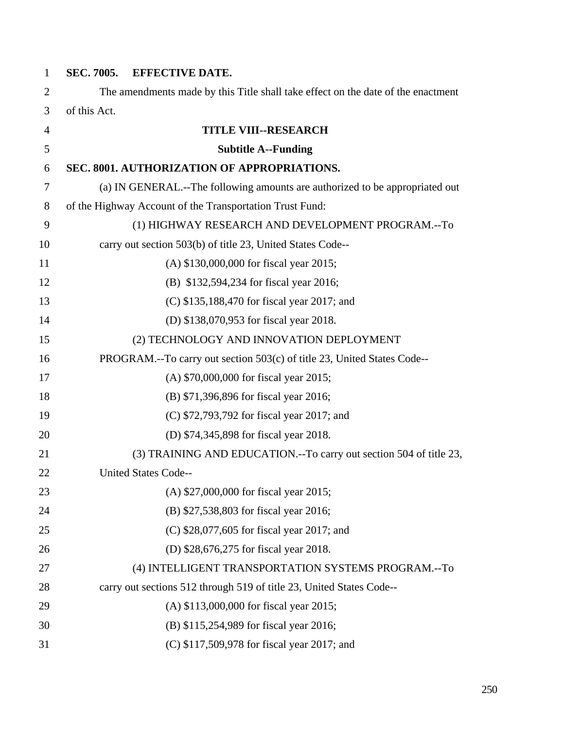| $\mathbf{1}$   | SEC. 7005.   | <b>EFFECTIVE DATE.</b>                                                           |
|----------------|--------------|----------------------------------------------------------------------------------|
| 2              |              | The amendments made by this Title shall take effect on the date of the enactment |
| 3              | of this Act. |                                                                                  |
| $\overline{4}$ |              | <b>TITLE VIII--RESEARCH</b>                                                      |
| 5              |              | <b>Subtitle A--Funding</b>                                                       |
| 6              |              | SEC. 8001. AUTHORIZATION OF APPROPRIATIONS.                                      |
| 7              |              | (a) IN GENERAL.--The following amounts are authorized to be appropriated out     |
| 8              |              | of the Highway Account of the Transportation Trust Fund:                         |
| 9              |              | (1) HIGHWAY RESEARCH AND DEVELOPMENT PROGRAM.--To                                |
| 10             |              | carry out section 503(b) of title 23, United States Code--                       |
| 11             |              | (A) \$130,000,000 for fiscal year 2015;                                          |
| 12             |              | (B) \$132,594,234 for fiscal year 2016;                                          |
| 13             |              | (C) \$135,188,470 for fiscal year 2017; and                                      |
| 14             |              | (D) \$138,070,953 for fiscal year 2018.                                          |
| 15             |              | (2) TECHNOLOGY AND INNOVATION DEPLOYMENT                                         |
| 16             |              | PROGRAM.--To carry out section 503(c) of title 23, United States Code--          |
| 17             |              | (A) \$70,000,000 for fiscal year 2015;                                           |
| 18             |              | (B) \$71,396,896 for fiscal year 2016;                                           |
| 19             |              | (C) \$72,793,792 for fiscal year 2017; and                                       |
| 20             |              | (D) \$74,345,898 for fiscal year 2018.                                           |
| 21             |              | (3) TRAINING AND EDUCATION.--To carry out section 504 of title 23,               |
| 22             |              | <b>United States Code--</b>                                                      |
| 23             |              | (A) \$27,000,000 for fiscal year 2015;                                           |
| 24             |              | (B) \$27,538,803 for fiscal year 2016;                                           |
| 25             |              | (C) \$28,077,605 for fiscal year 2017; and                                       |
| 26             |              | (D) \$28,676,275 for fiscal year 2018.                                           |
| 27             |              | (4) INTELLIGENT TRANSPORTATION SYSTEMS PROGRAM.--To                              |
| 28             |              | carry out sections 512 through 519 of title 23, United States Code--             |
| 29             |              | (A) \$113,000,000 for fiscal year 2015;                                          |
| 30             |              | (B) \$115,254,989 for fiscal year 2016;                                          |
| 31             |              | (C) \$117,509,978 for fiscal year 2017; and                                      |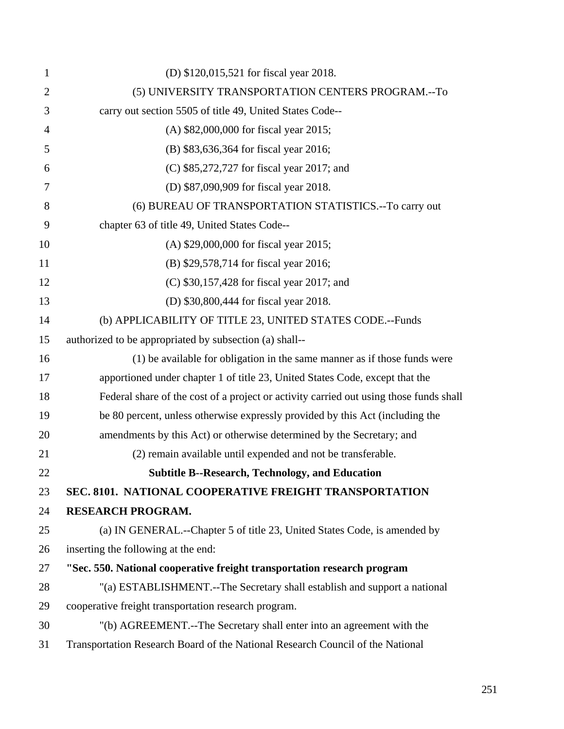| $\mathbf{1}$   | (D) \$120,015,521 for fiscal year 2018.                                                |
|----------------|----------------------------------------------------------------------------------------|
| $\overline{2}$ | (5) UNIVERSITY TRANSPORTATION CENTERS PROGRAM.--To                                     |
| 3              | carry out section 5505 of title 49, United States Code--                               |
| 4              | (A) \$82,000,000 for fiscal year 2015;                                                 |
| 5              | (B) \$83,636,364 for fiscal year 2016;                                                 |
| 6              | (C) \$85,272,727 for fiscal year 2017; and                                             |
| 7              | (D) \$87,090,909 for fiscal year 2018.                                                 |
| 8              | (6) BUREAU OF TRANSPORTATION STATISTICS.--To carry out                                 |
| 9              | chapter 63 of title 49, United States Code--                                           |
| 10             | (A) \$29,000,000 for fiscal year 2015;                                                 |
| 11             | (B) \$29,578,714 for fiscal year 2016;                                                 |
| 12             | (C) \$30,157,428 for fiscal year 2017; and                                             |
| 13             | (D) \$30,800,444 for fiscal year 2018.                                                 |
| 14             | (b) APPLICABILITY OF TITLE 23, UNITED STATES CODE.--Funds                              |
| 15             | authorized to be appropriated by subsection (a) shall--                                |
| 16             | (1) be available for obligation in the same manner as if those funds were              |
| 17             | apportioned under chapter 1 of title 23, United States Code, except that the           |
| 18             | Federal share of the cost of a project or activity carried out using those funds shall |
| 19             | be 80 percent, unless otherwise expressly provided by this Act (including the          |
| 20             | amendments by this Act) or otherwise determined by the Secretary; and                  |
| 21             | (2) remain available until expended and not be transferable.                           |
| 22             | <b>Subtitle B--Research, Technology, and Education</b>                                 |
| 23             | SEC. 8101. NATIONAL COOPERATIVE FREIGHT TRANSPORTATION                                 |
| 24             | <b>RESEARCH PROGRAM.</b>                                                               |
| 25             | (a) IN GENERAL.--Chapter 5 of title 23, United States Code, is amended by              |
| 26             | inserting the following at the end:                                                    |
| 27             | "Sec. 550. National cooperative freight transportation research program                |
| 28             | "(a) ESTABLISHMENT.--The Secretary shall establish and support a national              |
| 29             | cooperative freight transportation research program.                                   |
| 30             | "(b) AGREEMENT.--The Secretary shall enter into an agreement with the                  |
| 31             | Transportation Research Board of the National Research Council of the National         |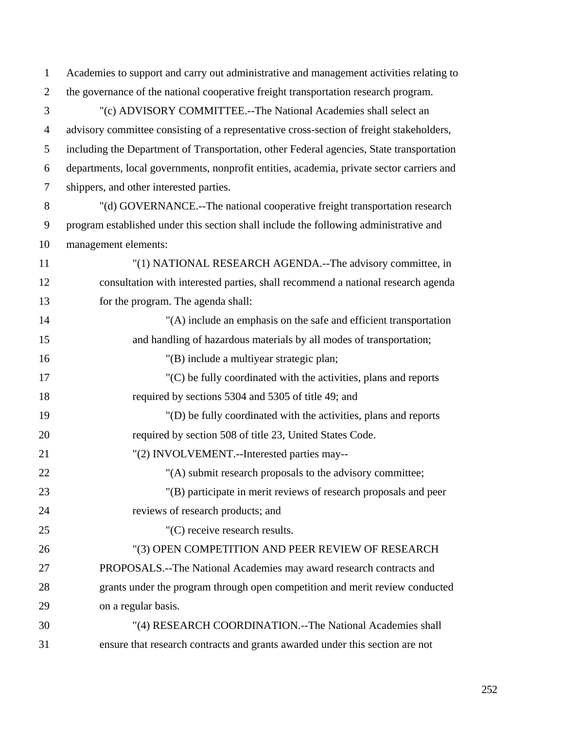| $\mathbf{1}$   | Academies to support and carry out administrative and management activities relating to   |
|----------------|-------------------------------------------------------------------------------------------|
| $\overline{2}$ | the governance of the national cooperative freight transportation research program.       |
| 3              | "(c) ADVISORY COMMITTEE.--The National Academies shall select an                          |
| $\overline{4}$ | advisory committee consisting of a representative cross-section of freight stakeholders,  |
| 5              | including the Department of Transportation, other Federal agencies, State transportation  |
| 6              | departments, local governments, nonprofit entities, academia, private sector carriers and |
| $\tau$         | shippers, and other interested parties.                                                   |
| 8              | "(d) GOVERNANCE.--The national cooperative freight transportation research                |
| 9              | program established under this section shall include the following administrative and     |
| 10             | management elements:                                                                      |
| 11             | "(1) NATIONAL RESEARCH AGENDA.--The advisory committee, in                                |
| 12             | consultation with interested parties, shall recommend a national research agenda          |
| 13             | for the program. The agenda shall:                                                        |
| 14             | "(A) include an emphasis on the safe and efficient transportation                         |
| 15             | and handling of hazardous materials by all modes of transportation;                       |
| 16             | "(B) include a multiyear strategic plan;                                                  |
| 17             | $(C)$ be fully coordinated with the activities, plans and reports                         |
| 18             | required by sections 5304 and 5305 of title 49; and                                       |
| 19             | "(D) be fully coordinated with the activities, plans and reports                          |
| 20             | required by section 508 of title 23, United States Code.                                  |
| 21             | "(2) INVOLVEMENT.--Interested parties may--                                               |
| 22             | "(A) submit research proposals to the advisory committee;                                 |
| 23             | "(B) participate in merit reviews of research proposals and peer                          |
| 24             | reviews of research products; and                                                         |
| 25             | "(C) receive research results.                                                            |
| 26             | "(3) OPEN COMPETITION AND PEER REVIEW OF RESEARCH                                         |
| 27             | PROPOSALS.--The National Academies may award research contracts and                       |
| 28             | grants under the program through open competition and merit review conducted              |
| 29             | on a regular basis.                                                                       |
| 30             | "(4) RESEARCH COORDINATION.--The National Academies shall                                 |
| 31             | ensure that research contracts and grants awarded under this section are not              |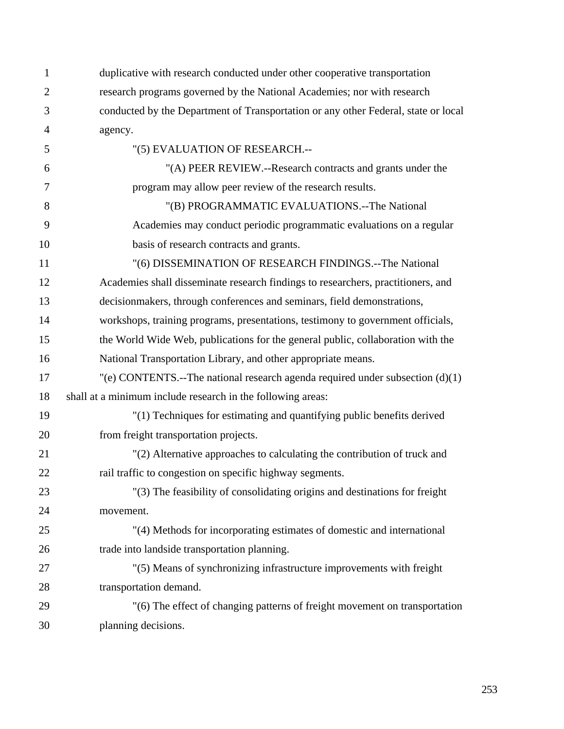| 1              | duplicative with research conducted under other cooperative transportation         |
|----------------|------------------------------------------------------------------------------------|
| $\overline{2}$ | research programs governed by the National Academies; nor with research            |
| 3              | conducted by the Department of Transportation or any other Federal, state or local |
| $\overline{4}$ | agency.                                                                            |
| 5              | "(5) EVALUATION OF RESEARCH.--                                                     |
| 6              | "(A) PEER REVIEW.--Research contracts and grants under the                         |
| 7              | program may allow peer review of the research results.                             |
| 8              | "(B) PROGRAMMATIC EVALUATIONS.--The National                                       |
| 9              | Academies may conduct periodic programmatic evaluations on a regular               |
| 10             | basis of research contracts and grants.                                            |
| 11             | "(6) DISSEMINATION OF RESEARCH FINDINGS.--The National                             |
| 12             | Academies shall disseminate research findings to researchers, practitioners, and   |
| 13             | decision makers, through conferences and seminars, field demonstrations,           |
| 14             | workshops, training programs, presentations, testimony to government officials,    |
| 15             | the World Wide Web, publications for the general public, collaboration with the    |
| 16             | National Transportation Library, and other appropriate means.                      |
| 17             | "(e) CONTENTS.--The national research agenda required under subsection $(d)(1)$    |
| 18             | shall at a minimum include research in the following areas:                        |
| 19             | "(1) Techniques for estimating and quantifying public benefits derived             |
| 20             | from freight transportation projects.                                              |
| 21             | "(2) Alternative approaches to calculating the contribution of truck and           |
| 22             | rail traffic to congestion on specific highway segments.                           |
| 23             | "(3) The feasibility of consolidating origins and destinations for freight         |
| 24             | movement.                                                                          |
| 25             | "(4) Methods for incorporating estimates of domestic and international             |
| 26             | trade into landside transportation planning.                                       |
| 27             | "(5) Means of synchronizing infrastructure improvements with freight               |
| 28             | transportation demand.                                                             |
| 29             | "(6) The effect of changing patterns of freight movement on transportation         |
| 30             | planning decisions.                                                                |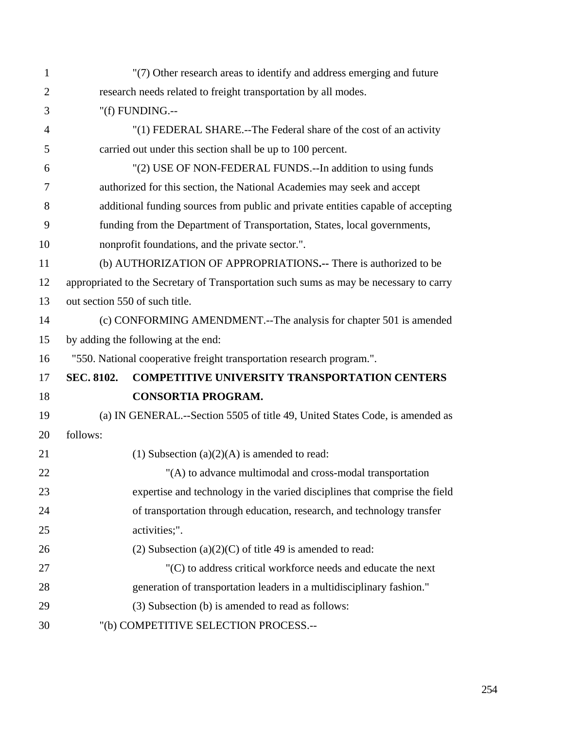| $\mathbf{1}$   |                   | "(7) Other research areas to identify and address emerging and future                  |
|----------------|-------------------|----------------------------------------------------------------------------------------|
| $\overline{2}$ |                   | research needs related to freight transportation by all modes.                         |
| 3              |                   | "(f) FUNDING.--                                                                        |
| $\overline{4}$ |                   | "(1) FEDERAL SHARE.--The Federal share of the cost of an activity                      |
| 5              |                   | carried out under this section shall be up to 100 percent.                             |
| 6              |                   | "(2) USE OF NON-FEDERAL FUNDS.--In addition to using funds                             |
| 7              |                   | authorized for this section, the National Academies may seek and accept                |
| 8              |                   | additional funding sources from public and private entities capable of accepting       |
| 9              |                   | funding from the Department of Transportation, States, local governments,              |
| 10             |                   | nonprofit foundations, and the private sector.".                                       |
| 11             |                   | (b) AUTHORIZATION OF APPROPRIATIONS.-- There is authorized to be                       |
| 12             |                   | appropriated to the Secretary of Transportation such sums as may be necessary to carry |
| 13             |                   | out section 550 of such title.                                                         |
| 14             |                   | (c) CONFORMING AMENDMENT.--The analysis for chapter 501 is amended                     |
| 15             |                   | by adding the following at the end:                                                    |
| 16             |                   | "550. National cooperative freight transportation research program.".                  |
| 17             | <b>SEC. 8102.</b> | <b>COMPETITIVE UNIVERSITY TRANSPORTATION CENTERS</b>                                   |
| 18             |                   | <b>CONSORTIA PROGRAM.</b>                                                              |
| 19             |                   | (a) IN GENERAL.--Section 5505 of title 49, United States Code, is amended as           |
| 20             |                   |                                                                                        |
| 21             | follows:          |                                                                                        |
|                |                   | (1) Subsection $(a)(2)(A)$ is amended to read:                                         |
| 22             |                   | "(A) to advance multimodal and cross-modal transportation                              |
| 23             |                   | expertise and technology in the varied disciplines that comprise the field             |
| 24             |                   | of transportation through education, research, and technology transfer                 |
| 25             |                   | activities;".                                                                          |
| 26             |                   | (2) Subsection (a) $(2)(C)$ of title 49 is amended to read:                            |
| 27             |                   | "(C) to address critical workforce needs and educate the next                          |
| 28             |                   | generation of transportation leaders in a multidisciplinary fashion."                  |
| 29             |                   | (3) Subsection (b) is amended to read as follows:                                      |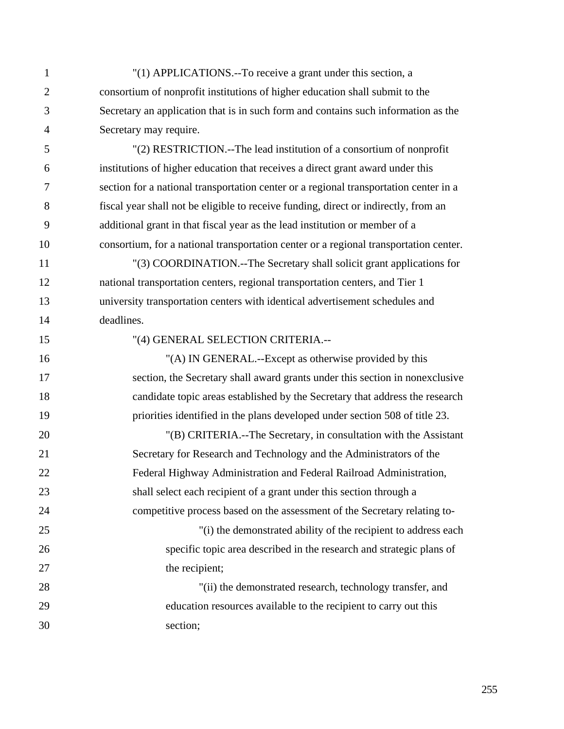- 1 "(1) APPLICATIONS.--To receive a grant under this section, a 2 consortium of nonprofit institutions of higher education shall submit to the 3 Secretary an application that is in such form and contains such information as the 4 Secretary may require.
- 5 "(2) RESTRICTION.--The lead institution of a consortium of nonprofit 6 institutions of higher education that receives a direct grant award under this 7 section for a national transportation center or a regional transportation center in a 8 fiscal year shall not be eligible to receive funding, direct or indirectly, from an 9 additional grant in that fiscal year as the lead institution or member of a 10 consortium, for a national transportation center or a regional transportation center.

11 "(3) COORDINATION.--The Secretary shall solicit grant applications for 12 national transportation centers, regional transportation centers, and Tier 1 13 university transportation centers with identical advertisement schedules and 14 deadlines.

15 "(4) GENERAL SELECTION CRITERIA.--

16 "(A) IN GENERAL.--Except as otherwise provided by this 17 section, the Secretary shall award grants under this section in nonexclusive 18 candidate topic areas established by the Secretary that address the research 19 priorities identified in the plans developed under section 508 of title 23.

20 "(B) CRITERIA.--The Secretary, in consultation with the Assistant 21 Secretary for Research and Technology and the Administrators of the 22 Federal Highway Administration and Federal Railroad Administration, 23 shall select each recipient of a grant under this section through a 24 competitive process based on the assessment of the Secretary relating to-25 "(i) the demonstrated ability of the recipient to address each

26 specific topic area described in the research and strategic plans of 27 the recipient;

28 "(ii) the demonstrated research, technology transfer, and 29 education resources available to the recipient to carry out this 30 section;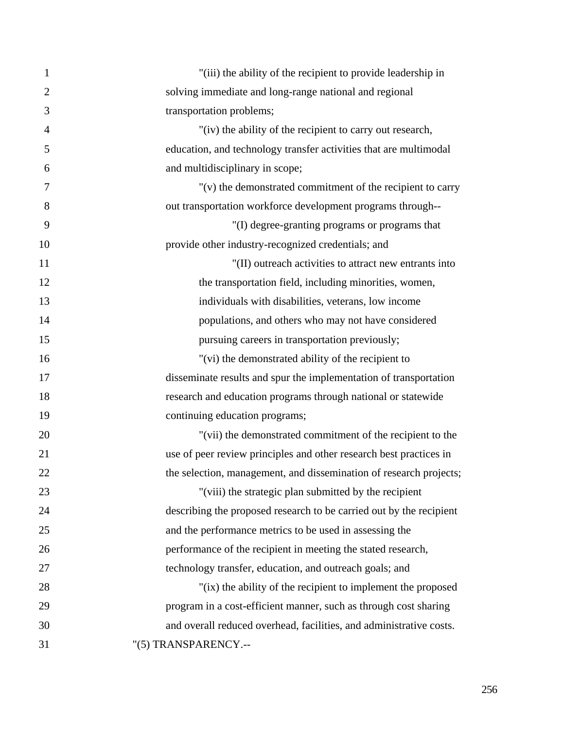| $\mathbf{1}$   | "(iii) the ability of the recipient to provide leadership in        |
|----------------|---------------------------------------------------------------------|
| $\overline{2}$ | solving immediate and long-range national and regional              |
| $\mathfrak{Z}$ | transportation problems;                                            |
| $\overline{4}$ | "(iv) the ability of the recipient to carry out research,           |
| 5              | education, and technology transfer activities that are multimodal   |
| 6              | and multidisciplinary in scope;                                     |
| 7              | "(v) the demonstrated commitment of the recipient to carry          |
| 8              | out transportation workforce development programs through--         |
| 9              | "(I) degree-granting programs or programs that                      |
| 10             | provide other industry-recognized credentials; and                  |
| 11             | "(II) outreach activities to attract new entrants into              |
| 12             | the transportation field, including minorities, women,              |
| 13             | individuals with disabilities, veterans, low income                 |
| 14             | populations, and others who may not have considered                 |
| 15             | pursuing careers in transportation previously;                      |
| 16             | "(vi) the demonstrated ability of the recipient to                  |
| 17             | disseminate results and spur the implementation of transportation   |
| 18             | research and education programs through national or statewide       |
| 19             | continuing education programs;                                      |
| 20             | "(vii) the demonstrated commitment of the recipient to the          |
| 21             | use of peer review principles and other research best practices in  |
| 22             | the selection, management, and dissemination of research projects;  |
| 23             | "(viii) the strategic plan submitted by the recipient               |
| 24             | describing the proposed research to be carried out by the recipient |
| 25             | and the performance metrics to be used in assessing the             |
| 26             | performance of the recipient in meeting the stated research,        |
| 27             | technology transfer, education, and outreach goals; and             |
| 28             | "(ix) the ability of the recipient to implement the proposed        |
| 29             | program in a cost-efficient manner, such as through cost sharing    |
| 30             | and overall reduced overhead, facilities, and administrative costs. |
| 31             | "(5) TRANSPARENCY.--                                                |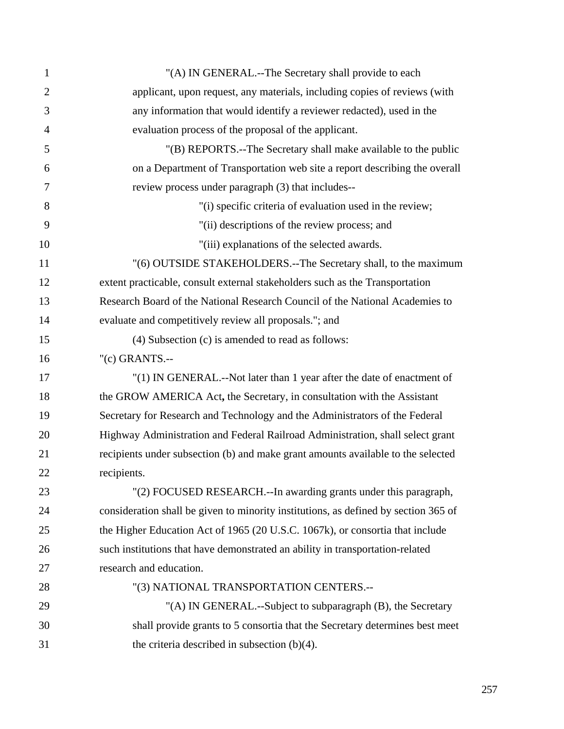| $\mathbf{1}$   | "(A) IN GENERAL.--The Secretary shall provide to each                               |
|----------------|-------------------------------------------------------------------------------------|
| $\overline{2}$ | applicant, upon request, any materials, including copies of reviews (with           |
| 3              | any information that would identify a reviewer redacted), used in the               |
| $\overline{4}$ | evaluation process of the proposal of the applicant.                                |
| 5              | "(B) REPORTS.--The Secretary shall make available to the public                     |
| 6              | on a Department of Transportation web site a report describing the overall          |
| 7              | review process under paragraph (3) that includes--                                  |
| 8              | "(i) specific criteria of evaluation used in the review;                            |
| 9              | "(ii) descriptions of the review process; and                                       |
| 10             | "(iii) explanations of the selected awards.                                         |
| 11             | "(6) OUTSIDE STAKEHOLDERS.--The Secretary shall, to the maximum                     |
| 12             | extent practicable, consult external stakeholders such as the Transportation        |
| 13             | Research Board of the National Research Council of the National Academies to        |
| 14             | evaluate and competitively review all proposals."; and                              |
| 15             | (4) Subsection (c) is amended to read as follows:                                   |
| 16             | " $(c)$ GRANTS.--                                                                   |
| 17             | "(1) IN GENERAL.--Not later than 1 year after the date of enactment of              |
| 18             | the GROW AMERICA Act, the Secretary, in consultation with the Assistant             |
| 19             | Secretary for Research and Technology and the Administrators of the Federal         |
| 20             | Highway Administration and Federal Railroad Administration, shall select grant      |
| 21             | recipients under subsection (b) and make grant amounts available to the selected    |
| 22             | recipients.                                                                         |
| 23             | "(2) FOCUSED RESEARCH.--In awarding grants under this paragraph,                    |
| 24             | consideration shall be given to minority institutions, as defined by section 365 of |
| 25             | the Higher Education Act of 1965 (20 U.S.C. 1067k), or consortia that include       |
| 26             | such institutions that have demonstrated an ability in transportation-related       |
| 27             | research and education.                                                             |
| 28             | "(3) NATIONAL TRANSPORTATION CENTERS.--                                             |
| 29             | "(A) IN GENERAL.--Subject to subparagraph (B), the Secretary                        |
| 30             | shall provide grants to 5 consortia that the Secretary determines best meet         |
| 31             | the criteria described in subsection $(b)(4)$ .                                     |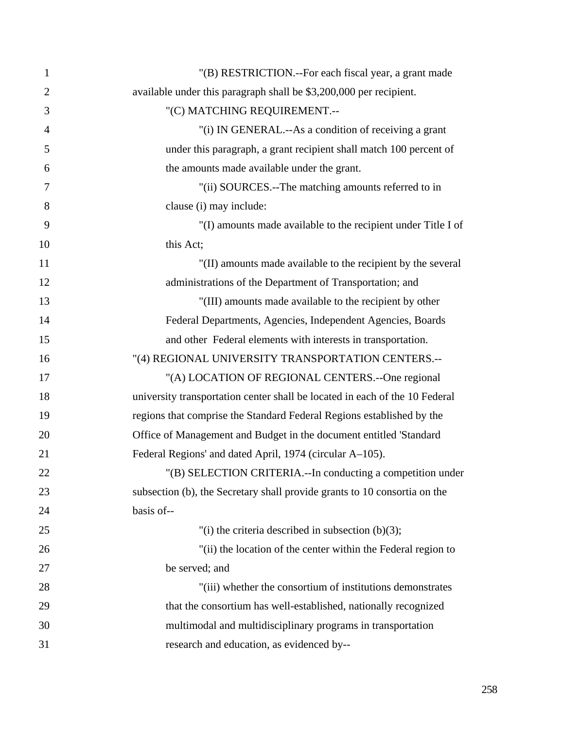| $\mathbf{1}$   | "(B) RESTRICTION.--For each fiscal year, a grant made                       |
|----------------|-----------------------------------------------------------------------------|
| $\overline{2}$ | available under this paragraph shall be \$3,200,000 per recipient.          |
| 3              | "(C) MATCHING REQUIREMENT.--                                                |
| $\overline{4}$ | "(i) IN GENERAL.--As a condition of receiving a grant                       |
| 5              | under this paragraph, a grant recipient shall match 100 percent of          |
| 6              | the amounts made available under the grant.                                 |
| 7              | "(ii) SOURCES.--The matching amounts referred to in                         |
| 8              | clause (i) may include:                                                     |
| 9              | "(I) amounts made available to the recipient under Title I of               |
| 10             | this Act;                                                                   |
| 11             | "(II) amounts made available to the recipient by the several                |
| 12             | administrations of the Department of Transportation; and                    |
| 13             | "(III) amounts made available to the recipient by other                     |
| 14             | Federal Departments, Agencies, Independent Agencies, Boards                 |
| 15             | and other Federal elements with interests in transportation.                |
| 16             | "(4) REGIONAL UNIVERSITY TRANSPORTATION CENTERS.--                          |
| 17             | "(A) LOCATION OF REGIONAL CENTERS.--One regional                            |
| 18             | university transportation center shall be located in each of the 10 Federal |
| 19             | regions that comprise the Standard Federal Regions established by the       |
| 20             | Office of Management and Budget in the document entitled 'Standard          |
| 21             | Federal Regions' and dated April, 1974 (circular A-105).                    |
| 22             | "(B) SELECTION CRITERIA.--In conducting a competition under                 |
| 23             | subsection (b), the Secretary shall provide grants to 10 consortia on the   |
| 24             | basis of--                                                                  |
| 25             | "(i) the criteria described in subsection $(b)(3)$ ;                        |
| 26             | "(ii) the location of the center within the Federal region to               |
| 27             | be served; and                                                              |
| 28             | "(iii) whether the consortium of institutions demonstrates                  |
| 29             | that the consortium has well-established, nationally recognized             |
| 30             | multimodal and multidisciplinary programs in transportation                 |
| 31             | research and education, as evidenced by--                                   |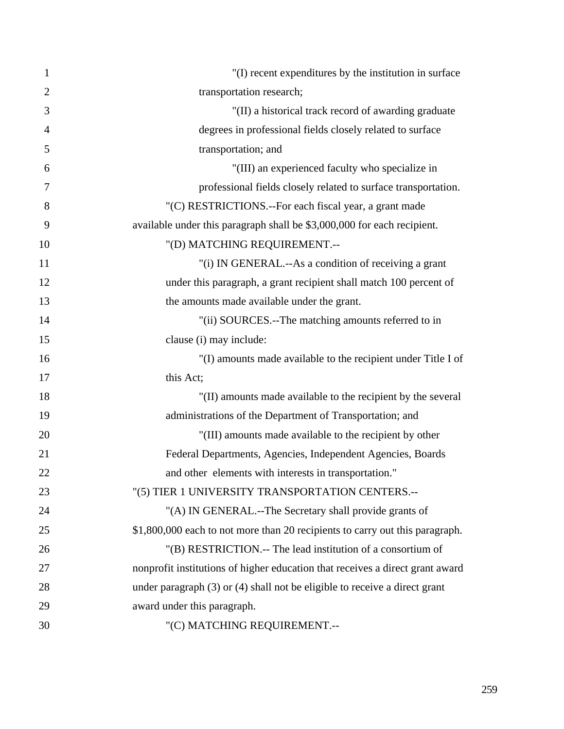| $\mathbf{1}$   | "(I) recent expenditures by the institution in surface                         |
|----------------|--------------------------------------------------------------------------------|
| $\overline{2}$ | transportation research;                                                       |
| 3              | "(II) a historical track record of awarding graduate                           |
| $\overline{4}$ | degrees in professional fields closely related to surface                      |
| 5              | transportation; and                                                            |
| 6              | "(III) an experienced faculty who specialize in                                |
| 7              | professional fields closely related to surface transportation.                 |
| 8              | "(C) RESTRICTIONS.--For each fiscal year, a grant made                         |
| 9              | available under this paragraph shall be \$3,000,000 for each recipient.        |
| 10             | "(D) MATCHING REQUIREMENT.--                                                   |
| 11             | "(i) IN GENERAL.--As a condition of receiving a grant                          |
| 12             | under this paragraph, a grant recipient shall match 100 percent of             |
| 13             | the amounts made available under the grant.                                    |
| 14             | "(ii) SOURCES.--The matching amounts referred to in                            |
| 15             | clause (i) may include:                                                        |
| 16             | "(I) amounts made available to the recipient under Title I of                  |
| 17             | this Act;                                                                      |
| 18             | "(II) amounts made available to the recipient by the several                   |
| 19             | administrations of the Department of Transportation; and                       |
| 20             | "(III) amounts made available to the recipient by other                        |
| 21             | Federal Departments, Agencies, Independent Agencies, Boards                    |
| 22             | and other elements with interests in transportation."                          |
| 23             | "(5) TIER 1 UNIVERSITY TRANSPORTATION CENTERS.--                               |
| 24             | "(A) IN GENERAL.--The Secretary shall provide grants of                        |
| 25             | \$1,800,000 each to not more than 20 recipients to carry out this paragraph.   |
| 26             | "(B) RESTRICTION.-- The lead institution of a consortium of                    |
| 27             | nonprofit institutions of higher education that receives a direct grant award  |
| 28             | under paragraph $(3)$ or $(4)$ shall not be eligible to receive a direct grant |
| 29             | award under this paragraph.                                                    |
| 30             | "(C) MATCHING REQUIREMENT.--                                                   |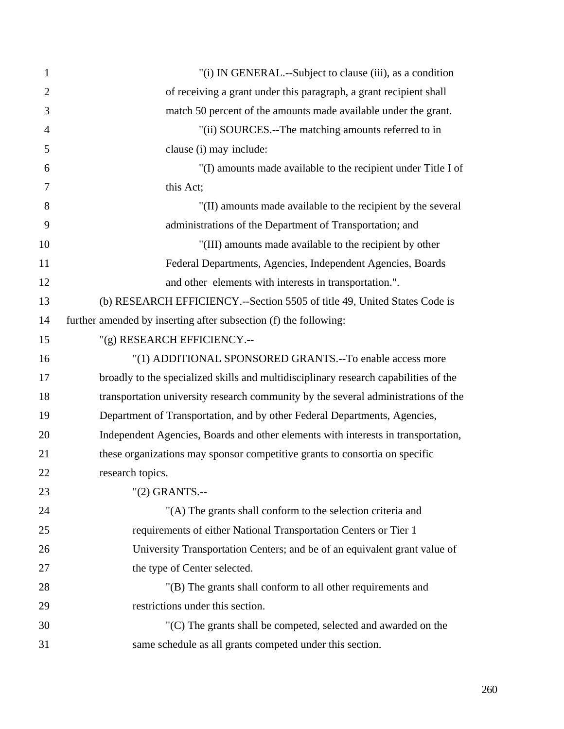| $\mathbf{1}$   | "(i) IN GENERAL.--Subject to clause (iii), as a condition                            |
|----------------|--------------------------------------------------------------------------------------|
| $\overline{2}$ | of receiving a grant under this paragraph, a grant recipient shall                   |
| 3              | match 50 percent of the amounts made available under the grant.                      |
| $\overline{4}$ | "(ii) SOURCES.--The matching amounts referred to in                                  |
| 5              | clause (i) may include:                                                              |
| 6              | "(I) amounts made available to the recipient under Title I of                        |
| 7              | this Act;                                                                            |
| 8              | "(II) amounts made available to the recipient by the several                         |
| 9              | administrations of the Department of Transportation; and                             |
| 10             | "(III) amounts made available to the recipient by other                              |
| 11             | Federal Departments, Agencies, Independent Agencies, Boards                          |
| 12             | and other elements with interests in transportation.".                               |
| 13             | (b) RESEARCH EFFICIENCY.--Section 5505 of title 49, United States Code is            |
| 14             | further amended by inserting after subsection (f) the following:                     |
| 15             | "(g) RESEARCH EFFICIENCY.--                                                          |
| 16             | "(1) ADDITIONAL SPONSORED GRANTS.--To enable access more                             |
| 17             | broadly to the specialized skills and multidisciplinary research capabilities of the |
| 18             | transportation university research community by the several administrations of the   |
| 19             | Department of Transportation, and by other Federal Departments, Agencies,            |
| 20             | Independent Agencies, Boards and other elements with interests in transportation,    |
| 21             | these organizations may sponsor competitive grants to consortia on specific          |
| 22             | research topics.                                                                     |
| 23             | "(2) GRANTS .--                                                                      |
| 24             | "(A) The grants shall conform to the selection criteria and                          |
| 25             | requirements of either National Transportation Centers or Tier 1                     |
| 26             | University Transportation Centers; and be of an equivalent grant value of            |
| 27             | the type of Center selected.                                                         |
| 28             | "(B) The grants shall conform to all other requirements and                          |
| 29             | restrictions under this section.                                                     |
| 30             | "(C) The grants shall be competed, selected and awarded on the                       |
| 31             | same schedule as all grants competed under this section.                             |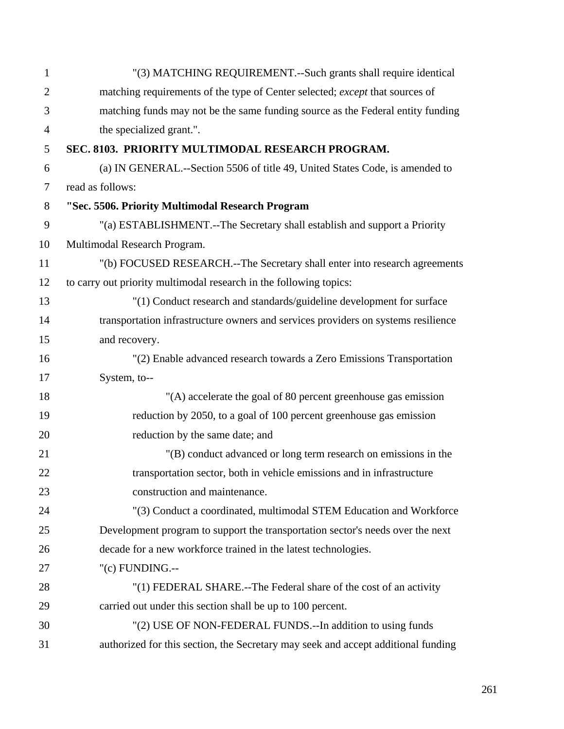| $\mathbf{1}$   | "(3) MATCHING REQUIREMENT.--Such grants shall require identical                   |
|----------------|-----------------------------------------------------------------------------------|
| $\overline{2}$ | matching requirements of the type of Center selected; except that sources of      |
| 3              | matching funds may not be the same funding source as the Federal entity funding   |
| $\overline{4}$ | the specialized grant.".                                                          |
| 5              | SEC. 8103. PRIORITY MULTIMODAL RESEARCH PROGRAM.                                  |
| 6              | (a) IN GENERAL.--Section 5506 of title 49, United States Code, is amended to      |
| $\overline{7}$ | read as follows:                                                                  |
| 8              | "Sec. 5506. Priority Multimodal Research Program                                  |
| 9              | "(a) ESTABLISHMENT.--The Secretary shall establish and support a Priority         |
| 10             | Multimodal Research Program.                                                      |
| 11             | "(b) FOCUSED RESEARCH.--The Secretary shall enter into research agreements        |
| 12             | to carry out priority multimodal research in the following topics:                |
| 13             | "(1) Conduct research and standards/guideline development for surface             |
| 14             | transportation infrastructure owners and services providers on systems resilience |
| 15             | and recovery.                                                                     |
| 16             | "(2) Enable advanced research towards a Zero Emissions Transportation             |
| 17             | System, to--                                                                      |
| 18             | "(A) accelerate the goal of 80 percent greenhouse gas emission                    |
| 19             | reduction by 2050, to a goal of 100 percent greenhouse gas emission               |
| 20             | reduction by the same date; and                                                   |
| 21             | "(B) conduct advanced or long term research on emissions in the                   |
| 22             | transportation sector, both in vehicle emissions and in infrastructure            |
| 23             | construction and maintenance.                                                     |
| 24             | "(3) Conduct a coordinated, multimodal STEM Education and Workforce               |
| 25             | Development program to support the transportation sector's needs over the next    |
| 26             | decade for a new workforce trained in the latest technologies.                    |
| 27             | "(c) FUNDING.--                                                                   |
| 28             | "(1) FEDERAL SHARE.--The Federal share of the cost of an activity                 |
| 29             | carried out under this section shall be up to 100 percent.                        |
| 30             | "(2) USE OF NON-FEDERAL FUNDS.--In addition to using funds                        |
| 31             | authorized for this section, the Secretary may seek and accept additional funding |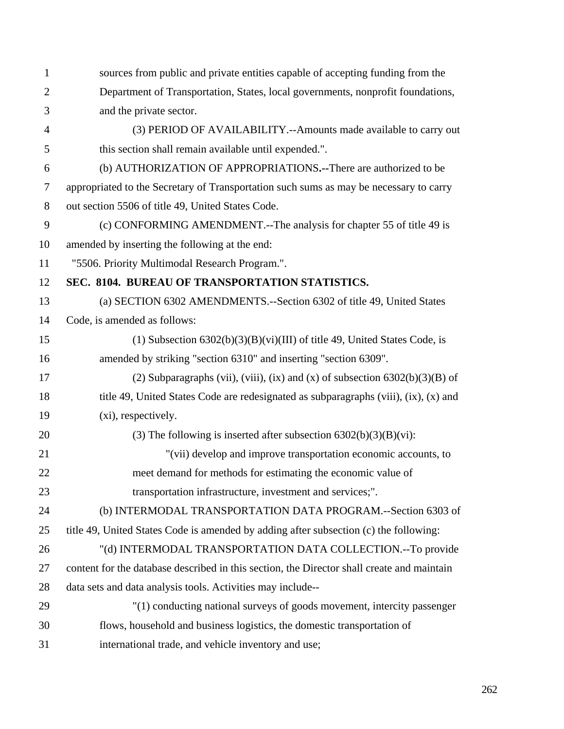| 1              | sources from public and private entities capable of accepting funding from the             |
|----------------|--------------------------------------------------------------------------------------------|
| $\overline{2}$ | Department of Transportation, States, local governments, nonprofit foundations,            |
| 3              | and the private sector.                                                                    |
| 4              | (3) PERIOD OF AVAILABILITY.--Amounts made available to carry out                           |
| 5              | this section shall remain available until expended.".                                      |
| 6              | (b) AUTHORIZATION OF APPROPRIATIONS.--There are authorized to be                           |
| 7              | appropriated to the Secretary of Transportation such sums as may be necessary to carry     |
| 8              | out section 5506 of title 49, United States Code.                                          |
| 9              | (c) CONFORMING AMENDMENT.--The analysis for chapter 55 of title 49 is                      |
| 10             | amended by inserting the following at the end:                                             |
| 11             | "5506. Priority Multimodal Research Program.".                                             |
| 12             | SEC. 8104. BUREAU OF TRANSPORTATION STATISTICS.                                            |
| 13             | (a) SECTION 6302 AMENDMENTS.--Section 6302 of title 49, United States                      |
| 14             | Code, is amended as follows:                                                               |
| 15             | (1) Subsection $6302(b)(3)(B)(vi)(III)$ of title 49, United States Code, is                |
| 16             | amended by striking "section 6310" and inserting "section 6309".                           |
| 17             | (2) Subparagraphs (vii), (viii), (ix) and (x) of subsection $6302(b)(3)(B)$ of             |
| 18             | title 49, United States Code are redesignated as subparagraphs (viii), (ix), (x) and       |
| 19             | (xi), respectively.                                                                        |
| 20             | (3) The following is inserted after subsection $6302(b)(3)(B)(vi)$ :                       |
| 21             | "(vii) develop and improve transportation economic accounts, to                            |
| 22             | meet demand for methods for estimating the economic value of                               |
| 23             | transportation infrastructure, investment and services;".                                  |
| 24             | (b) INTERMODAL TRANSPORTATION DATA PROGRAM.--Section 6303 of                               |
| 25             | title 49, United States Code is amended by adding after subsection (c) the following:      |
| 26             | "(d) INTERMODAL TRANSPORTATION DATA COLLECTION.--To provide                                |
| 27             | content for the database described in this section, the Director shall create and maintain |
| 28             | data sets and data analysis tools. Activities may include--                                |
| 29             | "(1) conducting national surveys of goods movement, intercity passenger                    |
| 30             | flows, household and business logistics, the domestic transportation of                    |
| 31             | international trade, and vehicle inventory and use;                                        |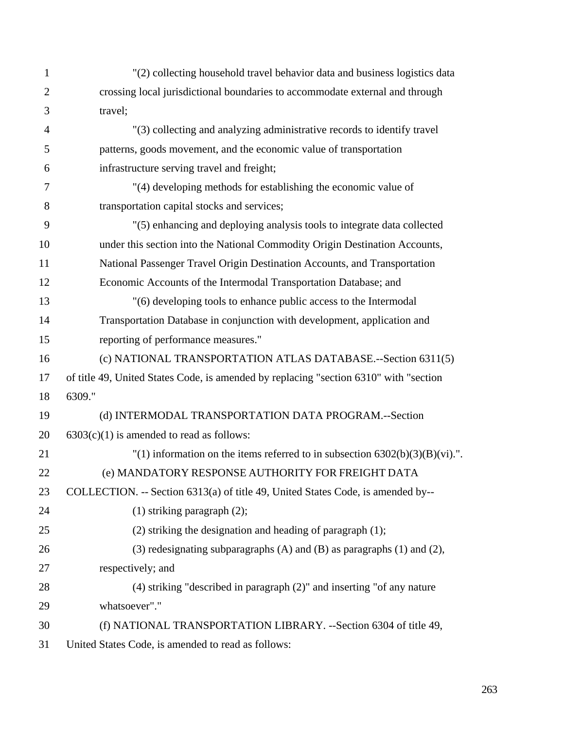| $\mathbf{1}$   | "(2) collecting household travel behavior data and business logistics data            |
|----------------|---------------------------------------------------------------------------------------|
| $\overline{2}$ | crossing local jurisdictional boundaries to accommodate external and through          |
| 3              | travel;                                                                               |
| $\overline{4}$ | "(3) collecting and analyzing administrative records to identify travel               |
| 5              | patterns, goods movement, and the economic value of transportation                    |
| 6              | infrastructure serving travel and freight;                                            |
| 7              | "(4) developing methods for establishing the economic value of                        |
| 8              | transportation capital stocks and services;                                           |
| 9              | "(5) enhancing and deploying analysis tools to integrate data collected               |
| 10             | under this section into the National Commodity Origin Destination Accounts,           |
| 11             | National Passenger Travel Origin Destination Accounts, and Transportation             |
| 12             | Economic Accounts of the Intermodal Transportation Database; and                      |
| 13             | "(6) developing tools to enhance public access to the Intermodal                      |
| 14             | Transportation Database in conjunction with development, application and              |
| 15             | reporting of performance measures."                                                   |
| 16             | (c) NATIONAL TRANSPORTATION ATLAS DATABASE.--Section 6311(5)                          |
| 17             | of title 49, United States Code, is amended by replacing "section 6310" with "section |
| 18             | 6309."                                                                                |
| 19             | (d) INTERMODAL TRANSPORTATION DATA PROGRAM.--Section                                  |
| 20             | $6303(c)(1)$ is amended to read as follows:                                           |
| 21             | "(1) information on the items referred to in subsection $6302(b)(3)(B)(vi)$ .".       |
| 22             | (e) MANDATORY RESPONSE AUTHORITY FOR FREIGHT DATA                                     |
| 23             | COLLECTION. -- Section 6313(a) of title 49, United States Code, is amended by--       |
| 24             | $(1)$ striking paragraph $(2)$ ;                                                      |
| 25             | $(2)$ striking the designation and heading of paragraph $(1)$ ;                       |
| 26             | (3) redesignating subparagraphs (A) and (B) as paragraphs (1) and (2),                |
| 27             | respectively; and                                                                     |
| 28             | $(4)$ striking "described in paragraph $(2)$ " and inserting "of any nature           |
| 29             | whatsoever"."                                                                         |
| 30             | (f) NATIONAL TRANSPORTATION LIBRARY. --Section 6304 of title 49,                      |
| 31             | United States Code, is amended to read as follows:                                    |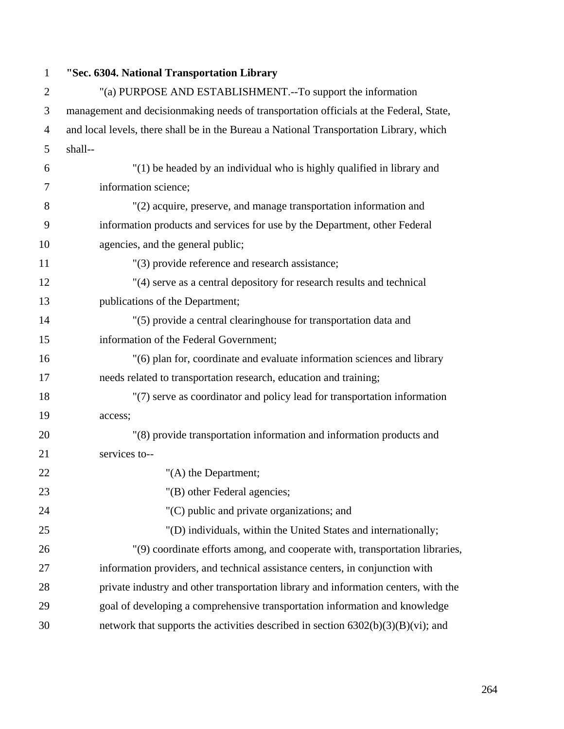## 1 **"Sec. 6304. National Transportation Library**

| $\overline{2}$ | "(a) PURPOSE AND ESTABLISHMENT.--To support the information                             |
|----------------|-----------------------------------------------------------------------------------------|
| 3              | management and decisionmaking needs of transportation officials at the Federal, State,  |
| $\overline{4}$ | and local levels, there shall be in the Bureau a National Transportation Library, which |
| 5              | shall--                                                                                 |
| 6              | "(1) be headed by an individual who is highly qualified in library and                  |
| 7              | information science;                                                                    |
| 8              | "(2) acquire, preserve, and manage transportation information and                       |
| 9              | information products and services for use by the Department, other Federal              |
| 10             | agencies, and the general public;                                                       |
| 11             | "(3) provide reference and research assistance;                                         |
| 12             | "(4) serve as a central depository for research results and technical                   |
| 13             | publications of the Department;                                                         |
| 14             | "(5) provide a central clearinghouse for transportation data and                        |
| 15             | information of the Federal Government;                                                  |
| 16             | "(6) plan for, coordinate and evaluate information sciences and library                 |
| 17             | needs related to transportation research, education and training;                       |
| 18             | "(7) serve as coordinator and policy lead for transportation information                |
| 19             | access;                                                                                 |
| 20             | "(8) provide transportation information and information products and                    |
| 21             | services to--                                                                           |
| 22             | "(A) the Department;                                                                    |
| 23             | "(B) other Federal agencies;                                                            |
| 24             | "(C) public and private organizations; and                                              |
| 25             | "(D) individuals, within the United States and internationally;                         |
| 26             | "(9) coordinate efforts among, and cooperate with, transportation libraries,            |
| 27             | information providers, and technical assistance centers, in conjunction with            |
| 28             | private industry and other transportation library and information centers, with the     |
| 29             | goal of developing a comprehensive transportation information and knowledge             |
| 30             | network that supports the activities described in section 6302(b)(3)(B)(vi); and        |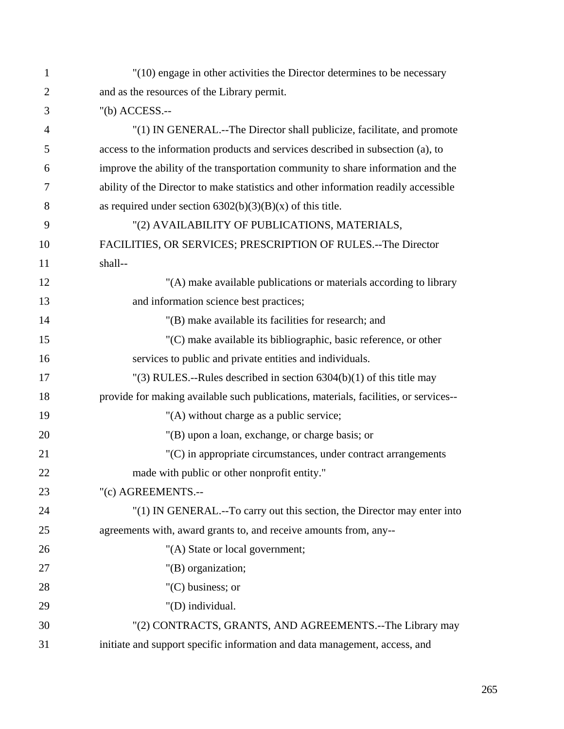| 1              | "(10) engage in other activities the Director determines to be necessary             |
|----------------|--------------------------------------------------------------------------------------|
| $\overline{2}$ | and as the resources of the Library permit.                                          |
| 3              | $"$ (b) ACCESS.--                                                                    |
| $\overline{4}$ | "(1) IN GENERAL.--The Director shall publicize, facilitate, and promote              |
| 5              | access to the information products and services described in subsection (a), to      |
| 6              | improve the ability of the transportation community to share information and the     |
| 7              | ability of the Director to make statistics and other information readily accessible  |
| 8              | as required under section $6302(b)(3)(B)(x)$ of this title.                          |
| 9              | "(2) AVAILABILITY OF PUBLICATIONS, MATERIALS,                                        |
| 10             | FACILITIES, OR SERVICES; PRESCRIPTION OF RULES.-- The Director                       |
| 11             | shall--                                                                              |
| 12             | "(A) make available publications or materials according to library                   |
| 13             | and information science best practices;                                              |
| 14             | "(B) make available its facilities for research; and                                 |
| 15             | "(C) make available its bibliographic, basic reference, or other                     |
| 16             | services to public and private entities and individuals.                             |
| 17             | "(3) RULES.--Rules described in section $6304(b)(1)$ of this title may               |
| 18             | provide for making available such publications, materials, facilities, or services-- |
| 19             | "(A) without charge as a public service;                                             |
| 20             | "(B) upon a loan, exchange, or charge basis; or                                      |
| 21             | "(C) in appropriate circumstances, under contract arrangements                       |
| 22             | made with public or other nonprofit entity."                                         |
| 23             | "(c) AGREEMENTS.--                                                                   |
| 24             | "(1) IN GENERAL.--To carry out this section, the Director may enter into             |
| 25             | agreements with, award grants to, and receive amounts from, any--                    |
| 26             | "(A) State or local government;                                                      |
| 27             | "(B) organization;                                                                   |
| 28             | $C$ ) business; or                                                                   |
| 29             | "(D) individual.                                                                     |
| 30             | "(2) CONTRACTS, GRANTS, AND AGREEMENTS.--The Library may                             |
| 31             | initiate and support specific information and data management, access, and           |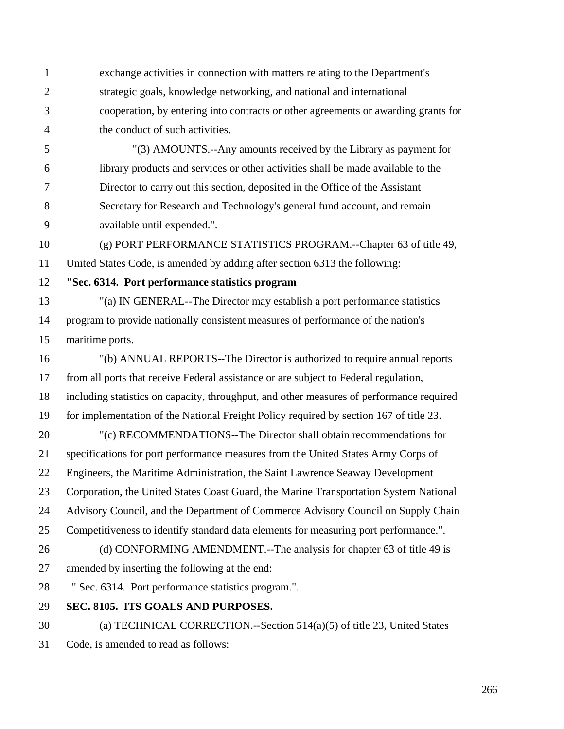1 exchange activities in connection with matters relating to the Department's 2 strategic goals, knowledge networking, and national and international 3 cooperation, by entering into contracts or other agreements or awarding grants for 4 the conduct of such activities.

5 "(3) AMOUNTS.--Any amounts received by the Library as payment for 6 library products and services or other activities shall be made available to the 7 Director to carry out this section, deposited in the Office of the Assistant 8 Secretary for Research and Technology's general fund account, and remain 9 available until expended.".

10 (g) PORT PERFORMANCE STATISTICS PROGRAM.--Chapter 63 of title 49, 11 United States Code, is amended by adding after section 6313 the following:

12 **"Sec. 6314. Port performance statistics program** 

13 "(a) IN GENERAL--The Director may establish a port performance statistics 14 program to provide nationally consistent measures of performance of the nation's 15 maritime ports.

16 "(b) ANNUAL REPORTS--The Director is authorized to require annual reports 17 from all ports that receive Federal assistance or are subject to Federal regulation, 18 including statistics on capacity, throughput, and other measures of performance required 19 for implementation of the National Freight Policy required by section 167 of title 23. 20 "(c) RECOMMENDATIONS--The Director shall obtain recommendations for 21 specifications for port performance measures from the United States Army Corps of 22 Engineers, the Maritime Administration, the Saint Lawrence Seaway Development 23 Corporation, the United States Coast Guard, the Marine Transportation System National 24 Advisory Council, and the Department of Commerce Advisory Council on Supply Chain 25 Competitiveness to identify standard data elements for measuring port performance.". 26 (d) CONFORMING AMENDMENT.--The analysis for chapter 63 of title 49 is 27 amended by inserting the following at the end: 28 " Sec. 6314. Port performance statistics program.". 29 **SEC. 8105. ITS GOALS AND PURPOSES.** 

30 (a) TECHNICAL CORRECTION.--Section 514(a)(5) of title 23, United States 31 Code, is amended to read as follows: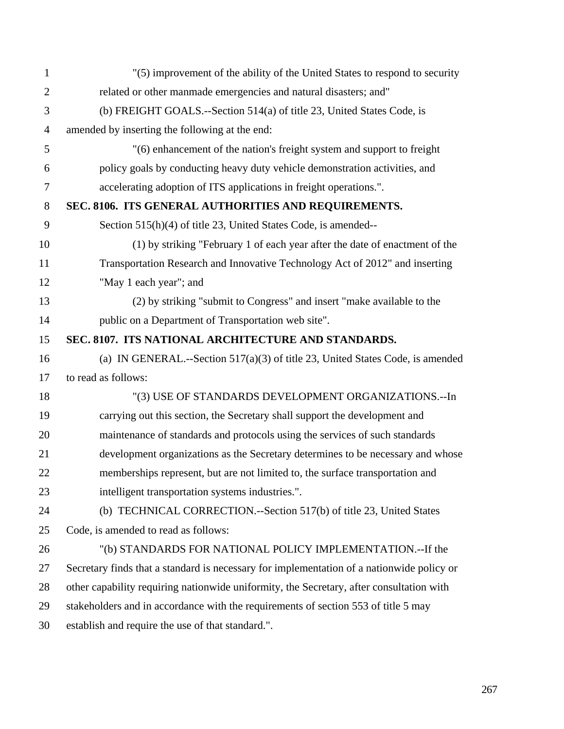| $\mathbf{1}$   | "(5) improvement of the ability of the United States to respond to security               |
|----------------|-------------------------------------------------------------------------------------------|
| $\overline{2}$ | related or other manmade emergencies and natural disasters; and"                          |
| 3              | (b) FREIGHT GOALS.--Section 514(a) of title 23, United States Code, is                    |
| $\overline{4}$ | amended by inserting the following at the end:                                            |
| 5              | "(6) enhancement of the nation's freight system and support to freight                    |
| 6              | policy goals by conducting heavy duty vehicle demonstration activities, and               |
| 7              | accelerating adoption of ITS applications in freight operations.".                        |
| 8              | SEC. 8106. ITS GENERAL AUTHORITIES AND REQUIREMENTS.                                      |
| 9              | Section 515(h)(4) of title 23, United States Code, is amended--                           |
| 10             | (1) by striking "February 1 of each year after the date of enactment of the               |
| 11             | Transportation Research and Innovative Technology Act of 2012" and inserting              |
| 12             | "May 1 each year"; and                                                                    |
| 13             | (2) by striking "submit to Congress" and insert "make available to the                    |
| 14             | public on a Department of Transportation web site".                                       |
| 15             | SEC. 8107. ITS NATIONAL ARCHITECTURE AND STANDARDS.                                       |
| 16             | (a) IN GENERAL.--Section $517(a)(3)$ of title 23, United States Code, is amended          |
| 17             | to read as follows:                                                                       |
| 18             | "(3) USE OF STANDARDS DEVELOPMENT ORGANIZATIONS.-- In                                     |
| 19             | carrying out this section, the Secretary shall support the development and                |
| 20             | maintenance of standards and protocols using the services of such standards               |
| 21             | development organizations as the Secretary determines to be necessary and whose           |
| 22             | memberships represent, but are not limited to, the surface transportation and             |
| 23             | intelligent transportation systems industries.".                                          |
| 24             | (b) TECHNICAL CORRECTION.--Section 517(b) of title 23, United States                      |
| 25             | Code, is amended to read as follows:                                                      |
| 26             | "(b) STANDARDS FOR NATIONAL POLICY IMPLEMENTATION.--If the                                |
| 27             | Secretary finds that a standard is necessary for implementation of a nationwide policy or |
| 28             | other capability requiring nationwide uniformity, the Secretary, after consultation with  |
| 29             | stakeholders and in accordance with the requirements of section 553 of title 5 may        |
| 30             | establish and require the use of that standard.".                                         |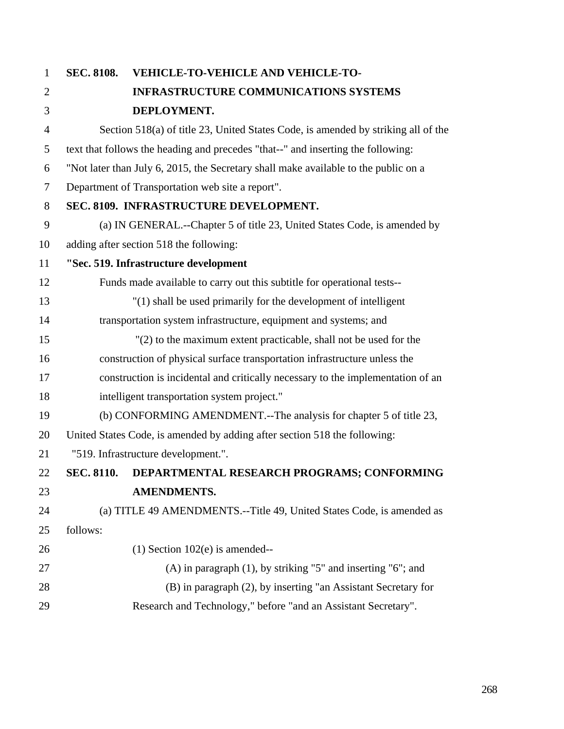| $\mathbf{1}$   | <b>SEC. 8108.</b> | <b>VEHICLE-TO-VEHICLE AND VEHICLE-TO-</b>                                           |
|----------------|-------------------|-------------------------------------------------------------------------------------|
| $\overline{2}$ |                   | <b>INFRASTRUCTURE COMMUNICATIONS SYSTEMS</b>                                        |
| 3              |                   | DEPLOYMENT.                                                                         |
| $\overline{4}$ |                   | Section 518(a) of title 23, United States Code, is amended by striking all of the   |
| 5              |                   | text that follows the heading and precedes "that--" and inserting the following:    |
| 6              |                   | "Not later than July 6, 2015, the Secretary shall make available to the public on a |
| $\overline{7}$ |                   | Department of Transportation web site a report".                                    |
| 8              |                   | SEC. 8109. INFRASTRUCTURE DEVELOPMENT.                                              |
| 9              |                   | (a) IN GENERAL.--Chapter 5 of title 23, United States Code, is amended by           |
| 10             |                   | adding after section 518 the following:                                             |
| 11             |                   | "Sec. 519. Infrastructure development                                               |
| 12             |                   | Funds made available to carry out this subtitle for operational tests--             |
| 13             |                   | "(1) shall be used primarily for the development of intelligent                     |
| 14             |                   | transportation system infrastructure, equipment and systems; and                    |
| 15             |                   | $'(2)$ to the maximum extent practicable, shall not be used for the                 |
| 16             |                   | construction of physical surface transportation infrastructure unless the           |
| 17             |                   | construction is incidental and critically necessary to the implementation of an     |
| 18             |                   | intelligent transportation system project."                                         |
| 19             |                   | (b) CONFORMING AMENDMENT.--The analysis for chapter 5 of title 23,                  |
| 20             |                   | United States Code, is amended by adding after section 518 the following:           |
| 21             |                   | "519. Infrastructure development.".                                                 |
| 22             | <b>SEC. 8110.</b> | DEPARTMENTAL RESEARCH PROGRAMS; CONFORMING                                          |
| 23             |                   | <b>AMENDMENTS.</b>                                                                  |
| 24             |                   | (a) TITLE 49 AMENDMENTS.--Title 49, United States Code, is amended as               |
| 25             | follows:          |                                                                                     |
| 26             |                   | $(1)$ Section 102 $(e)$ is amended--                                                |
| 27             |                   | $(A)$ in paragraph $(1)$ , by striking "5" and inserting "6"; and                   |
| 28             |                   | (B) in paragraph (2), by inserting "an Assistant Secretary for                      |
| 29             |                   | Research and Technology," before "and an Assistant Secretary".                      |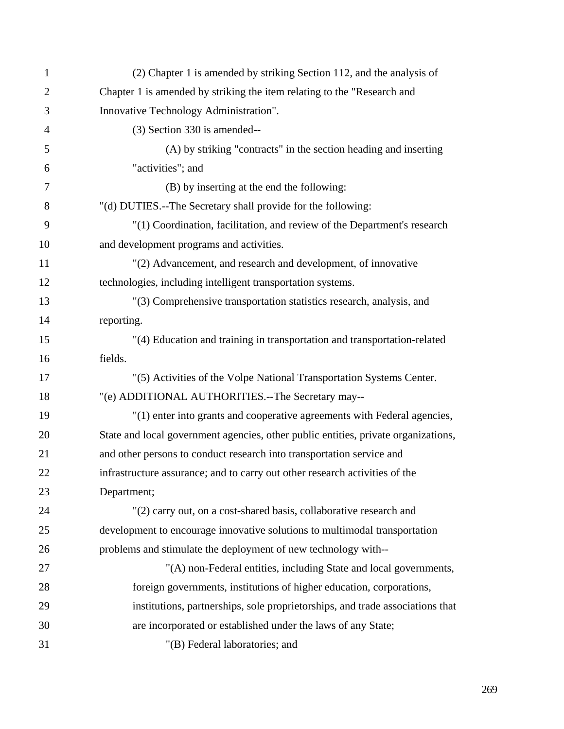| $\mathbf{1}$   | (2) Chapter 1 is amended by striking Section 112, and the analysis of              |
|----------------|------------------------------------------------------------------------------------|
| $\overline{2}$ | Chapter 1 is amended by striking the item relating to the "Research and            |
| 3              | Innovative Technology Administration".                                             |
| $\overline{4}$ | (3) Section 330 is amended--                                                       |
| 5              | (A) by striking "contracts" in the section heading and inserting                   |
| 6              | "activities"; and                                                                  |
| 7              | (B) by inserting at the end the following:                                         |
| 8              | "(d) DUTIES.--The Secretary shall provide for the following:                       |
| 9              | "(1) Coordination, facilitation, and review of the Department's research           |
| 10             | and development programs and activities.                                           |
| 11             | "(2) Advancement, and research and development, of innovative                      |
| 12             | technologies, including intelligent transportation systems.                        |
| 13             | "(3) Comprehensive transportation statistics research, analysis, and               |
| 14             | reporting.                                                                         |
| 15             | "(4) Education and training in transportation and transportation-related           |
| 16             | fields.                                                                            |
| 17             | "(5) Activities of the Volpe National Transportation Systems Center.               |
| 18             | "(e) ADDITIONAL AUTHORITIES.--The Secretary may--                                  |
| 19             | "(1) enter into grants and cooperative agreements with Federal agencies,           |
| 20             | State and local government agencies, other public entities, private organizations, |
| 21             | and other persons to conduct research into transportation service and              |
| 22             | infrastructure assurance; and to carry out other research activities of the        |
| 23             | Department;                                                                        |
| 24             | "(2) carry out, on a cost-shared basis, collaborative research and                 |
| 25             | development to encourage innovative solutions to multimodal transportation         |
| 26             | problems and stimulate the deployment of new technology with--                     |
| 27             | "(A) non-Federal entities, including State and local governments,                  |
| 28             | foreign governments, institutions of higher education, corporations,               |
| 29             | institutions, partnerships, sole proprietorships, and trade associations that      |
| 30             | are incorporated or established under the laws of any State;                       |
| 31             | "(B) Federal laboratories; and                                                     |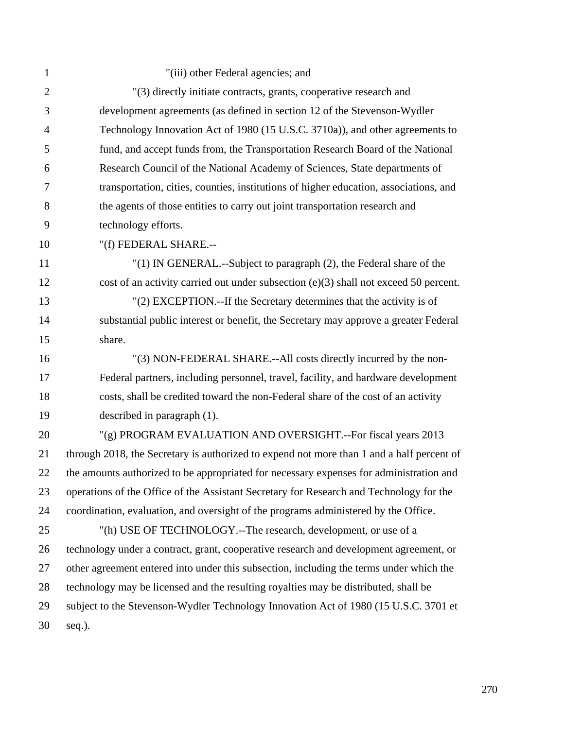| $\mathbf{1}$   | "(iii) other Federal agencies; and                                                        |
|----------------|-------------------------------------------------------------------------------------------|
| $\overline{2}$ | "(3) directly initiate contracts, grants, cooperative research and                        |
| 3              | development agreements (as defined in section 12 of the Stevenson-Wydler                  |
| $\overline{4}$ | Technology Innovation Act of 1980 (15 U.S.C. 3710a)), and other agreements to             |
| 5              | fund, and accept funds from, the Transportation Research Board of the National            |
| 6              | Research Council of the National Academy of Sciences, State departments of                |
| 7              | transportation, cities, counties, institutions of higher education, associations, and     |
| 8              | the agents of those entities to carry out joint transportation research and               |
| 9              | technology efforts.                                                                       |
| 10             | "(f) FEDERAL SHARE.--                                                                     |
| 11             | "(1) IN GENERAL.--Subject to paragraph (2), the Federal share of the                      |
| 12             | cost of an activity carried out under subsection (e)(3) shall not exceed 50 percent.      |
| 13             | "(2) EXCEPTION.--If the Secretary determines that the activity is of                      |
| 14             | substantial public interest or benefit, the Secretary may approve a greater Federal       |
| 15             | share.                                                                                    |
| 16             | "(3) NON-FEDERAL SHARE.--All costs directly incurred by the non-                          |
| 17             | Federal partners, including personnel, travel, facility, and hardware development         |
| 18             | costs, shall be credited toward the non-Federal share of the cost of an activity          |
| 19             | described in paragraph (1).                                                               |
| 20             | "(g) PROGRAM EVALUATION AND OVERSIGHT.--For fiscal years 2013                             |
| 21             | through 2018, the Secretary is authorized to expend not more than 1 and a half percent of |
| 22             | the amounts authorized to be appropriated for necessary expenses for administration and   |
| 23             | operations of the Office of the Assistant Secretary for Research and Technology for the   |
| 24             | coordination, evaluation, and oversight of the programs administered by the Office.       |
| 25             | "(h) USE OF TECHNOLOGY.--The research, development, or use of a                           |
| 26             | technology under a contract, grant, cooperative research and development agreement, or    |
| 27             | other agreement entered into under this subsection, including the terms under which the   |
| 28             | technology may be licensed and the resulting royalties may be distributed, shall be       |
| 29             | subject to the Stevenson-Wydler Technology Innovation Act of 1980 (15 U.S.C. 3701 et      |
| 30             | seq.).                                                                                    |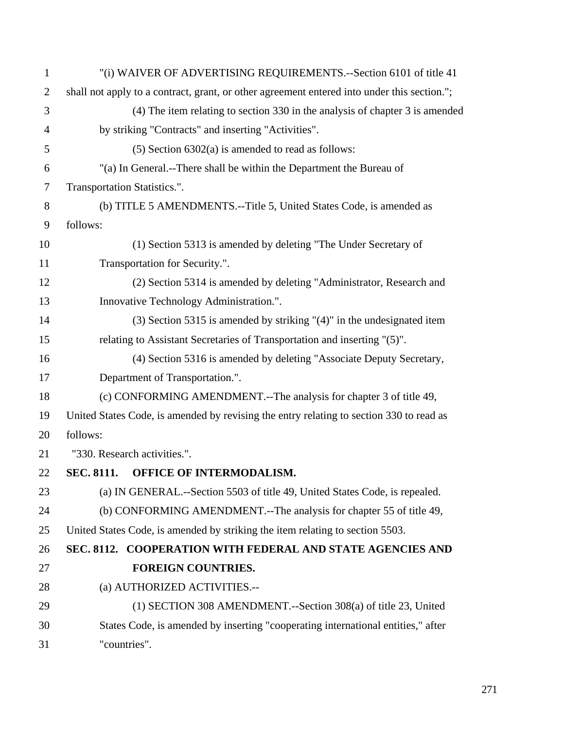| $\mathbf{1}$   | "(i) WAIVER OF ADVERTISING REQUIREMENTS.--Section 6101 of title 41                          |
|----------------|---------------------------------------------------------------------------------------------|
| $\overline{2}$ | shall not apply to a contract, grant, or other agreement entered into under this section."; |
| 3              | (4) The item relating to section 330 in the analysis of chapter 3 is amended                |
| $\overline{4}$ | by striking "Contracts" and inserting "Activities".                                         |
| 5              | $(5)$ Section 6302(a) is amended to read as follows:                                        |
| 6              | "(a) In General.--There shall be within the Department the Bureau of                        |
| $\overline{7}$ | Transportation Statistics.".                                                                |
| 8              | (b) TITLE 5 AMENDMENTS.--Title 5, United States Code, is amended as                         |
| 9              | follows:                                                                                    |
| 10             | (1) Section 5313 is amended by deleting "The Under Secretary of                             |
| 11             | Transportation for Security.".                                                              |
| 12             | (2) Section 5314 is amended by deleting "Administrator, Research and                        |
| 13             | Innovative Technology Administration.".                                                     |
| 14             | $(3)$ Section 5315 is amended by striking " $(4)$ " in the undesignated item                |
| 15             | relating to Assistant Secretaries of Transportation and inserting "(5)".                    |
| 16             | (4) Section 5316 is amended by deleting "Associate Deputy Secretary,                        |
| 17             | Department of Transportation.".                                                             |
| 18             | (c) CONFORMING AMENDMENT.--The analysis for chapter 3 of title 49,                          |
| 19             | United States Code, is amended by revising the entry relating to section 330 to read as     |
| 20             | follows:                                                                                    |
| 21             | "330. Research activities.".                                                                |
| 22             | SEC. 8111. OFFICE OF INTERMODALISM.                                                         |
| 23             | (a) IN GENERAL.--Section 5503 of title 49, United States Code, is repealed.                 |
| 24             | (b) CONFORMING AMENDMENT.--The analysis for chapter 55 of title 49,                         |
| 25             | United States Code, is amended by striking the item relating to section 5503.               |
| 26             | SEC. 8112. COOPERATION WITH FEDERAL AND STATE AGENCIES AND                                  |
| 27             | <b>FOREIGN COUNTRIES.</b>                                                                   |
| 28             | (a) AUTHORIZED ACTIVITIES.--                                                                |
| 29             | (1) SECTION 308 AMENDMENT.--Section 308(a) of title 23, United                              |
| 30             | States Code, is amended by inserting "cooperating international entities," after            |
| 31             | "countries".                                                                                |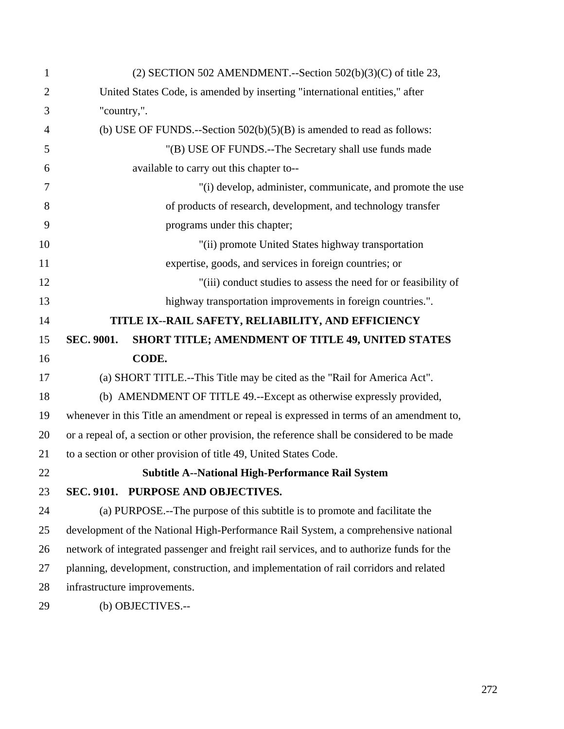| $\mathbf{1}$   | (2) SECTION 502 AMENDMENT.--Section $502(b)(3)(C)$ of title 23,                            |
|----------------|--------------------------------------------------------------------------------------------|
| $\overline{2}$ | United States Code, is amended by inserting "international entities," after                |
| 3              | "country,".                                                                                |
| 4              | (b) USE OF FUNDS.--Section $502(b)(5)(B)$ is amended to read as follows:                   |
| 5              | "(B) USE OF FUNDS.--The Secretary shall use funds made                                     |
| 6              | available to carry out this chapter to--                                                   |
| 7              | "(i) develop, administer, communicate, and promote the use                                 |
| 8              | of products of research, development, and technology transfer                              |
| 9              | programs under this chapter;                                                               |
| 10             | "(ii) promote United States highway transportation                                         |
| 11             | expertise, goods, and services in foreign countries; or                                    |
| 12             | "(iii) conduct studies to assess the need for or feasibility of                            |
| 13             | highway transportation improvements in foreign countries.".                                |
| 14             | TITLE IX--RAIL SAFETY, RELIABILITY, AND EFFICIENCY                                         |
| 15             | SEC. 9001.<br>SHORT TITLE; AMENDMENT OF TITLE 49, UNITED STATES                            |
| 16             | CODE.                                                                                      |
| 17             | (a) SHORT TITLE.--This Title may be cited as the "Rail for America Act".                   |
| 18             | (b) AMENDMENT OF TITLE 49.--Except as otherwise expressly provided,                        |
| 19             | whenever in this Title an amendment or repeal is expressed in terms of an amendment to,    |
| 20             | or a repeal of, a section or other provision, the reference shall be considered to be made |
| 21             | to a section or other provision of title 49, United States Code.                           |
| 22             | <b>Subtitle A--National High-Performance Rail System</b>                                   |
| 23             | SEC. 9101. PURPOSE AND OBJECTIVES.                                                         |
| 24             | (a) PURPOSE.--The purpose of this subtitle is to promote and facilitate the                |
| 25             | development of the National High-Performance Rail System, a comprehensive national         |
| 26             | network of integrated passenger and freight rail services, and to authorize funds for the  |
| 27             | planning, development, construction, and implementation of rail corridors and related      |
| 28             | infrastructure improvements.                                                               |
| 29             | (b) OBJECTIVES.--                                                                          |
|                |                                                                                            |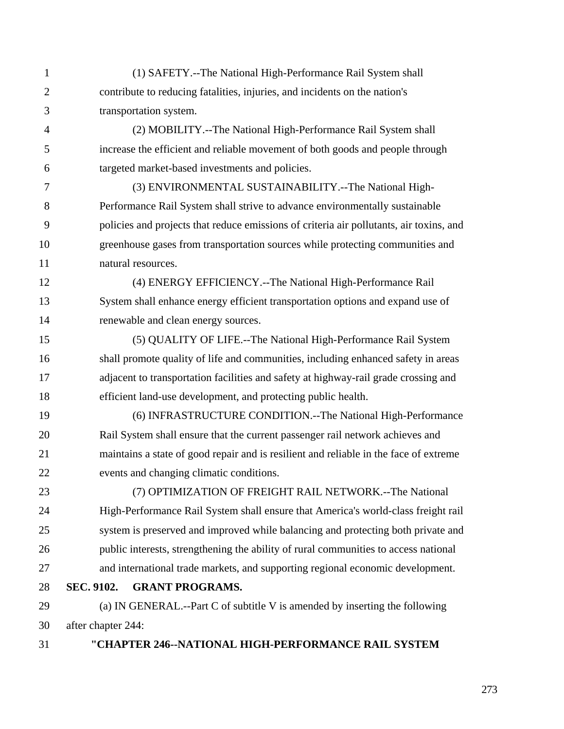1 (1) SAFETY.--The National High-Performance Rail System shall 2 contribute to reducing fatalities, injuries, and incidents on the nation's 3 transportation system. 4 (2) MOBILITY.--The National High-Performance Rail System shall 5 increase the efficient and reliable movement of both goods and people through 6 targeted market-based investments and policies. 7 (3) ENVIRONMENTAL SUSTAINABILITY.--The National High-8 Performance Rail System shall strive to advance environmentally sustainable 9 policies and projects that reduce emissions of criteria air pollutants, air toxins, and 10 greenhouse gases from transportation sources while protecting communities and 11 natural resources. 12 (4) ENERGY EFFICIENCY.--The National High-Performance Rail 13 System shall enhance energy efficient transportation options and expand use of 14 renewable and clean energy sources. 15 (5) QUALITY OF LIFE.--The National High-Performance Rail System 16 shall promote quality of life and communities, including enhanced safety in areas 17 adjacent to transportation facilities and safety at highway-rail grade crossing and 18 efficient land-use development, and protecting public health. 19 (6) INFRASTRUCTURE CONDITION.--The National High-Performance 20 Rail System shall ensure that the current passenger rail network achieves and 21 maintains a state of good repair and is resilient and reliable in the face of extreme 22 events and changing climatic conditions. 23 (7) OPTIMIZATION OF FREIGHT RAIL NETWORK.--The National 24 High-Performance Rail System shall ensure that America's world-class freight rail 25 system is preserved and improved while balancing and protecting both private and 26 public interests, strengthening the ability of rural communities to access national 27 and international trade markets, and supporting regional economic development. 28 **SEC. 9102. GRANT PROGRAMS.**  29 (a) IN GENERAL.--Part C of subtitle V is amended by inserting the following 30 after chapter 244: 31 **"CHAPTER 246--NATIONAL HIGH-PERFORMANCE RAIL SYSTEM**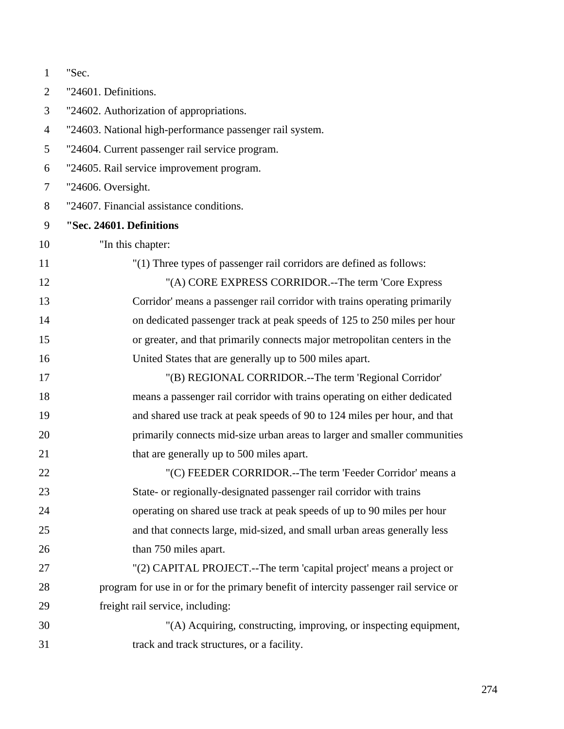| $\mathbf{1}$   | "Sec.                                                                                |
|----------------|--------------------------------------------------------------------------------------|
| $\overline{2}$ | "24601. Definitions.                                                                 |
| 3              | "24602. Authorization of appropriations.                                             |
| $\overline{4}$ | "24603. National high-performance passenger rail system.                             |
| 5              | "24604. Current passenger rail service program.                                      |
| 6              | "24605. Rail service improvement program.                                            |
| 7              | "24606. Oversight.                                                                   |
| 8              | "24607. Financial assistance conditions.                                             |
| 9              | "Sec. 24601. Definitions                                                             |
| 10             | "In this chapter:                                                                    |
| 11             | "(1) Three types of passenger rail corridors are defined as follows:                 |
| 12             | "(A) CORE EXPRESS CORRIDOR.--The term 'Core Express                                  |
| 13             | Corridor' means a passenger rail corridor with trains operating primarily            |
| 14             | on dedicated passenger track at peak speeds of 125 to 250 miles per hour             |
| 15             | or greater, and that primarily connects major metropolitan centers in the            |
| 16             | United States that are generally up to 500 miles apart.                              |
| 17             | "(B) REGIONAL CORRIDOR.--The term 'Regional Corridor'                                |
| 18             | means a passenger rail corridor with trains operating on either dedicated            |
| 19             | and shared use track at peak speeds of 90 to 124 miles per hour, and that            |
| 20             | primarily connects mid-size urban areas to larger and smaller communities            |
| 21             | that are generally up to 500 miles apart.                                            |
| 22             | "(C) FEEDER CORRIDOR.--The term 'Feeder Corridor' means a                            |
| 23             | State- or regionally-designated passenger rail corridor with trains                  |
| 24             | operating on shared use track at peak speeds of up to 90 miles per hour              |
| 25             | and that connects large, mid-sized, and small urban areas generally less             |
| 26             | than 750 miles apart.                                                                |
| 27             | "(2) CAPITAL PROJECT.--The term 'capital project' means a project or                 |
| 28             | program for use in or for the primary benefit of intercity passenger rail service or |
| 29             | freight rail service, including:                                                     |
| 30             | "(A) Acquiring, constructing, improving, or inspecting equipment,                    |
| 31             | track and track structures, or a facility.                                           |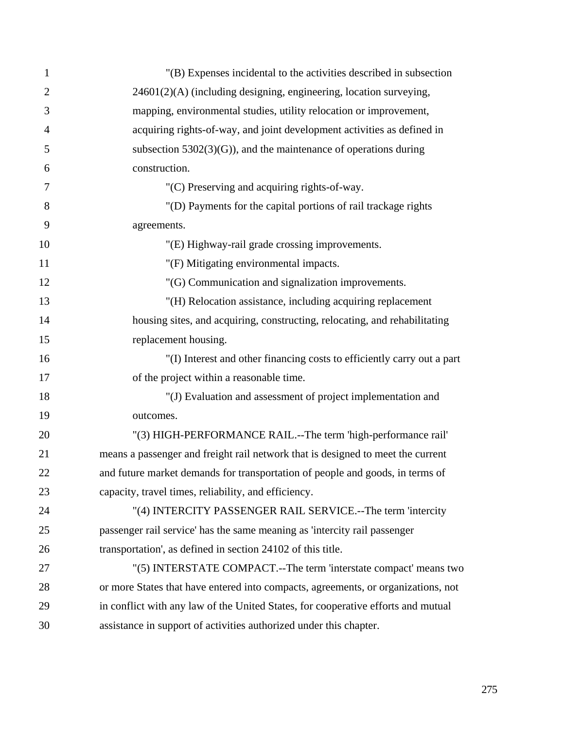| $\mathbf{1}$   | "(B) Expenses incidental to the activities described in subsection                |
|----------------|-----------------------------------------------------------------------------------|
| $\overline{2}$ | 24601(2)(A) (including designing, engineering, location surveying,                |
| 3              | mapping, environmental studies, utility relocation or improvement,                |
| $\overline{4}$ | acquiring rights-of-way, and joint development activities as defined in           |
| 5              | subsection $5302(3)(G)$ , and the maintenance of operations during                |
| 6              | construction.                                                                     |
| 7              | "(C) Preserving and acquiring rights-of-way.                                      |
| 8              | "(D) Payments for the capital portions of rail trackage rights                    |
| 9              | agreements.                                                                       |
| 10             | "(E) Highway-rail grade crossing improvements.                                    |
| 11             | "(F) Mitigating environmental impacts.                                            |
| 12             | "(G) Communication and signalization improvements.                                |
| 13             | "(H) Relocation assistance, including acquiring replacement                       |
| 14             | housing sites, and acquiring, constructing, relocating, and rehabilitating        |
| 15             | replacement housing.                                                              |
| 16             | "(I) Interest and other financing costs to efficiently carry out a part           |
| 17             | of the project within a reasonable time.                                          |
| 18             | "(J) Evaluation and assessment of project implementation and                      |
| 19             | outcomes.                                                                         |
| 20             | "(3) HIGH-PERFORMANCE RAIL.--The term 'high-performance rail'                     |
| 21             | means a passenger and freight rail network that is designed to meet the current   |
| 22             | and future market demands for transportation of people and goods, in terms of     |
| 23             | capacity, travel times, reliability, and efficiency.                              |
| 24             | "(4) INTERCITY PASSENGER RAIL SERVICE.--The term 'intercity                       |
| 25             | passenger rail service' has the same meaning as 'intercity rail passenger         |
| 26             | transportation', as defined in section 24102 of this title.                       |
| 27             | "(5) INTERSTATE COMPACT.--The term 'interstate compact' means two                 |
| 28             | or more States that have entered into compacts, agreements, or organizations, not |
| 29             | in conflict with any law of the United States, for cooperative efforts and mutual |
| 30             | assistance in support of activities authorized under this chapter.                |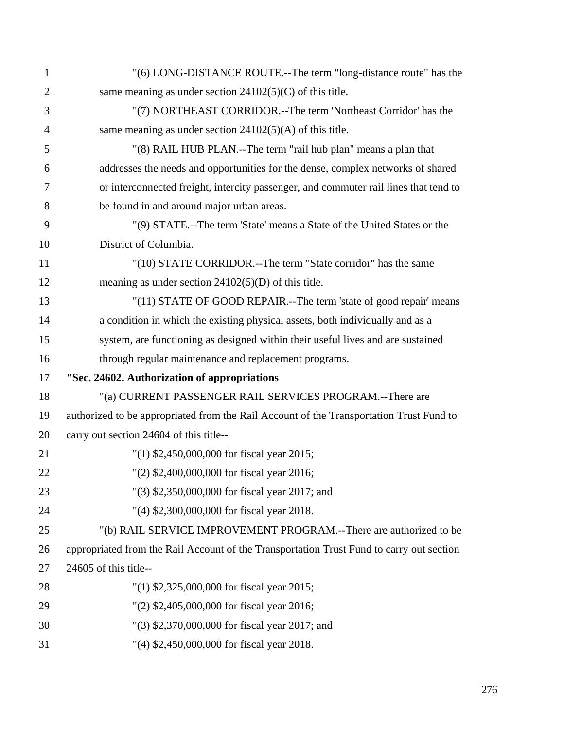| $\mathbf{1}$   | "(6) LONG-DISTANCE ROUTE.--The term "long-distance route" has the                        |
|----------------|------------------------------------------------------------------------------------------|
| $\overline{2}$ | same meaning as under section $24102(5)(C)$ of this title.                               |
| 3              | "(7) NORTHEAST CORRIDOR.--The term 'Northeast Corridor' has the                          |
| $\overline{4}$ | same meaning as under section $24102(5)(A)$ of this title.                               |
| 5              | "(8) RAIL HUB PLAN.--The term "rail hub plan" means a plan that                          |
| 6              | addresses the needs and opportunities for the dense, complex networks of shared          |
| 7              | or interconnected freight, intercity passenger, and commuter rail lines that tend to     |
| 8              | be found in and around major urban areas.                                                |
| 9              | "(9) STATE.--The term 'State' means a State of the United States or the                  |
| 10             | District of Columbia.                                                                    |
| 11             | "(10) STATE CORRIDOR.--The term "State corridor" has the same                            |
| 12             | meaning as under section $24102(5)(D)$ of this title.                                    |
| 13             | "(11) STATE OF GOOD REPAIR.--The term 'state of good repair' means                       |
| 14             | a condition in which the existing physical assets, both individually and as a            |
| 15             | system, are functioning as designed within their useful lives and are sustained          |
| 16             | through regular maintenance and replacement programs.                                    |
| 17             | "Sec. 24602. Authorization of appropriations                                             |
| 18             | "(a) CURRENT PASSENGER RAIL SERVICES PROGRAM.--There are                                 |
| 19             | authorized to be appropriated from the Rail Account of the Transportation Trust Fund to  |
| 20             | carry out section 24604 of this title--                                                  |
| 21             | "(1) $$2,450,000,000$ for fiscal year 2015;                                              |
| 22             | "(2) \$2,400,000,000 for fiscal year 2016;                                               |
| 23             | "(3) \$2,350,000,000 for fiscal year 2017; and                                           |
| 24             | "(4) \$2,300,000,000 for fiscal year 2018.                                               |
| 25             | "(b) RAIL SERVICE IMPROVEMENT PROGRAM.--There are authorized to be                       |
| 26             | appropriated from the Rail Account of the Transportation Trust Fund to carry out section |
| 27             | 24605 of this title--                                                                    |
| 28             | $(1)$ \$2,325,000,000 for fiscal year 2015;                                              |
| 29             | "(2) \$2,405,000,000 for fiscal year 2016;                                               |
| 30             | "(3) \$2,370,000,000 for fiscal year 2017; and                                           |
| 31             | "(4) \$2,450,000,000 for fiscal year 2018.                                               |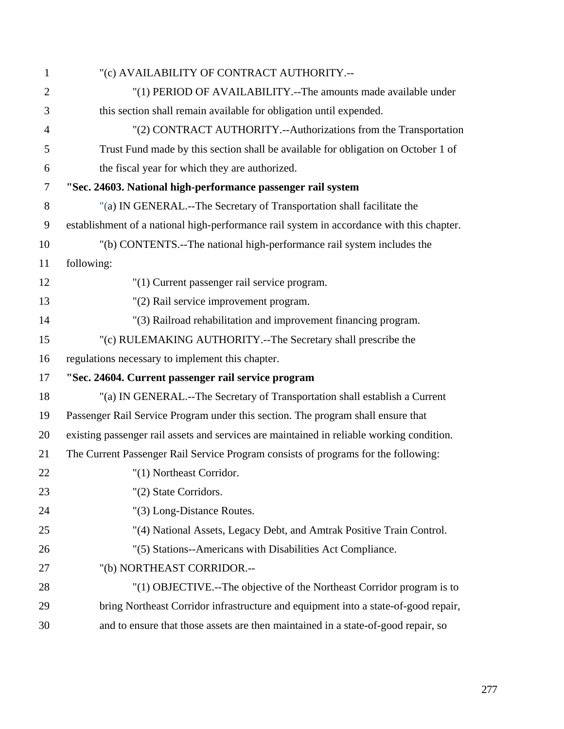| $\mathbf{1}$   | "(c) AVAILABILITY OF CONTRACT AUTHORITY .--                                               |
|----------------|-------------------------------------------------------------------------------------------|
| $\overline{2}$ | "(1) PERIOD OF AVAILABILITY.--The amounts made available under                            |
| 3              | this section shall remain available for obligation until expended.                        |
| 4              | "(2) CONTRACT AUTHORITY.--Authorizations from the Transportation                          |
| 5              | Trust Fund made by this section shall be available for obligation on October 1 of         |
| 6              | the fiscal year for which they are authorized.                                            |
| 7              | "Sec. 24603. National high-performance passenger rail system                              |
| 8              | "(a) IN GENERAL.--The Secretary of Transportation shall facilitate the                    |
| 9              | establishment of a national high-performance rail system in accordance with this chapter. |
| 10             | "(b) CONTENTS.--The national high-performance rail system includes the                    |
| 11             | following:                                                                                |
| 12             | "(1) Current passenger rail service program.                                              |
| 13             | "(2) Rail service improvement program.                                                    |
| 14             | "(3) Railroad rehabilitation and improvement financing program.                           |
| 15             | "(c) RULEMAKING AUTHORITY.--The Secretary shall prescribe the                             |
| 16             | regulations necessary to implement this chapter.                                          |
| 17             | "Sec. 24604. Current passenger rail service program                                       |
| 18             | "(a) IN GENERAL.--The Secretary of Transportation shall establish a Current               |
| 19             | Passenger Rail Service Program under this section. The program shall ensure that          |
| 20             | existing passenger rail assets and services are maintained in reliable working condition. |
| 21             | The Current Passenger Rail Service Program consists of programs for the following:        |
| 22             | "(1) Northeast Corridor.                                                                  |
| 23             | "(2) State Corridors.                                                                     |
| 24             | "(3) Long-Distance Routes.                                                                |
| 25             | "(4) National Assets, Legacy Debt, and Amtrak Positive Train Control.                     |
| 26             | "(5) Stations--Americans with Disabilities Act Compliance.                                |
| 27             | "(b) NORTHEAST CORRIDOR.--                                                                |
| 28             | "(1) OBJECTIVE.--The objective of the Northeast Corridor program is to                    |
| 29             | bring Northeast Corridor infrastructure and equipment into a state-of-good repair,        |
| 30             | and to ensure that those assets are then maintained in a state-of-good repair, so         |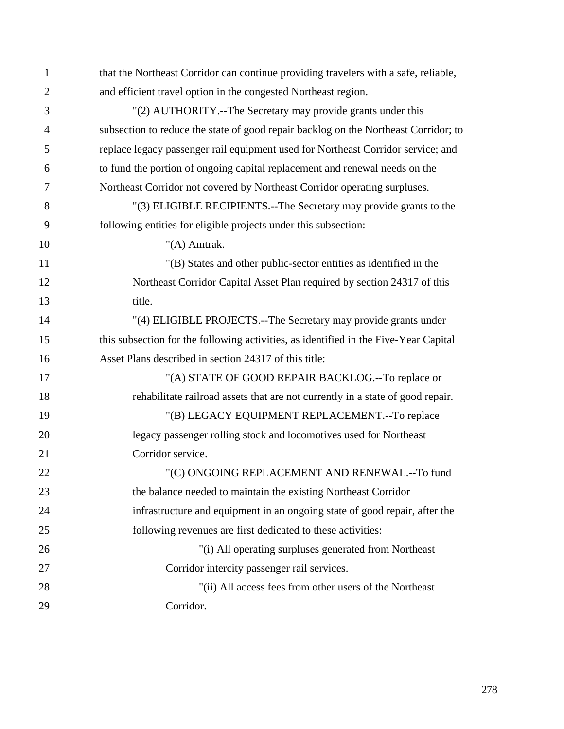| $\mathbf{1}$   | that the Northeast Corridor can continue providing travelers with a safe, reliable,  |
|----------------|--------------------------------------------------------------------------------------|
| $\overline{2}$ | and efficient travel option in the congested Northeast region.                       |
| 3              | "(2) AUTHORITY.--The Secretary may provide grants under this                         |
| 4              | subsection to reduce the state of good repair backlog on the Northeast Corridor; to  |
| 5              | replace legacy passenger rail equipment used for Northeast Corridor service; and     |
| 6              | to fund the portion of ongoing capital replacement and renewal needs on the          |
| 7              | Northeast Corridor not covered by Northeast Corridor operating surpluses.            |
| 8              | "(3) ELIGIBLE RECIPIENTS.--The Secretary may provide grants to the                   |
| 9              | following entities for eligible projects under this subsection:                      |
| 10             | " $(A)$ Amtrak.                                                                      |
| 11             | "(B) States and other public-sector entities as identified in the                    |
| 12             | Northeast Corridor Capital Asset Plan required by section 24317 of this              |
| 13             | title.                                                                               |
| 14             | "(4) ELIGIBLE PROJECTS.--The Secretary may provide grants under                      |
| 15             | this subsection for the following activities, as identified in the Five-Year Capital |
| 16             | Asset Plans described in section 24317 of this title:                                |
| 17             | "(A) STATE OF GOOD REPAIR BACKLOG.--To replace or                                    |
| 18             | rehabilitate railroad assets that are not currently in a state of good repair.       |
| 19             | "(B) LEGACY EQUIPMENT REPLACEMENT.--To replace                                       |
| 20             | legacy passenger rolling stock and locomotives used for Northeast                    |
| 21             | Corridor service.                                                                    |
| 22             | "(C) ONGOING REPLACEMENT AND RENEWAL .-- To fund                                     |
| 23             | the balance needed to maintain the existing Northeast Corridor                       |
| 24             | infrastructure and equipment in an ongoing state of good repair, after the           |
| 25             | following revenues are first dedicated to these activities:                          |
| 26             | "(i) All operating surpluses generated from Northeast                                |
| 27             | Corridor intercity passenger rail services.                                          |
| 28             | "(ii) All access fees from other users of the Northeast                              |
| 29             | Corridor.                                                                            |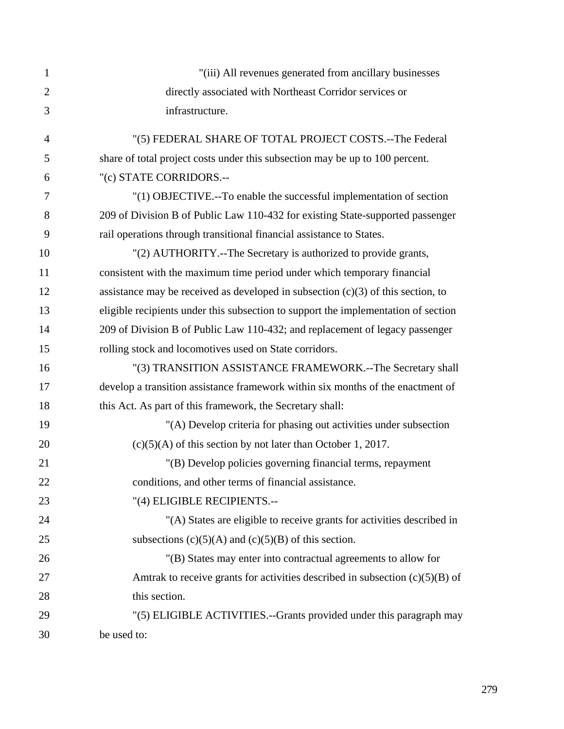| 1              | "(iii) All revenues generated from ancillary businesses                            |
|----------------|------------------------------------------------------------------------------------|
| $\overline{2}$ | directly associated with Northeast Corridor services or                            |
| 3              | infrastructure.                                                                    |
| $\overline{4}$ | "(5) FEDERAL SHARE OF TOTAL PROJECT COSTS.--The Federal                            |
| 5              | share of total project costs under this subsection may be up to 100 percent.       |
| 6              | "(c) STATE CORRIDORS.--                                                            |
| 7              | "(1) OBJECTIVE.--To enable the successful implementation of section                |
| 8              | 209 of Division B of Public Law 110-432 for existing State-supported passenger     |
| 9              | rail operations through transitional financial assistance to States.               |
| 10             | "(2) AUTHORITY.--The Secretary is authorized to provide grants,                    |
| 11             | consistent with the maximum time period under which temporary financial            |
| 12             | assistance may be received as developed in subsection $(c)(3)$ of this section, to |
| 13             | eligible recipients under this subsection to support the implementation of section |
| 14             | 209 of Division B of Public Law 110-432; and replacement of legacy passenger       |
| 15             | rolling stock and locomotives used on State corridors.                             |
| 16             | "(3) TRANSITION ASSISTANCE FRAMEWORK.--The Secretary shall                         |
| 17             | develop a transition assistance framework within six months of the enactment of    |
| 18             | this Act. As part of this framework, the Secretary shall:                          |
| 19             | "(A) Develop criteria for phasing out activities under subsection                  |
| 20             | $(c)(5)(A)$ of this section by not later than October 1, 2017.                     |
| 21             | "(B) Develop policies governing financial terms, repayment                         |
| 22             | conditions, and other terms of financial assistance.                               |
| 23             | "(4) ELIGIBLE RECIPIENTS.--                                                        |
| 24             | "(A) States are eligible to receive grants for activities described in             |
| 25             | subsections $(c)(5)(A)$ and $(c)(5)(B)$ of this section.                           |
| 26             | "(B) States may enter into contractual agreements to allow for                     |
| 27             | Amtrak to receive grants for activities described in subsection $(c)(5)(B)$ of     |
| 28             | this section.                                                                      |
| 29             | "(5) ELIGIBLE ACTIVITIES.--Grants provided under this paragraph may                |
| 30             | be used to:                                                                        |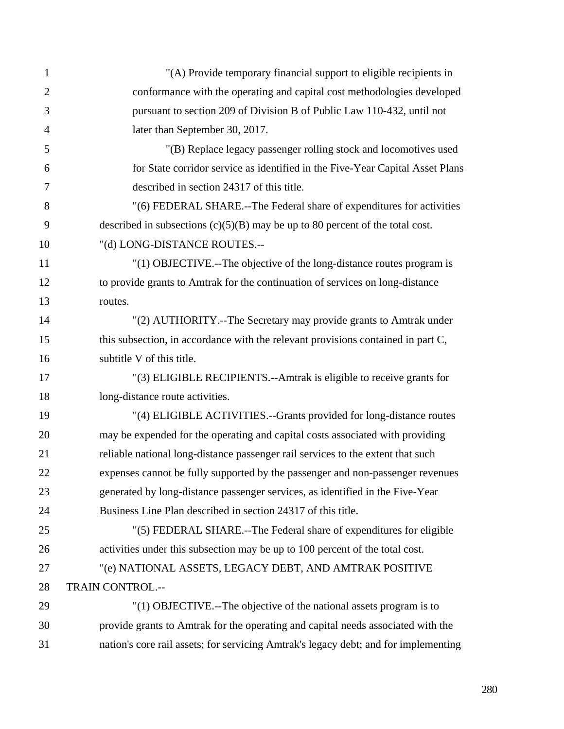| $\mathbf{1}$   | "(A) Provide temporary financial support to eligible recipients in                  |
|----------------|-------------------------------------------------------------------------------------|
| $\overline{2}$ | conformance with the operating and capital cost methodologies developed             |
| 3              | pursuant to section 209 of Division B of Public Law 110-432, until not              |
| $\overline{4}$ | later than September 30, 2017.                                                      |
| 5              | "(B) Replace legacy passenger rolling stock and locomotives used                    |
| 6              | for State corridor service as identified in the Five-Year Capital Asset Plans       |
| 7              | described in section 24317 of this title.                                           |
| 8              | "(6) FEDERAL SHARE.--The Federal share of expenditures for activities               |
| 9              | described in subsections $(c)(5)(B)$ may be up to 80 percent of the total cost.     |
| 10             | "(d) LONG-DISTANCE ROUTES.--                                                        |
| 11             | "(1) OBJECTIVE.--The objective of the long-distance routes program is               |
| 12             | to provide grants to Amtrak for the continuation of services on long-distance       |
| 13             | routes.                                                                             |
| 14             | "(2) AUTHORITY.--The Secretary may provide grants to Amtrak under                   |
| 15             | this subsection, in accordance with the relevant provisions contained in part C,    |
| 16             | subtitle V of this title.                                                           |
| 17             | "(3) ELIGIBLE RECIPIENTS.--Amtrak is eligible to receive grants for                 |
| 18             | long-distance route activities.                                                     |
| 19             | "(4) ELIGIBLE ACTIVITIES.--Grants provided for long-distance routes                 |
| 20             | may be expended for the operating and capital costs associated with providing       |
| 21             | reliable national long-distance passenger rail services to the extent that such     |
| 22             | expenses cannot be fully supported by the passenger and non-passenger revenues      |
| 23             | generated by long-distance passenger services, as identified in the Five-Year       |
| 24             | Business Line Plan described in section 24317 of this title.                        |
| 25             | "(5) FEDERAL SHARE.--The Federal share of expenditures for eligible                 |
| 26             | activities under this subsection may be up to 100 percent of the total cost.        |
| 27             | "(e) NATIONAL ASSETS, LEGACY DEBT, AND AMTRAK POSITIVE                              |
| 28             | TRAIN CONTROL.--                                                                    |
| 29             | "(1) OBJECTIVE.--The objective of the national assets program is to                 |
| 30             | provide grants to Amtrak for the operating and capital needs associated with the    |
| 31             | nation's core rail assets; for servicing Amtrak's legacy debt; and for implementing |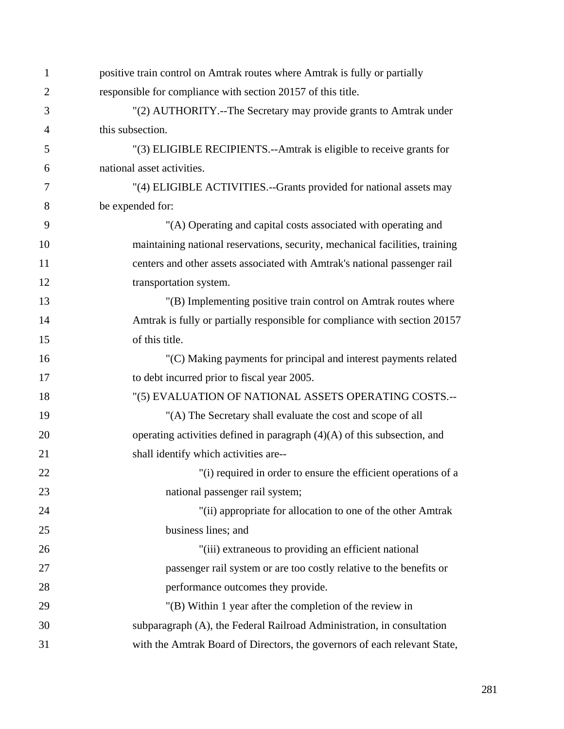| 1              | positive train control on Amtrak routes where Amtrak is fully or partially   |
|----------------|------------------------------------------------------------------------------|
| $\overline{2}$ | responsible for compliance with section 20157 of this title.                 |
| 3              | "(2) AUTHORITY.--The Secretary may provide grants to Amtrak under            |
| $\overline{4}$ | this subsection.                                                             |
| 5              | "(3) ELIGIBLE RECIPIENTS.--Amtrak is eligible to receive grants for          |
| 6              | national asset activities.                                                   |
| 7              | "(4) ELIGIBLE ACTIVITIES.--Grants provided for national assets may           |
| 8              | be expended for:                                                             |
| 9              | "(A) Operating and capital costs associated with operating and               |
| 10             | maintaining national reservations, security, mechanical facilities, training |
| 11             | centers and other assets associated with Amtrak's national passenger rail    |
| 12             | transportation system.                                                       |
| 13             | "(B) Implementing positive train control on Amtrak routes where              |
| 14             | Amtrak is fully or partially responsible for compliance with section 20157   |
| 15             | of this title.                                                               |
| 16             | "(C) Making payments for principal and interest payments related             |
| 17             | to debt incurred prior to fiscal year 2005.                                  |
| 18             | "(5) EVALUATION OF NATIONAL ASSETS OPERATING COSTS.--                        |
| 19             | "(A) The Secretary shall evaluate the cost and scope of all                  |
| 20             | operating activities defined in paragraph $(4)(A)$ of this subsection, and   |
| 21             | shall identify which activities are--                                        |
| 22             | "(i) required in order to ensure the efficient operations of a               |
| 23             | national passenger rail system;                                              |
| 24             | "(ii) appropriate for allocation to one of the other Amtrak                  |
| 25             | business lines; and                                                          |
| 26             | "(iii) extraneous to providing an efficient national                         |
| 27             | passenger rail system or are too costly relative to the benefits or          |
| 28             | performance outcomes they provide.                                           |
| 29             | "(B) Within 1 year after the completion of the review in                     |
| 30             | subparagraph (A), the Federal Railroad Administration, in consultation       |
| 31             | with the Amtrak Board of Directors, the governors of each relevant State,    |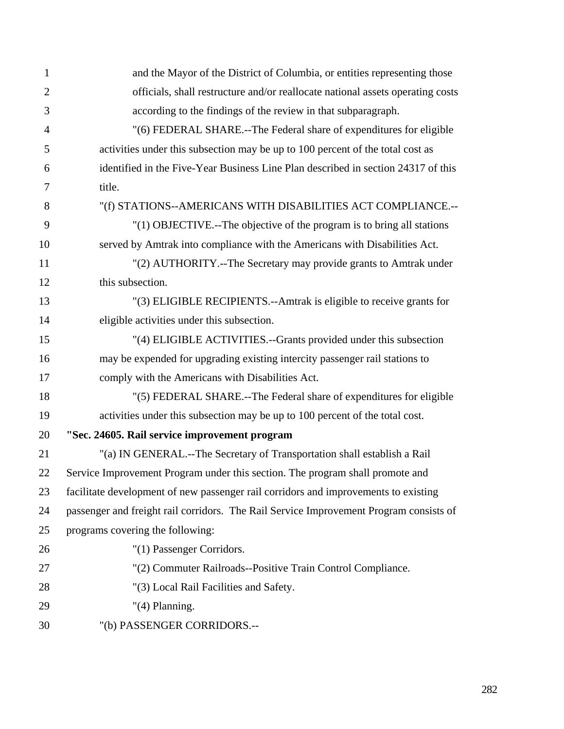| $\mathbf{1}$   | and the Mayor of the District of Columbia, or entities representing those              |
|----------------|----------------------------------------------------------------------------------------|
| $\overline{2}$ | officials, shall restructure and/or reallocate national assets operating costs         |
| 3              | according to the findings of the review in that subparagraph.                          |
| $\overline{4}$ | "(6) FEDERAL SHARE.--The Federal share of expenditures for eligible                    |
| 5              | activities under this subsection may be up to 100 percent of the total cost as         |
| 6              | identified in the Five-Year Business Line Plan described in section 24317 of this      |
| 7              | title.                                                                                 |
| 8              | "(f) STATIONS--AMERICANS WITH DISABILITIES ACT COMPLIANCE.--                           |
| 9              | "(1) OBJECTIVE.--The objective of the program is to bring all stations                 |
| 10             | served by Amtrak into compliance with the Americans with Disabilities Act.             |
| 11             | "(2) AUTHORITY.--The Secretary may provide grants to Amtrak under                      |
| 12             | this subsection.                                                                       |
| 13             | "(3) ELIGIBLE RECIPIENTS.--Amtrak is eligible to receive grants for                    |
| 14             | eligible activities under this subsection.                                             |
| 15             | "(4) ELIGIBLE ACTIVITIES.--Grants provided under this subsection                       |
| 16             | may be expended for upgrading existing intercity passenger rail stations to            |
| 17             | comply with the Americans with Disabilities Act.                                       |
| 18             | "(5) FEDERAL SHARE.--The Federal share of expenditures for eligible                    |
| 19             | activities under this subsection may be up to 100 percent of the total cost.           |
| 20             | "Sec. 24605. Rail service improvement program                                          |
| 21             | "(a) IN GENERAL.--The Secretary of Transportation shall establish a Rail               |
| 22             | Service Improvement Program under this section. The program shall promote and          |
| 23             | facilitate development of new passenger rail corridors and improvements to existing    |
| 24             | passenger and freight rail corridors. The Rail Service Improvement Program consists of |
| 25             | programs covering the following:                                                       |
| 26             | "(1) Passenger Corridors.                                                              |
| 27             | "(2) Commuter Railroads--Positive Train Control Compliance.                            |
| 28             | "(3) Local Rail Facilities and Safety.                                                 |
| 29             | $"(4)$ Planning.                                                                       |
| 30             | "(b) PASSENGER CORRIDORS .--                                                           |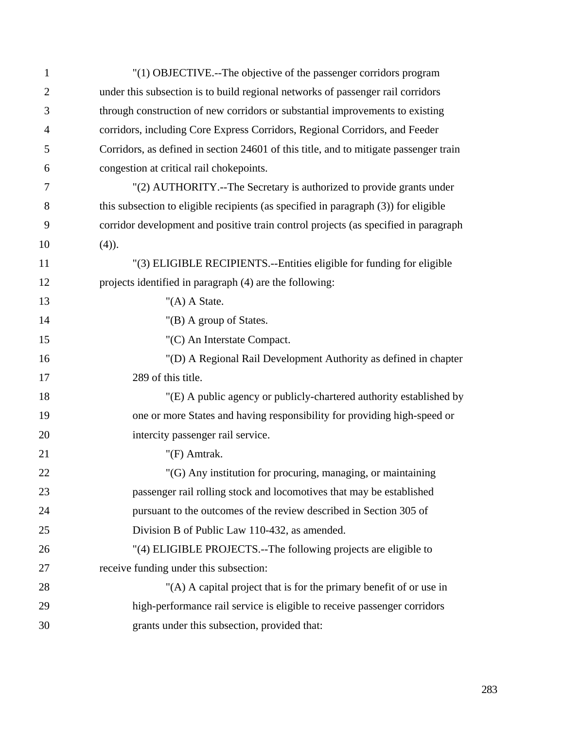| 1              | "(1) OBJECTIVE.--The objective of the passenger corridors program                     |
|----------------|---------------------------------------------------------------------------------------|
| $\overline{2}$ | under this subsection is to build regional networks of passenger rail corridors       |
| 3              | through construction of new corridors or substantial improvements to existing         |
| $\overline{4}$ | corridors, including Core Express Corridors, Regional Corridors, and Feeder           |
| 5              | Corridors, as defined in section 24601 of this title, and to mitigate passenger train |
| 6              | congestion at critical rail chokepoints.                                              |
| 7              | "(2) AUTHORITY.--The Secretary is authorized to provide grants under                  |
| 8              | this subsection to eligible recipients (as specified in paragraph (3)) for eligible   |
| 9              | corridor development and positive train control projects (as specified in paragraph   |
| 10             | $(4)$ ).                                                                              |
| 11             | "(3) ELIGIBLE RECIPIENTS.--Entities eligible for funding for eligible                 |
| 12             | projects identified in paragraph (4) are the following:                               |
| 13             | " $(A)$ A State.                                                                      |
| 14             | "(B) A group of States.                                                               |
| 15             | "(C) An Interstate Compact.                                                           |
| 16             | "(D) A Regional Rail Development Authority as defined in chapter                      |
| 17             | 289 of this title.                                                                    |
| 18             | "(E) A public agency or publicly-chartered authority established by                   |
| 19             | one or more States and having responsibility for providing high-speed or              |
| 20             | intercity passenger rail service.                                                     |
| 21             | "(F) Amtrak.                                                                          |
| 22             | "(G) Any institution for procuring, managing, or maintaining                          |
| 23             | passenger rail rolling stock and locomotives that may be established                  |
| 24             | pursuant to the outcomes of the review described in Section 305 of                    |
| 25             | Division B of Public Law 110-432, as amended.                                         |
| 26             | "(4) ELIGIBLE PROJECTS.--The following projects are eligible to                       |
| 27             | receive funding under this subsection:                                                |
| 28             | "(A) A capital project that is for the primary benefit of or use in                   |
| 29             | high-performance rail service is eligible to receive passenger corridors              |
| 30             | grants under this subsection, provided that:                                          |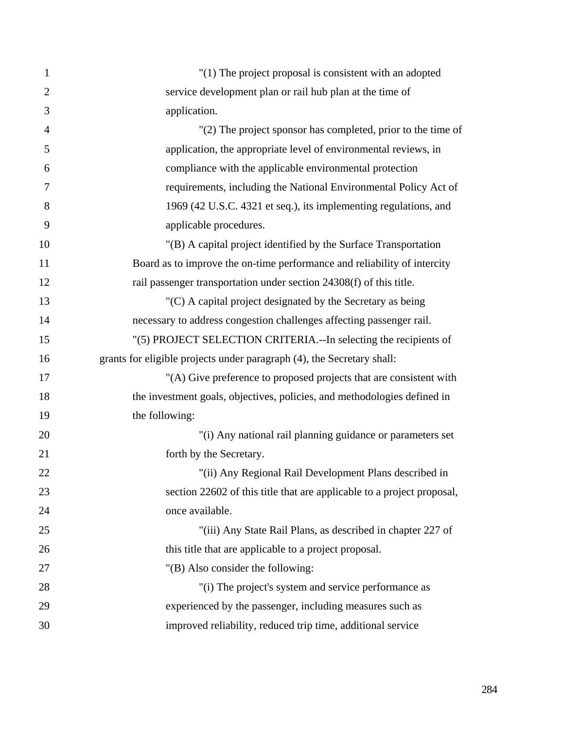| $\mathbf{1}$   | $"(1)$ The project proposal is consistent with an adopted                |
|----------------|--------------------------------------------------------------------------|
| $\overline{2}$ | service development plan or rail hub plan at the time of                 |
| 3              | application.                                                             |
| $\overline{4}$ | $'(2)$ The project sponsor has completed, prior to the time of           |
| 5              | application, the appropriate level of environmental reviews, in          |
| 6              | compliance with the applicable environmental protection                  |
| 7              | requirements, including the National Environmental Policy Act of         |
| 8              | 1969 (42 U.S.C. 4321 et seq.), its implementing regulations, and         |
| 9              | applicable procedures.                                                   |
| 10             | "(B) A capital project identified by the Surface Transportation          |
| 11             | Board as to improve the on-time performance and reliability of intercity |
| 12             | rail passenger transportation under section 24308(f) of this title.      |
| 13             | $(C)$ A capital project designated by the Secretary as being             |
| 14             | necessary to address congestion challenges affecting passenger rail.     |
| 15             | "(5) PROJECT SELECTION CRITERIA.--In selecting the recipients of         |
| 16             | grants for eligible projects under paragraph (4), the Secretary shall:   |
| 17             | "(A) Give preference to proposed projects that are consistent with       |
| 18             | the investment goals, objectives, policies, and methodologies defined in |
| 19             | the following:                                                           |
| 20             | "(i) Any national rail planning guidance or parameters set               |
| 21             | forth by the Secretary.                                                  |
| 22             | "(ii) Any Regional Rail Development Plans described in                   |
| 23             | section 22602 of this title that are applicable to a project proposal,   |
| 24             | once available.                                                          |
| 25             | "(iii) Any State Rail Plans, as described in chapter 227 of              |
| 26             | this title that are applicable to a project proposal.                    |
| 27             | "(B) Also consider the following:                                        |
| 28             | "(i) The project's system and service performance as                     |
| 29             | experienced by the passenger, including measures such as                 |
| 30             | improved reliability, reduced trip time, additional service              |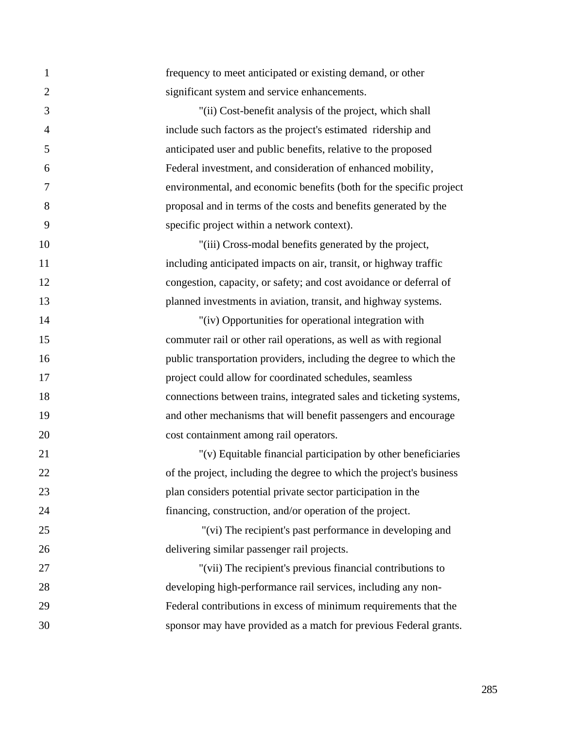| 1              | frequency to meet anticipated or existing demand, or other           |
|----------------|----------------------------------------------------------------------|
| $\overline{2}$ | significant system and service enhancements.                         |
| 3              | "(ii) Cost-benefit analysis of the project, which shall              |
| $\overline{4}$ | include such factors as the project's estimated ridership and        |
| 5              | anticipated user and public benefits, relative to the proposed       |
| 6              | Federal investment, and consideration of enhanced mobility,          |
| 7              | environmental, and economic benefits (both for the specific project  |
| 8              | proposal and in terms of the costs and benefits generated by the     |
| 9              | specific project within a network context).                          |
| 10             | "(iii) Cross-modal benefits generated by the project,                |
| 11             | including anticipated impacts on air, transit, or highway traffic    |
| 12             | congestion, capacity, or safety; and cost avoidance or deferral of   |
| 13             | planned investments in aviation, transit, and highway systems.       |
| 14             | "(iv) Opportunities for operational integration with                 |
| 15             | commuter rail or other rail operations, as well as with regional     |
| 16             | public transportation providers, including the degree to which the   |
| 17             | project could allow for coordinated schedules, seamless              |
| 18             | connections between trains, integrated sales and ticketing systems,  |
| 19             | and other mechanisms that will benefit passengers and encourage      |
| 20             | cost containment among rail operators.                               |
| 21             | "(v) Equitable financial participation by other beneficiaries        |
| 22             | of the project, including the degree to which the project's business |
| 23             | plan considers potential private sector participation in the         |
| 24             | financing, construction, and/or operation of the project.            |
| 25             | "(vi) The recipient's past performance in developing and             |
| 26             | delivering similar passenger rail projects.                          |
| 27             | "(vii) The recipient's previous financial contributions to           |
| 28             | developing high-performance rail services, including any non-        |
| 29             | Federal contributions in excess of minimum requirements that the     |
| 30             | sponsor may have provided as a match for previous Federal grants.    |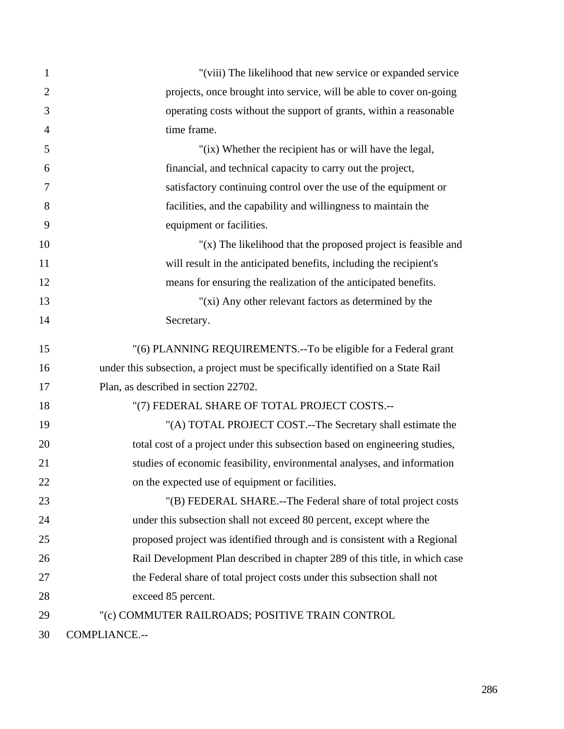| $\mathbf{1}$   | "(viii) The likelihood that new service or expanded service                      |
|----------------|----------------------------------------------------------------------------------|
| $\overline{2}$ | projects, once brought into service, will be able to cover on-going              |
| 3              | operating costs without the support of grants, within a reasonable               |
| $\overline{4}$ | time frame.                                                                      |
| 5              | "(ix) Whether the recipient has or will have the legal,                          |
| 6              | financial, and technical capacity to carry out the project,                      |
| 7              | satisfactory continuing control over the use of the equipment or                 |
| 8              | facilities, and the capability and willingness to maintain the                   |
| 9              | equipment or facilities.                                                         |
| 10             | " $(x)$ The likelihood that the proposed project is feasible and                 |
| 11             | will result in the anticipated benefits, including the recipient's               |
| 12             | means for ensuring the realization of the anticipated benefits.                  |
| 13             | "(xi) Any other relevant factors as determined by the                            |
| 14             | Secretary.                                                                       |
| 15             | "(6) PLANNING REQUIREMENTS.--To be eligible for a Federal grant                  |
| 16             | under this subsection, a project must be specifically identified on a State Rail |
| 17             | Plan, as described in section 22702.                                             |
| 18             | "(7) FEDERAL SHARE OF TOTAL PROJECT COSTS.--                                     |
| 19             | "(A) TOTAL PROJECT COST.--The Secretary shall estimate the                       |
| 20             | total cost of a project under this subsection based on engineering studies,      |
| 21             | studies of economic feasibility, environmental analyses, and information         |
| 22             | on the expected use of equipment or facilities.                                  |
| 23             | "(B) FEDERAL SHARE.--The Federal share of total project costs                    |
| 24             | under this subsection shall not exceed 80 percent, except where the              |
| 25             | proposed project was identified through and is consistent with a Regional        |
| 26             | Rail Development Plan described in chapter 289 of this title, in which case      |
| 27             | the Federal share of total project costs under this subsection shall not         |
| 28             | exceed 85 percent.                                                               |
| 29             | "(c) COMMUTER RAILROADS; POSITIVE TRAIN CONTROL                                  |
| 30             | COMPLIANCE.--                                                                    |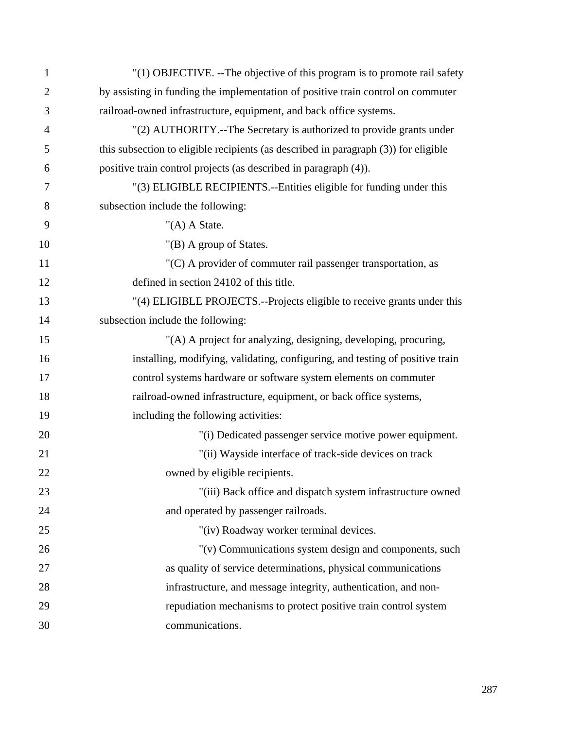| 1              | "(1) OBJECTIVE. -- The objective of this program is to promote rail safety          |
|----------------|-------------------------------------------------------------------------------------|
| $\overline{2}$ | by assisting in funding the implementation of positive train control on commuter    |
| 3              | railroad-owned infrastructure, equipment, and back office systems.                  |
| $\overline{4}$ | "(2) AUTHORITY.--The Secretary is authorized to provide grants under                |
| 5              | this subsection to eligible recipients (as described in paragraph (3)) for eligible |
| 6              | positive train control projects (as described in paragraph (4)).                    |
| 7              | "(3) ELIGIBLE RECIPIENTS.--Entities eligible for funding under this                 |
| 8              | subsection include the following:                                                   |
| 9              | " $(A)$ A State.                                                                    |
| 10             | "(B) A group of States.                                                             |
| 11             | "(C) A provider of commuter rail passenger transportation, as                       |
| 12             | defined in section 24102 of this title.                                             |
| 13             | "(4) ELIGIBLE PROJECTS.--Projects eligible to receive grants under this             |
| 14             | subsection include the following:                                                   |
| 15             | "(A) A project for analyzing, designing, developing, procuring,                     |
| 16             | installing, modifying, validating, configuring, and testing of positive train       |
| 17             | control systems hardware or software system elements on commuter                    |
| 18             | railroad-owned infrastructure, equipment, or back office systems,                   |
| 19             | including the following activities:                                                 |
| 20             | "(i) Dedicated passenger service motive power equipment.                            |
| 21             | "(ii) Wayside interface of track-side devices on track                              |
| 22             | owned by eligible recipients.                                                       |
| 23             | "(iii) Back office and dispatch system infrastructure owned                         |
| 24             | and operated by passenger railroads.                                                |
| 25             | "(iv) Roadway worker terminal devices.                                              |
| 26             | "(v) Communications system design and components, such                              |
| 27             | as quality of service determinations, physical communications                       |
| 28             | infrastructure, and message integrity, authentication, and non-                     |
| 29             | repudiation mechanisms to protect positive train control system                     |
| 30             | communications.                                                                     |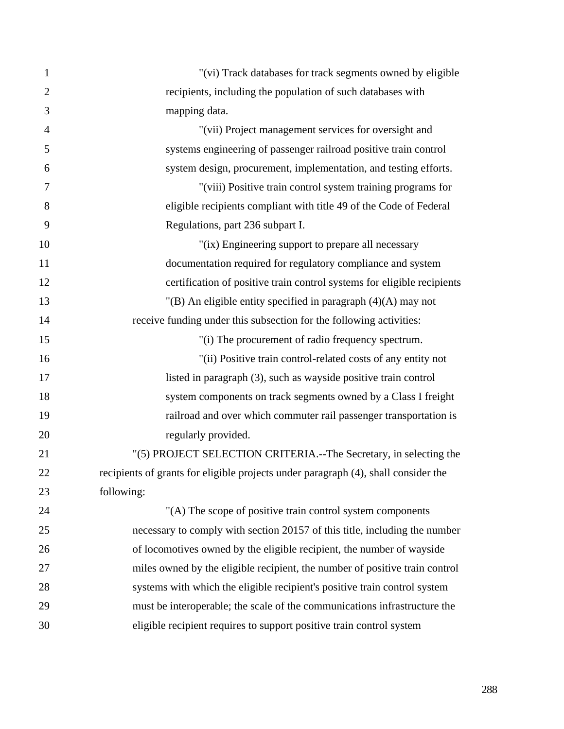| $\mathbf{1}$   | "(vi) Track databases for track segments owned by eligible                         |
|----------------|------------------------------------------------------------------------------------|
| $\overline{2}$ | recipients, including the population of such databases with                        |
| 3              | mapping data.                                                                      |
| $\overline{4}$ | "(vii) Project management services for oversight and                               |
| 5              | systems engineering of passenger railroad positive train control                   |
| 6              | system design, procurement, implementation, and testing efforts.                   |
| 7              | "(viii) Positive train control system training programs for                        |
| 8              | eligible recipients compliant with title 49 of the Code of Federal                 |
| 9              | Regulations, part 236 subpart I.                                                   |
| 10             | "(ix) Engineering support to prepare all necessary                                 |
| 11             | documentation required for regulatory compliance and system                        |
| 12             | certification of positive train control systems for eligible recipients            |
| 13             | "(B) An eligible entity specified in paragraph $(4)(A)$ may not                    |
| 14             | receive funding under this subsection for the following activities:                |
| 15             | "(i) The procurement of radio frequency spectrum.                                  |
| 16             | "(ii) Positive train control-related costs of any entity not                       |
| 17             | listed in paragraph (3), such as wayside positive train control                    |
| 18             | system components on track segments owned by a Class I freight                     |
| 19             | railroad and over which commuter rail passenger transportation is                  |
| 20             | regularly provided.                                                                |
| 21             | "(5) PROJECT SELECTION CRITERIA.--The Secretary, in selecting the                  |
| 22             | recipients of grants for eligible projects under paragraph (4), shall consider the |
| 23             | following:                                                                         |
| 24             | "(A) The scope of positive train control system components                         |
| 25             | necessary to comply with section 20157 of this title, including the number         |
| 26             | of locomotives owned by the eligible recipient, the number of wayside              |
| 27             | miles owned by the eligible recipient, the number of positive train control        |
| 28             | systems with which the eligible recipient's positive train control system          |
| 29             | must be interoperable; the scale of the communications infrastructure the          |
| 30             | eligible recipient requires to support positive train control system               |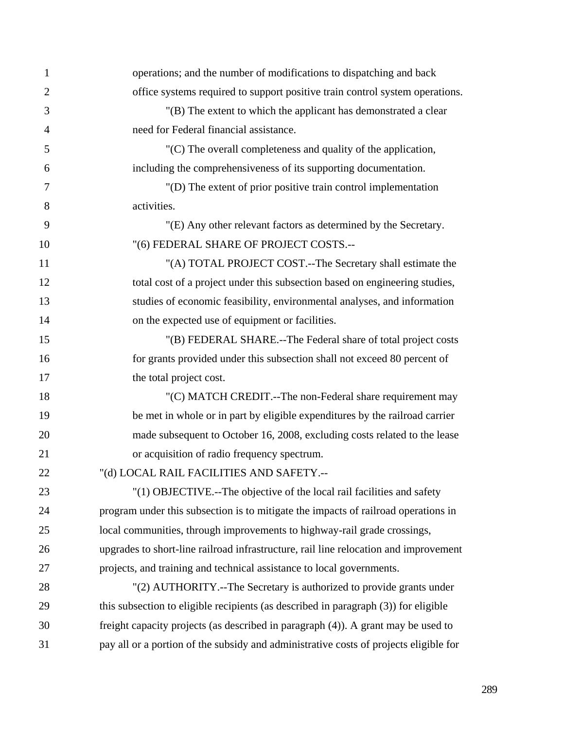| 1              | operations; and the number of modifications to dispatching and back                   |
|----------------|---------------------------------------------------------------------------------------|
| $\overline{2}$ | office systems required to support positive train control system operations.          |
| 3              | "(B) The extent to which the applicant has demonstrated a clear                       |
| $\overline{4}$ | need for Federal financial assistance.                                                |
| 5              | $C$ ) The overall completeness and quality of the application,                        |
| 6              | including the comprehensiveness of its supporting documentation.                      |
| 7              | "(D) The extent of prior positive train control implementation                        |
| 8              | activities.                                                                           |
| 9              | "(E) Any other relevant factors as determined by the Secretary.                       |
| 10             | "(6) FEDERAL SHARE OF PROJECT COSTS.--                                                |
| 11             | "(A) TOTAL PROJECT COST.--The Secretary shall estimate the                            |
| 12             | total cost of a project under this subsection based on engineering studies,           |
| 13             | studies of economic feasibility, environmental analyses, and information              |
| 14             | on the expected use of equipment or facilities.                                       |
| 15             | "(B) FEDERAL SHARE.--The Federal share of total project costs                         |
| 16             | for grants provided under this subsection shall not exceed 80 percent of              |
| 17             | the total project cost.                                                               |
| 18             | "(C) MATCH CREDIT.--The non-Federal share requirement may                             |
| 19             | be met in whole or in part by eligible expenditures by the railroad carrier           |
| 20             | made subsequent to October 16, 2008, excluding costs related to the lease             |
| 21             | or acquisition of radio frequency spectrum.                                           |
| 22             | "(d) LOCAL RAIL FACILITIES AND SAFETY .--                                             |
| 23             | "(1) OBJECTIVE.--The objective of the local rail facilities and safety                |
| 24             | program under this subsection is to mitigate the impacts of railroad operations in    |
| 25             | local communities, through improvements to highway-rail grade crossings,              |
| 26             | upgrades to short-line railroad infrastructure, rail line relocation and improvement  |
| 27             | projects, and training and technical assistance to local governments.                 |
| 28             | "(2) AUTHORITY.--The Secretary is authorized to provide grants under                  |
| 29             | this subsection to eligible recipients (as described in paragraph (3)) for eligible   |
| 30             | freight capacity projects (as described in paragraph (4)). A grant may be used to     |
| 31             | pay all or a portion of the subsidy and administrative costs of projects eligible for |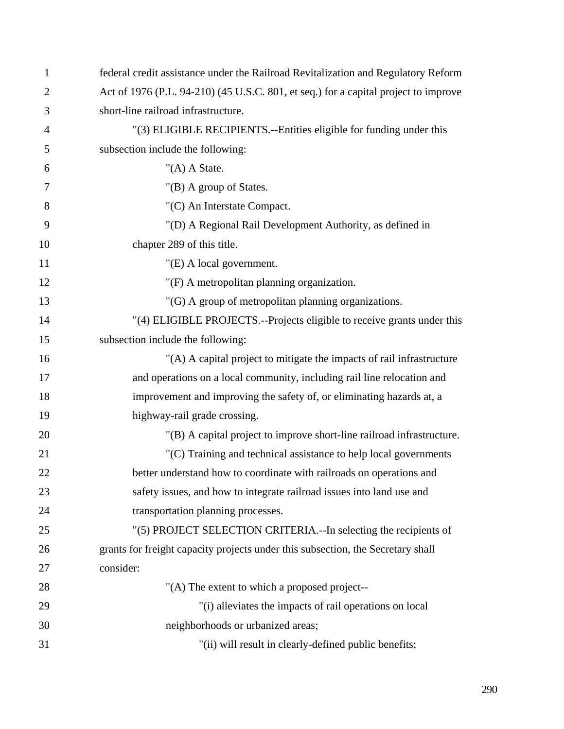| 1              | federal credit assistance under the Railroad Revitalization and Regulatory Reform   |
|----------------|-------------------------------------------------------------------------------------|
| $\overline{2}$ | Act of 1976 (P.L. 94-210) (45 U.S.C. 801, et seq.) for a capital project to improve |
| 3              | short-line railroad infrastructure.                                                 |
| $\overline{4}$ | "(3) ELIGIBLE RECIPIENTS.--Entities eligible for funding under this                 |
| 5              | subsection include the following:                                                   |
| 6              | " $(A)$ A State.                                                                    |
| 7              | "(B) A group of States.                                                             |
| 8              | "(C) An Interstate Compact.                                                         |
| 9              | "(D) A Regional Rail Development Authority, as defined in                           |
| 10             | chapter 289 of this title.                                                          |
| 11             | "(E) A local government.                                                            |
| 12             | "(F) A metropolitan planning organization.                                          |
| 13             | "(G) A group of metropolitan planning organizations.                                |
| 14             | "(4) ELIGIBLE PROJECTS.--Projects eligible to receive grants under this             |
| 15             | subsection include the following:                                                   |
| 16             | "(A) A capital project to mitigate the impacts of rail infrastructure               |
| 17             | and operations on a local community, including rail line relocation and             |
| 18             | improvement and improving the safety of, or eliminating hazards at, a               |
| 19             | highway-rail grade crossing.                                                        |
| 20             | "(B) A capital project to improve short-line railroad infrastructure.               |
| 21             | "(C) Training and technical assistance to help local governments                    |
| 22             | better understand how to coordinate with railroads on operations and                |
| 23             | safety issues, and how to integrate railroad issues into land use and               |
| 24             | transportation planning processes.                                                  |
| 25             | "(5) PROJECT SELECTION CRITERIA.--In selecting the recipients of                    |
| 26             | grants for freight capacity projects under this subsection, the Secretary shall     |
| 27             | consider:                                                                           |
| 28             | "(A) The extent to which a proposed project--                                       |
| 29             | "(i) alleviates the impacts of rail operations on local                             |
| 30             | neighborhoods or urbanized areas;                                                   |
| 31             | "(ii) will result in clearly-defined public benefits;                               |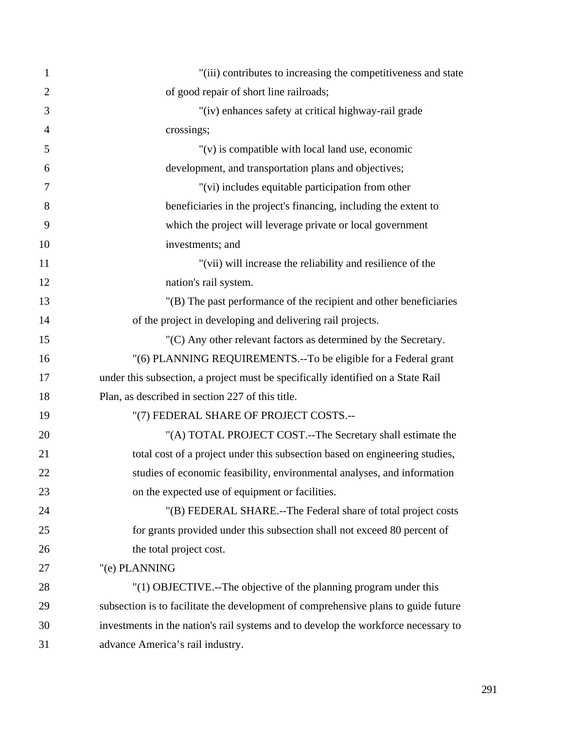| $\mathbf{1}$   | "(iii) contributes to increasing the competitiveness and state                     |
|----------------|------------------------------------------------------------------------------------|
| $\overline{2}$ | of good repair of short line railroads;                                            |
| 3              | "(iv) enhances safety at critical highway-rail grade                               |
| $\overline{4}$ | crossings;                                                                         |
| 5              | $"$ (v) is compatible with local land use, economic                                |
| 6              | development, and transportation plans and objectives;                              |
| 7              | "(vi) includes equitable participation from other                                  |
| 8              | beneficiaries in the project's financing, including the extent to                  |
| 9              | which the project will leverage private or local government                        |
| 10             | investments; and                                                                   |
| 11             | "(vii) will increase the reliability and resilience of the                         |
| 12             | nation's rail system.                                                              |
| 13             | "(B) The past performance of the recipient and other beneficiaries                 |
| 14             | of the project in developing and delivering rail projects.                         |
| 15             | $(C)$ Any other relevant factors as determined by the Secretary.                   |
| 16             | "(6) PLANNING REQUIREMENTS.--To be eligible for a Federal grant                    |
| 17             | under this subsection, a project must be specifically identified on a State Rail   |
| 18             | Plan, as described in section 227 of this title.                                   |
| 19             | "(7) FEDERAL SHARE OF PROJECT COSTS.--                                             |
| 20             | "(A) TOTAL PROJECT COST.--The Secretary shall estimate the                         |
| 21             | total cost of a project under this subsection based on engineering studies,        |
| 22             | studies of economic feasibility, environmental analyses, and information           |
| 23             | on the expected use of equipment or facilities.                                    |
| 24             | "(B) FEDERAL SHARE.--The Federal share of total project costs                      |
| 25             | for grants provided under this subsection shall not exceed 80 percent of           |
| 26             | the total project cost.                                                            |
| 27             | "(e) PLANNING                                                                      |
| 28             | "(1) OBJECTIVE.--The objective of the planning program under this                  |
| 29             | subsection is to facilitate the development of comprehensive plans to guide future |
| 30             | investments in the nation's rail systems and to develop the workforce necessary to |
| 31             | advance America's rail industry.                                                   |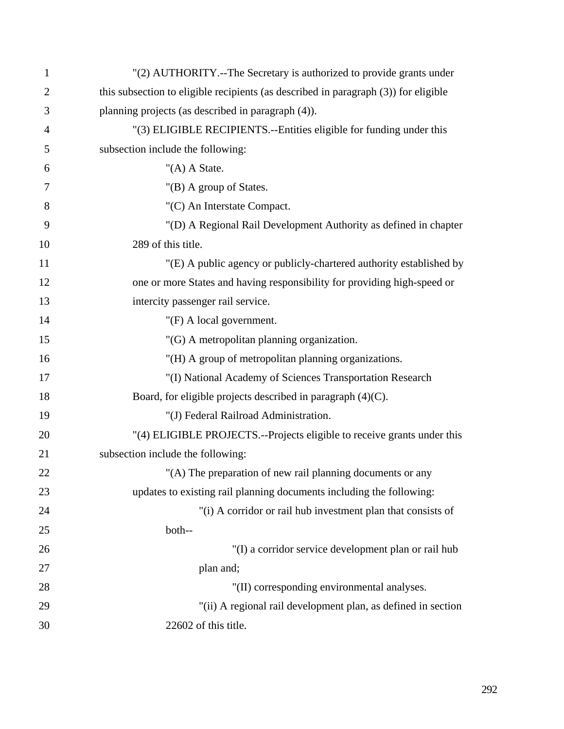| 1              | "(2) AUTHORITY.--The Secretary is authorized to provide grants under                |
|----------------|-------------------------------------------------------------------------------------|
| $\overline{2}$ | this subsection to eligible recipients (as described in paragraph (3)) for eligible |
| 3              | planning projects (as described in paragraph (4)).                                  |
| 4              | "(3) ELIGIBLE RECIPIENTS.--Entities eligible for funding under this                 |
| 5              | subsection include the following:                                                   |
| 6              | " $(A)$ A State.                                                                    |
| 7              | "(B) A group of States.                                                             |
| 8              | "(C) An Interstate Compact.                                                         |
| 9              | "(D) A Regional Rail Development Authority as defined in chapter                    |
| 10             | 289 of this title.                                                                  |
| 11             | "(E) A public agency or publicly-chartered authority established by                 |
| 12             | one or more States and having responsibility for providing high-speed or            |
| 13             | intercity passenger rail service.                                                   |
| 14             | " $(F)$ A local government.                                                         |
| 15             | "(G) A metropolitan planning organization.                                          |
| 16             | "(H) A group of metropolitan planning organizations.                                |
| 17             | "(I) National Academy of Sciences Transportation Research                           |
| 18             | Board, for eligible projects described in paragraph $(4)(C)$ .                      |
| 19             | "(J) Federal Railroad Administration.                                               |
| 20             | "(4) ELIGIBLE PROJECTS.--Projects eligible to receive grants under this             |
| 21             | subsection include the following:                                                   |
| 22             | "(A) The preparation of new rail planning documents or any                          |
| 23             | updates to existing rail planning documents including the following:                |
| 24             | "(i) A corridor or rail hub investment plan that consists of                        |
| 25             | both--                                                                              |
| 26             | "(I) a corridor service development plan or rail hub                                |
| 27             | plan and;                                                                           |
| 28             | "(II) corresponding environmental analyses.                                         |
| 29             | "(ii) A regional rail development plan, as defined in section                       |
| 30             | 22602 of this title.                                                                |
|                |                                                                                     |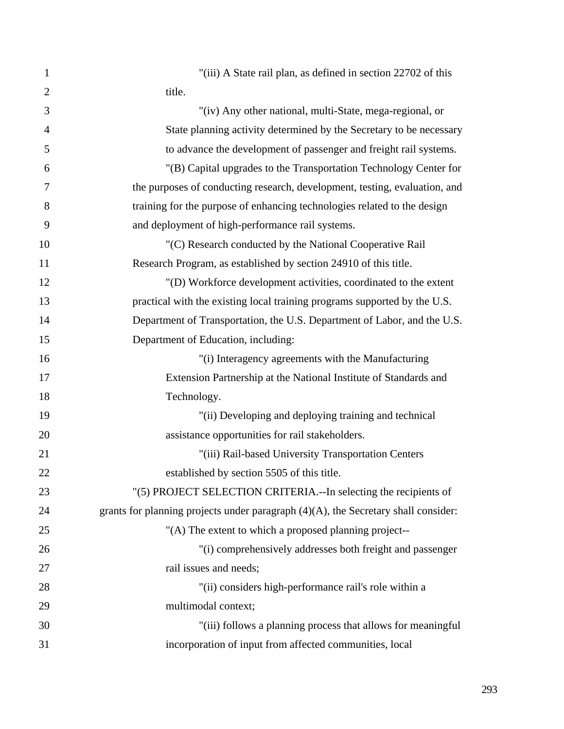| 1              | "(iii) A State rail plan, as defined in section 22702 of this                         |
|----------------|---------------------------------------------------------------------------------------|
| $\overline{2}$ | title.                                                                                |
| 3              | "(iv) Any other national, multi-State, mega-regional, or                              |
| $\overline{4}$ | State planning activity determined by the Secretary to be necessary                   |
| 5              | to advance the development of passenger and freight rail systems.                     |
| 6              | "(B) Capital upgrades to the Transportation Technology Center for                     |
| 7              | the purposes of conducting research, development, testing, evaluation, and            |
| 8              | training for the purpose of enhancing technologies related to the design              |
| 9              | and deployment of high-performance rail systems.                                      |
| 10             | "(C) Research conducted by the National Cooperative Rail                              |
| 11             | Research Program, as established by section 24910 of this title.                      |
| 12             | "(D) Workforce development activities, coordinated to the extent                      |
| 13             | practical with the existing local training programs supported by the U.S.             |
| 14             | Department of Transportation, the U.S. Department of Labor, and the U.S.              |
| 15             | Department of Education, including:                                                   |
| 16             | "(i) Interagency agreements with the Manufacturing                                    |
| 17             | Extension Partnership at the National Institute of Standards and                      |
| 18             | Technology.                                                                           |
| 19             | "(ii) Developing and deploying training and technical                                 |
| 20             | assistance opportunities for rail stakeholders.                                       |
| 21             | "(iii) Rail-based University Transportation Centers                                   |
| 22             | established by section 5505 of this title.                                            |
| 23             | "(5) PROJECT SELECTION CRITERIA.--In selecting the recipients of                      |
| 24             | grants for planning projects under paragraph $(4)(A)$ , the Secretary shall consider: |
| 25             | "(A) The extent to which a proposed planning project--                                |
| 26             | "(i) comprehensively addresses both freight and passenger                             |
| 27             | rail issues and needs;                                                                |
| 28             | "(ii) considers high-performance rail's role within a                                 |
| 29             | multimodal context;                                                                   |
| 30             | "(iii) follows a planning process that allows for meaningful                          |
| 31             | incorporation of input from affected communities, local                               |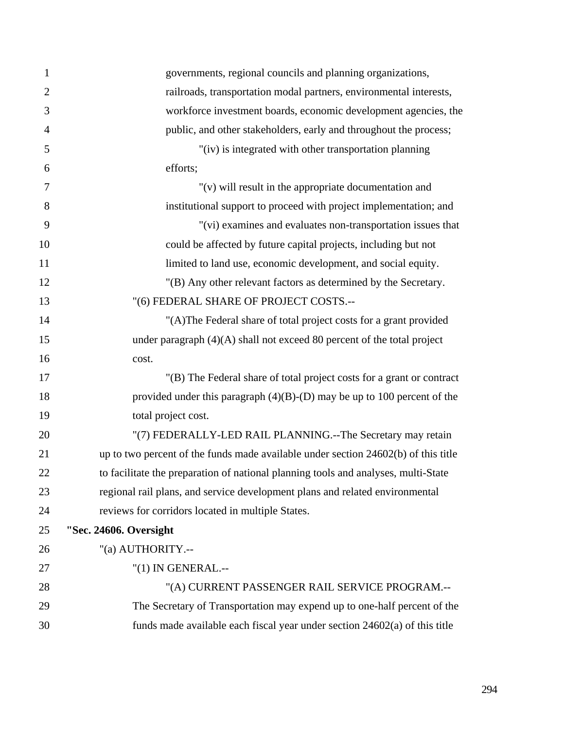| $\mathbf{1}$   | governments, regional councils and planning organizations,                         |
|----------------|------------------------------------------------------------------------------------|
| $\overline{2}$ | railroads, transportation modal partners, environmental interests,                 |
| 3              | workforce investment boards, economic development agencies, the                    |
| $\overline{4}$ | public, and other stakeholders, early and throughout the process;                  |
| 5              | "(iv) is integrated with other transportation planning                             |
| 6              | efforts;                                                                           |
| 7              | " $(v)$ will result in the appropriate documentation and                           |
| 8              | institutional support to proceed with project implementation; and                  |
| 9              | "(vi) examines and evaluates non-transportation issues that                        |
| 10             | could be affected by future capital projects, including but not                    |
| 11             | limited to land use, economic development, and social equity.                      |
| 12             | "(B) Any other relevant factors as determined by the Secretary.                    |
| 13             | "(6) FEDERAL SHARE OF PROJECT COSTS.--                                             |
| 14             | "(A)The Federal share of total project costs for a grant provided                  |
| 15             | under paragraph $(4)(A)$ shall not exceed 80 percent of the total project          |
| 16             | cost.                                                                              |
| 17             | "(B) The Federal share of total project costs for a grant or contract              |
| 18             | provided under this paragraph $(4)(B)-(D)$ may be up to 100 percent of the         |
| 19             | total project cost.                                                                |
| 20             | "(7) FEDERALLY-LED RAIL PLANNING.--The Secretary may retain                        |
| 21             | up to two percent of the funds made available under section 24602(b) of this title |
| 22             | to facilitate the preparation of national planning tools and analyses, multi-State |
| 23             | regional rail plans, and service development plans and related environmental       |
| 24             | reviews for corridors located in multiple States.                                  |
| 25             | "Sec. 24606. Oversight                                                             |
| 26             | "(a) AUTHORITY.--                                                                  |
| 27             | "(1) IN GENERAL .--                                                                |
| 28             | "(A) CURRENT PASSENGER RAIL SERVICE PROGRAM.--                                     |
| 29             | The Secretary of Transportation may expend up to one-half percent of the           |
| 30             | funds made available each fiscal year under section 24602(a) of this title         |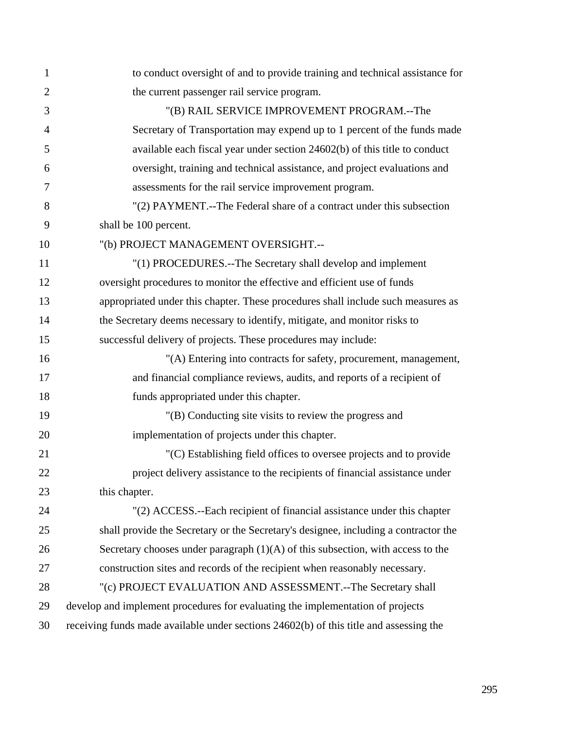| $\mathbf{1}$   | to conduct oversight of and to provide training and technical assistance for           |
|----------------|----------------------------------------------------------------------------------------|
| $\overline{2}$ | the current passenger rail service program.                                            |
| 3              | "(B) RAIL SERVICE IMPROVEMENT PROGRAM.--The                                            |
| $\overline{4}$ | Secretary of Transportation may expend up to 1 percent of the funds made               |
| 5              | available each fiscal year under section 24602(b) of this title to conduct             |
| 6              | oversight, training and technical assistance, and project evaluations and              |
| 7              | assessments for the rail service improvement program.                                  |
| 8              | "(2) PAYMENT.--The Federal share of a contract under this subsection                   |
| 9              | shall be 100 percent.                                                                  |
| 10             | "(b) PROJECT MANAGEMENT OVERSIGHT .--                                                  |
| 11             | "(1) PROCEDURES.--The Secretary shall develop and implement                            |
| 12             | oversight procedures to monitor the effective and efficient use of funds               |
| 13             | appropriated under this chapter. These procedures shall include such measures as       |
| 14             | the Secretary deems necessary to identify, mitigate, and monitor risks to              |
| 15             | successful delivery of projects. These procedures may include:                         |
| 16             | "(A) Entering into contracts for safety, procurement, management,                      |
| 17             | and financial compliance reviews, audits, and reports of a recipient of                |
| 18             | funds appropriated under this chapter.                                                 |
| 19             | "(B) Conducting site visits to review the progress and                                 |
| 20             | implementation of projects under this chapter.                                         |
| 21             | "(C) Establishing field offices to oversee projects and to provide                     |
| 22             | project delivery assistance to the recipients of financial assistance under            |
| 23             | this chapter.                                                                          |
| 24             | "(2) ACCESS.--Each recipient of financial assistance under this chapter                |
| 25             | shall provide the Secretary or the Secretary's designee, including a contractor the    |
| 26             | Secretary chooses under paragraph $(1)(A)$ of this subsection, with access to the      |
| 27             | construction sites and records of the recipient when reasonably necessary.             |
| 28             | "(c) PROJECT EVALUATION AND ASSESSMENT.--The Secretary shall                           |
| 29             | develop and implement procedures for evaluating the implementation of projects         |
| 30             | receiving funds made available under sections 24602(b) of this title and assessing the |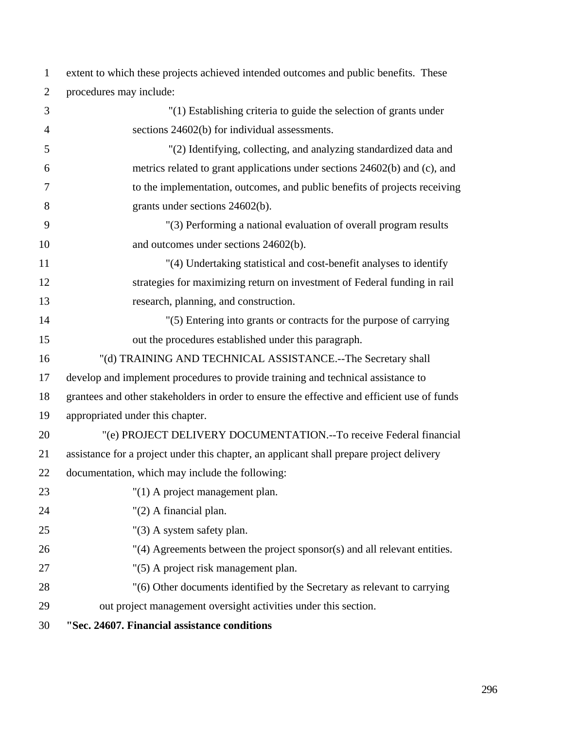2 procedures may include: 3 "(1) Establishing criteria to guide the selection of grants under 4 sections 24602(b) for individual assessments. 5 "(2) Identifying, collecting, and analyzing standardized data and 6 metrics related to grant applications under sections 24602(b) and (c), and 7 to the implementation, outcomes, and public benefits of projects receiving 8 grants under sections 24602(b). 9 "(3) Performing a national evaluation of overall program results 10 and outcomes under sections 24602(b). 11 "(4) Undertaking statistical and cost-benefit analyses to identify 12 strategies for maximizing return on investment of Federal funding in rail 13 research, planning, and construction. 14 "(5) Entering into grants or contracts for the purpose of carrying 15 out the procedures established under this paragraph. 16 "(d) TRAINING AND TECHNICAL ASSISTANCE.--The Secretary shall 17 develop and implement procedures to provide training and technical assistance to 18 grantees and other stakeholders in order to ensure the effective and efficient use of funds 19 appropriated under this chapter. 20 "(e) PROJECT DELIVERY DOCUMENTATION.--To receive Federal financial 21 assistance for a project under this chapter, an applicant shall prepare project delivery 22 documentation, which may include the following: 23 "(1) A project management plan. 24 "(2) A financial plan. 25 "(3) A system safety plan. 26 "(4) Agreements between the project sponsor(s) and all relevant entities. 27 "(5) A project risk management plan. 28 "(6) Other documents identified by the Secretary as relevant to carrying

1 extent to which these projects achieved intended outcomes and public benefits. These

29 out project management oversight activities under this section.

30 **"Sec. 24607. Financial assistance conditions**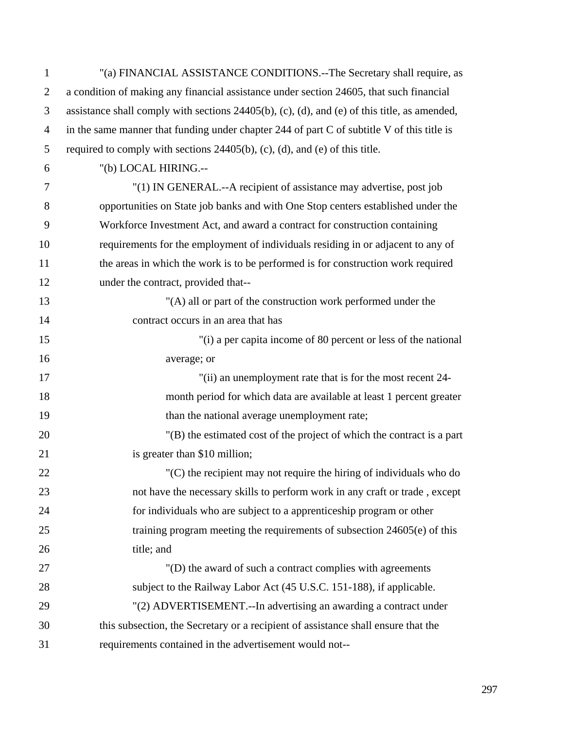| $\mathbf{1}$   | "(a) FINANCIAL ASSISTANCE CONDITIONS.--The Secretary shall require, as                          |
|----------------|-------------------------------------------------------------------------------------------------|
| $\overline{2}$ | a condition of making any financial assistance under section 24605, that such financial         |
| 3              | assistance shall comply with sections $24405(b)$ , (c), (d), and (e) of this title, as amended, |
| $\overline{4}$ | in the same manner that funding under chapter 244 of part C of subtitle V of this title is      |
| 5              | required to comply with sections $24405(b)$ , (c), (d), and (e) of this title.                  |
| 6              | "(b) LOCAL HIRING.--                                                                            |
| $\overline{7}$ | "(1) IN GENERAL .-- A recipient of assistance may advertise, post job                           |
| 8              | opportunities on State job banks and with One Stop centers established under the                |
| 9              | Workforce Investment Act, and award a contract for construction containing                      |
| 10             | requirements for the employment of individuals residing in or adjacent to any of                |
| 11             | the areas in which the work is to be performed is for construction work required                |
| 12             | under the contract, provided that--                                                             |
| 13             | "(A) all or part of the construction work performed under the                                   |
| 14             | contract occurs in an area that has                                                             |
| 15             | "(i) a per capita income of 80 percent or less of the national                                  |
| 16             | average; or                                                                                     |
| 17             | "(ii) an unemployment rate that is for the most recent 24-                                      |
| 18             | month period for which data are available at least 1 percent greater                            |
| 19             | than the national average unemployment rate;                                                    |
| 20             | $'(B)$ the estimated cost of the project of which the contract is a part                        |
| 21             | is greater than \$10 million;                                                                   |
| 22             | "(C) the recipient may not require the hiring of individuals who do                             |
| 23             | not have the necessary skills to perform work in any craft or trade, except                     |
| 24             | for individuals who are subject to a apprenticeship program or other                            |
| 25             | training program meeting the requirements of subsection $24605(e)$ of this                      |
| 26             | title; and                                                                                      |
| 27             | "(D) the award of such a contract complies with agreements                                      |
| 28             | subject to the Railway Labor Act (45 U.S.C. 151-188), if applicable.                            |
| 29             | "(2) ADVERTISEMENT.--In advertising an awarding a contract under                                |
| 30             | this subsection, the Secretary or a recipient of assistance shall ensure that the               |
| 31             | requirements contained in the advertisement would not--                                         |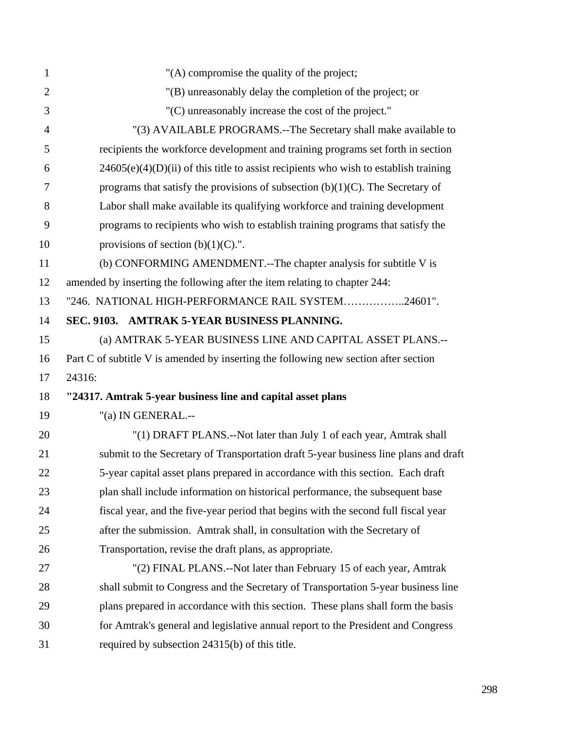| $\mathbf{1}$   | "(A) compromise the quality of the project;                                            |
|----------------|----------------------------------------------------------------------------------------|
| $\overline{2}$ | "(B) unreasonably delay the completion of the project; or                              |
| 3              | "(C) unreasonably increase the cost of the project."                                   |
| $\overline{4}$ | "(3) AVAILABLE PROGRAMS.--The Secretary shall make available to                        |
| 5              | recipients the workforce development and training programs set forth in section        |
| 6              | $24605(e)(4)(D)(ii)$ of this title to assist recipients who wish to establish training |
| 7              | programs that satisfy the provisions of subsection $(b)(1)(C)$ . The Secretary of      |
| 8              | Labor shall make available its qualifying workforce and training development           |
| 9              | programs to recipients who wish to establish training programs that satisfy the        |
| 10             | provisions of section $(b)(1)(C)$ .".                                                  |
| 11             | (b) CONFORMING AMENDMENT.--The chapter analysis for subtitle V is                      |
| 12             | amended by inserting the following after the item relating to chapter 244:             |
| 13             | "246. NATIONAL HIGH-PERFORMANCE RAIL SYSTEM24601".                                     |
| 14             | SEC. 9103. AMTRAK 5-YEAR BUSINESS PLANNING.                                            |
| 15             | (a) AMTRAK 5-YEAR BUSINESS LINE AND CAPITAL ASSET PLANS.--                             |
| 16             | Part C of subtitle V is amended by inserting the following new section after section   |
| 17             | 24316:                                                                                 |
| 18             | "24317. Amtrak 5-year business line and capital asset plans                            |
| 19             | "(a) IN GENERAL.--                                                                     |
| 20             | "(1) DRAFT PLANS.--Not later than July 1 of each year, Amtrak shall                    |
| 21             | submit to the Secretary of Transportation draft 5-year business line plans and draft   |
| 22             | 5-year capital asset plans prepared in accordance with this section. Each draft        |
| 23             | plan shall include information on historical performance, the subsequent base          |
| 24             | fiscal year, and the five-year period that begins with the second full fiscal year     |
| 25             | after the submission. Amtrak shall, in consultation with the Secretary of              |
| 26             | Transportation, revise the draft plans, as appropriate.                                |
| 27             | "(2) FINAL PLANS.--Not later than February 15 of each year, Amtrak                     |
| 28             | shall submit to Congress and the Secretary of Transportation 5-year business line      |
| 29             | plans prepared in accordance with this section. These plans shall form the basis       |
| 30             | for Amtrak's general and legislative annual report to the President and Congress       |
| 31             | required by subsection 24315(b) of this title.                                         |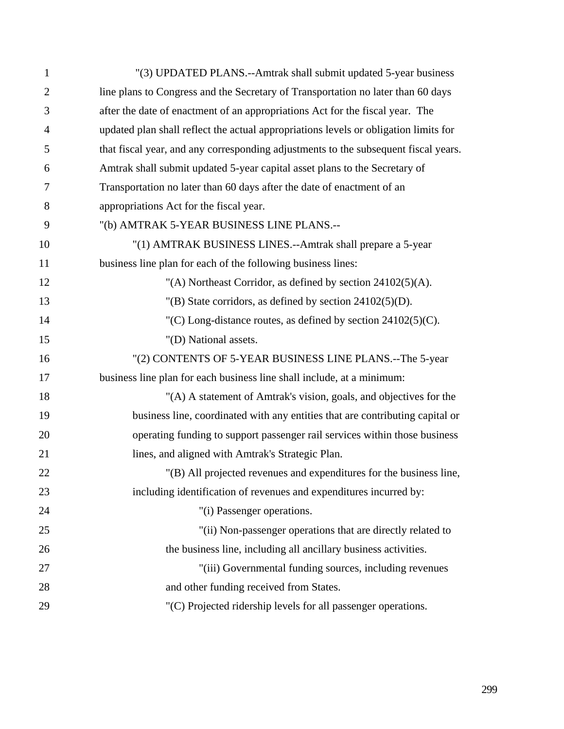| 1              | "(3) UPDATED PLANS.--Amtrak shall submit updated 5-year business                     |
|----------------|--------------------------------------------------------------------------------------|
| $\overline{2}$ | line plans to Congress and the Secretary of Transportation no later than 60 days     |
| 3              | after the date of enactment of an appropriations Act for the fiscal year. The        |
| 4              | updated plan shall reflect the actual appropriations levels or obligation limits for |
| 5              | that fiscal year, and any corresponding adjustments to the subsequent fiscal years.  |
| 6              | Amtrak shall submit updated 5-year capital asset plans to the Secretary of           |
| 7              | Transportation no later than 60 days after the date of enactment of an               |
| 8              | appropriations Act for the fiscal year.                                              |
| 9              | "(b) AMTRAK 5-YEAR BUSINESS LINE PLANS.--                                            |
| 10             | "(1) AMTRAK BUSINESS LINES.--Amtrak shall prepare a 5-year                           |
| 11             | business line plan for each of the following business lines:                         |
| 12             | "(A) Northeast Corridor, as defined by section $24102(5)(A)$ .                       |
| 13             | "(B) State corridors, as defined by section $24102(5)(D)$ .                          |
| 14             | $C(C)$ Long-distance routes, as defined by section 24102(5)(C).                      |
| 15             | "(D) National assets.                                                                |
| 16             | "(2) CONTENTS OF 5-YEAR BUSINESS LINE PLANS.--The 5-year                             |
| 17             | business line plan for each business line shall include, at a minimum:               |
| 18             | "(A) A statement of Amtrak's vision, goals, and objectives for the                   |
| 19             | business line, coordinated with any entities that are contributing capital or        |
| 20             | operating funding to support passenger rail services within those business           |
| 21             | lines, and aligned with Amtrak's Strategic Plan.                                     |
| 22             | "(B) All projected revenues and expenditures for the business line,                  |
| 23             | including identification of revenues and expenditures incurred by:                   |
| 24             | "(i) Passenger operations.                                                           |
| 25             | "(ii) Non-passenger operations that are directly related to                          |
| 26             | the business line, including all ancillary business activities.                      |
| 27             | "(iii) Governmental funding sources, including revenues                              |
| 28             | and other funding received from States.                                              |
| 29             | "(C) Projected ridership levels for all passenger operations.                        |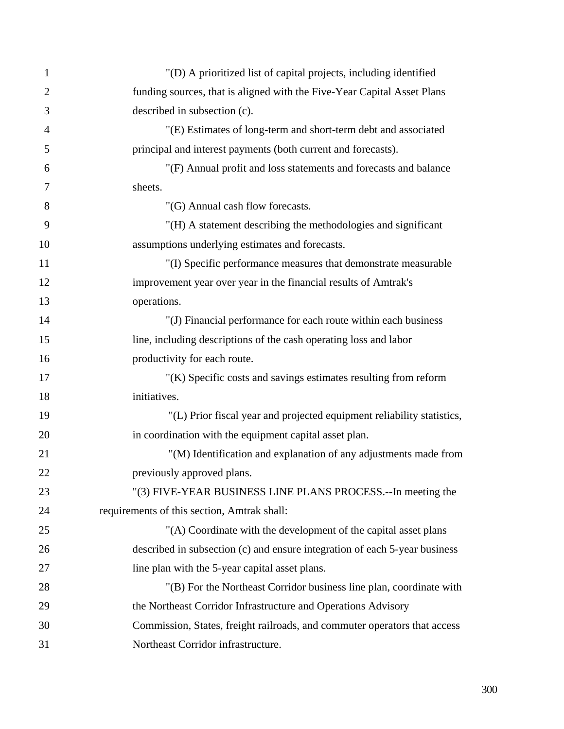| $\mathbf{1}$   | "(D) A prioritized list of capital projects, including identified          |
|----------------|----------------------------------------------------------------------------|
| $\overline{2}$ | funding sources, that is aligned with the Five-Year Capital Asset Plans    |
| 3              | described in subsection (c).                                               |
| $\overline{4}$ | "(E) Estimates of long-term and short-term debt and associated             |
| 5              | principal and interest payments (both current and forecasts).              |
| 6              | "(F) Annual profit and loss statements and forecasts and balance           |
| 7              | sheets.                                                                    |
| 8              | "(G) Annual cash flow forecasts.                                           |
| 9              | "(H) A statement describing the methodologies and significant              |
| 10             | assumptions underlying estimates and forecasts.                            |
| 11             | "(I) Specific performance measures that demonstrate measurable             |
| 12             | improvement year over year in the financial results of Amtrak's            |
| 13             | operations.                                                                |
| 14             | "(J) Financial performance for each route within each business             |
| 15             | line, including descriptions of the cash operating loss and labor          |
| 16             | productivity for each route.                                               |
| 17             | "(K) Specific costs and savings estimates resulting from reform            |
| 18             | initiatives.                                                               |
| 19             | "(L) Prior fiscal year and projected equipment reliability statistics,     |
| 20             | in coordination with the equipment capital asset plan.                     |
| 21             | "(M) Identification and explanation of any adjustments made from           |
| 22             | previously approved plans.                                                 |
| 23             | "(3) FIVE-YEAR BUSINESS LINE PLANS PROCESS.-- In meeting the               |
| 24             | requirements of this section, Amtrak shall:                                |
| 25             | "(A) Coordinate with the development of the capital asset plans            |
| 26             | described in subsection (c) and ensure integration of each 5-year business |
| 27             | line plan with the 5-year capital asset plans.                             |
| 28             | "(B) For the Northeast Corridor business line plan, coordinate with        |
| 29             | the Northeast Corridor Infrastructure and Operations Advisory              |
| 30             | Commission, States, freight railroads, and commuter operators that access  |
| 31             | Northeast Corridor infrastructure.                                         |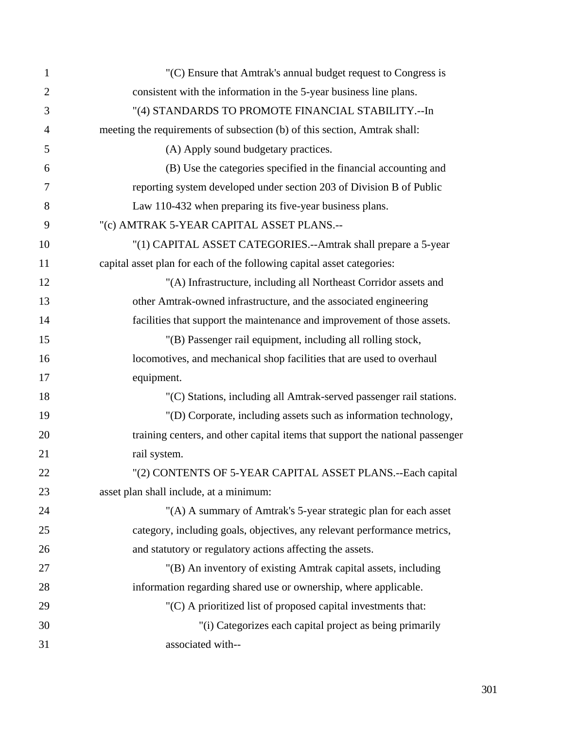| $\mathbf{1}$   | "(C) Ensure that Amtrak's annual budget request to Congress is                |
|----------------|-------------------------------------------------------------------------------|
| $\overline{2}$ | consistent with the information in the 5-year business line plans.            |
| 3              | "(4) STANDARDS TO PROMOTE FINANCIAL STABILITY .-- In                          |
| $\overline{4}$ | meeting the requirements of subsection (b) of this section, Amtrak shall:     |
| 5              | (A) Apply sound budgetary practices.                                          |
| 6              | (B) Use the categories specified in the financial accounting and              |
| 7              | reporting system developed under section 203 of Division B of Public          |
| 8              | Law 110-432 when preparing its five-year business plans.                      |
| 9              | "(c) AMTRAK 5-YEAR CAPITAL ASSET PLANS.--                                     |
| 10             | "(1) CAPITAL ASSET CATEGORIES.--Amtrak shall prepare a 5-year                 |
| 11             | capital asset plan for each of the following capital asset categories:        |
| 12             | "(A) Infrastructure, including all Northeast Corridor assets and              |
| 13             | other Amtrak-owned infrastructure, and the associated engineering             |
| 14             | facilities that support the maintenance and improvement of those assets.      |
| 15             | "(B) Passenger rail equipment, including all rolling stock,                   |
| 16             | locomotives, and mechanical shop facilities that are used to overhaul         |
| 17             | equipment.                                                                    |
| 18             | "(C) Stations, including all Amtrak-served passenger rail stations.           |
| 19             | "(D) Corporate, including assets such as information technology,              |
| 20             | training centers, and other capital items that support the national passenger |
| 21             | rail system.                                                                  |
| 22             | "(2) CONTENTS OF 5-YEAR CAPITAL ASSET PLANS.--Each capital                    |
| 23             | asset plan shall include, at a minimum:                                       |
| 24             | "(A) A summary of Amtrak's 5-year strategic plan for each asset               |
| 25             | category, including goals, objectives, any relevant performance metrics,      |
| 26             | and statutory or regulatory actions affecting the assets.                     |
| 27             | "(B) An inventory of existing Amtrak capital assets, including                |
| 28             | information regarding shared use or ownership, where applicable.              |
| 29             | "(C) A prioritized list of proposed capital investments that:                 |
| 30             | "(i) Categorizes each capital project as being primarily                      |
| 31             | associated with--                                                             |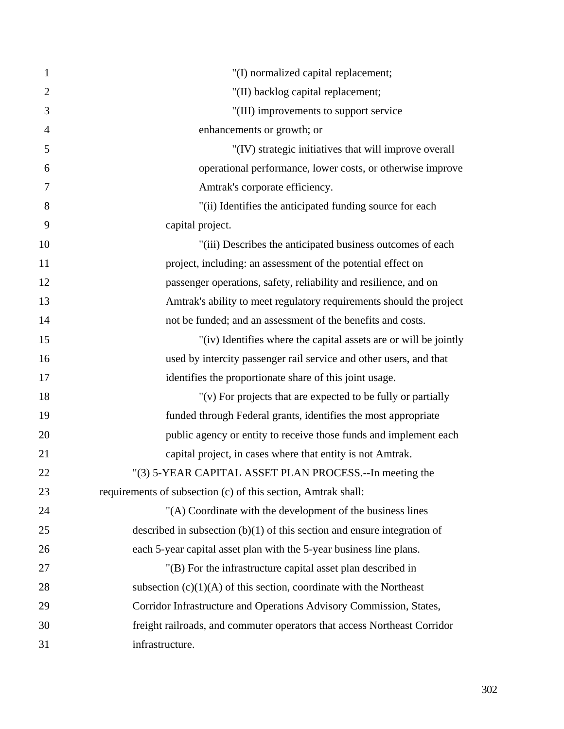| $\mathbf{1}$   | "(I) normalized capital replacement;                                       |
|----------------|----------------------------------------------------------------------------|
| $\overline{2}$ | "(II) backlog capital replacement;                                         |
| 3              | "(III) improvements to support service                                     |
| $\overline{4}$ | enhancements or growth; or                                                 |
| 5              | "(IV) strategic initiatives that will improve overall                      |
| 6              | operational performance, lower costs, or otherwise improve                 |
| $\overline{7}$ | Amtrak's corporate efficiency.                                             |
| 8              | "(ii) Identifies the anticipated funding source for each                   |
| 9              | capital project.                                                           |
| 10             | "(iii) Describes the anticipated business outcomes of each                 |
| 11             | project, including: an assessment of the potential effect on               |
| 12             | passenger operations, safety, reliability and resilience, and on           |
| 13             | Amtrak's ability to meet regulatory requirements should the project        |
| 14             | not be funded; and an assessment of the benefits and costs.                |
| 15             | "(iv) Identifies where the capital assets are or will be jointly           |
| 16             | used by intercity passenger rail service and other users, and that         |
| 17             | identifies the proportionate share of this joint usage.                    |
| 18             | "(v) For projects that are expected to be fully or partially               |
| 19             | funded through Federal grants, identifies the most appropriate             |
| 20             | public agency or entity to receive those funds and implement each          |
| 21             | capital project, in cases where that entity is not Amtrak.                 |
| 22             | "(3) 5-YEAR CAPITAL ASSET PLAN PROCESS.--In meeting the                    |
| 23             | requirements of subsection (c) of this section, Amtrak shall:              |
| 24             | "(A) Coordinate with the development of the business lines                 |
| 25             | described in subsection $(b)(1)$ of this section and ensure integration of |
| 26             | each 5-year capital asset plan with the 5-year business line plans.        |
| 27             | "(B) For the infrastructure capital asset plan described in                |
| 28             | subsection $(c)(1)(A)$ of this section, coordinate with the Northeast      |
| 29             | Corridor Infrastructure and Operations Advisory Commission, States,        |
| 30             | freight railroads, and commuter operators that access Northeast Corridor   |
| 31             | infrastructure.                                                            |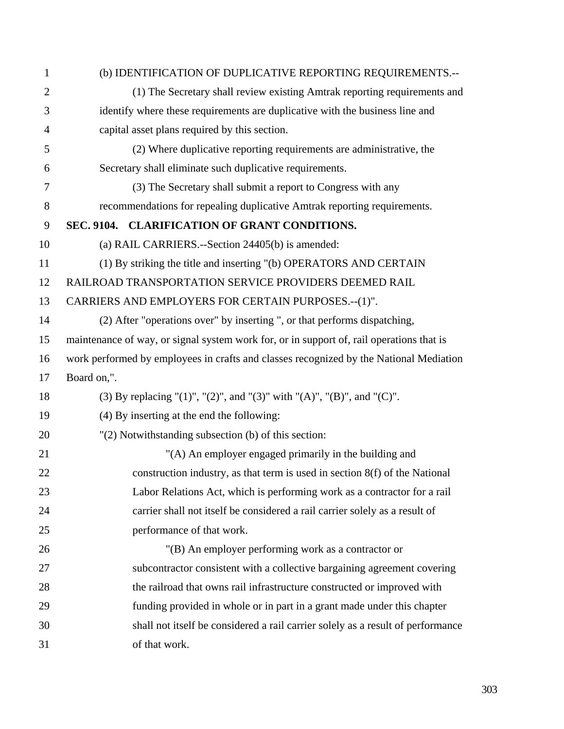| 1              | (b) IDENTIFICATION OF DUPLICATIVE REPORTING REQUIREMENTS.--                              |  |
|----------------|------------------------------------------------------------------------------------------|--|
| $\overline{2}$ | (1) The Secretary shall review existing Amtrak reporting requirements and                |  |
| 3              | identify where these requirements are duplicative with the business line and             |  |
| 4              | capital asset plans required by this section.                                            |  |
| 5              | (2) Where duplicative reporting requirements are administrative, the                     |  |
| 6              | Secretary shall eliminate such duplicative requirements.                                 |  |
| 7              | (3) The Secretary shall submit a report to Congress with any                             |  |
| 8              | recommendations for repealing duplicative Amtrak reporting requirements.                 |  |
| 9              | SEC. 9104. CLARIFICATION OF GRANT CONDITIONS.                                            |  |
| 10             | (a) RAIL CARRIERS.--Section 24405(b) is amended:                                         |  |
| 11             | (1) By striking the title and inserting "(b) OPERATORS AND CERTAIN                       |  |
| 12             | RAILROAD TRANSPORTATION SERVICE PROVIDERS DEEMED RAIL                                    |  |
| 13             | CARRIERS AND EMPLOYERS FOR CERTAIN PURPOSES .-- (1)".                                    |  |
| 14             | (2) After "operations over" by inserting ", or that performs dispatching,                |  |
| 15             | maintenance of way, or signal system work for, or in support of, rail operations that is |  |
| 16             | work performed by employees in crafts and classes recognized by the National Mediation   |  |
| 17             | Board on,".                                                                              |  |
| 18             | (3) By replacing "(1)", "(2)", and "(3)" with "(A)", "(B)", and "(C)".                   |  |
| 19             | (4) By inserting at the end the following:                                               |  |
| 20             | "(2) Notwithstanding subsection (b) of this section:                                     |  |
| 21             | "(A) An employer engaged primarily in the building and                                   |  |
| 22             | construction industry, as that term is used in section 8(f) of the National              |  |
| 23             | Labor Relations Act, which is performing work as a contractor for a rail                 |  |
| 24             | carrier shall not itself be considered a rail carrier solely as a result of              |  |
| 25             | performance of that work.                                                                |  |
| 26             | "(B) An employer performing work as a contractor or                                      |  |
| 27             | subcontractor consistent with a collective bargaining agreement covering                 |  |
| 28             | the railroad that owns rail infrastructure constructed or improved with                  |  |
| 29             | funding provided in whole or in part in a grant made under this chapter                  |  |
| 30             | shall not itself be considered a rail carrier solely as a result of performance          |  |
| 31             | of that work.                                                                            |  |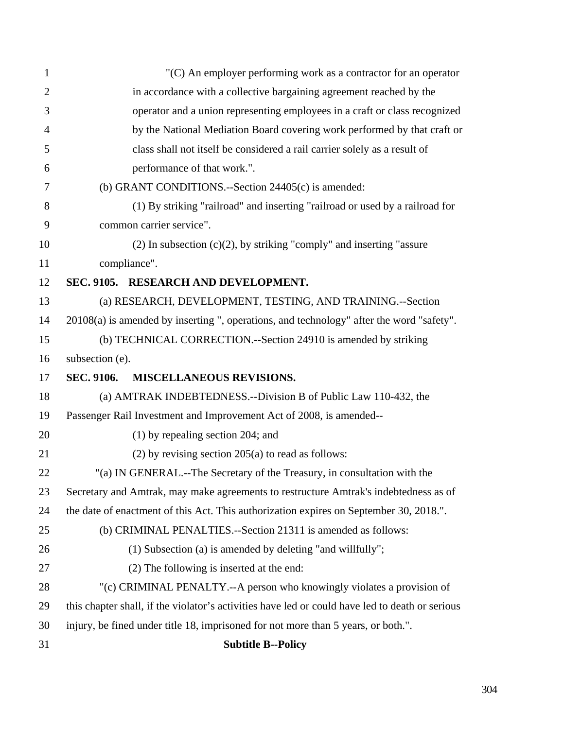| $\mathbf{1}$   | $(C)$ An employer performing work as a contractor for an operator                               |
|----------------|-------------------------------------------------------------------------------------------------|
| $\overline{2}$ | in accordance with a collective bargaining agreement reached by the                             |
| 3              | operator and a union representing employees in a craft or class recognized                      |
| 4              | by the National Mediation Board covering work performed by that craft or                        |
| 5              | class shall not itself be considered a rail carrier solely as a result of                       |
| 6              | performance of that work.".                                                                     |
| 7              | (b) GRANT CONDITIONS.--Section 24405(c) is amended:                                             |
| 8              | (1) By striking "railroad" and inserting "railroad or used by a railroad for                    |
| 9              | common carrier service".                                                                        |
| 10             | $(2)$ In subsection $(c)(2)$ , by striking "comply" and inserting "assure                       |
| 11             | compliance".                                                                                    |
| 12             | SEC. 9105. RESEARCH AND DEVELOPMENT.                                                            |
| 13             | (a) RESEARCH, DEVELOPMENT, TESTING, AND TRAINING.--Section                                      |
| 14             | 20108(a) is amended by inserting ", operations, and technology" after the word "safety".        |
| 15             | (b) TECHNICAL CORRECTION.--Section 24910 is amended by striking                                 |
| 16             | subsection (e).                                                                                 |
| 17             | <b>SEC. 9106.</b><br><b>MISCELLANEOUS REVISIONS.</b>                                            |
| 18             | (a) AMTRAK INDEBTEDNESS.--Division B of Public Law 110-432, the                                 |
| 19             | Passenger Rail Investment and Improvement Act of 2008, is amended--                             |
| 20             | $(1)$ by repealing section 204; and                                                             |
| 21             | $(2)$ by revising section 205 $(a)$ to read as follows:                                         |
| 22             | "(a) IN GENERAL.--The Secretary of the Treasury, in consultation with the                       |
| 23             | Secretary and Amtrak, may make agreements to restructure Amtrak's indebtedness as of            |
| 24             | the date of enactment of this Act. This authorization expires on September 30, 2018.".          |
| 25             | (b) CRIMINAL PENALTIES.--Section 21311 is amended as follows:                                   |
| 26             | (1) Subsection (a) is amended by deleting "and willfully";                                      |
| 27             | (2) The following is inserted at the end:                                                       |
| 28             | "(c) CRIMINAL PENALTY.--A person who knowingly violates a provision of                          |
| 29             | this chapter shall, if the violator's activities have led or could have led to death or serious |
| 30             | injury, be fined under title 18, imprisoned for not more than 5 years, or both.".               |
| 31             | <b>Subtitle B--Policy</b>                                                                       |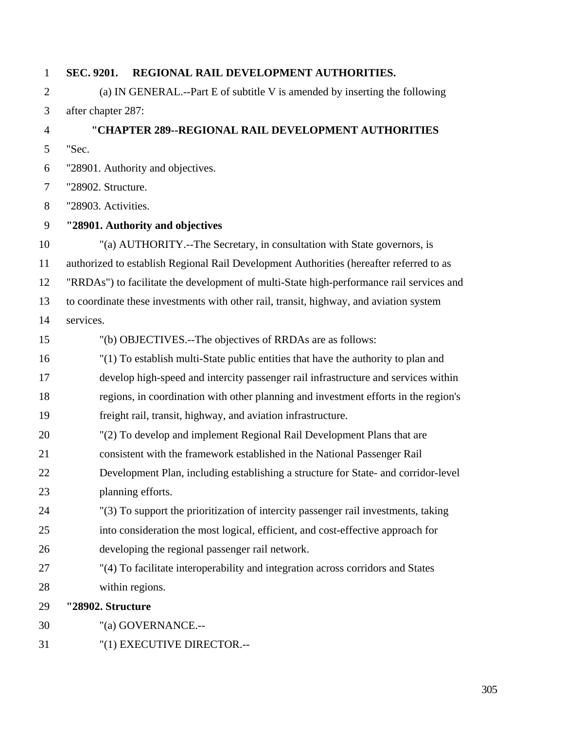| $\mathbf{1}$   | SEC. 9201.          | REGIONAL RAIL DEVELOPMENT AUTHORITIES.                                                   |  |
|----------------|---------------------|------------------------------------------------------------------------------------------|--|
| $\overline{2}$ |                     | (a) IN GENERAL.--Part E of subtitle V is amended by inserting the following              |  |
| 3              | after chapter 287:  |                                                                                          |  |
| $\overline{4}$ |                     | "CHAPTER 289--REGIONAL RAIL DEVELOPMENT AUTHORITIES                                      |  |
| 5              | "Sec.               |                                                                                          |  |
| 6              |                     | "28901. Authority and objectives.                                                        |  |
| 7              | "28902. Structure.  |                                                                                          |  |
| 8              | "28903. Activities. |                                                                                          |  |
| 9              |                     | "28901. Authority and objectives                                                         |  |
| 10             |                     | "(a) AUTHORITY.--The Secretary, in consultation with State governors, is                 |  |
| 11             |                     | authorized to establish Regional Rail Development Authorities (hereafter referred to as  |  |
| 12             |                     | "RRDAs") to facilitate the development of multi-State high-performance rail services and |  |
| 13             |                     | to coordinate these investments with other rail, transit, highway, and aviation system   |  |
| 14             | services.           |                                                                                          |  |
| 15             |                     | "(b) OBJECTIVES.--The objectives of RRDAs are as follows:                                |  |
| 16             |                     | "(1) To establish multi-State public entities that have the authority to plan and        |  |
| 17             |                     | develop high-speed and intercity passenger rail infrastructure and services within       |  |
| 18             |                     | regions, in coordination with other planning and investment efforts in the region's      |  |
| 19             |                     | freight rail, transit, highway, and aviation infrastructure.                             |  |
| 20             |                     | "(2) To develop and implement Regional Rail Development Plans that are                   |  |
| 21             |                     | consistent with the framework established in the National Passenger Rail                 |  |
| 22             |                     | Development Plan, including establishing a structure for State- and corridor-level       |  |
| 23             |                     | planning efforts.                                                                        |  |
| 24             |                     | "(3) To support the prioritization of intercity passenger rail investments, taking       |  |
| 25             |                     | into consideration the most logical, efficient, and cost-effective approach for          |  |
| 26             |                     | developing the regional passenger rail network.                                          |  |
| 27             |                     | "(4) To facilitate interoperability and integration across corridors and States          |  |
| 28             | within regions.     |                                                                                          |  |
| 29             | "28902. Structure   |                                                                                          |  |
| 30             |                     | "(a) GOVERNANCE.--                                                                       |  |
| 31             |                     | "(1) EXECUTIVE DIRECTOR .--                                                              |  |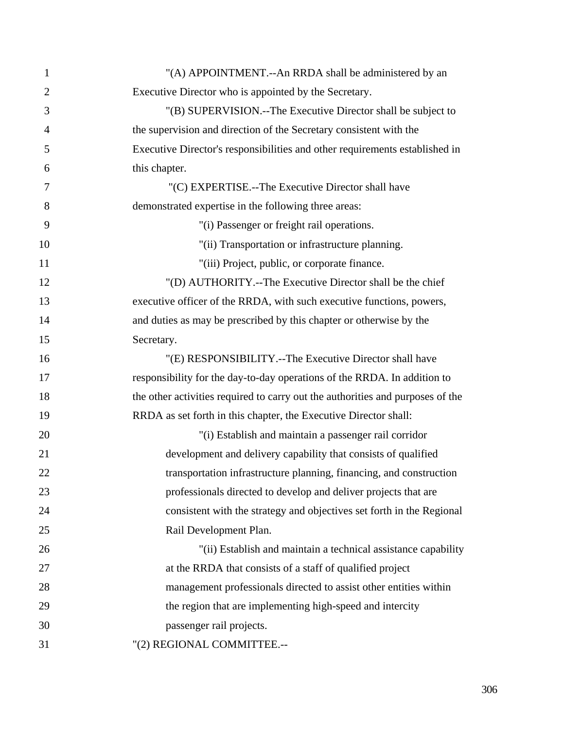| $\mathbf{1}$   | "(A) APPOINTMENT.--An RRDA shall be administered by an                         |
|----------------|--------------------------------------------------------------------------------|
| $\overline{2}$ | Executive Director who is appointed by the Secretary.                          |
| 3              | "(B) SUPERVISION.--The Executive Director shall be subject to                  |
| $\overline{4}$ | the supervision and direction of the Secretary consistent with the             |
| 5              | Executive Director's responsibilities and other requirements established in    |
| 6              | this chapter.                                                                  |
| 7              | "(C) EXPERTISE.--The Executive Director shall have                             |
| 8              | demonstrated expertise in the following three areas:                           |
| 9              | "(i) Passenger or freight rail operations.                                     |
| 10             | "(ii) Transportation or infrastructure planning.                               |
| 11             | "(iii) Project, public, or corporate finance.                                  |
| 12             | "(D) AUTHORITY.--The Executive Director shall be the chief                     |
| 13             | executive officer of the RRDA, with such executive functions, powers,          |
| 14             | and duties as may be prescribed by this chapter or otherwise by the            |
| 15             | Secretary.                                                                     |
| 16             | "(E) RESPONSIBILITY.--The Executive Director shall have                        |
| 17             | responsibility for the day-to-day operations of the RRDA. In addition to       |
| 18             | the other activities required to carry out the authorities and purposes of the |
| 19             | RRDA as set forth in this chapter, the Executive Director shall:               |
| 20             | "(i) Establish and maintain a passenger rail corridor                          |
| 21             | development and delivery capability that consists of qualified                 |
| 22             | transportation infrastructure planning, financing, and construction            |
| 23             | professionals directed to develop and deliver projects that are                |
| 24             | consistent with the strategy and objectives set forth in the Regional          |
| 25             | Rail Development Plan.                                                         |
| 26             | "(ii) Establish and maintain a technical assistance capability                 |
| 27             | at the RRDA that consists of a staff of qualified project                      |
| 28             | management professionals directed to assist other entities within              |
| 29             | the region that are implementing high-speed and intercity                      |
| 30             | passenger rail projects.                                                       |
| 31             | "(2) REGIONAL COMMITTEE.--                                                     |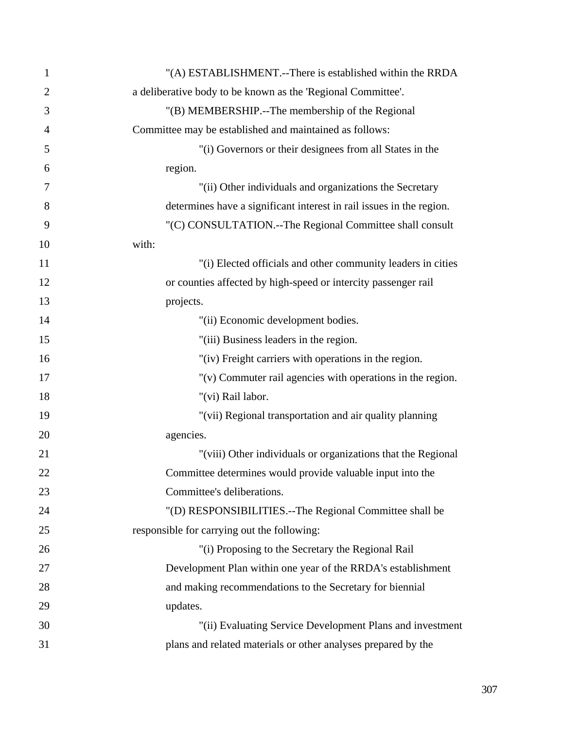| $\mathbf{1}$   | "(A) ESTABLISHMENT.--There is established within the RRDA            |
|----------------|----------------------------------------------------------------------|
| $\overline{2}$ | a deliberative body to be known as the 'Regional Committee'.         |
| 3              | "(B) MEMBERSHIP.--The membership of the Regional                     |
| 4              | Committee may be established and maintained as follows:              |
| 5              | "(i) Governors or their designees from all States in the             |
| 6              | region.                                                              |
| 7              | "(ii) Other individuals and organizations the Secretary              |
| 8              | determines have a significant interest in rail issues in the region. |
| 9              | "(C) CONSULTATION.--The Regional Committee shall consult             |
| 10             | with:                                                                |
| 11             | "(i) Elected officials and other community leaders in cities         |
| 12             | or counties affected by high-speed or intercity passenger rail       |
| 13             | projects.                                                            |
| 14             | "(ii) Economic development bodies.                                   |
| 15             | "(iii) Business leaders in the region.                               |
| 16             | "(iv) Freight carriers with operations in the region.                |
| 17             | $"$ (v) Commuter rail agencies with operations in the region.        |
| 18             | "(vi) Rail labor.                                                    |
| 19             | "(vii) Regional transportation and air quality planning              |
| 20             | agencies.                                                            |
| 21             | "(viii) Other individuals or organizations that the Regional         |
| 22             | Committee determines would provide valuable input into the           |
| 23             | Committee's deliberations.                                           |
| 24             | "(D) RESPONSIBILITIES.--The Regional Committee shall be              |
| 25             | responsible for carrying out the following:                          |
| 26             | "(i) Proposing to the Secretary the Regional Rail                    |
| 27             | Development Plan within one year of the RRDA's establishment         |
| 28             | and making recommendations to the Secretary for biennial             |
| 29             | updates.                                                             |
| 30             | "(ii) Evaluating Service Development Plans and investment            |
| 31             | plans and related materials or other analyses prepared by the        |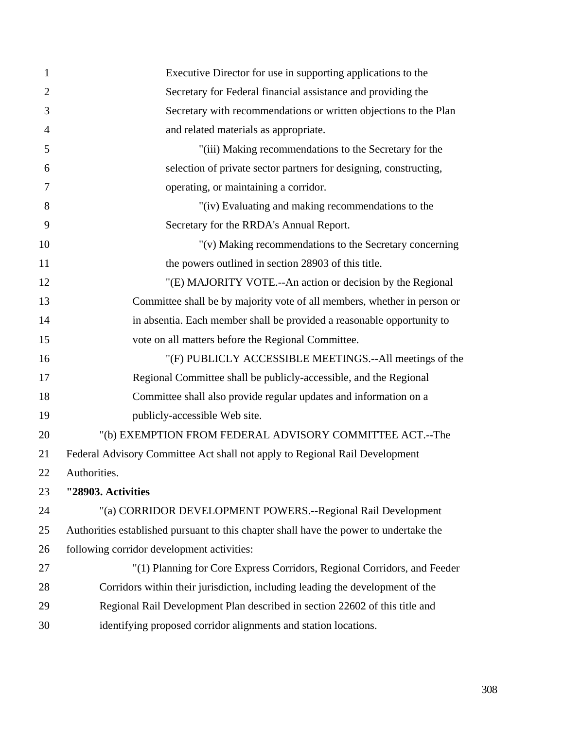| 1              | Executive Director for use in supporting applications to the                           |
|----------------|----------------------------------------------------------------------------------------|
| $\overline{2}$ | Secretary for Federal financial assistance and providing the                           |
| 3              | Secretary with recommendations or written objections to the Plan                       |
| $\overline{4}$ | and related materials as appropriate.                                                  |
| 5              | "(iii) Making recommendations to the Secretary for the                                 |
| 6              | selection of private sector partners for designing, constructing,                      |
| 7              | operating, or maintaining a corridor.                                                  |
| 8              | "(iv) Evaluating and making recommendations to the                                     |
| 9              | Secretary for the RRDA's Annual Report.                                                |
| 10             | "(v) Making recommendations to the Secretary concerning                                |
| 11             | the powers outlined in section 28903 of this title.                                    |
| 12             | "(E) MAJORITY VOTE.--An action or decision by the Regional                             |
| 13             | Committee shall be by majority vote of all members, whether in person or               |
| 14             | in absentia. Each member shall be provided a reasonable opportunity to                 |
| 15             | vote on all matters before the Regional Committee.                                     |
| 16             | "(F) PUBLICLY ACCESSIBLE MEETINGS.--All meetings of the                                |
| 17             | Regional Committee shall be publicly-accessible, and the Regional                      |
| 18             | Committee shall also provide regular updates and information on a                      |
| 19             | publicly-accessible Web site.                                                          |
| 20             | "(b) EXEMPTION FROM FEDERAL ADVISORY COMMITTEE ACT.--The                               |
| 21             | Federal Advisory Committee Act shall not apply to Regional Rail Development            |
| 22             | Authorities.                                                                           |
| 23             | "28903. Activities                                                                     |
| 24             | "(a) CORRIDOR DEVELOPMENT POWERS.--Regional Rail Development                           |
| 25             | Authorities established pursuant to this chapter shall have the power to undertake the |
| 26             | following corridor development activities:                                             |
| 27             | "(1) Planning for Core Express Corridors, Regional Corridors, and Feeder               |
| 28             | Corridors within their jurisdiction, including leading the development of the          |
| 29             | Regional Rail Development Plan described in section 22602 of this title and            |
| 30             | identifying proposed corridor alignments and station locations.                        |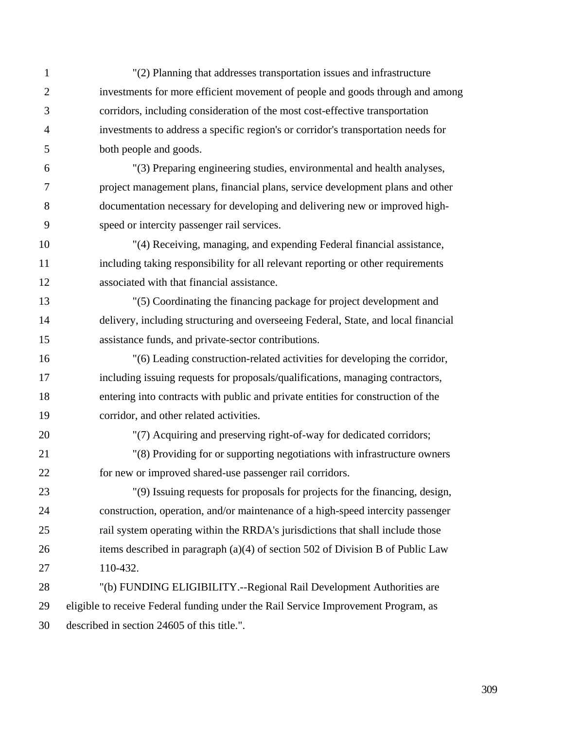- 1 "(2) Planning that addresses transportation issues and infrastructure 2 investments for more efficient movement of people and goods through and among 3 corridors, including consideration of the most cost-effective transportation 4 investments to address a specific region's or corridor's transportation needs for 5 both people and goods.
- 6 "(3) Preparing engineering studies, environmental and health analyses, 7 project management plans, financial plans, service development plans and other 8 documentation necessary for developing and delivering new or improved high-9 speed or intercity passenger rail services.
- 10 "(4) Receiving, managing, and expending Federal financial assistance, 11 including taking responsibility for all relevant reporting or other requirements 12 associated with that financial assistance.
- 13 "(5) Coordinating the financing package for project development and 14 delivery, including structuring and overseeing Federal, State, and local financial 15 assistance funds, and private-sector contributions.
- 16 "(6) Leading construction-related activities for developing the corridor, 17 including issuing requests for proposals/qualifications, managing contractors, 18 entering into contracts with public and private entities for construction of the 19 corridor, and other related activities.
- 

20 "(7) Acquiring and preserving right-of-way for dedicated corridors;

- 21 "(8) Providing for or supporting negotiations with infrastructure owners 22 for new or improved shared-use passenger rail corridors.
- 23 "(9) Issuing requests for proposals for projects for the financing, design, 24 construction, operation, and/or maintenance of a high-speed intercity passenger 25 rail system operating within the RRDA's jurisdictions that shall include those 26 items described in paragraph (a)(4) of section 502 of Division B of Public Law 27 110-432.
- 28 "(b) FUNDING ELIGIBILITY.--Regional Rail Development Authorities are 29 eligible to receive Federal funding under the Rail Service Improvement Program, as 30 described in section 24605 of this title.".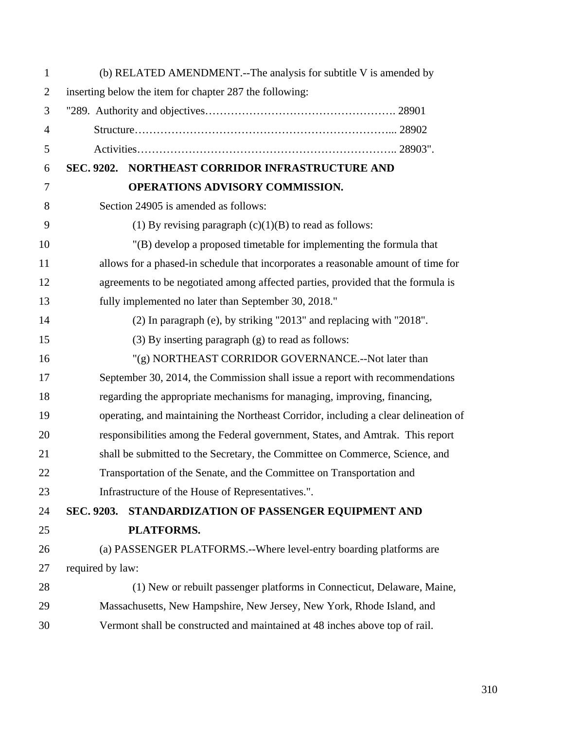| $\mathbf{1}$   | (b) RELATED AMENDMENT.--The analysis for subtitle V is amended by                   |  |
|----------------|-------------------------------------------------------------------------------------|--|
| $\mathfrak{2}$ | inserting below the item for chapter 287 the following:                             |  |
| 3              |                                                                                     |  |
| $\overline{4}$ |                                                                                     |  |
| 5              |                                                                                     |  |
| 6              | SEC. 9202. NORTHEAST CORRIDOR INFRASTRUCTURE AND                                    |  |
| 7              | OPERATIONS ADVISORY COMMISSION.                                                     |  |
| 8              | Section 24905 is amended as follows:                                                |  |
| 9              | (1) By revising paragraph $(c)(1)(B)$ to read as follows:                           |  |
| 10             | "(B) develop a proposed timetable for implementing the formula that                 |  |
| 11             | allows for a phased-in schedule that incorporates a reasonable amount of time for   |  |
| 12             | agreements to be negotiated among affected parties, provided that the formula is    |  |
| 13             | fully implemented no later than September 30, 2018."                                |  |
| 14             | (2) In paragraph (e), by striking "2013" and replacing with "2018".                 |  |
| 15             | (3) By inserting paragraph (g) to read as follows:                                  |  |
| 16             | "(g) NORTHEAST CORRIDOR GOVERNANCE.--Not later than                                 |  |
| 17             | September 30, 2014, the Commission shall issue a report with recommendations        |  |
| 18             | regarding the appropriate mechanisms for managing, improving, financing,            |  |
| 19             | operating, and maintaining the Northeast Corridor, including a clear delineation of |  |
| 20             | responsibilities among the Federal government, States, and Amtrak. This report      |  |
| 21             | shall be submitted to the Secretary, the Committee on Commerce, Science, and        |  |
| 22             | Transportation of the Senate, and the Committee on Transportation and               |  |
| 23             | Infrastructure of the House of Representatives.".                                   |  |
| 24             | SEC. 9203.<br>STANDARDIZATION OF PASSENGER EQUIPMENT AND                            |  |
| 25             | PLATFORMS.                                                                          |  |
| 26             | (a) PASSENGER PLATFORMS.--Where level-entry boarding platforms are                  |  |
| 27             | required by law:                                                                    |  |
| 28             | (1) New or rebuilt passenger platforms in Connecticut, Delaware, Maine,             |  |
| 29             | Massachusetts, New Hampshire, New Jersey, New York, Rhode Island, and               |  |
| 30             | Vermont shall be constructed and maintained at 48 inches above top of rail.         |  |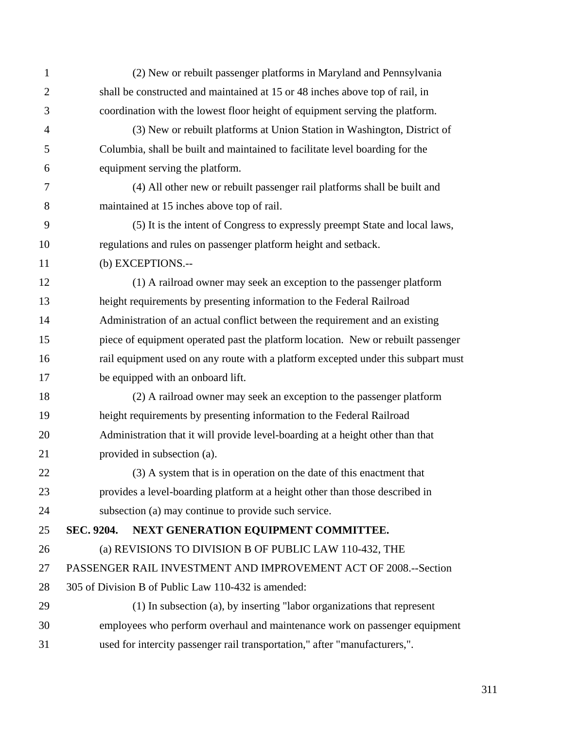| $\mathbf{1}$   | (2) New or rebuilt passenger platforms in Maryland and Pennsylvania               |
|----------------|-----------------------------------------------------------------------------------|
| $\overline{2}$ | shall be constructed and maintained at 15 or 48 inches above top of rail, in      |
|                |                                                                                   |
| 3              | coordination with the lowest floor height of equipment serving the platform.      |
| $\overline{4}$ | (3) New or rebuilt platforms at Union Station in Washington, District of          |
| 5              | Columbia, shall be built and maintained to facilitate level boarding for the      |
| 6              | equipment serving the platform.                                                   |
| 7              | (4) All other new or rebuilt passenger rail platforms shall be built and          |
| 8              | maintained at 15 inches above top of rail.                                        |
| 9              | (5) It is the intent of Congress to expressly preempt State and local laws,       |
| 10             | regulations and rules on passenger platform height and setback.                   |
| 11             | (b) EXCEPTIONS.--                                                                 |
| 12             | (1) A railroad owner may seek an exception to the passenger platform              |
| 13             | height requirements by presenting information to the Federal Railroad             |
| 14             | Administration of an actual conflict between the requirement and an existing      |
| 15             | piece of equipment operated past the platform location. New or rebuilt passenger  |
| 16             | rail equipment used on any route with a platform excepted under this subpart must |
| 17             | be equipped with an onboard lift.                                                 |
| 18             | (2) A railroad owner may seek an exception to the passenger platform              |
| 19             | height requirements by presenting information to the Federal Railroad             |
| 20             | Administration that it will provide level-boarding at a height other than that    |
| 21             | provided in subsection (a).                                                       |
| 22             | (3) A system that is in operation on the date of this enactment that              |
| 23             | provides a level-boarding platform at a height other than those described in      |
| 24             | subsection (a) may continue to provide such service.                              |
| 25             | SEC. 9204.<br>NEXT GENERATION EQUIPMENT COMMITTEE.                                |
| 26             | (a) REVISIONS TO DIVISION B OF PUBLIC LAW 110-432, THE                            |
| 27             | PASSENGER RAIL INVESTMENT AND IMPROVEMENT ACT OF 2008.--Section                   |
| 28             | 305 of Division B of Public Law 110-432 is amended:                               |
| 29             | (1) In subsection (a), by inserting "labor organizations that represent           |
| 30             | employees who perform overhaul and maintenance work on passenger equipment        |
| 31             | used for intercity passenger rail transportation," after "manufacturers,".        |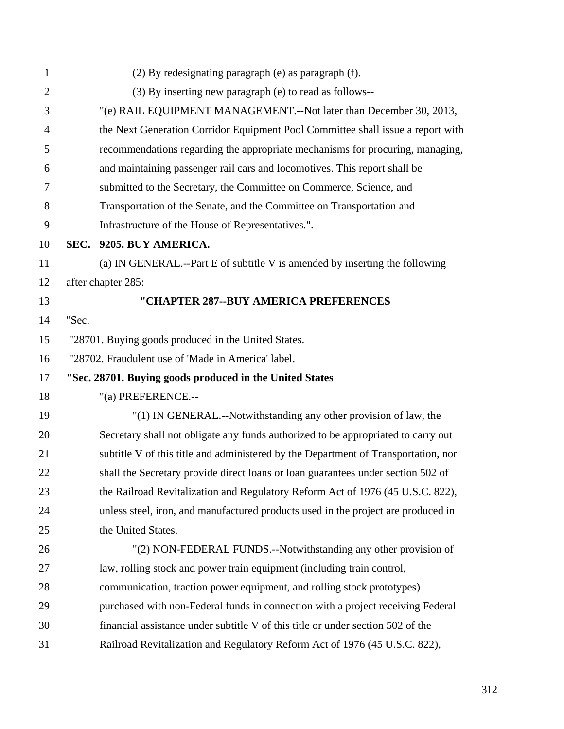| $\mathbf{1}$   |       | (2) By redesignating paragraph (e) as paragraph (f).                               |
|----------------|-------|------------------------------------------------------------------------------------|
| $\overline{2}$ |       | (3) By inserting new paragraph (e) to read as follows--                            |
| 3              |       | "(e) RAIL EQUIPMENT MANAGEMENT.--Not later than December 30, 2013,                 |
| 4              |       | the Next Generation Corridor Equipment Pool Committee shall issue a report with    |
| 5              |       | recommendations regarding the appropriate mechanisms for procuring, managing,      |
| 6              |       | and maintaining passenger rail cars and locomotives. This report shall be          |
| 7              |       | submitted to the Secretary, the Committee on Commerce, Science, and                |
| 8              |       | Transportation of the Senate, and the Committee on Transportation and              |
| 9              |       | Infrastructure of the House of Representatives.".                                  |
| 10             |       | SEC. 9205. BUY AMERICA.                                                            |
| 11             |       | (a) IN GENERAL.--Part E of subtitle V is amended by inserting the following        |
| 12             |       | after chapter 285:                                                                 |
| 13             |       | "CHAPTER 287--BUY AMERICA PREFERENCES                                              |
| 14             | "Sec. |                                                                                    |
| 15             |       | "28701. Buying goods produced in the United States.                                |
| 16             |       | "28702. Fraudulent use of 'Made in America' label.                                 |
| 17             |       | "Sec. 28701. Buying goods produced in the United States                            |
| 18             |       | "(a) PREFERENCE.--                                                                 |
| 19             |       | "(1) IN GENERAL.--Notwithstanding any other provision of law, the                  |
| 20             |       | Secretary shall not obligate any funds authorized to be appropriated to carry out  |
| 21             |       | subtitle V of this title and administered by the Department of Transportation, nor |
| 22             |       | shall the Secretary provide direct loans or loan guarantees under section 502 of   |
| 23             |       | the Railroad Revitalization and Regulatory Reform Act of 1976 (45 U.S.C. 822),     |
| 24             |       | unless steel, iron, and manufactured products used in the project are produced in  |
| 25             |       | the United States.                                                                 |
| 26             |       | "(2) NON-FEDERAL FUNDS.--Notwithstanding any other provision of                    |
| 27             |       | law, rolling stock and power train equipment (including train control,             |
| 28             |       | communication, traction power equipment, and rolling stock prototypes)             |
| 29             |       | purchased with non-Federal funds in connection with a project receiving Federal    |
| 30             |       | financial assistance under subtitle V of this title or under section 502 of the    |
| 31             |       | Railroad Revitalization and Regulatory Reform Act of 1976 (45 U.S.C. 822),         |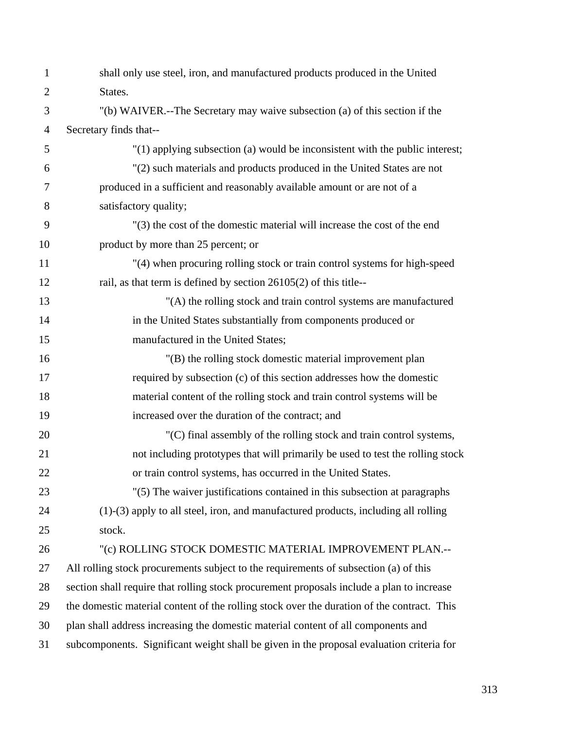| $\mathbf{1}$   | shall only use steel, iron, and manufactured products produced in the United               |
|----------------|--------------------------------------------------------------------------------------------|
| $\overline{2}$ | States.                                                                                    |
| 3              | "(b) WAIVER.--The Secretary may waive subsection (a) of this section if the                |
| $\overline{4}$ | Secretary finds that--                                                                     |
| 5              | "(1) applying subsection (a) would be inconsistent with the public interest;               |
| 6              | "(2) such materials and products produced in the United States are not                     |
| 7              | produced in a sufficient and reasonably available amount or are not of a                   |
| 8              | satisfactory quality;                                                                      |
| 9              | "(3) the cost of the domestic material will increase the cost of the end                   |
| 10             | product by more than 25 percent; or                                                        |
| 11             | "(4) when procuring rolling stock or train control systems for high-speed                  |
| 12             | rail, as that term is defined by section 26105(2) of this title--                          |
| 13             | "(A) the rolling stock and train control systems are manufactured                          |
| 14             | in the United States substantially from components produced or                             |
| 15             | manufactured in the United States;                                                         |
| 16             | "(B) the rolling stock domestic material improvement plan                                  |
| 17             | required by subsection (c) of this section addresses how the domestic                      |
| 18             | material content of the rolling stock and train control systems will be                    |
| 19             | increased over the duration of the contract; and                                           |
| 20             | "(C) final assembly of the rolling stock and train control systems,                        |
| 21             | not including prototypes that will primarily be used to test the rolling stock             |
| 22             | or train control systems, has occurred in the United States.                               |
| 23             | "(5) The waiver justifications contained in this subsection at paragraphs                  |
| 24             | $(1)-(3)$ apply to all steel, iron, and manufactured products, including all rolling       |
| 25             | stock.                                                                                     |
| 26             | "(c) ROLLING STOCK DOMESTIC MATERIAL IMPROVEMENT PLAN .--                                  |
| 27             | All rolling stock procurements subject to the requirements of subsection (a) of this       |
| 28             | section shall require that rolling stock procurement proposals include a plan to increase  |
| 29             | the domestic material content of the rolling stock over the duration of the contract. This |
| 30             | plan shall address increasing the domestic material content of all components and          |
| 31             | subcomponents. Significant weight shall be given in the proposal evaluation criteria for   |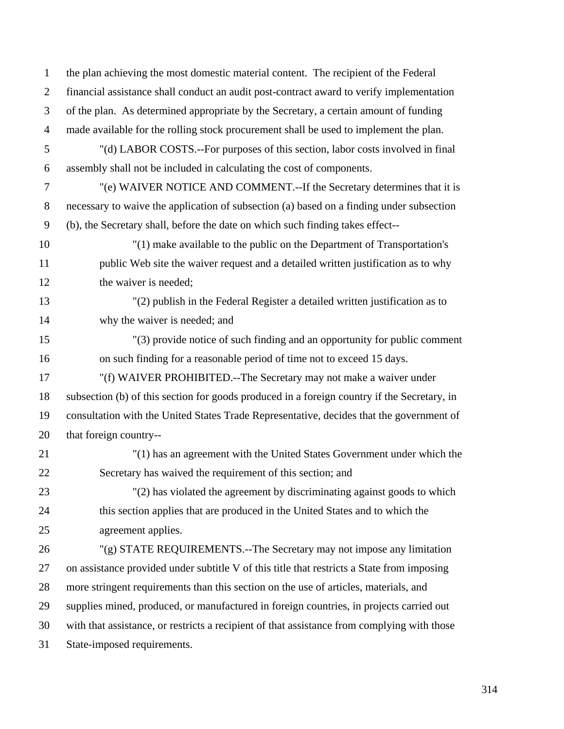1 the plan achieving the most domestic material content. The recipient of the Federal 2 financial assistance shall conduct an audit post-contract award to verify implementation 3 of the plan. As determined appropriate by the Secretary, a certain amount of funding 4 made available for the rolling stock procurement shall be used to implement the plan. 5 "(d) LABOR COSTS.--For purposes of this section, labor costs involved in final 6 assembly shall not be included in calculating the cost of components. 7 "(e) WAIVER NOTICE AND COMMENT.--If the Secretary determines that it is 8 necessary to waive the application of subsection (a) based on a finding under subsection 9 (b), the Secretary shall, before the date on which such finding takes effect-- 10 "(1) make available to the public on the Department of Transportation's 11 public Web site the waiver request and a detailed written justification as to why 12 the waiver is needed; 13 "(2) publish in the Federal Register a detailed written justification as to 14 why the waiver is needed; and 15 "(3) provide notice of such finding and an opportunity for public comment 16 on such finding for a reasonable period of time not to exceed 15 days. 17 "(f) WAIVER PROHIBITED.--The Secretary may not make a waiver under 18 subsection (b) of this section for goods produced in a foreign country if the Secretary, in 19 consultation with the United States Trade Representative, decides that the government of 20 that foreign country-- 21 "(1) has an agreement with the United States Government under which the 22 Secretary has waived the requirement of this section; and 23 "(2) has violated the agreement by discriminating against goods to which 24 this section applies that are produced in the United States and to which the 25 agreement applies. 26 "(g) STATE REQUIREMENTS.--The Secretary may not impose any limitation 27 on assistance provided under subtitle V of this title that restricts a State from imposing 28 more stringent requirements than this section on the use of articles, materials, and 29 supplies mined, produced, or manufactured in foreign countries, in projects carried out 30 with that assistance, or restricts a recipient of that assistance from complying with those 31 State-imposed requirements.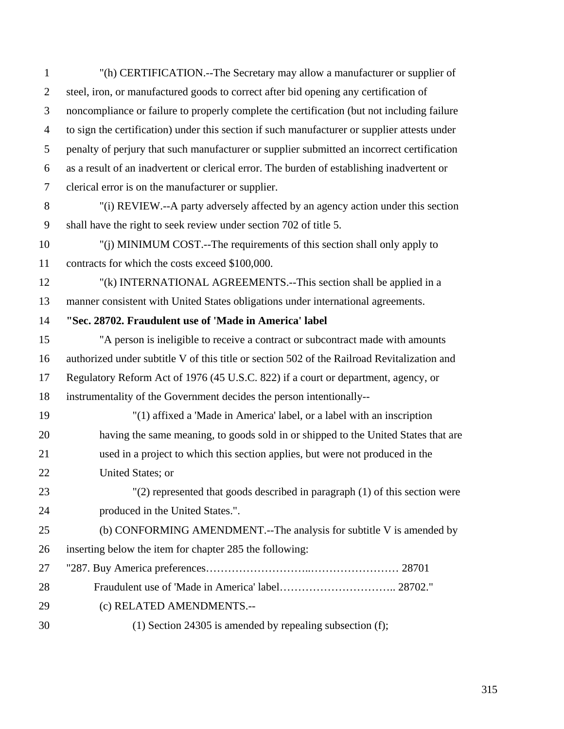| $\mathbf{1}$   | "(h) CERTIFICATION.--The Secretary may allow a manufacturer or supplier of                   |
|----------------|----------------------------------------------------------------------------------------------|
| $\overline{2}$ | steel, iron, or manufactured goods to correct after bid opening any certification of         |
| 3              | noncompliance or failure to properly complete the certification (but not including failure   |
| $\overline{4}$ | to sign the certification) under this section if such manufacturer or supplier attests under |
| 5              | penalty of perjury that such manufacturer or supplier submitted an incorrect certification   |
| 6              | as a result of an inadvertent or clerical error. The burden of establishing inadvertent or   |
| $\tau$         | clerical error is on the manufacturer or supplier.                                           |
| 8              | "(i) REVIEW.--A party adversely affected by an agency action under this section              |
| 9              | shall have the right to seek review under section 702 of title 5.                            |
| 10             | "(j) MINIMUM COST.--The requirements of this section shall only apply to                     |
| 11             | contracts for which the costs exceed \$100,000.                                              |
| 12             | "(k) INTERNATIONAL AGREEMENTS.--This section shall be applied in a                           |
| 13             | manner consistent with United States obligations under international agreements.             |
| 14             | "Sec. 28702. Fraudulent use of 'Made in America' label                                       |
| 15             | "A person is ineligible to receive a contract or subcontract made with amounts               |
| 16             | authorized under subtitle V of this title or section 502 of the Railroad Revitalization and  |
| 17             | Regulatory Reform Act of 1976 (45 U.S.C. 822) if a court or department, agency, or           |
| 18             | instrumentality of the Government decides the person intentionally--                         |
| 19             | "(1) affixed a 'Made in America' label, or a label with an inscription                       |
| 20             | having the same meaning, to goods sold in or shipped to the United States that are           |
| 21             | used in a project to which this section applies, but were not produced in the                |
| 22             | United States; or                                                                            |
| 23             | $'(2)$ represented that goods described in paragraph $(1)$ of this section were              |
| 24             | produced in the United States.".                                                             |
| 25             | (b) CONFORMING AMENDMENT.--The analysis for subtitle V is amended by                         |
| 26             | inserting below the item for chapter 285 the following:                                      |
| 27             |                                                                                              |
| 28             |                                                                                              |
| 29             | (c) RELATED AMENDMENTS .--                                                                   |
| 30             | $(1)$ Section 24305 is amended by repealing subsection (f);                                  |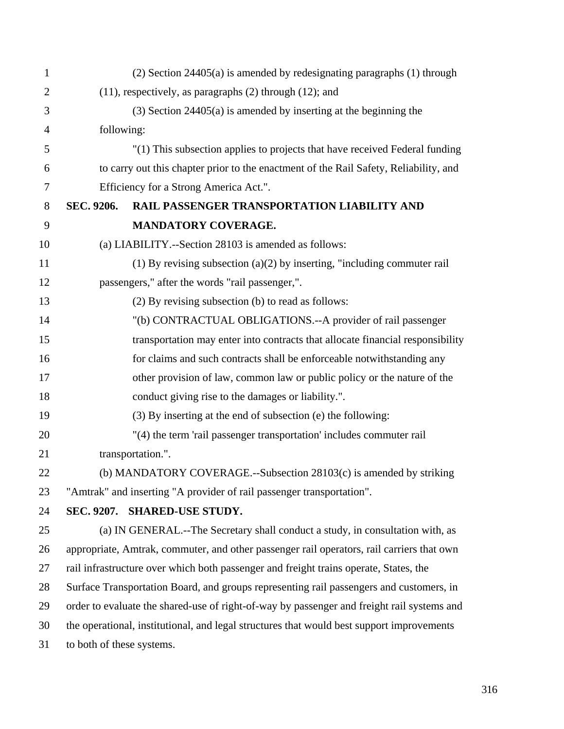| $\mathbf{1}$   |                           | $(2)$ Section 24405 $(a)$ is amended by redesignating paragraphs $(1)$ through             |
|----------------|---------------------------|--------------------------------------------------------------------------------------------|
| $\overline{2}$ |                           | $(11)$ , respectively, as paragraphs $(2)$ through $(12)$ ; and                            |
| 3              |                           | $(3)$ Section 24405 $(a)$ is amended by inserting at the beginning the                     |
| $\overline{4}$ | following:                |                                                                                            |
| 5              |                           | "(1) This subsection applies to projects that have received Federal funding                |
| 6              |                           | to carry out this chapter prior to the enactment of the Rail Safety, Reliability, and      |
| 7              |                           | Efficiency for a Strong America Act.".                                                     |
| 8              | SEC. 9206.                | RAIL PASSENGER TRANSPORTATION LIABILITY AND                                                |
| 9              |                           | <b>MANDATORY COVERAGE.</b>                                                                 |
| 10             |                           | (a) LIABILITY.--Section 28103 is amended as follows:                                       |
| 11             |                           | (1) By revising subsection (a)(2) by inserting, "including commuter rail                   |
| 12             |                           | passengers," after the words "rail passenger,".                                            |
| 13             |                           | (2) By revising subsection (b) to read as follows:                                         |
| 14             |                           | "(b) CONTRACTUAL OBLIGATIONS.--A provider of rail passenger                                |
| 15             |                           | transportation may enter into contracts that allocate financial responsibility             |
| 16             |                           | for claims and such contracts shall be enforceable notwithstanding any                     |
| 17             |                           | other provision of law, common law or public policy or the nature of the                   |
| 18             |                           | conduct giving rise to the damages or liability.".                                         |
| 19             |                           | (3) By inserting at the end of subsection (e) the following:                               |
| 20             |                           | "(4) the term 'rail passenger transportation' includes commuter rail                       |
| 21             |                           | transportation.".                                                                          |
| 22             |                           | (b) MANDATORY COVERAGE.--Subsection 28103(c) is amended by striking                        |
| 23             |                           | "Amtrak" and inserting "A provider of rail passenger transportation".                      |
| 24             |                           | SEC. 9207. SHARED-USE STUDY.                                                               |
| 25             |                           | (a) IN GENERAL.--The Secretary shall conduct a study, in consultation with, as             |
| 26             |                           | appropriate, Amtrak, commuter, and other passenger rail operators, rail carriers that own  |
| 27             |                           | rail infrastructure over which both passenger and freight trains operate, States, the      |
| 28             |                           | Surface Transportation Board, and groups representing rail passengers and customers, in    |
| 29             |                           | order to evaluate the shared-use of right-of-way by passenger and freight rail systems and |
| 30             |                           | the operational, institutional, and legal structures that would best support improvements  |
| 31             | to both of these systems. |                                                                                            |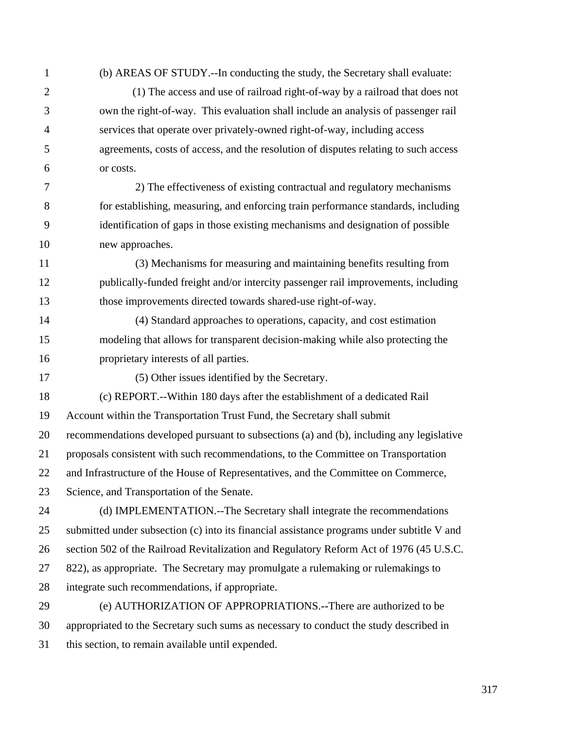1 (b) AREAS OF STUDY.--In conducting the study, the Secretary shall evaluate:

2 (1) The access and use of railroad right-of-way by a railroad that does not 3 own the right-of-way. This evaluation shall include an analysis of passenger rail 4 services that operate over privately-owned right-of-way, including access 5 agreements, costs of access, and the resolution of disputes relating to such access 6 or costs.

7 2) The effectiveness of existing contractual and regulatory mechanisms 8 for establishing, measuring, and enforcing train performance standards, including 9 identification of gaps in those existing mechanisms and designation of possible 10 new approaches.

11 (3) Mechanisms for measuring and maintaining benefits resulting from 12 publically-funded freight and/or intercity passenger rail improvements, including 13 those improvements directed towards shared-use right-of-way.

14 (4) Standard approaches to operations, capacity, and cost estimation 15 modeling that allows for transparent decision-making while also protecting the 16 proprietary interests of all parties.

17 (5) Other issues identified by the Secretary.

18 (c) REPORT.--Within 180 days after the establishment of a dedicated Rail 19 Account within the Transportation Trust Fund, the Secretary shall submit 20 recommendations developed pursuant to subsections (a) and (b), including any legislative

21 proposals consistent with such recommendations, to the Committee on Transportation

22 and Infrastructure of the House of Representatives, and the Committee on Commerce,

23 Science, and Transportation of the Senate.

24 (d) IMPLEMENTATION.--The Secretary shall integrate the recommendations 25 submitted under subsection (c) into its financial assistance programs under subtitle V and 26 section 502 of the Railroad Revitalization and Regulatory Reform Act of 1976 (45 U.S.C. 27 822), as appropriate. The Secretary may promulgate a rulemaking or rulemakings to 28 integrate such recommendations, if appropriate.

29 (e) AUTHORIZATION OF APPROPRIATIONS.**--**There are authorized to be 30 appropriated to the Secretary such sums as necessary to conduct the study described in 31 this section, to remain available until expended.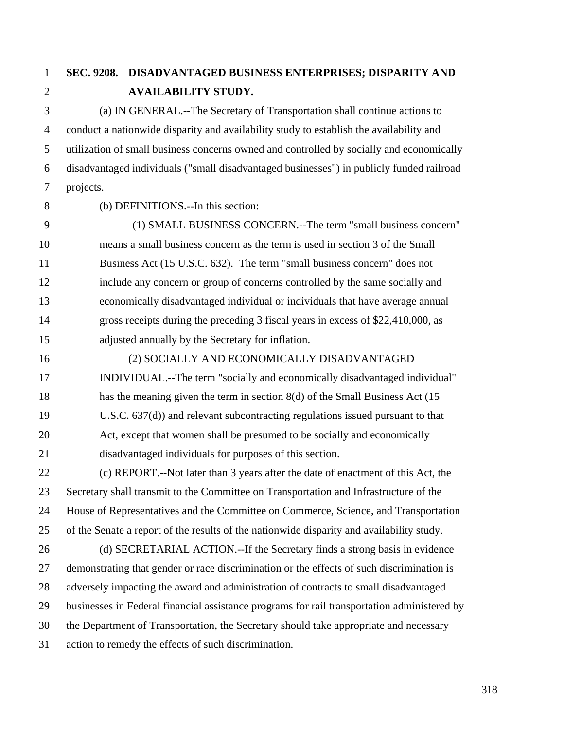## 1 **SEC. 9208. DISADVANTAGED BUSINESS ENTERPRISES; DISPARITY AND**  2 **AVAILABILITY STUDY.**

3 (a) IN GENERAL.--The Secretary of Transportation shall continue actions to 4 conduct a nationwide disparity and availability study to establish the availability and 5 utilization of small business concerns owned and controlled by socially and economically 6 disadvantaged individuals ("small disadvantaged businesses") in publicly funded railroad 7 projects.

8 (b) DEFINITIONS.--In this section:

9 (1) SMALL BUSINESS CONCERN.--The term "small business concern" 10 means a small business concern as the term is used in section 3 of the Small 11 Business Act (15 U.S.C. 632). The term "small business concern" does not 12 include any concern or group of concerns controlled by the same socially and 13 economically disadvantaged individual or individuals that have average annual 14 gross receipts during the preceding 3 fiscal years in excess of \$22,410,000, as 15 adjusted annually by the Secretary for inflation.

16 (2) SOCIALLY AND ECONOMICALLY DISADVANTAGED 17 INDIVIDUAL.--The term "socially and economically disadvantaged individual" 18 has the meaning given the term in section 8(d) of the Small Business Act (15 19 U.S.C. 637(d)) and relevant subcontracting regulations issued pursuant to that 20 Act, except that women shall be presumed to be socially and economically 21 disadvantaged individuals for purposes of this section. 22 (c) REPORT.--Not later than 3 years after the date of enactment of this Act, the

23 Secretary shall transmit to the Committee on Transportation and Infrastructure of the 24 House of Representatives and the Committee on Commerce, Science, and Transportation 25 of the Senate a report of the results of the nationwide disparity and availability study.

26 (d) SECRETARIAL ACTION.--If the Secretary finds a strong basis in evidence 27 demonstrating that gender or race discrimination or the effects of such discrimination is 28 adversely impacting the award and administration of contracts to small disadvantaged 29 businesses in Federal financial assistance programs for rail transportation administered by 30 the Department of Transportation, the Secretary should take appropriate and necessary 31 action to remedy the effects of such discrimination.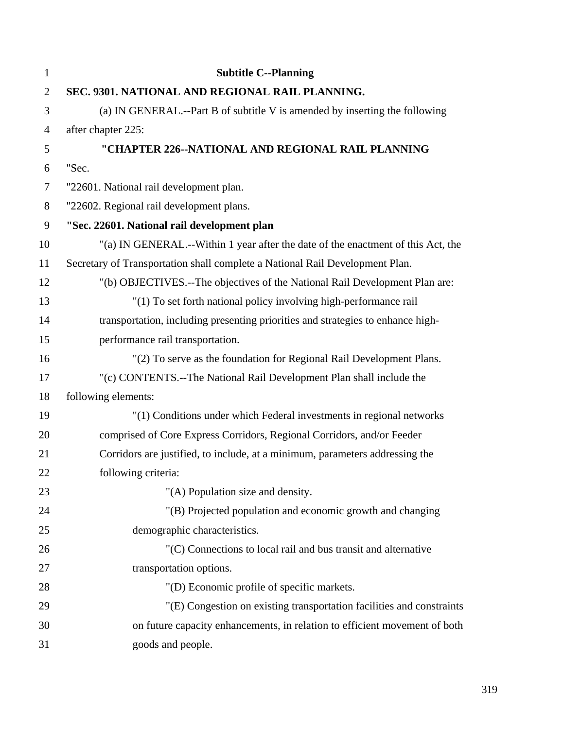| $\mathbf{1}$   | <b>Subtitle C--Planning</b>                                                      |
|----------------|----------------------------------------------------------------------------------|
| $\mathbf{2}$   | SEC. 9301. NATIONAL AND REGIONAL RAIL PLANNING.                                  |
| 3              | (a) IN GENERAL.--Part B of subtitle V is amended by inserting the following      |
| $\overline{4}$ | after chapter 225:                                                               |
| 5              | "CHAPTER 226--NATIONAL AND REGIONAL RAIL PLANNING                                |
| 6              | "Sec.                                                                            |
| $\tau$         | "22601. National rail development plan.                                          |
| $8\,$          | "22602. Regional rail development plans.                                         |
| 9              | "Sec. 22601. National rail development plan                                      |
| 10             | "(a) IN GENERAL.--Within 1 year after the date of the enactment of this Act, the |
| 11             | Secretary of Transportation shall complete a National Rail Development Plan.     |
| 12             | "(b) OBJECTIVES.--The objectives of the National Rail Development Plan are:      |
| 13             | "(1) To set forth national policy involving high-performance rail                |
| 14             | transportation, including presenting priorities and strategies to enhance high-  |
| 15             | performance rail transportation.                                                 |
| 16             | "(2) To serve as the foundation for Regional Rail Development Plans.             |
| 17             | "(c) CONTENTS.--The National Rail Development Plan shall include the             |
| 18             | following elements:                                                              |
| 19             | "(1) Conditions under which Federal investments in regional networks             |
| 20             | comprised of Core Express Corridors, Regional Corridors, and/or Feeder           |
| 21             | Corridors are justified, to include, at a minimum, parameters addressing the     |
| 22             | following criteria:                                                              |
| 23             | "(A) Population size and density.                                                |
| 24             | "(B) Projected population and economic growth and changing                       |
| 25             | demographic characteristics.                                                     |
| 26             | "(C) Connections to local rail and bus transit and alternative                   |
| 27             | transportation options.                                                          |
| 28             | "(D) Economic profile of specific markets.                                       |
| 29             | "(E) Congestion on existing transportation facilities and constraints            |
| 30             | on future capacity enhancements, in relation to efficient movement of both       |
| 31             | goods and people.                                                                |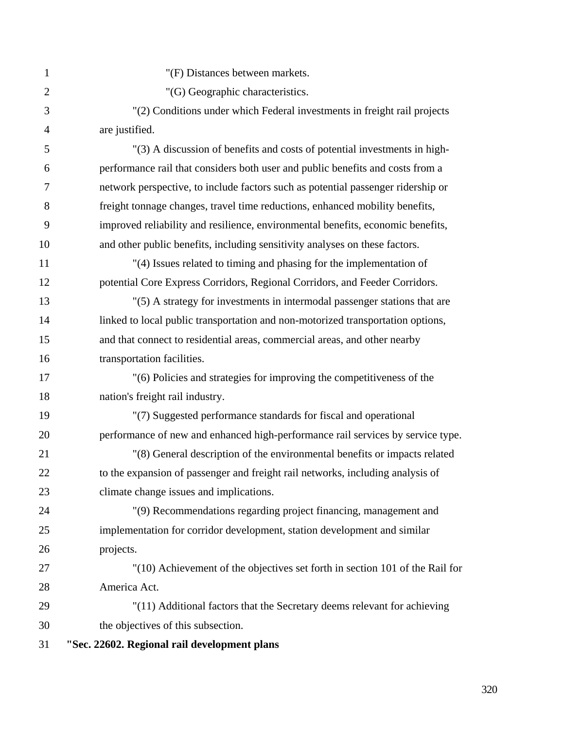| 1              | "(F) Distances between markets.                                                  |
|----------------|----------------------------------------------------------------------------------|
| $\overline{2}$ | "(G) Geographic characteristics.                                                 |
| 3              | "(2) Conditions under which Federal investments in freight rail projects         |
| 4              | are justified.                                                                   |
| 5              | "(3) A discussion of benefits and costs of potential investments in high-        |
| 6              | performance rail that considers both user and public benefits and costs from a   |
| 7              | network perspective, to include factors such as potential passenger ridership or |
| 8              | freight tonnage changes, travel time reductions, enhanced mobility benefits,     |
| 9              | improved reliability and resilience, environmental benefits, economic benefits,  |
| 10             | and other public benefits, including sensitivity analyses on these factors.      |
| 11             | "(4) Issues related to timing and phasing for the implementation of              |
| 12             | potential Core Express Corridors, Regional Corridors, and Feeder Corridors.      |
| 13             | "(5) A strategy for investments in intermodal passenger stations that are        |
| 14             | linked to local public transportation and non-motorized transportation options,  |
| 15             | and that connect to residential areas, commercial areas, and other nearby        |
| 16             | transportation facilities.                                                       |
| 17             | "(6) Policies and strategies for improving the competitiveness of the            |
| 18             | nation's freight rail industry.                                                  |
| 19             | "(7) Suggested performance standards for fiscal and operational                  |
| 20             | performance of new and enhanced high-performance rail services by service type.  |
| 21             | "(8) General description of the environmental benefits or impacts related        |
| 22             | to the expansion of passenger and freight rail networks, including analysis of   |
| 23             | climate change issues and implications.                                          |
| 24             | "(9) Recommendations regarding project financing, management and                 |
| 25             | implementation for corridor development, station development and similar         |
| 26             | projects.                                                                        |
| 27             | "(10) Achievement of the objectives set forth in section 101 of the Rail for     |
| 28             | America Act.                                                                     |
| 29             | "(11) Additional factors that the Secretary deems relevant for achieving         |
| 30             | the objectives of this subsection.                                               |
| 31             | "Sec. 22602. Regional rail development plans                                     |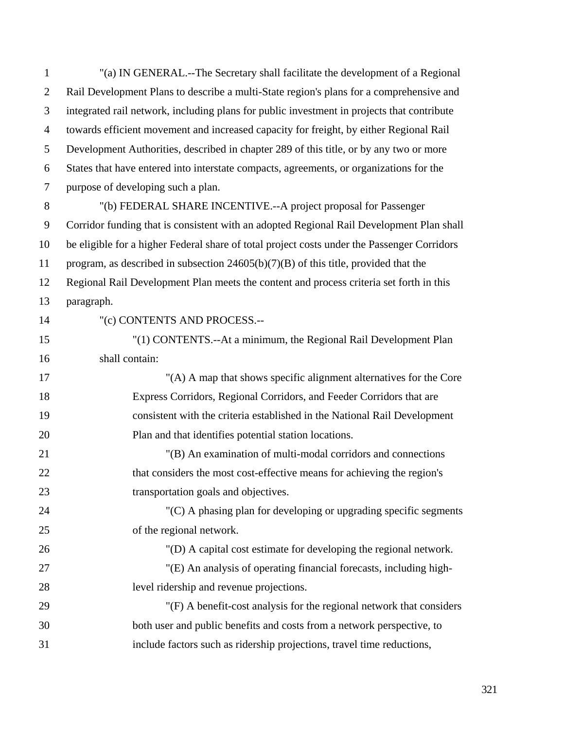1 "(a) IN GENERAL.--The Secretary shall facilitate the development of a Regional 2 Rail Development Plans to describe a multi-State region's plans for a comprehensive and 3 integrated rail network, including plans for public investment in projects that contribute 4 towards efficient movement and increased capacity for freight, by either Regional Rail 5 Development Authorities, described in chapter 289 of this title, or by any two or more 6 States that have entered into interstate compacts, agreements, or organizations for the 7 purpose of developing such a plan. 8 "(b) FEDERAL SHARE INCENTIVE.--A project proposal for Passenger 9 Corridor funding that is consistent with an adopted Regional Rail Development Plan shall 10 be eligible for a higher Federal share of total project costs under the Passenger Corridors 11 program, as described in subsection 24605(b)(7)(B) of this title, provided that the 12 Regional Rail Development Plan meets the content and process criteria set forth in this 13 paragraph. 14 "(c) CONTENTS AND PROCESS.-- 15 "(1) CONTENTS.--At a minimum, the Regional Rail Development Plan 16 shall contain: 17 "(A) A map that shows specific alignment alternatives for the Core 18 Express Corridors, Regional Corridors, and Feeder Corridors that are 19 consistent with the criteria established in the National Rail Development 20 Plan and that identifies potential station locations. 21 "(B) An examination of multi-modal corridors and connections 22 that considers the most cost-effective means for achieving the region's 23 transportation goals and objectives.

24 "(C) A phasing plan for developing or upgrading specific segments 25 of the regional network.

27 "(E) An analysis of operating financial forecasts, including high-28 level ridership and revenue projections.

26 "(D) A capital cost estimate for developing the regional network.

29 "(F) A benefit-cost analysis for the regional network that considers 30 both user and public benefits and costs from a network perspective, to 31 include factors such as ridership projections, travel time reductions,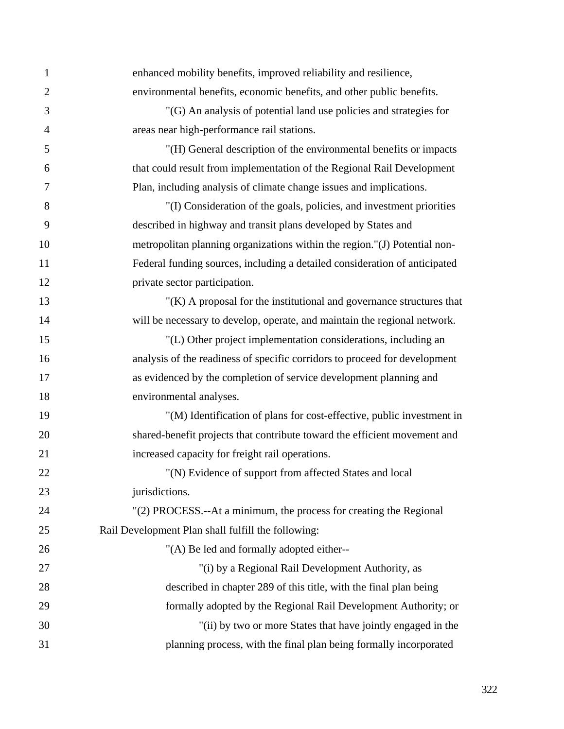| $\mathbf{1}$   | enhanced mobility benefits, improved reliability and resilience,           |
|----------------|----------------------------------------------------------------------------|
| $\overline{2}$ | environmental benefits, economic benefits, and other public benefits.      |
| $\mathfrak{Z}$ | "(G) An analysis of potential land use policies and strategies for         |
| $\overline{4}$ | areas near high-performance rail stations.                                 |
| 5              | "(H) General description of the environmental benefits or impacts          |
| 6              | that could result from implementation of the Regional Rail Development     |
| $\overline{7}$ | Plan, including analysis of climate change issues and implications.        |
| 8              | "(I) Consideration of the goals, policies, and investment priorities       |
| 9              | described in highway and transit plans developed by States and             |
| 10             | metropolitan planning organizations within the region."(J) Potential non-  |
| 11             | Federal funding sources, including a detailed consideration of anticipated |
| 12             | private sector participation.                                              |
| 13             | $''(K)$ A proposal for the institutional and governance structures that    |
| 14             | will be necessary to develop, operate, and maintain the regional network.  |
| 15             | "(L) Other project implementation considerations, including an             |
| 16             | analysis of the readiness of specific corridors to proceed for development |
| 17             | as evidenced by the completion of service development planning and         |
| 18             | environmental analyses.                                                    |
| 19             | "(M) Identification of plans for cost-effective, public investment in      |
| 20             | shared-benefit projects that contribute toward the efficient movement and  |
| 21             | increased capacity for freight rail operations.                            |
| 22             | "(N) Evidence of support from affected States and local                    |
| 23             | jurisdictions.                                                             |
| 24             | "(2) PROCESS.--At a minimum, the process for creating the Regional         |
| 25             | Rail Development Plan shall fulfill the following:                         |
| 26             | "(A) Be led and formally adopted either--                                  |
| 27             | "(i) by a Regional Rail Development Authority, as                          |
| 28             | described in chapter 289 of this title, with the final plan being          |
| 29             | formally adopted by the Regional Rail Development Authority; or            |
| 30             | "(ii) by two or more States that have jointly engaged in the               |
| 31             | planning process, with the final plan being formally incorporated          |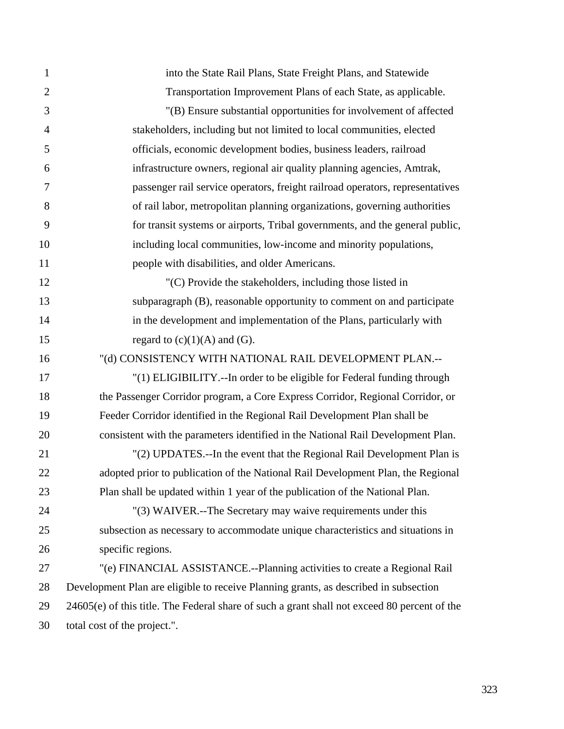| $\mathbf{1}$   | into the State Rail Plans, State Freight Plans, and Statewide                                |
|----------------|----------------------------------------------------------------------------------------------|
| $\overline{2}$ | Transportation Improvement Plans of each State, as applicable.                               |
| 3              | "(B) Ensure substantial opportunities for involvement of affected                            |
| $\overline{4}$ | stakeholders, including but not limited to local communities, elected                        |
| 5              | officials, economic development bodies, business leaders, railroad                           |
| 6              | infrastructure owners, regional air quality planning agencies, Amtrak,                       |
| 7              | passenger rail service operators, freight railroad operators, representatives                |
| 8              | of rail labor, metropolitan planning organizations, governing authorities                    |
| 9              | for transit systems or airports, Tribal governments, and the general public,                 |
| 10             | including local communities, low-income and minority populations,                            |
| 11             | people with disabilities, and older Americans.                                               |
| 12             | "(C) Provide the stakeholders, including those listed in                                     |
| 13             | subparagraph (B), reasonable opportunity to comment on and participate                       |
| 14             | in the development and implementation of the Plans, particularly with                        |
| 15             | regard to $(c)(1)(A)$ and $(G)$ .                                                            |
| 16             | "(d) CONSISTENCY WITH NATIONAL RAIL DEVELOPMENT PLAN.--                                      |
| 17             | "(1) ELIGIBILITY .-- In order to be eligible for Federal funding through                     |
| 18             | the Passenger Corridor program, a Core Express Corridor, Regional Corridor, or               |
| 19             | Feeder Corridor identified in the Regional Rail Development Plan shall be                    |
| 20             | consistent with the parameters identified in the National Rail Development Plan.             |
| 21             | "(2) UPDATES.--In the event that the Regional Rail Development Plan is                       |
| 22             | adopted prior to publication of the National Rail Development Plan, the Regional             |
| 23             | Plan shall be updated within 1 year of the publication of the National Plan.                 |
| 24             | "(3) WAIVER.--The Secretary may waive requirements under this                                |
| 25             | subsection as necessary to accommodate unique characteristics and situations in              |
| 26             | specific regions.                                                                            |
| 27             | "(e) FINANCIAL ASSISTANCE.--Planning activities to create a Regional Rail                    |
| 28             | Development Plan are eligible to receive Planning grants, as described in subsection         |
| 29             | 24605(e) of this title. The Federal share of such a grant shall not exceed 80 percent of the |
| 30             | total cost of the project.".                                                                 |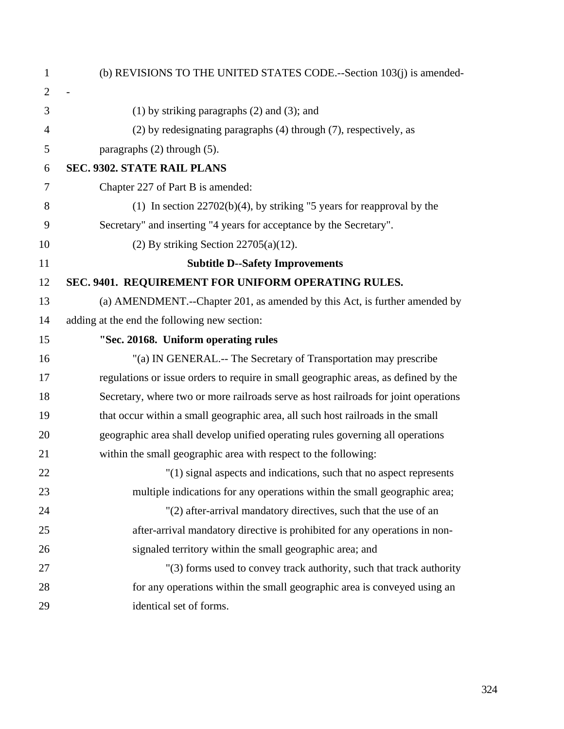| $\mathbf{1}$   | (b) REVISIONS TO THE UNITED STATES CODE.--Section 103(j) is amended-                |
|----------------|-------------------------------------------------------------------------------------|
| $\overline{2}$ |                                                                                     |
| 3              | $(1)$ by striking paragraphs $(2)$ and $(3)$ ; and                                  |
| $\overline{4}$ | (2) by redesignating paragraphs (4) through (7), respectively, as                   |
| 5              | paragraphs $(2)$ through $(5)$ .                                                    |
| 6              | <b>SEC. 9302. STATE RAIL PLANS</b>                                                  |
| 7              | Chapter 227 of Part B is amended:                                                   |
| 8              | (1) In section $22702(b)(4)$ , by striking "5 years for reapproval by the           |
| 9              | Secretary" and inserting "4 years for acceptance by the Secretary".                 |
| 10             | $(2)$ By striking Section 22705 $(a)(12)$ .                                         |
| 11             | <b>Subtitle D--Safety Improvements</b>                                              |
| 12             | SEC. 9401. REQUIREMENT FOR UNIFORM OPERATING RULES.                                 |
| 13             | (a) AMENDMENT.--Chapter 201, as amended by this Act, is further amended by          |
| 14             | adding at the end the following new section:                                        |
| 15             | "Sec. 20168. Uniform operating rules                                                |
| 16             | "(a) IN GENERAL.-- The Secretary of Transportation may prescribe                    |
| 17             | regulations or issue orders to require in small geographic areas, as defined by the |
| 18             | Secretary, where two or more railroads serve as host railroads for joint operations |
| 19             | that occur within a small geographic area, all such host railroads in the small     |
| 20             | geographic area shall develop unified operating rules governing all operations      |
| 21             | within the small geographic area with respect to the following:                     |
| 22             | "(1) signal aspects and indications, such that no aspect represents                 |
| 23             | multiple indications for any operations within the small geographic area;           |
| 24             | "(2) after-arrival mandatory directives, such that the use of an                    |
| 25             | after-arrival mandatory directive is prohibited for any operations in non-          |
| 26             | signaled territory within the small geographic area; and                            |
| 27             | "(3) forms used to convey track authority, such that track authority                |
| 28             | for any operations within the small geographic area is conveyed using an            |
| 29             | identical set of forms.                                                             |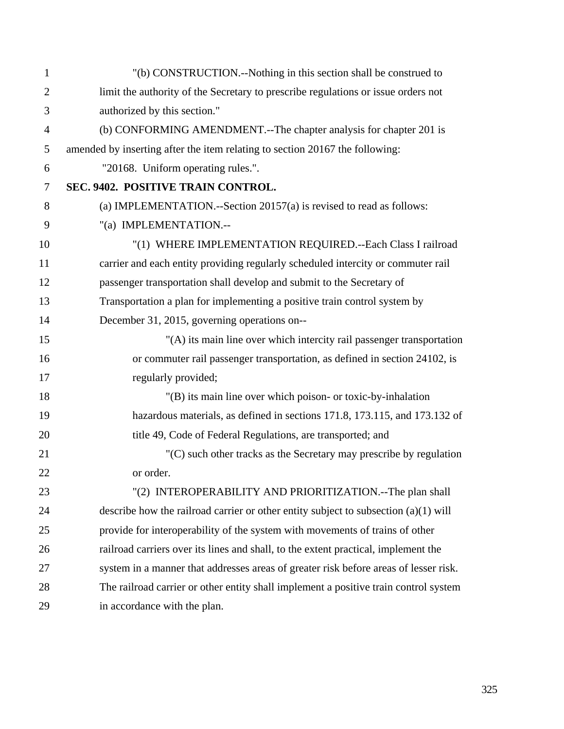| $\mathbf{1}$   | "(b) CONSTRUCTION.--Nothing in this section shall be construed to                     |
|----------------|---------------------------------------------------------------------------------------|
| 2              | limit the authority of the Secretary to prescribe regulations or issue orders not     |
| 3              | authorized by this section."                                                          |
| $\overline{4}$ | (b) CONFORMING AMENDMENT.--The chapter analysis for chapter 201 is                    |
| 5              | amended by inserting after the item relating to section 20167 the following:          |
| 6              | "20168. Uniform operating rules.".                                                    |
| $\tau$         | SEC. 9402. POSITIVE TRAIN CONTROL.                                                    |
| 8              | (a) IMPLEMENTATION.--Section $20157(a)$ is revised to read as follows:                |
| 9              | "(a) IMPLEMENTATION .--                                                               |
| 10             | "(1) WHERE IMPLEMENTATION REQUIRED.--Each Class I railroad                            |
| 11             | carrier and each entity providing regularly scheduled intercity or commuter rail      |
| 12             | passenger transportation shall develop and submit to the Secretary of                 |
| 13             | Transportation a plan for implementing a positive train control system by             |
| 14             | December 31, 2015, governing operations on--                                          |
| 15             | "(A) its main line over which intercity rail passenger transportation                 |
| 16             | or commuter rail passenger transportation, as defined in section 24102, is            |
| 17             | regularly provided;                                                                   |
| 18             | "(B) its main line over which poison- or toxic-by-inhalation                          |
| 19             | hazardous materials, as defined in sections 171.8, 173.115, and 173.132 of            |
| 20             | title 49, Code of Federal Regulations, are transported; and                           |
| 21             | $(C)$ such other tracks as the Secretary may prescribe by regulation                  |
| 22             | or order.                                                                             |
| 23             | "(2) INTEROPERABILITY AND PRIORITIZATION.--The plan shall                             |
| 24             | describe how the railroad carrier or other entity subject to subsection $(a)(1)$ will |
| 25             | provide for interoperability of the system with movements of trains of other          |
| 26             | railroad carriers over its lines and shall, to the extent practical, implement the    |
| 27             | system in a manner that addresses areas of greater risk before areas of lesser risk.  |
| 28             | The railroad carrier or other entity shall implement a positive train control system  |
| 29             | in accordance with the plan.                                                          |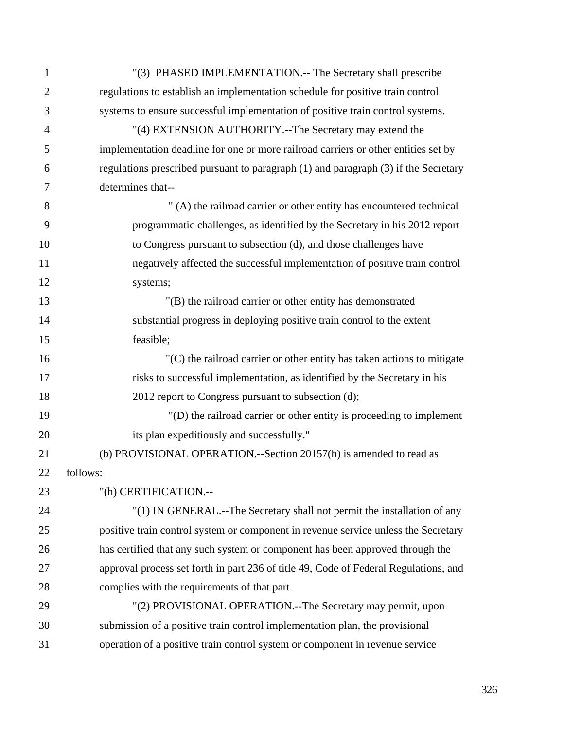| $\mathbf{1}$   | "(3) PHASED IMPLEMENTATION.-- The Secretary shall prescribe                          |
|----------------|--------------------------------------------------------------------------------------|
| $\overline{2}$ | regulations to establish an implementation schedule for positive train control       |
| 3              | systems to ensure successful implementation of positive train control systems.       |
| $\overline{4}$ | "(4) EXTENSION AUTHORITY.--The Secretary may extend the                              |
| 5              | implementation deadline for one or more railroad carriers or other entities set by   |
| 6              | regulations prescribed pursuant to paragraph (1) and paragraph (3) if the Secretary  |
| 7              | determines that--                                                                    |
| 8              | " (A) the railroad carrier or other entity has encountered technical                 |
| 9              | programmatic challenges, as identified by the Secretary in his 2012 report           |
| 10             | to Congress pursuant to subsection (d), and those challenges have                    |
| 11             | negatively affected the successful implementation of positive train control          |
| 12             | systems;                                                                             |
| 13             | "(B) the railroad carrier or other entity has demonstrated                           |
| 14             | substantial progress in deploying positive train control to the extent               |
| 15             | feasible;                                                                            |
| 16             | $C$ ) the railroad carrier or other entity has taken actions to mitigate             |
| 17             | risks to successful implementation, as identified by the Secretary in his            |
| 18             | 2012 report to Congress pursuant to subsection (d);                                  |
| 19             | "(D) the railroad carrier or other entity is proceeding to implement                 |
| 20             | its plan expeditiously and successfully."                                            |
| 21             | (b) PROVISIONAL OPERATION.--Section 20157(h) is amended to read as                   |
| 22             | follows:                                                                             |
| 23             | "(h) CERTIFICATION.--                                                                |
| 24             | "(1) IN GENERAL.--The Secretary shall not permit the installation of any             |
| 25             | positive train control system or component in revenue service unless the Secretary   |
| 26             | has certified that any such system or component has been approved through the        |
| 27             | approval process set forth in part 236 of title 49, Code of Federal Regulations, and |
| 28             | complies with the requirements of that part.                                         |
| 29             | "(2) PROVISIONAL OPERATION.--The Secretary may permit, upon                          |
| 30             | submission of a positive train control implementation plan, the provisional          |
| 31             | operation of a positive train control system or component in revenue service         |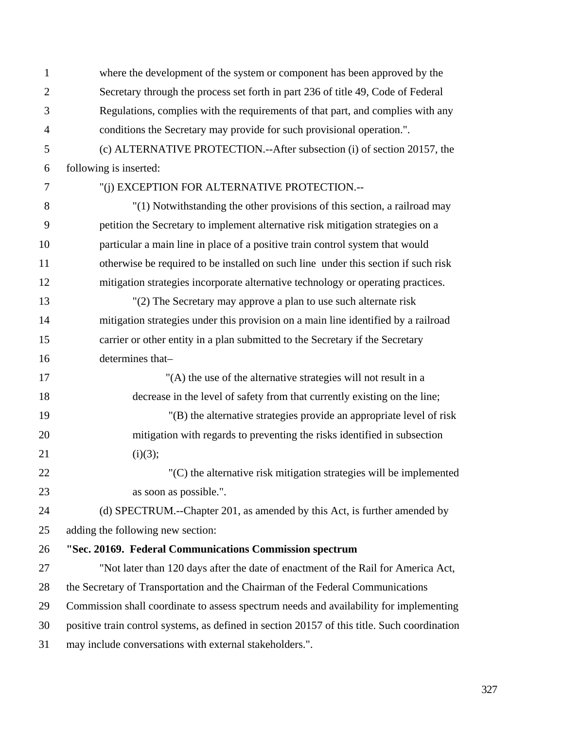| $\mathbf{1}$   | where the development of the system or component has been approved by the                    |  |  |
|----------------|----------------------------------------------------------------------------------------------|--|--|
| $\overline{2}$ | Secretary through the process set forth in part 236 of title 49, Code of Federal             |  |  |
| 3              | Regulations, complies with the requirements of that part, and complies with any              |  |  |
| $\overline{4}$ | conditions the Secretary may provide for such provisional operation.".                       |  |  |
| 5              | (c) ALTERNATIVE PROTECTION.--After subsection (i) of section 20157, the                      |  |  |
| 6              | following is inserted:                                                                       |  |  |
| $\tau$         | "(i) EXCEPTION FOR ALTERNATIVE PROTECTION.--                                                 |  |  |
| 8              | "(1) Notwithstanding the other provisions of this section, a railroad may                    |  |  |
| 9              | petition the Secretary to implement alternative risk mitigation strategies on a              |  |  |
| 10             | particular a main line in place of a positive train control system that would                |  |  |
| 11             | otherwise be required to be installed on such line under this section if such risk           |  |  |
| 12             | mitigation strategies incorporate alternative technology or operating practices.             |  |  |
| 13             | "(2) The Secretary may approve a plan to use such alternate risk                             |  |  |
| 14             | mitigation strategies under this provision on a main line identified by a railroad           |  |  |
| 15             | carrier or other entity in a plan submitted to the Secretary if the Secretary                |  |  |
| 16             | determines that-                                                                             |  |  |
| 17             | "(A) the use of the alternative strategies will not result in a                              |  |  |
| 18             | decrease in the level of safety from that currently existing on the line;                    |  |  |
| 19             | "(B) the alternative strategies provide an appropriate level of risk                         |  |  |
| 20             | mitigation with regards to preventing the risks identified in subsection                     |  |  |
| 21             | (i)(3);                                                                                      |  |  |
| 22             | "(C) the alternative risk mitigation strategies will be implemented                          |  |  |
| 23             | as soon as possible.".                                                                       |  |  |
| 24             | (d) SPECTRUM.--Chapter 201, as amended by this Act, is further amended by                    |  |  |
| 25             | adding the following new section:                                                            |  |  |
| 26             | "Sec. 20169. Federal Communications Commission spectrum                                      |  |  |
| 27             | "Not later than 120 days after the date of enactment of the Rail for America Act,            |  |  |
| 28             | the Secretary of Transportation and the Chairman of the Federal Communications               |  |  |
| 29             | Commission shall coordinate to assess spectrum needs and availability for implementing       |  |  |
| 30             | positive train control systems, as defined in section 20157 of this title. Such coordination |  |  |
| 31             | may include conversations with external stakeholders.".                                      |  |  |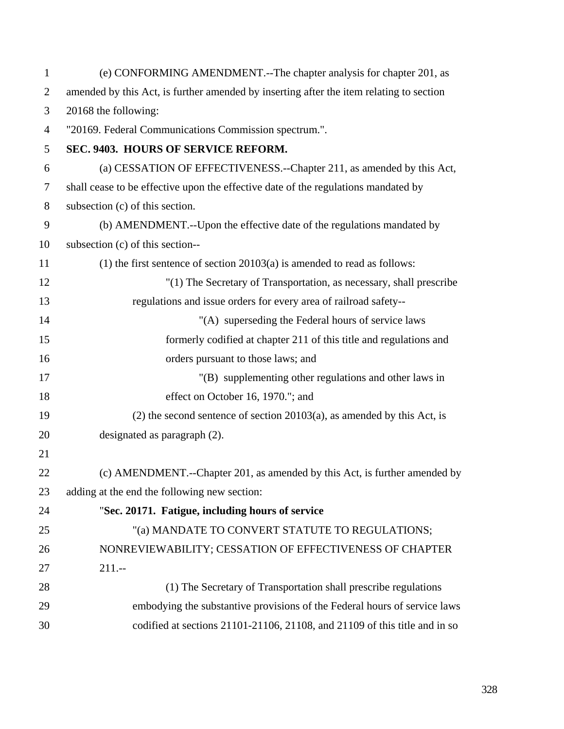| $\mathbf{1}$   | (e) CONFORMING AMENDMENT.--The chapter analysis for chapter 201, as                     |  |
|----------------|-----------------------------------------------------------------------------------------|--|
| $\overline{2}$ | amended by this Act, is further amended by inserting after the item relating to section |  |
| 3              | 20168 the following:                                                                    |  |
| $\overline{4}$ | "20169. Federal Communications Commission spectrum.".                                   |  |
| 5              | SEC. 9403. HOURS OF SERVICE REFORM.                                                     |  |
| 6              | (a) CESSATION OF EFFECTIVENESS.--Chapter 211, as amended by this Act,                   |  |
| $\tau$         | shall cease to be effective upon the effective date of the regulations mandated by      |  |
| $8\,$          | subsection (c) of this section.                                                         |  |
| 9              | (b) AMENDMENT.--Upon the effective date of the regulations mandated by                  |  |
| 10             | subsection (c) of this section--                                                        |  |
| 11             | $(1)$ the first sentence of section 20103(a) is amended to read as follows:             |  |
| 12             | "(1) The Secretary of Transportation, as necessary, shall prescribe                     |  |
| 13             | regulations and issue orders for every area of railroad safety--                        |  |
| 14             | "(A) superseding the Federal hours of service laws                                      |  |
| 15             | formerly codified at chapter 211 of this title and regulations and                      |  |
| 16             | orders pursuant to those laws; and                                                      |  |
| 17             | "(B) supplementing other regulations and other laws in                                  |  |
| 18             | effect on October 16, 1970."; and                                                       |  |
| 19             | $(2)$ the second sentence of section 20103 $(a)$ , as amended by this Act, is           |  |
| 20             | designated as paragraph (2).                                                            |  |
| 21             |                                                                                         |  |
| 22             | (c) AMENDMENT.--Chapter 201, as amended by this Act, is further amended by              |  |
| 23             | adding at the end the following new section:                                            |  |
| 24             | "Sec. 20171. Fatigue, including hours of service                                        |  |
| 25             | "(a) MANDATE TO CONVERT STATUTE TO REGULATIONS;                                         |  |
| 26             | NONREVIEWABILITY; CESSATION OF EFFECTIVENESS OF CHAPTER                                 |  |
| 27             | $211--$                                                                                 |  |
| 28             | (1) The Secretary of Transportation shall prescribe regulations                         |  |
| 29             | embodying the substantive provisions of the Federal hours of service laws               |  |
| 30             | codified at sections 21101-21106, 21108, and 21109 of this title and in so              |  |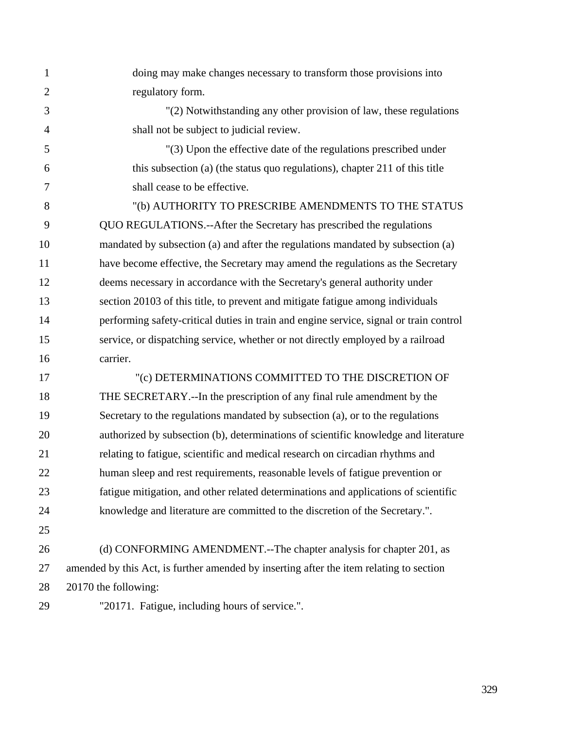1 doing may make changes necessary to transform those provisions into 2 regulatory form. 3 "(2) Notwithstanding any other provision of law, these regulations 4 shall not be subject to judicial review. 5 "(3) Upon the effective date of the regulations prescribed under 6 this subsection (a) (the status quo regulations), chapter 211 of this title 7 shall cease to be effective. 8 "(b) AUTHORITY TO PRESCRIBE AMENDMENTS TO THE STATUS 9 QUO REGULATIONS.--After the Secretary has prescribed the regulations 10 mandated by subsection (a) and after the regulations mandated by subsection (a) 11 have become effective, the Secretary may amend the regulations as the Secretary 12 deems necessary in accordance with the Secretary's general authority under 13 section 20103 of this title, to prevent and mitigate fatigue among individuals 14 performing safety-critical duties in train and engine service, signal or train control 15 service, or dispatching service, whether or not directly employed by a railroad 16 carrier. 17 "(c) DETERMINATIONS COMMITTED TO THE DISCRETION OF 18 THE SECRETARY.--In the prescription of any final rule amendment by the 19 Secretary to the regulations mandated by subsection (a), or to the regulations 20 authorized by subsection (b), determinations of scientific knowledge and literature 21 relating to fatigue, scientific and medical research on circadian rhythms and 22 human sleep and rest requirements, reasonable levels of fatigue prevention or 23 fatigue mitigation, and other related determinations and applications of scientific 24 knowledge and literature are committed to the discretion of the Secretary.". 25 26 (d) CONFORMING AMENDMENT.--The chapter analysis for chapter 201, as 27 amended by this Act, is further amended by inserting after the item relating to section 28 20170 the following: 29 "20171. Fatigue, including hours of service.".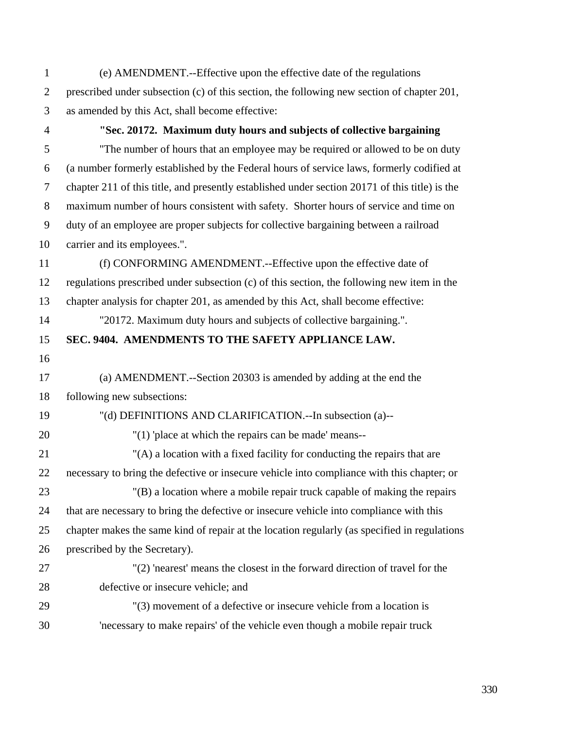- 1 (e) AMENDMENT.--Effective upon the effective date of the regulations 2 prescribed under subsection (c) of this section, the following new section of chapter 201, 3 as amended by this Act, shall become effective:
- 

## 4 **"Sec. 20172. Maximum duty hours and subjects of collective bargaining**

5 "The number of hours that an employee may be required or allowed to be on duty 6 (a number formerly established by the Federal hours of service laws, formerly codified at 7 chapter 211 of this title, and presently established under section 20171 of this title) is the 8 maximum number of hours consistent with safety. Shorter hours of service and time on 9 duty of an employee are proper subjects for collective bargaining between a railroad 10 carrier and its employees.".

11 (f) CONFORMING AMENDMENT.--Effective upon the effective date of 12 regulations prescribed under subsection (c) of this section, the following new item in the 13 chapter analysis for chapter 201, as amended by this Act, shall become effective:

14 "20172. Maximum duty hours and subjects of collective bargaining.".

# 15 **SEC. 9404. AMENDMENTS TO THE SAFETY APPLIANCE LAW.**

16

# 17 (a) AMENDMENT.--Section 20303 is amended by adding at the end the 18 following new subsections:

- 19 "(d) DEFINITIONS AND CLARIFICATION.--In subsection (a)--
- 20 "(1) 'place at which the repairs can be made' means--
- 21 "(A) a location with a fixed facility for conducting the repairs that are 22 necessary to bring the defective or insecure vehicle into compliance with this chapter; or 23 "(B) a location where a mobile repair truck capable of making the repairs

24 that are necessary to bring the defective or insecure vehicle into compliance with this 25 chapter makes the same kind of repair at the location regularly (as specified in regulations 26 prescribed by the Secretary).

- 27 "(2) 'nearest' means the closest in the forward direction of travel for the 28 defective or insecure vehicle; and
- 29 "(3) movement of a defective or insecure vehicle from a location is 30 'necessary to make repairs' of the vehicle even though a mobile repair truck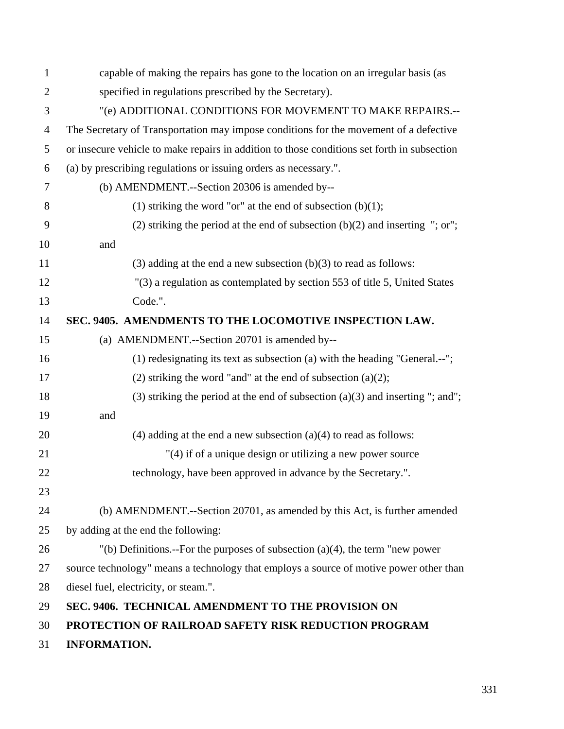| $\mathbf{1}$   | capable of making the repairs has gone to the location on an irregular basis (as            |  |  |
|----------------|---------------------------------------------------------------------------------------------|--|--|
| $\overline{2}$ | specified in regulations prescribed by the Secretary).                                      |  |  |
| 3              | "(e) ADDITIONAL CONDITIONS FOR MOVEMENT TO MAKE REPAIRS.--                                  |  |  |
| $\overline{4}$ | The Secretary of Transportation may impose conditions for the movement of a defective       |  |  |
| 5              | or insecure vehicle to make repairs in addition to those conditions set forth in subsection |  |  |
| 6              | (a) by prescribing regulations or issuing orders as necessary.".                            |  |  |
| 7              | (b) AMENDMENT.--Section 20306 is amended by--                                               |  |  |
| 8              | (1) striking the word "or" at the end of subsection $(b)(1)$ ;                              |  |  |
| 9              | (2) striking the period at the end of subsection $(b)(2)$ and inserting "; or";             |  |  |
| 10             | and                                                                                         |  |  |
| 11             | (3) adding at the end a new subsection $(b)(3)$ to read as follows:                         |  |  |
| 12             | "(3) a regulation as contemplated by section 553 of title 5, United States                  |  |  |
| 13             | Code.".                                                                                     |  |  |
| 14             | SEC. 9405. AMENDMENTS TO THE LOCOMOTIVE INSPECTION LAW.                                     |  |  |
| 15             | (a) AMENDMENT.--Section 20701 is amended by--                                               |  |  |
| 16             | (1) redesignating its text as subsection (a) with the heading "General.--";                 |  |  |
| 17             | (2) striking the word "and" at the end of subsection $(a)(2)$ ;                             |  |  |
| 18             | $(3)$ striking the period at the end of subsection $(a)(3)$ and inserting "; and";          |  |  |
| 19             | and                                                                                         |  |  |
| 20             | $(4)$ adding at the end a new subsection $(a)(4)$ to read as follows:                       |  |  |
| 21             | "(4) if of a unique design or utilizing a new power source                                  |  |  |
| 22             | technology, have been approved in advance by the Secretary.".                               |  |  |
| 23             |                                                                                             |  |  |
| 24             | (b) AMENDMENT.--Section 20701, as amended by this Act, is further amended                   |  |  |
| 25             | by adding at the end the following:                                                         |  |  |
| 26             | $'(b)$ Definitions.--For the purposes of subsection (a)(4), the term "new power"            |  |  |
| 27             | source technology" means a technology that employs a source of motive power other than      |  |  |
| 28             | diesel fuel, electricity, or steam.".                                                       |  |  |
| 29             | SEC. 9406. TECHNICAL AMENDMENT TO THE PROVISION ON                                          |  |  |
| 30             | PROTECTION OF RAILROAD SAFETY RISK REDUCTION PROGRAM                                        |  |  |
| 31             | <b>INFORMATION.</b>                                                                         |  |  |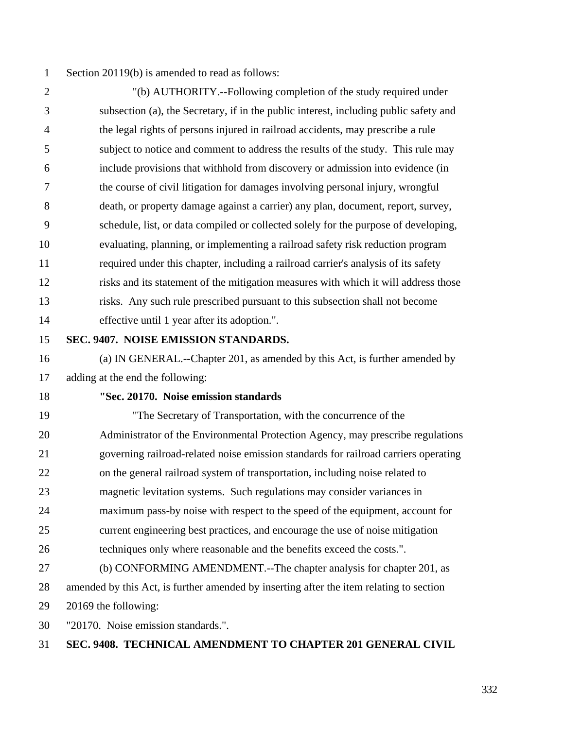1 Section 20119(b) is amended to read as follows:

2 "(b) AUTHORITY.--Following completion of the study required under 3 subsection (a), the Secretary, if in the public interest, including public safety and 4 the legal rights of persons injured in railroad accidents, may prescribe a rule 5 subject to notice and comment to address the results of the study. This rule may 6 include provisions that withhold from discovery or admission into evidence (in 7 the course of civil litigation for damages involving personal injury, wrongful 8 death, or property damage against a carrier) any plan, document, report, survey, 9 schedule, list, or data compiled or collected solely for the purpose of developing, 10 evaluating, planning, or implementing a railroad safety risk reduction program 11 required under this chapter, including a railroad carrier's analysis of its safety 12 risks and its statement of the mitigation measures with which it will address those 13 risks. Any such rule prescribed pursuant to this subsection shall not become 14 effective until 1 year after its adoption.".

15 **SEC. 9407. NOISE EMISSION STANDARDS.** 

16 (a) IN GENERAL.--Chapter 201, as amended by this Act, is further amended by 17 adding at the end the following:

### 18 **"Sec. 20170. Noise emission standards**

19 "The Secretary of Transportation, with the concurrence of the 20 Administrator of the Environmental Protection Agency, may prescribe regulations 21 governing railroad-related noise emission standards for railroad carriers operating 22 on the general railroad system of transportation, including noise related to 23 magnetic levitation systems. Such regulations may consider variances in 24 maximum pass-by noise with respect to the speed of the equipment, account for 25 current engineering best practices, and encourage the use of noise mitigation 26 techniques only where reasonable and the benefits exceed the costs.". 27 (b) CONFORMING AMENDMENT.--The chapter analysis for chapter 201, as 28 amended by this Act, is further amended by inserting after the item relating to section 29 20169 the following:

30 "20170. Noise emission standards.".

## 31 **SEC. 9408. TECHNICAL AMENDMENT TO CHAPTER 201 GENERAL CIVIL**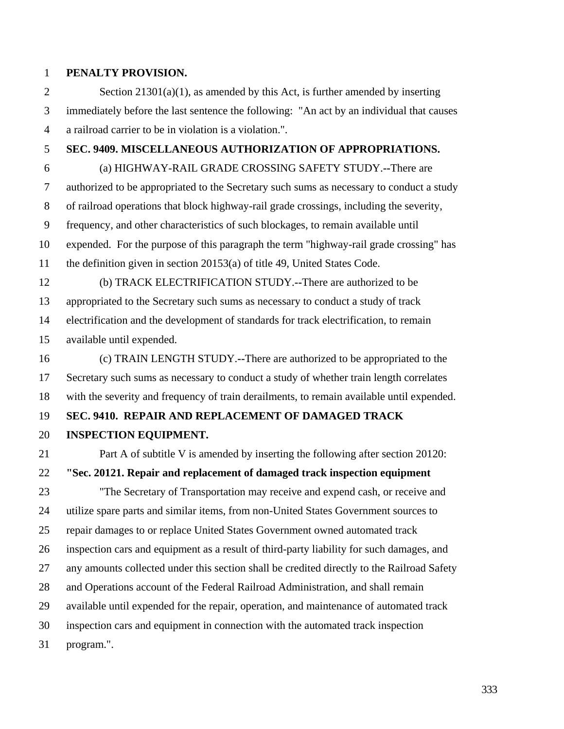#### 1 **PENALTY PROVISION.**

2 Section 21301(a)(1), as amended by this Act, is further amended by inserting 3 immediately before the last sentence the following: "An act by an individual that causes 4 a railroad carrier to be in violation is a violation.".

# 5 **SEC. 9409. MISCELLANEOUS AUTHORIZATION OF APPROPRIATIONS.**

6 (a) HIGHWAY-RAIL GRADE CROSSING SAFETY STUDY.**--**There are 7 authorized to be appropriated to the Secretary such sums as necessary to conduct a study 8 of railroad operations that block highway-rail grade crossings, including the severity, 9 frequency, and other characteristics of such blockages, to remain available until 10 expended. For the purpose of this paragraph the term "highway-rail grade crossing" has 11 the definition given in section 20153(a) of title 49, United States Code.

- 12 (b) TRACK ELECTRIFICATION STUDY.**--**There are authorized to be
- 13 appropriated to the Secretary such sums as necessary to conduct a study of track

14 electrification and the development of standards for track electrification, to remain 15 available until expended.

16 (c) TRAIN LENGTH STUDY.**--**There are authorized to be appropriated to the 17 Secretary such sums as necessary to conduct a study of whether train length correlates 18 with the severity and frequency of train derailments, to remain available until expended.

# 19 **SEC. 9410. REPAIR AND REPLACEMENT OF DAMAGED TRACK**

## 20 **INSPECTION EQUIPMENT.**

21 Part A of subtitle V is amended by inserting the following after section 20120:

## 22 **"Sec. 20121. Repair and replacement of damaged track inspection equipment**

23 "The Secretary of Transportation may receive and expend cash, or receive and 24 utilize spare parts and similar items, from non-United States Government sources to 25 repair damages to or replace United States Government owned automated track 26 inspection cars and equipment as a result of third-party liability for such damages, and 27 any amounts collected under this section shall be credited directly to the Railroad Safety 28 and Operations account of the Federal Railroad Administration, and shall remain 29 available until expended for the repair, operation, and maintenance of automated track 30 inspection cars and equipment in connection with the automated track inspection

31 program.".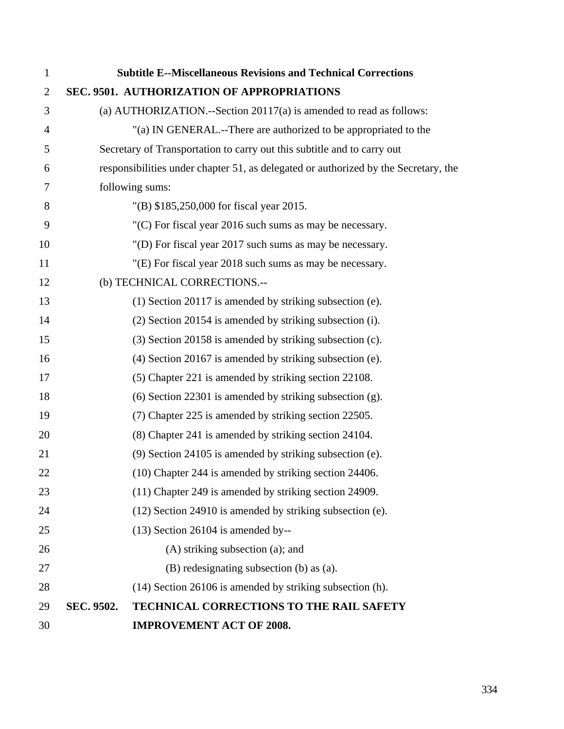| $\mathbf{1}$   |            | <b>Subtitle E--Miscellaneous Revisions and Technical Corrections</b>                |
|----------------|------------|-------------------------------------------------------------------------------------|
| $\overline{2}$ |            | SEC. 9501. AUTHORIZATION OF APPROPRIATIONS                                          |
| 3              |            | (a) AUTHORIZATION.--Section $20117(a)$ is amended to read as follows:               |
| 4              |            | "(a) IN GENERAL.--There are authorized to be appropriated to the                    |
| 5              |            | Secretary of Transportation to carry out this subtitle and to carry out             |
| 6              |            | responsibilities under chapter 51, as delegated or authorized by the Secretary, the |
| 7              |            | following sums:                                                                     |
| 8              |            | "(B) \$185,250,000 for fiscal year 2015.                                            |
| 9              |            | $(C)$ For fiscal year 2016 such sums as may be necessary.                           |
| 10             |            | "(D) For fiscal year 2017 such sums as may be necessary.                            |
| 11             |            | "(E) For fiscal year 2018 such sums as may be necessary.                            |
| 12             |            | (b) TECHNICAL CORRECTIONS.--                                                        |
| 13             |            | $(1)$ Section 20117 is amended by striking subsection (e).                          |
| 14             |            | (2) Section 20154 is amended by striking subsection (i).                            |
| 15             |            | (3) Section 20158 is amended by striking subsection (c).                            |
| 16             |            | $(4)$ Section 20167 is amended by striking subsection (e).                          |
| 17             |            | (5) Chapter 221 is amended by striking section 22108.                               |
| 18             |            | $(6)$ Section 22301 is amended by striking subsection $(g)$ .                       |
| 19             |            | (7) Chapter 225 is amended by striking section 22505.                               |
| 20             |            | (8) Chapter 241 is amended by striking section 24104.                               |
| 21             |            | (9) Section 24105 is amended by striking subsection (e).                            |
| 22             |            | (10) Chapter 244 is amended by striking section 24406.                              |
| 23             |            | (11) Chapter 249 is amended by striking section 24909.                              |
| 24             |            | (12) Section 24910 is amended by striking subsection (e).                           |
| 25             |            | $(13)$ Section 26104 is amended by--                                                |
| 26             |            | $(A)$ striking subsection $(a)$ ; and                                               |
| 27             |            | (B) redesignating subsection (b) as (a).                                            |
| 28             |            | (14) Section 26106 is amended by striking subsection (h).                           |
| 29             | SEC. 9502. | TECHNICAL CORRECTIONS TO THE RAIL SAFETY                                            |
| 30             |            | <b>IMPROVEMENT ACT OF 2008.</b>                                                     |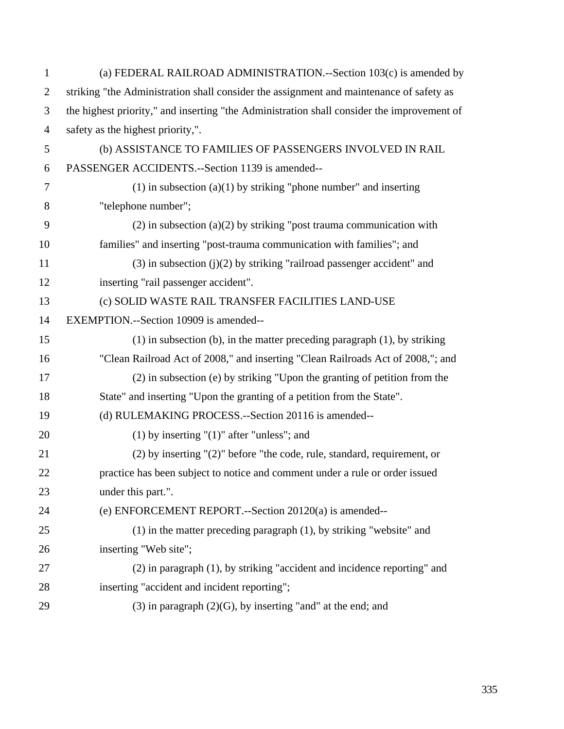| $\mathbf{1}$   | (a) FEDERAL RAILROAD ADMINISTRATION.--Section 103(c) is amended by                         |  |  |
|----------------|--------------------------------------------------------------------------------------------|--|--|
| $\overline{2}$ | striking "the Administration shall consider the assignment and maintenance of safety as    |  |  |
| 3              | the highest priority," and inserting "the Administration shall consider the improvement of |  |  |
| $\overline{4}$ | safety as the highest priority,".                                                          |  |  |
| 5              | (b) ASSISTANCE TO FAMILIES OF PASSENGERS INVOLVED IN RAIL                                  |  |  |
| 6              | PASSENGER ACCIDENTS.--Section 1139 is amended--                                            |  |  |
| 7              | $(1)$ in subsection $(a)(1)$ by striking "phone number" and inserting                      |  |  |
| 8              | "telephone number";                                                                        |  |  |
| 9              | $(2)$ in subsection $(a)(2)$ by striking "post trauma communication with                   |  |  |
| 10             | families" and inserting "post-trauma communication with families"; and                     |  |  |
| 11             | $(3)$ in subsection $(j)(2)$ by striking "railroad passenger accident" and                 |  |  |
| 12             | inserting "rail passenger accident".                                                       |  |  |
| 13             | (c) SOLID WASTE RAIL TRANSFER FACILITIES LAND-USE                                          |  |  |
| 14             | EXEMPTION.--Section 10909 is amended--                                                     |  |  |
| 15             | $(1)$ in subsection (b), in the matter preceding paragraph $(1)$ , by striking             |  |  |
| 16             | "Clean Railroad Act of 2008," and inserting "Clean Railroads Act of 2008,"; and            |  |  |
| 17             | (2) in subsection (e) by striking "Upon the granting of petition from the                  |  |  |
| 18             | State" and inserting "Upon the granting of a petition from the State".                     |  |  |
| 19             | (d) RULEMAKING PROCESS.--Section 20116 is amended--                                        |  |  |
| 20             | $(1)$ by inserting " $(1)$ " after "unless"; and                                           |  |  |
| 21             | $(2)$ by inserting " $(2)$ " before "the code, rule, standard, requirement, or             |  |  |
| 22             | practice has been subject to notice and comment under a rule or order issued               |  |  |
| 23             | under this part.".                                                                         |  |  |
| 24             | (e) ENFORCEMENT REPORT.--Section 20120(a) is amended--                                     |  |  |
| 25             | $(1)$ in the matter preceding paragraph $(1)$ , by striking "website" and                  |  |  |
| 26             | inserting "Web site";                                                                      |  |  |
| 27             | (2) in paragraph (1), by striking "accident and incidence reporting" and                   |  |  |
| 28             | inserting "accident and incident reporting";                                               |  |  |
| 29             | $(3)$ in paragraph $(2)(G)$ , by inserting "and" at the end; and                           |  |  |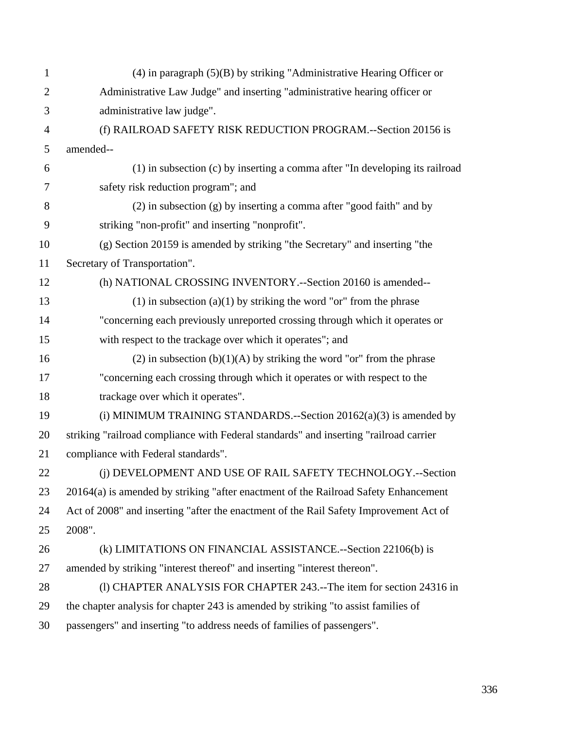| $\mathbf{1}$   | $(4)$ in paragraph $(5)(B)$ by striking "Administrative Hearing Officer or            |  |  |
|----------------|---------------------------------------------------------------------------------------|--|--|
| $\overline{2}$ | Administrative Law Judge" and inserting "administrative hearing officer or            |  |  |
| 3              | administrative law judge".                                                            |  |  |
| $\overline{4}$ | (f) RAILROAD SAFETY RISK REDUCTION PROGRAM.--Section 20156 is                         |  |  |
| 5              | amended--                                                                             |  |  |
| 6              | (1) in subsection (c) by inserting a comma after "In developing its railroad          |  |  |
| 7              | safety risk reduction program"; and                                                   |  |  |
| 8              | $(2)$ in subsection $(g)$ by inserting a comma after "good faith" and by              |  |  |
| 9              | striking "non-profit" and inserting "nonprofit".                                      |  |  |
| 10             | (g) Section 20159 is amended by striking "the Secretary" and inserting "the           |  |  |
| 11             | Secretary of Transportation".                                                         |  |  |
| 12             | (h) NATIONAL CROSSING INVENTORY.--Section 20160 is amended--                          |  |  |
| 13             | $(1)$ in subsection $(a)(1)$ by striking the word "or" from the phrase                |  |  |
| 14             | "concerning each previously unreported crossing through which it operates or          |  |  |
| 15             | with respect to the trackage over which it operates"; and                             |  |  |
| 16             | (2) in subsection $(b)(1)(A)$ by striking the word "or" from the phrase               |  |  |
| 17             | "concerning each crossing through which it operates or with respect to the            |  |  |
| 18             | trackage over which it operates".                                                     |  |  |
| 19             | (i) MINIMUM TRAINING STANDARDS.--Section $20162(a)(3)$ is amended by                  |  |  |
| 20             | striking "railroad compliance with Federal standards" and inserting "railroad carrier |  |  |
| 21             | compliance with Federal standards".                                                   |  |  |
| 22             | (i) DEVELOPMENT AND USE OF RAIL SAFETY TECHNOLOGY.--Section                           |  |  |
| 23             | 20164(a) is amended by striking "after enactment of the Railroad Safety Enhancement   |  |  |
| 24             | Act of 2008" and inserting "after the enactment of the Rail Safety Improvement Act of |  |  |
| 25             | 2008".                                                                                |  |  |
| 26             | (k) LIMITATIONS ON FINANCIAL ASSISTANCE.--Section 22106(b) is                         |  |  |
| 27             | amended by striking "interest thereof" and inserting "interest thereon".              |  |  |
| 28             | (1) CHAPTER ANALYSIS FOR CHAPTER 243.--The item for section 24316 in                  |  |  |
| 29             | the chapter analysis for chapter 243 is amended by striking "to assist families of    |  |  |
| 30             | passengers" and inserting "to address needs of families of passengers".               |  |  |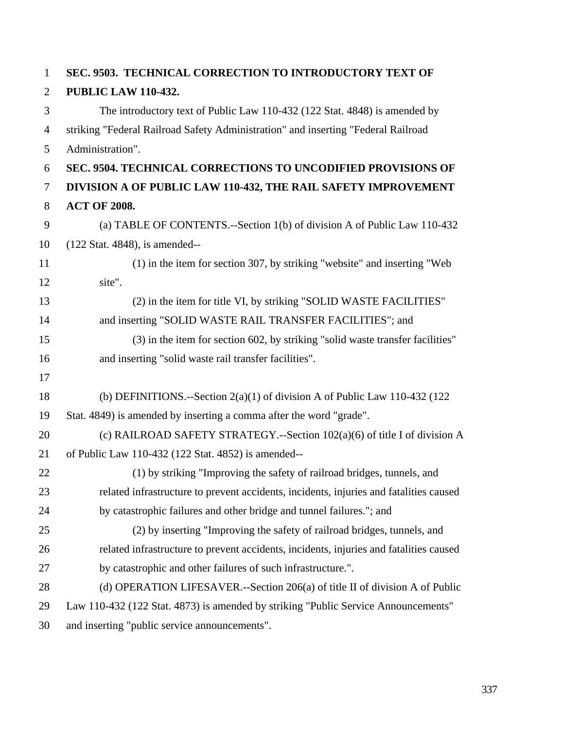| $\mathbf{1}$   | SEC. 9503. TECHNICAL CORRECTION TO INTRODUCTORY TEXT OF                                |  |
|----------------|----------------------------------------------------------------------------------------|--|
| $\overline{2}$ | <b>PUBLIC LAW 110-432.</b>                                                             |  |
| 3              | The introductory text of Public Law 110-432 (122 Stat. 4848) is amended by             |  |
| $\overline{4}$ | striking "Federal Railroad Safety Administration" and inserting "Federal Railroad      |  |
| 5              | Administration".                                                                       |  |
| 6              | <b>SEC. 9504. TECHNICAL CORRECTIONS TO UNCODIFIED PROVISIONS OF</b>                    |  |
| $\tau$         | DIVISION A OF PUBLIC LAW 110-432, THE RAIL SAFETY IMPROVEMENT                          |  |
| 8              | <b>ACT OF 2008.</b>                                                                    |  |
| 9              | (a) TABLE OF CONTENTS.--Section 1(b) of division A of Public Law 110-432               |  |
| 10             | (122 Stat. 4848), is amended--                                                         |  |
| 11             | (1) in the item for section 307, by striking "website" and inserting "Web              |  |
| 12             | site".                                                                                 |  |
| 13             | (2) in the item for title VI, by striking "SOLID WASTE FACILITIES"                     |  |
| 14             | and inserting "SOLID WASTE RAIL TRANSFER FACILITIES"; and                              |  |
| 15             | (3) in the item for section 602, by striking "solid waste transfer facilities"         |  |
| 16             | and inserting "solid waste rail transfer facilities".                                  |  |
| 17             |                                                                                        |  |
| 18             | (b) DEFINITIONS.--Section $2(a)(1)$ of division A of Public Law 110-432 (122)          |  |
| 19             | Stat. 4849) is amended by inserting a comma after the word "grade".                    |  |
| 20             | (c) RAILROAD SAFETY STRATEGY.--Section $102(a)(6)$ of title I of division A            |  |
| 21             | of Public Law 110-432 (122 Stat. 4852) is amended--                                    |  |
| 22             | (1) by striking "Improving the safety of railroad bridges, tunnels, and                |  |
| 23             | related infrastructure to prevent accidents, incidents, injuries and fatalities caused |  |
| 24             | by catastrophic failures and other bridge and tunnel failures."; and                   |  |
| 25             | (2) by inserting "Improving the safety of railroad bridges, tunnels, and               |  |
| 26             | related infrastructure to prevent accidents, incidents, injuries and fatalities caused |  |
| 27             | by catastrophic and other failures of such infrastructure.".                           |  |
| 28             | (d) OPERATION LIFESAVER.--Section 206(a) of title II of division A of Public           |  |
| 29             | Law 110-432 (122 Stat. 4873) is amended by striking "Public Service Announcements"     |  |
| 30             | and inserting "public service announcements".                                          |  |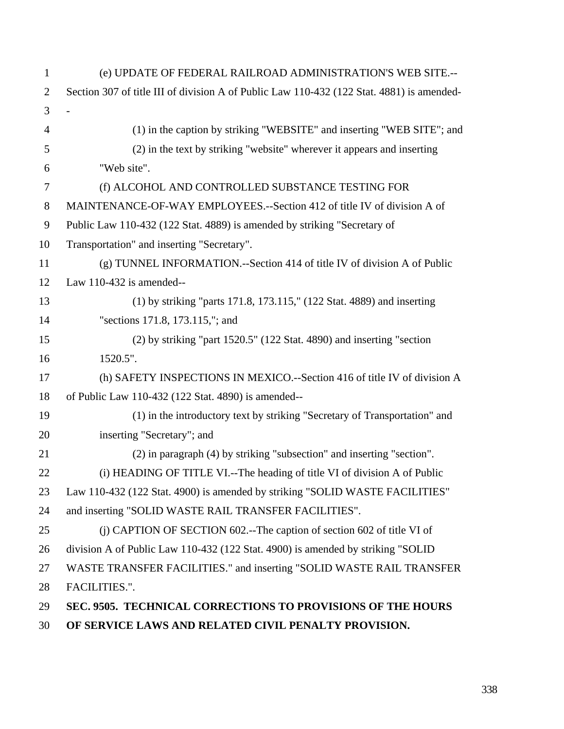| $\mathbf{1}$   | (e) UPDATE OF FEDERAL RAILROAD ADMINISTRATION'S WEB SITE.--                               |  |  |
|----------------|-------------------------------------------------------------------------------------------|--|--|
| $\overline{2}$ | Section 307 of title III of division A of Public Law 110-432 (122 Stat. 4881) is amended- |  |  |
| 3              |                                                                                           |  |  |
| $\overline{4}$ | (1) in the caption by striking "WEBSITE" and inserting "WEB SITE"; and                    |  |  |
| 5              | (2) in the text by striking "website" wherever it appears and inserting                   |  |  |
| 6              | "Web site".                                                                               |  |  |
| $\overline{7}$ | (f) ALCOHOL AND CONTROLLED SUBSTANCE TESTING FOR                                          |  |  |
| $8\phantom{1}$ | MAINTENANCE-OF-WAY EMPLOYEES.--Section 412 of title IV of division A of                   |  |  |
| 9              | Public Law 110-432 (122 Stat. 4889) is amended by striking "Secretary of                  |  |  |
| 10             | Transportation" and inserting "Secretary".                                                |  |  |
| 11             | (g) TUNNEL INFORMATION.--Section 414 of title IV of division A of Public                  |  |  |
| 12             | Law $110-432$ is amended--                                                                |  |  |
| 13             | (1) by striking "parts 171.8, 173.115," (122 Stat. 4889) and inserting                    |  |  |
| 14             | "sections 171.8, 173.115,"; and                                                           |  |  |
| 15             | $(2)$ by striking "part 1520.5" $(122 \text{ Stat. } 4890)$ and inserting "section        |  |  |
| 16             | 1520.5".                                                                                  |  |  |
| 17             | (h) SAFETY INSPECTIONS IN MEXICO.--Section 416 of title IV of division A                  |  |  |
| 18             | of Public Law 110-432 (122 Stat. 4890) is amended--                                       |  |  |
| 19             | (1) in the introductory text by striking "Secretary of Transportation" and                |  |  |
| 20             | inserting "Secretary"; and                                                                |  |  |
| 21             | (2) in paragraph (4) by striking "subsection" and inserting "section".                    |  |  |
| 22             | (i) HEADING OF TITLE VI.--The heading of title VI of division A of Public                 |  |  |
| 23             | Law 110-432 (122 Stat. 4900) is amended by striking "SOLID WASTE FACILITIES"              |  |  |
| 24             | and inserting "SOLID WASTE RAIL TRANSFER FACILITIES".                                     |  |  |
| 25             | (i) CAPTION OF SECTION 602.--The caption of section 602 of title VI of                    |  |  |
| 26             | division A of Public Law 110-432 (122 Stat. 4900) is amended by striking "SOLID           |  |  |
| 27             | WASTE TRANSFER FACILITIES." and inserting "SOLID WASTE RAIL TRANSFER                      |  |  |
| 28             | FACILITIES.".                                                                             |  |  |
| 29             | SEC. 9505. TECHNICAL CORRECTIONS TO PROVISIONS OF THE HOURS                               |  |  |
| 30             | OF SERVICE LAWS AND RELATED CIVIL PENALTY PROVISION.                                      |  |  |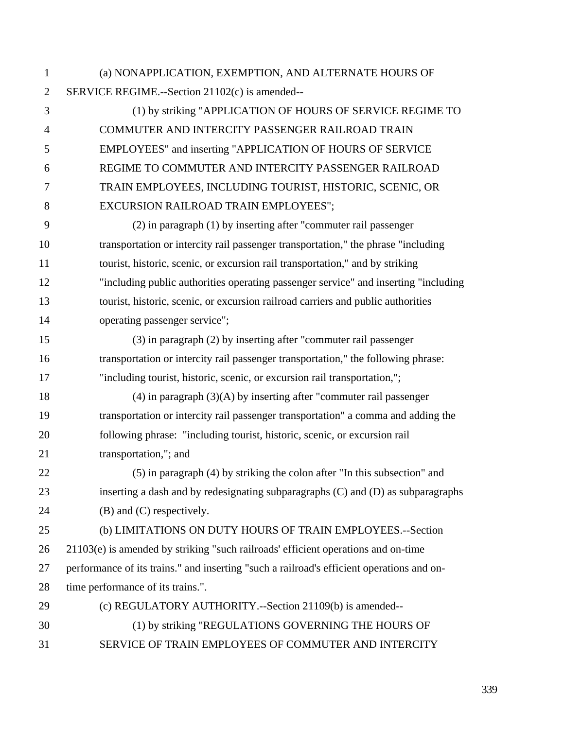1 (a) NONAPPLICATION, EXEMPTION, AND ALTERNATE HOURS OF 2 SERVICE REGIME.--Section 21102(c) is amended-- 3 (1) by striking "APPLICATION OF HOURS OF SERVICE REGIME TO 4 COMMUTER AND INTERCITY PASSENGER RAILROAD TRAIN 5 EMPLOYEES" and inserting "APPLICATION OF HOURS OF SERVICE 6 REGIME TO COMMUTER AND INTERCITY PASSENGER RAILROAD 7 TRAIN EMPLOYEES, INCLUDING TOURIST, HISTORIC, SCENIC, OR 8 EXCURSION RAILROAD TRAIN EMPLOYEES"; 9 (2) in paragraph (1) by inserting after "commuter rail passenger 10 transportation or intercity rail passenger transportation," the phrase "including

11 tourist, historic, scenic, or excursion rail transportation," and by striking 12 "including public authorities operating passenger service" and inserting "including 13 tourist, historic, scenic, or excursion railroad carriers and public authorities 14 operating passenger service";

- 15 (3) in paragraph (2) by inserting after "commuter rail passenger 16 transportation or intercity rail passenger transportation," the following phrase: 17 "including tourist, historic, scenic, or excursion rail transportation,";
- 18 (4) in paragraph  $(3)(A)$  by inserting after "commuter rail passenger 19 transportation or intercity rail passenger transportation" a comma and adding the 20 following phrase: "including tourist, historic, scenic, or excursion rail 21 transportation,"; and
- 22 (5) in paragraph (4) by striking the colon after "In this subsection" and 23 inserting a dash and by redesignating subparagraphs (C) and (D) as subparagraphs 24 (B) and (C) respectively.

25 (b) LIMITATIONS ON DUTY HOURS OF TRAIN EMPLOYEES.--Section 26 21103(e) is amended by striking "such railroads' efficient operations and on-time 27 performance of its trains." and inserting "such a railroad's efficient operations and on-28 time performance of its trains.".

- 29 (c) REGULATORY AUTHORITY.--Section 21109(b) is amended--
- 30 (1) by striking "REGULATIONS GOVERNING THE HOURS OF
- 31 SERVICE OF TRAIN EMPLOYEES OF COMMUTER AND INTERCITY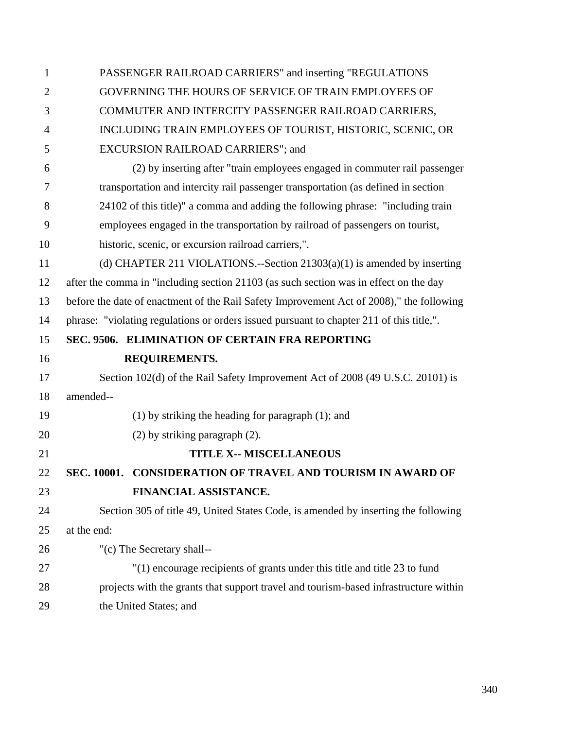| $\mathbf{1}$   | PASSENGER RAILROAD CARRIERS" and inserting "REGULATIONS                                  |  |  |
|----------------|------------------------------------------------------------------------------------------|--|--|
| $\overline{2}$ | GOVERNING THE HOURS OF SERVICE OF TRAIN EMPLOYEES OF                                     |  |  |
| 3              | COMMUTER AND INTERCITY PASSENGER RAILROAD CARRIERS,                                      |  |  |
| $\overline{4}$ | INCLUDING TRAIN EMPLOYEES OF TOURIST, HISTORIC, SCENIC, OR                               |  |  |
| 5              | EXCURSION RAILROAD CARRIERS"; and                                                        |  |  |
| 6              | (2) by inserting after "train employees engaged in commuter rail passenger               |  |  |
| 7              | transportation and intercity rail passenger transportation (as defined in section        |  |  |
| 8              | 24102 of this title)" a comma and adding the following phrase: "including train          |  |  |
| 9              | employees engaged in the transportation by railroad of passengers on tourist,            |  |  |
| 10             | historic, scenic, or excursion railroad carriers,".                                      |  |  |
| 11             | (d) CHAPTER 211 VIOLATIONS.--Section $21303(a)(1)$ is amended by inserting               |  |  |
| 12             | after the comma in "including section 21103 (as such section was in effect on the day    |  |  |
| 13             | before the date of enactment of the Rail Safety Improvement Act of 2008)," the following |  |  |
| 14             | phrase: "violating regulations or orders issued pursuant to chapter 211 of this title,". |  |  |
| 15             | SEC. 9506. ELIMINATION OF CERTAIN FRA REPORTING                                          |  |  |
| 16             | <b>REQUIREMENTS.</b>                                                                     |  |  |
| 17             | Section 102(d) of the Rail Safety Improvement Act of 2008 (49 U.S.C. 20101) is           |  |  |
| 18             | amended--                                                                                |  |  |
| 19             | $(1)$ by striking the heading for paragraph $(1)$ ; and                                  |  |  |
| 20             | (2) by striking paragraph (2).                                                           |  |  |
| 21             | <b>TITLE X-- MISCELLANEOUS</b>                                                           |  |  |
| 22             | <b>CONSIDERATION OF TRAVEL AND TOURISM IN AWARD OF</b><br>SEC. 10001.                    |  |  |
| 23             | FINANCIAL ASSISTANCE.                                                                    |  |  |
| 24             | Section 305 of title 49, United States Code, is amended by inserting the following       |  |  |
| 25             | at the end:                                                                              |  |  |
| 26             | "(c) The Secretary shall--                                                               |  |  |
| 27             | "(1) encourage recipients of grants under this title and title 23 to fund                |  |  |
| 28             | projects with the grants that support travel and tourism-based infrastructure within     |  |  |
| 29             | the United States; and                                                                   |  |  |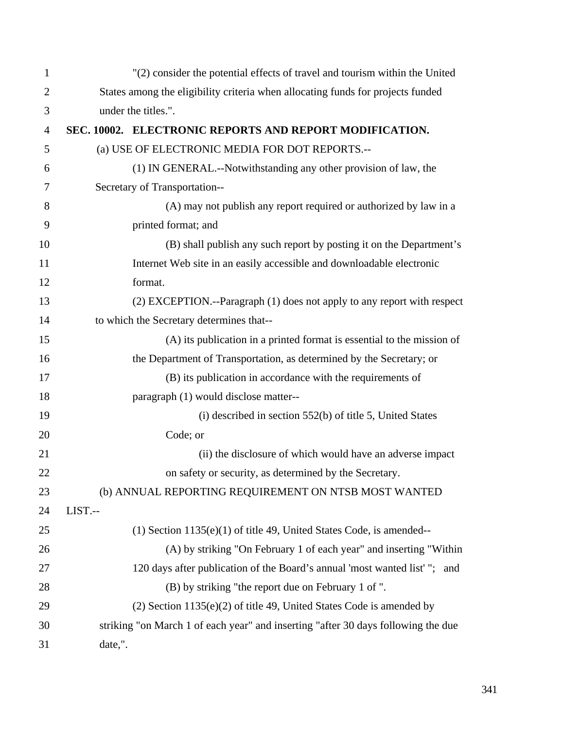| $\mathbf{1}$   | "(2) consider the potential effects of travel and tourism within the United     |                                                                                   |  |
|----------------|---------------------------------------------------------------------------------|-----------------------------------------------------------------------------------|--|
| $\overline{2}$ | States among the eligibility criteria when allocating funds for projects funded |                                                                                   |  |
| 3              | under the titles.".                                                             |                                                                                   |  |
| $\overline{4}$ |                                                                                 | SEC. 10002. ELECTRONIC REPORTS AND REPORT MODIFICATION.                           |  |
| 5              |                                                                                 | (a) USE OF ELECTRONIC MEDIA FOR DOT REPORTS.--                                    |  |
| 6              |                                                                                 | (1) IN GENERAL.--Notwithstanding any other provision of law, the                  |  |
| 7              |                                                                                 | Secretary of Transportation--                                                     |  |
| 8              |                                                                                 | (A) may not publish any report required or authorized by law in a                 |  |
| 9              |                                                                                 | printed format; and                                                               |  |
| 10             |                                                                                 | (B) shall publish any such report by posting it on the Department's               |  |
| 11             | Internet Web site in an easily accessible and downloadable electronic           |                                                                                   |  |
| 12             |                                                                                 | format.                                                                           |  |
| 13             |                                                                                 | (2) EXCEPTION.--Paragraph (1) does not apply to any report with respect           |  |
| 14             |                                                                                 | to which the Secretary determines that--                                          |  |
| 15             |                                                                                 | (A) its publication in a printed format is essential to the mission of            |  |
| 16             |                                                                                 | the Department of Transportation, as determined by the Secretary; or              |  |
| 17             |                                                                                 | (B) its publication in accordance with the requirements of                        |  |
| 18             |                                                                                 | paragraph (1) would disclose matter--                                             |  |
| 19             |                                                                                 | (i) described in section 552(b) of title 5, United States                         |  |
| 20             |                                                                                 | Code; or                                                                          |  |
| 21             |                                                                                 | (ii) the disclosure of which would have an adverse impact                         |  |
| 22             | on safety or security, as determined by the Secretary.                          |                                                                                   |  |
| 23             |                                                                                 | (b) ANNUAL REPORTING REQUIREMENT ON NTSB MOST WANTED                              |  |
| 24             | LIST.--                                                                         |                                                                                   |  |
| 25             |                                                                                 | $(1)$ Section 1135 $(e)(1)$ of title 49, United States Code, is amended--         |  |
| 26             |                                                                                 | (A) by striking "On February 1 of each year" and inserting "Within                |  |
| 27             |                                                                                 | 120 days after publication of the Board's annual 'most wanted list' "; and        |  |
| 28             |                                                                                 | (B) by striking "the report due on February 1 of ".                               |  |
| 29             |                                                                                 | $(2)$ Section 1135(e) $(2)$ of title 49, United States Code is amended by         |  |
| 30             |                                                                                 | striking "on March 1 of each year" and inserting "after 30 days following the due |  |
| 31             | date,".                                                                         |                                                                                   |  |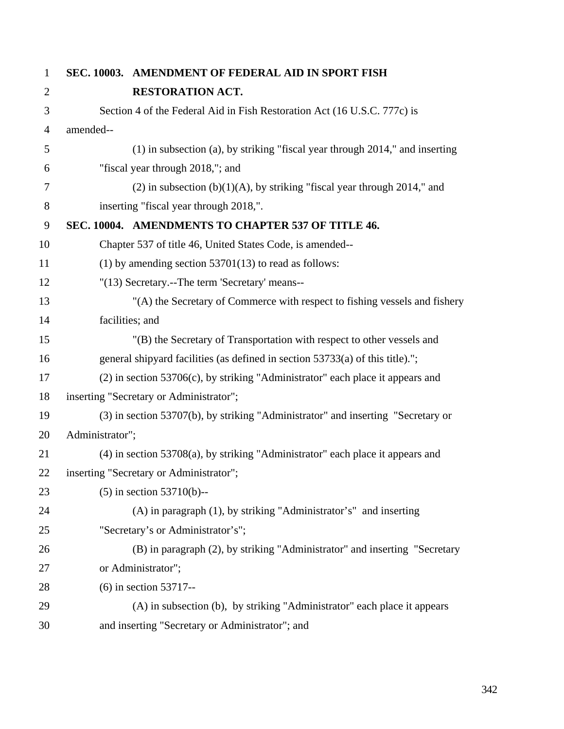| $\mathbf{1}$   |                                                                                  | SEC. 10003. AMENDMENT OF FEDERAL AID IN SPORT FISH                                   |
|----------------|----------------------------------------------------------------------------------|--------------------------------------------------------------------------------------|
| $\overline{2}$ |                                                                                  | <b>RESTORATION ACT.</b>                                                              |
| 3              | Section 4 of the Federal Aid in Fish Restoration Act (16 U.S.C. 777c) is         |                                                                                      |
| 4              | amended--                                                                        |                                                                                      |
| 5              |                                                                                  | $(1)$ in subsection (a), by striking "fiscal year through 2014," and inserting       |
| 6              |                                                                                  | "fiscal year through 2018,"; and                                                     |
| 7              |                                                                                  | $(2)$ in subsection $(b)(1)(A)$ , by striking "fiscal year through 2014," and        |
| 8              |                                                                                  | inserting "fiscal year through 2018,".                                               |
| 9              |                                                                                  | SEC. 10004. AMENDMENTS TO CHAPTER 537 OF TITLE 46.                                   |
| 10             |                                                                                  | Chapter 537 of title 46, United States Code, is amended--                            |
| 11             | $(1)$ by amending section 53701 $(13)$ to read as follows:                       |                                                                                      |
| 12             | "(13) Secretary.--The term 'Secretary' means--                                   |                                                                                      |
| 13             |                                                                                  | "(A) the Secretary of Commerce with respect to fishing vessels and fishery           |
| 14             |                                                                                  | facilities; and                                                                      |
| 15             |                                                                                  | "(B) the Secretary of Transportation with respect to other vessels and               |
| 16             |                                                                                  | general shipyard facilities (as defined in section 53733(a) of this title).";        |
| 17             |                                                                                  | $(2)$ in section 53706 $(c)$ , by striking "Administrator" each place it appears and |
| 18             | inserting "Secretary or Administrator";                                          |                                                                                      |
| 19             | (3) in section 53707(b), by striking "Administrator" and inserting "Secretary or |                                                                                      |
| 20             | Administrator";                                                                  |                                                                                      |
| 21             |                                                                                  | $(4)$ in section 53708 $(a)$ , by striking "Administrator" each place it appears and |
| 22             | inserting "Secretary or Administrator";                                          |                                                                                      |
| 23             |                                                                                  | $(5)$ in section 53710(b)--                                                          |
| 24             |                                                                                  | (A) in paragraph (1), by striking "Administrator's" and inserting                    |
| 25             |                                                                                  | "Secretary's or Administrator's";                                                    |
| 26             |                                                                                  | (B) in paragraph (2), by striking "Administrator" and inserting "Secretary           |
| 27             |                                                                                  | or Administrator";                                                                   |
| 28             |                                                                                  | $(6)$ in section 53717--                                                             |
| 29             | (A) in subsection (b), by striking "Administrator" each place it appears         |                                                                                      |
| 30             | and inserting "Secretary or Administrator"; and                                  |                                                                                      |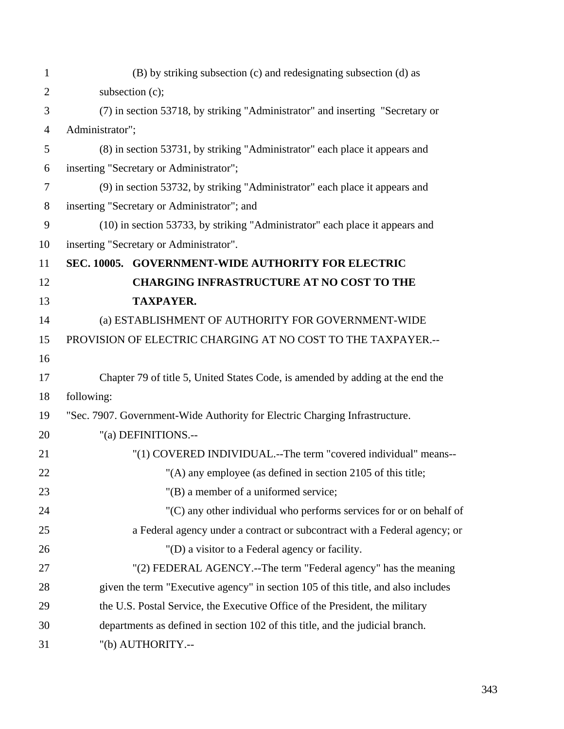| $\mathbf{1}$   | (B) by striking subsection (c) and redesignating subsection (d) as                |  |  |
|----------------|-----------------------------------------------------------------------------------|--|--|
| $\overline{2}$ | subsection (c);                                                                   |  |  |
| 3              | (7) in section 53718, by striking "Administrator" and inserting "Secretary or     |  |  |
| $\overline{4}$ | Administrator";                                                                   |  |  |
| 5              | (8) in section 53731, by striking "Administrator" each place it appears and       |  |  |
| 6              | inserting "Secretary or Administrator";                                           |  |  |
| $\overline{7}$ | (9) in section 53732, by striking "Administrator" each place it appears and       |  |  |
| 8              | inserting "Secretary or Administrator"; and                                       |  |  |
| 9              | (10) in section 53733, by striking "Administrator" each place it appears and      |  |  |
| 10             | inserting "Secretary or Administrator".                                           |  |  |
| 11             | SEC. 10005. GOVERNMENT-WIDE AUTHORITY FOR ELECTRIC                                |  |  |
| 12             | <b>CHARGING INFRASTRUCTURE AT NO COST TO THE</b>                                  |  |  |
| 13             | <b>TAXPAYER.</b>                                                                  |  |  |
| 14             | (a) ESTABLISHMENT OF AUTHORITY FOR GOVERNMENT-WIDE                                |  |  |
| 15             | PROVISION OF ELECTRIC CHARGING AT NO COST TO THE TAXPAYER.--                      |  |  |
| 16             |                                                                                   |  |  |
| 17             | Chapter 79 of title 5, United States Code, is amended by adding at the end the    |  |  |
| 18             | following:                                                                        |  |  |
| 19             | "Sec. 7907. Government-Wide Authority for Electric Charging Infrastructure.       |  |  |
| 20             | "(a) DEFINITIONS.--                                                               |  |  |
| 21             | "(1) COVERED INDIVIDUAL.--The term "covered individual" means--                   |  |  |
| 22             | "(A) any employee (as defined in section 2105 of this title;                      |  |  |
| 23             | "(B) a member of a uniformed service;                                             |  |  |
| 24             | "(C) any other individual who performs services for or on behalf of               |  |  |
| 25             | a Federal agency under a contract or subcontract with a Federal agency; or        |  |  |
| 26             | "(D) a visitor to a Federal agency or facility.                                   |  |  |
| 27             | "(2) FEDERAL AGENCY.--The term "Federal agency" has the meaning                   |  |  |
| 28             | given the term "Executive agency" in section 105 of this title, and also includes |  |  |
| 29             | the U.S. Postal Service, the Executive Office of the President, the military      |  |  |
| 30             | departments as defined in section 102 of this title, and the judicial branch.     |  |  |
| 31             | "(b) AUTHORITY.--                                                                 |  |  |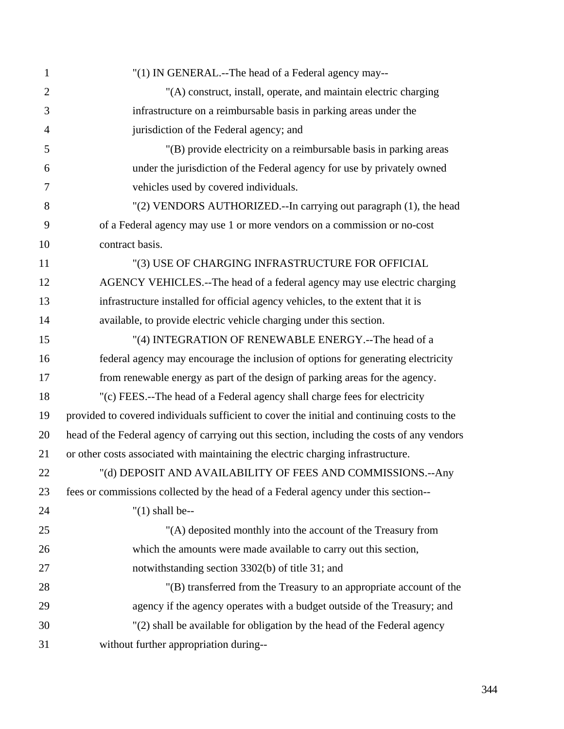| $\mathbf{1}$   | "(1) IN GENERAL.--The head of a Federal agency may--                                        |
|----------------|---------------------------------------------------------------------------------------------|
| $\overline{2}$ | "(A) construct, install, operate, and maintain electric charging                            |
| 3              | infrastructure on a reimbursable basis in parking areas under the                           |
| $\overline{4}$ | jurisdiction of the Federal agency; and                                                     |
| 5              | "(B) provide electricity on a reimbursable basis in parking areas                           |
| 6              | under the jurisdiction of the Federal agency for use by privately owned                     |
| 7              | vehicles used by covered individuals.                                                       |
| 8              | "(2) VENDORS AUTHORIZED.--In carrying out paragraph (1), the head                           |
| 9              | of a Federal agency may use 1 or more vendors on a commission or no-cost                    |
| 10             | contract basis.                                                                             |
| 11             | "(3) USE OF CHARGING INFRASTRUCTURE FOR OFFICIAL                                            |
| 12             | AGENCY VEHICLES.--The head of a federal agency may use electric charging                    |
| 13             | infrastructure installed for official agency vehicles, to the extent that it is             |
| 14             | available, to provide electric vehicle charging under this section.                         |
| 15             | "(4) INTEGRATION OF RENEWABLE ENERGY.--The head of a                                        |
| 16             | federal agency may encourage the inclusion of options for generating electricity            |
| 17             | from renewable energy as part of the design of parking areas for the agency.                |
| 18             | "(c) FEES.--The head of a Federal agency shall charge fees for electricity                  |
| 19             | provided to covered individuals sufficient to cover the initial and continuing costs to the |
| 20             | head of the Federal agency of carrying out this section, including the costs of any vendors |
| 21             | or other costs associated with maintaining the electric charging infrastructure.            |
| 22             | "(d) DEPOSIT AND AVAILABILITY OF FEES AND COMMISSIONS.-- Any                                |
| 23             | fees or commissions collected by the head of a Federal agency under this section--          |
| 24             | $''(1)$ shall be--                                                                          |
| 25             | "(A) deposited monthly into the account of the Treasury from                                |
| 26             | which the amounts were made available to carry out this section,                            |
| 27             | notwithstanding section 3302(b) of title 31; and                                            |
| 28             | "(B) transferred from the Treasury to an appropriate account of the                         |
| 29             | agency if the agency operates with a budget outside of the Treasury; and                    |
| 30             | "(2) shall be available for obligation by the head of the Federal agency                    |
| 31             | without further appropriation during--                                                      |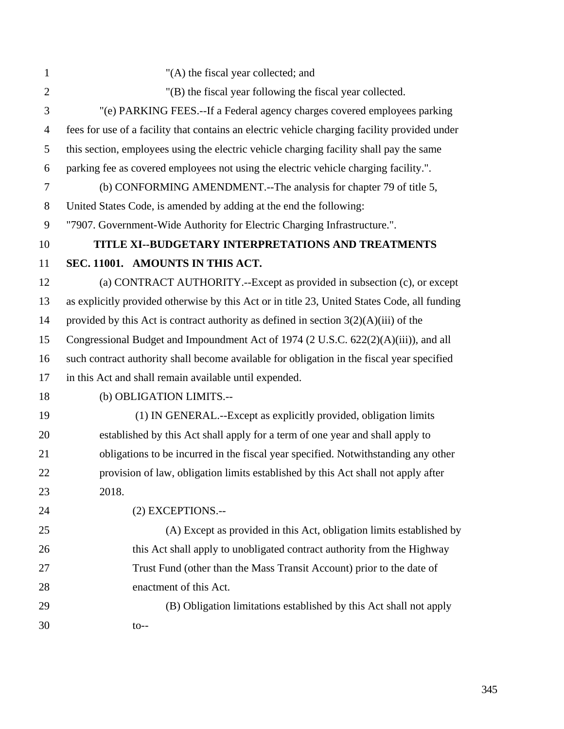| $\mathbf{1}$   | "(A) the fiscal year collected; and                                                           |
|----------------|-----------------------------------------------------------------------------------------------|
| $\overline{2}$ | "(B) the fiscal year following the fiscal year collected.                                     |
| 3              | "(e) PARKING FEES.--If a Federal agency charges covered employees parking                     |
| $\overline{4}$ | fees for use of a facility that contains an electric vehicle charging facility provided under |
| 5              | this section, employees using the electric vehicle charging facility shall pay the same       |
| 6              | parking fee as covered employees not using the electric vehicle charging facility.".          |
| $\overline{7}$ | (b) CONFORMING AMENDMENT.--The analysis for chapter 79 of title 5,                            |
| $8\,$          | United States Code, is amended by adding at the end the following:                            |
| 9              | "7907. Government-Wide Authority for Electric Charging Infrastructure.".                      |
| 10             | TITLE XI--BUDGETARY INTERPRETATIONS AND TREATMENTS                                            |
| 11             | SEC. 11001. AMOUNTS IN THIS ACT.                                                              |
| 12             | (a) CONTRACT AUTHORITY.--Except as provided in subsection (c), or except                      |
| 13             | as explicitly provided otherwise by this Act or in title 23, United States Code, all funding  |
| 14             | provided by this Act is contract authority as defined in section $3(2)(A)(iii)$ of the        |
| 15             | Congressional Budget and Impoundment Act of 1974 (2 U.S.C. 622(2)(A)(iii)), and all           |
| 16             | such contract authority shall become available for obligation in the fiscal year specified    |
| 17             | in this Act and shall remain available until expended.                                        |
| 18             | (b) OBLIGATION LIMITS.--                                                                      |
| 19             | (1) IN GENERAL.--Except as explicitly provided, obligation limits                             |
| 20             | established by this Act shall apply for a term of one year and shall apply to                 |
| 21             | obligations to be incurred in the fiscal year specified. Notwithstanding any other            |
| 22             | provision of law, obligation limits established by this Act shall not apply after             |
| 23             | 2018.                                                                                         |
| 24             | (2) EXCEPTIONS.--                                                                             |
| 25             | (A) Except as provided in this Act, obligation limits established by                          |
| 26             | this Act shall apply to unobligated contract authority from the Highway                       |
| 27             | Trust Fund (other than the Mass Transit Account) prior to the date of                         |
| 28             | enactment of this Act.                                                                        |
| 29             | (B) Obligation limitations established by this Act shall not apply                            |
| 30             | $to--$                                                                                        |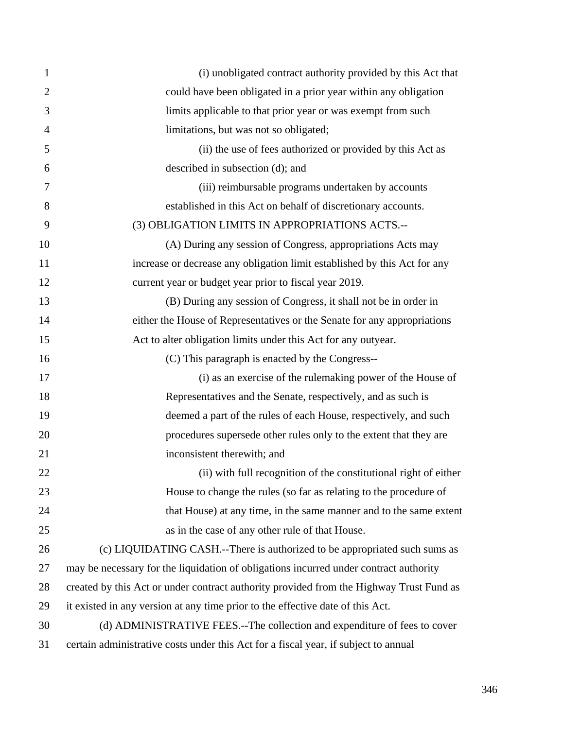| $\mathbf{1}$   | (i) unobligated contract authority provided by this Act that                            |
|----------------|-----------------------------------------------------------------------------------------|
| $\overline{2}$ | could have been obligated in a prior year within any obligation                         |
| 3              | limits applicable to that prior year or was exempt from such                            |
| $\overline{4}$ | limitations, but was not so obligated;                                                  |
| 5              | (ii) the use of fees authorized or provided by this Act as                              |
| 6              | described in subsection (d); and                                                        |
| 7              | (iii) reimbursable programs undertaken by accounts                                      |
| 8              | established in this Act on behalf of discretionary accounts.                            |
| 9              | (3) OBLIGATION LIMITS IN APPROPRIATIONS ACTS.--                                         |
| 10             | (A) During any session of Congress, appropriations Acts may                             |
| 11             | increase or decrease any obligation limit established by this Act for any               |
| 12             | current year or budget year prior to fiscal year 2019.                                  |
| 13             | (B) During any session of Congress, it shall not be in order in                         |
| 14             | either the House of Representatives or the Senate for any appropriations                |
| 15             | Act to alter obligation limits under this Act for any outyear.                          |
| 16             | (C) This paragraph is enacted by the Congress--                                         |
| 17             | (i) as an exercise of the rulemaking power of the House of                              |
| 18             | Representatives and the Senate, respectively, and as such is                            |
| 19             | deemed a part of the rules of each House, respectively, and such                        |
| 20             | procedures supersede other rules only to the extent that they are                       |
| 21             | inconsistent therewith; and                                                             |
| 22             | (ii) with full recognition of the constitutional right of either                        |
| 23             | House to change the rules (so far as relating to the procedure of                       |
| 24             | that House) at any time, in the same manner and to the same extent                      |
| 25             | as in the case of any other rule of that House.                                         |
| 26             | (c) LIQUIDATING CASH.--There is authorized to be appropriated such sums as              |
| 27             | may be necessary for the liquidation of obligations incurred under contract authority   |
| 28             | created by this Act or under contract authority provided from the Highway Trust Fund as |
| 29             | it existed in any version at any time prior to the effective date of this Act.          |
| 30             | (d) ADMINISTRATIVE FEES.--The collection and expenditure of fees to cover               |
| 31             | certain administrative costs under this Act for a fiscal year, if subject to annual     |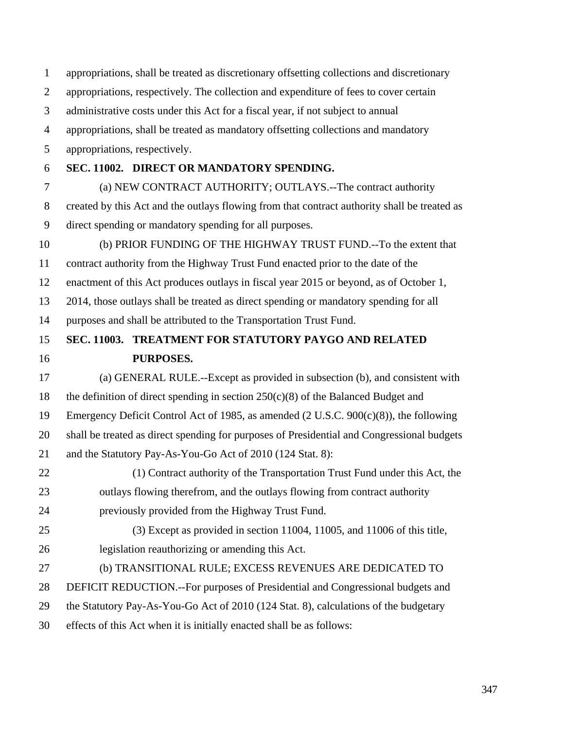| $\mathbf{1}$   | appropriations, shall be treated as discretionary offsetting collections and discretionary   |  |  |
|----------------|----------------------------------------------------------------------------------------------|--|--|
| $\overline{2}$ | appropriations, respectively. The collection and expenditure of fees to cover certain        |  |  |
| 3              | administrative costs under this Act for a fiscal year, if not subject to annual              |  |  |
| $\overline{4}$ | appropriations, shall be treated as mandatory offsetting collections and mandatory           |  |  |
| 5              | appropriations, respectively.                                                                |  |  |
| 6              | SEC. 11002. DIRECT OR MANDATORY SPENDING.                                                    |  |  |
| $\overline{7}$ | (a) NEW CONTRACT AUTHORITY; OUTLAYS.--The contract authority                                 |  |  |
| 8              | created by this Act and the outlays flowing from that contract authority shall be treated as |  |  |
| 9              | direct spending or mandatory spending for all purposes.                                      |  |  |
| 10             | (b) PRIOR FUNDING OF THE HIGHWAY TRUST FUND.--To the extent that                             |  |  |
| 11             | contract authority from the Highway Trust Fund enacted prior to the date of the              |  |  |
| 12             | enactment of this Act produces outlays in fiscal year 2015 or beyond, as of October 1,       |  |  |
| 13             | 2014, those outlays shall be treated as direct spending or mandatory spending for all        |  |  |
| 14             | purposes and shall be attributed to the Transportation Trust Fund.                           |  |  |
| 15             | SEC. 11003. TREATMENT FOR STATUTORY PAYGO AND RELATED                                        |  |  |
|                |                                                                                              |  |  |
| 16             | PURPOSES.                                                                                    |  |  |
| 17             | (a) GENERAL RULE.--Except as provided in subsection (b), and consistent with                 |  |  |
| 18             | the definition of direct spending in section $250(c)(8)$ of the Balanced Budget and          |  |  |
| 19             | Emergency Deficit Control Act of 1985, as amended (2 U.S.C. 900(c)(8)), the following        |  |  |
| 20             | shall be treated as direct spending for purposes of Presidential and Congressional budgets   |  |  |
| 21             | and the Statutory Pay-As-You-Go Act of 2010 (124 Stat. 8):                                   |  |  |
| 22             | (1) Contract authority of the Transportation Trust Fund under this Act, the                  |  |  |
| 23             | outlays flowing therefrom, and the outlays flowing from contract authority                   |  |  |
| 24             | previously provided from the Highway Trust Fund.                                             |  |  |
| 25             | (3) Except as provided in section 11004, 11005, and 11006 of this title,                     |  |  |
| 26             | legislation reauthorizing or amending this Act.                                              |  |  |
| 27             | (b) TRANSITIONAL RULE; EXCESS REVENUES ARE DEDICATED TO                                      |  |  |
| 28             | DEFICIT REDUCTION.--For purposes of Presidential and Congressional budgets and               |  |  |
| 29             | the Statutory Pay-As-You-Go Act of 2010 (124 Stat. 8), calculations of the budgetary         |  |  |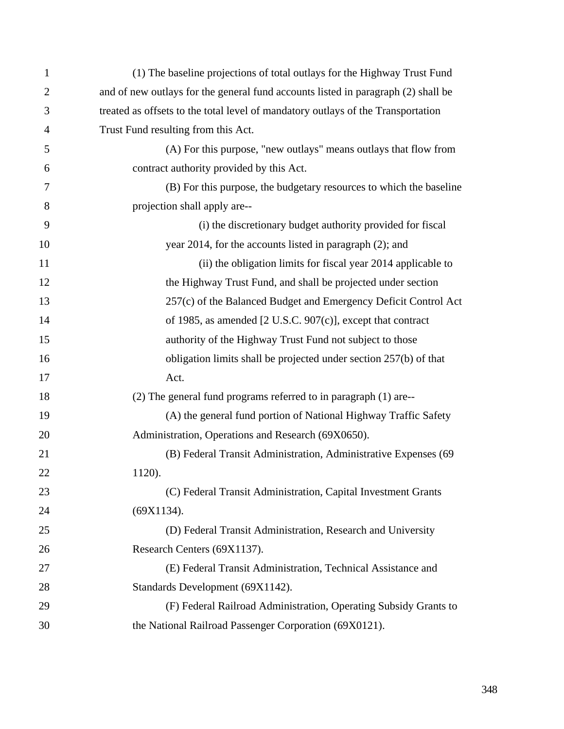| $\mathbf{1}$   | (1) The baseline projections of total outlays for the Highway Trust Fund          |
|----------------|-----------------------------------------------------------------------------------|
| $\overline{2}$ | and of new outlays for the general fund accounts listed in paragraph (2) shall be |
| 3              | treated as offsets to the total level of mandatory outlays of the Transportation  |
| $\overline{4}$ | Trust Fund resulting from this Act.                                               |
| 5              | (A) For this purpose, "new outlays" means outlays that flow from                  |
| 6              | contract authority provided by this Act.                                          |
| 7              | (B) For this purpose, the budgetary resources to which the baseline               |
| 8              | projection shall apply are--                                                      |
| 9              | (i) the discretionary budget authority provided for fiscal                        |
| 10             | year 2014, for the accounts listed in paragraph (2); and                          |
| 11             | (ii) the obligation limits for fiscal year 2014 applicable to                     |
| 12             | the Highway Trust Fund, and shall be projected under section                      |
| 13             | 257(c) of the Balanced Budget and Emergency Deficit Control Act                   |
| 14             | of 1985, as amended [2 U.S.C. 907(c)], except that contract                       |
| 15             | authority of the Highway Trust Fund not subject to those                          |
| 16             | obligation limits shall be projected under section 257(b) of that                 |
| 17             | Act.                                                                              |
| 18             | (2) The general fund programs referred to in paragraph (1) are--                  |
| 19             | (A) the general fund portion of National Highway Traffic Safety                   |
| 20             | Administration, Operations and Research (69X0650).                                |
| 21             | (B) Federal Transit Administration, Administrative Expenses (69                   |
| 22             | 1120).                                                                            |
| 23             | (C) Federal Transit Administration, Capital Investment Grants                     |
| 24             | (69X1134).                                                                        |
| 25             | (D) Federal Transit Administration, Research and University                       |
| 26             | Research Centers (69X1137).                                                       |
| 27             | (E) Federal Transit Administration, Technical Assistance and                      |
| 28             | Standards Development (69X1142).                                                  |
| 29             | (F) Federal Railroad Administration, Operating Subsidy Grants to                  |
| 30             | the National Railroad Passenger Corporation (69X0121).                            |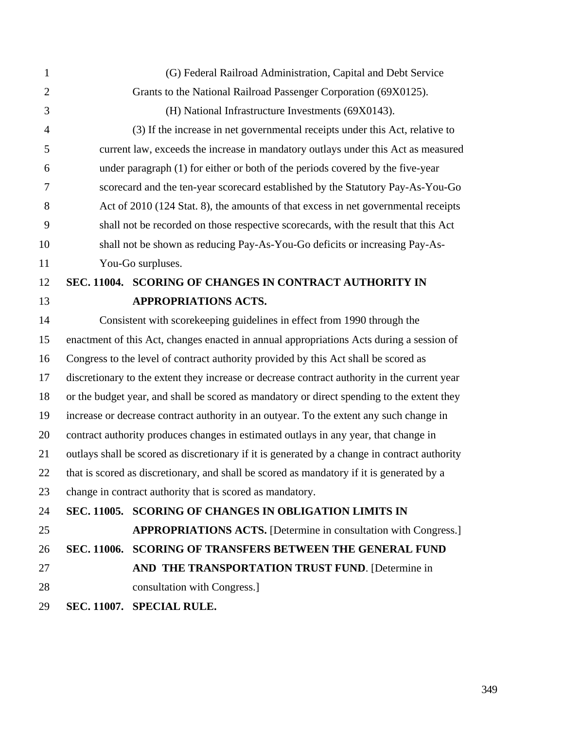| 1              | (G) Federal Railroad Administration, Capital and Debt Service                                 |                                                                                           |  |
|----------------|-----------------------------------------------------------------------------------------------|-------------------------------------------------------------------------------------------|--|
| $\overline{2}$ | Grants to the National Railroad Passenger Corporation (69X0125).                              |                                                                                           |  |
| 3              | (H) National Infrastructure Investments (69X0143).                                            |                                                                                           |  |
| $\overline{4}$ | (3) If the increase in net governmental receipts under this Act, relative to                  |                                                                                           |  |
| 5              | current law, exceeds the increase in mandatory outlays under this Act as measured             |                                                                                           |  |
| 6              | under paragraph (1) for either or both of the periods covered by the five-year                |                                                                                           |  |
| 7              | scorecard and the ten-year scorecard established by the Statutory Pay-As-You-Go               |                                                                                           |  |
| 8              | Act of 2010 (124 Stat. 8), the amounts of that excess in net governmental receipts            |                                                                                           |  |
| 9              | shall not be recorded on those respective scorecards, with the result that this Act           |                                                                                           |  |
| 10             | shall not be shown as reducing Pay-As-You-Go deficits or increasing Pay-As-                   |                                                                                           |  |
| 11             | You-Go surpluses.                                                                             |                                                                                           |  |
| 12             |                                                                                               | SEC. 11004. SCORING OF CHANGES IN CONTRACT AUTHORITY IN                                   |  |
| 13             |                                                                                               | <b>APPROPRIATIONS ACTS.</b>                                                               |  |
| 14             | Consistent with scorekeeping guidelines in effect from 1990 through the                       |                                                                                           |  |
| 15             | enactment of this Act, changes enacted in annual appropriations Acts during a session of      |                                                                                           |  |
| 16             | Congress to the level of contract authority provided by this Act shall be scored as           |                                                                                           |  |
| 17             | discretionary to the extent they increase or decrease contract authority in the current year  |                                                                                           |  |
| 18             | or the budget year, and shall be scored as mandatory or direct spending to the extent they    |                                                                                           |  |
| 19             | increase or decrease contract authority in an outyear. To the extent any such change in       |                                                                                           |  |
| 20             | contract authority produces changes in estimated outlays in any year, that change in          |                                                                                           |  |
| 21             | outlays shall be scored as discretionary if it is generated by a change in contract authority |                                                                                           |  |
| 22             |                                                                                               | that is scored as discretionary, and shall be scored as mandatory if it is generated by a |  |
| 23             |                                                                                               | change in contract authority that is scored as mandatory.                                 |  |
| 24             |                                                                                               | SEC. 11005. SCORING OF CHANGES IN OBLIGATION LIMITS IN                                    |  |
| 25             |                                                                                               | <b>APPROPRIATIONS ACTS.</b> [Determine in consultation with Congress.]                    |  |
| 26             |                                                                                               | SEC. 11006. SCORING OF TRANSFERS BETWEEN THE GENERAL FUND                                 |  |
| 27             |                                                                                               | AND THE TRANSPORTATION TRUST FUND. [Determine in                                          |  |
| 28             |                                                                                               | consultation with Congress.]                                                              |  |
| 29             |                                                                                               | SEC. 11007. SPECIAL RULE.                                                                 |  |